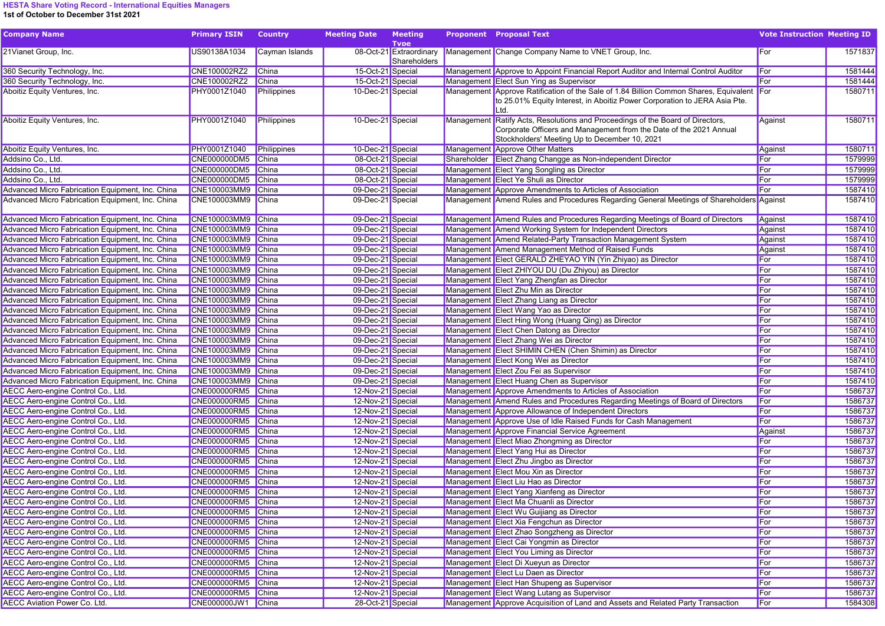## HESTA Share Voting Record - International Equities Managers 1st of October to December 31st 2021

| <b>Company Name</b>                              | <b>Primary ISIN</b> | <b>Country</b> | <b>Meeting Date</b> | <b>Meeting</b><br><b>Tvpe</b>           | <b>Proponent</b> Proposal Text                                                                                                                                                                        | <b>Vote Instruction Meeting ID</b> |         |
|--------------------------------------------------|---------------------|----------------|---------------------|-----------------------------------------|-------------------------------------------------------------------------------------------------------------------------------------------------------------------------------------------------------|------------------------------------|---------|
| 21 Vianet Group, Inc.                            | US90138A1034        | Cayman Islands |                     | 08-Oct-21 Extraordinary<br>Shareholders | Management Change Company Name to VNET Group, Inc.                                                                                                                                                    | For                                | 1571837 |
| 360 Security Technology, Inc.                    | CNE100002RZ2        | China          | 15-Oct-21 Special   |                                         | Management Approve to Appoint Financial Report Auditor and Internal Control Auditor                                                                                                                   | For                                | 1581444 |
| 360 Security Technology, Inc.                    | CNE100002RZ2        | <b>China</b>   | 15-Oct-21 Special   |                                         | Management Elect Sun Ying as Supervisor                                                                                                                                                               | For                                | 1581444 |
| Aboitiz Equity Ventures, Inc.                    | PHY0001Z1040        | Philippines    | 10-Dec-21 Special   |                                         | Management Approve Ratification of the Sale of 1.84 Billion Common Shares, Equivalent For<br>to 25.01% Equity Interest, in Aboitiz Power Corporation to JERA Asia Pte.<br>Ltd.                        |                                    | 1580711 |
| Aboitiz Equity Ventures, Inc.                    | PHY0001Z1040        | Philippines    | 10-Dec-21 Special   |                                         | Management Ratify Acts, Resolutions and Proceedings of the Board of Directors,<br>Corporate Officers and Management from the Date of the 2021 Annual<br>Stockholders' Meeting Up to December 10, 2021 | Against                            | 1580711 |
| Aboitiz Equity Ventures, Inc.                    | PHY0001Z1040        | Philippines    | 10-Dec-21 Special   |                                         | Management Approve Other Matters                                                                                                                                                                      | Against                            | 1580711 |
| Addsino Co., Ltd.                                | CNE000000DM5        | China          | 08-Oct-21 Special   |                                         | Shareholder Elect Zhang Changge as Non-independent Director                                                                                                                                           | For                                | 1579999 |
| Addsino Co., Ltd.                                | CNE000000DM5 China  |                | 08-Oct-21 Special   |                                         | Management Elect Yang Songling as Director                                                                                                                                                            | For                                | 1579999 |
| Addsino Co., Ltd.                                | CNE000000DM5 China  |                | 08-Oct-21 Special   |                                         | Management Elect Ye Shuli as Director                                                                                                                                                                 | For                                | 1579999 |
| Advanced Micro Fabrication Equipment, Inc. China | <b>CNE100003MM9</b> | China          | 09-Dec-21 Special   |                                         | Management Approve Amendments to Articles of Association                                                                                                                                              | For                                | 1587410 |
| Advanced Micro Fabrication Equipment, Inc. China | CNE100003MM9 China  |                | 09-Dec-21 Special   |                                         | Management Amend Rules and Procedures Regarding General Meetings of Shareholders Against                                                                                                              |                                    | 1587410 |
| Advanced Micro Fabrication Equipment, Inc. China | CNE100003MM9 China  |                | 09-Dec-21 Special   |                                         | Management Amend Rules and Procedures Regarding Meetings of Board of Directors                                                                                                                        | Against                            | 1587410 |
| Advanced Micro Fabrication Equipment, Inc. China | CNE100003MM9 China  |                | 09-Dec-21 Special   |                                         | Management Amend Working System for Independent Directors                                                                                                                                             | Against                            | 1587410 |
| Advanced Micro Fabrication Equipment, Inc. China | CNE100003MM9 China  |                | 09-Dec-21 Special   |                                         | Management Amend Related-Party Transaction Management System                                                                                                                                          | Against                            | 1587410 |
| Advanced Micro Fabrication Equipment, Inc. China | CNE100003MM9 China  |                | 09-Dec-21 Special   |                                         | Management Amend Management Method of Raised Funds                                                                                                                                                    | Against                            | 1587410 |
| Advanced Micro Fabrication Equipment, Inc. China | CNE100003MM9 China  |                | 09-Dec-21 Special   |                                         | Management Elect GERALD ZHEYAO YIN (Yin Zhiyao) as Director                                                                                                                                           | For                                | 1587410 |
| Advanced Micro Fabrication Equipment, Inc. China | CNE100003MM9 China  |                | 09-Dec-21 Special   |                                         | Management Elect ZHIYOU DU (Du Zhiyou) as Director                                                                                                                                                    | For                                | 1587410 |
| Advanced Micro Fabrication Equipment, Inc. China | CNE100003MM9 China  |                | 09-Dec-21 Special   |                                         | Management Elect Yang Zhengfan as Director                                                                                                                                                            | For                                | 1587410 |
| Advanced Micro Fabrication Equipment, Inc. China | CNE100003MM9 China  |                | 09-Dec-21 Special   |                                         | Management Elect Zhu Min as Director                                                                                                                                                                  | For                                | 1587410 |
| Advanced Micro Fabrication Equipment, Inc. China | CNE100003MM9 China  |                | 09-Dec-21 Special   |                                         | Management Elect Zhang Liang as Director                                                                                                                                                              | For                                | 1587410 |
| Advanced Micro Fabrication Equipment, Inc. China | CNE100003MM9 China  |                | 09-Dec-21 Special   |                                         | Management Elect Wang Yao as Director                                                                                                                                                                 | For                                | 1587410 |
| Advanced Micro Fabrication Equipment, Inc. China | CNE100003MM9 China  |                | 09-Dec-21 Special   |                                         | Management Elect Hing Wong (Huang Qing) as Director                                                                                                                                                   | For                                | 1587410 |
| Advanced Micro Fabrication Equipment, Inc. China | CNE100003MM9 China  |                | 09-Dec-21 Special   |                                         | Management Elect Chen Datong as Director                                                                                                                                                              | For                                | 1587410 |
| Advanced Micro Fabrication Equipment, Inc. China | CNE100003MM9 China  |                | 09-Dec-21 Special   |                                         | Management Elect Zhang Wei as Director                                                                                                                                                                | For                                | 1587410 |
| Advanced Micro Fabrication Equipment, Inc. China | CNE100003MM9 China  |                | 09-Dec-21 Special   |                                         | Management Elect SHIMIN CHEN (Chen Shimin) as Director                                                                                                                                                | For                                | 1587410 |
| Advanced Micro Fabrication Equipment, Inc. China | CNE100003MM9 China  |                | 09-Dec-21 Special   |                                         | Management Elect Kong Wei as Director                                                                                                                                                                 | For                                | 1587410 |
| Advanced Micro Fabrication Equipment, Inc. China | CNE100003MM9 China  |                | 09-Dec-21 Special   |                                         | Management Elect Zou Fei as Supervisor                                                                                                                                                                | For                                | 1587410 |
| Advanced Micro Fabrication Equipment, Inc. China | CNE100003MM9 China  |                | 09-Dec-21 Special   |                                         | Management Elect Huang Chen as Supervisor                                                                                                                                                             | For                                | 1587410 |
|                                                  | CNE000000RM5 China  |                |                     |                                         |                                                                                                                                                                                                       |                                    |         |
| AECC Aero-engine Control Co., Ltd.               |                     |                | 12-Nov-21 Special   |                                         | Management Approve Amendments to Articles of Association                                                                                                                                              | For                                | 1586737 |
| AECC Aero-engine Control Co., Ltd.               | CNE000000RM5        | China          | 12-Nov-21 Special   |                                         | Management Amend Rules and Procedures Regarding Meetings of Board of Directors                                                                                                                        | For                                | 1586737 |
| AECC Aero-engine Control Co., Ltd.               | <b>CNE000000RM5</b> | China          | 12-Nov-21 Special   |                                         | Management Approve Allowance of Independent Directors                                                                                                                                                 | For                                | 1586737 |
| AECC Aero-engine Control Co., Ltd.               | CNE000000RM5        | China          | 12-Nov-21 Special   |                                         | Management Approve Use of Idle Raised Funds for Cash Management                                                                                                                                       | For                                | 1586737 |
| AECC Aero-engine Control Co., Ltd.               | <b>CNE000000RM5</b> | China          | 12-Nov-21 Special   |                                         | Management Approve Financial Service Agreement                                                                                                                                                        | Against                            | 1586737 |
| AECC Aero-engine Control Co., Ltd.               | CNE000000RM5 China  |                | 12-Nov-21 Special   |                                         | Management Elect Miao Zhongming as Director                                                                                                                                                           | For                                | 1586737 |
| AECC Aero-engine Control Co., Ltd.               | CNE000000RM5        | China          | 12-Nov-21 Special   |                                         | Management Elect Yang Hui as Director                                                                                                                                                                 | For                                | 1586737 |
| AECC Aero-engine Control Co., Ltd.               | <b>CNE000000RM5</b> | China          | 12-Nov-21 Special   |                                         | Management Elect Zhu Jingbo as Director                                                                                                                                                               | For                                | 1586737 |
| AECC Aero-engine Control Co., Ltd.               | <b>CNE000000RM5</b> | China          | 12-Nov-21 Special   |                                         | Management Elect Mou Xin as Director                                                                                                                                                                  | For                                | 1586737 |
| AECC Aero-engine Control Co., Ltd.               | <b>CNE000000RM5</b> | China          | 12-Nov-21 Special   |                                         | Management Elect Liu Hao as Director                                                                                                                                                                  | For                                | 1586737 |
| AECC Aero-engine Control Co., Ltd.               | CNE000000RM5 China  |                | 12-Nov-21 Special   |                                         | Management Elect Yang Xianfeng as Director                                                                                                                                                            | For                                | 1586737 |
| AECC Aero-engine Control Co., Ltd.               | CNE000000RM5 China  |                | 12-Nov-21 Special   |                                         | Management Elect Ma Chuanli as Director                                                                                                                                                               | For                                | 1586737 |
| AECC Aero-engine Control Co., Ltd.               | CNE000000RM5 China  |                | 12-Nov-21 Special   |                                         | Management Elect Wu Guijiang as Director                                                                                                                                                              | For                                | 1586737 |
| AECC Aero-engine Control Co., Ltd.               | CNE000000RM5 China  |                | 12-Nov-21 Special   |                                         | Management Elect Xia Fengchun as Director                                                                                                                                                             | For                                | 1586737 |
| AECC Aero-engine Control Co., Ltd.               | CNE000000RM5 China  |                | 12-Nov-21 Special   |                                         | Management Elect Zhao Songzheng as Director                                                                                                                                                           | For                                | 1586737 |
| AECC Aero-engine Control Co., Ltd.               | CNE000000RM5 China  |                | 12-Nov-21 Special   |                                         | Management Elect Cai Yongmin as Director                                                                                                                                                              | For                                | 1586737 |
| AECC Aero-engine Control Co., Ltd.               | CNE000000RM5 China  |                | 12-Nov-21 Special   |                                         | Management Elect You Liming as Director                                                                                                                                                               | For                                | 1586737 |
| AECC Aero-engine Control Co., Ltd.               | CNE000000RM5 China  |                | 12-Nov-21 Special   |                                         | Management Elect Di Xueyun as Director                                                                                                                                                                | For                                | 1586737 |
| AECC Aero-engine Control Co., Ltd.               | CNE000000RM5 China  |                | 12-Nov-21 Special   |                                         | Management Elect Lu Daen as Director                                                                                                                                                                  | For                                | 1586737 |
| AECC Aero-engine Control Co., Ltd.               | CNE000000RM5 China  |                | 12-Nov-21 Special   |                                         | Management Elect Han Shupeng as Supervisor                                                                                                                                                            | For                                | 1586737 |
| AECC Aero-engine Control Co., Ltd.               | CNE000000RM5 China  |                | 12-Nov-21 Special   |                                         | Management Elect Wang Lutang as Supervisor                                                                                                                                                            | For                                | 1586737 |
| <b>AECC Aviation Power Co. Ltd.</b>              | CNE000000JW1 China  |                | 28-Oct-21 Special   |                                         | Management Approve Acquisition of Land and Assets and Related Party Transaction                                                                                                                       | For                                | 1584308 |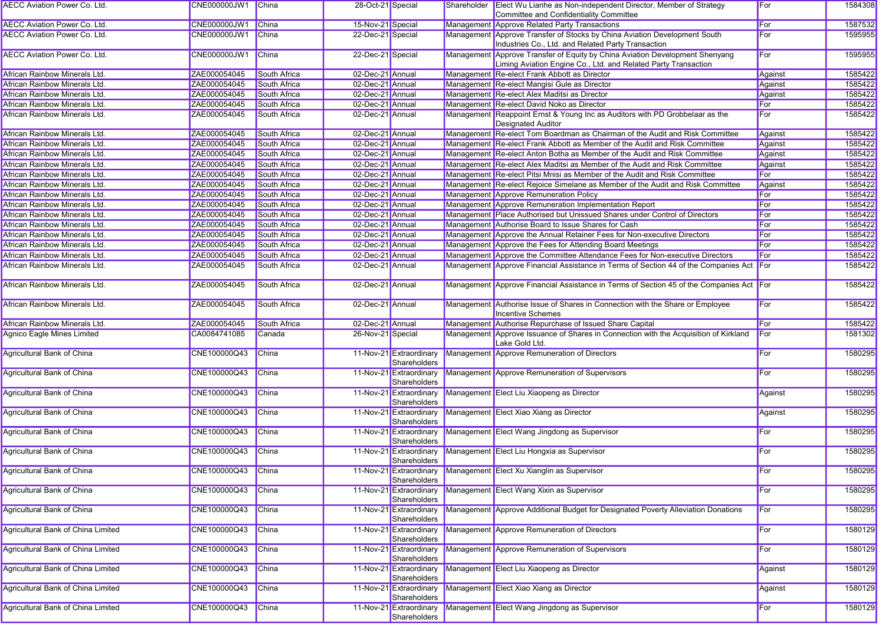| <b>AECC Aviation Power Co. Ltd.</b>       | CNE000000JW1 China |                     | 28-Oct-21 Special |                                         | Shareholder | Elect Wu Lianhe as Non-independent Director, Member of Strategy<br>Committee and Confidentiality Committee                                     | For     | 1584308 |
|-------------------------------------------|--------------------|---------------------|-------------------|-----------------------------------------|-------------|------------------------------------------------------------------------------------------------------------------------------------------------|---------|---------|
| <b>AECC Aviation Power Co. Ltd.</b>       | CNE000000JW1       | China               | 15-Nov-21 Special |                                         |             | Management Approve Related Party Transactions                                                                                                  | For     | 1587532 |
| <b>AECC Aviation Power Co. Ltd.</b>       | CNE000000JW1       | China               | 22-Dec-21 Special |                                         |             | Management Approve Transfer of Stocks by China Aviation Development South<br>Industries Co., Ltd. and Related Party Transaction                | For     | 1595955 |
| <b>AECC Aviation Power Co. Ltd.</b>       | CNE000000JW1       | <b>China</b>        | 22-Dec-21 Special |                                         |             | Management Approve Transfer of Equity by China Aviation Development Shenyang<br>Liming Aviation Engine Co., Ltd. and Related Party Transaction | For     | 1595955 |
| African Rainbow Minerals Ltd.             | ZAE000054045       | <b>South Africa</b> | 02-Dec-21 Annual  |                                         |             | Management Re-elect Frank Abbott as Director                                                                                                   | Against | 1585422 |
| African Rainbow Minerals Ltd.             | ZAE000054045       | South Africa        | 02-Dec-21 Annual  |                                         |             | Management Re-elect Mangisi Gule as Director                                                                                                   | Against | 1585422 |
| African Rainbow Minerals Ltd.             | ZAE000054045       | South Africa        | 02-Dec-21 Annual  |                                         |             | Management Re-elect Alex Maditsi as Director                                                                                                   | Against | 1585422 |
| African Rainbow Minerals Ltd.             | ZAE000054045       | South Africa        | 02-Dec-21 Annual  |                                         |             | Management Re-elect David Noko as Director                                                                                                     | For     | 1585422 |
| African Rainbow Minerals Ltd.             | ZAE000054045       | <b>South Africa</b> | 02-Dec-21 Annual  |                                         |             | Management Reappoint Ernst & Young Inc as Auditors with PD Grobbelaar as the<br><b>Designated Auditor</b>                                      | For     | 1585422 |
| African Rainbow Minerals Ltd.             | ZAE000054045       | South Africa        | 02-Dec-21 Annual  |                                         |             | Management Re-elect Tom Boardman as Chairman of the Audit and Risk Committee                                                                   | Against | 1585422 |
| African Rainbow Minerals Ltd.             | ZAE000054045       | <b>South Africa</b> | 02-Dec-21 Annual  |                                         |             | Management Re-elect Frank Abbott as Member of the Audit and Risk Committee                                                                     | Against | 1585422 |
| African Rainbow Minerals Ltd.             | ZAE000054045       | South Africa        | 02-Dec-21 Annual  |                                         |             | Management Re-elect Anton Botha as Member of the Audit and Risk Committee                                                                      | Against | 1585422 |
| African Rainbow Minerals Ltd.             | ZAE000054045       | South Africa        | 02-Dec-21 Annual  |                                         |             | Management Re-elect Alex Maditsi as Member of the Audit and Risk Committee                                                                     | Against | 1585422 |
| African Rainbow Minerals Ltd.             | ZAE000054045       | South Africa        | 02-Dec-21 Annual  |                                         |             | Management Re-elect Pitsi Mnisi as Member of the Audit and Risk Committee                                                                      | For     | 1585422 |
| African Rainbow Minerals Ltd.             | ZAE000054045       | South Africa        | 02-Dec-21 Annual  |                                         |             | Management Re-elect Rejoice Simelane as Member of the Audit and Risk Committee                                                                 | Against | 1585422 |
| African Rainbow Minerals Ltd.             | ZAE000054045       | South Africa        | 02-Dec-21 Annual  |                                         |             | Management Approve Remuneration Policy                                                                                                         | For     | 1585422 |
| African Rainbow Minerals Ltd.             | ZAE000054045       | South Africa        | 02-Dec-21 Annual  |                                         |             | Management Approve Remuneration Implementation Report                                                                                          | For     | 1585422 |
| African Rainbow Minerals Ltd.             | ZAE000054045       | South Africa        | 02-Dec-21 Annual  |                                         |             | Management Place Authorised but Unissued Shares under Control of Directors                                                                     | For     | 1585422 |
| African Rainbow Minerals Ltd.             | ZAE000054045       | South Africa        | 02-Dec-21 Annual  |                                         |             | Management Authorise Board to Issue Shares for Cash                                                                                            | For     | 1585422 |
|                                           |                    |                     | 02-Dec-21 Annual  |                                         |             | Management Approve the Annual Retainer Fees for Non-executive Directors                                                                        | For     |         |
| African Rainbow Minerals Ltd.             | ZAE000054045       | South Africa        |                   |                                         |             |                                                                                                                                                |         | 1585422 |
| African Rainbow Minerals Ltd.             | ZAE000054045       | <b>South Africa</b> | 02-Dec-21 Annual  |                                         |             | Management Approve the Fees for Attending Board Meetings                                                                                       | For     | 1585422 |
| African Rainbow Minerals Ltd.             | ZAE000054045       | <b>South Africa</b> | 02-Dec-21 Annual  |                                         |             | Management Approve the Committee Attendance Fees for Non-executive Directors                                                                   | For     | 1585422 |
| African Rainbow Minerals Ltd.             | ZAE000054045       | South Africa        | 02-Dec-21 Annual  |                                         |             | Management Approve Financial Assistance in Terms of Section 44 of the Companies Act For                                                        |         | 1585422 |
| African Rainbow Minerals Ltd.             | ZAE000054045       | South Africa        | 02-Dec-21 Annual  |                                         |             | Management Approve Financial Assistance in Terms of Section 45 of the Companies Act For                                                        |         | 1585422 |
| African Rainbow Minerals Ltd.             | ZAE000054045       | South Africa        | 02-Dec-21 Annual  |                                         |             | Management Authorise Issue of Shares in Connection with the Share or Employee<br><b>Incentive Schemes</b>                                      | For     | 1585422 |
| African Rainbow Minerals Ltd.             | ZAE000054045       | South Africa        | 02-Dec-21 Annual  |                                         |             | Management Authorise Repurchase of Issued Share Capital                                                                                        | For     | 1585422 |
| <b>Agnico Eagle Mines Limited</b>         | CA0084741085       | Canada              | 26-Nov-21 Special |                                         |             | Management Approve Issuance of Shares in Connection with the Acquisition of Kirkland<br>Lake Gold Ltd.                                         | For     | 1581302 |
| Agricultural Bank of China                | CNE100000Q43       | <b>China</b>        |                   | 11-Nov-21 Extraordinary<br>Shareholders |             | Management Approve Remuneration of Directors                                                                                                   | For     | 1580295 |
| Agricultural Bank of China                | CNE100000Q43       | China               |                   | 11-Nov-21 Extraordinary<br>Shareholders |             | Management Approve Remuneration of Supervisors                                                                                                 | For     | 1580295 |
| Agricultural Bank of China                | CNE100000Q43       | China               |                   | 11-Nov-21 Extraordinary<br>Shareholders |             | Management Elect Liu Xiaopeng as Director                                                                                                      | Against | 1580295 |
| Agricultural Bank of China                | CNE100000Q43       | <b>China</b>        |                   | 11-Nov-21 Extraordinary<br>Shareholders |             | Management Elect Xiao Xiang as Director                                                                                                        | Against | 1580295 |
| Agricultural Bank of China                | CNE100000Q43       | <b>China</b>        |                   | 11-Nov-21 Extraordinary<br>Shareholders |             | Management Elect Wang Jingdong as Supervisor                                                                                                   | For     | 1580295 |
| Agricultural Bank of China                | CNE100000Q43       | <b>China</b>        |                   | 11-Nov-21 Extraordinary<br>Shareholders |             | Management Elect Liu Hongxia as Supervisor                                                                                                     | For     | 1580295 |
| Agricultural Bank of China                | CNE100000Q43 China |                     |                   | Shareholders                            |             | 11-Nov-21 Extraordinary Management Elect Xu Xianglin as Supervisor                                                                             | For     | 1580295 |
| Agricultural Bank of China                | CNE100000Q43       | China               |                   | 11-Nov-21 Extraordinary<br>Shareholders |             | Management Elect Wang Xixin as Supervisor                                                                                                      | For     | 1580295 |
| Agricultural Bank of China                | CNE100000Q43       | China               |                   | 11-Nov-21 Extraordinary<br>Shareholders |             | Management Approve Additional Budget for Designated Poverty Alleviation Donations                                                              | For     | 1580295 |
| Agricultural Bank of China Limited        | CNE100000Q43       | China               |                   | 11-Nov-21 Extraordinary<br>Shareholders |             | Management Approve Remuneration of Directors                                                                                                   | For     | 1580129 |
| Agricultural Bank of China Limited        | CNE100000Q43       | China               |                   | 11-Nov-21 Extraordinary<br>Shareholders |             | Management Approve Remuneration of Supervisors                                                                                                 | For     | 1580129 |
| <b>Agricultural Bank of China Limited</b> | CNE100000Q43       | China               |                   | 11-Nov-21 Extraordinary<br>Shareholders |             | Management Elect Liu Xiaopeng as Director                                                                                                      | Against | 1580129 |
| Agricultural Bank of China Limited        | CNE100000Q43       | China               |                   | 11-Nov-21 Extraordinary<br>Shareholders |             | Management Elect Xiao Xiang as Director                                                                                                        | Against | 1580129 |
| Agricultural Bank of China Limited        | CNE100000Q43       | China               |                   | 11-Nov-21 Extraordinary<br>Shareholders |             | Management Elect Wang Jingdong as Supervisor                                                                                                   | For     | 1580129 |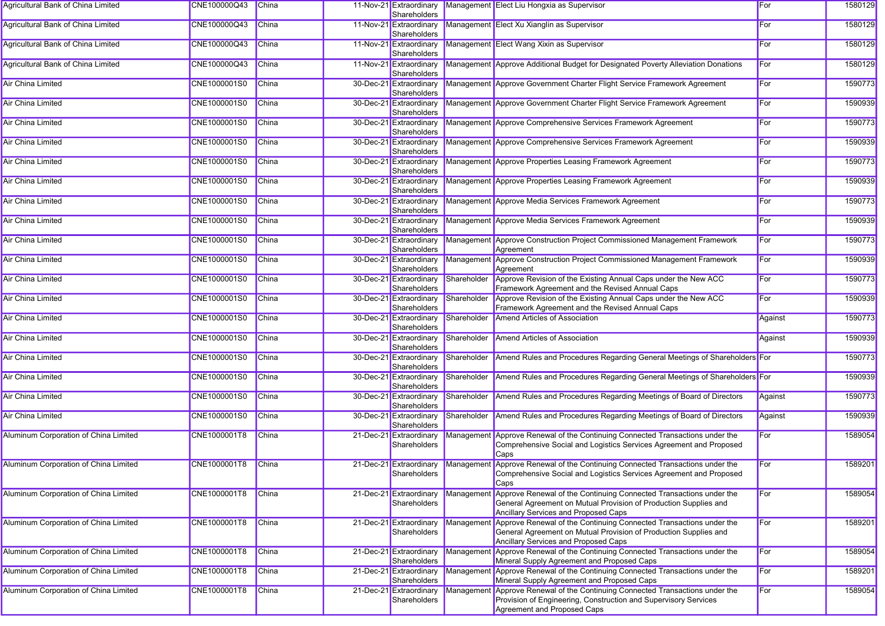| <b>Agricultural Bank of China Limited</b> | CNE100000Q43 | China        | 11-Nov-21 Extraordinary<br>Shareholders |             | Management Elect Liu Hongxia as Supervisor                                                                                                                                                | For     | 1580129 |
|-------------------------------------------|--------------|--------------|-----------------------------------------|-------------|-------------------------------------------------------------------------------------------------------------------------------------------------------------------------------------------|---------|---------|
| <b>Agricultural Bank of China Limited</b> | CNE100000Q43 | <b>China</b> | 11-Nov-21 Extraordinary<br>Shareholders |             | Management Elect Xu Xianglin as Supervisor                                                                                                                                                | For     | 1580129 |
| Agricultural Bank of China Limited        | CNE100000Q43 | <b>China</b> | 11-Nov-21 Extraordinary<br>Shareholders |             | Management Elect Wang Xixin as Supervisor                                                                                                                                                 | For     | 1580129 |
| <b>Agricultural Bank of China Limited</b> | CNE100000Q43 | <b>China</b> | 11-Nov-21 Extraordinary<br>Shareholders |             | Management Approve Additional Budget for Designated Poverty Alleviation Donations                                                                                                         | For     | 1580129 |
| Air China Limited                         | CNE1000001S0 | <b>China</b> | 30-Dec-21 Extraordinary<br>Shareholders |             | Management Approve Government Charter Flight Service Framework Agreement                                                                                                                  | For     | 1590773 |
| <b>Air China Limited</b>                  | CNE1000001S0 | <b>China</b> | 30-Dec-21 Extraordinary<br>Shareholders |             | Management Approve Government Charter Flight Service Framework Agreement                                                                                                                  | For     | 1590939 |
| <b>Air China Limited</b>                  | CNE1000001S0 | <b>China</b> | 30-Dec-21 Extraordinary<br>Shareholders |             | Management Approve Comprehensive Services Framework Agreement                                                                                                                             | For     | 1590773 |
| <b>Air China Limited</b>                  | CNE1000001S0 | <b>China</b> | 30-Dec-21 Extraordinary<br>Shareholders |             | Management Approve Comprehensive Services Framework Agreement                                                                                                                             | For     | 1590939 |
| <b>Air China Limited</b>                  | CNE1000001S0 | <b>China</b> | 30-Dec-21 Extraordinary<br>Shareholders |             | Management Approve Properties Leasing Framework Agreement                                                                                                                                 | For     | 1590773 |
| <b>Air China Limited</b>                  | CNE1000001S0 | <b>China</b> | 30-Dec-21 Extraordinary<br>Shareholders |             | Management Approve Properties Leasing Framework Agreement                                                                                                                                 | For     | 1590939 |
| <b>Air China Limited</b>                  | CNE1000001S0 | China        | 30-Dec-21 Extraordinary<br>Shareholders |             | Management Approve Media Services Framework Agreement                                                                                                                                     | For     | 1590773 |
| Air China Limited                         | CNE1000001S0 | <b>China</b> | 30-Dec-21 Extraordinary<br>Shareholders |             | Management Approve Media Services Framework Agreement                                                                                                                                     | For     | 1590939 |
| Air China Limited                         | CNE1000001S0 | <b>China</b> | 30-Dec-21 Extraordinary<br>Shareholders |             | Management Approve Construction Project Commissioned Management Framework<br>Agreement                                                                                                    | For     | 1590773 |
| <b>Air China Limited</b>                  | CNE1000001S0 | <b>China</b> | 30-Dec-21 Extraordinary<br>Shareholders |             | Management Approve Construction Project Commissioned Management Framework<br>Agreement                                                                                                    | For     | 1590939 |
| <b>Air China Limited</b>                  | CNE1000001S0 | China        | 30-Dec-21 Extraordinary<br>Shareholders | Shareholder | Approve Revision of the Existing Annual Caps under the New ACC<br>Framework Agreement and the Revised Annual Caps                                                                         | For     | 1590773 |
| <b>Air China Limited</b>                  | CNE1000001S0 | <b>China</b> | 30-Dec-21 Extraordinary<br>Shareholders | Shareholder | Approve Revision of the Existing Annual Caps under the New ACC<br>Framework Agreement and the Revised Annual Caps                                                                         | For     | 1590939 |
| <b>Air China Limited</b>                  | CNE1000001S0 | <b>China</b> | 30-Dec-21 Extraordinary<br>Shareholders | Shareholder | <b>Amend Articles of Association</b>                                                                                                                                                      | Against | 1590773 |
| <b>Air China Limited</b>                  | CNE1000001S0 | <b>China</b> | 30-Dec-21 Extraordinary<br>Shareholders | Shareholder | <b>Amend Articles of Association</b>                                                                                                                                                      | Against | 1590939 |
| <b>Air China Limited</b>                  | CNE1000001S0 | China        | 30-Dec-21 Extraordinary<br>Shareholders | Shareholder | Amend Rules and Procedures Regarding General Meetings of Shareholders For                                                                                                                 |         | 1590773 |
| <b>Air China Limited</b>                  | CNE1000001S0 | China        | 30-Dec-21 Extraordinary<br>Shareholders | Shareholder | Amend Rules and Procedures Regarding General Meetings of Shareholders For                                                                                                                 |         | 1590939 |
| <b>Air China Limited</b>                  | CNE1000001S0 | <b>China</b> | 30-Dec-21 Extraordinary<br>Shareholders | Shareholder | Amend Rules and Procedures Regarding Meetings of Board of Directors                                                                                                                       | Against | 1590773 |
| <b>Air China Limited</b>                  | CNE1000001S0 | <b>China</b> | 30-Dec-21 Extraordinary<br>Shareholders | Shareholder | Amend Rules and Procedures Regarding Meetings of Board of Directors                                                                                                                       | Against | 1590939 |
| Aluminum Corporation of China Limited     | CNE1000001T8 | <b>China</b> | 21-Dec-21 Extraordinary<br>Shareholders |             | Management Approve Renewal of the Continuing Connected Transactions under the<br>Comprehensive Social and Logistics Services Agreement and Proposed<br>Caps                               | For     | 1589054 |
| Aluminum Corporation of China Limited     | CNE1000001T8 | China        | Shareholders                            |             | 21-Dec-21 Extraordinary Management Approve Renewal of the Continuing Connected Transactions under the<br>Comprehensive Social and Logistics Services Agreement and Proposed<br>Caps       | For     | 1589201 |
| Aluminum Corporation of China Limited     | CNE1000001T8 | China        | 21-Dec-21 Extraordinary<br>Shareholders |             | Management Approve Renewal of the Continuing Connected Transactions under the<br>General Agreement on Mutual Provision of Production Supplies and<br>Ancillary Services and Proposed Caps | For     | 1589054 |
| Aluminum Corporation of China Limited     | CNE1000001T8 | China        | 21-Dec-21 Extraordinary<br>Shareholders |             | Management Approve Renewal of the Continuing Connected Transactions under the<br>General Agreement on Mutual Provision of Production Supplies and<br>Ancillary Services and Proposed Caps | For     | 1589201 |
| Aluminum Corporation of China Limited     | CNE1000001T8 | China        | 21-Dec-21 Extraordinary<br>Shareholders | Managemen   | Approve Renewal of the Continuing Connected Transactions under the<br>Mineral Supply Agreement and Proposed Caps                                                                          | For     | 1589054 |
| Aluminum Corporation of China Limited     | CNE1000001T8 | <b>China</b> | 21-Dec-21 Extraordinary<br>Shareholders | Managemen   | Approve Renewal of the Continuing Connected Transactions under the<br>Mineral Supply Agreement and Proposed Caps                                                                          | For     | 1589201 |
| Aluminum Corporation of China Limited     | CNE1000001T8 | <b>China</b> | 21-Dec-21 Extraordinary<br>Shareholders | Managemen   | t Approve Renewal of the Continuing Connected Transactions under the<br>Provision of Engineering, Construction and Supervisory Services<br>Agreement and Proposed Caps                    | For     | 1589054 |
|                                           |              |              |                                         |             |                                                                                                                                                                                           |         |         |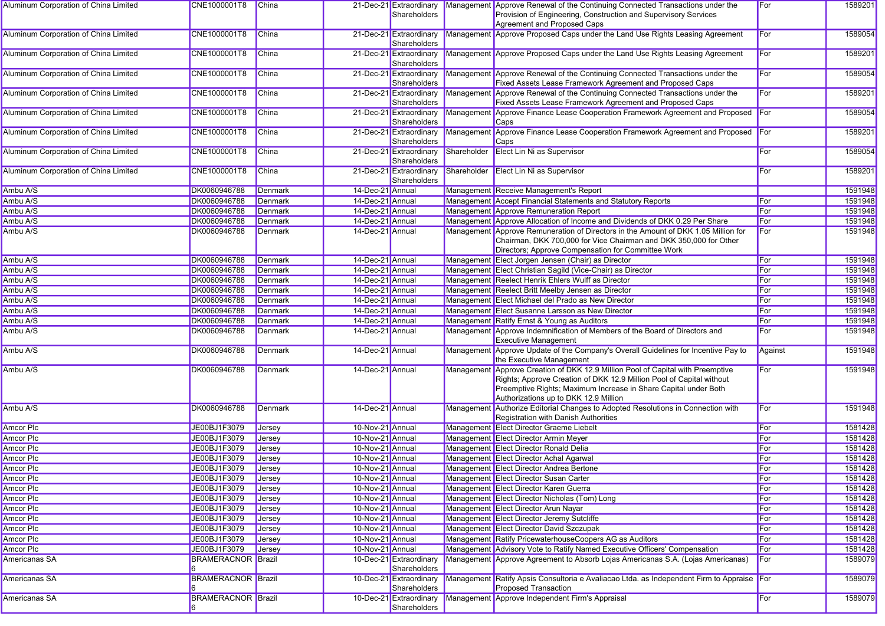| Aluminum Corporation of China Limited | CNE1000001T8                     | <b>China</b>   |                  | 21-Dec-21 Extraordinary<br>Shareholders |             | Management Approve Renewal of the Continuing Connected Transactions under the<br>Provision of Engineering, Construction and Supervisory Services<br>Agreement and Proposed Caps                                                                                     | For     | 1589201 |
|---------------------------------------|----------------------------------|----------------|------------------|-----------------------------------------|-------------|---------------------------------------------------------------------------------------------------------------------------------------------------------------------------------------------------------------------------------------------------------------------|---------|---------|
| Aluminum Corporation of China Limited | CNE1000001T8                     | <b>China</b>   |                  | 21-Dec-21 Extraordinary<br>Shareholders |             | Management Approve Proposed Caps under the Land Use Rights Leasing Agreement                                                                                                                                                                                        | For     | 1589054 |
| Aluminum Corporation of China Limited | CNE1000001T8                     | <b>China</b>   |                  | 21-Dec-21 Extraordinary<br>Shareholders |             | Management Approve Proposed Caps under the Land Use Rights Leasing Agreement                                                                                                                                                                                        | For     | 1589201 |
| Aluminum Corporation of China Limited | CNE1000001T8                     | <b>China</b>   |                  | 21-Dec-21 Extraordinary<br>Shareholders |             | Management Approve Renewal of the Continuing Connected Transactions under the<br>Fixed Assets Lease Framework Agreement and Proposed Caps                                                                                                                           | For     | 1589054 |
| Aluminum Corporation of China Limited | CNE1000001T8                     | China          |                  | 21-Dec-21 Extraordinary<br>Shareholders |             | Management Approve Renewal of the Continuing Connected Transactions under the<br>Fixed Assets Lease Framework Agreement and Proposed Caps                                                                                                                           | For     | 1589201 |
| Aluminum Corporation of China Limited | CNE1000001T8                     | <b>China</b>   |                  | 21-Dec-21 Extraordinary<br>Shareholders |             | Management Approve Finance Lease Cooperation Framework Agreement and Proposed<br>Caps                                                                                                                                                                               | For     | 1589054 |
| Aluminum Corporation of China Limited | CNE1000001T8                     | China          |                  | 21-Dec-21 Extraordinary<br>Shareholders |             | Management Approve Finance Lease Cooperation Framework Agreement and Proposed For<br>Caps                                                                                                                                                                           |         | 1589201 |
| Aluminum Corporation of China Limited | CNE1000001T8                     | <b>China</b>   |                  | 21-Dec-21 Extraordinary<br>Shareholders | Shareholder | Elect Lin Ni as Supervisor                                                                                                                                                                                                                                          | For     | 1589054 |
| Aluminum Corporation of China Limited | CNE1000001T8                     | <b>China</b>   |                  | 21-Dec-21 Extraordinary<br>Shareholders | Shareholder | <b>Elect Lin Ni as Supervisor</b>                                                                                                                                                                                                                                   | For     | 1589201 |
| Ambu A/S                              | DK0060946788                     | <b>Denmark</b> | 14-Dec-21 Annual |                                         |             | Management Receive Management's Report                                                                                                                                                                                                                              |         | 1591948 |
| Ambu A/S                              | DK0060946788                     | <b>Denmark</b> | 14-Dec-21 Annual |                                         |             | Management Accept Financial Statements and Statutory Reports                                                                                                                                                                                                        | For     | 1591948 |
| Ambu A/S                              | DK0060946788                     | Denmark        | 14-Dec-21 Annual |                                         |             | Management Approve Remuneration Report                                                                                                                                                                                                                              | For     | 1591948 |
| Ambu A/S                              | DK0060946788                     | Denmark        | 14-Dec-21 Annual |                                         |             | Management Approve Allocation of Income and Dividends of DKK 0.29 Per Share                                                                                                                                                                                         | For     | 1591948 |
| Ambu A/S                              | DK0060946788                     | <b>Denmark</b> | 14-Dec-21 Annual |                                         |             | Management Approve Remuneration of Directors in the Amount of DKK 1.05 Million for<br>Chairman, DKK 700,000 for Vice Chairman and DKK 350,000 for Other<br>Directors; Approve Compensation for Committee Work                                                       | For     | 1591948 |
| Ambu A/S                              | DK0060946788                     | <b>Denmark</b> | 14-Dec-21 Annual |                                         |             | Management Elect Jorgen Jensen (Chair) as Director                                                                                                                                                                                                                  | For     | 1591948 |
| Ambu A/S                              | DK0060946788                     | <b>Denmark</b> | 14-Dec-21 Annual |                                         |             | Management Elect Christian Sagild (Vice-Chair) as Director                                                                                                                                                                                                          | For     | 1591948 |
| Ambu A/S                              | DK0060946788                     | Denmark        | 14-Dec-21 Annual |                                         |             | Management Reelect Henrik Ehlers Wulff as Director                                                                                                                                                                                                                  | For     | 1591948 |
| Ambu A/S                              | DK0060946788                     | Denmark        | 14-Dec-21 Annual |                                         |             | Management Reelect Britt Meelby Jensen as Director                                                                                                                                                                                                                  | For     | 1591948 |
| Ambu A/S                              | DK0060946788                     | Denmark        | 14-Dec-21 Annual |                                         |             | Management Elect Michael del Prado as New Director                                                                                                                                                                                                                  | For     | 1591948 |
| Ambu A/S                              | DK0060946788                     | Denmark        | 14-Dec-21 Annual |                                         |             | Management Elect Susanne Larsson as New Director                                                                                                                                                                                                                    | For     | 1591948 |
| Ambu A/S                              | DK0060946788                     | Denmark        | 14-Dec-21 Annual |                                         |             | Management Ratify Ernst & Young as Auditors                                                                                                                                                                                                                         | For     | 1591948 |
| Ambu A/S                              | DK0060946788                     | Denmark        | 14-Dec-21 Annual |                                         |             | Management Approve Indemnification of Members of the Board of Directors and<br><b>Executive Management</b>                                                                                                                                                          | For     | 1591948 |
| Ambu A/S                              | DK0060946788                     | <b>Denmark</b> | 14-Dec-21 Annual |                                         |             | Management Approve Update of the Company's Overall Guidelines for Incentive Pay to<br>the Executive Management                                                                                                                                                      | Against | 1591948 |
| Ambu A/S                              | DK0060946788                     | Denmark        | 14-Dec-21 Annual |                                         |             | Management Approve Creation of DKK 12.9 Million Pool of Capital with Preemptive<br>Rights; Approve Creation of DKK 12.9 Million Pool of Capital without<br>Preemptive Rights; Maximum Increase in Share Capital under Both<br>Authorizations up to DKK 12.9 Million | For     | 1591948 |
| Ambu A/S                              | DK0060946788                     | <b>Denmark</b> | 14-Dec-21 Annual |                                         | Managemen   | It Authorize Editorial Changes to Adopted Resolutions in Connection with<br>Registration with Danish Authorities                                                                                                                                                    | For     | 1591948 |
| <b>Amcor Plc</b>                      | JE00BJ1F3079                     | Jersey         | 10-Nov-21 Annual |                                         |             | Management Elect Director Graeme Liebelt                                                                                                                                                                                                                            | For     | 1581428 |
| <b>Amcor Plc</b>                      | JE00BJ1F3079                     | Jersey         | 10-Nov-21 Annual |                                         |             | Management Elect Director Armin Meyer                                                                                                                                                                                                                               | For     | 1581428 |
| <b>Amcor Plc</b>                      | JE00BJ1F3079                     | Jersey         | 10-Nov-21 Annual |                                         |             | Management Elect Director Ronald Delia                                                                                                                                                                                                                              | For     | 1581428 |
| <b>Amcor Plc</b>                      | JE00BJ1F3079                     | Jersey         | 10-Nov-21 Annual |                                         |             | Management Elect Director Achal Agarwal                                                                                                                                                                                                                             | For     | 1581428 |
| Amcor Plc                             | JE00BJ1F3079                     | <b>Jersey</b>  | 10-Nov-21 Annual |                                         |             | Management Elect Director Andrea Bertone                                                                                                                                                                                                                            | For     | 1581428 |
| Amcor Plc                             | JE00BJ1F3079                     | <b>Jersey</b>  | 10-Nov-21 Annual |                                         |             | Management Elect Director Susan Carter                                                                                                                                                                                                                              | For     | 1581428 |
| Amcor Plc                             | JE00BJ1F3079                     | Jersey         | 10-Nov-21 Annual |                                         |             | Management Elect Director Karen Guerra                                                                                                                                                                                                                              | For     | 1581428 |
| Amcor Plc                             | JE00BJ1F3079                     | Jersey         | 10-Nov-21 Annual |                                         |             | Management Elect Director Nicholas (Tom) Long                                                                                                                                                                                                                       | For     | 1581428 |
| <b>Amcor Plc</b>                      | JE00BJ1F3079                     | <b>Jersey</b>  | 10-Nov-21 Annual |                                         |             | Management Elect Director Arun Nayar                                                                                                                                                                                                                                | For     | 1581428 |
| <b>Amcor Plc</b>                      | JE00BJ1F3079                     | Jersey         | 10-Nov-21 Annual |                                         |             | Management Elect Director Jeremy Sutcliffe                                                                                                                                                                                                                          | For     | 1581428 |
| <b>Amcor Plc</b>                      | JE00BJ1F3079                     | Jersey         | 10-Nov-21 Annual |                                         |             | Management Elect Director David Szczupak                                                                                                                                                                                                                            | For     | 1581428 |
| Amcor Plc                             | JE00BJ1F3079                     | Jersey         | 10-Nov-21 Annual |                                         |             | Management Ratify PricewaterhouseCoopers AG as Auditors                                                                                                                                                                                                             | For     | 1581428 |
| <b>Amcor Plc</b>                      | JE00BJ1F3079                     | Jersey         | 10-Nov-21 Annual |                                         |             | Management Advisory Vote to Ratify Named Executive Officers' Compensation                                                                                                                                                                                           | For     | 1581428 |
| Americanas SA                         | <b>BRAMERACNOR Brazil</b>        |                |                  | 10-Dec-21 Extraordinary<br>Shareholders |             | Management Approve Agreement to Absorb Lojas Americanas S.A. (Lojas Americanas)                                                                                                                                                                                     | For     | 1589079 |
| Americanas SA                         | <b>BRAMERACNOR</b> Brazil        |                |                  | 10-Dec-21 Extraordinary<br>Shareholders |             | Management Ratify Apsis Consultoria e Avaliacao Ltda. as Independent Firm to Appraise For<br><b>Proposed Transaction</b>                                                                                                                                            |         | 1589079 |
| Americanas SA                         | <b>BRAMERACNOR Brazil</b><br>16. |                |                  | 10-Dec-21 Extraordinary<br>Shareholders |             | Management Approve Independent Firm's Appraisal                                                                                                                                                                                                                     | For     | 1589079 |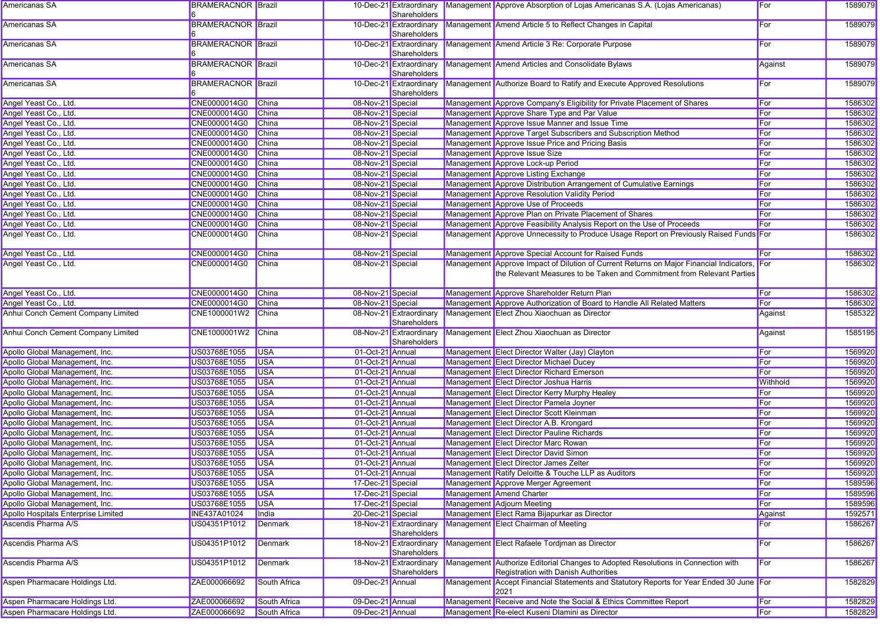| Americanas SA                       | <b>BRAMERACNOR Brazil</b> |                     |                   | Shareholders                            | 10-Dec-21 Extraordinary Management Approve Absorption of Lojas Americanas S.A. (Lojas Americanas)                                                                 | For      | 1589079 |
|-------------------------------------|---------------------------|---------------------|-------------------|-----------------------------------------|-------------------------------------------------------------------------------------------------------------------------------------------------------------------|----------|---------|
| Americanas SA                       | <b>BRAMERACNOR Brazil</b> |                     |                   | 10-Dec-21 Extraordinary                 | Management Amend Article 5 to Reflect Changes in Capital                                                                                                          | For      | 1589079 |
|                                     |                           |                     |                   | Shareholders                            |                                                                                                                                                                   |          |         |
| Americanas SA                       | <b>BRAMERACNOR</b> Brazil |                     |                   | 10-Dec-21 Extraordinary<br>Shareholders | Management Amend Article 3 Re: Corporate Purpose                                                                                                                  | For      | 1589079 |
| Americanas SA                       | <b>BRAMERACNOR Brazil</b> |                     |                   | 10-Dec-21 Extraordinary<br>Shareholders | Management Amend Articles and Consolidate Bylaws                                                                                                                  | Against  | 1589079 |
| Americanas SA                       | <b>BRAMERACNOR</b> Brazil |                     |                   | 10-Dec-21 Extraordinary<br>Shareholders | Management Authorize Board to Ratify and Execute Approved Resolutions                                                                                             | For      | 1589079 |
| Angel Yeast Co., Ltd.               | CNE0000014G0              | China               | 08-Nov-21 Special |                                         | Management Approve Company's Eligibility for Private Placement of Shares                                                                                          | For      | 1586302 |
| Angel Yeast Co., Ltd.               | CNE0000014G0              | <b>China</b>        | 08-Nov-21 Special |                                         | Management Approve Share Type and Par Value                                                                                                                       | For      | 1586302 |
| Angel Yeast Co., Ltd.               | CNE0000014G0              | China               | 08-Nov-21 Special |                                         | Management Approve Issue Manner and Issue Time                                                                                                                    | For      | 1586302 |
| Angel Yeast Co., Ltd.               | CNE0000014G0              | <b>China</b>        | 08-Nov-21 Special |                                         | Management Approve Target Subscribers and Subscription Method                                                                                                     | For      | 1586302 |
| Angel Yeast Co., Ltd.               | CNE0000014G0              | China               | 08-Nov-21 Special |                                         | Management Approve Issue Price and Pricing Basis                                                                                                                  | For      | 1586302 |
| Angel Yeast Co., Ltd.               | CNE0000014G0              | China               | 08-Nov-21 Special |                                         | Management Approve Issue Size                                                                                                                                     | For      | 1586302 |
| Angel Yeast Co., Ltd.               | CNE0000014G0              | <b>China</b>        | 08-Nov-21 Special |                                         | Management Approve Lock-up Period                                                                                                                                 | For      | 1586302 |
| Angel Yeast Co., Ltd.               | CNE0000014G0              | <b>China</b>        | 08-Nov-21 Special |                                         | Management Approve Listing Exchange                                                                                                                               | For      | 1586302 |
| Angel Yeast Co., Ltd.               | CNE0000014G0              | <b>China</b>        | 08-Nov-21 Special |                                         | Management Approve Distribution Arrangement of Cumulative Earnings                                                                                                | For      | 1586302 |
| Angel Yeast Co., Ltd.               | CNE0000014G0              | <b>China</b>        | 08-Nov-21 Special |                                         | Management Approve Resolution Validity Period                                                                                                                     | For      | 1586302 |
| Angel Yeast Co., Ltd.               | CNE0000014G0              | China               | 08-Nov-21 Special |                                         | Management Approve Use of Proceeds                                                                                                                                | For      | 1586302 |
| Angel Yeast Co., Ltd.               | CNE0000014G0              | <b>China</b>        | 08-Nov-21 Special |                                         | Management Approve Plan on Private Placement of Shares                                                                                                            | For      | 1586302 |
| Angel Yeast Co., Ltd.               | CNE0000014G0              | <b>China</b>        | 08-Nov-21 Special |                                         | Management Approve Feasibility Analysis Report on the Use of Proceeds                                                                                             | For      | 1586302 |
| Angel Yeast Co., Ltd.               | CNE0000014G0              | <b>China</b>        | 08-Nov-21 Special |                                         | Management Approve Unnecessity to Produce Usage Report on Previously Raised Funds For                                                                             |          | 1586302 |
| Angel Yeast Co., Ltd.               | CNE0000014G0              | China               | 08-Nov-21 Special |                                         | Management Approve Special Account for Raised Funds                                                                                                               | For      | 1586302 |
| Angel Yeast Co., Ltd.               | CNE0000014G0              | China               | 08-Nov-21 Special |                                         | Management Approve Impact of Dilution of Current Returns on Major Financial Indicators,<br>the Relevant Measures to be Taken and Commitment from Relevant Parties | For      | 1586302 |
| Angel Yeast Co., Ltd.               | CNE0000014G0              | China               | 08-Nov-21 Special |                                         | Management Approve Shareholder Return Plan                                                                                                                        | For      | 1586302 |
| Angel Yeast Co., Ltd.               | CNE0000014G0              | <b>China</b>        | 08-Nov-21 Special |                                         | Management Approve Authorization of Board to Handle All Related Matters                                                                                           | For      | 1586302 |
| Anhui Conch Cement Company Limited  | CNE1000001W2              | China               |                   | 08-Nov-21 Extraordinary<br>Shareholders | Management Elect Zhou Xiaochuan as Director                                                                                                                       | Against  | 1585322 |
| Anhui Conch Cement Company Limited  | CNE1000001W2              | China               |                   | 08-Nov-21 Extraordinary<br>Shareholders | Management Elect Zhou Xiaochuan as Director                                                                                                                       | Against  | 1585195 |
| Apollo Global Management, Inc.      | US03768E1055              | <b>USA</b>          | 01-Oct-21 Annual  |                                         | Management Elect Director Walter (Jay) Clayton                                                                                                                    | For      | 1569920 |
| Apollo Global Management, Inc.      | US03768E1055              | <b>USA</b>          | 01-Oct-21 Annual  |                                         | Management Elect Director Michael Ducey                                                                                                                           | For      | 1569920 |
| Apollo Global Management, Inc.      | US03768E1055              | <b>USA</b>          | 01-Oct-21 Annual  |                                         | Management Elect Director Richard Emerson                                                                                                                         | For      | 1569920 |
| Apollo Global Management, Inc.      | US03768E1055              | <b>USA</b>          | 01-Oct-21 Annual  |                                         | Management Elect Director Joshua Harris                                                                                                                           | Withhold | 1569920 |
| Apollo Global Management, Inc.      | US03768E1055              | <b>USA</b>          | 01-Oct-21 Annual  |                                         | Management Elect Director Kerry Murphy Healey                                                                                                                     | For      | 1569920 |
| Apollo Global Management, Inc.      | US03768E1055              | <b>USA</b>          | 01-Oct-21 Annual  |                                         | Management Elect Director Pamela Joyner                                                                                                                           | For      | 1569920 |
| Apollo Global Management, Inc.      | US03768E1055              | <b>USA</b>          | 01-Oct-21 Annual  |                                         | Management Elect Director Scott Kleinman                                                                                                                          | For      | 1569920 |
| Apollo Global Management, Inc.      | US03768E1055              | <b>USA</b>          | 01-Oct-21 Annual  |                                         | Management Elect Director A.B. Krongard                                                                                                                           | For      | 1569920 |
| Apollo Global Management, Inc.      | US03768E1055              | <b>USA</b>          | 01-Oct-21 Annual  |                                         | Management Elect Director Pauline Richards                                                                                                                        | For      | 1569920 |
| Apollo Global Management, Inc.      | US03768E1055              | <b>USA</b>          | 01-Oct-21 Annual  |                                         | Management Elect Director Marc Rowan                                                                                                                              | For      | 1569920 |
| Apollo Global Management, Inc.      | US03768E1055              | <b>USA</b>          | 01-Oct-21 Annual  |                                         | Management Elect Director David Simon                                                                                                                             | For      | 1569920 |
| Apollo Global Management, Inc.      | US03768E1055              | <b>USA</b>          | 01-Oct-21 Annual  |                                         | Management Elect Director James Zelter                                                                                                                            | For      | 1569920 |
| Apollo Global Management, Inc.      | US03768E1055 USA          |                     | 01-Oct-21 Annual  |                                         | Management Ratify Deloitte & Touche LLP as Auditors                                                                                                               | For      | 1569920 |
| Apollo Global Management, Inc.      | US03768E1055              | <b>USA</b>          | 17-Dec-21 Special |                                         | Management Approve Merger Agreement                                                                                                                               | For      | 1589596 |
| Apollo Global Management, Inc.      | US03768E1055              | <b>USA</b>          | 17-Dec-21 Special |                                         | Management Amend Charter                                                                                                                                          | For      | 1589596 |
| Apollo Global Management, Inc.      | US03768E1055              | <b>USA</b>          | 17-Dec-21 Special |                                         | Management Adjourn Meeting                                                                                                                                        | For      | 1589596 |
| Apollo Hospitals Enterprise Limited | INE437A01024              | India               | 20-Dec-21 Special |                                         | Management Elect Rama Bijapurkar as Director                                                                                                                      | Against  | 1592571 |
| Ascendis Pharma A/S                 | US04351P1012              | Denmark             |                   | 18-Nov-21 Extraordinary<br>Shareholders | Management Elect Chairman of Meeting                                                                                                                              | For      | 1586267 |
| Ascendis Pharma A/S                 | US04351P1012              | Denmark             |                   | 18-Nov-21 Extraordinary<br>Shareholders | Management Elect Rafaele Tordiman as Director                                                                                                                     | For      | 1586267 |
| Ascendis Pharma A/S                 | US04351P1012              | Denmark             |                   | 18-Nov-21 Extraordinary<br>Shareholders | Management Authorize Editorial Changes to Adopted Resolutions in Connection with<br>Registration with Danish Authorities                                          | For      | 1586267 |
| Aspen Pharmacare Holdings Ltd.      | ZAE000066692              | <b>South Africa</b> | 09-Dec-21 Annual  |                                         | Management Accept Financial Statements and Statutory Reports for Year Ended 30 June For<br>2021                                                                   |          | 1582829 |
| Aspen Pharmacare Holdings Ltd.      | ZAE000066692              | South Africa        | 09-Dec-21 Annual  |                                         | Management Receive and Note the Social & Ethics Committee Report                                                                                                  | For      | 1582829 |
| Aspen Pharmacare Holdings Ltd.      | ZAE000066692              | South Africa        | 09-Dec-21 Annual  |                                         | Management Re-elect Kuseni Dlamini as Director                                                                                                                    | For      | 1582829 |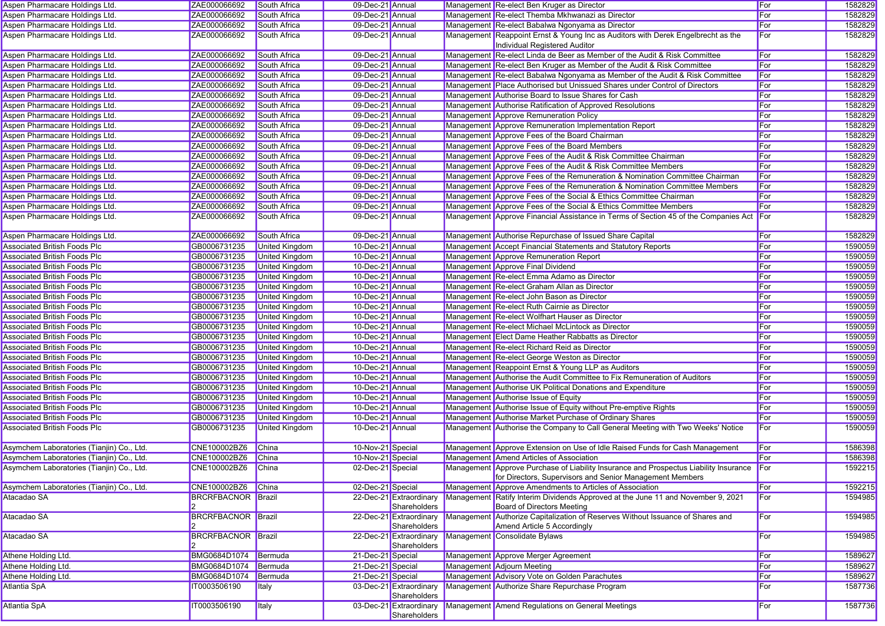| Aspen Pharmacare Holdings Ltd.             | ZAE000066692                 | South Africa          | 09-Dec-21 Annual  |                                         | Management Re-elect Ben Kruger as Director                                                                                                            | For | 1582829 |
|--------------------------------------------|------------------------------|-----------------------|-------------------|-----------------------------------------|-------------------------------------------------------------------------------------------------------------------------------------------------------|-----|---------|
| Aspen Pharmacare Holdings Ltd.             | ZAE000066692                 | South Africa          | 09-Dec-21 Annual  |                                         | Management Re-elect Themba Mkhwanazi as Director                                                                                                      | For | 1582829 |
| Aspen Pharmacare Holdings Ltd.             | ZAE000066692                 | South Africa          | 09-Dec-21 Annual  |                                         | Management Re-elect Babalwa Ngonyama as Director                                                                                                      | For | 1582829 |
| Aspen Pharmacare Holdings Ltd.             | ZAE000066692                 | <b>South Africa</b>   | 09-Dec-21 Annual  |                                         | Management Reappoint Ernst & Young Inc as Auditors with Derek Engelbrecht as the<br>Individual Registered Auditor                                     | For | 1582829 |
| Aspen Pharmacare Holdings Ltd.             | ZAE000066692                 | South Africa          | 09-Dec-21 Annual  |                                         | Management Re-elect Linda de Beer as Member of the Audit & Risk Committee                                                                             | For | 1582829 |
| Aspen Pharmacare Holdings Ltd.             | ZAE000066692                 | South Africa          | 09-Dec-21 Annual  |                                         | Management Re-elect Ben Kruger as Member of the Audit & Risk Committee                                                                                | For | 1582829 |
| Aspen Pharmacare Holdings Ltd.             | ZAE000066692                 | South Africa          | 09-Dec-21 Annual  |                                         | Management Re-elect Babalwa Ngonyama as Member of the Audit & Risk Committee                                                                          | For | 1582829 |
| Aspen Pharmacare Holdings Ltd.             | ZAE000066692                 | South Africa          | 09-Dec-21 Annual  |                                         | Management Place Authorised but Unissued Shares under Control of Directors                                                                            | For | 1582829 |
| Aspen Pharmacare Holdings Ltd.             | ZAE000066692                 | South Africa          | 09-Dec-21 Annual  |                                         | Management Authorise Board to Issue Shares for Cash                                                                                                   | For | 1582829 |
| Aspen Pharmacare Holdings Ltd.             | ZAE000066692                 | South Africa          | 09-Dec-21 Annual  |                                         | Management Authorise Ratification of Approved Resolutions                                                                                             | For | 1582829 |
| Aspen Pharmacare Holdings Ltd.             | ZAE000066692                 | <b>South Africa</b>   | 09-Dec-21 Annual  |                                         | Management Approve Remuneration Policy                                                                                                                | For | 1582829 |
| Aspen Pharmacare Holdings Ltd.             | ZAE000066692                 | South Africa          | 09-Dec-21 Annual  |                                         | Management Approve Remuneration Implementation Report                                                                                                 | For | 1582829 |
| Aspen Pharmacare Holdings Ltd.             | ZAE000066692                 | South Africa          | 09-Dec-21 Annual  |                                         | Management Approve Fees of the Board Chairman                                                                                                         | For | 1582829 |
| Aspen Pharmacare Holdings Ltd.             | ZAE000066692                 | South Africa          | 09-Dec-21 Annual  |                                         | Management Approve Fees of the Board Members                                                                                                          | For | 1582829 |
| Aspen Pharmacare Holdings Ltd.             | ZAE000066692                 | South Africa          | 09-Dec-21 Annual  |                                         | Management Approve Fees of the Audit & Risk Committee Chairman                                                                                        | For | 1582829 |
| Aspen Pharmacare Holdings Ltd.             | ZAE000066692                 | South Africa          | 09-Dec-21 Annual  |                                         | Management Approve Fees of the Audit & Risk Committee Members                                                                                         | For | 1582829 |
| Aspen Pharmacare Holdings Ltd.             | ZAE000066692                 | South Africa          | 09-Dec-21 Annual  |                                         | Management Approve Fees of the Remuneration & Nomination Committee Chairman                                                                           | For | 1582829 |
| Aspen Pharmacare Holdings Ltd.             | ZAE000066692                 | South Africa          | 09-Dec-21 Annual  |                                         | Management Approve Fees of the Remuneration & Nomination Committee Members                                                                            | For | 1582829 |
| Aspen Pharmacare Holdings Ltd.             | ZAE000066692                 | South Africa          | 09-Dec-21 Annual  |                                         | Management Approve Fees of the Social & Ethics Committee Chairman                                                                                     | For | 1582829 |
| Aspen Pharmacare Holdings Ltd.             | ZAE000066692                 | <b>South Africa</b>   | 09-Dec-21 Annual  |                                         | Management Approve Fees of the Social & Ethics Committee Members                                                                                      | For | 1582829 |
| Aspen Pharmacare Holdings Ltd.             | ZAE000066692                 | South Africa          | 09-Dec-21 Annual  |                                         | Management Approve Financial Assistance in Terms of Section 45 of the Companies Act For                                                               |     | 1582829 |
| Aspen Pharmacare Holdings Ltd.             | ZAE000066692                 | South Africa          | 09-Dec-21 Annual  |                                         | Management Authorise Repurchase of Issued Share Capital                                                                                               | For | 1582829 |
| <b>Associated British Foods Plc</b>        | GB0006731235                 | <b>United Kingdom</b> | 10-Dec-21 Annual  |                                         | Management Accept Financial Statements and Statutory Reports                                                                                          | For | 1590059 |
| <b>Associated British Foods Plc</b>        | GB0006731235                 | <b>United Kingdom</b> | 10-Dec-21 Annual  |                                         | Management Approve Remuneration Report                                                                                                                | For | 1590059 |
| <b>Associated British Foods Plc</b>        | GB0006731235                 | <b>United Kingdom</b> | 10-Dec-21 Annual  |                                         | Management Approve Final Dividend                                                                                                                     | For | 1590059 |
| Associated British Foods Plc               | GB0006731235                 | <b>United Kingdom</b> | 10-Dec-21 Annual  |                                         | Management Re-elect Emma Adamo as Director                                                                                                            | For | 1590059 |
| <b>Associated British Foods Plc</b>        | GB0006731235                 | United Kingdom        | 10-Dec-21 Annual  |                                         | Management Re-elect Graham Allan as Director                                                                                                          | For | 1590059 |
| <b>Associated British Foods Plc</b>        | GB0006731235                 | <b>United Kingdom</b> | 10-Dec-21 Annual  |                                         | Management Re-elect John Bason as Director                                                                                                            | For | 1590059 |
| <b>Associated British Foods Plc</b>        | GB0006731235                 | <b>United Kingdom</b> | 10-Dec-21 Annual  |                                         | Management Re-elect Ruth Cairnie as Director                                                                                                          | For | 1590059 |
| <b>Associated British Foods Plc</b>        | GB0006731235                 | United Kingdom        | 10-Dec-21 Annual  |                                         | Management Re-elect Wolfhart Hauser as Director                                                                                                       | For | 1590059 |
| Associated British Foods Plc               | GB0006731235                 | <b>United Kingdom</b> | 10-Dec-21 Annual  |                                         | Management Re-elect Michael McLintock as Director                                                                                                     | For | 1590059 |
| <b>Associated British Foods Plc</b>        | GB0006731235                 | <b>United Kingdom</b> | 10-Dec-21 Annual  |                                         | Management Elect Dame Heather Rabbatts as Director                                                                                                    | For | 1590059 |
| <b>Associated British Foods Plc</b>        | GB0006731235                 | <b>United Kingdom</b> | 10-Dec-21 Annual  |                                         | Management Re-elect Richard Reid as Director                                                                                                          | For | 1590059 |
| <b>Associated British Foods Plc</b>        | GB0006731235                 | <b>United Kingdom</b> | 10-Dec-21 Annual  |                                         | Management Re-elect George Weston as Director                                                                                                         | For | 1590059 |
| <b>Associated British Foods Plc</b>        | GB0006731235                 | United Kingdom        | 10-Dec-21 Annual  |                                         | Management Reappoint Ernst & Young LLP as Auditors                                                                                                    | For | 1590059 |
| <b>Associated British Foods Plc</b>        | GB0006731235                 | <b>United Kingdom</b> | 10-Dec-21 Annual  |                                         | Management Authorise the Audit Committee to Fix Remuneration of Auditors                                                                              | For | 1590059 |
| Associated British Foods Plc               | GB0006731235                 | United Kingdom        | 10-Dec-21 Annual  |                                         | Management Authorise UK Political Donations and Expenditure                                                                                           | For | 1590059 |
| <b>Associated British Foods Plc</b>        | GB0006731235                 | <b>United Kingdom</b> | 10-Dec-21 Annual  |                                         | Management Authorise Issue of Equity                                                                                                                  | For | 1590059 |
| <b>Associated British Foods Plc</b>        | GB0006731235                 | <b>United Kingdom</b> | 10-Dec-21 Annual  |                                         | Management Authorise Issue of Equity without Pre-emptive Rights                                                                                       | For | 1590059 |
| <b>Associated British Foods Plc</b>        | GB0006731235                 | United Kingdom        | 10-Dec-21 Annual  |                                         | Management Authorise Market Purchase of Ordinary Shares                                                                                               | For | 1590059 |
| <b>Associated British Foods Plc</b>        | GB0006731235                 | United Kingdom        | 10-Dec-21 Annual  |                                         | Management Authorise the Company to Call General Meeting with Two Weeks' Notice                                                                       | For | 1590059 |
| Asymchem Laboratories (Tianjin) Co., Ltd.  | CNE100002BZ6                 | China                 | 10-Nov-21 Special |                                         | Management Approve Extension on Use of Idle Raised Funds for Cash Management                                                                          | For | 1586398 |
| Asymchem Laboratories (Tianjin) Co., Ltd.  | CNE100002BZ6                 | China                 | 10-Nov-21 Special |                                         | Management Amend Articles of Association                                                                                                              | For | 1586398 |
| Asymchem Laboratories (Tianjin) Co., Ltd.  | CNE100002BZ6                 | <b>China</b>          | 02-Dec-21 Special |                                         | Management Approve Purchase of Liability Insurance and Prospectus Liability Insurance For<br>for Directors, Supervisors and Senior Management Members |     | 1592215 |
| Asymchem Laboratories (Tianjin) Co., Ltd.  | CNE100002BZ6                 | China                 | 02-Dec-21 Special |                                         | Management Approve Amendments to Articles of Association                                                                                              | For | 1592215 |
| Atacadao SA                                | <b>BRCRFBACNOR Brazil</b>    |                       |                   | 22-Dec-21 Extraordinary                 | Management Ratify Interim Dividends Approved at the June 11 and November 9, 2021                                                                      | For | 1594985 |
|                                            |                              |                       |                   | Shareholders                            | Board of Directors Meeting                                                                                                                            |     |         |
| Atacadao SA                                | <b>BRCRFBACNOR Brazil</b>    |                       |                   | 22-Dec-21 Extraordinary<br>Shareholders | Management Authorize Capitalization of Reserves Without Issuance of Shares and<br>Amend Article 5 Accordingly                                         | For | 1594985 |
| Atacadao SA                                | <b>BRCRFBACNOR Brazil</b>    |                       |                   |                                         | 22-Dec-21 Extraordinary Management Consolidate Bylaws                                                                                                 | For | 1594985 |
|                                            |                              |                       |                   | Shareholders                            |                                                                                                                                                       |     |         |
| Athene Holding Ltd.<br>Athene Holding Ltd. | BMG0684D1074<br>BMG0684D1074 | Bermuda               | 21-Dec-21 Special |                                         | Management Approve Merger Agreement                                                                                                                   | For | 1589627 |
|                                            |                              | Bermuda               | 21-Dec-21 Special |                                         | Management Adjourn Meeting<br>Management Advisory Vote on Golden Parachutes                                                                           | For | 1589627 |
| Athene Holding Ltd.<br><b>Atlantia SpA</b> | BMG0684D1074                 | Bermuda               | 21-Dec-21 Special | 03-Dec-21 Extraordinary                 |                                                                                                                                                       | For | 1589627 |
|                                            | IT0003506190                 | <b>Italy</b>          |                   | Shareholders                            | Management Authorize Share Repurchase Program                                                                                                         | For | 1587736 |
| Atlantia SpA                               | IT0003506190                 | Italy                 |                   | Shareholders                            | 03-Dec-21 Extraordinary Management Amend Regulations on General Meetings                                                                              | For | 1587736 |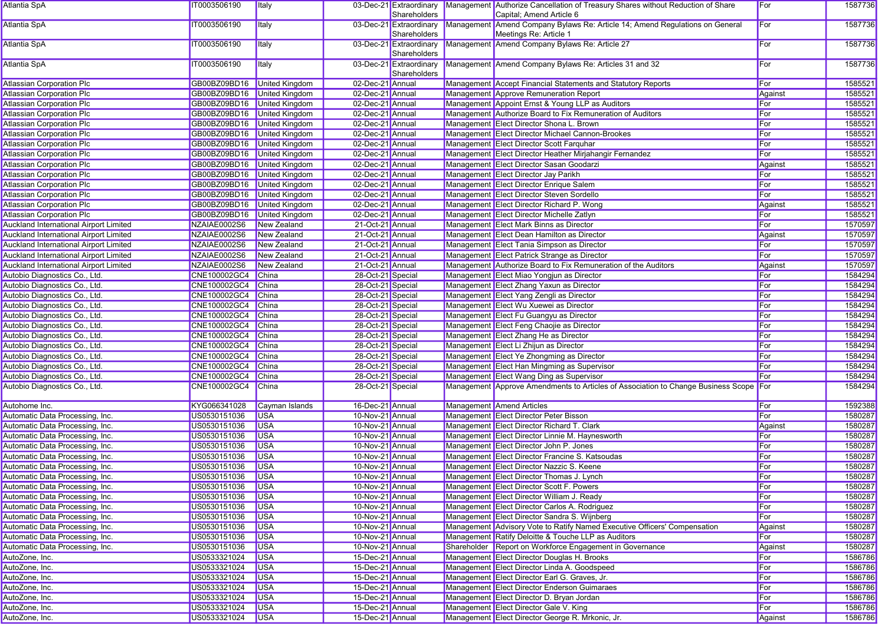| Atlantia SpA                                  | IT0003506190                | <b>Italy</b>          |                   | Shareholders                            | 03-Dec-21 Extraordinary Management Authorize Cancellation of Treasury Shares without Reduction of Share<br>Capital; Amend Article 6 | For     | 1587736 |
|-----------------------------------------------|-----------------------------|-----------------------|-------------------|-----------------------------------------|-------------------------------------------------------------------------------------------------------------------------------------|---------|---------|
| Atlantia SpA                                  | IT0003506190                | Italy                 |                   | 03-Dec-21 Extraordinary<br>Shareholders | Management Amend Company Bylaws Re: Article 14; Amend Regulations on General<br>Meetings Re: Article 1                              | For     | 1587736 |
| Atlantia SpA                                  | IT0003506190                | <b>Italy</b>          |                   | Shareholders                            | 03-Dec-21 Extraordinary Management Amend Company Bylaws Re: Article 27                                                              | For     | 1587736 |
| <b>Atlantia SpA</b>                           | IT0003506190                | <b>Italy</b>          |                   | Shareholders                            | 03-Dec-21 Extraordinary Management Amend Company Bylaws Re: Articles 31 and 32                                                      | For     | 1587736 |
| <b>Atlassian Corporation Plc</b>              | GB00BZ09BD16                | <b>United Kingdom</b> | 02-Dec-21 Annual  |                                         | Management Accept Financial Statements and Statutory Reports                                                                        | For     | 1585521 |
| <b>Atlassian Corporation Plc</b>              | GB00BZ09BD16 United Kingdom |                       | 02-Dec-21 Annual  |                                         | Management Approve Remuneration Report                                                                                              | Against | 1585521 |
| <b>Atlassian Corporation Plc</b>              | GB00BZ09BD16 United Kingdom |                       | 02-Dec-21 Annual  |                                         | Management Appoint Ernst & Young LLP as Auditors                                                                                    | For     | 1585521 |
| <b>Atlassian Corporation Plc</b>              | GB00BZ09BD16 United Kingdom |                       | 02-Dec-21 Annual  |                                         | Management Authorize Board to Fix Remuneration of Auditors                                                                          | For     | 1585521 |
| <b>Atlassian Corporation Plc</b>              | GB00BZ09BD16 United Kingdom |                       | 02-Dec-21 Annual  |                                         | Management Elect Director Shona L. Brown                                                                                            | For     | 1585521 |
| <b>Atlassian Corporation Plc</b>              | GB00BZ09BD16                | <b>United Kingdom</b> | 02-Dec-21 Annual  |                                         | Management Elect Director Michael Cannon-Brookes                                                                                    | For     | 1585521 |
| <b>Atlassian Corporation Plc</b>              | GB00BZ09BD16                | <b>United Kingdom</b> | 02-Dec-21 Annual  |                                         | Management Elect Director Scott Farquhar                                                                                            | For     | 1585521 |
| <b>Atlassian Corporation Plc</b>              | GB00BZ09BD16 United Kingdom |                       | 02-Dec-21 Annual  |                                         | Management Elect Director Heather Mirjahangir Fernandez                                                                             | For     | 1585521 |
| <b>Atlassian Corporation Plc</b>              | GB00BZ09BD16                | United Kingdom        | 02-Dec-21 Annual  |                                         | Management Elect Director Sasan Goodarzi                                                                                            | Against | 1585521 |
| <b>Atlassian Corporation Plc</b>              | GB00BZ09BD16 United Kingdom |                       | 02-Dec-21 Annual  |                                         | Management Elect Director Jay Parikh                                                                                                | For     | 1585521 |
| <b>Atlassian Corporation Plc</b>              | GB00BZ09BD16                | <b>United Kingdom</b> | 02-Dec-21 Annual  |                                         | Management Elect Director Enrique Salem                                                                                             | For     | 1585521 |
| <b>Atlassian Corporation Plc</b>              | GB00BZ09BD16                | <b>United Kingdom</b> | 02-Dec-21 Annual  |                                         | Management Elect Director Steven Sordello                                                                                           | For     | 1585521 |
| <b>Atlassian Corporation Plc</b>              | GB00BZ09BD16                | <b>United Kingdom</b> | 02-Dec-21 Annual  |                                         | Management Elect Director Richard P. Wong                                                                                           | Against | 1585521 |
| <b>Atlassian Corporation Plc</b>              | GB00BZ09BD16                | <b>United Kingdom</b> | 02-Dec-21 Annual  |                                         | Management Elect Director Michelle Zatlyn                                                                                           | For     | 1585521 |
| <b>Auckland International Airport Limited</b> | NZAIAE0002S6                | New Zealand           | 21-Oct-21 Annual  |                                         | Management Elect Mark Binns as Director                                                                                             | For     | 1570597 |
| <b>Auckland International Airport Limited</b> | NZAIAE0002S6                | New Zealand           | 21-Oct-21 Annual  |                                         | Management Elect Dean Hamilton as Director                                                                                          | Against | 1570597 |
| Auckland International Airport Limited        | NZAIAE0002S6                | New Zealand           | 21-Oct-21 Annual  |                                         | Management Elect Tania Simpson as Director                                                                                          | For     | 1570597 |
| <b>Auckland International Airport Limited</b> | NZAIAE0002S6                | New Zealand           | 21-Oct-21 Annual  |                                         | Management Elect Patrick Strange as Director                                                                                        | For     | 1570597 |
| Auckland International Airport Limited        | NZAIAE0002S6                | New Zealand           | 21-Oct-21 Annual  |                                         | Management Authorize Board to Fix Remuneration of the Auditors                                                                      | Against | 1570597 |
| Autobio Diagnostics Co., Ltd.                 | CNE100002GC4                | China                 | 28-Oct-21 Special |                                         | Management Elect Miao Yongjun as Director                                                                                           | For     | 1584294 |
| Autobio Diagnostics Co., Ltd.                 | CNE100002GC4                | China                 | 28-Oct-21 Special |                                         | Management Elect Zhang Yaxun as Director                                                                                            | For     | 1584294 |
| Autobio Diagnostics Co., Ltd.                 | CNE100002GC4                | China                 | 28-Oct-21 Special |                                         | Management Elect Yang Zengli as Director                                                                                            | For     | 1584294 |
| Autobio Diagnostics Co., Ltd.                 | CNE100002GC4                | China                 | 28-Oct-21 Special |                                         | Management Elect Wu Xuewei as Director                                                                                              | For     | 1584294 |
| Autobio Diagnostics Co., Ltd.                 | CNE100002GC4                | China                 | 28-Oct-21 Special |                                         | Management Elect Fu Guangyu as Director                                                                                             | For     | 1584294 |
| Autobio Diagnostics Co., Ltd.                 | CNE100002GC4                | China                 | 28-Oct-21 Special |                                         | Management Elect Feng Chaojie as Director                                                                                           | For     | 1584294 |
| Autobio Diagnostics Co., Ltd.                 | CNE100002GC4                | China                 | 28-Oct-21 Special |                                         | Management Elect Zhang He as Director                                                                                               | For     | 1584294 |
| Autobio Diagnostics Co., Ltd.                 | CNE100002GC4                | China                 | 28-Oct-21 Special |                                         | Management Elect Li Zhijun as Director                                                                                              | For     | 1584294 |
| Autobio Diagnostics Co., Ltd.                 | CNE100002GC4                | China                 | 28-Oct-21 Special |                                         | Management Elect Ye Zhongming as Director                                                                                           | For     | 1584294 |
| Autobio Diagnostics Co., Ltd.                 | CNE100002GC4                | China                 | 28-Oct-21 Special |                                         | Management Elect Han Mingming as Supervisor                                                                                         | For     | 1584294 |
| Autobio Diagnostics Co., Ltd.                 | CNE100002GC4                | China                 | 28-Oct-21 Special |                                         | Management Elect Wang Ding as Supervisor                                                                                            | For     | 1584294 |
| Autobio Diagnostics Co., Ltd.                 | CNE100002GC4                | China                 | 28-Oct-21 Special |                                         | Management Approve Amendments to Articles of Association to Change Business Scope For                                               |         | 1584294 |
| Autohome Inc.                                 | KYG066341028                | Cayman Islands        | 16-Dec-21 Annual  |                                         | Management Amend Articles                                                                                                           | For     | 1592388 |
| Automatic Data Processing, Inc.               | US0530151036                | <b>USA</b>            | 10-Nov-21 Annual  |                                         | Management Elect Director Peter Bisson                                                                                              | For     | 1580287 |
| Automatic Data Processing, Inc.               | US0530151036                | <b>USA</b>            | 10-Nov-21 Annual  |                                         | Management Elect Director Richard T. Clark                                                                                          | Against | 1580287 |
| Automatic Data Processing, Inc.               | US0530151036                | <b>USA</b>            | 10-Nov-21 Annual  |                                         | Management Elect Director Linnie M. Haynesworth                                                                                     | For     | 1580287 |
| Automatic Data Processing, Inc.               | US0530151036                | <b>USA</b>            | 10-Nov-21 Annual  |                                         | Management Elect Director John P. Jones                                                                                             | For     | 1580287 |
| Automatic Data Processing, Inc.               | US0530151036                | <b>USA</b>            | 10-Nov-21 Annual  |                                         | Management Elect Director Francine S. Katsoudas                                                                                     | For     | 1580287 |
| Automatic Data Processing, Inc.               | US0530151036                | <b>USA</b>            | 10-Nov-21 Annual  |                                         | Management Elect Director Nazzic S. Keene                                                                                           | For     | 1580287 |
| Automatic Data Processing, Inc.               | US0530151036                | $\overline{\bigcup}$  | 10-Nov-21 Annual  |                                         | Management Elect Director Thomas J. Lynch                                                                                           | For     | 1580287 |
| Automatic Data Processing, Inc.               | US0530151036                | <b>USA</b>            | 10-Nov-21 Annual  |                                         | Management Elect Director Scott F. Powers                                                                                           | For     | 1580287 |
| Automatic Data Processing, Inc.               | US0530151036                | <b>USA</b>            | 10-Nov-21 Annual  |                                         | Management Elect Director William J. Ready                                                                                          | For     | 1580287 |
| Automatic Data Processing, Inc.               | US0530151036                | <b>USA</b>            | 10-Nov-21 Annual  |                                         | Management Elect Director Carlos A. Rodriguez                                                                                       | For     | 1580287 |
| Automatic Data Processing, Inc.               | US0530151036                | <b>USA</b>            | 10-Nov-21 Annual  |                                         | Management Elect Director Sandra S. Wijnberg                                                                                        | For     | 1580287 |
| Automatic Data Processing, Inc.               | US0530151036                | <b>USA</b>            | 10-Nov-21 Annual  |                                         | Management Advisory Vote to Ratify Named Executive Officers' Compensation                                                           | Against | 1580287 |
| Automatic Data Processing, Inc.               | US0530151036                | <b>USA</b>            | 10-Nov-21 Annual  |                                         | Management Ratify Deloitte & Touche LLP as Auditors                                                                                 | For     | 1580287 |
| Automatic Data Processing, Inc.               | US0530151036                | <b>USA</b>            | 10-Nov-21 Annual  |                                         | Shareholder Report on Workforce Engagement in Governance                                                                            | Against | 1580287 |
| AutoZone, Inc.                                | US0533321024                | <b>USA</b>            | 15-Dec-21 Annual  |                                         | Management Elect Director Douglas H. Brooks                                                                                         | For     | 1586786 |
| AutoZone, Inc.                                | US0533321024                | <b>USA</b>            | 15-Dec-21 Annual  |                                         | Management Elect Director Linda A. Goodspeed                                                                                        | For     | 1586786 |
| AutoZone, Inc.                                | US0533321024                | <b>USA</b>            | 15-Dec-21 Annual  |                                         | Management Elect Director Earl G. Graves, Jr.                                                                                       | For     | 1586786 |
| AutoZone, Inc.                                | US0533321024                | <b>USA</b>            | 15-Dec-21 Annual  |                                         | Management Elect Director Enderson Guimaraes                                                                                        | For     | 1586786 |
| AutoZone, Inc.                                | US0533321024                | <b>USA</b>            | 15-Dec-21 Annual  |                                         | Management Elect Director D. Bryan Jordan                                                                                           | For     | 1586786 |
| AutoZone, Inc.                                | US0533321024                | <b>USA</b>            | 15-Dec-21 Annual  |                                         | Management Elect Director Gale V. King                                                                                              | For     | 1586786 |
| AutoZone, Inc.                                | US0533321024                | <b>USA</b>            | 15-Dec-21 Annual  |                                         | Management Elect Director George R. Mrkonic, Jr.                                                                                    | Against | 1586786 |
|                                               |                             |                       |                   |                                         |                                                                                                                                     |         |         |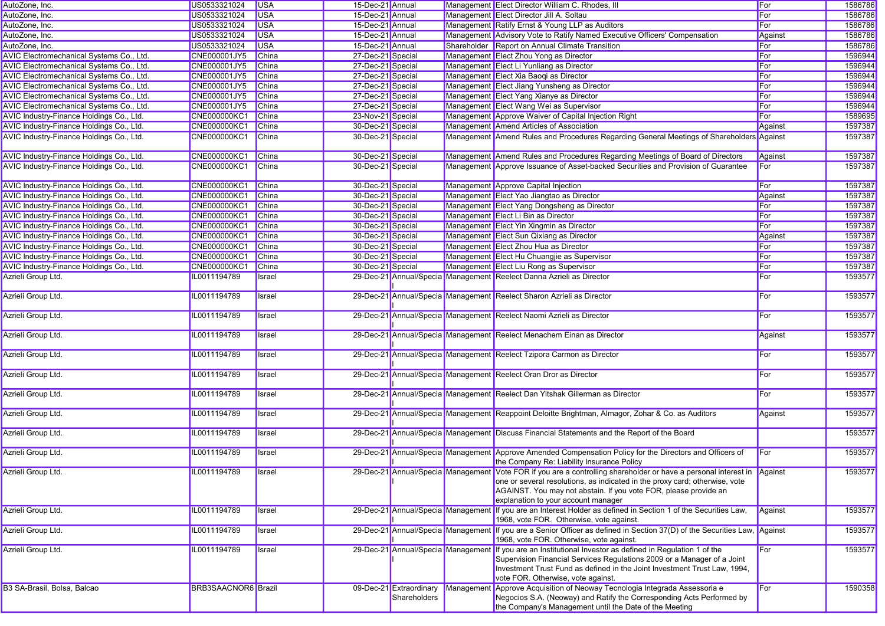| AutoZone, Inc.                           | US0533321024        | <b>USA</b>   | 15-Dec-21 Annual  |                                         |            | Management Elect Director William C. Rhodes, III                                                                                                                                                                                                                                                                  | For        | 1586786 |
|------------------------------------------|---------------------|--------------|-------------------|-----------------------------------------|------------|-------------------------------------------------------------------------------------------------------------------------------------------------------------------------------------------------------------------------------------------------------------------------------------------------------------------|------------|---------|
| AutoZone, Inc.                           | US0533321024        | <b>USA</b>   | 15-Dec-21 Annual  |                                         |            | Management Elect Director Jill A. Soltau                                                                                                                                                                                                                                                                          | For        | 1586786 |
| AutoZone, Inc.                           | US0533321024        | <b>USA</b>   | 15-Dec-21 Annual  |                                         |            | Management Ratify Ernst & Young LLP as Auditors                                                                                                                                                                                                                                                                   | For        | 1586786 |
| AutoZone, Inc.                           | US0533321024        | <b>USA</b>   | 15-Dec-21 Annual  |                                         |            | Management Advisory Vote to Ratify Named Executive Officers' Compensation                                                                                                                                                                                                                                         | Against    | 1586786 |
| AutoZone, Inc.                           | US0533321024        | <b>USA</b>   | 15-Dec-21 Annual  |                                         |            | Shareholder Report on Annual Climate Transition                                                                                                                                                                                                                                                                   | For        | 1586786 |
| AVIC Electromechanical Systems Co., Ltd. | CNE000001JY5        | China        | 27-Dec-21 Special |                                         |            | Management Elect Zhou Yong as Director                                                                                                                                                                                                                                                                            | For        | 1596944 |
| AVIC Electromechanical Systems Co., Ltd. | <b>CNE000001JY5</b> | <b>China</b> | 27-Dec-21 Special |                                         |            | Management Elect Li Yunliang as Director                                                                                                                                                                                                                                                                          | For        | 1596944 |
| AVIC Electromechanical Systems Co., Ltd. | CNE000001JY5        | China        | 27-Dec-21 Special |                                         |            | Management Elect Xia Baoqi as Director                                                                                                                                                                                                                                                                            | For        | 1596944 |
| AVIC Electromechanical Systems Co., Ltd. | <b>CNE000001JY5</b> | <b>China</b> | 27-Dec-21 Special |                                         |            | Management Elect Jiang Yunsheng as Director                                                                                                                                                                                                                                                                       | For        | 1596944 |
| AVIC Electromechanical Systems Co., Ltd. | CNE000001JY5        | China        | 27-Dec-21 Special |                                         |            | Management Elect Yang Xianye as Director                                                                                                                                                                                                                                                                          | For        | 1596944 |
| AVIC Electromechanical Systems Co., Ltd. | <b>CNE000001JY5</b> | China        | 27-Dec-21 Special |                                         |            | Management Elect Wang Wei as Supervisor                                                                                                                                                                                                                                                                           | For        | 1596944 |
| AVIC Industry-Finance Holdings Co., Ltd. | <b>CNE000000KC1</b> | <b>China</b> | 23-Nov-21 Special |                                         |            | Management Approve Waiver of Capital Injection Right                                                                                                                                                                                                                                                              | For        | 1589695 |
| AVIC Industry-Finance Holdings Co., Ltd. | <b>CNE000000KC1</b> | <b>China</b> | 30-Dec-21 Special |                                         |            | Management Amend Articles of Association                                                                                                                                                                                                                                                                          | Against    | 1597387 |
| AVIC Industry-Finance Holdings Co., Ltd. | <b>CNE000000KC1</b> | <b>China</b> | 30-Dec-21 Special |                                         |            | Management Amend Rules and Procedures Regarding General Meetings of Shareholders Against                                                                                                                                                                                                                          |            | 1597387 |
| AVIC Industry-Finance Holdings Co., Ltd. | <b>CNE000000KC1</b> | <b>China</b> | 30-Dec-21 Special |                                         |            | Management Amend Rules and Procedures Regarding Meetings of Board of Directors                                                                                                                                                                                                                                    | Against    | 1597387 |
| AVIC Industry-Finance Holdings Co., Ltd. | CNE000000KC1        | China        | 30-Dec-21 Special |                                         |            | Management Approve Issuance of Asset-backed Securities and Provision of Guarantee                                                                                                                                                                                                                                 | For        | 1597387 |
| AVIC Industry-Finance Holdings Co., Ltd. | <b>CNE000000KC1</b> | China        | 30-Dec-21 Special |                                         |            | Management Approve Capital Injection                                                                                                                                                                                                                                                                              | <b>For</b> | 1597387 |
| AVIC Industry-Finance Holdings Co., Ltd. | <b>CNE000000KC1</b> | China        | 30-Dec-21 Special |                                         |            | Management Elect Yao Jiangtao as Director                                                                                                                                                                                                                                                                         | Against    | 1597387 |
| AVIC Industry-Finance Holdings Co., Ltd. | <b>CNE000000KC1</b> | <b>China</b> | 30-Dec-21 Special |                                         |            | Management Elect Yang Dongsheng as Director                                                                                                                                                                                                                                                                       | For        | 1597387 |
| AVIC Industry-Finance Holdings Co., Ltd. | <b>CNE000000KC1</b> | China        | 30-Dec-21 Special |                                         |            | Management Elect Li Bin as Director                                                                                                                                                                                                                                                                               | For        | 1597387 |
| AVIC Industry-Finance Holdings Co., Ltd. | <b>CNE000000KC1</b> | China        | 30-Dec-21 Special |                                         |            | Management Elect Yin Xingmin as Director                                                                                                                                                                                                                                                                          | For        | 1597387 |
| AVIC Industry-Finance Holdings Co., Ltd. | <b>CNE000000KC1</b> | China        | 30-Dec-21 Special |                                         |            | Management Elect Sun Qixiang as Director                                                                                                                                                                                                                                                                          | Against    | 1597387 |
| AVIC Industry-Finance Holdings Co., Ltd. | <b>CNE000000KC1</b> | <b>China</b> | 30-Dec-21 Special |                                         |            | Management Elect Zhou Hua as Director                                                                                                                                                                                                                                                                             | For        | 1597387 |
| AVIC Industry-Finance Holdings Co., Ltd. | <b>CNE000000KC1</b> | <b>China</b> | 30-Dec-21 Special |                                         |            | Management Elect Hu Chuangjie as Supervisor                                                                                                                                                                                                                                                                       | For        | 1597387 |
| AVIC Industry-Finance Holdings Co., Ltd. | <b>CNE000000KC1</b> | <b>China</b> | 30-Dec-21 Special |                                         |            | Management Elect Liu Rong as Supervisor                                                                                                                                                                                                                                                                           | For        | 1597387 |
| Azrieli Group Ltd.                       | IL0011194789        | Israel       |                   |                                         |            | 29-Dec-21 Annual/Specia Management Reelect Danna Azrieli as Director                                                                                                                                                                                                                                              | For        | 1593577 |
| Azrieli Group Ltd.                       | IL0011194789        | Israel       |                   |                                         |            | 29-Dec-21 Annual/Specia Management Reelect Sharon Azrieli as Director                                                                                                                                                                                                                                             | For        | 1593577 |
| Azrieli Group Ltd.                       | IL0011194789        | Israel       |                   |                                         |            | 29-Dec-21 Annual/Specia Management Reelect Naomi Azrieli as Director                                                                                                                                                                                                                                              | For        | 1593577 |
| Azrieli Group Ltd.                       | IL0011194789        | Israel       |                   |                                         |            | 29-Dec-21 Annual/Specia Management Reelect Menachem Einan as Director                                                                                                                                                                                                                                             | Against    | 1593577 |
| Azrieli Group Ltd.                       | IL0011194789        | Israel       |                   |                                         |            | 29-Dec-21 Annual/Specia Management Reelect Tzipora Carmon as Director                                                                                                                                                                                                                                             | For        | 1593577 |
| Azrieli Group Ltd.                       | IL0011194789        | Israel       |                   |                                         |            | 29-Dec-21 Annual/Specia Management Reelect Oran Dror as Director                                                                                                                                                                                                                                                  | For        | 1593577 |
| Azrieli Group Ltd.                       | IL0011194789        | Israel       |                   |                                         |            | 29-Dec-21 Annual/Specia Management Reelect Dan Yitshak Gillerman as Director                                                                                                                                                                                                                                      | For        | 1593577 |
| Azrieli Group Ltd.                       | IL0011194789        | Israel       |                   |                                         |            | 29-Dec-21 Annual/Specia Management Reappoint Deloitte Brightman, Almagor, Zohar & Co. as Auditors                                                                                                                                                                                                                 | Against    | 1593577 |
| Azrieli Group Ltd.                       | IL0011194789        | Israel       |                   |                                         |            | 29-Dec-21 Annual/Specia Management Discuss Financial Statements and the Report of the Board                                                                                                                                                                                                                       |            | 1593577 |
| Azrieli Group Ltd.                       | IL0011194789        | Israel       |                   |                                         |            | 29-Dec-21 Annual/Specia Management Approve Amended Compensation Policy for the Directors and Officers of<br>the Company Re: Liability Insurance Policy                                                                                                                                                            | For        | 1593577 |
| Azrieli Group Ltd.                       | IL0011194789        | Israel       |                   |                                         |            | 29-Dec-21 Annual/Specia Management Vote FOR if you are a controlling shareholder or have a personal interest in Against<br>one or several resolutions, as indicated in the proxy card; otherwise, vote<br>AGAINST. You may not abstain. If you vote FOR, please provide an<br>explanation to your account manager |            | 1593577 |
| Azrieli Group Ltd.                       | IL0011194789        | Israel       |                   |                                         |            | 29-Dec-21 Annual/Specia Management If you are an Interest Holder as defined in Section 1 of the Securities Law,<br>1968, vote FOR. Otherwise, vote against.                                                                                                                                                       | Against    | 1593577 |
| Azrieli Group Ltd.                       | IL0011194789        | Israel       |                   |                                         |            | 29-Dec-21 Annual/Specia Management If you are a Senior Officer as defined in Section 37(D) of the Securities Law, Against<br>1968, vote FOR. Otherwise, vote against.                                                                                                                                             |            | 1593577 |
| Azrieli Group Ltd.                       | IL0011194789        | Israel       |                   |                                         |            | 29-Dec-21 Annual/Specia Management If you are an Institutional Investor as defined in Regulation 1 of the<br>Supervision Financial Services Regulations 2009 or a Manager of a Joint<br>Investment Trust Fund as defined in the Joint Investment Trust Law, 1994,<br>vote FOR. Otherwise, vote against.           | For        | 1593577 |
| B3 SA-Brasil, Bolsa, Balcao              | BRB3SAACNOR6 Brazil |              |                   | 09-Dec-21 Extraordinary<br>Shareholders | Management | Approve Acquisition of Neoway Tecnologia Integrada Assessoria e<br>Negocios S.A. (Neoway) and Ratify the Corresponding Acts Performed by<br>the Company's Management until the Date of the Meeting                                                                                                                | For        | 1590358 |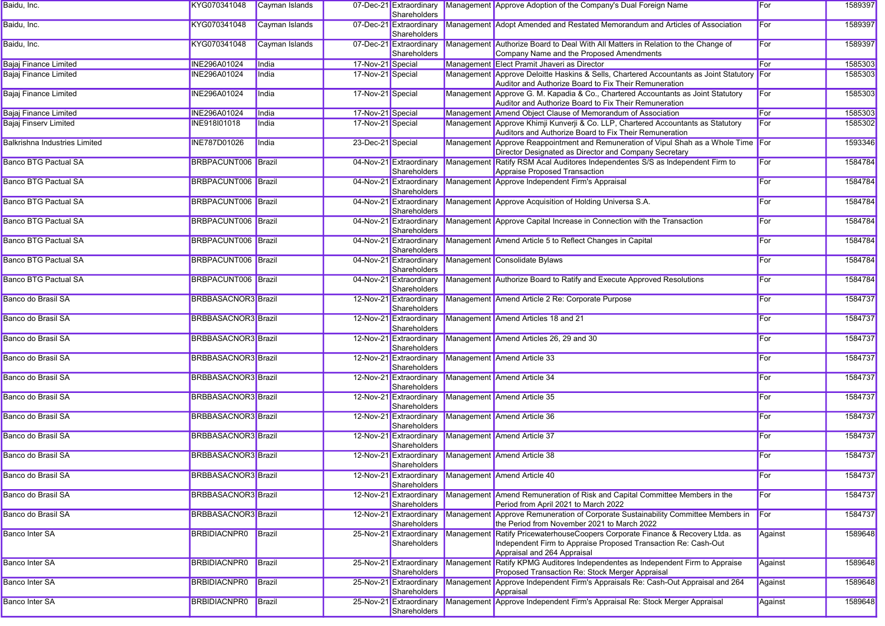| Baidu, Inc.                          | KYG070341048               | Cayman Islands |                   | Shareholders                            |            | 07-Dec-21 Extraordinary Management Approve Adoption of the Company's Dual Foreign Name                                                                                 | For     | 1589397 |
|--------------------------------------|----------------------------|----------------|-------------------|-----------------------------------------|------------|------------------------------------------------------------------------------------------------------------------------------------------------------------------------|---------|---------|
| Baidu, Inc.                          | KYG070341048               | Cayman Islands |                   | 07-Dec-21 Extraordinary<br>Shareholders |            | Management Adopt Amended and Restated Memorandum and Articles of Association                                                                                           | For     | 1589397 |
| Baidu, Inc.                          | KYG070341048               | Cayman Islands |                   | 07-Dec-21 Extraordinary<br>Shareholders |            | Management Authorize Board to Deal With All Matters in Relation to the Change of<br>Company Name and the Proposed Amendments                                           | For     | 1589397 |
| <b>Bajaj Finance Limited</b>         | <b>INE296A01024</b>        | India          | 17-Nov-21 Special |                                         |            | Management Elect Pramit Jhaveri as Director                                                                                                                            | For     | 1585303 |
| <b>Baiai Finance Limited</b>         | <b>INE296A01024</b>        | India          | 17-Nov-21 Special |                                         |            | Management Approve Deloitte Haskins & Sells, Chartered Accountants as Joint Statutory For<br>Auditor and Authorize Board to Fix Their Remuneration                     |         | 1585303 |
| Bajaj Finance Limited                | INE296A01024               | India          | 17-Nov-21 Special |                                         |            | Management Approve G. M. Kapadia & Co., Chartered Accountants as Joint Statutory<br>Auditor and Authorize Board to Fix Their Remuneration                              | For     | 1585303 |
| <b>Bajaj Finance Limited</b>         | <b>INE296A01024</b>        | India          | 17-Nov-21 Special |                                         |            | Management Amend Object Clause of Memorandum of Association                                                                                                            | For     | 1585303 |
| <b>Bajaj Finserv Limited</b>         | INE918I01018               | India          | 17-Nov-21 Special |                                         |            | Management Approve Khimji Kunverji & Co. LLP, Chartered Accountants as Statutory<br>Auditors and Authorize Board to Fix Their Remuneration                             | For     | 1585302 |
| <b>Balkrishna Industries Limited</b> | <b>INE787D01026</b>        | India          | 23-Dec-21 Special |                                         |            | Management Approve Reappointment and Remuneration of Vipul Shah as a Whole Time For<br>Director Designated as Director and Company Secretary                           |         | 1593346 |
| <b>Banco BTG Pactual SA</b>          | BRBPACUNT006 Brazil        |                |                   | 04-Nov-21 Extraordinary<br>Shareholders |            | Management Ratify RSM Acal Auditores Independentes S/S as Independent Firm to<br>Appraise Proposed Transaction                                                         | For     | 1584784 |
| <b>Banco BTG Pactual SA</b>          | BRBPACUNT006 Brazil        |                |                   | 04-Nov-21 Extraordinary<br>Shareholders |            | Management Approve Independent Firm's Appraisal                                                                                                                        | For     | 1584784 |
| <b>Banco BTG Pactual SA</b>          | BRBPACUNT006 Brazil        |                |                   | 04-Nov-21 Extraordinary<br>Shareholders |            | Management Approve Acquisition of Holding Universa S.A.                                                                                                                | For     | 1584784 |
| <b>Banco BTG Pactual SA</b>          | BRBPACUNT006 Brazil        |                |                   | 04-Nov-21 Extraordinary<br>Shareholders |            | Management Approve Capital Increase in Connection with the Transaction                                                                                                 | For     | 1584784 |
| <b>Banco BTG Pactual SA</b>          | BRBPACUNT006 Brazil        |                |                   | 04-Nov-21 Extraordinary<br>Shareholders |            | Management Amend Article 5 to Reflect Changes in Capital                                                                                                               | For     | 1584784 |
| <b>Banco BTG Pactual SA</b>          | BRBPACUNT006 Brazil        |                |                   | 04-Nov-21 Extraordinary<br>Shareholders |            | Management Consolidate Bylaws                                                                                                                                          | For     | 1584784 |
| <b>Banco BTG Pactual SA</b>          | BRBPACUNT006 Brazil        |                |                   | 04-Nov-21 Extraordinary<br>Shareholders |            | Management Authorize Board to Ratify and Execute Approved Resolutions                                                                                                  | For     | 1584784 |
| Banco do Brasil SA                   | <b>BRBBASACNOR3</b> Brazil |                |                   | 12-Nov-21 Extraordinary<br>Shareholders |            | Management Amend Article 2 Re: Corporate Purpose                                                                                                                       | For     | 1584737 |
| Banco do Brasil SA                   | <b>BRBBASACNOR3</b> Brazil |                |                   | 12-Nov-21 Extraordinary<br>Shareholders |            | Management Amend Articles 18 and 21                                                                                                                                    | For     | 1584737 |
| Banco do Brasil SA                   | <b>BRBBASACNOR3</b> Brazil |                |                   | 12-Nov-21 Extraordinary<br>Shareholders |            | Management Amend Articles 26, 29 and 30                                                                                                                                | For     | 1584737 |
| Banco do Brasil SA                   | <b>BRBBASACNOR3</b> Brazil |                |                   | 12-Nov-21 Extraordinary<br>Shareholders |            | Management Amend Article 33                                                                                                                                            | For     | 1584737 |
| Banco do Brasil SA                   | <b>BRBBASACNOR3</b> Brazil |                |                   | 12-Nov-21 Extraordinary<br>Shareholders |            | Management Amend Article 34                                                                                                                                            | For     | 1584737 |
| Banco do Brasil SA                   | <b>BRBBASACNOR3</b> Brazil |                |                   | 12-Nov-21 Extraordinary<br>Shareholders |            | Management Amend Article 35                                                                                                                                            | For     | 1584737 |
| Banco do Brasil SA                   | <b>BRBBASACNOR3</b> Brazil |                |                   | 12-Nov-21 Extraordinary<br>Shareholders |            | Management Amend Article 36                                                                                                                                            | For     | 1584737 |
| Banco do Brasil SA                   | <b>BRBBASACNOR3</b> Brazil |                |                   | Shareholders                            |            | 12-Nov-21 Extraordinary Management Amend Article 37                                                                                                                    | For     | 1584737 |
| Banco do Brasil SA                   | <b>BRBBASACNOR3</b> Brazil |                |                   | 12-Nov-21 Extraordinary<br>Shareholders |            | Management Amend Article 38                                                                                                                                            | For     | 1584737 |
| Banco do Brasil SA                   | BRBBASACNOR3 Brazil        |                |                   | 12-Nov-21 Extraordinary<br>Shareholders |            | Management Amend Article 40                                                                                                                                            | For     | 1584737 |
| Banco do Brasil SA                   | <b>BRBBASACNOR3</b> Brazil |                |                   | 12-Nov-21 Extraordinary<br>Shareholders |            | Management Amend Remuneration of Risk and Capital Committee Members in the<br>Period from April 2021 to March 2022                                                     | For     | 1584737 |
| Banco do Brasil SA                   | <b>BRBBASACNOR3</b> Brazil |                |                   | 12-Nov-21 Extraordinary<br>Shareholders |            | Management Approve Remuneration of Corporate Sustainability Committee Members in<br>the Period from November 2021 to March 2022                                        | For     | 1584737 |
| Banco Inter SA                       | <b>BRBIDIACNPR0</b>        | Brazil         |                   | 25-Nov-21 Extraordinary<br>Shareholders | Management | t Ratify PricewaterhouseCoopers Corporate Finance & Recovery Ltda. as<br>Independent Firm to Appraise Proposed Transaction Re: Cash-Out<br>Appraisal and 264 Appraisal | Against | 1589648 |
| Banco Inter SA                       | <b>BRBIDIACNPR0</b>        | Brazil         |                   | 25-Nov-21 Extraordinary<br>Shareholders |            | Management Ratify KPMG Auditores Independentes as Independent Firm to Appraise<br>Proposed Transaction Re: Stock Merger Appraisal                                      | Against | 1589648 |
| <b>Banco Inter SA</b>                | <b>BRBIDIACNPR0</b>        | Brazil         |                   | 25-Nov-21 Extraordinary<br>Shareholders |            | Management Approve Independent Firm's Appraisals Re: Cash-Out Appraisal and 264<br>Appraisal                                                                           | Against | 1589648 |
| Banco Inter SA                       | <b>BRBIDIACNPR0</b>        | Brazil         |                   | 25-Nov-21 Extraordinary<br>Shareholders |            | Management Approve Independent Firm's Appraisal Re: Stock Merger Appraisal                                                                                             | Against | 1589648 |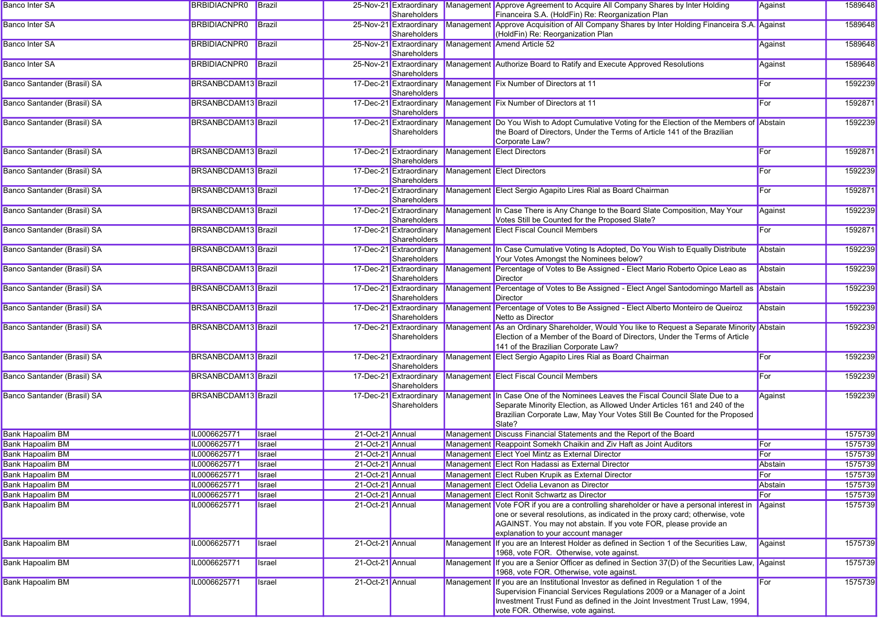| <b>Banco Inter SA</b>                | <b>BRBIDIACNPR0</b>          | Brazil                   |                                      | 25-Nov-21 Extraordinary<br>Shareholders | Management Approve Agreement to Acquire All Company Shares by Inter Holding<br>Financeira S.A. (HoldFin) Re: Reorganization Plan                                                                                                                                                | Against        | 1589648            |
|--------------------------------------|------------------------------|--------------------------|--------------------------------------|-----------------------------------------|---------------------------------------------------------------------------------------------------------------------------------------------------------------------------------------------------------------------------------------------------------------------------------|----------------|--------------------|
| <b>Banco Inter SA</b>                | <b>BRBIDIACNPR0</b>          | Brazil                   |                                      | 25-Nov-21 Extraordinary<br>Shareholders | Management Approve Acquisition of All Company Shares by Inter Holding Financeira S.A. Against<br>(HoldFin) Re: Reorganization Plan                                                                                                                                              |                | 1589648            |
| <b>Banco Inter SA</b>                | <b>BRBIDIACNPR0</b>          | Brazil                   |                                      | 25-Nov-21 Extraordinary<br>Shareholders | Management Amend Article 52                                                                                                                                                                                                                                                     | Against        | 1589648            |
| <b>Banco Inter SA</b>                | <b>BRBIDIACNPR0</b>          | Brazil                   |                                      | 25-Nov-21 Extraordinary<br>Shareholders | Management Authorize Board to Ratify and Execute Approved Resolutions                                                                                                                                                                                                           | Against        | 1589648            |
| Banco Santander (Brasil) SA          | <b>BRSANBCDAM13</b> Brazil   |                          |                                      | 17-Dec-21 Extraordinary<br>Shareholders | Management Fix Number of Directors at 11                                                                                                                                                                                                                                        | For            | 1592239            |
| Banco Santander (Brasil) SA          | <b>BRSANBCDAM13</b> Brazil   |                          |                                      | 17-Dec-21 Extraordinary<br>Shareholders | Management Fix Number of Directors at 11                                                                                                                                                                                                                                        | For            | 1592871            |
| Banco Santander (Brasil) SA          | <b>BRSANBCDAM13</b> Brazil   |                          |                                      | 17-Dec-21 Extraordinary<br>Shareholders | Management Do You Wish to Adopt Cumulative Voting for the Election of the Members of Abstain<br>the Board of Directors, Under the Terms of Article 141 of the Brazilian<br>Corporate Law?                                                                                       |                | 1592239            |
| Banco Santander (Brasil) SA          | <b>BRSANBCDAM13</b> Brazil   |                          |                                      | 17-Dec-21 Extraordinary<br>Shareholders | Management Elect Directors                                                                                                                                                                                                                                                      | For            | 1592871            |
| Banco Santander (Brasil) SA          | <b>BRSANBCDAM13</b> Brazil   |                          |                                      | 17-Dec-21 Extraordinary<br>Shareholders | Management Elect Directors                                                                                                                                                                                                                                                      | For            | 1592239            |
| Banco Santander (Brasil) SA          | BRSANBCDAM13 Brazil          |                          |                                      | 17-Dec-21 Extraordinary<br>Shareholders | Management Elect Sergio Agapito Lires Rial as Board Chairman                                                                                                                                                                                                                    | For            | 1592871            |
| Banco Santander (Brasil) SA          | BRSANBCDAM13 Brazil          |                          |                                      | 17-Dec-21 Extraordinary<br>Shareholders | Management In Case There is Any Change to the Board Slate Composition, May Your<br>Votes Still be Counted for the Proposed Slate?                                                                                                                                               | Against        | 1592239            |
| Banco Santander (Brasil) SA          | <b>BRSANBCDAM13</b> Brazil   |                          |                                      | 17-Dec-21 Extraordinary<br>Shareholders | Management Elect Fiscal Council Members                                                                                                                                                                                                                                         | For            | 1592871            |
| Banco Santander (Brasil) SA          | <b>BRSANBCDAM13</b> Brazil   |                          |                                      | 17-Dec-21 Extraordinary<br>Shareholders | Management In Case Cumulative Voting Is Adopted, Do You Wish to Equally Distribute<br>Your Votes Amongst the Nominees below?                                                                                                                                                    | Abstain        | 1592239            |
| Banco Santander (Brasil) SA          | <b>BRSANBCDAM13</b> Brazil   |                          |                                      | 17-Dec-21 Extraordinary<br>Shareholders | Management Percentage of Votes to Be Assigned - Elect Mario Roberto Opice Leao as<br>Director                                                                                                                                                                                   | Abstain        | 1592239            |
| Banco Santander (Brasil) SA          | <b>BRSANBCDAM13</b> Brazil   |                          |                                      | 17-Dec-21 Extraordinary<br>Shareholders | Management Percentage of Votes to Be Assigned - Elect Angel Santodomingo Martell as Abstain<br>Director                                                                                                                                                                         |                | 1592239            |
| Banco Santander (Brasil) SA          | BRSANBCDAM13 Brazil          |                          |                                      | 17-Dec-21 Extraordinary<br>Shareholders | Management Percentage of Votes to Be Assigned - Elect Alberto Monteiro de Queiroz<br>Netto as Director                                                                                                                                                                          | Abstain        | 1592239            |
| Banco Santander (Brasil) SA          | BRSANBCDAM13 Brazil          |                          |                                      | 17-Dec-21 Extraordinary<br>Shareholders | Management As an Ordinary Shareholder, Would You like to Request a Separate Minority Abstain<br>Election of a Member of the Board of Directors, Under the Terms of Article<br>141 of the Brazilian Corporate Law?                                                               |                | 1592239            |
| Banco Santander (Brasil) SA          | <b>BRSANBCDAM13</b> Brazil   |                          |                                      | 17-Dec-21 Extraordinary<br>Shareholders | Management Elect Sergio Agapito Lires Rial as Board Chairman                                                                                                                                                                                                                    | For            | 1592239            |
| Banco Santander (Brasil) SA          | <b>BRSANBCDAM13</b> Brazil   |                          |                                      | 17-Dec-21 Extraordinary<br>Shareholders | Management Elect Fiscal Council Members                                                                                                                                                                                                                                         | For            | 1592239            |
| Banco Santander (Brasil) SA          | BRSANBCDAM13 Brazil          |                          |                                      | 17-Dec-21 Extraordinary<br>Shareholders | Management In Case One of the Nominees Leaves the Fiscal Council Slate Due to a<br>Separate Minority Election, as Allowed Under Articles 161 and 240 of the<br>Brazilian Corporate Law, May Your Votes Still Be Counted for the Proposed<br>Slate?                              | Against        | 1592239            |
| <b>Bank Hapoalim BM</b>              | IL0006625771                 | Israel                   | 21-Oct-21 Annual                     |                                         | Management Discuss Financial Statements and the Report of the Board                                                                                                                                                                                                             |                | 1575739            |
| <b>Bank Hapoalim BM</b>              | IL0006625771                 | Israel                   | 21-Oct-21 Annual                     |                                         | Management Reappoint Somekh Chaikin and Ziv Haft as Joint Auditors                                                                                                                                                                                                              | For            | 1575739            |
| <b>Bank Hapoalim BM</b>              | IL0006625771                 | Israel                   | 21-Oct-21 Annual                     |                                         | Management Elect Yoel Mintz as External Director                                                                                                                                                                                                                                | For            | 1575739            |
| <b>Bank Hapoalim BM</b>              | IL0006625771                 | Israel                   | 21-Oct-21 Annual                     |                                         | Management Elect Ron Hadassi as External Director                                                                                                                                                                                                                               | Abstain        | 1575739            |
| Bank Hapoalim BM<br>Bank Hapoalim BM | IL0006625/71<br>IL0006625771 | <b>I</b> srael<br>Israel | 21-Oct-21 Annual<br>21-Oct-21 Annual |                                         | Management Elect Ruben Krupik as External Director<br>Management Elect Odelia Levanon as Director                                                                                                                                                                               | For<br>Abstain | 1575739<br>1575739 |
| <b>Bank Hapoalim BM</b>              | IL0006625771                 | Israel                   | 21-Oct-21 Annual                     |                                         | Management Elect Ronit Schwartz as Director                                                                                                                                                                                                                                     | For            | 1575739            |
| <b>Bank Hapoalim BM</b>              | IL0006625771                 | Israel                   | 21-Oct-21 Annual                     |                                         | Management Vote FOR if you are a controlling shareholder or have a personal interest in                                                                                                                                                                                         | Against        | 1575739            |
|                                      |                              |                          |                                      |                                         | one or several resolutions, as indicated in the proxy card; otherwise, vote<br>AGAINST. You may not abstain. If you vote FOR, please provide an<br>explanation to your account manager                                                                                          |                |                    |
| <b>Bank Hapoalim BM</b>              | IL0006625771                 | Israel                   | 21-Oct-21 Annual                     |                                         | Management If you are an Interest Holder as defined in Section 1 of the Securities Law,<br>1968, vote FOR. Otherwise, vote against.                                                                                                                                             | Against        | 1575739            |
| <b>Bank Hapoalim BM</b>              | IL0006625771                 | Israel                   | 21-Oct-21 Annual                     |                                         | Management If you are a Senior Officer as defined in Section 37(D) of the Securities Law, Against<br>1968, vote FOR. Otherwise, vote against.                                                                                                                                   |                | 1575739            |
| <b>Bank Hapoalim BM</b>              | IL0006625771                 | Israel                   | 21-Oct-21 Annual                     |                                         | Management If you are an Institutional Investor as defined in Regulation 1 of the<br>Supervision Financial Services Regulations 2009 or a Manager of a Joint<br>Investment Trust Fund as defined in the Joint Investment Trust Law, 1994,<br>vote FOR. Otherwise, vote against. | For            | 1575739            |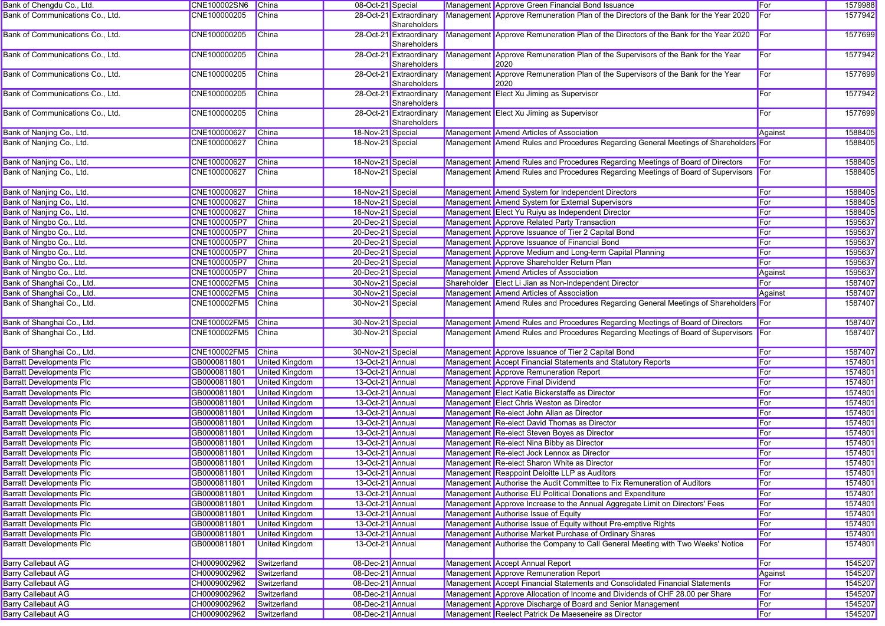| Bank of Chengdu Co., Ltd.        | CNE100002SN6                | <b>China</b>                                   | 08-Oct-21 Special |                                         | Management Approve Green Financial Bond Issuance                                         | For          | 1579988 |
|----------------------------------|-----------------------------|------------------------------------------------|-------------------|-----------------------------------------|------------------------------------------------------------------------------------------|--------------|---------|
| Bank of Communications Co., Ltd. | CNE100000205                | China                                          |                   | 28-Oct-21 Extraordinary<br>Shareholders | Management Approve Remuneration Plan of the Directors of the Bank for the Year 2020      | <b>I</b> For | 1577942 |
| Bank of Communications Co., Ltd. | CNE100000205                | <b>China</b>                                   |                   | 28-Oct-21 Extraordinary<br>Shareholders | Management Approve Remuneration Plan of the Directors of the Bank for the Year 2020      | For          | 1577699 |
| Bank of Communications Co., Ltd. | CNE100000205                | <b>China</b>                                   |                   | 28-Oct-21 Extraordinary<br>Shareholders | Management Approve Remuneration Plan of the Supervisors of the Bank for the Year<br>2020 | For          | 1577942 |
| Bank of Communications Co., Ltd. | CNE100000205                | China                                          |                   | 28-Oct-21 Extraordinary<br>Shareholders | Management Approve Remuneration Plan of the Supervisors of the Bank for the Year<br>2020 | For          | 1577699 |
| Bank of Communications Co., Ltd. | CNE100000205                | <b>China</b>                                   |                   | 28-Oct-21 Extraordinary<br>Shareholders | Management Elect Xu Jiming as Supervisor                                                 | For          | 1577942 |
| Bank of Communications Co., Ltd. | CNE100000205                | <b>China</b>                                   |                   | 28-Oct-21 Extraordinary<br>Shareholders | Management Elect Xu Jiming as Supervisor                                                 | For          | 1577699 |
| Bank of Nanjing Co., Ltd.        | CNE100000627                | China                                          | 18-Nov-21 Special |                                         | Management Amend Articles of Association                                                 | Against      | 1588405 |
| Bank of Nanjing Co., Ltd.        | CNE100000627                | <b>China</b>                                   | 18-Nov-21 Special |                                         | Management Amend Rules and Procedures Regarding General Meetings of Shareholders For     |              | 1588405 |
| Bank of Nanjing Co., Ltd.        | CNE100000627                | China                                          | 18-Nov-21 Special |                                         | Management Amend Rules and Procedures Regarding Meetings of Board of Directors           | For          | 1588405 |
| Bank of Nanjing Co., Ltd.        | CNE100000627                | China                                          | 18-Nov-21 Special |                                         | Management Amend Rules and Procedures Regarding Meetings of Board of Supervisors For     |              | 1588405 |
| Bank of Nanjing Co., Ltd.        | CNE100000627                | China                                          | 18-Nov-21 Special |                                         | Management Amend System for Independent Directors                                        | For          | 1588405 |
| Bank of Nanjing Co., Ltd.        | CNE100000627                | China                                          | 18-Nov-21 Special |                                         | Management Amend System for External Supervisors                                         | For          | 1588405 |
| Bank of Nanjing Co., Ltd.        | CNE100000627                | <b>China</b>                                   | 18-Nov-21 Special |                                         | Management Elect Yu Ruiyu as Independent Director                                        | For          | 1588405 |
| Bank of Ningbo Co., Ltd.         | CNE1000005P7                | China                                          | 20-Dec-21 Special |                                         | Management Approve Related Party Transaction                                             | For          | 1595637 |
| Bank of Ningbo Co., Ltd.         | CNE1000005P7                | China                                          | 20-Dec-21 Special |                                         | Management Approve Issuance of Tier 2 Capital Bond                                       | For          | 1595637 |
| Bank of Ningbo Co., Ltd.         | CNE1000005P7                | China                                          | 20-Dec-21 Special |                                         | Management Approve Issuance of Financial Bond                                            | For          | 1595637 |
| Bank of Ningbo Co., Ltd.         | CNE1000005P7                | China                                          | 20-Dec-21 Special |                                         | Management Approve Medium and Long-term Capital Planning                                 | For          | 1595637 |
| Bank of Ningbo Co., Ltd.         | CNE1000005P7                | <b>China</b>                                   | 20-Dec-21 Special |                                         | Management Approve Shareholder Return Plan                                               | For          | 1595637 |
| Bank of Ningbo Co., Ltd.         | CNE1000005P7                | China                                          | 20-Dec-21 Special |                                         | Management Amend Articles of Association                                                 |              | 1595637 |
|                                  |                             | China                                          |                   |                                         |                                                                                          | Against      |         |
| Bank of Shanghai Co., Ltd.       | CNE100002FM5                |                                                | 30-Nov-21 Special |                                         | Shareholder Elect Li Jian as Non-Independent Director                                    | For          | 1587407 |
| Bank of Shanghai Co., Ltd.       | CNE100002FM5                | <b>China</b>                                   | 30-Nov-21 Special |                                         | Management Amend Articles of Association                                                 | Against      | 1587407 |
| Bank of Shanghai Co., Ltd.       | CNE100002FM5                | China                                          | 30-Nov-21 Special |                                         | Management Amend Rules and Procedures Regarding General Meetings of Shareholders For     |              | 1587407 |
| Bank of Shanghai Co., Ltd.       | CNE100002FM5                | China                                          | 30-Nov-21 Special |                                         | Management Amend Rules and Procedures Regarding Meetings of Board of Directors           | For          | 1587407 |
| Bank of Shanghai Co., Ltd.       | CNE100002FM5                | China                                          | 30-Nov-21 Special |                                         | Management Amend Rules and Procedures Regarding Meetings of Board of Supervisors For     |              | 1587407 |
| Bank of Shanghai Co., Ltd.       | CNE100002FM5                | China                                          | 30-Nov-21 Special |                                         | Management Approve Issuance of Tier 2 Capital Bond                                       | For          | 1587407 |
| <b>Barratt Developments Plc</b>  | GB0000811801                | <b>United Kingdom</b>                          | 13-Oct-21 Annual  |                                         | Management Accept Financial Statements and Statutory Reports                             | For          | 1574801 |
| <b>Barratt Developments Plc</b>  | GB0000811801                | <b>United Kingdom</b>                          | 13-Oct-21 Annual  |                                         | Management Approve Remuneration Report                                                   | For          | 1574801 |
| <b>Barratt Developments Plc</b>  | GB0000811801                | <b>United Kingdom</b>                          | 13-Oct-21 Annual  |                                         | Management Approve Final Dividend                                                        | For          | 1574801 |
| <b>Barratt Developments Plc</b>  | GB0000811801                | <b>United Kingdom</b>                          | 13-Oct-21 Annual  |                                         | Management Elect Katie Bickerstaffe as Director                                          | For          | 1574801 |
| <b>Barratt Developments Plc</b>  | GB0000811801                | <b>United Kingdom</b>                          | 13-Oct-21 Annual  |                                         | Management Elect Chris Weston as Director                                                | For          | 1574801 |
| <b>Barratt Developments Plc</b>  | GB0000811801                | <b>United Kingdom</b>                          | 13-Oct-21 Annual  |                                         | Management Re-elect John Allan as Director                                               | For          | 1574801 |
| <b>Barratt Developments Plc</b>  | GB0000811801                | <b>United Kingdom</b>                          | 13-Oct-21 Annual  |                                         | Management Re-elect David Thomas as Director                                             | For          | 1574801 |
| <b>Barratt Developments Plc</b>  | GB0000811801                | <b>United Kingdom</b>                          | 13-Oct-21 Annual  |                                         | Management Re-elect Steven Boyes as Director                                             | For          | 1574801 |
| <b>Barratt Developments Plc</b>  | GB0000811801                | <b>United Kingdom</b>                          | 13-Oct-21 Annual  |                                         | Management Re-elect Nina Bibby as Director                                               | For          | 1574801 |
| <b>Barratt Developments Plc</b>  | GB0000811801                |                                                | 13-Oct-21 Annual  |                                         | Management Re-elect Jock Lennox as Director                                              | For          | 1574801 |
|                                  |                             | <b>United Kingdom</b><br><b>United Kingdom</b> |                   |                                         | Management Re-elect Sharon White as Director                                             |              | 1574801 |
| <b>Barratt Developments Plc</b>  | GB0000811801                |                                                | 13-Oct-21 Annual  |                                         |                                                                                          | For          |         |
| <b>Barratt Developments Plc</b>  | GB0000811801 United Kingdom |                                                | 13-Oct-21 Annual  |                                         | Management Reappoint Deloitte LLP as Auditors                                            | For          | 1574801 |
| <b>Barratt Developments Plc</b>  | GB0000811801                | United Kingdom                                 | 13-Oct-21 Annual  |                                         | Management Authorise the Audit Committee to Fix Remuneration of Auditors                 | For          | 1574801 |
| <b>Barratt Developments Plc</b>  | GB0000811801                | <b>United Kingdom</b>                          | 13-Oct-21 Annual  |                                         | Management Authorise EU Political Donations and Expenditure                              | For          | 1574801 |
| <b>Barratt Developments Plc</b>  | GB0000811801                | <b>United Kingdom</b>                          | 13-Oct-21 Annual  |                                         | Management Approve Increase to the Annual Aggregate Limit on Directors' Fees             | For          | 1574801 |
| <b>Barratt Developments Plc</b>  | GB0000811801                | <b>United Kingdom</b>                          | 13-Oct-21 Annual  |                                         | Management Authorise Issue of Equity                                                     | For          | 1574801 |
| <b>Barratt Developments Plc</b>  | GB0000811801                | <b>United Kingdom</b>                          | 13-Oct-21 Annual  |                                         | Management Authorise Issue of Equity without Pre-emptive Rights                          | For          | 1574801 |
| <b>Barratt Developments Plc</b>  | GB0000811801                | <b>United Kingdom</b>                          | 13-Oct-21 Annual  |                                         | Management Authorise Market Purchase of Ordinary Shares                                  | For          | 1574801 |
| <b>Barratt Developments Plc</b>  | GB0000811801                | United Kingdom                                 | 13-Oct-21 Annual  |                                         | Management Authorise the Company to Call General Meeting with Two Weeks' Notice          | For          | 1574801 |
| <b>Barry Callebaut AG</b>        | CH0009002962                | Switzerland                                    | 08-Dec-21 Annual  |                                         | Management Accept Annual Report                                                          | For          | 1545207 |
| <b>Barry Callebaut AG</b>        | CH0009002962                | Switzerland                                    | 08-Dec-21 Annual  |                                         | Management Approve Remuneration Report                                                   | Against      | 1545207 |
| <b>Barry Callebaut AG</b>        | CH0009002962                | Switzerland                                    | 08-Dec-21 Annual  |                                         | Management Accept Financial Statements and Consolidated Financial Statements             | For          | 1545207 |
| <b>Barry Callebaut AG</b>        | CH0009002962                | Switzerland                                    | 08-Dec-21 Annual  |                                         | Management Approve Allocation of Income and Dividends of CHF 28.00 per Share             | For          | 1545207 |
| <b>Barry Callebaut AG</b>        | CH0009002962                | Switzerland                                    | 08-Dec-21 Annual  |                                         | Management Approve Discharge of Board and Senior Management                              | For          | 1545207 |
| <b>Barry Callebaut AG</b>        | CH0009002962                | Switzerland                                    | 08-Dec-21 Annual  |                                         | Management Reelect Patrick De Maeseneire as Director                                     | For          | 1545207 |
|                                  |                             |                                                |                   |                                         |                                                                                          |              |         |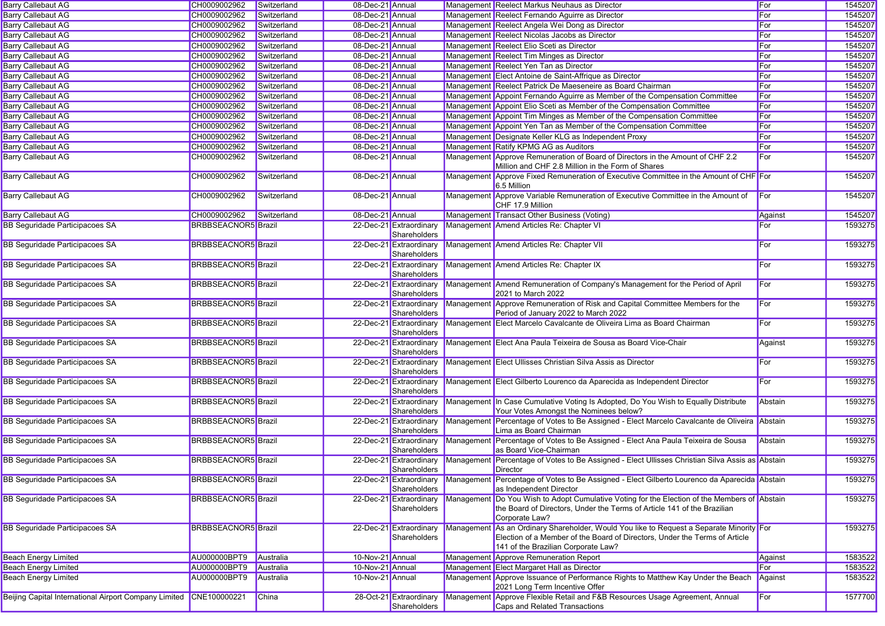| <b>Barry Callebaut AG</b>                                          | CH0009002962               | Switzerland | 08-Dec-21 Annual |                                         | Management Reelect Markus Neuhaus as Director                                                                                                                                                                 | For     | 1545207 |
|--------------------------------------------------------------------|----------------------------|-------------|------------------|-----------------------------------------|---------------------------------------------------------------------------------------------------------------------------------------------------------------------------------------------------------------|---------|---------|
| <b>Barry Callebaut AG</b>                                          | CH0009002962               | Switzerland | 08-Dec-21 Annual |                                         | Management Reelect Fernando Aguirre as Director                                                                                                                                                               | For     | 1545207 |
| <b>Barry Callebaut AG</b>                                          | CH0009002962               | Switzerland | 08-Dec-21 Annual |                                         | Management Reelect Angela Wei Dong as Director                                                                                                                                                                | For     | 1545207 |
| <b>Barry Callebaut AG</b>                                          | CH0009002962               | Switzerland | 08-Dec-21 Annual |                                         | Management Reelect Nicolas Jacobs as Director                                                                                                                                                                 | For     | 1545207 |
| <b>Barry Callebaut AG</b>                                          | CH0009002962               | Switzerland | 08-Dec-21 Annual |                                         | Management Reelect Elio Sceti as Director                                                                                                                                                                     | For     | 1545207 |
| <b>Barry Callebaut AG</b>                                          | CH0009002962               | Switzerland | 08-Dec-21 Annual |                                         | Management Reelect Tim Minges as Director                                                                                                                                                                     | For     | 1545207 |
| <b>Barry Callebaut AG</b>                                          | CH0009002962               | Switzerland | 08-Dec-21 Annual |                                         | Management Reelect Yen Tan as Director                                                                                                                                                                        | For     | 1545207 |
| <b>Barry Callebaut AG</b>                                          | CH0009002962               | Switzerland | 08-Dec-21 Annual |                                         | Management Elect Antoine de Saint-Affrique as Director                                                                                                                                                        | For     | 1545207 |
| <b>Barry Callebaut AG</b>                                          | CH0009002962               | Switzerland | 08-Dec-21 Annual |                                         | Management Reelect Patrick De Maeseneire as Board Chairman                                                                                                                                                    | For     | 1545207 |
| <b>Barry Callebaut AG</b>                                          | CH0009002962               | Switzerland | 08-Dec-21 Annual |                                         | Management Appoint Fernando Aguirre as Member of the Compensation Committee                                                                                                                                   | For     | 1545207 |
| <b>Barry Callebaut AG</b>                                          | CH0009002962               | Switzerland | 08-Dec-21 Annual |                                         | Management Appoint Elio Sceti as Member of the Compensation Committee                                                                                                                                         | For     | 1545207 |
| <b>Barry Callebaut AG</b>                                          | CH0009002962               | Switzerland | 08-Dec-21 Annual |                                         | Management Appoint Tim Minges as Member of the Compensation Committee                                                                                                                                         | For     | 1545207 |
| <b>Barry Callebaut AG</b>                                          | CH0009002962               | Switzerland | 08-Dec-21 Annual |                                         | Management Appoint Yen Tan as Member of the Compensation Committee                                                                                                                                            | For     | 1545207 |
| <b>Barry Callebaut AG</b>                                          | CH0009002962               | Switzerland | 08-Dec-21 Annual |                                         | Management Designate Keller KLG as Independent Proxy                                                                                                                                                          | For     | 1545207 |
| <b>Barry Callebaut AG</b>                                          | CH0009002962               | Switzerland | 08-Dec-21 Annual |                                         | Management Ratify KPMG AG as Auditors                                                                                                                                                                         | For     | 1545207 |
| <b>Barry Callebaut AG</b>                                          | CH0009002962               | Switzerland | 08-Dec-21 Annual |                                         | Management Approve Remuneration of Board of Directors in the Amount of CHF 2.2                                                                                                                                | For     | 1545207 |
|                                                                    |                            |             |                  |                                         | Million and CHF 2.8 Million in the Form of Shares                                                                                                                                                             |         |         |
| <b>Barry Callebaut AG</b>                                          | CH0009002962               | Switzerland | 08-Dec-21 Annual |                                         | Management Approve Fixed Remuneration of Executive Committee in the Amount of CHF For<br>6.5 Million                                                                                                          |         | 1545207 |
| <b>Barry Callebaut AG</b>                                          | CH0009002962               | Switzerland | 08-Dec-21 Annual |                                         | Management Approve Variable Remuneration of Executive Committee in the Amount of<br>CHF 17.9 Million                                                                                                          | For     | 1545207 |
| <b>Barry Callebaut AG</b>                                          | CH0009002962               | Switzerland | 08-Dec-21 Annual |                                         | Management Transact Other Business (Voting)                                                                                                                                                                   | Against | 1545207 |
| <b>BB Sequridade Participacoes SA</b>                              | <b>BRBBSEACNOR5</b> Brazil |             |                  | 22-Dec-21 Extraordinary<br>Shareholders | Management Amend Articles Re: Chapter VI                                                                                                                                                                      | For     | 1593275 |
| <b>BB Sequridade Participacoes SA</b>                              | <b>BRBBSEACNOR5</b> Brazil |             |                  | 22-Dec-21 Extraordinary<br>Shareholders | Management Amend Articles Re: Chapter VII                                                                                                                                                                     | For     | 1593275 |
| <b>BB Seguridade Participacoes SA</b>                              | <b>BRBBSEACNOR5</b> Brazil |             |                  | 22-Dec-21 Extraordinary<br>Shareholders | Management Amend Articles Re: Chapter IX                                                                                                                                                                      | For     | 1593275 |
| BB Seguridade Participacoes SA                                     | <b>BRBBSEACNOR5</b> Brazil |             |                  | 22-Dec-21 Extraordinary<br>Shareholders | Management Amend Remuneration of Company's Management for the Period of April<br>2021 to March 2022                                                                                                           | For     | 1593275 |
| BB Seguridade Participacoes SA                                     | <b>BRBBSEACNOR5</b> Brazil |             |                  | 22-Dec-21 Extraordinary<br>Shareholders | Management Approve Remuneration of Risk and Capital Committee Members for the<br>Period of January 2022 to March 2022                                                                                         | For     | 1593275 |
| BB Seguridade Participacoes SA                                     | <b>BRBBSEACNOR5</b> Brazil |             |                  | 22-Dec-21 Extraordinary<br>Shareholders | Management Elect Marcelo Cavalcante de Oliveira Lima as Board Chairman                                                                                                                                        | For     | 1593275 |
| BB Seguridade Participacoes SA                                     | <b>BRBBSEACNOR5</b> Brazil |             |                  | 22-Dec-21 Extraordinary<br>Shareholders | Management Elect Ana Paula Teixeira de Sousa as Board Vice-Chair                                                                                                                                              | Against | 1593275 |
| <b>BB Seguridade Participacoes SA</b>                              | <b>BRBBSEACNOR5</b> Brazil |             |                  | 22-Dec-21 Extraordinary<br>Shareholders | Management Elect Ullisses Christian Silva Assis as Director                                                                                                                                                   | For     | 1593275 |
| BB Seguridade Participacoes SA                                     | <b>BRBBSEACNOR5</b> Brazil |             |                  | 22-Dec-21 Extraordinary<br>Shareholders | Management Elect Gilberto Lourenco da Aparecida as Independent Director                                                                                                                                       | For     | 1593275 |
| <b>BB Seguridade Participacoes SA</b>                              | <b>BRBBSEACNOR5</b> Brazil |             |                  | 22-Dec-21 Extraordinary<br>Shareholders | Management In Case Cumulative Voting Is Adopted, Do You Wish to Equally Distribute<br>Your Votes Amongst the Nominees below?                                                                                  | Abstain | 1593275 |
| BB Seguridade Participacoes SA                                     | <b>BRBBSEACNOR5</b> Brazil |             |                  | 22-Dec-21 Extraordinary<br>Shareholders | Management Percentage of Votes to Be Assigned - Elect Marcelo Cavalcante de Oliveira<br>Lima as Board Chairman                                                                                                | Abstain | 1593275 |
| <b>BB Seguridade Participacoes SA</b>                              | <b>BRBBSEACNOR5</b> Brazil |             |                  | 22-Dec-21 Extraordinary<br>Shareholders | Management Percentage of Votes to Be Assigned - Elect Ana Paula Teixeira de Sousa<br>as Board Vice-Chairman                                                                                                   | Abstain | 1593275 |
| <b>BB Seguridade Participacoes SA</b>                              | <b>BRBBSEACNOR5</b> Brazil |             |                  | 22-Dec-21 Extraordinary<br>Shareholders | Management Percentage of Votes to Be Assigned - Elect Ullisses Christian Silva Assis as Abstain<br>Director                                                                                                   |         | 1593275 |
| <b>BB Seguridade Participacoes SA</b>                              | <b>BRBBSEACNOR5</b> Brazil |             |                  | 22-Dec-21 Extraordinary<br>Shareholders | Management Percentage of Votes to Be Assigned - Elect Gilberto Lourenco da Aparecida Abstain<br>as Independent Director                                                                                       |         | 1593275 |
| BB Seguridade Participacoes SA                                     | <b>BRBBSEACNOR5</b> Brazil |             |                  | 22-Dec-21 Extraordinary<br>Shareholders | Management Do You Wish to Adopt Cumulative Voting for the Election of the Members of Abstain<br>the Board of Directors, Under the Terms of Article 141 of the Brazilian<br>Corporate Law?                     |         | 1593275 |
| <b>BB Seguridade Participacoes SA</b>                              | <b>BRBBSEACNOR5</b> Brazil |             |                  | 22-Dec-21 Extraordinary<br>Shareholders | Management As an Ordinary Shareholder, Would You like to Request a Separate Minority For<br>Election of a Member of the Board of Directors, Under the Terms of Article<br>141 of the Brazilian Corporate Law? |         | 1593275 |
| <b>Beach Energy Limited</b>                                        | <b>AU000000BPT9</b>        | Australia   | 10-Nov-21 Annual |                                         | Management Approve Remuneration Report                                                                                                                                                                        | Against | 1583522 |
| <b>Beach Energy Limited</b>                                        | AU000000BPT9               | Australia   | 10-Nov-21 Annual |                                         | Management Elect Margaret Hall as Director                                                                                                                                                                    | For     | 1583522 |
| <b>Beach Energy Limited</b>                                        | AU000000BPT9               | Australia   | 10-Nov-21 Annual |                                         | Management Approve Issuance of Performance Rights to Matthew Kay Under the Beach<br>2021 Long Term Incentive Offer                                                                                            | Against | 1583522 |
| Beijing Capital International Airport Company Limited CNE100000221 |                            | China       |                  | 28-Oct-21 Extraordinary<br>Shareholders | Management Approve Flexible Retail and F&B Resources Usage Agreement, Annual<br>Caps and Related Transactions                                                                                                 | For     | 1577700 |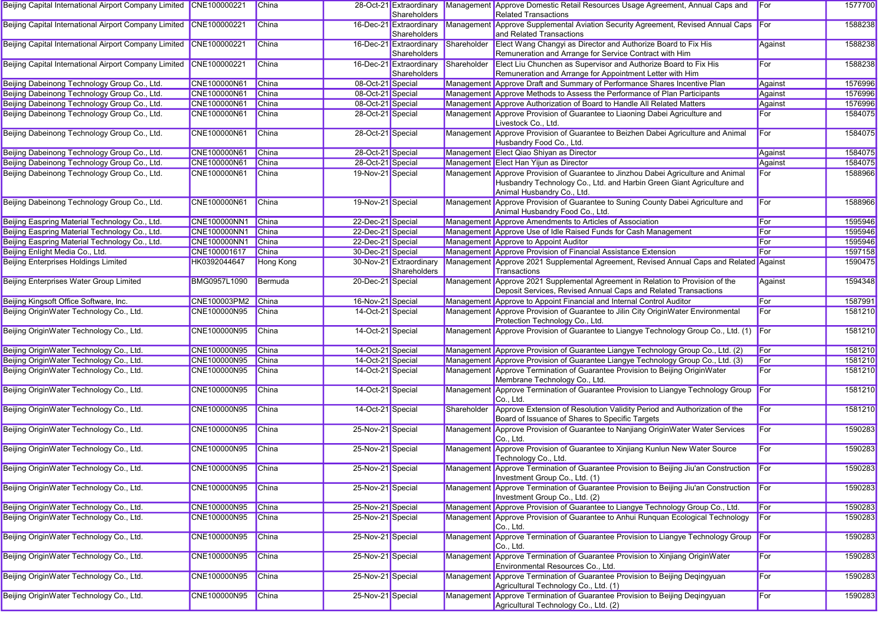| Beijing Capital International Airport Company Limited CNE100000221 |              | China            |                   | 28-Oct-21 Extraordinary<br>Shareholders |             | Management Approve Domestic Retail Resources Usage Agreement, Annual Caps and<br><b>Related Transactions</b>                                                                             | For     | 1577700 |
|--------------------------------------------------------------------|--------------|------------------|-------------------|-----------------------------------------|-------------|------------------------------------------------------------------------------------------------------------------------------------------------------------------------------------------|---------|---------|
| Beijing Capital International Airport Company Limited CNE100000221 |              | China            |                   | 16-Dec-21 Extraordinary<br>Shareholders |             | Management Approve Supplemental Aviation Security Agreement, Revised Annual Caps<br>and Related Transactions                                                                             |         | 1588238 |
| Beijing Capital International Airport Company Limited CNE100000221 |              | China            |                   | 16-Dec-21 Extraordinary<br>Shareholders |             | Shareholder Elect Wang Changyi as Director and Authorize Board to Fix His<br>Remuneration and Arrange for Service Contract with Him                                                      | Against | 1588238 |
| Beijing Capital International Airport Company Limited CNE100000221 |              | <b>China</b>     |                   | 16-Dec-21 Extraordinary<br>Shareholders | Shareholder | Elect Liu Chunchen as Supervisor and Authorize Board to Fix His<br>Remuneration and Arrange for Appointment Letter with Him                                                              | For     | 1588238 |
| Beijing Dabeinong Technology Group Co., Ltd.                       | CNE100000N61 | China            | 08-Oct-21 Special |                                         |             | Management Approve Draft and Summary of Performance Shares Incentive Plan                                                                                                                | Against | 1576996 |
| Beijing Dabeinong Technology Group Co., Ltd.                       | CNE100000N61 | China            | 08-Oct-21 Special |                                         |             | Management Approve Methods to Assess the Performance of Plan Participants                                                                                                                | Against | 1576996 |
| Beijing Dabeinong Technology Group Co., Ltd.                       | CNE100000N61 | China            | 08-Oct-21 Special |                                         |             | Management Approve Authorization of Board to Handle All Related Matters                                                                                                                  | Against | 1576996 |
| Beijing Dabeinong Technology Group Co., Ltd.                       | CNE100000N61 | China            | 28-Oct-21 Special |                                         |             | Management Approve Provision of Guarantee to Liaoning Dabei Agriculture and<br>Livestock Co., Ltd.                                                                                       | For     | 1584075 |
| Beijing Dabeinong Technology Group Co., Ltd.                       | CNE100000N61 | China            | 28-Oct-21 Special |                                         |             | Management Approve Provision of Guarantee to Beizhen Dabei Agriculture and Animal<br>Husbandry Food Co., Ltd.                                                                            | For     | 1584075 |
| Beijing Dabeinong Technology Group Co., Ltd.                       | CNE100000N61 | China            | 28-Oct-21 Special |                                         |             | Management Elect Qiao Shiyan as Director                                                                                                                                                 | Against | 1584075 |
| Beijing Dabeinong Technology Group Co., Ltd.                       | CNE100000N61 | China            | 28-Oct-21 Special |                                         |             | Management Elect Han Yijun as Director                                                                                                                                                   | Against | 1584075 |
| Beijing Dabeinong Technology Group Co., Ltd.                       | CNE100000N61 | China            | 19-Nov-21 Special |                                         |             | Management Approve Provision of Guarantee to Jinzhou Dabei Agriculture and Animal<br>Husbandry Technology Co., Ltd. and Harbin Green Giant Agriculture and<br>Animal Husbandry Co., Ltd. | For     | 1588966 |
| Beijing Dabeinong Technology Group Co., Ltd.                       | CNE100000N61 | China            | 19-Nov-21 Special |                                         |             | Management Approve Provision of Guarantee to Suning County Dabei Agriculture and<br>Animal Husbandry Food Co., Ltd.                                                                      | For     | 1588966 |
| Beijing Easpring Material Technology Co., Ltd.                     | CNE100000NN1 | China            | 22-Dec-21 Special |                                         |             | Management Approve Amendments to Articles of Association                                                                                                                                 | For     | 1595946 |
| Beijing Easpring Material Technology Co., Ltd.                     | CNE100000NN1 | China            | 22-Dec-21 Special |                                         |             | Management Approve Use of Idle Raised Funds for Cash Management                                                                                                                          | For     | 1595946 |
| Beijing Easpring Material Technology Co., Ltd.                     | CNE100000NN1 | China            | 22-Dec-21 Special |                                         |             | Management Approve to Appoint Auditor                                                                                                                                                    | For     | 1595946 |
| Beijing Enlight Media Co., Ltd.                                    | CNE100001617 | China            | 30-Dec-21 Special |                                         |             | Management Approve Provision of Financial Assistance Extension                                                                                                                           | For     | 1597158 |
| <b>Beijing Enterprises Holdings Limited</b>                        | HK0392044647 | <b>Hong Kong</b> |                   | 30-Nov-21 Extraordinary<br>Shareholders |             | Management Approve 2021 Supplemental Agreement, Revised Annual Caps and Related Against<br>Transactions                                                                                  |         | 1590475 |
| <b>Beijing Enterprises Water Group Limited</b>                     | BMG0957L1090 | Bermuda          | 20-Dec-21 Special |                                         |             | Management Approve 2021 Supplemental Agreement in Relation to Provision of the<br>Deposit Services, Revised Annual Caps and Related Transactions                                         | Against | 1594348 |
| Beijing Kingsoft Office Software, Inc.                             | CNE100003PM2 | China            | 16-Nov-21 Special |                                         |             | Management Approve to Appoint Financial and Internal Control Auditor                                                                                                                     | For     | 1587991 |
| Beijing OriginWater Technology Co., Ltd.                           | CNE100000N95 | China            | 14-Oct-21 Special |                                         |             | Management Approve Provision of Guarantee to Jilin City OriginWater Environmental<br>Protection Technology Co., Ltd.                                                                     | For     | 1581210 |
| Beijing OriginWater Technology Co., Ltd.                           | CNE100000N95 | China            | 14-Oct-21 Special |                                         |             | Management Approve Provision of Guarantee to Liangye Technology Group Co., Ltd. (1)                                                                                                      | For     | 1581210 |
| Beijing OriginWater Technology Co., Ltd.                           | CNE100000N95 | China            | 14-Oct-21 Special |                                         |             | Management Approve Provision of Guarantee Liangye Technology Group Co., Ltd. (2)                                                                                                         | For     | 1581210 |
| Beijing OriginWater Technology Co., Ltd.                           | CNE100000N95 | China            | 14-Oct-21 Special |                                         |             | Management Approve Provision of Guarantee Liangye Technology Group Co., Ltd. (3)                                                                                                         | For     | 1581210 |
| Beijing OriginWater Technology Co., Ltd.                           | CNE100000N95 | China            | 14-Oct-21 Special |                                         |             | Management Approve Termination of Guarantee Provision to Beijing OriginWater<br>Membrane Technology Co., Ltd.                                                                            | For     | 1581210 |
| Beijing OriginWater Technology Co., Ltd.                           | CNE100000N95 | China            | 14-Oct-21 Special |                                         |             | Management Approve Termination of Guarantee Provision to Liangye Technology Group<br>Co., Ltd.                                                                                           | For     | 1581210 |
| Beijing OriginWater Technology Co., Ltd.                           | CNE100000N95 | China            | 14-Oct-21 Special |                                         | Shareholder | Approve Extension of Resolution Validity Period and Authorization of the<br>Board of Issuance of Shares to Specific Targets                                                              | For     | 1581210 |
| Beijing OriginWater Technology Co., Ltd.                           | CNE100000N95 | <b>China</b>     | 25-Nov-21 Special |                                         |             | Management Approve Provision of Guarantee to Nanjiang OriginWater Water Services<br>Co., Ltd.                                                                                            | For     | 1590283 |
| Beijing OriginWater Technology Co., Ltd.                           | CNE100000N95 | China            | 25-Nov-21 Special |                                         |             | Management Approve Provision of Guarantee to Xinjiang Kunlun New Water Source<br>Technology Co., Ltd.                                                                                    | For     | 1590283 |
| Beijing OriginWater Technology Co., Ltd.                           | CNE100000N95 | China            | 25-Nov-21 Special |                                         |             | Management Approve Termination of Guarantee Provision to Beijing Jiu'an Construction For<br>Investment Group Co., Ltd. (1)                                                               |         | 1590283 |
| Beijing OriginWater Technology Co., Ltd.                           | CNE100000N95 | China            | 25-Nov-21 Special |                                         |             | Management Approve Termination of Guarantee Provision to Beijing Jiu'an Construction<br>Investment Group Co., Ltd. (2)                                                                   | For     | 1590283 |
| Beijing OriginWater Technology Co., Ltd.                           | CNE100000N95 | China            | 25-Nov-21 Special |                                         |             | Management Approve Provision of Guarantee to Liangye Technology Group Co., Ltd.                                                                                                          | For     | 1590283 |
| Beijing OriginWater Technology Co., Ltd.                           | CNE100000N95 | China            | 25-Nov-21 Special |                                         |             | Management Approve Provision of Guarantee to Anhui Runquan Ecological Technology<br>Co., Ltd.                                                                                            | For     | 1590283 |
| Beijing OriginWater Technology Co., Ltd.                           | CNE100000N95 | China            | 25-Nov-21 Special |                                         |             | Management Approve Termination of Guarantee Provision to Liangye Technology Group For<br>Co., Ltd.                                                                                       |         | 1590283 |
| Beijing OriginWater Technology Co., Ltd.                           | CNE100000N95 | China            | 25-Nov-21 Special |                                         |             | Management Approve Termination of Guarantee Provision to Xinjiang OriginWater<br>Environmental Resources Co., Ltd.                                                                       | For     | 1590283 |
| Beijing OriginWater Technology Co., Ltd.                           | CNE100000N95 | China            | 25-Nov-21 Special |                                         |             | Management Approve Termination of Guarantee Provision to Beijing Deqingyuan<br>Agricultural Technology Co., Ltd. (1)                                                                     | For     | 1590283 |
| Beijing OriginWater Technology Co., Ltd.                           | CNE100000N95 | China            | 25-Nov-21 Special |                                         |             | Management Approve Termination of Guarantee Provision to Beijing Deqingyuan<br>Agricultural Technology Co., Ltd. (2)                                                                     | For     | 1590283 |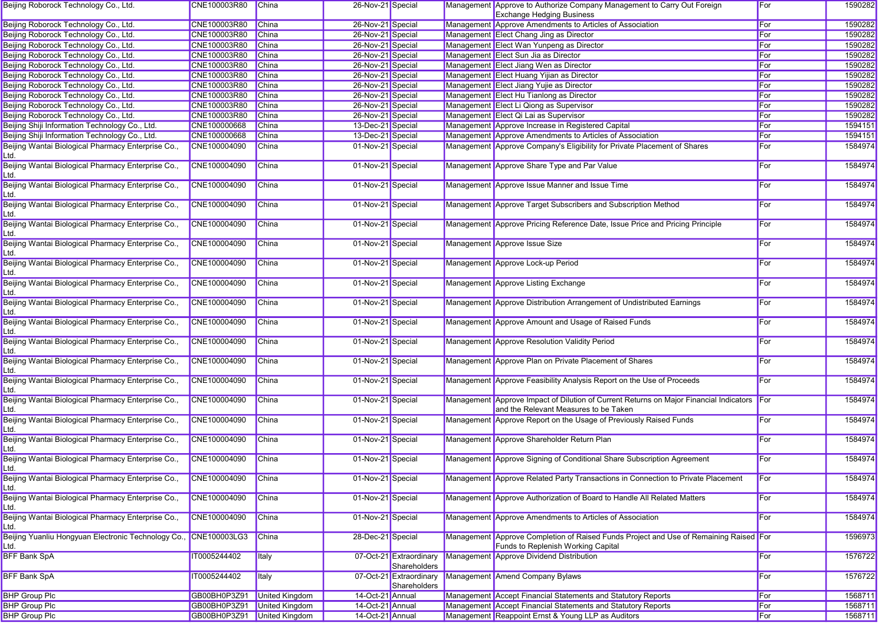| Beijing Roborock Technology Co., Ltd.                      | CNE100003R80 | China          | 26-Nov-21 Special |                                         | Management Approve to Authorize Company Management to Carry Out Foreign<br><b>Exchange Hedging Business</b>                     | For        | 1590282 |
|------------------------------------------------------------|--------------|----------------|-------------------|-----------------------------------------|---------------------------------------------------------------------------------------------------------------------------------|------------|---------|
| Beijing Roborock Technology Co., Ltd.                      | CNE100003R80 | China          | 26-Nov-21 Special |                                         | Management Approve Amendments to Articles of Association                                                                        | For        | 1590282 |
| Beijing Roborock Technology Co., Ltd.                      | CNE100003R80 | China          | 26-Nov-21 Special |                                         | Management Elect Chang Jing as Director                                                                                         | For        | 1590282 |
| Beijing Roborock Technology Co., Ltd.                      | CNE100003R80 | China          | 26-Nov-21 Special |                                         | Management Elect Wan Yunpeng as Director                                                                                        | For        | 1590282 |
| Beijing Roborock Technology Co., Ltd.                      | CNE100003R80 | China          | 26-Nov-21 Special |                                         | Management Elect Sun Jia as Director                                                                                            | For        | 1590282 |
| Beijing Roborock Technology Co., Ltd.                      | CNE100003R80 | China          | 26-Nov-21 Special |                                         | Management Elect Jiang Wen as Director                                                                                          | For        | 1590282 |
| Beijing Roborock Technology Co., Ltd.                      | CNE100003R80 | China          | 26-Nov-21 Special |                                         | Management Elect Huang Yijian as Director                                                                                       | For        | 1590282 |
|                                                            |              |                |                   |                                         |                                                                                                                                 |            |         |
| Beijing Roborock Technology Co., Ltd.                      | CNE100003R80 | China          | 26-Nov-21 Special |                                         | Management Elect Jiang Yujie as Director                                                                                        | For        | 1590282 |
| Beijing Roborock Technology Co., Ltd.                      | CNE100003R80 | China          | 26-Nov-21 Special |                                         | Management Elect Hu Tianlong as Director                                                                                        | For        | 1590282 |
| Beijing Roborock Technology Co., Ltd.                      | CNE100003R80 | China          | 26-Nov-21 Special |                                         | Management Elect Li Qiong as Supervisor                                                                                         | For        | 1590282 |
| Beijing Roborock Technology Co., Ltd.                      | CNE100003R80 | China          | 26-Nov-21 Special |                                         | Management Elect Qi Lai as Supervisor                                                                                           | For        | 1590282 |
| Beijing Shiji Information Technology Co., Ltd.             | CNE100000668 | China          | 13-Dec-21 Special |                                         | Management Approve Increase in Registered Capital                                                                               | For        | 1594151 |
| Beijing Shiji Information Technology Co., Ltd.             | CNE100000668 | <b>China</b>   | 13-Dec-21 Special |                                         | Management Approve Amendments to Articles of Association                                                                        | For        | 1594151 |
| Beijing Wantai Biological Pharmacy Enterprise Co.,<br>Ltd. | CNE100004090 | <b>China</b>   | 01-Nov-21 Special |                                         | Management Approve Company's Eligibility for Private Placement of Shares                                                        | For        | 1584974 |
| Beijing Wantai Biological Pharmacy Enterprise Co.,<br>Ltd. | CNE100004090 | China          | 01-Nov-21 Special |                                         | Management Approve Share Type and Par Value                                                                                     | For        | 1584974 |
| Beijing Wantai Biological Pharmacy Enterprise Co.,<br>Ltd. | CNE100004090 | <b>China</b>   | 01-Nov-21 Special |                                         | Management Approve Issue Manner and Issue Time                                                                                  | For        | 1584974 |
| Beijing Wantai Biological Pharmacy Enterprise Co.,         | CNE100004090 | China          | 01-Nov-21 Special |                                         | Management Approve Target Subscribers and Subscription Method                                                                   | For        | 1584974 |
| Beijing Wantai Biological Pharmacy Enterprise Co.,<br>Ltd. | CNE100004090 | <b>China</b>   | 01-Nov-21 Special |                                         | Management Approve Pricing Reference Date, Issue Price and Pricing Principle                                                    | For        | 1584974 |
| Beijing Wantai Biological Pharmacy Enterprise Co.,<br>Ltd. | CNE100004090 | <b>China</b>   | 01-Nov-21 Special |                                         | Management Approve Issue Size                                                                                                   | For        | 1584974 |
| Beijing Wantai Biological Pharmacy Enterprise Co.,<br>Ltd. | CNE100004090 | China          | 01-Nov-21 Special |                                         | Management Approve Lock-up Period                                                                                               | For        | 1584974 |
| Beijing Wantai Biological Pharmacy Enterprise Co.,<br>Ltd. | CNE100004090 | <b>China</b>   | 01-Nov-21 Special |                                         | Management Approve Listing Exchange                                                                                             | For        | 1584974 |
| Beijing Wantai Biological Pharmacy Enterprise Co.,<br>Ltd. | CNE100004090 | <b>China</b>   | 01-Nov-21 Special |                                         | Management Approve Distribution Arrangement of Undistributed Earnings                                                           | For        | 1584974 |
| Beijing Wantai Biological Pharmacy Enterprise Co.,<br>Ltd. | CNE100004090 | <b>China</b>   | 01-Nov-21 Special |                                         | Management Approve Amount and Usage of Raised Funds                                                                             | For        | 1584974 |
| Beijing Wantai Biological Pharmacy Enterprise Co.,<br>Ltd. | CNE100004090 | China          | 01-Nov-21 Special |                                         | Management Approve Resolution Validity Period                                                                                   | For        | 1584974 |
| Beijing Wantai Biological Pharmacy Enterprise Co.,<br>Ltd. | CNE100004090 | China          | 01-Nov-21 Special |                                         | Management Approve Plan on Private Placement of Shares                                                                          | For        | 1584974 |
| Beijing Wantai Biological Pharmacy Enterprise Co.,<br>Ltd. | CNE100004090 | <b>China</b>   | 01-Nov-21 Special |                                         | Management Approve Feasibility Analysis Report on the Use of Proceeds                                                           | For        | 1584974 |
| Beijing Wantai Biological Pharmacy Enterprise Co.,<br>Ltd. | CNE100004090 | China          | 01-Nov-21 Special |                                         | Management Approve Impact of Dilution of Current Returns on Major Financial Indicators<br>and the Relevant Measures to be Taken | <b>For</b> | 1584974 |
| Beijing Wantai Biological Pharmacy Enterprise Co.,<br>Ltd. | CNE100004090 | <b>China</b>   | 01-Nov-21 Special |                                         | Management Approve Report on the Usage of Previously Raised Funds                                                               | For        | 1584974 |
| Beijing Wantai Biological Pharmacy Enterprise Co.,<br>Ltd. | CNE100004090 | <b>China</b>   | 01-Nov-21 Special |                                         | Management Approve Shareholder Return Plan                                                                                      | For        | 1584974 |
| Beijing Wantai Biological Pharmacy Enterprise Co.,<br>Ltd. | CNE100004090 | China          | 01-Nov-21 Special |                                         | Management Approve Signing of Conditional Share Subscription Agreement                                                          | For        | 1584974 |
| Beijing Wantai Biological Pharmacy Enterprise Co.,<br>Ltd. | CNE100004090 | China          | 01-Nov-21 Special |                                         | Management Approve Related Party Transactions in Connection to Private Placement                                                | For        | 1584974 |
| Beijing Wantai Biological Pharmacy Enterprise Co.,<br>Ltd. | CNE100004090 | <b>China</b>   | 01-Nov-21 Special |                                         | Management Approve Authorization of Board to Handle All Related Matters                                                         | For        | 1584974 |
| Beijing Wantai Biological Pharmacy Enterprise Co.,<br>Ltd. | CNE100004090 | <b>China</b>   | 01-Nov-21 Special |                                         | Management Approve Amendments to Articles of Association                                                                        | For        | 1584974 |
| Beijing Yuanliu Hongyuan Electronic Technology Co.<br>Ltd. | CNE100003LG3 | China          | 28-Dec-21 Special |                                         | Management Approve Completion of Raised Funds Project and Use of Remaining Raised For<br>Funds to Replenish Working Capital     |            | 1596973 |
| <b>BFF Bank SpA</b>                                        | IT0005244402 | Italy          |                   | 07-Oct-21 Extraordinary<br>Shareholders | Management Approve Dividend Distribution                                                                                        | For        | 1576722 |
| <b>BFF Bank SpA</b>                                        | IT0005244402 | <b>Italy</b>   |                   | 07-Oct-21 Extraordinary<br>Shareholders | Management Amend Company Bylaws                                                                                                 | For        | 1576722 |
| <b>BHP Group Plc</b>                                       | GB00BH0P3Z91 | United Kingdom | 14-Oct-21 Annual  |                                         | Management Accept Financial Statements and Statutory Reports                                                                    | For        | 1568711 |
| <b>BHP Group Plc</b>                                       | GB00BH0P3Z91 | United Kingdom | 14-Oct-21 Annual  |                                         | Management Accept Financial Statements and Statutory Reports                                                                    | For        | 1568711 |
| <b>BHP Group Plc</b>                                       | GB00BH0P3Z91 | United Kingdom | 14-Oct-21 Annual  |                                         | Management Reappoint Ernst & Young LLP as Auditors                                                                              | For        | 1568711 |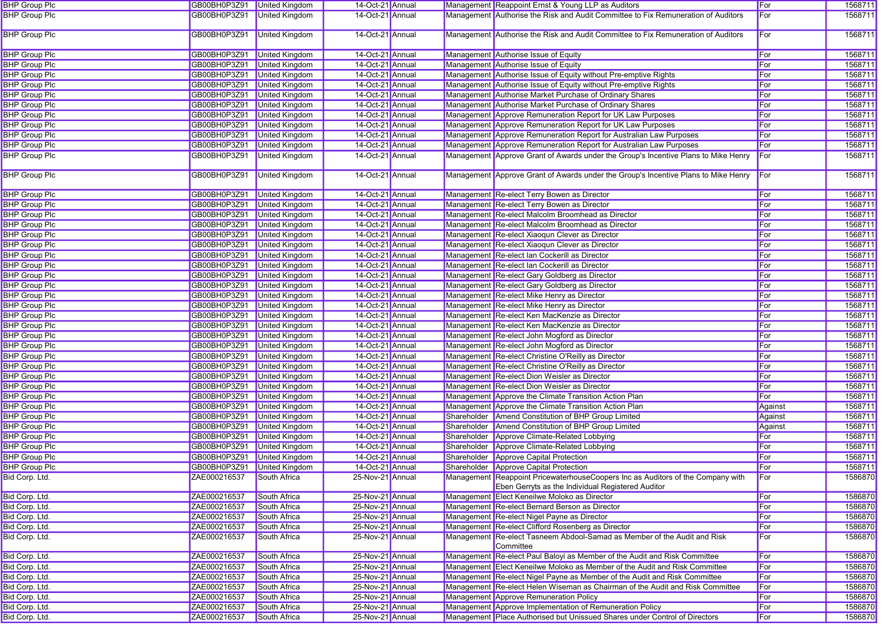| <b>BHP Group Plc</b> | GB00BH0P3Z91 United Kingdom |                       | 14-Oct-21 Annual |  | Management Reappoint Ernst & Young LLP as Auditors                                                                                   | For     | 1568711 |
|----------------------|-----------------------------|-----------------------|------------------|--|--------------------------------------------------------------------------------------------------------------------------------------|---------|---------|
| <b>BHP Group Plc</b> | GB00BH0P3Z91                | <b>United Kingdom</b> | 14-Oct-21 Annual |  | Management Authorise the Risk and Audit Committee to Fix Remuneration of Auditors                                                    | For     | 1568711 |
| <b>BHP Group Plc</b> | GB00BH0P3Z91                | <b>United Kingdom</b> | 14-Oct-21 Annual |  | Management Authorise the Risk and Audit Committee to Fix Remuneration of Auditors                                                    | For     | 1568711 |
| <b>BHP Group Plc</b> | GB00BH0P3Z91                | <b>United Kingdom</b> | 14-Oct-21 Annual |  | Management Authorise Issue of Equity                                                                                                 | For     | 1568711 |
| <b>BHP Group Plc</b> | GB00BH0P3Z91                | <b>United Kingdom</b> | 14-Oct-21 Annual |  | Management Authorise Issue of Equity                                                                                                 | For     | 1568711 |
| <b>BHP Group Plc</b> | GB00BH0P3Z91 United Kingdom |                       | 14-Oct-21 Annual |  | Management Authorise Issue of Equity without Pre-emptive Rights                                                                      | For     | 1568711 |
| <b>BHP Group Plc</b> | GB00BH0P3Z91                | United Kingdom        | 14-Oct-21 Annual |  | Management Authorise Issue of Equity without Pre-emptive Rights                                                                      | For     | 1568711 |
| <b>BHP Group Plc</b> | GB00BH0P3Z91                | <b>United Kingdom</b> | 14-Oct-21 Annual |  | Management Authorise Market Purchase of Ordinary Shares                                                                              | For     | 1568711 |
| <b>BHP Group Plc</b> | GB00BH0P3Z91                | United Kingdom        | 14-Oct-21 Annual |  | Management Authorise Market Purchase of Ordinary Shares                                                                              | For     | 1568711 |
| <b>BHP Group Plc</b> | GB00BH0P3Z91                | United Kingdom        | 14-Oct-21 Annual |  | Management Approve Remuneration Report for UK Law Purposes                                                                           | For     | 1568711 |
| <b>BHP Group Plc</b> | GB00BH0P3Z91                | United Kingdom        | 14-Oct-21 Annual |  | Management Approve Remuneration Report for UK Law Purposes                                                                           | For     | 1568711 |
| <b>BHP Group Plc</b> | GB00BH0P3Z91                | <b>United Kingdom</b> | 14-Oct-21 Annual |  | Management Approve Remuneration Report for Australian Law Purposes                                                                   | For     | 1568711 |
| <b>BHP Group Plc</b> | GB00BH0P3Z91                | <b>United Kingdom</b> | 14-Oct-21 Annual |  | Management Approve Remuneration Report for Australian Law Purposes                                                                   | For     | 1568711 |
| <b>BHP Group Plc</b> | GB00BH0P3Z91                | United Kingdom        | 14-Oct-21 Annual |  | Management Approve Grant of Awards under the Group's Incentive Plans to Mike Henry                                                   | For     | 1568711 |
| <b>BHP Group Plc</b> | GB00BH0P3Z91                | <b>United Kingdom</b> | 14-Oct-21 Annual |  | Management Approve Grant of Awards under the Group's Incentive Plans to Mike Henry For                                               |         | 1568711 |
| <b>BHP Group Plc</b> | GB00BH0P3Z91                | <b>United Kingdom</b> | 14-Oct-21 Annual |  | Management Re-elect Terry Bowen as Director                                                                                          | For     | 1568711 |
| <b>BHP Group Plc</b> | GB00BH0P3Z91 United Kingdom |                       | 14-Oct-21 Annual |  | Management Re-elect Terry Bowen as Director                                                                                          | For     | 1568711 |
| <b>BHP Group Plc</b> | GB00BH0P3Z91                | United Kingdom        | 14-Oct-21 Annual |  | Management Re-elect Malcolm Broomhead as Director                                                                                    | For     | 1568711 |
| <b>BHP Group Plc</b> | GB00BH0P3Z91                | <b>United Kingdom</b> | 14-Oct-21 Annual |  | Management Re-elect Malcolm Broomhead as Director                                                                                    | For     | 1568711 |
| <b>BHP Group Plc</b> | GB00BH0P3Z91                | <b>United Kingdom</b> | 14-Oct-21 Annual |  | Management Re-elect Xiaoqun Clever as Director                                                                                       | For     | 1568711 |
| <b>BHP Group Plc</b> | GB00BH0P3Z91                | United Kingdom        | 14-Oct-21 Annual |  | Management Re-elect Xiaoqun Clever as Director                                                                                       | For     | 1568711 |
| <b>BHP Group Plc</b> | GB00BH0P3Z91                | United Kingdom        | 14-Oct-21 Annual |  | Management Re-elect Ian Cockerill as Director                                                                                        | For     | 1568711 |
| <b>BHP Group Plc</b> | GB00BH0P3Z91                | United Kingdom        | 14-Oct-21 Annual |  | Management Re-elect Ian Cockerill as Director                                                                                        | For     | 1568711 |
| <b>BHP Group Plc</b> | GB00BH0P3Z91                | <b>United Kingdom</b> | 14-Oct-21 Annual |  | Management Re-elect Gary Goldberg as Director                                                                                        | For     | 1568711 |
| <b>BHP Group Plc</b> | GB00BH0P3Z91                | United Kingdom        | 14-Oct-21 Annual |  | Management Re-elect Gary Goldberg as Director                                                                                        | For     | 1568711 |
| <b>BHP Group Plc</b> | GB00BH0P3Z91                | United Kingdom        | 14-Oct-21 Annual |  | Management Re-elect Mike Henry as Director                                                                                           | For     | 1568711 |
| <b>BHP Group Plc</b> | GB00BH0P3Z91                | United Kingdom        | 14-Oct-21 Annual |  | Management Re-elect Mike Henry as Director                                                                                           | For     | 1568711 |
| <b>BHP Group Plc</b> | GB00BH0P3Z91                | <b>United Kingdom</b> | 14-Oct-21 Annual |  | Management Re-elect Ken MacKenzie as Director                                                                                        | For     | 1568711 |
| <b>BHP Group Plc</b> | GB00BH0P3Z91                | <b>United Kingdom</b> | 14-Oct-21 Annual |  | Management Re-elect Ken MacKenzie as Director                                                                                        | For     | 1568711 |
| <b>BHP Group Plc</b> | GB00BH0P3Z91                | United Kingdom        | 14-Oct-21 Annual |  | Management Re-elect John Mogford as Director                                                                                         | For     | 1568711 |
| <b>BHP Group Plc</b> | GB00BH0P3Z91                | United Kingdom        | 14-Oct-21 Annual |  | Management Re-elect John Mogford as Director                                                                                         | For     | 1568711 |
| <b>BHP Group Plc</b> | GB00BH0P3Z91                | United Kingdom        | 14-Oct-21 Annual |  | Management Re-elect Christine O'Reilly as Director                                                                                   | For     | 1568711 |
| <b>BHP Group Plc</b> | GB00BH0P3Z91                | <b>United Kingdom</b> | 14-Oct-21 Annual |  | Management Re-elect Christine O'Reilly as Director                                                                                   | For     | 1568711 |
| <b>BHP Group Plc</b> | GB00BH0P3Z91                | <b>United Kingdom</b> | 14-Oct-21 Annual |  | Management Re-elect Dion Weisler as Director                                                                                         | For     | 1568711 |
| <b>BHP Group Plc</b> | GB00BH0P3Z91                | United Kingdom        | 14-Oct-21 Annual |  | Management Re-elect Dion Weisler as Director                                                                                         | For     | 1568711 |
| <b>BHP Group Plc</b> | GB00BH0P3Z91                | United Kingdom        | 14-Oct-21 Annual |  | Management Approve the Climate Transition Action Plan                                                                                | For     | 1568711 |
| <b>BHP Group Plc</b> | GB00BH0P3Z91                | United Kingdom        | 14-Oct-21 Annual |  | Management Approve the Climate Transition Action Plan                                                                                | Against | 1568711 |
| <b>BHP Group Plc</b> | GB00BH0P3Z91                | <b>United Kingdom</b> | 14-Oct-21 Annual |  | Shareholder Amend Constitution of BHP Group Limited                                                                                  | Against | 1568711 |
| <b>BHP Group Plc</b> | GB00BH0P3Z91                | <b>United Kingdom</b> | 14-Oct-21 Annual |  | Shareholder Amend Constitution of BHP Group Limited                                                                                  | Against | 1568711 |
| <b>BHP Group Plc</b> | GB00BH0P3Z91                | United Kingdom        | 14-Oct-21 Annual |  | Shareholder Approve Climate-Related Lobbying                                                                                         | For     | 1568711 |
| <b>BHP Group Plc</b> | GB00BH0P3Z91                | United Kingdom        | 14-Oct-21 Annual |  | Shareholder Approve Climate-Related Lobbying                                                                                         | For     | 1568711 |
| <b>BHP Group Plc</b> | GB00BH0P3Z91                | <b>United Kingdom</b> | 14-Oct-21 Annual |  | Shareholder Approve Capital Protection                                                                                               | For     | 1568711 |
| <b>BHP Group Plc</b> | GB00BH0P3Z91 United Kingdom |                       | 14-Oct-21 Annual |  | Shareholder Approve Capital Protection                                                                                               | For     | 1568711 |
| Bid Corp. Ltd.       | ZAE000216537                | South Africa          | 25-Nov-21 Annual |  | Management Reappoint PricewaterhouseCoopers Inc as Auditors of the Company with<br>Eben Gerryts as the Individual Registered Auditor | For     | 1586870 |
| Bid Corp. Ltd.       | ZAE000216537                | South Africa          | 25-Nov-21 Annual |  | Management Elect Keneilwe Moloko as Director                                                                                         | For     | 1586870 |
| Bid Corp. Ltd.       | ZAE000216537                | South Africa          | 25-Nov-21 Annual |  | Management Re-elect Bernard Berson as Director                                                                                       | For     | 1586870 |
| Bid Corp. Ltd.       | ZAE000216537                | South Africa          | 25-Nov-21 Annual |  | Management Re-elect Nigel Payne as Director                                                                                          | For     | 1586870 |
| Bid Corp. Ltd.       | ZAE000216537                | South Africa          | 25-Nov-21 Annual |  | Management Re-elect Clifford Rosenberg as Director                                                                                   | For     | 1586870 |
| Bid Corp. Ltd.       | ZAE000216537                | South Africa          | 25-Nov-21 Annual |  | Management Re-elect Tasneem Abdool-Samad as Member of the Audit and Risk<br>Committee                                                | For     | 1586870 |
| Bid Corp. Ltd.       | ZAE000216537                | South Africa          | 25-Nov-21 Annual |  | Management Re-elect Paul Baloyi as Member of the Audit and Risk Committee                                                            | For     | 1586870 |
| Bid Corp. Ltd.       | ZAE000216537                | South Africa          | 25-Nov-21 Annual |  | Management Elect Keneilwe Moloko as Member of the Audit and Risk Committee                                                           | For     | 1586870 |
| Bid Corp. Ltd.       | ZAE000216537                | South Africa          | 25-Nov-21 Annual |  | Management Re-elect Nigel Payne as Member of the Audit and Risk Committee                                                            | For     | 1586870 |
| Bid Corp. Ltd.       | ZAE000216537                | South Africa          | 25-Nov-21 Annual |  | Management Re-elect Helen Wiseman as Chairman of the Audit and Risk Committee                                                        | For     | 1586870 |
| Bid Corp. Ltd.       | ZAE000216537                | South Africa          | 25-Nov-21 Annual |  | Management Approve Remuneration Policy                                                                                               | For     | 1586870 |
| Bid Corp. Ltd.       | ZAE000216537                | South Africa          | 25-Nov-21 Annual |  | Management Approve Implementation of Remuneration Policy                                                                             | For     | 1586870 |
| Bid Corp. Ltd.       | ZAE000216537                | South Africa          | 25-Nov-21 Annual |  | Management Place Authorised but Unissued Shares under Control of Directors                                                           | For     | 1586870 |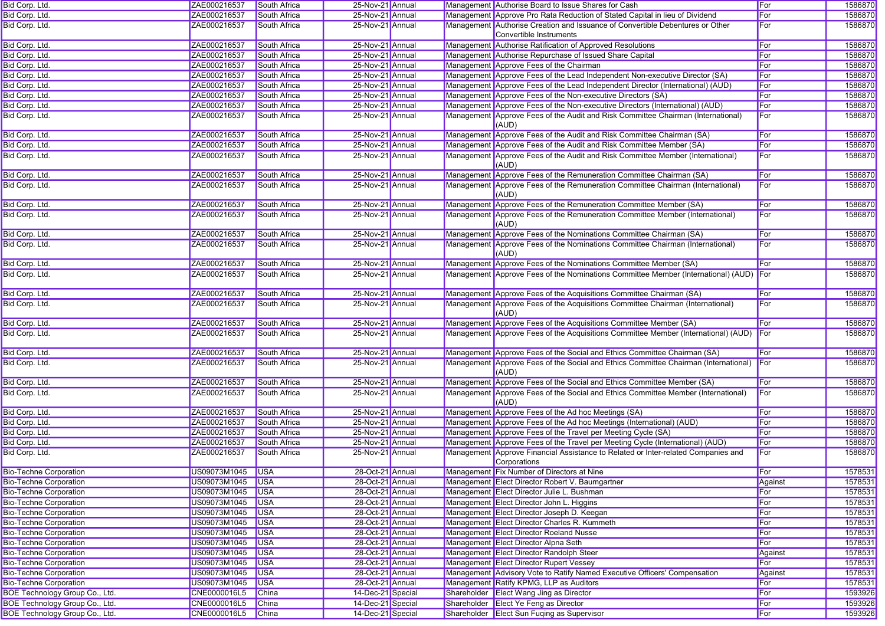| Bid Corp. Ltd.                 | ZAE000216537       | South Africa        | 25-Nov-21 Annual  |  | Management Authorise Board to Issue Shares for Cash                                                      | For            | 1586870 |
|--------------------------------|--------------------|---------------------|-------------------|--|----------------------------------------------------------------------------------------------------------|----------------|---------|
| Bid Corp. Ltd.                 | ZAE000216537       | South Africa        | 25-Nov-21 Annual  |  | Management Approve Pro Rata Reduction of Stated Capital in lieu of Dividend                              | For            | 1586870 |
| Bid Corp. Ltd.                 | ZAE000216537       | South Africa        | 25-Nov-21 Annual  |  | Management Authorise Creation and Issuance of Convertible Debentures or Other<br>Convertible Instruments | For            | 1586870 |
| Bid Corp. Ltd.                 | ZAE000216537       | South Africa        | 25-Nov-21 Annual  |  | Management Authorise Ratification of Approved Resolutions                                                | For            | 1586870 |
| Bid Corp. Ltd.                 | ZAE000216537       | South Africa        | 25-Nov-21 Annual  |  | Management Authorise Repurchase of Issued Share Capital                                                  | For            | 1586870 |
| Bid Corp. Ltd.                 | ZAE000216537       | South Africa        | 25-Nov-21 Annual  |  | Management Approve Fees of the Chairman                                                                  | For            | 1586870 |
| Bid Corp. Ltd.                 | ZAE000216537       | South Africa        | 25-Nov-21 Annual  |  | Management Approve Fees of the Lead Independent Non-executive Director (SA)                              | For            | 1586870 |
| Bid Corp. Ltd.                 | ZAE000216537       | South Africa        | 25-Nov-21 Annual  |  | Management Approve Fees of the Lead Independent Director (International) (AUD)                           | For            | 1586870 |
| Bid Corp. Ltd.                 | ZAE000216537       | South Africa        | 25-Nov-21 Annual  |  | Management Approve Fees of the Non-executive Directors (SA)                                              | For            | 1586870 |
| Bid Corp. Ltd.                 | ZAE000216537       | South Africa        | 25-Nov-21 Annual  |  | Management Approve Fees of the Non-executive Directors (International) (AUD)                             | For            | 1586870 |
| Bid Corp. Ltd.                 | ZAE000216537       | South Africa        | 25-Nov-21 Annual  |  | Management Approve Fees of the Audit and Risk Committee Chairman (International)<br>(AUD)                | For            | 1586870 |
| Bid Corp. Ltd.                 | ZAE000216537       | South Africa        | 25-Nov-21 Annual  |  | Management Approve Fees of the Audit and Risk Committee Chairman (SA)                                    | For            | 1586870 |
| Bid Corp. Ltd.                 | ZAE000216537       | South Africa        | 25-Nov-21 Annual  |  | Management Approve Fees of the Audit and Risk Committee Member (SA)                                      | For            | 1586870 |
| Bid Corp. Ltd.                 | ZAE000216537       | South Africa        | 25-Nov-21 Annual  |  | Management Approve Fees of the Audit and Risk Committee Member (International)<br>(AUD)                  | For            | 1586870 |
| Bid Corp. Ltd.                 | ZAE000216537       | South Africa        | 25-Nov-21 Annual  |  | Management Approve Fees of the Remuneration Committee Chairman (SA)                                      | For            | 1586870 |
| Bid Corp. Ltd.                 | ZAE000216537       | South Africa        | 25-Nov-21 Annual  |  | Management Approve Fees of the Remuneration Committee Chairman (International)<br>(AUD)                  | For            | 1586870 |
| Bid Corp. Ltd.                 | ZAE000216537       | South Africa        | 25-Nov-21 Annual  |  | Management Approve Fees of the Remuneration Committee Member (SA)                                        | For            | 1586870 |
| Bid Corp. Ltd.                 | ZAE000216537       | South Africa        | 25-Nov-21 Annual  |  | Management Approve Fees of the Remuneration Committee Member (International)<br>(AUD)                    | For            | 1586870 |
| Bid Corp. Ltd.                 | ZAE000216537       | South Africa        | 25-Nov-21 Annual  |  | Management Approve Fees of the Nominations Committee Chairman (SA)                                       | For            | 1586870 |
| Bid Corp. Ltd.                 | ZAE000216537       | South Africa        | 25-Nov-21 Annual  |  | Management Approve Fees of the Nominations Committee Chairman (International)<br>(AUD)                   | For            | 1586870 |
| Bid Corp. Ltd.                 | ZAE000216537       | <b>South Africa</b> | 25-Nov-21 Annual  |  | Management Approve Fees of the Nominations Committee Member (SA)                                         | For            | 1586870 |
| Bid Corp. Ltd.                 | ZAE000216537       | South Africa        | 25-Nov-21 Annual  |  | Management Approve Fees of the Nominations Committee Member (International) (AUD) For                    |                | 1586870 |
| Bid Corp. Ltd.                 | ZAE000216537       | South Africa        | 25-Nov-21 Annual  |  | Management Approve Fees of the Acquisitions Committee Chairman (SA)                                      | For            | 1586870 |
| Bid Corp. Ltd.                 | ZAE000216537       | South Africa        | 25-Nov-21 Annual  |  | Management Approve Fees of the Acquisitions Committee Chairman (International)<br>(AUD)                  | For            | 1586870 |
| Bid Corp. Ltd.                 | ZAE000216537       | South Africa        | 25-Nov-21 Annual  |  | Management Approve Fees of the Acquisitions Committee Member (SA)                                        | For            | 1586870 |
| Bid Corp. Ltd.                 | ZAE000216537       | South Africa        | 25-Nov-21 Annual  |  | Management Approve Fees of the Acquisitions Committee Member (International) (AUD)                       | For            | 1586870 |
| Bid Corp. Ltd.                 | ZAE000216537       | South Africa        | 25-Nov-21 Annual  |  | Management Approve Fees of the Social and Ethics Committee Chairman (SA)                                 | For            | 1586870 |
| Bid Corp. Ltd.                 | ZAE000216537       | South Africa        | 25-Nov-21 Annual  |  | Management Approve Fees of the Social and Ethics Committee Chairman (International)<br>(AUD)             | $\mathsf{For}$ | 1586870 |
| Bid Corp. Ltd.                 | ZAE000216537       | South Africa        | 25-Nov-21 Annual  |  | Management Approve Fees of the Social and Ethics Committee Member (SA)                                   | For            | 1586870 |
| Bid Corp. Ltd.                 | ZAE000216537       | South Africa        | 25-Nov-21 Annual  |  | Management Approve Fees of the Social and Ethics Committee Member (International)<br>(AUD)               | For            | 1586870 |
| Bid Corp. Ltd.                 | ZAE000216537       | South Africa        | 25-Nov-21 Annual  |  | Management Approve Fees of the Ad hoc Meetings (SA)                                                      | For            | 1586870 |
| Bid Corp. Ltd.                 | ZAE000216537       | South Africa        | 25-Nov-21 Annual  |  | Management Approve Fees of the Ad hoc Meetings (International) (AUD)                                     | For            | 1586870 |
| Bid Corp. Ltd.                 | ZAE000216537       | South Africa        | 25-Nov-21 Annual  |  | Management Approve Fees of the Travel per Meeting Cycle (SA)                                             | For            | 1586870 |
| Bid Corp. Ltd.                 | ZAE000216537       | South Africa        | 25-Nov-21 Annual  |  | Management Approve Fees of the Travel per Meeting Cycle (International) (AUD)                            | For            | 1586870 |
| Bid Corp. Ltd.                 | ZAE000216537       | South Africa        | 25-Nov-21 Annual  |  | Management Approve Financial Assistance to Related or Inter-related Companies and<br>Corporations        | For            | 1586870 |
| <b>Bio-Techne Corporation</b>  | US09073M1045 USA   |                     | 28-Oct-21 Annual  |  | Management Fix Number of Directors at Nine                                                               | For            | 1578531 |
| <b>Bio-Techne Corporation</b>  | US09073M1045 USA   |                     | 28-Oct-21 Annual  |  | Management Elect Director Robert V. Baumgartner                                                          | Against        | 1578531 |
| <b>Bio-Techne Corporation</b>  | US09073M1045 USA   |                     | 28-Oct-21 Annual  |  | Management Elect Director Julie L. Bushman                                                               | For            | 1578531 |
| <b>Bio-Techne Corporation</b>  | US09073M1045       | <b>USA</b>          | 28-Oct-21 Annual  |  | Management Elect Director John L. Higgins                                                                | <b>For</b>     | 1578531 |
| <b>Bio-Techne Corporation</b>  | US09073M1045       | <b>USA</b>          | 28-Oct-21 Annual  |  | Management Elect Director Joseph D. Keegan                                                               | <b>For</b>     | 1578531 |
| <b>Bio-Techne Corporation</b>  | US09073M1045 USA   |                     | 28-Oct-21 Annual  |  | Management Elect Director Charles R. Kummeth                                                             | For            | 1578531 |
| <b>Bio-Techne Corporation</b>  | US09073M1045 USA   |                     | 28-Oct-21 Annual  |  | Management Elect Director Roeland Nusse                                                                  | ∥For           | 1578531 |
| <b>Bio-Techne Corporation</b>  | US09073M1045       | <b>USA</b>          | 28-Oct-21 Annual  |  | Management Elect Director Alpna Seth                                                                     | For            | 1578531 |
| <b>Bio-Techne Corporation</b>  | US09073M1045       | <b>USA</b>          | 28-Oct-21 Annual  |  | Management Elect Director Randolph Steer                                                                 | Against        | 1578531 |
| <b>Bio-Techne Corporation</b>  | US09073M1045       | <b>USA</b>          | 28-Oct-21 Annual  |  | Management Elect Director Rupert Vessey                                                                  | For            | 1578531 |
| <b>Bio-Techne Corporation</b>  | US09073M1045 USA   |                     | 28-Oct-21 Annual  |  | Management Advisory Vote to Ratify Named Executive Officers' Compensation                                | Against        | 1578531 |
| <b>Bio-Techne Corporation</b>  | US09073M1045 USA   |                     | 28-Oct-21 Annual  |  | Management Ratify KPMG, LLP as Auditors                                                                  | <b>For</b>     | 1578531 |
| BOE Technology Group Co., Ltd. | CNE0000016L5       | China               | 14-Dec-21 Special |  | Shareholder Elect Wang Jing as Director                                                                  | For            | 1593926 |
| BOE Technology Group Co., Ltd. | CNE0000016L5       | China               | 14-Dec-21 Special |  | Shareholder Elect Ye Feng as Director                                                                    | <b>For</b>     | 1593926 |
| BOE Technology Group Co., Ltd. | CNE0000016L5 China |                     | 14-Dec-21 Special |  | Shareholder Elect Sun Fuqing as Supervisor                                                               | <b>For</b>     | 1593926 |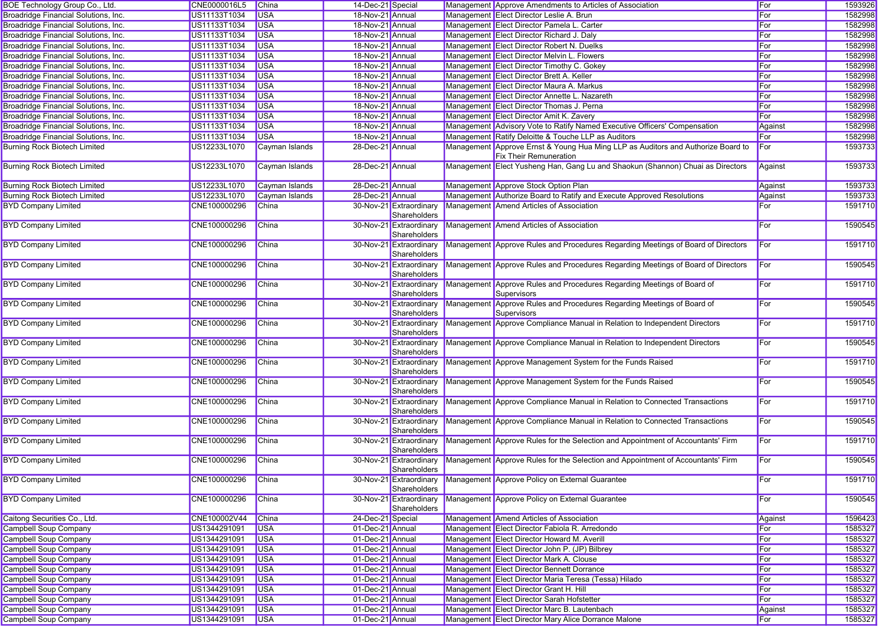| BOE Technology Group Co., Ltd.       | CNE0000016L5 | China          | 14-Dec-21 Special |                                         | Management Approve Amendments to Articles of Association                                                          | For     | 1593926 |
|--------------------------------------|--------------|----------------|-------------------|-----------------------------------------|-------------------------------------------------------------------------------------------------------------------|---------|---------|
| Broadridge Financial Solutions, Inc. | US11133T1034 | <b>USA</b>     | 18-Nov-21 Annual  |                                         | Management Elect Director Leslie A. Brun                                                                          | For     | 1582998 |
| Broadridge Financial Solutions, Inc. | US11133T1034 | <b>USA</b>     | 18-Nov-21 Annual  |                                         | Management Elect Director Pamela L. Carter                                                                        | For     | 1582998 |
| Broadridge Financial Solutions, Inc. | US11133T1034 | <b>USA</b>     | 18-Nov-21 Annual  |                                         | Management Elect Director Richard J. Daly                                                                         | For     | 1582998 |
| Broadridge Financial Solutions, Inc. | US11133T1034 | <b>USA</b>     | 18-Nov-21 Annual  |                                         | Management Elect Director Robert N. Duelks                                                                        | For     | 1582998 |
| Broadridge Financial Solutions, Inc. | US11133T1034 | <b>USA</b>     | 18-Nov-21 Annual  |                                         | Management Elect Director Melvin L. Flowers                                                                       | For     | 1582998 |
| Broadridge Financial Solutions, Inc. | US11133T1034 | <b>USA</b>     | 18-Nov-21 Annual  |                                         | Management Elect Director Timothy C. Gokey                                                                        | For     | 1582998 |
| Broadridge Financial Solutions, Inc. | US11133T1034 | <b>USA</b>     | 18-Nov-21 Annual  |                                         | Management Elect Director Brett A. Keller                                                                         | For     | 1582998 |
| Broadridge Financial Solutions, Inc. | US11133T1034 | <b>USA</b>     | 18-Nov-21 Annual  |                                         | Management Elect Director Maura A. Markus                                                                         | For     | 1582998 |
| Broadridge Financial Solutions, Inc. | US11133T1034 | <b>USA</b>     | 18-Nov-21 Annual  |                                         | Management Elect Director Annette L. Nazareth                                                                     | For     | 1582998 |
| Broadridge Financial Solutions, Inc. | US11133T1034 | <b>USA</b>     | 18-Nov-21 Annual  |                                         | Management Elect Director Thomas J. Perna                                                                         | For     | 1582998 |
| Broadridge Financial Solutions, Inc. | US11133T1034 | <b>USA</b>     | 18-Nov-21 Annual  |                                         | Management Elect Director Amit K. Zavery                                                                          | For     | 1582998 |
| Broadridge Financial Solutions, Inc. | US11133T1034 | <b>USA</b>     | 18-Nov-21 Annual  |                                         | Management Advisory Vote to Ratify Named Executive Officers' Compensation                                         | Against | 1582998 |
| Broadridge Financial Solutions, Inc. | US11133T1034 | <b>USA</b>     | 18-Nov-21 Annual  |                                         | Management Ratify Deloitte & Touche LLP as Auditors                                                               | For     | 1582998 |
| <b>Burning Rock Biotech Limited</b>  | US12233L1070 | Cayman Islands | 28-Dec-21 Annual  |                                         | Management Approve Ernst & Young Hua Ming LLP as Auditors and Authorize Board to<br><b>Fix Their Remuneration</b> | For     | 1593733 |
| <b>Burning Rock Biotech Limited</b>  | US12233L1070 | Cayman Islands | 28-Dec-21 Annual  |                                         | Management Elect Yusheng Han, Gang Lu and Shaokun (Shannon) Chuai as Directors                                    | Against | 1593733 |
| <b>Burning Rock Biotech Limited</b>  | US12233L1070 | Cayman Islands | 28-Dec-21 Annual  |                                         | Management Approve Stock Option Plan                                                                              | Against | 1593733 |
| <b>Burning Rock Biotech Limited</b>  | US12233L1070 | Cayman Islands | 28-Dec-21 Annual  |                                         | Management Authorize Board to Ratify and Execute Approved Resolutions                                             | Against | 1593733 |
| <b>BYD Company Limited</b>           | CNE100000296 | China          |                   | 30-Nov-21 Extraordinary<br>Shareholders | Management Amend Articles of Association                                                                          | For     | 1591710 |
| <b>BYD Company Limited</b>           | CNE100000296 | China          |                   | 30-Nov-21 Extraordinary<br>Shareholders | Management Amend Articles of Association                                                                          | For     | 1590545 |
| <b>BYD Company Limited</b>           | CNE100000296 | China          |                   | 30-Nov-21 Extraordinary<br>Shareholders | Management Approve Rules and Procedures Regarding Meetings of Board of Directors                                  | For     | 1591710 |
| <b>BYD Company Limited</b>           | CNE100000296 | China          |                   | 30-Nov-21 Extraordinary<br>Shareholders | Management Approve Rules and Procedures Regarding Meetings of Board of Directors                                  | For     | 1590545 |
| <b>BYD Company Limited</b>           | CNE100000296 | China          |                   | 30-Nov-21 Extraordinary<br>Shareholders | Management Approve Rules and Procedures Regarding Meetings of Board of<br>Supervisors                             | For     | 1591710 |
| <b>BYD Company Limited</b>           | CNE100000296 | China          |                   | 30-Nov-21 Extraordinary<br>Shareholders | Management Approve Rules and Procedures Regarding Meetings of Board of<br>Supervisors                             | For     | 1590545 |
| <b>BYD Company Limited</b>           | CNE100000296 | China          |                   | 30-Nov-21 Extraordinary<br>Shareholders | Management Approve Compliance Manual in Relation to Independent Directors                                         | For     | 1591710 |
| <b>BYD Company Limited</b>           | CNE100000296 | China          |                   | 30-Nov-21 Extraordinary<br>Shareholders | Management Approve Compliance Manual in Relation to Independent Directors                                         | For     | 1590545 |
| <b>BYD Company Limited</b>           | CNE100000296 | <b>China</b>   |                   | 30-Nov-21 Extraordinary<br>Shareholders | Management Approve Management System for the Funds Raised                                                         | For     | 1591710 |
| <b>BYD Company Limited</b>           | CNE100000296 | China          |                   | 30-Nov-21 Extraordinary<br>Shareholders | Management Approve Management System for the Funds Raised                                                         | For     | 1590545 |
| <b>BYD Company Limited</b>           | CNE100000296 | China          |                   | 30-Nov-21 Extraordinary<br>Shareholders | Management Approve Compliance Manual in Relation to Connected Transactions                                        | For     | 1591710 |
| <b>BYD Company Limited</b>           | CNE100000296 | China          |                   | 30-Nov-21 Extraordinary<br>Shareholders | Management Approve Compliance Manual in Relation to Connected Transactions                                        | For     | 1590545 |
| <b>BYD Company Limited</b>           | CNE100000296 | China          |                   | 30-Nov-21 Extraordinary<br>Shareholders | Management Approve Rules for the Selection and Appointment of Accountants' Firm                                   | For     | 1591710 |
| <b>BYD Company Limited</b>           | CNE100000296 | China          |                   | 30-Nov-21 Extraordinary<br>Shareholders | Management Approve Rules for the Selection and Appointment of Accountants' Firm                                   | For     | 1590545 |
| <b>BYD Company Limited</b>           | CNE100000296 | <b>China</b>   |                   | Shareholders                            | 30-Nov-21 Extraordinary Management Approve Policy on External Guarantee                                           | For     | 1591710 |
| <b>BYD Company Limited</b>           | CNE100000296 | China          |                   | 30-Nov-21 Extraordinary<br>Shareholders | Management Approve Policy on External Guarantee                                                                   | For     | 1590545 |
| Caitong Securities Co., Ltd.         | CNE100002V44 | China          | 24-Dec-21 Special |                                         | Management Amend Articles of Association                                                                          | Against | 1596423 |
| <b>Campbell Soup Company</b>         | US1344291091 | <b>USA</b>     | 01-Dec-21 Annual  |                                         | Management Elect Director Fabiola R. Arredondo                                                                    | For     | 1585327 |
| <b>Campbell Soup Company</b>         | US1344291091 | <b>USA</b>     | 01-Dec-21 Annual  |                                         | Management Elect Director Howard M. Averill                                                                       | For     | 1585327 |
| <b>Campbell Soup Company</b>         | US1344291091 | <b>USA</b>     | 01-Dec-21 Annual  |                                         | Management Elect Director John P. (JP) Bilbrey                                                                    | For     | 1585327 |
| <b>Campbell Soup Company</b>         | US1344291091 | <b>USA</b>     | 01-Dec-21 Annual  |                                         | Management Elect Director Mark A. Clouse                                                                          | For     | 1585327 |
| <b>Campbell Soup Company</b>         | US1344291091 | <b>USA</b>     | 01-Dec-21 Annual  |                                         | Management Elect Director Bennett Dorrance                                                                        | For     | 1585327 |
| <b>Campbell Soup Company</b>         | US1344291091 | <b>USA</b>     | 01-Dec-21 Annual  |                                         | Management Elect Director Maria Teresa (Tessa) Hilado                                                             | For     | 1585327 |
| Campbell Soup Company                | US1344291091 | <b>USA</b>     | 01-Dec-21 Annual  |                                         | Management Elect Director Grant H. Hill                                                                           | For     | 1585327 |
| <b>Campbell Soup Company</b>         | US1344291091 | <b>USA</b>     | 01-Dec-21 Annual  |                                         | Management Elect Director Sarah Hofstetter                                                                        | For     | 1585327 |
| <b>Campbell Soup Company</b>         | US1344291091 | <b>USA</b>     | 01-Dec-21 Annual  |                                         | Management Elect Director Marc B. Lautenbach                                                                      | Against | 1585327 |
| <b>Campbell Soup Company</b>         | US1344291091 | <b>USA</b>     | 01-Dec-21 Annual  |                                         | Management Elect Director Mary Alice Dorrance Malone                                                              | For     | 1585327 |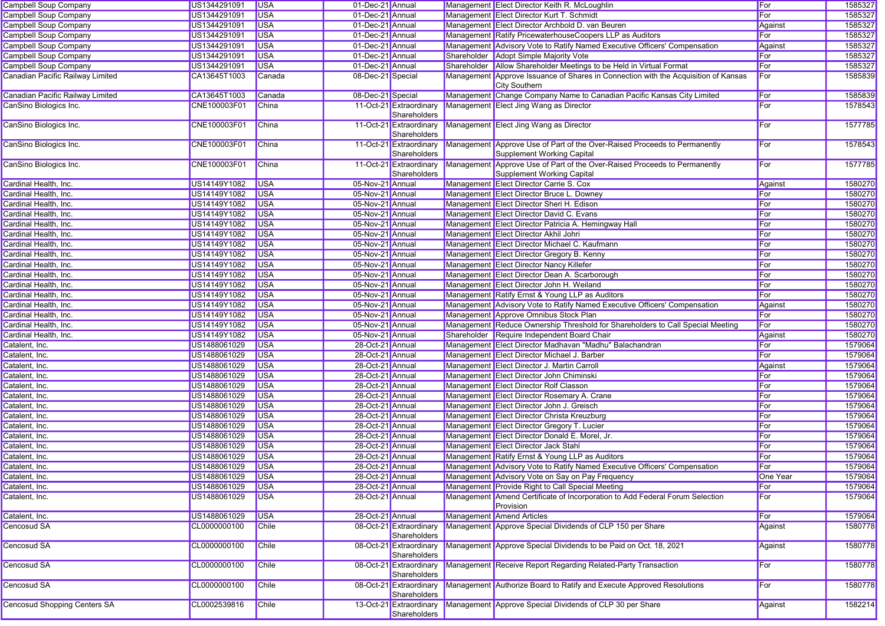| Campbell Soup Company               | US1344291091 | <b>USA</b>   | 01-Dec-21 Annual  |                                         | Management Elect Director Keith R. McLoughlin                                                                                   | For      | 1585327 |
|-------------------------------------|--------------|--------------|-------------------|-----------------------------------------|---------------------------------------------------------------------------------------------------------------------------------|----------|---------|
| <b>Campbell Soup Company</b>        | US1344291091 | <b>USA</b>   | 01-Dec-21 Annual  |                                         | Management Elect Director Kurt T. Schmidt                                                                                       | For      | 1585327 |
| Campbell Soup Company               | US1344291091 | <b>USA</b>   | 01-Dec-21 Annual  |                                         | Management Elect Director Archbold D. van Beuren                                                                                | Against  | 1585327 |
| <b>Campbell Soup Company</b>        | US1344291091 | <b>USA</b>   | 01-Dec-21 Annual  |                                         | Management Ratify PricewaterhouseCoopers LLP as Auditors                                                                        | For      | 1585327 |
| <b>Campbell Soup Company</b>        | US1344291091 | <b>USA</b>   | 01-Dec-21 Annual  |                                         | Management Advisory Vote to Ratify Named Executive Officers' Compensation                                                       | Against  | 1585327 |
| <b>Campbell Soup Company</b>        | US1344291091 | <b>USA</b>   | 01-Dec-21 Annual  |                                         | Shareholder Adopt Simple Majority Vote                                                                                          | For      | 1585327 |
| <b>Campbell Soup Company</b>        | US1344291091 | <b>USA</b>   | 01-Dec-21 Annual  |                                         | Shareholder   Allow Shareholder Meetings to be Held in Virtual Format                                                           | For      | 1585327 |
| Canadian Pacific Railway Limited    | CA13645T1003 | Canada       | 08-Dec-21 Special |                                         | Management Approve Issuance of Shares in Connection with the Acquisition of Kansas<br>City Southern                             | For      | 1585839 |
| Canadian Pacific Railway Limited    | CA13645T1003 | Canada       | 08-Dec-21 Special |                                         | Management Change Company Name to Canadian Pacific Kansas City Limited                                                          | For      | 1585839 |
| CanSino Biologics Inc.              | CNE100003F01 | China        |                   | 11-Oct-21 Extraordinary<br>Shareholders | Management Elect Jing Wang as Director                                                                                          | For      | 1578543 |
| CanSino Biologics Inc.              | CNE100003F01 | China        |                   | 11-Oct-21 Extraordinary<br>Shareholders | Management Elect Jing Wang as Director                                                                                          | For      | 1577785 |
| CanSino Biologics Inc.              | CNE100003F01 | <b>China</b> |                   | 11-Oct-21 Extraordinary<br>Shareholders | Management Approve Use of Part of the Over-Raised Proceeds to Permanently<br>Supplement Working Capital                         | For      | 1578543 |
| CanSino Biologics Inc.              | CNE100003F01 | <b>China</b> |                   | Shareholders                            | 11-Oct-21 Extraordinary Management Approve Use of Part of the Over-Raised Proceeds to Permanently<br>Supplement Working Capital | For      | 1577785 |
| Cardinal Health, Inc.               | US14149Y1082 | <b>USA</b>   | 05-Nov-21 Annual  |                                         | Management Elect Director Carrie S. Cox                                                                                         | Against  | 1580270 |
| Cardinal Health, Inc.               | US14149Y1082 | <b>USA</b>   | 05-Nov-21 Annual  |                                         | Management Elect Director Bruce L. Downey                                                                                       | For      | 1580270 |
| Cardinal Health, Inc.               | US14149Y1082 | <b>USA</b>   | 05-Nov-21 Annual  |                                         | Management Elect Director Sheri H. Edison                                                                                       | For      | 1580270 |
| Cardinal Health, Inc.               | US14149Y1082 | <b>USA</b>   | 05-Nov-21 Annual  |                                         | Management Elect Director David C. Evans                                                                                        | For      | 1580270 |
| Cardinal Health, Inc.               | US14149Y1082 | <b>USA</b>   | 05-Nov-21 Annual  |                                         | Management Elect Director Patricia A. Hemingway Hall                                                                            | For      | 1580270 |
| Cardinal Health, Inc.               | US14149Y1082 | <b>USA</b>   | 05-Nov-21 Annual  |                                         | Management Elect Director Akhil Johri                                                                                           | For      | 1580270 |
| Cardinal Health, Inc.               | US14149Y1082 | <b>USA</b>   | 05-Nov-21 Annual  |                                         | Management Elect Director Michael C. Kaufmann                                                                                   | For      | 1580270 |
| Cardinal Health, Inc.               | US14149Y1082 | <b>USA</b>   | 05-Nov-21 Annual  |                                         | Management Elect Director Gregory B. Kenny                                                                                      | For      | 1580270 |
| Cardinal Health, Inc.               | US14149Y1082 | <b>USA</b>   | 05-Nov-21 Annual  |                                         | Management Elect Director Nancy Killefer                                                                                        | For      | 1580270 |
| Cardinal Health, Inc.               | US14149Y1082 | <b>USA</b>   | 05-Nov-21 Annual  |                                         | Management Elect Director Dean A. Scarborough                                                                                   | For      | 1580270 |
| Cardinal Health, Inc.               | US14149Y1082 | <b>USA</b>   | 05-Nov-21 Annual  |                                         | Management Elect Director John H. Weiland                                                                                       | For      | 1580270 |
| Cardinal Health, Inc.               | US14149Y1082 | <b>USA</b>   | 05-Nov-21 Annual  |                                         | Management Ratify Ernst & Young LLP as Auditors                                                                                 | For      | 1580270 |
| Cardinal Health, Inc.               | US14149Y1082 | <b>USA</b>   | 05-Nov-21 Annual  |                                         | Management Advisory Vote to Ratify Named Executive Officers' Compensation                                                       | Against  | 1580270 |
| Cardinal Health, Inc.               | US14149Y1082 | <b>USA</b>   | 05-Nov-21 Annual  |                                         | Management Approve Omnibus Stock Plan                                                                                           | For      | 1580270 |
| Cardinal Health, Inc.               | US14149Y1082 | <b>USA</b>   | 05-Nov-21 Annual  |                                         | Management Reduce Ownership Threshold for Shareholders to Call Special Meeting                                                  | For      | 1580270 |
| Cardinal Health, Inc.               | US14149Y1082 | <b>USA</b>   | 05-Nov-21 Annual  |                                         | Shareholder Require Independent Board Chair                                                                                     | Against  | 1580270 |
| Catalent, Inc.                      | US1488061029 | <b>USA</b>   | 28-Oct-21 Annual  |                                         | Management Elect Director Madhavan "Madhu" Balachandran                                                                         | For      | 1579064 |
| Catalent, Inc.                      | US1488061029 | <b>USA</b>   | 28-Oct-21 Annual  |                                         | Management Elect Director Michael J. Barber                                                                                     | For      | 1579064 |
| Catalent, Inc.                      | US1488061029 | <b>USA</b>   | 28-Oct-21 Annual  |                                         | Management Elect Director J. Martin Carroll                                                                                     | Against  | 1579064 |
| Catalent, Inc.                      | US1488061029 | <b>USA</b>   | 28-Oct-21 Annual  |                                         | Management Elect Director John Chiminski                                                                                        | For      | 1579064 |
| Catalent, Inc.                      | US1488061029 | <b>USA</b>   | 28-Oct-21 Annual  |                                         | Management Elect Director Rolf Classon                                                                                          | For      | 1579064 |
| Catalent, Inc.                      | US1488061029 | <b>USA</b>   | 28-Oct-21 Annual  |                                         | Management Elect Director Rosemary A. Crane                                                                                     | For      | 1579064 |
| Catalent, Inc.                      | US1488061029 | <b>USA</b>   | 28-Oct-21 Annual  |                                         | Management Elect Director John J. Greisch                                                                                       | For      | 1579064 |
| Catalent, Inc.                      | US1488061029 | <b>USA</b>   | 28-Oct-21 Annual  |                                         | Management Elect Director Christa Kreuzburg                                                                                     | For      | 1579064 |
| Catalent, Inc.                      | US1488061029 | <b>USA</b>   | 28-Oct-21 Annual  |                                         | Management Elect Director Gregory T. Lucier                                                                                     | For      | 1579064 |
| Catalent, Inc.                      | US1488061029 | <b>USA</b>   | 28-Oct-21 Annual  |                                         | Management Elect Director Donald E. Morel, Jr.                                                                                  | For      | 1579064 |
| Catalent, Inc.                      | US1488061029 | <b>USA</b>   | 28-Oct-21 Annual  |                                         | Management Elect Director Jack Stahl                                                                                            | For      | 1579064 |
| Catalent, Inc.                      | US1488061029 | <b>USA</b>   | 28-Oct-21 Annual  |                                         | Management Ratify Ernst & Young LLP as Auditors                                                                                 | For      | 1579064 |
| Catalent, Inc.                      | US1488061029 | <b>USA</b>   | 28-Oct-21 Annual  |                                         | Management Advisory Vote to Ratify Named Executive Officers' Compensation                                                       | For      | 1579064 |
| Catalent, Inc.                      | US1488061029 | <b>USA</b>   | 28-Oct-21 Annual  |                                         | Management Advisory Vote on Say on Pay Frequency                                                                                | One Year | 1579064 |
| Catalent, Inc.                      | US1488061029 | <b>USA</b>   | 28-Oct-21 Annual  |                                         | Management Provide Right to Call Special Meeting                                                                                | For      | 1579064 |
| Catalent, Inc.                      | US1488061029 | <b>USA</b>   | 28-Oct-21 Annual  |                                         | Management Amend Certificate of Incorporation to Add Federal Forum Selection<br>Provision                                       | For      | 1579064 |
| Catalent, Inc.                      | US1488061029 | <b>USA</b>   | 28-Oct-21 Annual  |                                         | Management Amend Articles                                                                                                       | For      | 1579064 |
| Cencosud SA                         | CL0000000100 | <b>Chile</b> |                   | 08-Oct-21 Extraordinary<br>Shareholders | Management Approve Special Dividends of CLP 150 per Share                                                                       | Against  | 1580778 |
| Cencosud SA                         | CL0000000100 | Chile        |                   | 08-Oct-21 Extraordinary<br>Shareholders | Management Approve Special Dividends to be Paid on Oct. 18, 2021                                                                | Against  | 1580778 |
| Cencosud SA                         | CL0000000100 | Chile        |                   | 08-Oct-21 Extraordinary<br>Shareholders | Management Receive Report Regarding Related-Party Transaction                                                                   | For      | 1580778 |
| Cencosud SA                         | CL0000000100 | Chile        |                   | 08-Oct-21 Extraordinary<br>Shareholders | Management Authorize Board to Ratify and Execute Approved Resolutions                                                           | For      | 1580778 |
| <b>Cencosud Shopping Centers SA</b> | CL0002539816 | <b>Chile</b> |                   | 13-Oct-21 Extraordinary<br>Shareholders | Management Approve Special Dividends of CLP 30 per Share                                                                        | Against  | 1582214 |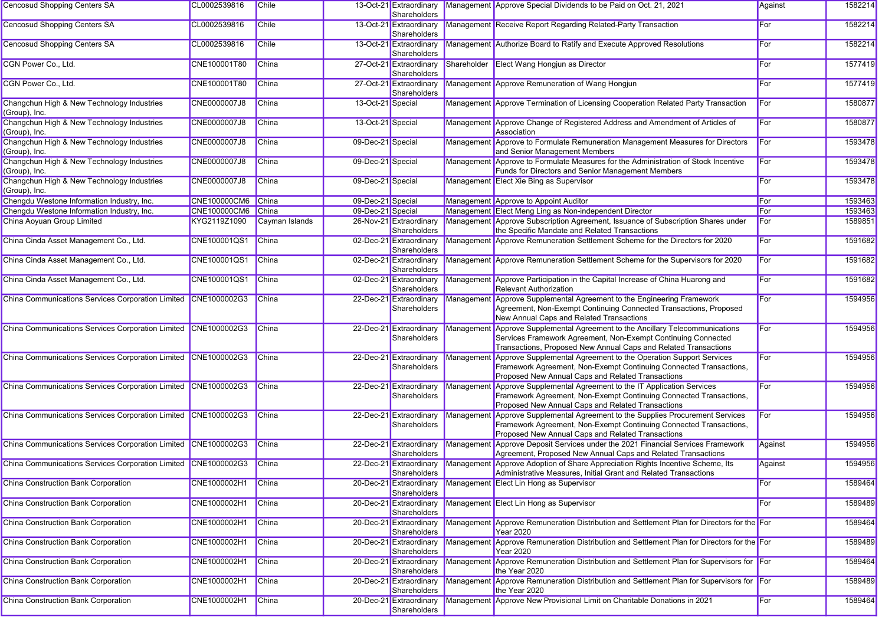| <b>Cencosud Shopping Centers SA</b>                            | CL0002539816        | <b>Chile</b>   |                   | 13-Oct-21 Extraordinary<br>Shareholders |           | Management Approve Special Dividends to be Paid on Oct. 21, 2021                                                                                                                                                  | Against | 1582214 |
|----------------------------------------------------------------|---------------------|----------------|-------------------|-----------------------------------------|-----------|-------------------------------------------------------------------------------------------------------------------------------------------------------------------------------------------------------------------|---------|---------|
| <b>Cencosud Shopping Centers SA</b>                            | CL0002539816        | <b>Chile</b>   |                   | 13-Oct-21 Extraordinary<br>Shareholders |           | Management Receive Report Regarding Related-Party Transaction                                                                                                                                                     | For     | 1582214 |
| <b>Cencosud Shopping Centers SA</b>                            | CL0002539816        | Chile          |                   | 13-Oct-21 Extraordinary<br>Shareholders |           | Management Authorize Board to Ratify and Execute Approved Resolutions                                                                                                                                             | For     | 1582214 |
| CGN Power Co., Ltd.                                            | CNE100001T80        | <b>China</b>   |                   | 27-Oct-21 Extraordinary<br>Shareholders |           | Shareholder Elect Wang Hongjun as Director                                                                                                                                                                        | For     | 1577419 |
| CGN Power Co., Ltd.                                            | CNE100001T80        | China          |                   | 27-Oct-21 Extraordinary<br>Shareholders |           | Management Approve Remuneration of Wang Hongjun                                                                                                                                                                   | For     | 1577419 |
| Changchun High & New Technology Industries<br>(Group), Inc.    | CNE0000007J8        | China          | 13-Oct-21 Special |                                         |           | Management Approve Termination of Licensing Cooperation Related Party Transaction                                                                                                                                 | For     | 1580877 |
| Changchun High & New Technology Industries<br>(Group), Inc.    | <b>CNE0000007J8</b> | China          | 13-Oct-21 Special |                                         |           | Management Approve Change of Registered Address and Amendment of Articles of<br>Association                                                                                                                       | For     | 1580877 |
| Changchun High & New Technology Industries<br>(Group), Inc.    | CNE0000007J8        | <b>China</b>   | 09-Dec-21 Special |                                         | Managemen | Approve to Formulate Remuneration Management Measures for Directors<br>and Senior Management Members                                                                                                              | For     | 1593478 |
| Changchun High & New Technology Industries<br>(Group), Inc.    | CNE0000007J8        | <b>China</b>   | 09-Dec-21 Special |                                         |           | Management Approve to Formulate Measures for the Administration of Stock Incentive<br>Funds for Directors and Senior Management Members                                                                           | For     | 1593478 |
| Changchun High & New Technology Industries<br>(Group), Inc.    | CNE0000007J8        | China          | 09-Dec-21 Special |                                         |           | Management Elect Xie Bing as Supervisor                                                                                                                                                                           | For     | 1593478 |
| Chengdu Westone Information Industry, Inc.                     | <b>CNE100000CM6</b> | China          | 09-Dec-21 Special |                                         |           | Management Approve to Appoint Auditor                                                                                                                                                                             | For     | 1593463 |
| Chengdu Westone Information Industry, Inc.                     | <b>CNE100000CM6</b> | China          | 09-Dec-21 Special |                                         |           | Management Elect Meng Ling as Non-independent Director                                                                                                                                                            | For     | 1593463 |
| China Aoyuan Group Limited                                     | KYG2119Z1090        | Cayman Islands |                   | 26-Nov-21 Extraordinary<br>Shareholders |           | Management Approve Subscription Agreement, Issuance of Subscription Shares under<br>the Specific Mandate and Related Transactions                                                                                 | For     | 1589851 |
| China Cinda Asset Management Co., Ltd.                         | CNE100001QS1        | China          |                   | 02-Dec-21 Extraordinary<br>Shareholders |           | Management Approve Remuneration Settlement Scheme for the Directors for 2020                                                                                                                                      | For     | 1591682 |
| China Cinda Asset Management Co., Ltd.                         | CNE100001QS1        | <b>China</b>   |                   | 02-Dec-21 Extraordinary<br>Shareholders |           | Management Approve Remuneration Settlement Scheme for the Supervisors for 2020                                                                                                                                    | For     | 1591682 |
| China Cinda Asset Management Co., Ltd.                         | CNE100001QS1        | China          |                   | 02-Dec-21 Extraordinary<br>Shareholders |           | Management Approve Participation in the Capital Increase of China Huarong and<br><b>Relevant Authorization</b>                                                                                                    | For     | 1591682 |
| China Communications Services Corporation Limited CNE1000002G3 |                     | China          |                   | 22-Dec-21 Extraordinary<br>Shareholders | Managemen | Approve Supplemental Agreement to the Engineering Framework<br>Agreement, Non-Exempt Continuing Connected Transactions, Proposed<br>New Annual Caps and Related Transactions                                      | For     | 1594956 |
| China Communications Services Corporation Limited CNE1000002G3 |                     | China          |                   | 22-Dec-21 Extraordinary<br>Shareholders |           | Management Approve Supplemental Agreement to the Ancillary Telecommunications<br>Services Framework Agreement, Non-Exempt Continuing Connected<br>Transactions, Proposed New Annual Caps and Related Transactions | For     | 1594956 |
| China Communications Services Corporation Limited CNE1000002G3 |                     | China          |                   | 22-Dec-21 Extraordinary<br>Shareholders | Managemen | Approve Supplemental Agreement to the Operation Support Services<br>Framework Agreement, Non-Exempt Continuing Connected Transactions,<br>Proposed New Annual Caps and Related Transactions                       | For     | 1594956 |
| China Communications Services Corporation Limited CNE1000002G3 |                     | <b>China</b>   |                   | 22-Dec-21 Extraordinary<br>Shareholders |           | Management Approve Supplemental Agreement to the IT Application Services<br>Framework Agreement, Non-Exempt Continuing Connected Transactions,<br>Proposed New Annual Caps and Related Transactions               | For     | 1594956 |
| China Communications Services Corporation Limited CNE1000002G3 |                     | China          |                   | 22-Dec-21 Extraordinary<br>Shareholders | Managemen | Approve Supplemental Agreement to the Supplies Procurement Services<br>Framework Agreement, Non-Exempt Continuing Connected Transactions,<br>Proposed New Annual Caps and Related Transactions                    | For     | 1594956 |
| China Communications Services Corporation Limited CNE1000002G3 |                     | China          |                   | 22-Dec-21 Extraordinary<br>Shareholders | Managemen | Approve Deposit Services under the 2021 Financial Services Framework<br>Agreement, Proposed New Annual Caps and Related Transactions                                                                              | Against | 1594956 |
| China Communications Services Corporation Limited CNE1000002G3 |                     | China          |                   | 22-Dec-21 Extraordinary<br>Shareholders |           | Management Approve Adoption of Share Appreciation Rights Incentive Scheme, Its<br>Administrative Measures, Initial Grant and Related Transactions                                                                 | Against | 1594956 |
| <b>China Construction Bank Corporation</b>                     | CNE1000002H1        | <b>China</b>   |                   | Shareholders                            |           | 20-Dec-21 Extraordinary Management Elect Lin Hong as Supervisor                                                                                                                                                   | For     | 1589464 |
| <b>China Construction Bank Corporation</b>                     | CNE1000002H1        | <b>China</b>   |                   | 20-Dec-21 Extraordinary<br>Shareholders |           | Management Elect Lin Hong as Supervisor                                                                                                                                                                           | For     | 1589489 |
| <b>China Construction Bank Corporation</b>                     | CNE1000002H1        | China          |                   | 20-Dec-21 Extraordinary<br>Shareholders |           | Management Approve Remuneration Distribution and Settlement Plan for Directors for the For<br><b>Year 2020</b>                                                                                                    |         | 1589464 |
| <b>China Construction Bank Corporation</b>                     | CNE1000002H1        | <b>China</b>   |                   | 20-Dec-21 Extraordinary<br>Shareholders |           | Management Approve Remuneration Distribution and Settlement Plan for Directors for the For<br><b>Year 2020</b>                                                                                                    |         | 1589489 |
| China Construction Bank Corporation                            | CNE1000002H1        | China          |                   | 20-Dec-21 Extraordinary<br>Shareholders |           | Management Approve Remuneration Distribution and Settlement Plan for Supervisors for For<br>the Year 2020                                                                                                         |         | 1589464 |
| China Construction Bank Corporation                            | CNE1000002H1        | China          |                   | 20-Dec-21 Extraordinary<br>Shareholders |           | Management Approve Remuneration Distribution and Settlement Plan for Supervisors for For<br>the Year 2020                                                                                                         |         | 1589489 |
| China Construction Bank Corporation                            | CNE1000002H1        | <b>China</b>   |                   | 20-Dec-21 Extraordinary<br>Shareholders |           | Management Approve New Provisional Limit on Charitable Donations in 2021                                                                                                                                          | For     | 1589464 |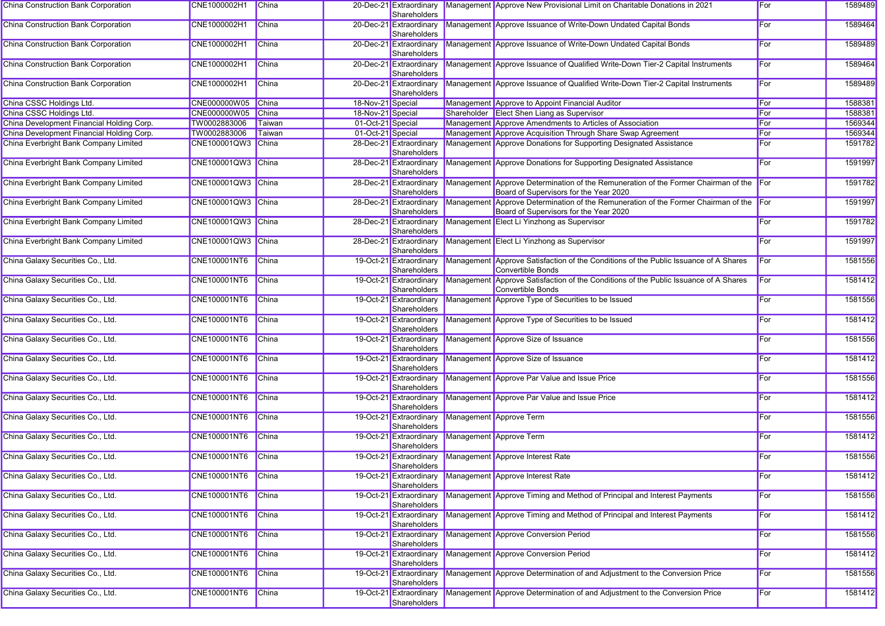| China Construction Bank Corporation       | CNE1000002H1       | China        |                   | 20-Dec-21 Extraordinary<br>Shareholders | Management Approve New Provisional Limit on Charitable Donations in 2021                                                         | For | 1589489 |
|-------------------------------------------|--------------------|--------------|-------------------|-----------------------------------------|----------------------------------------------------------------------------------------------------------------------------------|-----|---------|
| China Construction Bank Corporation       | CNE1000002H1       | China        |                   | 20-Dec-21 Extraordinary<br>Shareholders | Management Approve Issuance of Write-Down Undated Capital Bonds                                                                  | For | 1589464 |
| China Construction Bank Corporation       | CNE1000002H1       | China        |                   | 20-Dec-21 Extraordinary<br>Shareholders | Management Approve Issuance of Write-Down Undated Capital Bonds                                                                  | For | 1589489 |
| China Construction Bank Corporation       | CNE1000002H1       | <b>China</b> |                   | 20-Dec-21 Extraordinary<br>Shareholders | Management Approve Issuance of Qualified Write-Down Tier-2 Capital Instruments                                                   | For | 1589464 |
| China Construction Bank Corporation       | CNE1000002H1       | China        |                   | 20-Dec-21 Extraordinary<br>Shareholders | Management Approve Issuance of Qualified Write-Down Tier-2 Capital Instruments                                                   | For | 1589489 |
| China CSSC Holdings Ltd.                  | CNE000000W05 China |              | 18-Nov-21 Special |                                         | Management Approve to Appoint Financial Auditor                                                                                  | For | 1588381 |
| China CSSC Holdings Ltd.                  | CNE000000W05       | China        | 18-Nov-21 Special |                                         | Shareholder Elect Shen Liang as Supervisor                                                                                       | For | 1588381 |
| China Development Financial Holding Corp. | TW0002883006       | Taiwan       | 01-Oct-21 Special |                                         | Management Approve Amendments to Articles of Association                                                                         | For | 1569344 |
| China Development Financial Holding Corp. | TW0002883006       | Taiwan       | 01-Oct-21 Special |                                         | Management Approve Acquisition Through Share Swap Agreement                                                                      | For | 1569344 |
| China Everbright Bank Company Limited     | CNE100001QW3 China |              |                   | 28-Dec-21 Extraordinary<br>Shareholders | Management Approve Donations for Supporting Designated Assistance                                                                | For | 1591782 |
| China Everbright Bank Company Limited     | CNE100001QW3 China |              |                   | 28-Dec-21 Extraordinary<br>Shareholders | Management Approve Donations for Supporting Designated Assistance                                                                | For | 1591997 |
| China Everbright Bank Company Limited     | CNE100001QW3 China |              |                   | 28-Dec-21 Extraordinary<br>Shareholders | Management Approve Determination of the Remuneration of the Former Chairman of the For<br>Board of Supervisors for the Year 2020 |     | 1591782 |
| China Everbright Bank Company Limited     | CNE100001QW3 China |              |                   | 28-Dec-21 Extraordinary<br>Shareholders | Management Approve Determination of the Remuneration of the Former Chairman of the For<br>Board of Supervisors for the Year 2020 |     | 1591997 |
| China Everbright Bank Company Limited     | CNE100001QW3 China |              |                   | Shareholders                            | 28-Dec-21 Extraordinary   Management   Elect Li Yinzhong as Supervisor                                                           | For | 1591782 |
| China Everbright Bank Company Limited     | CNE100001QW3 China |              |                   | 28-Dec-21 Extraordinary<br>Shareholders | Management Elect Li Yinzhong as Supervisor                                                                                       | For | 1591997 |
| China Galaxy Securities Co., Ltd.         | CNE100001NT6       | China        |                   | 19-Oct-21 Extraordinary<br>Shareholders | Management Approve Satisfaction of the Conditions of the Public Issuance of A Shares<br>Convertible Bonds                        | For | 1581556 |
| China Galaxy Securities Co., Ltd.         | CNE100001NT6       | China        |                   | 19-Oct-21 Extraordinary<br>Shareholders | Management Approve Satisfaction of the Conditions of the Public Issuance of A Shares<br>Convertible Bonds                        | For | 1581412 |
| China Galaxy Securities Co., Ltd.         | CNE100001NT6       | China        |                   | 19-Oct-21 Extraordinary<br>Shareholders | Management Approve Type of Securities to be Issued                                                                               | For | 1581556 |
| China Galaxy Securities Co., Ltd.         | CNE100001NT6       | China        |                   | 19-Oct-21 Extraordinary<br>Shareholders | Management Approve Type of Securities to be Issued                                                                               | For | 1581412 |
| China Galaxy Securities Co., Ltd.         | CNE100001NT6       | China        |                   | 19-Oct-21 Extraordinary<br>Shareholders | Management Approve Size of Issuance                                                                                              | For | 1581556 |
| China Galaxy Securities Co., Ltd.         | CNE100001NT6       | China        |                   | 19-Oct-21 Extraordinary<br>Shareholders | Management Approve Size of Issuance                                                                                              | For | 1581412 |
| China Galaxy Securities Co., Ltd.         | CNE100001NT6       | China        |                   | 19-Oct-21 Extraordinary<br>Shareholders | Management Approve Par Value and Issue Price                                                                                     | For | 1581556 |
| China Galaxy Securities Co., Ltd.         | CNE100001NT6       | China        |                   | 19-Oct-21 Extraordinary<br>Shareholders | Management Approve Par Value and Issue Price                                                                                     | For | 1581412 |
| China Galaxy Securities Co., Ltd.         | CNE100001NT6       | China        |                   | 19-Oct-21 Extraordinary<br>Shareholders | Management Approve Term                                                                                                          | For | 1581556 |
| China Galaxy Securities Co., Ltd.         | CNE100001NT6       | China        |                   | 19-Oct-21 Extraordinary<br>Shareholders | Management Approve Term                                                                                                          | For | 1581412 |
| China Galaxy Securities Co., Ltd.         | CNE100001NT6       | China        |                   | 19-Oct-21 Extraordinary<br>Shareholders | Management Approve Interest Rate                                                                                                 | For | 1581556 |
| China Galaxy Securities Co., Ltd.         | CNE100001NT6 China |              |                   | 19-Oct-21 Extraordinary<br>Shareholders | Management Approve Interest Rate                                                                                                 | For | 1581412 |
| China Galaxy Securities Co., Ltd.         | CNE100001NT6       | China        |                   | 19-Oct-21 Extraordinary<br>Shareholders | Management Approve Timing and Method of Principal and Interest Payments                                                          | For | 1581556 |
| China Galaxy Securities Co., Ltd.         | CNE100001NT6       | China        |                   | 19-Oct-21 Extraordinary<br>Shareholders | Management Approve Timing and Method of Principal and Interest Payments                                                          | For | 1581412 |
| China Galaxy Securities Co., Ltd.         | CNE100001NT6       | <b>China</b> |                   | 19-Oct-21 Extraordinary<br>Shareholders | Management Approve Conversion Period                                                                                             | For | 1581556 |
| China Galaxy Securities Co., Ltd.         | CNE100001NT6       | China        |                   | 19-Oct-21 Extraordinary<br>Shareholders | Management Approve Conversion Period                                                                                             | For | 1581412 |
| China Galaxy Securities Co., Ltd.         | CNE100001NT6       | China        |                   | 19-Oct-21 Extraordinary<br>Shareholders | Management Approve Determination of and Adjustment to the Conversion Price                                                       | For | 1581556 |
| China Galaxy Securities Co., Ltd.         | CNE100001NT6       | <b>China</b> |                   | Shareholders                            | 19-Oct-21 Extraordinary Management Approve Determination of and Adjustment to the Conversion Price                               | For | 1581412 |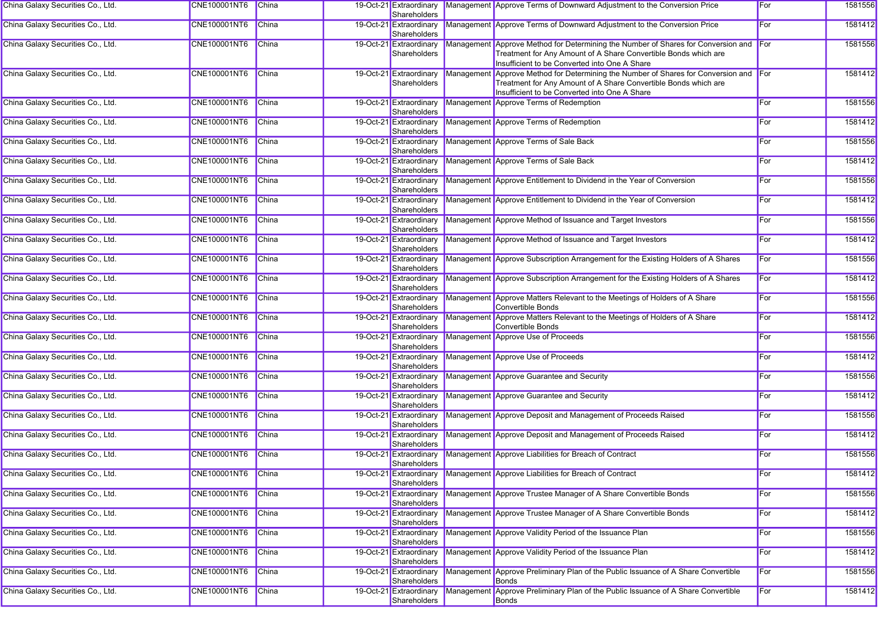| China Galaxy Securities Co., Ltd. | CNE100001NT6 China  |              | Shareholders                            |            | 19-Oct-21 Extraordinary Management Approve Terms of Downward Adjustment to the Conversion Price                                                                                                           | For  | 1581556 |
|-----------------------------------|---------------------|--------------|-----------------------------------------|------------|-----------------------------------------------------------------------------------------------------------------------------------------------------------------------------------------------------------|------|---------|
| China Galaxy Securities Co., Ltd. | CNE100001NT6        | China        | 19-Oct-21 Extraordinary<br>Shareholders |            | Management Approve Terms of Downward Adjustment to the Conversion Price                                                                                                                                   | For  | 1581412 |
| China Galaxy Securities Co., Ltd. | CNE100001NT6        | China        | 19-Oct-21 Extraordinary<br>Shareholders |            | Management Approve Method for Determining the Number of Shares for Conversion and For<br>Treatment for Any Amount of A Share Convertible Bonds which are<br>Insufficient to be Converted into One A Share |      | 1581556 |
| China Galaxy Securities Co., Ltd. | <b>CNE100001NT6</b> | China        | 19-Oct-21 Extraordinary<br>Shareholders | Management | Approve Method for Determining the Number of Shares for Conversion and For<br>Treatment for Any Amount of A Share Convertible Bonds which are<br>Insufficient to be Converted into One A Share            |      | 1581412 |
| China Galaxy Securities Co., Ltd. | CNE100001NT6        | China        | 19-Oct-21 Extraordinary<br>Shareholders |            | Management Approve Terms of Redemption                                                                                                                                                                    | For  | 1581556 |
| China Galaxy Securities Co., Ltd. | CNE100001NT6        | China        | 19-Oct-21 Extraordinary<br>Shareholders |            | Management Approve Terms of Redemption                                                                                                                                                                    | For  | 1581412 |
| China Galaxy Securities Co., Ltd. | CNE100001NT6        | China        | 19-Oct-21 Extraordinary<br>Shareholders |            | Management Approve Terms of Sale Back                                                                                                                                                                     | For  | 1581556 |
| China Galaxy Securities Co., Ltd. | CNE100001NT6        | China        | 19-Oct-21 Extraordinary<br>Shareholders |            | Management Approve Terms of Sale Back                                                                                                                                                                     | For  | 1581412 |
| China Galaxy Securities Co., Ltd. | CNE100001NT6        | <b>China</b> | 19-Oct-21 Extraordinary<br>Shareholders |            | Management Approve Entitlement to Dividend in the Year of Conversion                                                                                                                                      | For  | 1581556 |
| China Galaxy Securities Co., Ltd. | CNE100001NT6        | China        | 19-Oct-21 Extraordinary<br>Shareholders |            | Management Approve Entitlement to Dividend in the Year of Conversion                                                                                                                                      | For  | 1581412 |
| China Galaxy Securities Co., Ltd. | CNE100001NT6        | China        | 19-Oct-21 Extraordinary<br>Shareholders |            | Management Approve Method of Issuance and Target Investors                                                                                                                                                | For  | 1581556 |
| China Galaxy Securities Co., Ltd. | CNE100001NT6        | China        | 19-Oct-21 Extraordinary<br>Shareholders |            | Management Approve Method of Issuance and Target Investors                                                                                                                                                | For  | 1581412 |
| China Galaxy Securities Co., Ltd. | CNE100001NT6        | China        | 19-Oct-21 Extraordinary<br>Shareholders |            | Management Approve Subscription Arrangement for the Existing Holders of A Shares                                                                                                                          | For  | 1581556 |
| China Galaxy Securities Co., Ltd. | CNE100001NT6        | <b>China</b> | 19-Oct-21 Extraordinary<br>Shareholders |            | Management Approve Subscription Arrangement for the Existing Holders of A Shares                                                                                                                          | For  | 1581412 |
| China Galaxy Securities Co., Ltd. | CNE100001NT6        | China        | 19-Oct-21 Extraordinary<br>Shareholders |            | Management Approve Matters Relevant to the Meetings of Holders of A Share<br>Convertible Bonds                                                                                                            | For  | 1581556 |
| China Galaxy Securities Co., Ltd. | CNE100001NT6        | China        | 19-Oct-21 Extraordinary<br>Shareholders |            | Management Approve Matters Relevant to the Meetings of Holders of A Share<br>Convertible Bonds                                                                                                            | For  | 1581412 |
| China Galaxy Securities Co., Ltd. | CNE100001NT6        | China        | 19-Oct-21 Extraordinary<br>Shareholders |            | Management Approve Use of Proceeds                                                                                                                                                                        | For  | 1581556 |
| China Galaxy Securities Co., Ltd. | CNE100001NT6        | <b>China</b> | 19-Oct-21 Extraordinary<br>Shareholders |            | Management Approve Use of Proceeds                                                                                                                                                                        | For  | 1581412 |
| China Galaxy Securities Co., Ltd. | CNE100001NT6        | China        | 19-Oct-21 Extraordinary<br>Shareholders |            | Management Approve Guarantee and Security                                                                                                                                                                 | For  | 1581556 |
| China Galaxy Securities Co., Ltd. | CNE100001NT6        | China        | 19-Oct-21 Extraordinary<br>Shareholders |            | Management Approve Guarantee and Security                                                                                                                                                                 | For  | 1581412 |
| China Galaxy Securities Co., Ltd. | CNE100001NT6        | China        | 19-Oct-21 Extraordinary<br>Shareholders |            | Management Approve Deposit and Management of Proceeds Raised                                                                                                                                              | For  | 1581556 |
| China Galaxy Securities Co., Ltd. | CNE100001NT6        | <b>China</b> | 19-Oct-21 Extraordinary<br>Shareholders |            | Management Approve Deposit and Management of Proceeds Raised                                                                                                                                              | For  | 1581412 |
| China Galaxy Securities Co., Ltd. | <b>CNE100001NT6</b> | China        | 19-Oct-21 Extraordinary<br>Shareholders |            | Management Approve Liabilities for Breach of Contract                                                                                                                                                     | For  | 1581556 |
| China Galaxy Securities Co., Ltd. | CNE100001NT6 China  |              | Shareholders                            |            | 19-Oct-21 Extraordinary Management Approve Liabilities for Breach of Contract                                                                                                                             | ∣For | 1581412 |
| China Galaxy Securities Co., Ltd. | CNE100001NT6        | <b>China</b> | 19-Oct-21 Extraordinary<br>Shareholders |            | Management Approve Trustee Manager of A Share Convertible Bonds                                                                                                                                           | For  | 1581556 |
| China Galaxy Securities Co., Ltd. | CNE100001NT6        | China        | 19-Oct-21 Extraordinary<br>Shareholders |            | Management Approve Trustee Manager of A Share Convertible Bonds                                                                                                                                           | For  | 1581412 |
| China Galaxy Securities Co., Ltd. | CNE100001NT6        | China        | 19-Oct-21 Extraordinary<br>Shareholders |            | Management Approve Validity Period of the Issuance Plan                                                                                                                                                   | For  | 1581556 |
| China Galaxy Securities Co., Ltd. | CNE100001NT6        | <b>China</b> | 19-Oct-21 Extraordinary<br>Shareholders |            | Management Approve Validity Period of the Issuance Plan                                                                                                                                                   | For  | 1581412 |
| China Galaxy Securities Co., Ltd. | CNE100001NT6        | <b>China</b> | Shareholders                            |            | 19-Oct-21 Extraordinary Management Approve Preliminary Plan of the Public Issuance of A Share Convertible<br>Bonds                                                                                        | For  | 1581556 |
| China Galaxy Securities Co., Ltd. | <b>CNE100001NT6</b> | <b>China</b> | 19-Oct-21 Extraordinary<br>Shareholders |            | Management Approve Preliminary Plan of the Public Issuance of A Share Convertible<br>Bonds                                                                                                                | For  | 1581412 |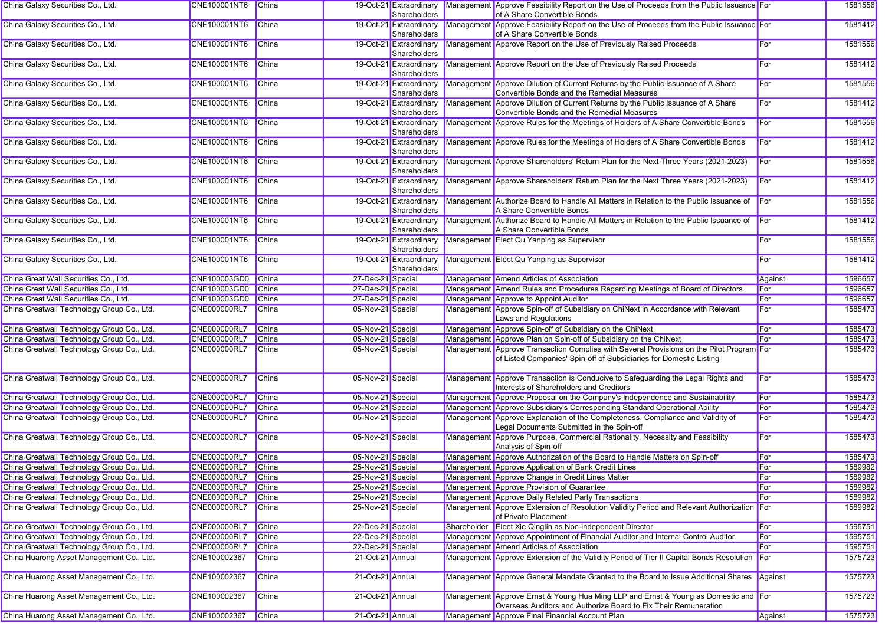| China Galaxy Securities Co., Ltd.          | <b>CNE100001NT6</b> | China        |                   | 19-Oct-21 Extraordinary<br>Shareholders | Management Approve Feasibility Report on the Use of Proceeds from the Public Issuance For<br>of A Share Convertible Bonds                                      |         | 1581556 |
|--------------------------------------------|---------------------|--------------|-------------------|-----------------------------------------|----------------------------------------------------------------------------------------------------------------------------------------------------------------|---------|---------|
| China Galaxy Securities Co., Ltd.          | CNE100001NT6        | China        |                   | 19-Oct-21 Extraordinary<br>Shareholders | Management Approve Feasibility Report on the Use of Proceeds from the Public Issuance For<br>of A Share Convertible Bonds                                      |         | 1581412 |
| China Galaxy Securities Co., Ltd.          | CNE100001NT6        | China        |                   | Shareholders                            | 19-Oct-21 Extraordinary Management Approve Report on the Use of Previously Raised Proceeds                                                                     | For     | 1581556 |
| China Galaxy Securities Co., Ltd.          | CNE100001NT6        | <b>China</b> |                   | 19-Oct-21 Extraordinary<br>Shareholders | Management Approve Report on the Use of Previously Raised Proceeds                                                                                             | For     | 1581412 |
| China Galaxy Securities Co., Ltd.          | CNE100001NT6        | China        |                   | 19-Oct-21 Extraordinary<br>Shareholders | Management Approve Dilution of Current Returns by the Public Issuance of A Share<br>Convertible Bonds and the Remedial Measures                                | For     | 1581556 |
| China Galaxy Securities Co., Ltd.          | CNE100001NT6        | China        |                   | 19-Oct-21 Extraordinary<br>Shareholders | Management Approve Dilution of Current Returns by the Public Issuance of A Share<br>Convertible Bonds and the Remedial Measures                                | For     | 1581412 |
| China Galaxy Securities Co., Ltd.          | CNE100001NT6        | China        |                   | 19-Oct-21 Extraordinary<br>Shareholders | Management Approve Rules for the Meetings of Holders of A Share Convertible Bonds                                                                              | For     | 1581556 |
| China Galaxy Securities Co., Ltd.          | CNE100001NT6        | China        |                   | 19-Oct-21 Extraordinary<br>Shareholders | Management Approve Rules for the Meetings of Holders of A Share Convertible Bonds                                                                              | For     | 1581412 |
| China Galaxy Securities Co., Ltd.          | CNE100001NT6        | China        |                   | 19-Oct-21 Extraordinary<br>Shareholders | Management Approve Shareholders' Return Plan for the Next Three Years (2021-2023)                                                                              | For     | 1581556 |
| China Galaxy Securities Co., Ltd.          | CNE100001NT6        | China        |                   | 19-Oct-21 Extraordinary<br>Shareholders | Management Approve Shareholders' Return Plan for the Next Three Years (2021-2023)                                                                              | For     | 1581412 |
| China Galaxy Securities Co., Ltd.          | CNE100001NT6        | China        |                   | 19-Oct-21 Extraordinary<br>Shareholders | Management Authorize Board to Handle All Matters in Relation to the Public Issuance of<br>A Share Convertible Bonds                                            | For     | 1581556 |
| China Galaxy Securities Co., Ltd.          | CNE100001NT6        | China        |                   | 19-Oct-21 Extraordinary<br>Shareholders | Management Authorize Board to Handle All Matters in Relation to the Public Issuance of<br>A Share Convertible Bonds                                            | For     | 1581412 |
| China Galaxy Securities Co., Ltd.          | CNE100001NT6        | China        |                   | 19-Oct-21 Extraordinary<br>Shareholders | Management Elect Qu Yanping as Supervisor                                                                                                                      | For     | 1581556 |
| China Galaxy Securities Co., Ltd.          | CNE100001NT6        | China        |                   | 19-Oct-21 Extraordinary<br>Shareholders | Management Elect Qu Yanping as Supervisor                                                                                                                      | For     | 1581412 |
| China Great Wall Securities Co., Ltd.      | CNE100003GD0 China  |              | 27-Dec-21 Special |                                         | Management Amend Articles of Association                                                                                                                       | Against | 1596657 |
| China Great Wall Securities Co., Ltd.      | CNE100003GD0 China  |              | 27-Dec-21 Special |                                         | Management Amend Rules and Procedures Regarding Meetings of Board of Directors                                                                                 | For     | 1596657 |
| China Great Wall Securities Co., Ltd.      | CNE100003GD0        | China        | 27-Dec-21 Special |                                         | Management Approve to Appoint Auditor                                                                                                                          | For     | 1596657 |
| China Greatwall Technology Group Co., Ltd. | <b>CNE000000RL7</b> | China        | 05-Nov-21 Special |                                         | Management Approve Spin-off of Subsidiary on ChiNext in Accordance with Relevant<br>Laws and Regulations                                                       | For     | 1585473 |
| China Greatwall Technology Group Co., Ltd. | <b>CNE000000RL7</b> | China        | 05-Nov-21 Special |                                         | Management Approve Spin-off of Subsidiary on the ChiNext                                                                                                       | For     | 1585473 |
| China Greatwall Technology Group Co., Ltd. | CNE000000RL7        | China        | 05-Nov-21 Special |                                         | Management Approve Plan on Spin-off of Subsidiary on the ChiNext                                                                                               | For     | 1585473 |
| China Greatwall Technology Group Co., Ltd. | CNE000000RL7        | China        | 05-Nov-21 Special |                                         | Management Approve Transaction Complies with Several Provisions on the Pilot Program For<br>of Listed Companies' Spin-off of Subsidiaries for Domestic Listing |         | 1585473 |
| China Greatwall Technology Group Co., Ltd. | <b>CNE000000RL7</b> | China        | 05-Nov-21 Special |                                         | Management Approve Transaction is Conducive to Safeguarding the Legal Rights and<br>Interests of Shareholders and Creditors                                    | For     | 1585473 |
| China Greatwall Technology Group Co., Ltd. | <b>CNE000000RL7</b> | China        | 05-Nov-21 Special |                                         | Management Approve Proposal on the Company's Independence and Sustainability                                                                                   | For     | 1585473 |
| China Greatwall Technology Group Co., Ltd. | <b>CNE000000RL7</b> | China        | 05-Nov-21 Special |                                         | Management Approve Subsidiary's Corresponding Standard Operational Ability                                                                                     | For     | 1585473 |
| China Greatwall Technology Group Co., Ltd. | CNE000000RL7        | China        | 05-Nov-21 Special |                                         | Management Approve Explanation of the Completeness, Compliance and Validity of<br>Legal Documents Submitted in the Spin-off                                    | For     | 1585473 |
| China Greatwall Technology Group Co., Ltd. | CNE000000RL7        | China        | 05-Nov-21 Special |                                         | Management Approve Purpose, Commercial Rationality, Necessity and Feasibility<br>Analysis of Spin-off                                                          | For     | 1585473 |
| China Greatwall Technology Group Co., Ltd. | CNE000000RL7        | China        | 05-Nov-21 Special |                                         | Management Approve Authorization of the Board to Handle Matters on Spin-off                                                                                    | For     | 1585473 |
| China Greatwall Technology Group Co., Ltd. | <b>CNE000000RL7</b> | China        | 25-Nov-21 Special |                                         | Management Approve Application of Bank Credit Lines                                                                                                            | For     | 1589982 |
| China Greatwall Technology Group Co., Ltd. | CNE000000RL7 China  |              | 25-Nov-21 Special |                                         | Management Approve Change in Credit Lines Matter                                                                                                               | For     | 1589982 |
| China Greatwall Technology Group Co., Ltd. | <b>CNE000000RL7</b> | China        | 25-Nov-21 Special |                                         | Management Approve Provision of Guarantee                                                                                                                      | For     | 1589982 |
| China Greatwall Technology Group Co., Ltd. | CNE000000RL7        | China        | 25-Nov-21 Special |                                         | Management Approve Daily Related Party Transactions                                                                                                            | For     | 1589982 |
| China Greatwall Technology Group Co., Ltd. | <b>CNE000000RL7</b> | China        | 25-Nov-21 Special |                                         | Management Approve Extension of Resolution Validity Period and Relevant Authorization For<br>of Private Placement                                              |         | 1589982 |
| China Greatwall Technology Group Co., Ltd. | CNE000000RL7        | China        | 22-Dec-21 Special |                                         | Shareholder Elect Xie Qinglin as Non-independent Director                                                                                                      | For     | 1595751 |
| China Greatwall Technology Group Co., Ltd. | CNE000000RL7        | China        | 22-Dec-21 Special |                                         | Management Approve Appointment of Financial Auditor and Internal Control Auditor                                                                               | For     | 1595751 |
| China Greatwall Technology Group Co., Ltd. | CNE000000RL7        | China        | 22-Dec-21 Special |                                         | Management Amend Articles of Association                                                                                                                       | For     | 1595751 |
| China Huarong Asset Management Co., Ltd.   | CNE100002367        | <b>China</b> | 21-Oct-21 Annual  |                                         | Management Approve Extension of the Validity Period of Tier II Capital Bonds Resolution For                                                                    |         | 1575723 |
| China Huarong Asset Management Co., Ltd.   | CNE100002367        | China        | 21-Oct-21 Annual  |                                         | Management Approve General Mandate Granted to the Board to Issue Additional Shares                                                                             | Against | 1575723 |
| China Huarong Asset Management Co., Ltd.   | CNE100002367        | <b>China</b> | 21-Oct-21 Annual  |                                         | Management Approve Ernst & Young Hua Ming LLP and Ernst & Young as Domestic and For<br>Overseas Auditors and Authorize Board to Fix Their Remuneration         |         | 1575723 |
| China Huarong Asset Management Co., Ltd.   | CNE100002367        | China        | 21-Oct-21 Annual  |                                         | Management Approve Final Financial Account Plan                                                                                                                | Against | 1575723 |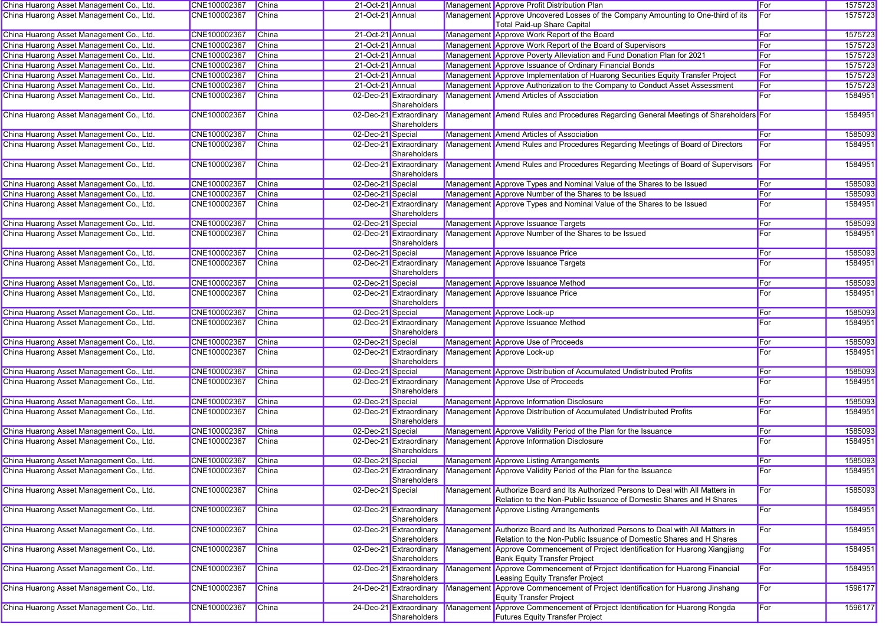| China Huarong Asset Management Co., Ltd. | CNE100002367 | China        | 21-Oct-21 Annual  |                                         | Management Approve Profit Distribution Plan                                                                                                              | For | 1575723 |
|------------------------------------------|--------------|--------------|-------------------|-----------------------------------------|----------------------------------------------------------------------------------------------------------------------------------------------------------|-----|---------|
| China Huarong Asset Management Co., Ltd. | CNE100002367 | China        | 21-Oct-21 Annual  |                                         | Management Approve Uncovered Losses of the Company Amounting to One-third of its<br>Total Paid-up Share Capital                                          | For | 1575723 |
| China Huarong Asset Management Co., Ltd. | CNE100002367 | China        | 21-Oct-21 Annual  |                                         | Management Approve Work Report of the Board                                                                                                              | For | 1575723 |
| China Huarong Asset Management Co., Ltd. | CNE100002367 | China        | 21-Oct-21 Annual  |                                         | Management Approve Work Report of the Board of Supervisors                                                                                               | For | 1575723 |
| China Huarong Asset Management Co., Ltd. | CNE100002367 | China        | 21-Oct-21 Annual  |                                         | Management Approve Poverty Alleviation and Fund Donation Plan for 2021                                                                                   | For | 1575723 |
| China Huarong Asset Management Co., Ltd. | CNE100002367 | China        | 21-Oct-21 Annual  |                                         | Management Approve Issuance of Ordinary Financial Bonds                                                                                                  | For | 1575723 |
| China Huarong Asset Management Co., Ltd. | CNE100002367 | <b>China</b> | 21-Oct-21 Annual  |                                         | Management Approve Implementation of Huarong Securities Equity Transfer Project                                                                          | For | 1575723 |
| China Huarong Asset Management Co., Ltd. | CNE100002367 | China        | 21-Oct-21 Annual  |                                         | Management Approve Authorization to the Company to Conduct Asset Assessment                                                                              | For | 1575723 |
| China Huarong Asset Management Co., Ltd. | CNE100002367 | <b>China</b> |                   | 02-Dec-21 Extraordinary<br>Shareholders | Management Amend Articles of Association                                                                                                                 | For | 1584951 |
| China Huarong Asset Management Co., Ltd. | CNE100002367 | China        |                   | 02-Dec-21 Extraordinary<br>Shareholders | Management Amend Rules and Procedures Regarding General Meetings of Shareholders For                                                                     |     | 1584951 |
| China Huarong Asset Management Co., Ltd. | CNE100002367 | China        | 02-Dec-21 Special |                                         | Management Amend Articles of Association                                                                                                                 | For | 1585093 |
| China Huarong Asset Management Co., Ltd. | CNE100002367 | China        |                   | 02-Dec-21 Extraordinary<br>Shareholders | Management Amend Rules and Procedures Regarding Meetings of Board of Directors                                                                           | For | 1584951 |
| China Huarong Asset Management Co., Ltd. | CNE100002367 | China        |                   | 02-Dec-21 Extraordinary<br>Shareholders | Management Amend Rules and Procedures Regarding Meetings of Board of Supervisors For                                                                     |     | 1584951 |
| China Huarong Asset Management Co., Ltd. | CNE100002367 | China        | 02-Dec-21 Special |                                         | Management Approve Types and Nominal Value of the Shares to be Issued                                                                                    | For | 1585093 |
| China Huarong Asset Management Co., Ltd. | CNE100002367 | China        | 02-Dec-21 Special |                                         | Management Approve Number of the Shares to be Issued                                                                                                     | For | 1585093 |
| China Huarong Asset Management Co., Ltd. | CNE100002367 | China        |                   | 02-Dec-21 Extraordinary<br>Shareholders | Management Approve Types and Nominal Value of the Shares to be Issued                                                                                    | For | 1584951 |
| China Huarong Asset Management Co., Ltd. | CNE100002367 | China        | 02-Dec-21 Special |                                         | Management Approve Issuance Targets                                                                                                                      | For | 1585093 |
| China Huarong Asset Management Co., Ltd. | CNE100002367 | China        |                   | 02-Dec-21 Extraordinary<br>Shareholders | Management Approve Number of the Shares to be Issued                                                                                                     | For | 1584951 |
| China Huarong Asset Management Co., Ltd. | CNE100002367 | <b>China</b> | 02-Dec-21 Special |                                         | Management Approve Issuance Price                                                                                                                        | For | 1585093 |
| China Huarong Asset Management Co., Ltd. | CNE100002367 | China        |                   | 02-Dec-21 Extraordinary<br>Shareholders | Management Approve Issuance Targets                                                                                                                      | For | 1584951 |
| China Huarong Asset Management Co., Ltd. | CNE100002367 | China        | 02-Dec-21 Special |                                         | Management Approve Issuance Method                                                                                                                       | For | 1585093 |
| China Huarong Asset Management Co., Ltd. | CNE100002367 | China        |                   | 02-Dec-21 Extraordinary<br>Shareholders | Management Approve Issuance Price                                                                                                                        | For | 1584951 |
| China Huarong Asset Management Co., Ltd. | CNE100002367 | China        | 02-Dec-21 Special |                                         | Management Approve Lock-up                                                                                                                               | For | 1585093 |
| China Huarong Asset Management Co., Ltd. | CNE100002367 | China        |                   | 02-Dec-21 Extraordinary<br>Shareholders | Management Approve Issuance Method                                                                                                                       | For | 1584951 |
| China Huarong Asset Management Co., Ltd. | CNE100002367 | <b>China</b> | 02-Dec-21 Special |                                         | Management Approve Use of Proceeds                                                                                                                       | For | 1585093 |
| China Huarong Asset Management Co., Ltd. | CNE100002367 | China        |                   | 02-Dec-21 Extraordinary<br>Shareholders | Management Approve Lock-up                                                                                                                               | For | 1584951 |
| China Huarong Asset Management Co., Ltd. | CNE100002367 | China        | 02-Dec-21 Special |                                         | Management Approve Distribution of Accumulated Undistributed Profits                                                                                     | For | 1585093 |
| China Huarong Asset Management Co., Ltd. | CNE100002367 | China        |                   | 02-Dec-21 Extraordinary<br>Shareholders | Management Approve Use of Proceeds                                                                                                                       | For | 1584951 |
| China Huarong Asset Management Co., Ltd. | CNE100002367 | China        | 02-Dec-21 Special |                                         | Management Approve Information Disclosure                                                                                                                | For | 1585093 |
| China Huarong Asset Management Co., Ltd. | CNE100002367 | China        |                   | 02-Dec-21 Extraordinary<br>Shareholders | Management Approve Distribution of Accumulated Undistributed Profits                                                                                     | For | 1584951 |
| China Huarong Asset Management Co., Ltd. | CNE100002367 | China        | 02-Dec-21 Special |                                         | Management Approve Validity Period of the Plan for the Issuance                                                                                          | For | 1585093 |
| China Huarong Asset Management Co., Ltd. | CNE100002367 | China        |                   | 02-Dec-21 Extraordinary<br>Shareholders | Management Approve Information Disclosure                                                                                                                | For | 1584951 |
| China Huarong Asset Management Co., Ltd. | CNE100002367 | China        | 02-Dec-21 Special |                                         | Management Approve Listing Arrangements                                                                                                                  | For | 1585093 |
| China Huarong Asset Management Co., Ltd. | CNE100002367 | China        |                   | Shareholders                            | 02-Dec-21 Extraordinary Management Approve Validity Period of the Plan for the Issuance                                                                  | For | 1584951 |
| China Huarong Asset Management Co., Ltd. | CNE100002367 | China        | 02-Dec-21 Special |                                         | Management Authorize Board and Its Authorized Persons to Deal with All Matters in<br>Relation to the Non-Public Issuance of Domestic Shares and H Shares | For | 1585093 |
| China Huarong Asset Management Co., Ltd. | CNE100002367 | China        |                   | 02-Dec-21 Extraordinary<br>Shareholders | Management Approve Listing Arrangements                                                                                                                  | For | 1584951 |
| China Huarong Asset Management Co., Ltd. | CNE100002367 | <b>China</b> |                   | 02-Dec-21 Extraordinary<br>Shareholders | Management Authorize Board and Its Authorized Persons to Deal with All Matters in<br>Relation to the Non-Public Issuance of Domestic Shares and H Shares | For | 1584951 |
| China Huarong Asset Management Co., Ltd. | CNE100002367 | <b>China</b> |                   | 02-Dec-21 Extraordinary<br>Shareholders | Management Approve Commencement of Project Identification for Huarong Xiangjiang<br><b>Bank Equity Transfer Project</b>                                  | For | 1584951 |
| China Huarong Asset Management Co., Ltd. | CNE100002367 | <b>China</b> |                   | 02-Dec-21 Extraordinary<br>Shareholders | Management Approve Commencement of Project Identification for Huarong Financial<br>Leasing Equity Transfer Project                                       | For | 1584951 |
| China Huarong Asset Management Co., Ltd. | CNE100002367 | China        |                   | 24-Dec-21 Extraordinary<br>Shareholders | Management Approve Commencement of Project Identification for Huarong Jinshang<br><b>Equity Transfer Project</b>                                         | For | 1596177 |
| China Huarong Asset Management Co., Ltd. | CNE100002367 | <b>China</b> |                   | 24-Dec-21 Extraordinary<br>Shareholders | Management Approve Commencement of Project Identification for Huarong Rongda<br><b>Futures Equity Transfer Project</b>                                   | For | 1596177 |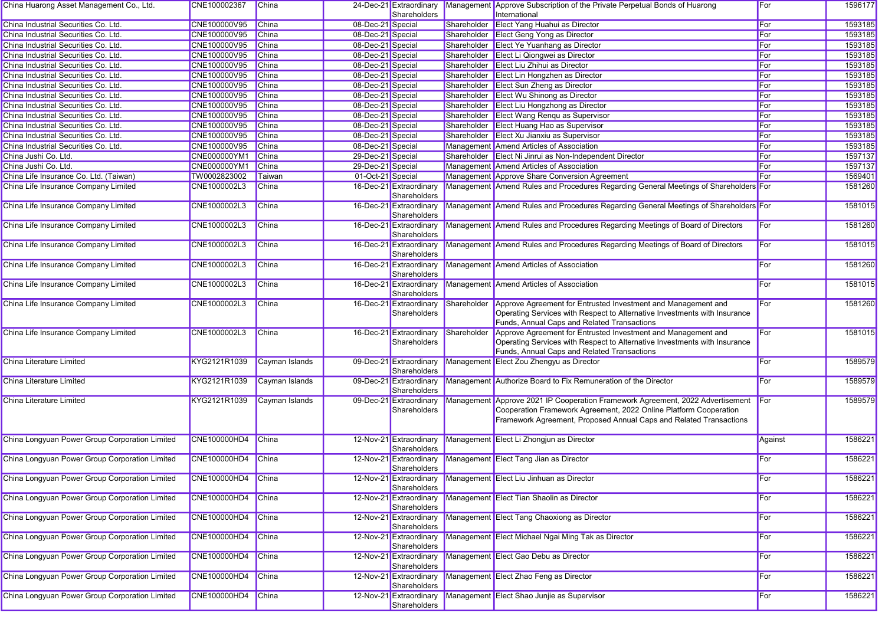| China Huarong Asset Management Co., Ltd.       | CNE100002367        | China          |                   | 24-Dec-21 Extraordinary<br>Shareholders |             | Management Approve Subscription of the Private Perpetual Bonds of Huarong<br>International                                                                                                                     | For          | 1596177 |
|------------------------------------------------|---------------------|----------------|-------------------|-----------------------------------------|-------------|----------------------------------------------------------------------------------------------------------------------------------------------------------------------------------------------------------------|--------------|---------|
| China Industrial Securities Co. Ltd.           | CNE100000V95        | China          | 08-Dec-21 Special |                                         |             | Shareholder Elect Yang Huahui as Director                                                                                                                                                                      | For          | 1593185 |
| China Industrial Securities Co. Ltd.           | CNE100000V95        | China          | 08-Dec-21 Special |                                         |             | Shareholder Elect Geng Yong as Director                                                                                                                                                                        | For          | 1593185 |
| China Industrial Securities Co. Ltd.           | CNE100000V95        | <b>China</b>   | 08-Dec-21 Special |                                         |             | Shareholder Elect Ye Yuanhang as Director                                                                                                                                                                      | For          | 1593185 |
| China Industrial Securities Co. Ltd.           | CNE100000V95        | <b>China</b>   | 08-Dec-21 Special |                                         |             | Shareholder Elect Li Qiongwei as Director                                                                                                                                                                      | For          | 1593185 |
| China Industrial Securities Co. Ltd.           | CNE100000V95        | China          | 08-Dec-21 Special |                                         |             | Shareholder Elect Liu Zhihui as Director                                                                                                                                                                       | For          | 1593185 |
| China Industrial Securities Co. Ltd.           | CNE100000V95        | China          | 08-Dec-21 Special |                                         |             | Shareholder Elect Lin Hongzhen as Director                                                                                                                                                                     | For          | 1593185 |
| China Industrial Securities Co. Ltd.           | CNE100000V95        | China          | 08-Dec-21 Special |                                         |             | Shareholder Elect Sun Zheng as Director                                                                                                                                                                        | For          | 1593185 |
| China Industrial Securities Co. Ltd.           | CNE100000V95        | China          | 08-Dec-21 Special |                                         |             | Shareholder Elect Wu Shinong as Director                                                                                                                                                                       | For          | 1593185 |
| China Industrial Securities Co. Ltd.           | CNE100000V95        | <b>China</b>   | 08-Dec-21 Special |                                         |             | Shareholder Elect Liu Hongzhong as Director                                                                                                                                                                    | For          | 1593185 |
| China Industrial Securities Co. Ltd.           | CNE100000V95        | China          | 08-Dec-21 Special |                                         |             | Shareholder Elect Wang Renqu as Supervisor                                                                                                                                                                     | For          | 1593185 |
| China Industrial Securities Co. Ltd.           | CNE100000V95        | China          | 08-Dec-21 Special |                                         |             | Shareholder Elect Huang Hao as Supervisor                                                                                                                                                                      | For          | 1593185 |
| China Industrial Securities Co. Ltd.           | CNE100000V95        | China          | 08-Dec-21 Special |                                         |             | Shareholder Elect Xu Jianxiu as Supervisor                                                                                                                                                                     | For          | 1593185 |
| China Industrial Securities Co. Ltd.           | CNE100000V95        | China          | 08-Dec-21 Special |                                         |             | Management Amend Articles of Association                                                                                                                                                                       | For          | 1593185 |
| China Jushi Co. Ltd.                           | CNE000000YM1        | China          | 29-Dec-21 Special |                                         |             | Shareholder Elect Ni Jinrui as Non-Independent Director                                                                                                                                                        | For          | 1597137 |
| China Jushi Co. Ltd.                           | CNE000000YM1        | China          | 29-Dec-21 Special |                                         |             | Management Amend Articles of Association                                                                                                                                                                       | For          | 1597137 |
| China Life Insurance Co. Ltd. (Taiwan)         | TW0002823002        | Taiwan         | 01-Oct-21 Special |                                         |             | Management Approve Share Conversion Agreement                                                                                                                                                                  | For          | 1569401 |
| China Life Insurance Company Limited           | CNE1000002L3        | China          |                   | 16-Dec-21 Extraordinary                 |             | Management Amend Rules and Procedures Regarding General Meetings of Shareholders For                                                                                                                           |              | 1581260 |
|                                                |                     |                |                   | Shareholders                            |             |                                                                                                                                                                                                                |              |         |
| China Life Insurance Company Limited           | CNE1000002L3        | <b>China</b>   |                   | 16-Dec-21 Extraordinary<br>Shareholders |             | Management Amend Rules and Procedures Regarding General Meetings of Shareholders For                                                                                                                           |              | 1581015 |
| China Life Insurance Company Limited           | CNE1000002L3        | China          |                   | 16-Dec-21 Extraordinary<br>Shareholders |             | Management Amend Rules and Procedures Regarding Meetings of Board of Directors                                                                                                                                 | For          | 1581260 |
| China Life Insurance Company Limited           | CNE1000002L3        | China          |                   | 16-Dec-21 Extraordinary<br>Shareholders |             | Management Amend Rules and Procedures Regarding Meetings of Board of Directors                                                                                                                                 | For          | 1581015 |
| China Life Insurance Company Limited           | CNE1000002L3        | <b>China</b>   |                   | 16-Dec-21 Extraordinary<br>Shareholders |             | Management Amend Articles of Association                                                                                                                                                                       | For          | 1581260 |
| China Life Insurance Company Limited           | CNE1000002L3        | China          |                   | 16-Dec-21 Extraordinary<br>Shareholders |             | Management Amend Articles of Association                                                                                                                                                                       | For          | 1581015 |
| China Life Insurance Company Limited           | CNE1000002L3        | China          |                   | 16-Dec-21 Extraordinary<br>Shareholders | Shareholder | Approve Agreement for Entrusted Investment and Management and<br>Operating Services with Respect to Alternative Investments with Insurance<br>Funds, Annual Caps and Related Transactions                      | For          | 1581260 |
| China Life Insurance Company Limited           | CNE1000002L3        | China          |                   | 16-Dec-21 Extraordinary<br>Shareholders | Shareholder | Approve Agreement for Entrusted Investment and Management and<br>Operating Services with Respect to Alternative Investments with Insurance<br>Funds, Annual Caps and Related Transactions                      | For          | 1581015 |
| China Literature Limited                       | KYG2121R1039        | Cayman Islands |                   | 09-Dec-21 Extraordinary<br>Shareholders |             | Management Elect Zou Zhengyu as Director                                                                                                                                                                       | For          | 1589579 |
| China Literature Limited                       | KYG2121R1039        | Cayman Islands |                   | 09-Dec-21 Extraordinary<br>Shareholders |             | Management Authorize Board to Fix Remuneration of the Director                                                                                                                                                 | For          | 1589579 |
| China Literature Limited                       | KYG2121R1039        | Cayman Islands |                   | 09-Dec-21 Extraordinary<br>Shareholders | Management  | Approve 2021 IP Cooperation Framework Agreement, 2022 Advertisement<br>Cooperation Framework Agreement, 2022 Online Platform Cooperation<br>Framework Agreement, Proposed Annual Caps and Related Transactions | <b>I</b> For | 1589579 |
| China Longyuan Power Group Corporation Limited | CNE100000HD4        | China          |                   | 12-Nov-21 Extraordinary<br>Shareholders |             | Management Elect Li Zhongjun as Director                                                                                                                                                                       | Against      | 1586221 |
| China Longyuan Power Group Corporation Limited | CNE100000HD4        | China          |                   | 12-Nov-21 Extraordinary<br>Shareholders |             | Management Elect Tang Jian as Director                                                                                                                                                                         | For          | 1586221 |
| China Longyuan Power Group Corporation Limited | CNE100000HD4 China  |                |                   | 12-Nov-21 Extraordinary<br>Shareholders |             | Management Elect Liu Jinhuan as Director                                                                                                                                                                       | For          | 1586221 |
| China Longyuan Power Group Corporation Limited | <b>CNE100000HD4</b> | China          |                   | 12-Nov-21 Extraordinary<br>Shareholders |             | Management Elect Tian Shaolin as Director                                                                                                                                                                      | For          | 1586221 |
| China Longyuan Power Group Corporation Limited | <b>CNE100000HD4</b> | China          |                   | 12-Nov-21 Extraordinary<br>Shareholders |             | Management Elect Tang Chaoxiong as Director                                                                                                                                                                    | For          | 1586221 |
| China Longyuan Power Group Corporation Limited | CNE100000HD4        | China          |                   | 12-Nov-21 Extraordinary<br>Shareholders |             | Management Elect Michael Ngai Ming Tak as Director                                                                                                                                                             | For          | 1586221 |
| China Longyuan Power Group Corporation Limited | CNE100000HD4        | China          |                   | 12-Nov-21 Extraordinary<br>Shareholders |             | Management Elect Gao Debu as Director                                                                                                                                                                          | For          | 1586221 |
| China Longyuan Power Group Corporation Limited | <b>CNE100000HD4</b> | China          |                   | 12-Nov-21 Extraordinary<br>Shareholders |             | Management Elect Zhao Feng as Director                                                                                                                                                                         | For          | 1586221 |
| China Longyuan Power Group Corporation Limited | CNE100000HD4        | China          |                   | 12-Nov-21 Extraordinary<br>Shareholders |             | Management Elect Shao Junjie as Supervisor                                                                                                                                                                     | For          | 1586221 |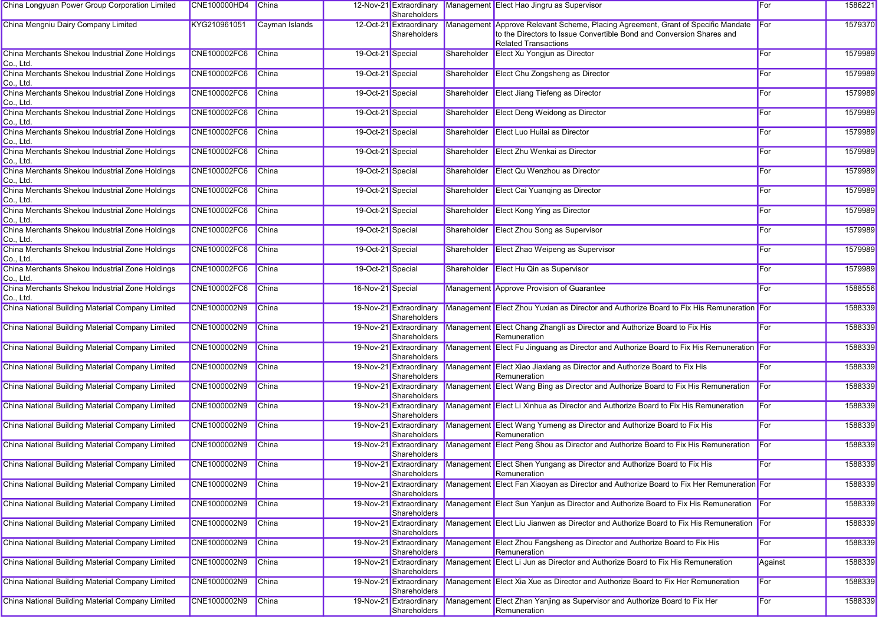| China Longyuan Power Group Corporation Limited               | CNE100000HD4        | China          |                   | 12-Nov-21 Extraordinary<br>Shareholders |             | Management Elect Hao Jingru as Supervisor                                                                                                                                                   | For     | 1586221 |
|--------------------------------------------------------------|---------------------|----------------|-------------------|-----------------------------------------|-------------|---------------------------------------------------------------------------------------------------------------------------------------------------------------------------------------------|---------|---------|
| China Mengniu Dairy Company Limited                          | KYG210961051        | Cayman Islands |                   | 12-Oct-21 Extraordinary<br>Shareholders |             | Management Approve Relevant Scheme, Placing Agreement, Grant of Specific Mandate For<br>to the Directors to Issue Convertible Bond and Conversion Shares and<br><b>Related Transactions</b> |         | 1579370 |
| China Merchants Shekou Industrial Zone Holdings<br>Co., Ltd. | <b>CNE100002FC6</b> | China          | 19-Oct-21 Special |                                         | Shareholder | Elect Xu Yongjun as Director                                                                                                                                                                | For     | 1579989 |
| China Merchants Shekou Industrial Zone Holdings<br>Co., Ltd. | <b>CNE100002FC6</b> | <b>China</b>   | 19-Oct-21 Special |                                         | Shareholder | Elect Chu Zongsheng as Director                                                                                                                                                             | For     | 1579989 |
| China Merchants Shekou Industrial Zone Holdings<br>Co., Ltd. | CNE100002FC6        | China          | 19-Oct-21 Special |                                         | Shareholder | Elect Jiang Tiefeng as Director                                                                                                                                                             | For     | 1579989 |
| China Merchants Shekou Industrial Zone Holdings<br>Co., Ltd. | CNE100002FC6        | China          | 19-Oct-21 Special |                                         | Shareholder | Elect Deng Weidong as Director                                                                                                                                                              | For     | 1579989 |
| China Merchants Shekou Industrial Zone Holdings<br>Co., Ltd. | CNE100002FC6        | China          | 19-Oct-21 Special |                                         | Shareholder | Elect Luo Huilai as Director                                                                                                                                                                | For     | 1579989 |
| China Merchants Shekou Industrial Zone Holdings<br>Co., Ltd. | <b>CNE100002FC6</b> | <b>China</b>   | 19-Oct-21 Special |                                         | Shareholder | Elect Zhu Wenkai as Director                                                                                                                                                                | For     | 1579989 |
| China Merchants Shekou Industrial Zone Holdings<br>Co., Ltd. | <b>CNE100002FC6</b> | <b>China</b>   | 19-Oct-21 Special |                                         | Shareholder | Elect Qu Wenzhou as Director                                                                                                                                                                | For     | 1579989 |
| China Merchants Shekou Industrial Zone Holdings<br>Co., Ltd. | CNE100002FC6        | China          | 19-Oct-21 Special |                                         | Shareholder | Elect Cai Yuanqing as Director                                                                                                                                                              | For     | 1579989 |
| China Merchants Shekou Industrial Zone Holdings<br>Co., Ltd. | CNE100002FC6        | <b>China</b>   | 19-Oct-21 Special |                                         | Shareholder | Elect Kong Ying as Director                                                                                                                                                                 | For     | 1579989 |
| China Merchants Shekou Industrial Zone Holdings<br>Co., Ltd. | <b>CNE100002FC6</b> | China          | 19-Oct-21 Special |                                         | Shareholder | Elect Zhou Song as Supervisor                                                                                                                                                               | For     | 1579989 |
| China Merchants Shekou Industrial Zone Holdings<br>Co., Ltd. | CNE100002FC6        | <b>China</b>   | 19-Oct-21 Special |                                         | Shareholder | Elect Zhao Weipeng as Supervisor                                                                                                                                                            | For     | 1579989 |
| China Merchants Shekou Industrial Zone Holdings<br>Co., Ltd. | <b>CNE100002FC6</b> | China          | 19-Oct-21 Special |                                         | Shareholder | Elect Hu Qin as Supervisor                                                                                                                                                                  | For     | 1579989 |
| China Merchants Shekou Industrial Zone Holdings<br>Co., Ltd. | CNE100002FC6        | China          | 16-Nov-21 Special |                                         |             | Management Approve Provision of Guarantee                                                                                                                                                   | For     | 1588556 |
| China National Building Material Company Limited             | CNE1000002N9        | China          |                   | 19-Nov-21 Extraordinary<br>Shareholders |             | Management Elect Zhou Yuxian as Director and Authorize Board to Fix His Remuneration For                                                                                                    |         | 1588339 |
| China National Building Material Company Limited             | CNE1000002N9        | <b>China</b>   |                   | 19-Nov-21 Extraordinary<br>Shareholders |             | Management Elect Chang Zhangli as Director and Authorize Board to Fix His<br>Remuneration                                                                                                   | For     | 1588339 |
| China National Building Material Company Limited             | CNE1000002N9        | China          |                   | 19-Nov-21 Extraordinary<br>Shareholders |             | Management Elect Fu Jinguang as Director and Authorize Board to Fix His Remuneration For                                                                                                    |         | 1588339 |
| China National Building Material Company Limited             | CNE1000002N9        | China          |                   | 19-Nov-21 Extraordinary<br>Shareholders |             | Management Elect Xiao Jiaxiang as Director and Authorize Board to Fix His<br>Remuneration                                                                                                   | For     | 1588339 |
| China National Building Material Company Limited             | CNE1000002N9        | China          |                   | 19-Nov-21 Extraordinary<br>Shareholders |             | Management Elect Wang Bing as Director and Authorize Board to Fix His Remuneration                                                                                                          | For     | 1588339 |
| China National Building Material Company Limited             | CNE1000002N9        | China          |                   | 19-Nov-21 Extraordinary<br>Shareholders |             | Management Elect Li Xinhua as Director and Authorize Board to Fix His Remuneration                                                                                                          | For     | 1588339 |
| China National Building Material Company Limited             | CNE1000002N9        | <b>China</b>   |                   | 19-Nov-21 Extraordinary<br>Shareholders |             | Management Elect Wang Yumeng as Director and Authorize Board to Fix His<br>Remuneration                                                                                                     | For     | 1588339 |
| China National Building Material Company Limited             | CNE1000002N9        | China          |                   | 19-Nov-21 Extraordinary<br>Shareholders |             | Management Elect Peng Shou as Director and Authorize Board to Fix His Remuneration                                                                                                          | For     | 1588339 |
| China National Building Material Company Limited             | CNE1000002N9        | China          |                   | Shareholders                            |             | 19-Nov-21 Extraordinary Management Elect Shen Yungang as Director and Authorize Board to Fix His<br>Remuneration                                                                            | For     | 1588339 |
| China National Building Material Company Limited             | CNE1000002N9        | China          |                   | 19-Nov-21 Extraordinary<br>Shareholders |             | Management Elect Fan Xiaoyan as Director and Authorize Board to Fix Her Remuneration For                                                                                                    |         | 1588339 |
| China National Building Material Company Limited             | CNE1000002N9        | China          |                   | 19-Nov-21 Extraordinary<br>Shareholders |             | Management Elect Sun Yanjun as Director and Authorize Board to Fix His Remuneration For                                                                                                     |         | 1588339 |
| China National Building Material Company Limited             | CNE1000002N9        | China          |                   | 19-Nov-21 Extraordinary<br>Shareholders |             | Management Elect Liu Jianwen as Director and Authorize Board to Fix His Remuneration For                                                                                                    |         | 1588339 |
| China National Building Material Company Limited             | CNE1000002N9        | China          |                   | 19-Nov-21 Extraordinary<br>Shareholders |             | Management Elect Zhou Fangsheng as Director and Authorize Board to Fix His<br>Remuneration                                                                                                  | For     | 1588339 |
| China National Building Material Company Limited             | CNE1000002N9        | China          |                   | 19-Nov-21 Extraordinary<br>Shareholders |             | Management Elect Li Jun as Director and Authorize Board to Fix His Remuneration                                                                                                             | Against | 1588339 |
| China National Building Material Company Limited             | CNE1000002N9        | China          |                   | 19-Nov-21 Extraordinary<br>Shareholders |             | Management Elect Xia Xue as Director and Authorize Board to Fix Her Remuneration                                                                                                            | For     | 1588339 |
| China National Building Material Company Limited             | CNE1000002N9        | China          |                   | 19-Nov-21 Extraordinary<br>Shareholders |             | Management Elect Zhan Yanjing as Supervisor and Authorize Board to Fix Her<br>Remuneration                                                                                                  | For     | 1588339 |
|                                                              |                     |                |                   |                                         |             |                                                                                                                                                                                             |         |         |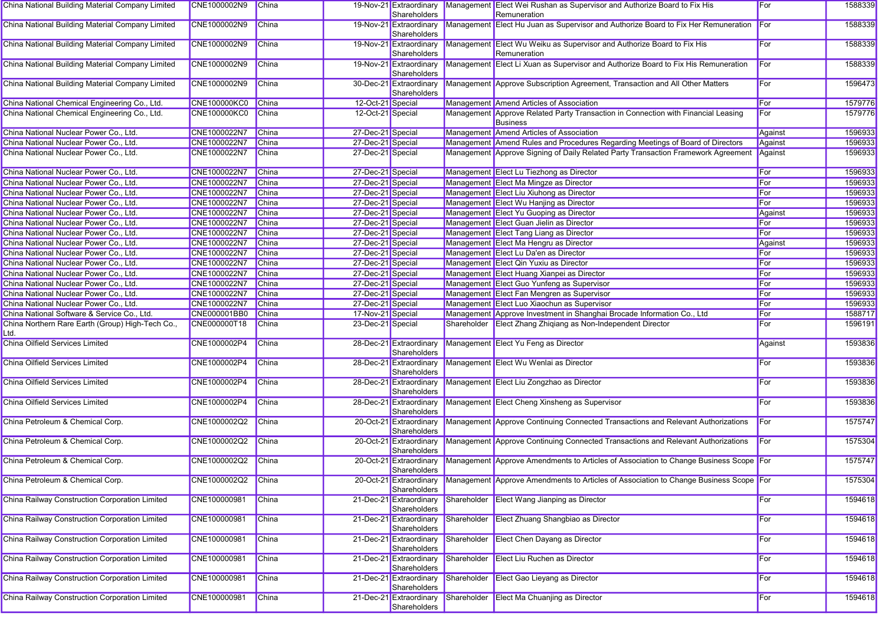| China National Building Material Company Limited         | CNE1000002N9        | <b>China</b> |                   | Shareholders                            |             | 19-Nov-21 Extraordinary Management Elect Wei Rushan as Supervisor and Authorize Board to Fix His<br>Remuneration | For     | 1588339 |
|----------------------------------------------------------|---------------------|--------------|-------------------|-----------------------------------------|-------------|------------------------------------------------------------------------------------------------------------------|---------|---------|
| China National Building Material Company Limited         | CNE1000002N9        | China        |                   | 19-Nov-21 Extraordinary                 |             | Management Elect Hu Juan as Supervisor and Authorize Board to Fix Her Remuneration For                           |         | 1588339 |
|                                                          |                     |              |                   | Shareholders                            |             |                                                                                                                  |         |         |
| China National Building Material Company Limited         | CNE1000002N9        | China        |                   | Shareholders                            |             | 19-Nov-21 Extraordinary Management Elect Wu Weiku as Supervisor and Authorize Board to Fix His<br>Remuneration   | For     | 1588339 |
| China National Building Material Company Limited         | CNE1000002N9        | China        |                   | Shareholders                            |             | 19-Nov-21 Extraordinary Management Elect Li Xuan as Supervisor and Authorize Board to Fix His Remuneration       | For     | 1588339 |
| China National Building Material Company Limited         | CNE1000002N9        | China        |                   | 30-Dec-21 Extraordinary<br>Shareholders |             | Management Approve Subscription Agreement, Transaction and All Other Matters                                     | For     | 1596473 |
| China National Chemical Engineering Co., Ltd.            | <b>CNE100000KC0</b> | China        | 12-Oct-21 Special |                                         |             | Management Amend Articles of Association                                                                         | For     | 1579776 |
| China National Chemical Engineering Co., Ltd.            | <b>CNE100000KC0</b> | China        | 12-Oct-21 Special |                                         |             | Management Approve Related Party Transaction in Connection with Financial Leasing<br><b>Business</b>             | For     | 1579776 |
| China National Nuclear Power Co., Ltd.                   | CNE1000022N7        | China        | 27-Dec-21 Special |                                         |             | Management Amend Articles of Association                                                                         | Against | 1596933 |
| China National Nuclear Power Co., Ltd.                   | CNE1000022N7        | <b>China</b> | 27-Dec-21 Special |                                         |             | Management Amend Rules and Procedures Regarding Meetings of Board of Directors                                   | Against | 1596933 |
| China National Nuclear Power Co., Ltd.                   | CNE1000022N7        | China        | 27-Dec-21 Special |                                         |             | Management Approve Signing of Daily Related Party Transaction Framework Agreement                                | Against | 1596933 |
| China National Nuclear Power Co., Ltd.                   | CNE1000022N7        | China        | 27-Dec-21 Special |                                         |             | Management Elect Lu Tiezhong as Director                                                                         | For     | 1596933 |
| China National Nuclear Power Co., Ltd.                   | CNE1000022N7        | China        | 27-Dec-21 Special |                                         |             | Management Elect Ma Mingze as Director                                                                           | For     | 1596933 |
| China National Nuclear Power Co., Ltd.                   | CNE1000022N7        | China        | 27-Dec-21 Special |                                         |             | Management Elect Liu Xiuhong as Director                                                                         | For     | 1596933 |
| China National Nuclear Power Co., Ltd.                   | CNE1000022N7        | <b>China</b> | 27-Dec-21 Special |                                         |             | Management Elect Wu Hanjing as Director                                                                          | For     | 1596933 |
| China National Nuclear Power Co., Ltd.                   | CNE1000022N7        | China        | 27-Dec-21 Special |                                         |             | Management Elect Yu Guoping as Director                                                                          | Against | 1596933 |
| China National Nuclear Power Co., Ltd.                   | CNE1000022N7        | China        | 27-Dec-21 Special |                                         |             | Management Elect Guan Jielin as Director                                                                         | For     | 1596933 |
| China National Nuclear Power Co., Ltd.                   | CNE1000022N7        | China        | 27-Dec-21 Special |                                         |             | Management Elect Tang Liang as Director                                                                          | For     | 1596933 |
| China National Nuclear Power Co., Ltd.                   | CNE1000022N7        | China        | 27-Dec-21 Special |                                         |             | Management Elect Ma Hengru as Director                                                                           | Against | 1596933 |
| China National Nuclear Power Co., Ltd.                   | CNE1000022N7        | <b>China</b> | 27-Dec-21 Special |                                         |             | Management Elect Lu Da'en as Director                                                                            | For     | 1596933 |
| China National Nuclear Power Co., Ltd.                   | <b>CNE1000022N7</b> | China        | 27-Dec-21 Special |                                         |             | Management Elect Qin Yuxiu as Director                                                                           | For     | 1596933 |
| China National Nuclear Power Co., Ltd.                   | CNE1000022N7        | China        | 27-Dec-21 Special |                                         |             | Management Elect Huang Xianpei as Director                                                                       | For     | 1596933 |
| China National Nuclear Power Co., Ltd.                   | CNE1000022N7        | China        | 27-Dec-21 Special |                                         |             | Management Elect Guo Yunfeng as Supervisor                                                                       | For     | 1596933 |
| China National Nuclear Power Co., Ltd.                   | CNE1000022N7        | China        | 27-Dec-21 Special |                                         |             | Management Elect Fan Mengren as Supervisor                                                                       | For     | 1596933 |
| China National Nuclear Power Co., Ltd.                   | CNE1000022N7        | China        | 27-Dec-21 Special |                                         |             | Management Elect Luo Xiaochun as Supervisor                                                                      | For     | 1596933 |
| China National Software & Service Co., Ltd.              | CNE000001BB0        | China        | 17-Nov-21 Special |                                         |             | Management Approve Investment in Shanghai Brocade Information Co., Ltd                                           | For     | 1588717 |
| China Northern Rare Earth (Group) High-Tech Co.,<br>Ltd. | CNE000000T18        | China        | 23-Dec-21 Special |                                         |             | Shareholder Elect Zhang Zhiqiang as Non-Independent Director                                                     | For     | 1596191 |
| China Oilfield Services Limited                          | CNE1000002P4        | China        |                   | 28-Dec-21 Extraordinary<br>Shareholders |             | Management Elect Yu Feng as Director                                                                             | Against | 1593836 |
| China Oilfield Services Limited                          | CNE1000002P4        | <b>China</b> |                   | 28-Dec-21 Extraordinary<br>Shareholders |             | Management Elect Wu Wenlai as Director                                                                           | For     | 1593836 |
| China Oilfield Services Limited                          | CNE1000002P4        | <b>China</b> |                   | 28-Dec-21 Extraordinary<br>Shareholders |             | Management Elect Liu Zongzhao as Director                                                                        | For     | 1593836 |
| China Oilfield Services Limited                          | CNE1000002P4        | China        |                   | 28-Dec-21 Extraordinary<br>Shareholders |             | Management Elect Cheng Xinsheng as Supervisor                                                                    | For     | 1593836 |
| China Petroleum & Chemical Corp.                         | CNE1000002Q2        | China        |                   | 20-Oct-21 Extraordinary<br>Shareholders |             | Management Approve Continuing Connected Transactions and Relevant Authorizations                                 | For     | 1575747 |
| China Petroleum & Chemical Corp.                         | CNE1000002Q2        | China        |                   | 20-Oct-21 Extraordinary<br>Shareholders |             | Management Approve Continuing Connected Transactions and Relevant Authorizations                                 | For     | 1575304 |
| China Petroleum & Chemical Corp.                         | CNE1000002Q2        | China        |                   | Shareholders                            |             | 20-Oct-21 Extraordinary Management Approve Amendments to Articles of Association to Change Business Scope For    |         | 1575747 |
| China Petroleum & Chemical Corp.                         | CNE1000002Q2        | China        |                   | Shareholders                            |             | 20-Oct-21 Extraordinary Management Approve Amendments to Articles of Association to Change Business Scope For    |         | 1575304 |
| China Railway Construction Corporation Limited           | CNE100000981        | <b>China</b> |                   | 21-Dec-21 Extraordinary<br>Shareholders |             | Shareholder Elect Wang Jianping as Director                                                                      | For     | 1594618 |
| China Railway Construction Corporation Limited           | CNE100000981        | China        |                   | 21-Dec-21 Extraordinary<br>Shareholders | Shareholder | Elect Zhuang Shangbiao as Director                                                                               | For     | 1594618 |
| China Railway Construction Corporation Limited           | CNE100000981        | <b>China</b> |                   | 21-Dec-21 Extraordinary<br>Shareholders | Shareholder | <b>Elect Chen Dayang as Director</b>                                                                             | For     | 1594618 |
| China Railway Construction Corporation Limited           | CNE100000981        | China        |                   | 21-Dec-21 Extraordinary<br>Shareholders | Shareholder | <b>Elect Liu Ruchen as Director</b>                                                                              | For     | 1594618 |
| China Railway Construction Corporation Limited           | CNE100000981        | <b>China</b> |                   | 21-Dec-21 Extraordinary<br>Shareholders | Shareholder | <b>Elect Gao Lieyang as Director</b>                                                                             | For     | 1594618 |
| China Railway Construction Corporation Limited           | CNE100000981        | <b>China</b> |                   | 21-Dec-21 Extraordinary<br>Shareholders |             | Shareholder Elect Ma Chuanjing as Director                                                                       | For     | 1594618 |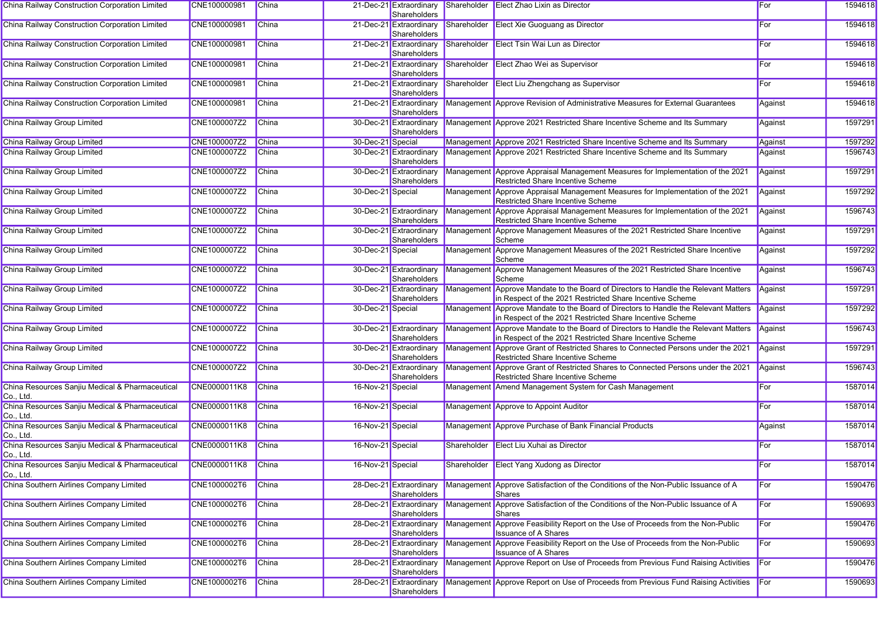| China Railway Construction Corporation Limited               | CNE100000981 | China        |                   | 21-Dec-21 Extraordinary<br>Shareholders        |             | Shareholder Elect Zhao Lixin as Director                                                                                                        | For     | 1594618 |
|--------------------------------------------------------------|--------------|--------------|-------------------|------------------------------------------------|-------------|-------------------------------------------------------------------------------------------------------------------------------------------------|---------|---------|
| China Railway Construction Corporation Limited               | CNE100000981 | <b>China</b> |                   | 21-Dec-21 Extraordinary<br>Shareholders        |             | Shareholder Elect Xie Guoguang as Director                                                                                                      | For     | 1594618 |
| China Railway Construction Corporation Limited               | CNE100000981 | China        |                   | 21-Dec-21 Extraordinary<br>Shareholders        |             | Shareholder Elect Tsin Wai Lun as Director                                                                                                      | For     | 1594618 |
| China Railway Construction Corporation Limited               | CNE100000981 | <b>China</b> |                   | 21-Dec-21 Extraordinary<br>Shareholders        |             | Shareholder Elect Zhao Wei as Supervisor                                                                                                        | For     | 1594618 |
| China Railway Construction Corporation Limited               | CNE100000981 | China        |                   | 21-Dec-21 Extraordinary<br>Shareholders        |             | Shareholder Elect Liu Zhengchang as Supervisor                                                                                                  | For     | 1594618 |
| China Railway Construction Corporation Limited               | CNE100000981 | China        |                   | 21-Dec-21 Extraordinary<br><b>Shareholders</b> |             | Management Approve Revision of Administrative Measures for External Guarantees                                                                  | Against | 1594618 |
| China Railway Group Limited                                  | CNE1000007Z2 | <b>China</b> |                   | 30-Dec-21 Extraordinary<br>Shareholders        |             | Management Approve 2021 Restricted Share Incentive Scheme and Its Summary                                                                       | Against | 1597291 |
| China Railway Group Limited                                  | CNE1000007Z2 | China        | 30-Dec-21 Special |                                                |             | Management Approve 2021 Restricted Share Incentive Scheme and Its Summary                                                                       | Against | 1597292 |
| China Railway Group Limited                                  | CNE1000007Z2 | <b>China</b> |                   | 30-Dec-21 Extraordinary                        |             | Management Approve 2021 Restricted Share Incentive Scheme and Its Summary                                                                       | Against | 1596743 |
|                                                              |              |              |                   | Shareholders                                   |             |                                                                                                                                                 |         | 1597291 |
| China Railway Group Limited                                  | CNE1000007Z2 | China        |                   | 30-Dec-21 Extraordinary<br>Shareholders        |             | Management Approve Appraisal Management Measures for Implementation of the 2021<br>Restricted Share Incentive Scheme                            | Against |         |
| China Railway Group Limited                                  | CNE1000007Z2 | China        | 30-Dec-21 Special |                                                |             | Management Approve Appraisal Management Measures for Implementation of the 2021<br>Restricted Share Incentive Scheme                            | Against | 1597292 |
| China Railway Group Limited                                  | CNE1000007Z2 | <b>China</b> |                   | 30-Dec-21 Extraordinary<br>Shareholders        |             | Management Approve Appraisal Management Measures for Implementation of the 2021<br>Restricted Share Incentive Scheme                            | Against | 1596743 |
| China Railway Group Limited                                  | CNE1000007Z2 | China        |                   | 30-Dec-21 Extraordinary<br>Shareholders        |             | Management Approve Management Measures of the 2021 Restricted Share Incentive<br>Scheme                                                         | Against | 1597291 |
| China Railway Group Limited                                  | CNE1000007Z2 | <b>China</b> | 30-Dec-21 Special |                                                |             | Management Approve Management Measures of the 2021 Restricted Share Incentive<br>Scheme                                                         | Against | 1597292 |
| China Railway Group Limited                                  | CNE1000007Z2 | China        |                   | 30-Dec-21 Extraordinary<br>Shareholders        |             | Management Approve Management Measures of the 2021 Restricted Share Incentive<br>Scheme                                                         | Against | 1596743 |
| China Railway Group Limited                                  | CNE1000007Z2 | China        |                   | 30-Dec-21 Extraordinary<br>Shareholders        |             | Management Approve Mandate to the Board of Directors to Handle the Relevant Matters<br>in Respect of the 2021 Restricted Share Incentive Scheme | Against | 1597291 |
| China Railway Group Limited                                  | CNE1000007Z2 | <b>China</b> | 30-Dec-21 Special |                                                |             | Management Approve Mandate to the Board of Directors to Handle the Relevant Matters<br>in Respect of the 2021 Restricted Share Incentive Scheme | Against | 1597292 |
| China Railway Group Limited                                  | CNE1000007Z2 | China        |                   | 30-Dec-21 Extraordinary<br>Shareholders        |             | Management Approve Mandate to the Board of Directors to Handle the Relevant Matters<br>in Respect of the 2021 Restricted Share Incentive Scheme | Against | 1596743 |
| China Railway Group Limited                                  | CNE1000007Z2 | China        |                   | 30-Dec-21 Extraordinary<br>Shareholders        |             | Management Approve Grant of Restricted Shares to Connected Persons under the 2021<br>Restricted Share Incentive Scheme                          | Against | 1597291 |
| China Railway Group Limited                                  | CNE1000007Z2 | China        |                   | 30-Dec-21 Extraordinary<br>Shareholders        |             | Management Approve Grant of Restricted Shares to Connected Persons under the 2021<br><b>Restricted Share Incentive Scheme</b>                   | Against | 1596743 |
| China Resources Sanjiu Medical & Pharmaceutical<br>Co., Ltd. | CNE0000011K8 | China        | 16-Nov-21 Special |                                                |             | Management Amend Management System for Cash Management                                                                                          | For     | 1587014 |
| China Resources Sanjiu Medical & Pharmaceutical<br>Co., Ltd. | CNE0000011K8 | China        | 16-Nov-21 Special |                                                |             | Management Approve to Appoint Auditor                                                                                                           | For     | 1587014 |
| China Resources Sanjiu Medical & Pharmaceutical<br>Co., Ltd. | CNE0000011K8 | <b>China</b> | 16-Nov-21 Special |                                                |             | Management Approve Purchase of Bank Financial Products                                                                                          | Against | 1587014 |
| China Resources Sanjiu Medical & Pharmaceutical<br>Co., Ltd. | CNE0000011K8 | <b>China</b> | 16-Nov-21 Special |                                                | Shareholder | Elect Liu Xuhai as Director                                                                                                                     | For     | 1587014 |
| China Resources Sanjiu Medical & Pharmaceutical<br>Co., Ltd. | CNE0000011K8 | China        | 16-Nov-21 Special |                                                |             | Shareholder Elect Yang Xudong as Director                                                                                                       | For     | 1587014 |
| China Southern Airlines Company Limited                      | CNE1000002T6 | China        |                   | 28-Dec-21 Extraordinary<br>Shareholders        |             | Management Approve Satisfaction of the Conditions of the Non-Public Issuance of A<br>Shares                                                     | For     | 1590476 |
| China Southern Airlines Company Limited                      | CNE1000002T6 | China        |                   | 28-Dec-21 Extraordinary<br>Shareholders        |             | Management Approve Satisfaction of the Conditions of the Non-Public Issuance of A<br>Shares                                                     | For     | 1590693 |
| China Southern Airlines Company Limited                      | CNE1000002T6 | China        |                   | 28-Dec-21 Extraordinary<br>Shareholders        |             | Management Approve Feasibility Report on the Use of Proceeds from the Non-Public<br><b>Issuance of A Shares</b>                                 | For     | 1590476 |
| China Southern Airlines Company Limited                      | CNE1000002T6 | China        |                   | 28-Dec-21 Extraordinary<br>Shareholders        |             | Management Approve Feasibility Report on the Use of Proceeds from the Non-Public<br><b>Issuance of A Shares</b>                                 | For     | 1590693 |
| China Southern Airlines Company Limited                      | CNE1000002T6 | China        |                   | 28-Dec-21 Extraordinary<br>Shareholders        |             | Management Approve Report on Use of Proceeds from Previous Fund Raising Activities                                                              | For     | 1590476 |
| China Southern Airlines Company Limited                      | CNE1000002T6 | China        |                   | 28-Dec-21 Extraordinary<br>Shareholders        |             | Management Approve Report on Use of Proceeds from Previous Fund Raising Activities                                                              | For     | 1590693 |
|                                                              |              |              |                   |                                                |             |                                                                                                                                                 |         |         |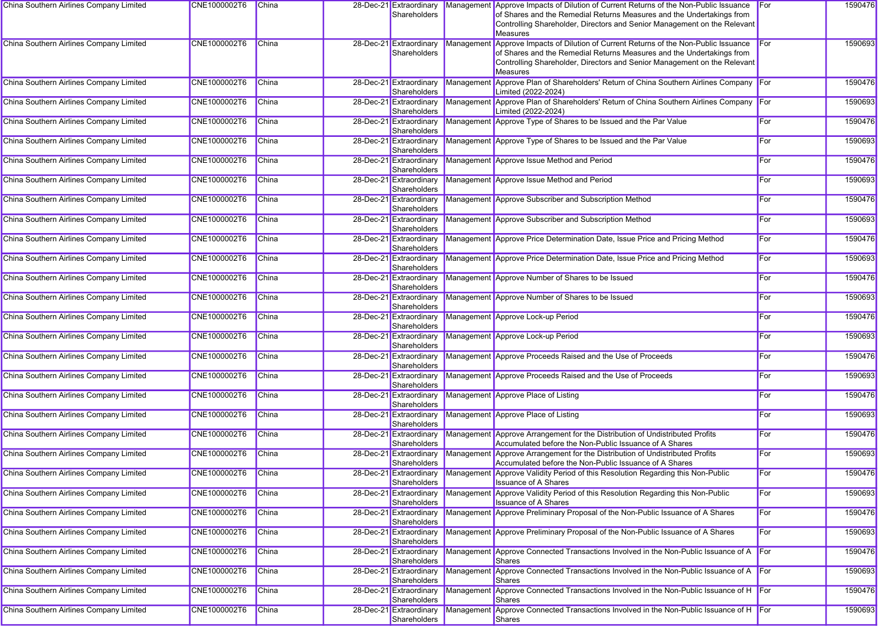| China Southern Airlines Company Limited | CNE1000002T6 | <b>China</b> | 28-Dec-21 Extraordinary<br>Shareholders                 |            | Management Approve Impacts of Dilution of Current Returns of the Non-Public Issuance<br>of Shares and the Remedial Returns Measures and the Undertakings from | For          | 1590476 |
|-----------------------------------------|--------------|--------------|---------------------------------------------------------|------------|---------------------------------------------------------------------------------------------------------------------------------------------------------------|--------------|---------|
|                                         |              |              |                                                         |            | Controlling Shareholder, Directors and Senior Management on the Relevant                                                                                      |              |         |
| China Southern Airlines Company Limited | CNE1000002T6 | <b>China</b> | 28-Dec-21 Extraordinary                                 |            | <b>Measures</b><br>Management Approve Impacts of Dilution of Current Returns of the Non-Public Issuance For                                                   |              | 1590693 |
|                                         |              |              | Shareholders                                            |            | of Shares and the Remedial Returns Measures and the Undertakings from<br>Controlling Shareholder, Directors and Senior Management on the Relevant             |              |         |
| China Southern Airlines Company Limited | CNE1000002T6 | China        | 28-Dec-21 Extraordinary<br>Shareholders                 |            | <b>Measures</b><br>Management Approve Plan of Shareholders' Return of China Southern Airlines Company For<br>Limited (2022-2024)                              |              | 1590476 |
| China Southern Airlines Company Limited | CNE1000002T6 | <b>China</b> | 28-Dec-21 Extraordinary                                 |            | Management Approve Plan of Shareholders' Return of China Southern Airlines Company For                                                                        |              | 1590693 |
| China Southern Airlines Company Limited | CNE1000002T6 | China        | Shareholders<br>28-Dec-21 Extraordinary<br>Shareholders |            | Limited (2022-2024)<br>Management Approve Type of Shares to be Issued and the Par Value                                                                       | <b>I</b> For | 1590476 |
| China Southern Airlines Company Limited | CNE1000002T6 | China        | 28-Dec-21 Extraordinary                                 |            | Management Approve Type of Shares to be Issued and the Par Value                                                                                              | For          | 1590693 |
| China Southern Airlines Company Limited | CNE1000002T6 | China        | Shareholders<br>28-Dec-21 Extraordinary<br>Shareholders |            | Management Approve Issue Method and Period                                                                                                                    | <b>I</b> For | 1590476 |
| China Southern Airlines Company Limited | CNE1000002T6 | China        | 28-Dec-21 Extraordinary<br>Shareholders                 |            | Management Approve Issue Method and Period                                                                                                                    | For          | 1590693 |
| China Southern Airlines Company Limited | CNE1000002T6 | China        | 28-Dec-21 Extraordinary<br>Shareholders                 |            | Management Approve Subscriber and Subscription Method                                                                                                         | For          | 1590476 |
| China Southern Airlines Company Limited | CNE1000002T6 | China        | 28-Dec-21 Extraordinary<br>Shareholders                 |            | Management Approve Subscriber and Subscription Method                                                                                                         | <b>I</b> For | 1590693 |
| China Southern Airlines Company Limited | CNE1000002T6 | <b>China</b> | 28-Dec-21 Extraordinary<br>Shareholders                 |            | Management Approve Price Determination Date, Issue Price and Pricing Method                                                                                   | For          | 1590476 |
| China Southern Airlines Company Limited | CNE1000002T6 | China        | 28-Dec-21 Extraordinary<br>Shareholders                 |            | Management Approve Price Determination Date, Issue Price and Pricing Method                                                                                   | For          | 1590693 |
| China Southern Airlines Company Limited | CNE1000002T6 | China        | 28-Dec-21 Extraordinary<br>Shareholders                 |            | Management Approve Number of Shares to be Issued                                                                                                              | For          | 1590476 |
| China Southern Airlines Company Limited | CNE1000002T6 | China        | 28-Dec-21 Extraordinary<br>Shareholders                 |            | Management Approve Number of Shares to be Issued                                                                                                              | <b>I</b> For | 1590693 |
| China Southern Airlines Company Limited | CNE1000002T6 | China        | 28-Dec-21 Extraordinary<br>Shareholders                 |            | Management Approve Lock-up Period                                                                                                                             | <b>I</b> For | 1590476 |
| China Southern Airlines Company Limited | CNE1000002T6 | <b>China</b> | 28-Dec-21 Extraordinary<br>Shareholders                 |            | Management Approve Lock-up Period                                                                                                                             | For          | 1590693 |
| China Southern Airlines Company Limited | CNE1000002T6 | China        | 28-Dec-21 Extraordinary<br>Shareholders                 |            | Management Approve Proceeds Raised and the Use of Proceeds                                                                                                    | For          | 1590476 |
| China Southern Airlines Company Limited | CNE1000002T6 | China        | 28-Dec-21 Extraordinary<br>Shareholders                 |            | Management Approve Proceeds Raised and the Use of Proceeds                                                                                                    | For          | 1590693 |
| China Southern Airlines Company Limited | CNE1000002T6 | China        | 28-Dec-21 Extraordinary<br>Shareholders                 |            | Management Approve Place of Listing                                                                                                                           | For          | 1590476 |
| China Southern Airlines Company Limited | CNE1000002T6 | China        | 28-Dec-21 Extraordinary<br>Shareholders                 |            | Management Approve Place of Listing                                                                                                                           | <b>I</b> For | 1590693 |
| China Southern Airlines Company Limited | CNE1000002T6 | China        | 28-Dec-21 Extraordinary<br>Shareholders                 |            | Management Approve Arrangement for the Distribution of Undistributed Profits<br>Accumulated before the Non-Public Issuance of A Shares                        | For          | 1590476 |
| China Southern Airlines Company Limited | CNE1000002T6 | China        | 28-Dec-21 Extraordinary<br>Shareholders                 | Management | Approve Arrangement for the Distribution of Undistributed Profits<br>Accumulated before the Non-Public Issuance of A Shares                                   | For          | 1590693 |
| China Southern Airlines Company Limited | CNE1000002T6 | China        | Shareholders                                            |            | 28-Dec-21 Extraordinary Management Approve Validity Period of this Resolution Regarding this Non-Public<br><b>Issuance of A Shares</b>                        | For          | 1590476 |
| China Southern Airlines Company Limited | CNE1000002T6 | <b>China</b> | 28-Dec-21 Extraordinary<br>Shareholders                 |            | Management Approve Validity Period of this Resolution Regarding this Non-Public<br><b>Issuance of A Shares</b>                                                | For          | 1590693 |
| China Southern Airlines Company Limited | CNE1000002T6 | China        | 28-Dec-21 Extraordinary<br>Shareholders                 |            | Management Approve Preliminary Proposal of the Non-Public Issuance of A Shares                                                                                | For          | 1590476 |
| China Southern Airlines Company Limited | CNE1000002T6 | China        | 28-Dec-21 Extraordinary<br>Shareholders                 |            | Management Approve Preliminary Proposal of the Non-Public Issuance of A Shares                                                                                | For          | 1590693 |
| China Southern Airlines Company Limited | CNE1000002T6 | China        | 28-Dec-21 Extraordinary<br>Shareholders                 |            | Management Approve Connected Transactions Involved in the Non-Public Issuance of A<br>Shares                                                                  |              | 1590476 |
| China Southern Airlines Company Limited | CNE1000002T6 | <b>China</b> | 28-Dec-21 Extraordinary<br>Shareholders                 |            | Management Approve Connected Transactions Involved in the Non-Public Issuance of A<br>Shares                                                                  |              | 1590693 |
| China Southern Airlines Company Limited | CNE1000002T6 | China        | 28-Dec-21 Extraordinary<br>Shareholders                 |            | Management Approve Connected Transactions Involved in the Non-Public Issuance of H<br>Shares                                                                  |              | 1590476 |
| China Southern Airlines Company Limited | CNE1000002T6 | <b>China</b> | 28-Dec-21 Extraordinary<br>Shareholders                 |            | Management Approve Connected Transactions Involved in the Non-Public Issuance of H<br>Shares                                                                  |              | 1590693 |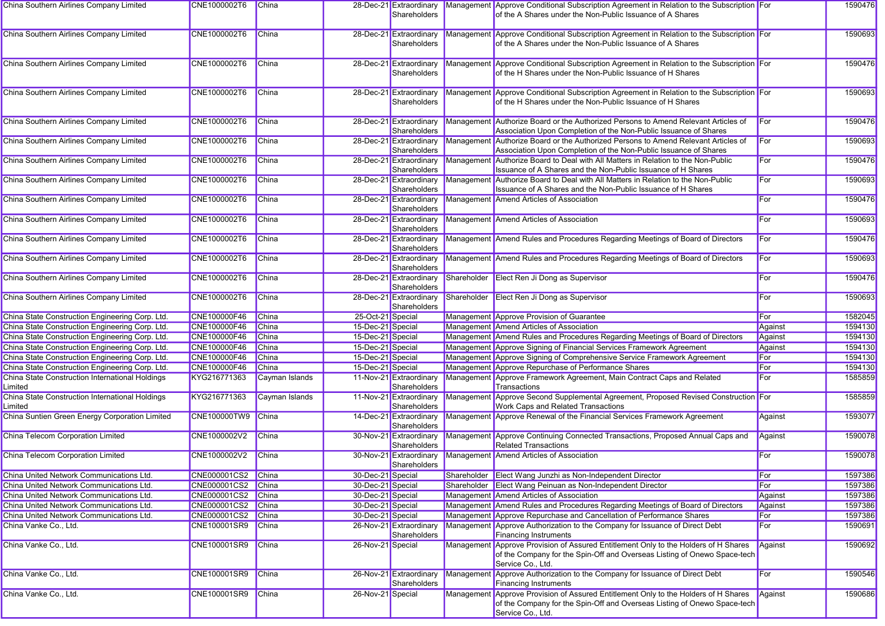| China Southern Airlines Company Limited                    | CNE1000002T6        | China          |                   | 28-Dec-21 Extraordinary<br>Shareholders | Management Approve Conditional Subscription Agreement in Relation to the Subscription For<br>of the A Shares under the Non-Public Issuance of A Shares                               |              | 1590476 |
|------------------------------------------------------------|---------------------|----------------|-------------------|-----------------------------------------|--------------------------------------------------------------------------------------------------------------------------------------------------------------------------------------|--------------|---------|
| China Southern Airlines Company Limited                    | CNE1000002T6        | China          |                   | 28-Dec-21 Extraordinary<br>Shareholders | Management Approve Conditional Subscription Agreement in Relation to the Subscription For<br>of the A Shares under the Non-Public Issuance of A Shares                               |              | 1590693 |
| China Southern Airlines Company Limited                    | CNE1000002T6        | China          |                   | 28-Dec-21 Extraordinary<br>Shareholders | Management Approve Conditional Subscription Agreement in Relation to the Subscription For<br>of the H Shares under the Non-Public Issuance of H Shares                               |              | 1590476 |
| China Southern Airlines Company Limited                    | CNE1000002T6        | China          |                   | 28-Dec-21 Extraordinary<br>Shareholders | Management Approve Conditional Subscription Agreement in Relation to the Subscription For<br>of the H Shares under the Non-Public Issuance of H Shares                               |              | 1590693 |
| China Southern Airlines Company Limited                    | CNE1000002T6        | China          |                   | 28-Dec-21 Extraordinary<br>Shareholders | Management Authorize Board or the Authorized Persons to Amend Relevant Articles of<br>Association Upon Completion of the Non-Public Issuance of Shares                               | <b>I</b> For | 1590476 |
| China Southern Airlines Company Limited                    | CNE1000002T6        | China          |                   | 28-Dec-21 Extraordinary<br>Shareholders | Management Authorize Board or the Authorized Persons to Amend Relevant Articles of<br>Association Upon Completion of the Non-Public Issuance of Shares                               | For          | 1590693 |
| China Southern Airlines Company Limited                    | CNE1000002T6        | <b>China</b>   |                   | 28-Dec-21 Extraordinary<br>Shareholders | Management Authorize Board to Deal with All Matters in Relation to the Non-Public<br>Issuance of A Shares and the Non-Public Issuance of H Shares                                    | For          | 1590476 |
| China Southern Airlines Company Limited                    | CNE1000002T6        | China          |                   | 28-Dec-21 Extraordinary<br>Shareholders | Management Authorize Board to Deal with All Matters in Relation to the Non-Public<br>Issuance of A Shares and the Non-Public Issuance of H Shares                                    | For          | 1590693 |
| China Southern Airlines Company Limited                    | CNE1000002T6        | <b>China</b>   |                   | 28-Dec-21 Extraordinary<br>Shareholders | Management Amend Articles of Association                                                                                                                                             | For          | 1590476 |
| China Southern Airlines Company Limited                    | CNE1000002T6        | China          |                   | 28-Dec-21 Extraordinary<br>Shareholders | Management Amend Articles of Association                                                                                                                                             | For          | 1590693 |
| China Southern Airlines Company Limited                    | CNE1000002T6        | China          |                   | 28-Dec-21 Extraordinary<br>Shareholders | Management Amend Rules and Procedures Regarding Meetings of Board of Directors                                                                                                       | For          | 1590476 |
| China Southern Airlines Company Limited                    | CNE1000002T6        | China          |                   | 28-Dec-21 Extraordinary<br>Shareholders | Management Amend Rules and Procedures Regarding Meetings of Board of Directors                                                                                                       | For          | 1590693 |
| China Southern Airlines Company Limited                    | CNE1000002T6        | China          |                   | 28-Dec-21 Extraordinary<br>Shareholders | Shareholder Elect Ren Ji Dong as Supervisor                                                                                                                                          | For          | 1590476 |
| China Southern Airlines Company Limited                    | CNE1000002T6        | China          |                   | 28-Dec-21 Extraordinary<br>Shareholders | Shareholder Elect Ren Ji Dong as Supervisor                                                                                                                                          | For          | 1590693 |
| China State Construction Engineering Corp. Ltd.            | CNE100000F46        | China          | 25-Oct-21 Special |                                         | Management Approve Provision of Guarantee                                                                                                                                            | <b>For</b>   | 1582045 |
| China State Construction Engineering Corp. Ltd.            | CNE100000F46        | China          | 15-Dec-21 Special |                                         | Management Amend Articles of Association                                                                                                                                             | Against      | 1594130 |
| China State Construction Engineering Corp. Ltd.            | CNE100000F46        | China          | 15-Dec-21 Special |                                         | Management Amend Rules and Procedures Regarding Meetings of Board of Directors                                                                                                       | Against      | 1594130 |
| China State Construction Engineering Corp. Ltd.            | CNE100000F46        | <b>China</b>   | 15-Dec-21 Special |                                         | Management Approve Signing of Financial Services Framework Agreement                                                                                                                 | Against      | 1594130 |
| China State Construction Engineering Corp. Ltd.            | CNE100000F46        | China          | 15-Dec-21 Special |                                         | Management Approve Signing of Comprehensive Service Framework Agreement                                                                                                              | For          | 1594130 |
| China State Construction Engineering Corp. Ltd.            | CNE100000F46        | <b>China</b>   | 15-Dec-21 Special |                                         | Management Approve Repurchase of Performance Shares                                                                                                                                  | For          | 1594130 |
| China State Construction International Holdings<br>Limited | KYG216771363        | Cayman Islands |                   | 11-Nov-21 Extraordinary<br>Shareholders | Management Approve Framework Agreement, Main Contract Caps and Related<br>Transactions                                                                                               | For          | 1585859 |
| China State Construction International Holdings<br>Limited | KYG216771363        | Cayman Islands |                   | 11-Nov-21 Extraordinary<br>Shareholders | Management Approve Second Supplemental Agreement, Proposed Revised Construction For<br><b>Work Caps and Related Transactions</b>                                                     |              | 1585859 |
| China Suntien Green Energy Corporation Limited             | <b>CNE100000TW9</b> | China          |                   | 14-Dec-21 Extraordinary<br>Shareholders | Management Approve Renewal of the Financial Services Framework Agreement                                                                                                             | Against      | 1593077 |
| China Telecom Corporation Limited                          | CNE1000002V2        | China          |                   | 30-Nov-21 Extraordinary<br>Shareholders | Management Approve Continuing Connected Transactions, Proposed Annual Caps and<br><b>Related Transactions</b>                                                                        | Against      | 1590078 |
| China Telecom Corporation Limited                          | CNE1000002V2        | China          |                   | 30-Nov-21 Extraordinary<br>Shareholders | Management Amend Articles of Association                                                                                                                                             | For          | 1590078 |
| China United Network Communications Ltd.                   | CNE000001CS2 China  |                | 30-Dec-21 Special |                                         | Shareholder Elect Wang Junzhi as Non-Independent Director                                                                                                                            | <b>For</b>   | 1597386 |
| China United Network Communications Ltd.                   | CNE000001CS2 China  |                | 30-Dec-21 Special |                                         | Shareholder Elect Wang Peinuan as Non-Independent Director                                                                                                                           | <b>For</b>   | 1597386 |
| China United Network Communications Ltd.                   | CNE000001CS2 China  |                | 30-Dec-21 Special |                                         | Management Amend Articles of Association                                                                                                                                             | Against      | 1597386 |
| China United Network Communications Ltd.                   | CNE000001CS2 China  |                | 30-Dec-21 Special |                                         | Management Amend Rules and Procedures Regarding Meetings of Board of Directors                                                                                                       | Against      | 1597386 |
| China United Network Communications Ltd.                   | CNE000001CS2 China  |                | 30-Dec-21 Special |                                         | Management Approve Repurchase and Cancellation of Performance Shares                                                                                                                 | For          | 1597386 |
| China Vanke Co., Ltd.                                      | CNE100001SR9        | China          |                   | 26-Nov-21 Extraordinary<br>Shareholders | Management Approve Authorization to the Company for Issuance of Direct Debt<br><b>Financing Instruments</b>                                                                          | For          | 1590691 |
| China Vanke Co., Ltd.                                      | CNE100001SR9        | China          | 26-Nov-21 Special |                                         | Management Approve Provision of Assured Entitlement Only to the Holders of H Shares<br>of the Company for the Spin-Off and Overseas Listing of Onewo Space-tech<br>Service Co., Ltd. | Against      | 1590692 |
| China Vanke Co., Ltd.                                      | CNE100001SR9        | China          |                   | 26-Nov-21 Extraordinary<br>Shareholders | Management Approve Authorization to the Company for Issuance of Direct Debt<br><b>Financing Instruments</b>                                                                          | For          | 1590546 |
| China Vanke Co., Ltd.                                      | CNE100001SR9        | China          | 26-Nov-21 Special |                                         | Management Approve Provision of Assured Entitlement Only to the Holders of H Shares<br>of the Company for the Spin-Off and Overseas Listing of Onewo Space-tech<br>Service Co., Ltd. | Against      | 1590686 |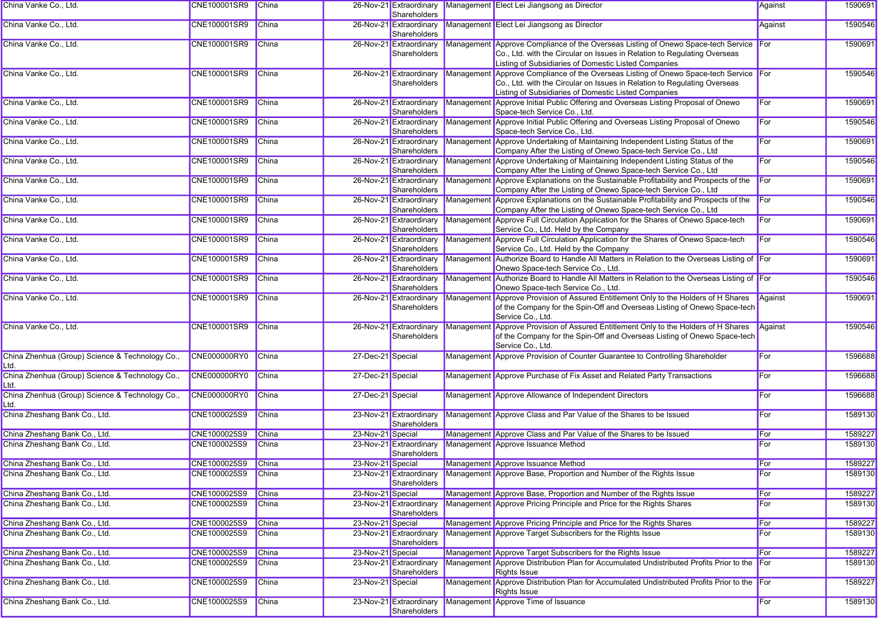| China Vanke Co., Ltd.                                   | CNE100001SR9        | China        |                   | 26-Nov-21 Extraordinary<br>Shareholders |           | Management Elect Lei Jiangsong as Director                                                                                                                                                                                | Against    | 1590691 |
|---------------------------------------------------------|---------------------|--------------|-------------------|-----------------------------------------|-----------|---------------------------------------------------------------------------------------------------------------------------------------------------------------------------------------------------------------------------|------------|---------|
| China Vanke Co., Ltd.                                   | CNE100001SR9        | China        |                   | 26-Nov-21 Extraordinary<br>Shareholders |           | Management Elect Lei Jiangsong as Director                                                                                                                                                                                | Against    | 1590546 |
| China Vanke Co., Ltd.                                   | CNE100001SR9        | China        |                   | 26-Nov-21 Extraordinary<br>Shareholders |           | Management Approve Compliance of the Overseas Listing of Onewo Space-tech Service For<br>Co., Ltd. with the Circular on Issues in Relation to Regulating Overseas<br>Listing of Subsidiaries of Domestic Listed Companies |            | 1590691 |
| China Vanke Co., Ltd.                                   | CNE100001SR9        | China        |                   | 26-Nov-21 Extraordinary<br>Shareholders |           | Management Approve Compliance of the Overseas Listing of Onewo Space-tech Service For<br>Co., Ltd. with the Circular on Issues in Relation to Regulating Overseas<br>Listing of Subsidiaries of Domestic Listed Companies |            | 1590546 |
| China Vanke Co., Ltd.                                   | CNE100001SR9        | China        |                   | 26-Nov-21 Extraordinary<br>Shareholders |           | Management Approve Initial Public Offering and Overseas Listing Proposal of Onewo<br>Space-tech Service Co., Ltd.                                                                                                         | For        | 1590691 |
| China Vanke Co., Ltd.                                   | CNE100001SR9        | China        |                   | 26-Nov-21 Extraordinary<br>Shareholders |           | Management Approve Initial Public Offering and Overseas Listing Proposal of Onewo<br>Space-tech Service Co., Ltd.                                                                                                         | For        | 1590546 |
| China Vanke Co., Ltd.                                   | CNE100001SR9        | China        |                   | 26-Nov-21 Extraordinary<br>Shareholders |           | Management Approve Undertaking of Maintaining Independent Listing Status of the<br>Company After the Listing of Onewo Space-tech Service Co., Ltd                                                                         | For        | 1590691 |
| China Vanke Co., Ltd.                                   | CNE100001SR9        | China        |                   | 26-Nov-21 Extraordinary<br>Shareholders | Managemen | Approve Undertaking of Maintaining Independent Listing Status of the<br>Company After the Listing of Onewo Space-tech Service Co., Ltd                                                                                    | For        | 1590546 |
| China Vanke Co., Ltd.                                   | CNE100001SR9        | China        |                   | 26-Nov-21 Extraordinary<br>Shareholders |           | Management Approve Explanations on the Sustainable Profitability and Prospects of the<br>Company After the Listing of Onewo Space-tech Service Co., Ltd                                                                   | For        | 1590691 |
| China Vanke Co., Ltd.                                   | CNE100001SR9        | China        |                   | 26-Nov-21 Extraordinary<br>Shareholders |           | Management Approve Explanations on the Sustainable Profitability and Prospects of the<br>Company After the Listing of Onewo Space-tech Service Co., Ltd                                                                   | For        | 1590546 |
| China Vanke Co., Ltd.                                   | CNE100001SR9        | <b>China</b> |                   | 26-Nov-21 Extraordinary<br>Shareholders |           | Management Approve Full Circulation Application for the Shares of Onewo Space-tech<br>Service Co., Ltd. Held by the Company                                                                                               | For        | 1590691 |
| China Vanke Co., Ltd.                                   | CNE100001SR9        | <b>China</b> |                   | 26-Nov-21 Extraordinary<br>Shareholders |           | Management Approve Full Circulation Application for the Shares of Onewo Space-tech<br>Service Co., Ltd. Held by the Company                                                                                               | For        | 1590546 |
| China Vanke Co., Ltd.                                   | CNE100001SR9        | China        |                   | 26-Nov-21 Extraordinary<br>Shareholders |           | Management Authorize Board to Handle All Matters in Relation to the Overseas Listing of For<br>Onewo Space-tech Service Co., Ltd.                                                                                         |            | 1590691 |
| China Vanke Co., Ltd.                                   | CNE100001SR9        | China        |                   | 26-Nov-21 Extraordinary<br>Shareholders |           | Management Authorize Board to Handle All Matters in Relation to the Overseas Listing of For<br>Onewo Space-tech Service Co., Ltd.                                                                                         |            | 1590546 |
| China Vanke Co., Ltd.                                   | CNE100001SR9        | China        |                   | 26-Nov-21 Extraordinary<br>Shareholders |           | Management Approve Provision of Assured Entitlement Only to the Holders of H Shares<br>of the Company for the Spin-Off and Overseas Listing of Onewo Space-tech<br>Service Co., Ltd.                                      | Against    | 1590691 |
| China Vanke Co., Ltd.                                   | CNE100001SR9        | China        |                   | 26-Nov-21 Extraordinary<br>Shareholders | Managemen | t Approve Provision of Assured Entitlement Only to the Holders of H Shares<br>of the Company for the Spin-Off and Overseas Listing of Onewo Space-tech<br>Service Co., Ltd.                                               | Against    | 1590546 |
| China Zhenhua (Group) Science & Technology Co.,<br>Ltd. | <b>CNE000000RY0</b> | China        | 27-Dec-21 Special |                                         |           | Management Approve Provision of Counter Guarantee to Controlling Shareholder                                                                                                                                              | For        | 1596688 |
| China Zhenhua (Group) Science & Technology Co.<br>Ltd.  | CNE000000RY0        | China        | 27-Dec-21 Special |                                         |           | Management Approve Purchase of Fix Asset and Related Party Transactions                                                                                                                                                   | For        | 1596688 |
| China Zhenhua (Group) Science & Technology Co.,<br>Ltd. | CNE000000RY0        | <b>China</b> | 27-Dec-21 Special |                                         |           | Management Approve Allowance of Independent Directors                                                                                                                                                                     | For        | 1596688 |
| China Zheshang Bank Co., Ltd.                           | CNE1000025S9        | China        |                   | 23-Nov-21 Extraordinary<br>Shareholders |           | Management Approve Class and Par Value of the Shares to be Issued                                                                                                                                                         | For        | 1589130 |
| China Zheshang Bank Co., Ltd.                           | CNE1000025S9        | China        | 23-Nov-21 Special |                                         |           | Management Approve Class and Par Value of the Shares to be Issued                                                                                                                                                         | For        | 1589227 |
| China Zheshang Bank Co., Ltd.                           | CNE1000025S9        | <b>China</b> |                   | 23-Nov-21 Extraordinary<br>Shareholders |           | Management Approve Issuance Method                                                                                                                                                                                        | For        | 1589130 |
| China Zheshang Bank Co., Ltd.                           | CNE1000025S9 China  |              | 23-Nov-21 Special |                                         |           | Management Approve Issuance Method                                                                                                                                                                                        | For        | 1589227 |
| China Zheshang Bank Co., Ltd.                           | CNE1000025S9        | ∥China       |                   | Shareholders                            |           | 23-Nov-21 Extraordinary Management Approve Base, Proportion and Number of the Rights Issue                                                                                                                                | ∣For       | 1589130 |
| China Zheshang Bank Co., Ltd.                           | CNE1000025S9        | <b>China</b> | 23-Nov-21 Special |                                         |           | Management Approve Base, Proportion and Number of the Rights Issue                                                                                                                                                        | For        | 1589227 |
| China Zheshang Bank Co., Ltd.                           | CNE1000025S9        | China        |                   | 23-Nov-21 Extraordinary<br>Shareholders |           | Management Approve Pricing Principle and Price for the Rights Shares                                                                                                                                                      | For        | 1589130 |
| China Zheshang Bank Co., Ltd.                           | CNE1000025S9        | <b>China</b> | 23-Nov-21 Special |                                         |           | Management Approve Pricing Principle and Price for the Rights Shares                                                                                                                                                      | <b>For</b> | 1589227 |
| China Zheshang Bank Co., Ltd.                           | CNE1000025S9        | China        |                   | 23-Nov-21 Extraordinary<br>Shareholders |           | Management Approve Target Subscribers for the Rights Issue                                                                                                                                                                | For        | 1589130 |
| China Zheshang Bank Co., Ltd.                           | CNE1000025S9        | <b>China</b> | 23-Nov-21 Special |                                         |           | Management Approve Target Subscribers for the Rights Issue                                                                                                                                                                | For        | 1589227 |
| China Zheshang Bank Co., Ltd.                           | CNE1000025S9        | China        |                   | 23-Nov-21 Extraordinary<br>Shareholders |           | Management Approve Distribution Plan for Accumulated Undistributed Profits Prior to the<br><b>Rights Issue</b>                                                                                                            | For        | 1589130 |
| China Zheshang Bank Co., Ltd.                           | CNE1000025S9        | <b>China</b> | 23-Nov-21 Special |                                         |           | Management Approve Distribution Plan for Accumulated Undistributed Profits Prior to the For<br><b>Rights Issue</b>                                                                                                        |            | 1589227 |
| China Zheshang Bank Co., Ltd.                           | CNE1000025S9        | China        |                   | 23-Nov-21 Extraordinary<br>Shareholders |           | Management Approve Time of Issuance                                                                                                                                                                                       | For        | 1589130 |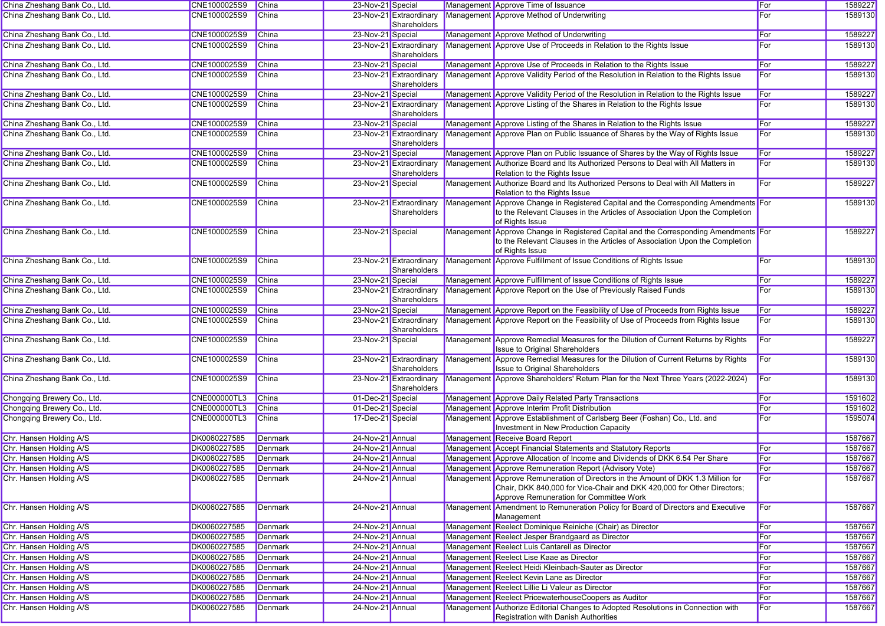| China Zheshang Bank Co., Ltd.                      | CNE1000025S9                 | <b>China</b>                     | 23-Nov-21 Special                    |                                         | Management Approve Time of Issuance                                                                                                                                                                    | For        | 1589227            |
|----------------------------------------------------|------------------------------|----------------------------------|--------------------------------------|-----------------------------------------|--------------------------------------------------------------------------------------------------------------------------------------------------------------------------------------------------------|------------|--------------------|
| China Zheshang Bank Co., Ltd.                      | CNE1000025S9                 | China                            |                                      | 23-Nov-21 Extraordinary<br>Shareholders | Management Approve Method of Underwriting                                                                                                                                                              | For        | 1589130            |
| China Zheshang Bank Co., Ltd.                      | CNE1000025S9                 | China                            | 23-Nov-21 Special                    |                                         | Management Approve Method of Underwriting                                                                                                                                                              | For        | 1589227            |
| China Zheshang Bank Co., Ltd.                      | CNE1000025S9                 | China                            |                                      | 23-Nov-21 Extraordinary<br>Shareholders | Management Approve Use of Proceeds in Relation to the Rights Issue                                                                                                                                     | For        | 1589130            |
| China Zheshang Bank Co., Ltd.                      | CNE1000025S9                 | China                            | 23-Nov-21 Special                    |                                         | Management Approve Use of Proceeds in Relation to the Rights Issue                                                                                                                                     | For        | 1589227            |
| China Zheshang Bank Co., Ltd.                      | CNE1000025S9                 | China                            |                                      | 23-Nov-21 Extraordinary<br>Shareholders | Management Approve Validity Period of the Resolution in Relation to the Rights Issue                                                                                                                   | For        | 1589130            |
| China Zheshang Bank Co., Ltd.                      | CNE1000025S9                 | China                            | 23-Nov-21 Special                    |                                         | Management Approve Validity Period of the Resolution in Relation to the Rights Issue                                                                                                                   | For        | 1589227            |
| China Zheshang Bank Co., Ltd.                      | CNE1000025S9                 | China                            |                                      | 23-Nov-21 Extraordinary<br>Shareholders | Management Approve Listing of the Shares in Relation to the Rights Issue                                                                                                                               | For        | 1589130            |
| China Zheshang Bank Co., Ltd.                      | CNE1000025S9                 | <b>China</b>                     | 23-Nov-21 Special                    |                                         | Management Approve Listing of the Shares in Relation to the Rights Issue                                                                                                                               | For        | 1589227            |
| China Zheshang Bank Co., Ltd.                      | CNE1000025S9                 | China                            |                                      | 23-Nov-21 Extraordinary<br>Shareholders | Management Approve Plan on Public Issuance of Shares by the Way of Rights Issue                                                                                                                        | For        | 1589130            |
| China Zheshang Bank Co., Ltd.                      | CNE1000025S9                 | China                            | 23-Nov-21 Special                    |                                         | Management Approve Plan on Public Issuance of Shares by the Way of Rights Issue                                                                                                                        | For        | 1589227            |
| China Zheshang Bank Co., Ltd.                      | CNE1000025S9                 | China                            |                                      | 23-Nov-21 Extraordinary<br>Shareholders | Management Authorize Board and Its Authorized Persons to Deal with All Matters in<br>Relation to the Rights Issue                                                                                      | For        | 1589130            |
| China Zheshang Bank Co., Ltd.                      | CNE1000025S9                 | China                            | 23-Nov-21 Special                    |                                         | Management Authorize Board and Its Authorized Persons to Deal with All Matters in<br>Relation to the Rights Issue                                                                                      | For        | 1589227            |
| China Zheshang Bank Co., Ltd.                      | CNE1000025S9                 | China                            |                                      | 23-Nov-21 Extraordinary<br>Shareholders | Management Approve Change in Registered Capital and the Corresponding Amendments For<br>to the Relevant Clauses in the Articles of Association Upon the Completion<br>of Rights Issue                  |            | 1589130            |
| China Zheshang Bank Co., Ltd.                      | CNE1000025S9                 | China                            | 23-Nov-21 Special                    |                                         | Management Approve Change in Registered Capital and the Corresponding Amendments For<br>to the Relevant Clauses in the Articles of Association Upon the Completion<br>of Rights Issue                  |            | 1589227            |
| China Zheshang Bank Co., Ltd.                      | CNE1000025S9                 | China                            |                                      | 23-Nov-21 Extraordinary<br>Shareholders | Management Approve Fulfillment of Issue Conditions of Rights Issue                                                                                                                                     | For        | 1589130            |
| China Zheshang Bank Co., Ltd.                      | CNE1000025S9                 | <b>China</b>                     | 23-Nov-21 Special                    |                                         | Management Approve Fulfillment of Issue Conditions of Rights Issue                                                                                                                                     | For        | 1589227            |
| China Zheshang Bank Co., Ltd.                      | CNE1000025S9                 | China                            |                                      | 23-Nov-21 Extraordinary<br>Shareholders | Management Approve Report on the Use of Previously Raised Funds                                                                                                                                        | For        | 1589130            |
| China Zheshang Bank Co., Ltd.                      | CNE1000025S9                 | China                            | 23-Nov-21 Special                    |                                         | Management Approve Report on the Feasibility of Use of Proceeds from Rights Issue                                                                                                                      | For        | 1589227            |
| China Zheshang Bank Co., Ltd.                      | CNE1000025S9                 | China                            |                                      | 23-Nov-21 Extraordinary<br>Shareholders | Management Approve Report on the Feasibility of Use of Proceeds from Rights Issue                                                                                                                      | For        | 1589130            |
| China Zheshang Bank Co., Ltd.                      | CNE1000025S9                 | China                            | 23-Nov-21 Special                    |                                         | Management Approve Remedial Measures for the Dilution of Current Returns by Rights<br><b>Issue to Original Shareholders</b>                                                                            | For        | 1589227            |
| China Zheshang Bank Co., Ltd.                      | CNE1000025S9                 | China                            |                                      | 23-Nov-21 Extraordinary<br>Shareholders | Management Approve Remedial Measures for the Dilution of Current Returns by Rights<br><b>Issue to Original Shareholders</b>                                                                            | <b>For</b> | 1589130            |
| China Zheshang Bank Co., Ltd.                      | CNE1000025S9                 | China                            |                                      | 23-Nov-21 Extraordinary<br>Shareholders | Management Approve Shareholders' Return Plan for the Next Three Years (2022-2024)                                                                                                                      | For        | 1589130            |
| Chongqing Brewery Co., Ltd.                        | <b>CNE000000TL3</b>          | China                            | 01-Dec-21 Special                    |                                         | Management Approve Daily Related Party Transactions                                                                                                                                                    | For        | 1591602            |
| Chongqing Brewery Co., Ltd.                        | <b>CNE000000TL3</b>          | <b>China</b>                     | 01-Dec-21 Special                    |                                         | Management Approve Interim Profit Distribution                                                                                                                                                         | For        | 1591602            |
| Chongqing Brewery Co., Ltd.                        | <b>CNE000000TL3</b>          | <b>China</b>                     | 17-Dec-21 Special                    |                                         | Management Approve Establishment of Carlsberg Beer (Foshan) Co., Ltd. and<br>Investment in New Production Capacity                                                                                     | For        | 1595074            |
| Chr. Hansen Holding A/S                            | DK0060227585                 | <b>Denmark</b>                   | 24-Nov-21 Annual                     |                                         | Management Receive Board Report                                                                                                                                                                        |            | 1587667            |
| Chr. Hansen Holding A/S                            | DK0060227585                 | <b>Denmark</b>                   | 24-Nov-21 Annual                     |                                         | Management Accept Financial Statements and Statutory Reports                                                                                                                                           | For        | 1587667            |
| Chr. Hansen Holding A/S                            | DK0060227585                 | Denmark                          | 24-Nov-21 Annual                     |                                         | Management Approve Allocation of Income and Dividends of DKK 6.54 Per Share                                                                                                                            | For        | 1587667            |
| Chr. Hansen Holding A/S                            | DK0060227585                 | Denmark                          | 24-Nov-21 Annual                     |                                         | Management Approve Remuneration Report (Advisory Vote)                                                                                                                                                 | For        | 1587667            |
| Chr. Hansen Holding A/S                            | DK0060227585                 | Denmark                          | 24-Nov-21 Annual                     |                                         | Management Approve Remuneration of Directors in the Amount of DKK 1.3 Million for<br>Chair, DKK 840,000 for Vice-Chair and DKK 420,000 for Other Directors;<br>Approve Remuneration for Committee Work | For        | 1587667            |
| Chr. Hansen Holding A/S                            | DK0060227585                 | <b>Denmark</b>                   | 24-Nov-21 Annual                     |                                         | Management Amendment to Remuneration Policy for Board of Directors and Executive<br>Management                                                                                                         | For        | 1587667            |
| Chr. Hansen Holding A/S                            | DK0060227585                 | Denmark                          | 24-Nov-21 Annual                     |                                         | Management Reelect Dominique Reiniche (Chair) as Director                                                                                                                                              | For        | 1587667            |
| Chr. Hansen Holding A/S                            | DK0060227585                 | <b>Denmark</b>                   | 24-Nov-21 Annual                     |                                         | Management Reelect Jesper Brandgaard as Director                                                                                                                                                       | For        | 1587667            |
| Chr. Hansen Holding A/S                            | DK0060227585                 | Denmark                          | 24-Nov-21 Annual                     |                                         | Management Reelect Luis Cantarell as Director                                                                                                                                                          | For        | 1587667            |
| Chr. Hansen Holding A/S                            | DK0060227585                 | <b>Denmark</b>                   | 24-Nov-21 Annual                     |                                         | Management Reelect Lise Kaae as Director                                                                                                                                                               | For        | 1587667            |
| Chr. Hansen Holding A/S                            | DK0060227585                 | <b>Denmark</b>                   | 24-Nov-21 Annual                     |                                         | Management Reelect Heidi Kleinbach-Sauter as Director                                                                                                                                                  | For        | 1587667            |
| Chr. Hansen Holding A/S                            | DK0060227585                 | Denmark                          | 24-Nov-21 Annual                     |                                         | Management Reelect Kevin Lane as Director                                                                                                                                                              | For        | 1587667            |
| Chr. Hansen Holding A/S                            | DK0060227585                 | <b>Denmark</b>                   | 24-Nov-21 Annual                     |                                         | Management Reelect Lillie Li Valeur as Director                                                                                                                                                        | For        | 1587667            |
| Chr. Hansen Holding A/S<br>Chr. Hansen Holding A/S | DK0060227585<br>DK0060227585 | <b>Denmark</b><br><b>Denmark</b> | 24-Nov-21 Annual<br>24-Nov-21 Annual |                                         | Management Reelect PricewaterhouseCoopers as Auditor<br>Management Authorize Editorial Changes to Adopted Resolutions in Connection with                                                               | For<br>For | 1587667<br>1587667 |
|                                                    |                              |                                  |                                      |                                         | Registration with Danish Authorities                                                                                                                                                                   |            |                    |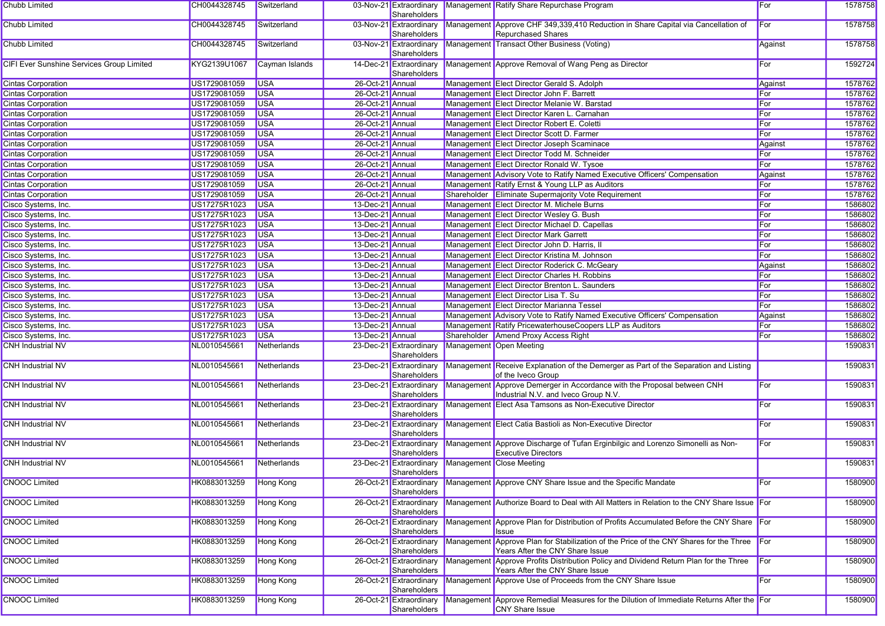| Chubb Limited                             | CH0044328745 | Switzerland      |                  | Shareholders                            | 03-Nov-21 Extraordinary Management Ratify Share Repurchase Program                                                        | For     | 1578758 |
|-------------------------------------------|--------------|------------------|------------------|-----------------------------------------|---------------------------------------------------------------------------------------------------------------------------|---------|---------|
| Chubb Limited                             | CH0044328745 | Switzerland      |                  | 03-Nov-21 Extraordinary<br>Shareholders | Management Approve CHF 349,339,410 Reduction in Share Capital via Cancellation of<br>Repurchased Shares                   | For     | 1578758 |
| Chubb Limited                             | CH0044328745 | Switzerland      |                  | 03-Nov-21 Extraordinary<br>Shareholders | Management Transact Other Business (Voting)                                                                               | Against | 1578758 |
| CIFI Ever Sunshine Services Group Limited | KYG2139U1067 | Cayman Islands   |                  | 14-Dec-21 Extraordinary<br>Shareholders | Management Approve Removal of Wang Peng as Director                                                                       | For     | 1592724 |
| <b>Cintas Corporation</b>                 | US1729081059 | <b>USA</b>       | 26-Oct-21 Annual |                                         | Management Elect Director Gerald S. Adolph                                                                                | Against | 1578762 |
| <b>Cintas Corporation</b>                 | US1729081059 | <b>USA</b>       | 26-Oct-21 Annual |                                         | Management Elect Director John F. Barrett                                                                                 | For     | 1578762 |
| <b>Cintas Corporation</b>                 | US1729081059 | <b>USA</b>       | 26-Oct-21 Annual |                                         | Management Elect Director Melanie W. Barstad                                                                              | For     | 1578762 |
| <b>Cintas Corporation</b>                 | US1729081059 | <b>USA</b>       | 26-Oct-21 Annual |                                         | Management Elect Director Karen L. Carnahan                                                                               | For     | 1578762 |
| <b>Cintas Corporation</b>                 | US1729081059 | <b>USA</b>       | 26-Oct-21 Annual |                                         | Management Elect Director Robert E. Coletti                                                                               | For     | 1578762 |
| <b>Cintas Corporation</b>                 | US1729081059 | <b>USA</b>       | 26-Oct-21 Annual |                                         | Management Elect Director Scott D. Farmer                                                                                 | For     | 1578762 |
| <b>Cintas Corporation</b>                 | US1729081059 | <b>USA</b>       | 26-Oct-21 Annual |                                         | Management Elect Director Joseph Scaminace                                                                                | Against | 1578762 |
| <b>Cintas Corporation</b>                 | US1729081059 | <b>USA</b>       | 26-Oct-21 Annual |                                         | Management Elect Director Todd M. Schneider                                                                               | For     | 1578762 |
| <b>Cintas Corporation</b>                 | US1729081059 | <b>USA</b>       | 26-Oct-21 Annual |                                         | Management Elect Director Ronald W. Tysoe                                                                                 | For     | 1578762 |
| <b>Cintas Corporation</b>                 | US1729081059 | <b>USA</b>       | 26-Oct-21 Annual |                                         | Management Advisory Vote to Ratify Named Executive Officers' Compensation                                                 | Against | 1578762 |
| <b>Cintas Corporation</b>                 | US1729081059 | <b>USA</b>       | 26-Oct-21 Annual |                                         | Management Ratify Ernst & Young LLP as Auditors                                                                           | For     | 1578762 |
| <b>Cintas Corporation</b>                 | US1729081059 | <b>USA</b>       | 26-Oct-21 Annual |                                         | Shareholder Eliminate Supermajority Vote Requirement                                                                      | For     | 1578762 |
| Cisco Systems, Inc.                       | US17275R1023 | <b>USA</b>       | 13-Dec-21 Annual |                                         | Management Elect Director M. Michele Burns                                                                                | For     | 1586802 |
| Cisco Systems, Inc.                       | US17275R1023 | <b>USA</b>       | 13-Dec-21 Annual |                                         | Management Elect Director Wesley G. Bush                                                                                  | For     | 1586802 |
| Cisco Systems, Inc.                       | US17275R1023 | <b>USA</b>       | 13-Dec-21 Annual |                                         | Management Elect Director Michael D. Capellas                                                                             | For     | 1586802 |
| Cisco Systems, Inc.                       | US17275R1023 | <b>USA</b>       | 13-Dec-21 Annual |                                         | Management Elect Director Mark Garrett                                                                                    | For     | 1586802 |
| Cisco Systems, Inc.                       | US17275R1023 | <b>USA</b>       | 13-Dec-21 Annual |                                         | Management Elect Director John D. Harris, II                                                                              | For     | 1586802 |
| Cisco Systems, Inc.                       | US17275R1023 | <b>USA</b>       | 13-Dec-21 Annual |                                         | Management Elect Director Kristina M. Johnson                                                                             | For     | 1586802 |
| Cisco Systems, Inc.                       | US17275R1023 | <b>USA</b>       | 13-Dec-21 Annual |                                         | Management Elect Director Roderick C. McGeary                                                                             | Against | 1586802 |
| Cisco Systems, Inc.                       | US17275R1023 | <b>USA</b>       | 13-Dec-21 Annual |                                         | Management Elect Director Charles H. Robbins                                                                              | For     | 1586802 |
| Cisco Systems, Inc.                       | US17275R1023 | <b>USA</b>       | 13-Dec-21 Annual |                                         | Management Elect Director Brenton L. Saunders                                                                             | For     | 1586802 |
| Cisco Systems, Inc.                       | US17275R1023 | <b>USA</b>       | 13-Dec-21 Annual |                                         | Management Elect Director Lisa T. Su                                                                                      | For     | 1586802 |
| Cisco Systems, Inc.                       | US17275R1023 | <b>USA</b>       | 13-Dec-21 Annual |                                         | Management Elect Director Marianna Tessel                                                                                 | For     | 1586802 |
| Cisco Systems, Inc.                       | US17275R1023 | <b>USA</b>       | 13-Dec-21 Annual |                                         | Management Advisory Vote to Ratify Named Executive Officers' Compensation                                                 | Against | 1586802 |
| Cisco Systems, Inc.                       | US17275R1023 | <b>USA</b>       | 13-Dec-21 Annual |                                         | Management Ratify PricewaterhouseCoopers LLP as Auditors                                                                  | For     | 1586802 |
| Cisco Systems, Inc.                       | US17275R1023 | <b>USA</b>       | 13-Dec-21 Annual |                                         | Shareholder Amend Proxy Access Right                                                                                      | For     | 1586802 |
| <b>CNH Industrial NV</b>                  | NL0010545661 | Netherlands      |                  | 23-Dec-21 Extraordinary<br>Shareholders | Management Open Meeting                                                                                                   |         | 1590831 |
| <b>CNH Industrial NV</b>                  | NL0010545661 | Netherlands      |                  | 23-Dec-21 Extraordinary<br>Shareholders | Management Receive Explanation of the Demerger as Part of the Separation and Listing<br>of the Iveco Group                |         | 1590831 |
| <b>CNH Industrial NV</b>                  | NL0010545661 | Netherlands      |                  | 23-Dec-21 Extraordinary<br>Shareholders | Management Approve Demerger in Accordance with the Proposal between CNH<br>Industrial N.V. and Iveco Group N.V.           | For     | 1590831 |
| <b>CNH Industrial NV</b>                  | NL0010545661 | Netherlands      |                  | 23-Dec-21 Extraordinary<br>Shareholders | Management Elect Asa Tamsons as Non-Executive Director                                                                    | For     | 1590831 |
| <b>CNH Industrial NV</b>                  | NL0010545661 | Netherlands      |                  | 23-Dec-21 Extraordinary<br>Shareholders | Management Elect Catia Bastioli as Non-Executive Director                                                                 | For     | 1590831 |
| <b>CNH Industrial NV</b>                  | NL0010545661 | Netherlands      |                  | 23-Dec-21 Extraordinary<br>Shareholders | Management Approve Discharge of Tufan Erginbilgic and Lorenzo Simonelli as Non-<br><b>Executive Directors</b>             | For     | 1590831 |
| <b>CNH Industrial NV</b>                  | NL0010545661 | Netherlands      |                  | 23-Dec-21 Extraordinary<br>Shareholders | Management Close Meeting                                                                                                  |         | 1590831 |
| <b>CNOOC Limited</b>                      | HK0883013259 | <b>Hong Kong</b> |                  | Shareholders                            | 26-Oct-21 Extraordinary Management Approve CNY Share Issue and the Specific Mandate                                       | For     | 1580900 |
| <b>CNOOC Limited</b>                      | HK0883013259 | <b>Hong Kong</b> |                  | 26-Oct-21 Extraordinary<br>Shareholders | Management Authorize Board to Deal with All Matters in Relation to the CNY Share Issue For                                |         | 1580900 |
| <b>CNOOC Limited</b>                      | HK0883013259 | <b>Hong Kong</b> |                  | 26-Oct-21 Extraordinary<br>Shareholders | Management Approve Plan for Distribution of Profits Accumulated Before the CNY Share For<br><b>Issue</b>                  |         | 1580900 |
| <b>CNOOC Limited</b>                      | HK0883013259 | <b>Hong Kong</b> |                  | 26-Oct-21 Extraordinary<br>Shareholders | Management Approve Plan for Stabilization of the Price of the CNY Shares for the Three<br>Years After the CNY Share Issue | For     | 1580900 |
| <b>CNOOC Limited</b>                      | HK0883013259 | Hong Kong        |                  | 26-Oct-21 Extraordinary<br>Shareholders | Management Approve Profits Distribution Policy and Dividend Return Plan for the Three<br>Years After the CNY Share Issue  | For     | 1580900 |
| <b>CNOOC Limited</b>                      | HK0883013259 | <b>Hong Kong</b> |                  | 26-Oct-21 Extraordinary<br>Shareholders | Management Approve Use of Proceeds from the CNY Share Issue                                                               | For     | 1580900 |
| <b>CNOOC Limited</b>                      | HK0883013259 | Hong Kong        |                  | 26-Oct-21 Extraordinary<br>Shareholders | Management Approve Remedial Measures for the Dilution of Immediate Returns After the For<br><b>CNY</b> Share Issue        |         | 1580900 |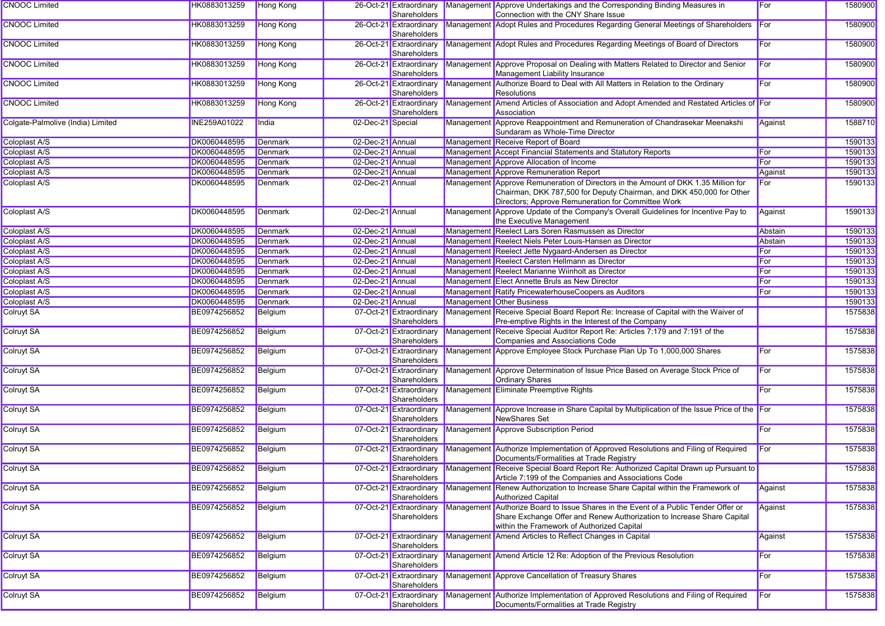| HK0883013259        |                                                                                                                                                                                                                              |                                                                                                                                                                                                                                                                                                                                                                                                                                         |              |                                                                                                                                                                                                                                                                                                                                                                                                                                                                                                                                                                                                                                                                                                                                                                                |                                                                      | For                                                                                                                                                                                                                                                                                                                                                                                                                                                                                                                                                                                                                                                                                                                                                                                                                                                                                                                                                                                                                                                                                                                                                                                                                                                                                                                                                                                                                                                                                                                                                                                                                                                                                                                                                                                                                                                                                                                                                                                                                                                                                                                                                                                                                                                                                                                                                                                                                                                                                                                                                                                                                                                                                                                                                                                   | 1580900                                                                                                                                                                                                                                                                                                                                                                                        |
|---------------------|------------------------------------------------------------------------------------------------------------------------------------------------------------------------------------------------------------------------------|-----------------------------------------------------------------------------------------------------------------------------------------------------------------------------------------------------------------------------------------------------------------------------------------------------------------------------------------------------------------------------------------------------------------------------------------|--------------|--------------------------------------------------------------------------------------------------------------------------------------------------------------------------------------------------------------------------------------------------------------------------------------------------------------------------------------------------------------------------------------------------------------------------------------------------------------------------------------------------------------------------------------------------------------------------------------------------------------------------------------------------------------------------------------------------------------------------------------------------------------------------------|----------------------------------------------------------------------|---------------------------------------------------------------------------------------------------------------------------------------------------------------------------------------------------------------------------------------------------------------------------------------------------------------------------------------------------------------------------------------------------------------------------------------------------------------------------------------------------------------------------------------------------------------------------------------------------------------------------------------------------------------------------------------------------------------------------------------------------------------------------------------------------------------------------------------------------------------------------------------------------------------------------------------------------------------------------------------------------------------------------------------------------------------------------------------------------------------------------------------------------------------------------------------------------------------------------------------------------------------------------------------------------------------------------------------------------------------------------------------------------------------------------------------------------------------------------------------------------------------------------------------------------------------------------------------------------------------------------------------------------------------------------------------------------------------------------------------------------------------------------------------------------------------------------------------------------------------------------------------------------------------------------------------------------------------------------------------------------------------------------------------------------------------------------------------------------------------------------------------------------------------------------------------------------------------------------------------------------------------------------------------------------------------------------------------------------------------------------------------------------------------------------------------------------------------------------------------------------------------------------------------------------------------------------------------------------------------------------------------------------------------------------------------------------------------------------------------------------------------------------------------|------------------------------------------------------------------------------------------------------------------------------------------------------------------------------------------------------------------------------------------------------------------------------------------------------------------------------------------------------------------------------------------------|
| HK0883013259        |                                                                                                                                                                                                                              |                                                                                                                                                                                                                                                                                                                                                                                                                                         |              |                                                                                                                                                                                                                                                                                                                                                                                                                                                                                                                                                                                                                                                                                                                                                                                |                                                                      |                                                                                                                                                                                                                                                                                                                                                                                                                                                                                                                                                                                                                                                                                                                                                                                                                                                                                                                                                                                                                                                                                                                                                                                                                                                                                                                                                                                                                                                                                                                                                                                                                                                                                                                                                                                                                                                                                                                                                                                                                                                                                                                                                                                                                                                                                                                                                                                                                                                                                                                                                                                                                                                                                                                                                                                       | 1580900                                                                                                                                                                                                                                                                                                                                                                                        |
| HK0883013259        |                                                                                                                                                                                                                              |                                                                                                                                                                                                                                                                                                                                                                                                                                         |              |                                                                                                                                                                                                                                                                                                                                                                                                                                                                                                                                                                                                                                                                                                                                                                                |                                                                      | For                                                                                                                                                                                                                                                                                                                                                                                                                                                                                                                                                                                                                                                                                                                                                                                                                                                                                                                                                                                                                                                                                                                                                                                                                                                                                                                                                                                                                                                                                                                                                                                                                                                                                                                                                                                                                                                                                                                                                                                                                                                                                                                                                                                                                                                                                                                                                                                                                                                                                                                                                                                                                                                                                                                                                                                   | 1580900                                                                                                                                                                                                                                                                                                                                                                                        |
| HK0883013259        |                                                                                                                                                                                                                              |                                                                                                                                                                                                                                                                                                                                                                                                                                         | Shareholders |                                                                                                                                                                                                                                                                                                                                                                                                                                                                                                                                                                                                                                                                                                                                                                                |                                                                      | For                                                                                                                                                                                                                                                                                                                                                                                                                                                                                                                                                                                                                                                                                                                                                                                                                                                                                                                                                                                                                                                                                                                                                                                                                                                                                                                                                                                                                                                                                                                                                                                                                                                                                                                                                                                                                                                                                                                                                                                                                                                                                                                                                                                                                                                                                                                                                                                                                                                                                                                                                                                                                                                                                                                                                                                   | 1580900                                                                                                                                                                                                                                                                                                                                                                                        |
| HK0883013259        |                                                                                                                                                                                                                              |                                                                                                                                                                                                                                                                                                                                                                                                                                         | Shareholders |                                                                                                                                                                                                                                                                                                                                                                                                                                                                                                                                                                                                                                                                                                                                                                                | Resolutions                                                          | For                                                                                                                                                                                                                                                                                                                                                                                                                                                                                                                                                                                                                                                                                                                                                                                                                                                                                                                                                                                                                                                                                                                                                                                                                                                                                                                                                                                                                                                                                                                                                                                                                                                                                                                                                                                                                                                                                                                                                                                                                                                                                                                                                                                                                                                                                                                                                                                                                                                                                                                                                                                                                                                                                                                                                                                   | 1580900                                                                                                                                                                                                                                                                                                                                                                                        |
| HK0883013259        |                                                                                                                                                                                                                              |                                                                                                                                                                                                                                                                                                                                                                                                                                         | Shareholders |                                                                                                                                                                                                                                                                                                                                                                                                                                                                                                                                                                                                                                                                                                                                                                                | Association                                                          |                                                                                                                                                                                                                                                                                                                                                                                                                                                                                                                                                                                                                                                                                                                                                                                                                                                                                                                                                                                                                                                                                                                                                                                                                                                                                                                                                                                                                                                                                                                                                                                                                                                                                                                                                                                                                                                                                                                                                                                                                                                                                                                                                                                                                                                                                                                                                                                                                                                                                                                                                                                                                                                                                                                                                                                       | 1580900                                                                                                                                                                                                                                                                                                                                                                                        |
| <b>INE259A01022</b> |                                                                                                                                                                                                                              |                                                                                                                                                                                                                                                                                                                                                                                                                                         |              |                                                                                                                                                                                                                                                                                                                                                                                                                                                                                                                                                                                                                                                                                                                                                                                |                                                                      | Against                                                                                                                                                                                                                                                                                                                                                                                                                                                                                                                                                                                                                                                                                                                                                                                                                                                                                                                                                                                                                                                                                                                                                                                                                                                                                                                                                                                                                                                                                                                                                                                                                                                                                                                                                                                                                                                                                                                                                                                                                                                                                                                                                                                                                                                                                                                                                                                                                                                                                                                                                                                                                                                                                                                                                                               | 1588710                                                                                                                                                                                                                                                                                                                                                                                        |
|                     |                                                                                                                                                                                                                              |                                                                                                                                                                                                                                                                                                                                                                                                                                         |              |                                                                                                                                                                                                                                                                                                                                                                                                                                                                                                                                                                                                                                                                                                                                                                                |                                                                      |                                                                                                                                                                                                                                                                                                                                                                                                                                                                                                                                                                                                                                                                                                                                                                                                                                                                                                                                                                                                                                                                                                                                                                                                                                                                                                                                                                                                                                                                                                                                                                                                                                                                                                                                                                                                                                                                                                                                                                                                                                                                                                                                                                                                                                                                                                                                                                                                                                                                                                                                                                                                                                                                                                                                                                                       | 1590133                                                                                                                                                                                                                                                                                                                                                                                        |
|                     |                                                                                                                                                                                                                              |                                                                                                                                                                                                                                                                                                                                                                                                                                         |              |                                                                                                                                                                                                                                                                                                                                                                                                                                                                                                                                                                                                                                                                                                                                                                                |                                                                      |                                                                                                                                                                                                                                                                                                                                                                                                                                                                                                                                                                                                                                                                                                                                                                                                                                                                                                                                                                                                                                                                                                                                                                                                                                                                                                                                                                                                                                                                                                                                                                                                                                                                                                                                                                                                                                                                                                                                                                                                                                                                                                                                                                                                                                                                                                                                                                                                                                                                                                                                                                                                                                                                                                                                                                                       | 1590133                                                                                                                                                                                                                                                                                                                                                                                        |
|                     |                                                                                                                                                                                                                              |                                                                                                                                                                                                                                                                                                                                                                                                                                         |              |                                                                                                                                                                                                                                                                                                                                                                                                                                                                                                                                                                                                                                                                                                                                                                                |                                                                      |                                                                                                                                                                                                                                                                                                                                                                                                                                                                                                                                                                                                                                                                                                                                                                                                                                                                                                                                                                                                                                                                                                                                                                                                                                                                                                                                                                                                                                                                                                                                                                                                                                                                                                                                                                                                                                                                                                                                                                                                                                                                                                                                                                                                                                                                                                                                                                                                                                                                                                                                                                                                                                                                                                                                                                                       | 1590133                                                                                                                                                                                                                                                                                                                                                                                        |
|                     |                                                                                                                                                                                                                              |                                                                                                                                                                                                                                                                                                                                                                                                                                         |              |                                                                                                                                                                                                                                                                                                                                                                                                                                                                                                                                                                                                                                                                                                                                                                                |                                                                      |                                                                                                                                                                                                                                                                                                                                                                                                                                                                                                                                                                                                                                                                                                                                                                                                                                                                                                                                                                                                                                                                                                                                                                                                                                                                                                                                                                                                                                                                                                                                                                                                                                                                                                                                                                                                                                                                                                                                                                                                                                                                                                                                                                                                                                                                                                                                                                                                                                                                                                                                                                                                                                                                                                                                                                                       | 1590133                                                                                                                                                                                                                                                                                                                                                                                        |
| DK0060448595        |                                                                                                                                                                                                                              |                                                                                                                                                                                                                                                                                                                                                                                                                                         |              |                                                                                                                                                                                                                                                                                                                                                                                                                                                                                                                                                                                                                                                                                                                                                                                | Chairman, DKK 787,500 for Deputy Chairman, and DKK 450,000 for Other | For                                                                                                                                                                                                                                                                                                                                                                                                                                                                                                                                                                                                                                                                                                                                                                                                                                                                                                                                                                                                                                                                                                                                                                                                                                                                                                                                                                                                                                                                                                                                                                                                                                                                                                                                                                                                                                                                                                                                                                                                                                                                                                                                                                                                                                                                                                                                                                                                                                                                                                                                                                                                                                                                                                                                                                                   | 1590133                                                                                                                                                                                                                                                                                                                                                                                        |
|                     |                                                                                                                                                                                                                              |                                                                                                                                                                                                                                                                                                                                                                                                                                         |              |                                                                                                                                                                                                                                                                                                                                                                                                                                                                                                                                                                                                                                                                                                                                                                                |                                                                      | Against                                                                                                                                                                                                                                                                                                                                                                                                                                                                                                                                                                                                                                                                                                                                                                                                                                                                                                                                                                                                                                                                                                                                                                                                                                                                                                                                                                                                                                                                                                                                                                                                                                                                                                                                                                                                                                                                                                                                                                                                                                                                                                                                                                                                                                                                                                                                                                                                                                                                                                                                                                                                                                                                                                                                                                               | 1590133                                                                                                                                                                                                                                                                                                                                                                                        |
| DK0060448595        |                                                                                                                                                                                                                              |                                                                                                                                                                                                                                                                                                                                                                                                                                         |              |                                                                                                                                                                                                                                                                                                                                                                                                                                                                                                                                                                                                                                                                                                                                                                                |                                                                      | Abstain                                                                                                                                                                                                                                                                                                                                                                                                                                                                                                                                                                                                                                                                                                                                                                                                                                                                                                                                                                                                                                                                                                                                                                                                                                                                                                                                                                                                                                                                                                                                                                                                                                                                                                                                                                                                                                                                                                                                                                                                                                                                                                                                                                                                                                                                                                                                                                                                                                                                                                                                                                                                                                                                                                                                                                               | 1590133                                                                                                                                                                                                                                                                                                                                                                                        |
| DK0060448595        |                                                                                                                                                                                                                              |                                                                                                                                                                                                                                                                                                                                                                                                                                         |              |                                                                                                                                                                                                                                                                                                                                                                                                                                                                                                                                                                                                                                                                                                                                                                                |                                                                      | Abstain                                                                                                                                                                                                                                                                                                                                                                                                                                                                                                                                                                                                                                                                                                                                                                                                                                                                                                                                                                                                                                                                                                                                                                                                                                                                                                                                                                                                                                                                                                                                                                                                                                                                                                                                                                                                                                                                                                                                                                                                                                                                                                                                                                                                                                                                                                                                                                                                                                                                                                                                                                                                                                                                                                                                                                               | 1590133                                                                                                                                                                                                                                                                                                                                                                                        |
|                     |                                                                                                                                                                                                                              |                                                                                                                                                                                                                                                                                                                                                                                                                                         |              |                                                                                                                                                                                                                                                                                                                                                                                                                                                                                                                                                                                                                                                                                                                                                                                |                                                                      |                                                                                                                                                                                                                                                                                                                                                                                                                                                                                                                                                                                                                                                                                                                                                                                                                                                                                                                                                                                                                                                                                                                                                                                                                                                                                                                                                                                                                                                                                                                                                                                                                                                                                                                                                                                                                                                                                                                                                                                                                                                                                                                                                                                                                                                                                                                                                                                                                                                                                                                                                                                                                                                                                                                                                                                       | 1590133                                                                                                                                                                                                                                                                                                                                                                                        |
|                     |                                                                                                                                                                                                                              |                                                                                                                                                                                                                                                                                                                                                                                                                                         |              |                                                                                                                                                                                                                                                                                                                                                                                                                                                                                                                                                                                                                                                                                                                                                                                |                                                                      |                                                                                                                                                                                                                                                                                                                                                                                                                                                                                                                                                                                                                                                                                                                                                                                                                                                                                                                                                                                                                                                                                                                                                                                                                                                                                                                                                                                                                                                                                                                                                                                                                                                                                                                                                                                                                                                                                                                                                                                                                                                                                                                                                                                                                                                                                                                                                                                                                                                                                                                                                                                                                                                                                                                                                                                       | 1590133                                                                                                                                                                                                                                                                                                                                                                                        |
|                     |                                                                                                                                                                                                                              |                                                                                                                                                                                                                                                                                                                                                                                                                                         |              |                                                                                                                                                                                                                                                                                                                                                                                                                                                                                                                                                                                                                                                                                                                                                                                |                                                                      |                                                                                                                                                                                                                                                                                                                                                                                                                                                                                                                                                                                                                                                                                                                                                                                                                                                                                                                                                                                                                                                                                                                                                                                                                                                                                                                                                                                                                                                                                                                                                                                                                                                                                                                                                                                                                                                                                                                                                                                                                                                                                                                                                                                                                                                                                                                                                                                                                                                                                                                                                                                                                                                                                                                                                                                       | 1590133                                                                                                                                                                                                                                                                                                                                                                                        |
|                     |                                                                                                                                                                                                                              |                                                                                                                                                                                                                                                                                                                                                                                                                                         |              |                                                                                                                                                                                                                                                                                                                                                                                                                                                                                                                                                                                                                                                                                                                                                                                |                                                                      |                                                                                                                                                                                                                                                                                                                                                                                                                                                                                                                                                                                                                                                                                                                                                                                                                                                                                                                                                                                                                                                                                                                                                                                                                                                                                                                                                                                                                                                                                                                                                                                                                                                                                                                                                                                                                                                                                                                                                                                                                                                                                                                                                                                                                                                                                                                                                                                                                                                                                                                                                                                                                                                                                                                                                                                       | 1590133                                                                                                                                                                                                                                                                                                                                                                                        |
|                     |                                                                                                                                                                                                                              |                                                                                                                                                                                                                                                                                                                                                                                                                                         |              |                                                                                                                                                                                                                                                                                                                                                                                                                                                                                                                                                                                                                                                                                                                                                                                |                                                                      |                                                                                                                                                                                                                                                                                                                                                                                                                                                                                                                                                                                                                                                                                                                                                                                                                                                                                                                                                                                                                                                                                                                                                                                                                                                                                                                                                                                                                                                                                                                                                                                                                                                                                                                                                                                                                                                                                                                                                                                                                                                                                                                                                                                                                                                                                                                                                                                                                                                                                                                                                                                                                                                                                                                                                                                       | 1590133                                                                                                                                                                                                                                                                                                                                                                                        |
|                     |                                                                                                                                                                                                                              |                                                                                                                                                                                                                                                                                                                                                                                                                                         |              |                                                                                                                                                                                                                                                                                                                                                                                                                                                                                                                                                                                                                                                                                                                                                                                |                                                                      |                                                                                                                                                                                                                                                                                                                                                                                                                                                                                                                                                                                                                                                                                                                                                                                                                                                                                                                                                                                                                                                                                                                                                                                                                                                                                                                                                                                                                                                                                                                                                                                                                                                                                                                                                                                                                                                                                                                                                                                                                                                                                                                                                                                                                                                                                                                                                                                                                                                                                                                                                                                                                                                                                                                                                                                       |                                                                                                                                                                                                                                                                                                                                                                                                |
|                     |                                                                                                                                                                                                                              |                                                                                                                                                                                                                                                                                                                                                                                                                                         |              |                                                                                                                                                                                                                                                                                                                                                                                                                                                                                                                                                                                                                                                                                                                                                                                |                                                                      |                                                                                                                                                                                                                                                                                                                                                                                                                                                                                                                                                                                                                                                                                                                                                                                                                                                                                                                                                                                                                                                                                                                                                                                                                                                                                                                                                                                                                                                                                                                                                                                                                                                                                                                                                                                                                                                                                                                                                                                                                                                                                                                                                                                                                                                                                                                                                                                                                                                                                                                                                                                                                                                                                                                                                                                       | 1590133                                                                                                                                                                                                                                                                                                                                                                                        |
|                     |                                                                                                                                                                                                                              |                                                                                                                                                                                                                                                                                                                                                                                                                                         | Shareholders |                                                                                                                                                                                                                                                                                                                                                                                                                                                                                                                                                                                                                                                                                                                                                                                | <b>Pre-emptive Rights in the Interest of the Company</b>             |                                                                                                                                                                                                                                                                                                                                                                                                                                                                                                                                                                                                                                                                                                                                                                                                                                                                                                                                                                                                                                                                                                                                                                                                                                                                                                                                                                                                                                                                                                                                                                                                                                                                                                                                                                                                                                                                                                                                                                                                                                                                                                                                                                                                                                                                                                                                                                                                                                                                                                                                                                                                                                                                                                                                                                                       | 1575838                                                                                                                                                                                                                                                                                                                                                                                        |
|                     |                                                                                                                                                                                                                              |                                                                                                                                                                                                                                                                                                                                                                                                                                         | Shareholders |                                                                                                                                                                                                                                                                                                                                                                                                                                                                                                                                                                                                                                                                                                                                                                                | Companies and Associations Code                                      |                                                                                                                                                                                                                                                                                                                                                                                                                                                                                                                                                                                                                                                                                                                                                                                                                                                                                                                                                                                                                                                                                                                                                                                                                                                                                                                                                                                                                                                                                                                                                                                                                                                                                                                                                                                                                                                                                                                                                                                                                                                                                                                                                                                                                                                                                                                                                                                                                                                                                                                                                                                                                                                                                                                                                                                       | 1575838                                                                                                                                                                                                                                                                                                                                                                                        |
|                     |                                                                                                                                                                                                                              |                                                                                                                                                                                                                                                                                                                                                                                                                                         | Shareholders |                                                                                                                                                                                                                                                                                                                                                                                                                                                                                                                                                                                                                                                                                                                                                                                |                                                                      |                                                                                                                                                                                                                                                                                                                                                                                                                                                                                                                                                                                                                                                                                                                                                                                                                                                                                                                                                                                                                                                                                                                                                                                                                                                                                                                                                                                                                                                                                                                                                                                                                                                                                                                                                                                                                                                                                                                                                                                                                                                                                                                                                                                                                                                                                                                                                                                                                                                                                                                                                                                                                                                                                                                                                                                       | 1575838                                                                                                                                                                                                                                                                                                                                                                                        |
| BE0974256852        |                                                                                                                                                                                                                              |                                                                                                                                                                                                                                                                                                                                                                                                                                         | Shareholders |                                                                                                                                                                                                                                                                                                                                                                                                                                                                                                                                                                                                                                                                                                                                                                                |                                                                      |                                                                                                                                                                                                                                                                                                                                                                                                                                                                                                                                                                                                                                                                                                                                                                                                                                                                                                                                                                                                                                                                                                                                                                                                                                                                                                                                                                                                                                                                                                                                                                                                                                                                                                                                                                                                                                                                                                                                                                                                                                                                                                                                                                                                                                                                                                                                                                                                                                                                                                                                                                                                                                                                                                                                                                                       | 1575838                                                                                                                                                                                                                                                                                                                                                                                        |
| BE0974256852        |                                                                                                                                                                                                                              |                                                                                                                                                                                                                                                                                                                                                                                                                                         | Shareholders |                                                                                                                                                                                                                                                                                                                                                                                                                                                                                                                                                                                                                                                                                                                                                                                |                                                                      | For                                                                                                                                                                                                                                                                                                                                                                                                                                                                                                                                                                                                                                                                                                                                                                                                                                                                                                                                                                                                                                                                                                                                                                                                                                                                                                                                                                                                                                                                                                                                                                                                                                                                                                                                                                                                                                                                                                                                                                                                                                                                                                                                                                                                                                                                                                                                                                                                                                                                                                                                                                                                                                                                                                                                                                                   | 1575838                                                                                                                                                                                                                                                                                                                                                                                        |
| BE0974256852        |                                                                                                                                                                                                                              |                                                                                                                                                                                                                                                                                                                                                                                                                                         | Shareholders |                                                                                                                                                                                                                                                                                                                                                                                                                                                                                                                                                                                                                                                                                                                                                                                | NewShares Set                                                        |                                                                                                                                                                                                                                                                                                                                                                                                                                                                                                                                                                                                                                                                                                                                                                                                                                                                                                                                                                                                                                                                                                                                                                                                                                                                                                                                                                                                                                                                                                                                                                                                                                                                                                                                                                                                                                                                                                                                                                                                                                                                                                                                                                                                                                                                                                                                                                                                                                                                                                                                                                                                                                                                                                                                                                                       | 1575838                                                                                                                                                                                                                                                                                                                                                                                        |
| BE0974256852        |                                                                                                                                                                                                                              |                                                                                                                                                                                                                                                                                                                                                                                                                                         | Shareholders |                                                                                                                                                                                                                                                                                                                                                                                                                                                                                                                                                                                                                                                                                                                                                                                |                                                                      | For                                                                                                                                                                                                                                                                                                                                                                                                                                                                                                                                                                                                                                                                                                                                                                                                                                                                                                                                                                                                                                                                                                                                                                                                                                                                                                                                                                                                                                                                                                                                                                                                                                                                                                                                                                                                                                                                                                                                                                                                                                                                                                                                                                                                                                                                                                                                                                                                                                                                                                                                                                                                                                                                                                                                                                                   | 1575838                                                                                                                                                                                                                                                                                                                                                                                        |
| BE0974256852        |                                                                                                                                                                                                                              |                                                                                                                                                                                                                                                                                                                                                                                                                                         | Shareholders |                                                                                                                                                                                                                                                                                                                                                                                                                                                                                                                                                                                                                                                                                                                                                                                |                                                                      |                                                                                                                                                                                                                                                                                                                                                                                                                                                                                                                                                                                                                                                                                                                                                                                                                                                                                                                                                                                                                                                                                                                                                                                                                                                                                                                                                                                                                                                                                                                                                                                                                                                                                                                                                                                                                                                                                                                                                                                                                                                                                                                                                                                                                                                                                                                                                                                                                                                                                                                                                                                                                                                                                                                                                                                       | 1575838                                                                                                                                                                                                                                                                                                                                                                                        |
| BE0974256852        |                                                                                                                                                                                                                              |                                                                                                                                                                                                                                                                                                                                                                                                                                         | Shareholders |                                                                                                                                                                                                                                                                                                                                                                                                                                                                                                                                                                                                                                                                                                                                                                                | Article 7:199 of the Companies and Associations Code                 |                                                                                                                                                                                                                                                                                                                                                                                                                                                                                                                                                                                                                                                                                                                                                                                                                                                                                                                                                                                                                                                                                                                                                                                                                                                                                                                                                                                                                                                                                                                                                                                                                                                                                                                                                                                                                                                                                                                                                                                                                                                                                                                                                                                                                                                                                                                                                                                                                                                                                                                                                                                                                                                                                                                                                                                       | 1575838                                                                                                                                                                                                                                                                                                                                                                                        |
| BE0974256852        |                                                                                                                                                                                                                              |                                                                                                                                                                                                                                                                                                                                                                                                                                         | Shareholders |                                                                                                                                                                                                                                                                                                                                                                                                                                                                                                                                                                                                                                                                                                                                                                                | <b>Authorized Capital</b>                                            | Against                                                                                                                                                                                                                                                                                                                                                                                                                                                                                                                                                                                                                                                                                                                                                                                                                                                                                                                                                                                                                                                                                                                                                                                                                                                                                                                                                                                                                                                                                                                                                                                                                                                                                                                                                                                                                                                                                                                                                                                                                                                                                                                                                                                                                                                                                                                                                                                                                                                                                                                                                                                                                                                                                                                                                                               | 1575838                                                                                                                                                                                                                                                                                                                                                                                        |
| BE0974256852        |                                                                                                                                                                                                                              |                                                                                                                                                                                                                                                                                                                                                                                                                                         | Shareholders |                                                                                                                                                                                                                                                                                                                                                                                                                                                                                                                                                                                                                                                                                                                                                                                | within the Framework of Authorized Capital                           | Against                                                                                                                                                                                                                                                                                                                                                                                                                                                                                                                                                                                                                                                                                                                                                                                                                                                                                                                                                                                                                                                                                                                                                                                                                                                                                                                                                                                                                                                                                                                                                                                                                                                                                                                                                                                                                                                                                                                                                                                                                                                                                                                                                                                                                                                                                                                                                                                                                                                                                                                                                                                                                                                                                                                                                                               | 1575838                                                                                                                                                                                                                                                                                                                                                                                        |
| BE0974256852        |                                                                                                                                                                                                                              |                                                                                                                                                                                                                                                                                                                                                                                                                                         | Shareholders |                                                                                                                                                                                                                                                                                                                                                                                                                                                                                                                                                                                                                                                                                                                                                                                |                                                                      | Against                                                                                                                                                                                                                                                                                                                                                                                                                                                                                                                                                                                                                                                                                                                                                                                                                                                                                                                                                                                                                                                                                                                                                                                                                                                                                                                                                                                                                                                                                                                                                                                                                                                                                                                                                                                                                                                                                                                                                                                                                                                                                                                                                                                                                                                                                                                                                                                                                                                                                                                                                                                                                                                                                                                                                                               | 1575838                                                                                                                                                                                                                                                                                                                                                                                        |
| BE0974256852        |                                                                                                                                                                                                                              |                                                                                                                                                                                                                                                                                                                                                                                                                                         | Shareholders |                                                                                                                                                                                                                                                                                                                                                                                                                                                                                                                                                                                                                                                                                                                                                                                |                                                                      | For                                                                                                                                                                                                                                                                                                                                                                                                                                                                                                                                                                                                                                                                                                                                                                                                                                                                                                                                                                                                                                                                                                                                                                                                                                                                                                                                                                                                                                                                                                                                                                                                                                                                                                                                                                                                                                                                                                                                                                                                                                                                                                                                                                                                                                                                                                                                                                                                                                                                                                                                                                                                                                                                                                                                                                                   | 1575838                                                                                                                                                                                                                                                                                                                                                                                        |
| BE0974256852        |                                                                                                                                                                                                                              |                                                                                                                                                                                                                                                                                                                                                                                                                                         | Shareholders |                                                                                                                                                                                                                                                                                                                                                                                                                                                                                                                                                                                                                                                                                                                                                                                |                                                                      | For                                                                                                                                                                                                                                                                                                                                                                                                                                                                                                                                                                                                                                                                                                                                                                                                                                                                                                                                                                                                                                                                                                                                                                                                                                                                                                                                                                                                                                                                                                                                                                                                                                                                                                                                                                                                                                                                                                                                                                                                                                                                                                                                                                                                                                                                                                                                                                                                                                                                                                                                                                                                                                                                                                                                                                                   | 1575838                                                                                                                                                                                                                                                                                                                                                                                        |
| BE0974256852        |                                                                                                                                                                                                                              |                                                                                                                                                                                                                                                                                                                                                                                                                                         | Shareholders |                                                                                                                                                                                                                                                                                                                                                                                                                                                                                                                                                                                                                                                                                                                                                                                |                                                                      | For                                                                                                                                                                                                                                                                                                                                                                                                                                                                                                                                                                                                                                                                                                                                                                                                                                                                                                                                                                                                                                                                                                                                                                                                                                                                                                                                                                                                                                                                                                                                                                                                                                                                                                                                                                                                                                                                                                                                                                                                                                                                                                                                                                                                                                                                                                                                                                                                                                                                                                                                                                                                                                                                                                                                                                                   | 1575838                                                                                                                                                                                                                                                                                                                                                                                        |
|                     | DK0060448595<br>DK0060448595<br>DK0060448595<br>DK0060448595<br>DK0060448595<br>DK0060448595<br>DK0060448595<br>DK0060448595<br>DK0060448595<br>DK0060448595<br>DK0060448595<br>BE0974256852<br>BE0974256852<br>BE0974256852 | Hong Kong<br><b>Hong Kong</b><br>Hong Kong<br>Hong Kong<br>Hong Kong<br>Hong Kong<br>India<br>Denmark<br>Denmark<br>Denmark<br>Denmark<br>Denmark<br><b>Denmark</b><br>Denmark<br>Denmark<br>Denmark<br>Denmark<br><b>Denmark</b><br>Denmark<br>Denmark<br>Denmark<br>Belgium<br>Belgium<br>Belgium<br>Belgium<br>Belgium<br>Belgium<br>Belgium<br>Belgium<br>Belgium<br>Belgium<br>Belgium<br>Belgium<br>Belgium<br>Belgium<br>Belgium |              | Shareholders<br>26-Oct-21 Extraordinary<br>Shareholders<br>Shareholders<br>26-Oct-21 Extraordinary<br>26-Oct-21 Extraordinary<br>02-Dec-21 Special<br>02-Dec-21 Annual<br>02-Dec-21 Annual<br>02-Dec-21 Annual<br>02-Dec-21 Annual<br>02-Dec-21 Annual<br>02-Dec-21 Annual<br>02-Dec-21 Annual<br>02-Dec-21 Annual<br>02-Dec-21 Annual<br>02-Dec-21 Annual<br>02-Dec-21 Annual<br>02-Dec-21 Annual<br>02-Dec-21 Annual<br>02-Dec-21 Annual<br>07-Oct-21 Extraordinary<br>07-Oct-21 Extraordinary<br>07-Oct-21 Extraordinary<br>07-Oct-21 Extraordinary<br>07-Oct-21 Extraordinary<br>07-Oct-21 Extraordinary<br>07-Oct-21 Extraordinary<br>07-Oct-21 Extraordinary<br>07-Oct-21 Extraordinary<br>07-Oct-21 Extraordinary<br>07-Oct-21 Extraordinary<br>07-Oct-21 Extraordinary | Managemen                                                            | 26-Oct-21 Extraordinary Management Approve Undertakings and the Corresponding Binding Measures in<br>Connection with the CNY Share Issue<br>Management Adopt Rules and Procedures Regarding General Meetings of Shareholders<br>26-Oct-21 Extraordinary Management Adopt Rules and Procedures Regarding Meetings of Board of Directors<br>26-Oct-21 Extraordinary Management Approve Proposal on Dealing with Matters Related to Director and Senior<br>Management Liability Insurance<br>Management Authorize Board to Deal with All Matters in Relation to the Ordinary<br>Management Approve Reappointment and Remuneration of Chandrasekar Meenakshi<br>Sundaram as Whole-Time Director<br>Management Receive Report of Board<br>Management Accept Financial Statements and Statutory Reports<br>Management Approve Allocation of Income<br>Management Approve Remuneration Report<br>Management Approve Remuneration of Directors in the Amount of DKK 1.35 Million for<br>Directors; Approve Remuneration for Committee Work<br>Management Approve Update of the Company's Overall Guidelines for Incentive Pay to<br>the Executive Management<br>Management Reelect Lars Soren Rasmussen as Director<br>Management Reelect Niels Peter Louis-Hansen as Director<br>Management Reelect Jette Nygaard-Andersen as Director<br>Management Reelect Carsten Hellmann as Director<br>Management Reelect Marianne Wiinholt as Director<br>Management Elect Annette Bruls as New Director<br>Management Ratify PricewaterhouseCoopers as Auditors<br>Management Other Business<br>Management Receive Special Board Report Re: Increase of Capital with the Waiver of<br>Management Receive Special Auditor Report Re: Articles 7:179 and 7:191 of the<br>Management Approve Employee Stock Purchase Plan Up To 1,000,000 Shares<br>Management Approve Determination of Issue Price Based on Average Stock Price of<br><b>Ordinary Shares</b><br>Management Eliminate Preemptive Rights<br>07-Oct-21 Extraordinary Management Approve Subscription Period<br>07-Oct-21 Extraordinary Management Authorize Implementation of Approved Resolutions and Filing of Required<br>Documents/Formalities at Trade Registry<br>Management Renew Authorization to Increase Share Capital within the Framework of<br>t Authorize Board to Issue Shares in the Event of a Public Tender Offer or<br>Share Exchange Offer and Renew Authorization to Increase Share Capital<br>Management Amend Articles to Reflect Changes in Capital<br>Management Amend Article 12 Re: Adoption of the Previous Resolution<br>Management Approve Cancellation of Treasury Shares<br>Management Authorize Implementation of Approved Resolutions and Filing of Required<br>Documents/Formalities at Trade Registry | For<br>Management Amend Articles of Association and Adopt Amended and Restated Articles of For<br>For<br>For<br>Against<br>For<br>For<br>For<br>For<br>For<br>For<br>For<br>Management Approve Increase in Share Capital by Multiplication of the Issue Price of the For<br>For<br>07-Oct-21 Extraordinary Management Receive Special Board Report Re: Authorized Capital Drawn up Pursuant to |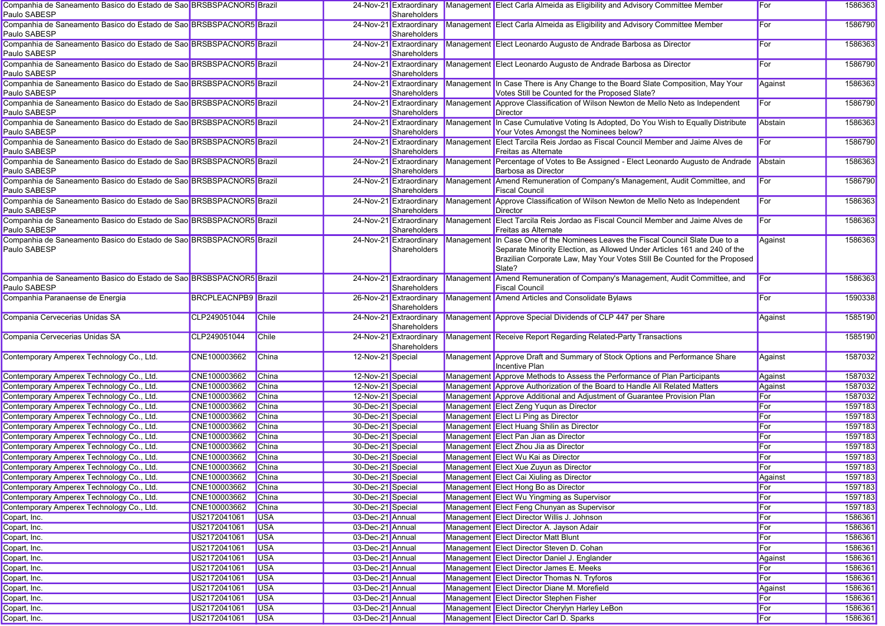| Companhia de Saneamento Basico do Estado de Sao BRSBSPACNOR5 Brazil<br>Paulo SABESP |                            |              |                   | 24-Nov-21 Extraordinary<br>Shareholders |            | Management Elect Carla Almeida as Eligibility and Advisory Committee Member                                                                                                                                                                        | For     | 1586363 |
|-------------------------------------------------------------------------------------|----------------------------|--------------|-------------------|-----------------------------------------|------------|----------------------------------------------------------------------------------------------------------------------------------------------------------------------------------------------------------------------------------------------------|---------|---------|
| Companhia de Saneamento Basico do Estado de Sao BRSBSPACNOR5 Brazil<br>Paulo SABESP |                            |              |                   | 24-Nov-21 Extraordinary<br>Shareholders |            | Management Elect Carla Almeida as Eligibility and Advisory Committee Member                                                                                                                                                                        | For     | 1586790 |
| Companhia de Saneamento Basico do Estado de Sao BRSBSPACNOR5 Brazil<br>Paulo SABESP |                            |              |                   | 24-Nov-21 Extraordinary<br>Shareholders |            | Management Elect Leonardo Augusto de Andrade Barbosa as Director                                                                                                                                                                                   | For     | 1586363 |
| Companhia de Saneamento Basico do Estado de Sao BRSBSPACNOR5 Brazil<br>Paulo SABESP |                            |              |                   | 24-Nov-21 Extraordinary<br>Shareholders |            | Management Elect Leonardo Augusto de Andrade Barbosa as Director                                                                                                                                                                                   | For     | 1586790 |
| Companhia de Saneamento Basico do Estado de Sao BRSBSPACNOR5 Brazil<br>Paulo SABESP |                            |              |                   | 24-Nov-21 Extraordinary<br>Shareholders |            | Management In Case There is Any Change to the Board Slate Composition, May Your<br>Votes Still be Counted for the Proposed Slate?                                                                                                                  | Against | 1586363 |
| Companhia de Saneamento Basico do Estado de Sao BRSBSPACNOR5 Brazil<br>Paulo SABESP |                            |              |                   | 24-Nov-21 Extraordinary<br>Shareholders |            | Management Approve Classification of Wilson Newton de Mello Neto as Independent<br>Director                                                                                                                                                        | For     | 1586790 |
| Companhia de Saneamento Basico do Estado de Sao BRSBSPACNOR5 Brazil<br>Paulo SABESP |                            |              |                   | 24-Nov-21 Extraordinary<br>Shareholders |            | Management In Case Cumulative Voting Is Adopted, Do You Wish to Equally Distribute<br>Your Votes Amongst the Nominees below?                                                                                                                       | Abstain | 1586363 |
| Companhia de Saneamento Basico do Estado de Sao BRSBSPACNOR5 Brazil<br>Paulo SABESP |                            |              |                   | 24-Nov-21 Extraordinary<br>Shareholders | Management | Elect Tarcila Reis Jordao as Fiscal Council Member and Jaime Alves de<br>Freitas as Alternate                                                                                                                                                      | For     | 1586790 |
| Companhia de Saneamento Basico do Estado de Sao BRSBSPACNOR5 Brazil<br>Paulo SABESP |                            |              |                   | 24-Nov-21 Extraordinary<br>Shareholders |            | Management Percentage of Votes to Be Assigned - Elect Leonardo Augusto de Andrade<br>Barbosa as Director                                                                                                                                           | Abstain | 1586363 |
| Companhia de Saneamento Basico do Estado de Sao BRSBSPACNOR5 Brazil<br>Paulo SABESP |                            |              |                   | 24-Nov-21 Extraordinary<br>Shareholders |            | Management Amend Remuneration of Company's Management, Audit Committee, and<br><b>Fiscal Council</b>                                                                                                                                               | For     | 1586790 |
| Companhia de Saneamento Basico do Estado de Sao BRSBSPACNOR5 Brazil<br>Paulo SABESP |                            |              |                   | 24-Nov-21 Extraordinary<br>Shareholders |            | Management Approve Classification of Wilson Newton de Mello Neto as Independent<br>Director                                                                                                                                                        | For     | 1586363 |
| Companhia de Saneamento Basico do Estado de Sao BRSBSPACNOR5 Brazil<br>Paulo SABESP |                            |              |                   | 24-Nov-21 Extraordinary<br>Shareholders |            | Management Elect Tarcila Reis Jordao as Fiscal Council Member and Jaime Alves de<br>Freitas as Alternate                                                                                                                                           | For     | 1586363 |
| Companhia de Saneamento Basico do Estado de Sao BRSBSPACNOR5 Brazil<br>Paulo SABESP |                            |              |                   | 24-Nov-21 Extraordinary<br>Shareholders |            | Management In Case One of the Nominees Leaves the Fiscal Council Slate Due to a<br>Separate Minority Election, as Allowed Under Articles 161 and 240 of the<br>Brazilian Corporate Law, May Your Votes Still Be Counted for the Proposed<br>Slate? | Against | 1586363 |
| Companhia de Saneamento Basico do Estado de Sao BRSBSPACNOR5 Brazil<br>Paulo SABESP |                            |              |                   | 24-Nov-21 Extraordinary<br>Shareholders |            | Management Amend Remuneration of Company's Management, Audit Committee, and<br><b>Fiscal Council</b>                                                                                                                                               | For     | 1586363 |
| Companhia Paranaense de Energia                                                     | <b>BRCPLEACNPB9</b> Brazil |              |                   | 26-Nov-21 Extraordinary<br>Shareholders |            | Management Amend Articles and Consolidate Bylaws                                                                                                                                                                                                   | For     | 1590338 |
| Compania Cervecerias Unidas SA                                                      | CLP249051044               | Chile        |                   | 24-Nov-21 Extraordinary<br>Shareholders |            | Management Approve Special Dividends of CLP 447 per Share                                                                                                                                                                                          | Against | 1585190 |
| Compania Cervecerias Unidas SA                                                      | CLP249051044               | Chile        |                   | 24-Nov-21 Extraordinary<br>Shareholders |            | Management Receive Report Regarding Related-Party Transactions                                                                                                                                                                                     |         | 1585190 |
| Contemporary Amperex Technology Co., Ltd.                                           | CNE100003662               | China        | 12-Nov-21 Special |                                         |            | Management Approve Draft and Summary of Stock Options and Performance Share<br>Incentive Plan                                                                                                                                                      | Against | 1587032 |
| Contemporary Amperex Technology Co., Ltd.                                           | CNE100003662               | China        | 12-Nov-21 Special |                                         |            | Management Approve Methods to Assess the Performance of Plan Participants                                                                                                                                                                          | Against | 1587032 |
| Contemporary Amperex Technology Co., Ltd.                                           | CNE100003662               | <b>China</b> | 12-Nov-21 Special |                                         |            | Management Approve Authorization of the Board to Handle All Related Matters                                                                                                                                                                        | Against | 1587032 |
| Contemporary Amperex Technology Co., Ltd.                                           | CNE100003662               | China        | 12-Nov-21 Special |                                         |            | Management Approve Additional and Adjustment of Guarantee Provision Plan                                                                                                                                                                           | For     | 1587032 |
| Contemporary Amperex Technology Co., Ltd.                                           | CNE100003662               | China        | 30-Dec-21 Special |                                         |            | Management Elect Zeng Yuqun as Director                                                                                                                                                                                                            | For     | 1597183 |
| Contemporary Amperex Technology Co., Ltd.                                           | CNE100003662               | <b>China</b> | 30-Dec-21 Special |                                         |            | Management Elect Li Ping as Director                                                                                                                                                                                                               | For     | 1597183 |
| Contemporary Amperex Technology Co., Ltd.                                           | CNE100003662               | China        | 30-Dec-21 Special |                                         |            | Management Elect Huang Shilin as Director                                                                                                                                                                                                          | For     | 1597183 |
| Contemporary Amperex Technology Co., Ltd.                                           | CNE100003662               | <b>China</b> | 30-Dec-21 Special |                                         |            | Management Elect Pan Jian as Director                                                                                                                                                                                                              | For     | 1597183 |
| Contemporary Amperex Technology Co., Ltd.                                           | CNE100003662               | China        | 30-Dec-21 Special |                                         |            | Management Elect Zhou Jia as Director                                                                                                                                                                                                              | For     | 1597183 |
| Contemporary Amperex Technology Co., Ltd.                                           | CNE100003662               | China        | 30-Dec-21 Special |                                         |            | Management Elect Wu Kai as Director                                                                                                                                                                                                                | For     | 1597183 |
| Contemporary Amperex Technology Co., Ltd.                                           | CNE100003662               | China        | 30-Dec-21 Special |                                         |            | Management Elect Xue Zuyun as Director                                                                                                                                                                                                             | For     | 1597183 |
| Contemporary Amperex Technology Co., Ltd.                                           | CNE100003662               | China        | 30-Dec-21 Special |                                         |            | Management Elect Cai Xiuling as Director                                                                                                                                                                                                           | Against | 1597183 |
| Contemporary Amperex Technology Co., Ltd.                                           | CNE100003662               | China        | 30-Dec-21 Special |                                         |            | Management Elect Hong Bo as Director                                                                                                                                                                                                               | For     | 1597183 |
| Contemporary Amperex Technology Co., Ltd.                                           | CNE100003662               | China        | 30-Dec-21 Special |                                         |            | Management Elect Wu Yingming as Supervisor                                                                                                                                                                                                         | For     | 1597183 |
| Contemporary Amperex Technology Co., Ltd.                                           | CNE100003662               |              | 30-Dec-21 Special |                                         |            | Management Elect Feng Chunyan as Supervisor                                                                                                                                                                                                        | For     | 1597183 |
|                                                                                     |                            | China        |                   |                                         |            |                                                                                                                                                                                                                                                    |         |         |
| Copart, Inc.                                                                        | US2172041061               | <b>USA</b>   | 03-Dec-21 Annual  |                                         |            | Management Elect Director Willis J. Johnson                                                                                                                                                                                                        | For     | 1586361 |
| Copart, Inc.                                                                        | US2172041061               | <b>USA</b>   | 03-Dec-21 Annual  |                                         |            | Management Elect Director A. Jayson Adair                                                                                                                                                                                                          | For     | 1586361 |
| Copart, Inc.                                                                        | US2172041061               | <b>USA</b>   | 03-Dec-21 Annual  |                                         |            | Management Elect Director Matt Blunt                                                                                                                                                                                                               | For     | 1586361 |
| Copart, Inc.                                                                        | US2172041061               | <b>USA</b>   | 03-Dec-21 Annual  |                                         |            | Management Elect Director Steven D. Cohan                                                                                                                                                                                                          | For     | 1586361 |
| Copart, Inc.                                                                        | US2172041061               | <b>USA</b>   | 03-Dec-21 Annual  |                                         |            | Management Elect Director Daniel J. Englander                                                                                                                                                                                                      | Against | 1586361 |
| Copart, Inc.                                                                        | US2172041061               | <b>USA</b>   | 03-Dec-21 Annual  |                                         |            | Management Elect Director James E. Meeks                                                                                                                                                                                                           | For     | 1586361 |
| Copart, Inc.                                                                        | US2172041061               | <b>USA</b>   | 03-Dec-21 Annual  |                                         |            | Management Elect Director Thomas N. Tryforos                                                                                                                                                                                                       | For     | 1586361 |
| Copart, Inc.                                                                        | US2172041061               | <b>USA</b>   | 03-Dec-21 Annual  |                                         |            | Management Elect Director Diane M. Morefield                                                                                                                                                                                                       | Against | 1586361 |
| Copart, Inc.                                                                        | US2172041061               | <b>USA</b>   | 03-Dec-21 Annual  |                                         |            | Management Elect Director Stephen Fisher                                                                                                                                                                                                           | For     | 1586361 |
| Copart, Inc.                                                                        | US2172041061               | <b>USA</b>   | 03-Dec-21 Annual  |                                         |            | Management Elect Director Cherylyn Harley LeBon                                                                                                                                                                                                    | For     | 1586361 |
| Copart, Inc.                                                                        | US2172041061               | <b>USA</b>   | 03-Dec-21 Annual  |                                         |            | Management Elect Director Carl D. Sparks                                                                                                                                                                                                           | For     | 1586361 |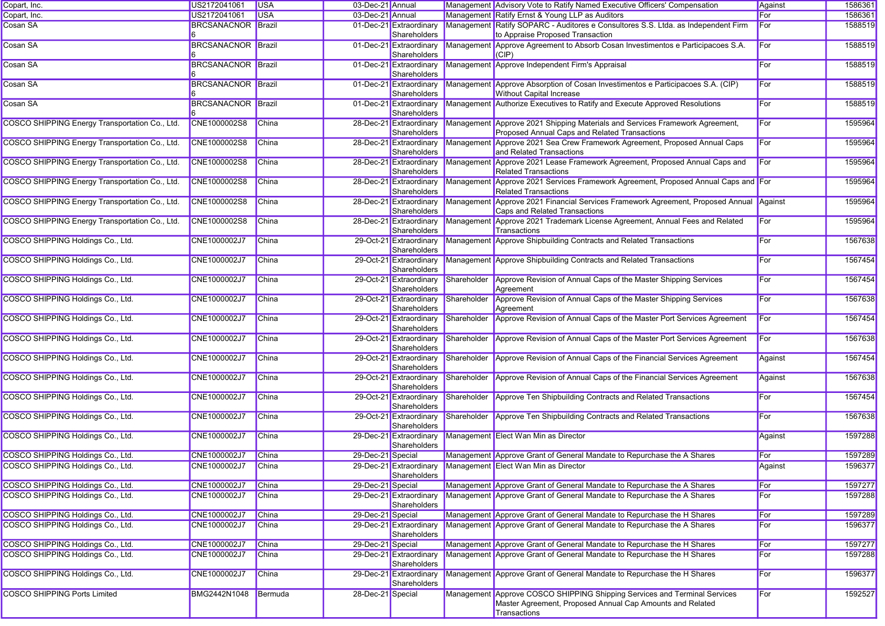| Copart, Inc.                                   | US2172041061              | <b>USA</b>   | 03-Dec-21 Annual  |                                         |             | Management Advisory Vote to Ratify Named Executive Officers' Compensation                                                                              | Against | 1586361 |
|------------------------------------------------|---------------------------|--------------|-------------------|-----------------------------------------|-------------|--------------------------------------------------------------------------------------------------------------------------------------------------------|---------|---------|
| Copart, Inc.                                   | US2172041061              | <b>USA</b>   | 03-Dec-21 Annual  |                                         |             | Management Ratify Ernst & Young LLP as Auditors                                                                                                        | For     | 1586361 |
| Cosan SA                                       | <b>BRCSANACNOR Brazil</b> |              |                   | 01-Dec-21 Extraordinary<br>Shareholders |             | Management Ratify SOPARC - Auditores e Consultores S.S. Ltda. as Independent Firm<br>to Appraise Proposed Transaction                                  | For     | 1588519 |
| Cosan SA                                       | <b>BRCSANACNOR Brazil</b> |              |                   | 01-Dec-21 Extraordinary<br>Shareholders |             | Management Approve Agreement to Absorb Cosan Investimentos e Participacoes S.A.<br>(CIP)                                                               | For     | 1588519 |
| Cosan SA                                       | <b>BRCSANACNOR Brazil</b> |              |                   | 01-Dec-21 Extraordinary<br>Shareholders |             | Management Approve Independent Firm's Appraisal                                                                                                        | For     | 1588519 |
| Cosan SA                                       | <b>BRCSANACNOR Brazil</b> |              |                   | 01-Dec-21 Extraordinary<br>Shareholders |             | Management Approve Absorption of Cosan Investimentos e Participacoes S.A. (CIP)<br>Without Capital Increase                                            | For     | 1588519 |
| Cosan SA                                       | <b>BRCSANACNOR Brazil</b> |              |                   | 01-Dec-21 Extraordinary<br>Shareholders |             | Management Authorize Executives to Ratify and Execute Approved Resolutions                                                                             | For     | 1588519 |
| COSCO SHIPPING Energy Transportation Co., Ltd. | CNE1000002S8              | China        |                   | 28-Dec-21 Extraordinary<br>Shareholders |             | Management Approve 2021 Shipping Materials and Services Framework Agreement,<br>Proposed Annual Caps and Related Transactions                          | For     | 1595964 |
| COSCO SHIPPING Energy Transportation Co., Ltd. | CNE1000002S8              | China        |                   | 28-Dec-21 Extraordinary<br>Shareholders |             | Management Approve 2021 Sea Crew Framework Agreement, Proposed Annual Caps<br>and Related Transactions                                                 | For     | 1595964 |
| COSCO SHIPPING Energy Transportation Co., Ltd. | CNE1000002S8              | China        |                   | 28-Dec-21 Extraordinary<br>Shareholders |             | Management Approve 2021 Lease Framework Agreement, Proposed Annual Caps and<br>Related Transactions                                                    | For     | 1595964 |
| COSCO SHIPPING Energy Transportation Co., Ltd. | CNE1000002S8              | <b>China</b> |                   | 28-Dec-21 Extraordinary<br>Shareholders |             | Management Approve 2021 Services Framework Agreement, Proposed Annual Caps and For<br><b>Related Transactions</b>                                      |         | 1595964 |
| COSCO SHIPPING Energy Transportation Co., Ltd. | CNE1000002S8              | China        |                   | 28-Dec-21 Extraordinary<br>Shareholders |             | Management Approve 2021 Financial Services Framework Agreement, Proposed Annual Against<br>Caps and Related Transactions                               |         | 1595964 |
| COSCO SHIPPING Energy Transportation Co., Ltd. | CNE1000002S8              | China        |                   | 28-Dec-21 Extraordinary<br>Shareholders |             | Management Approve 2021 Trademark License Agreement, Annual Fees and Related<br>Transactions                                                           | For     | 1595964 |
| COSCO SHIPPING Holdings Co., Ltd.              | CNE1000002J7              | <b>China</b> |                   | 29-Oct-21 Extraordinary<br>Shareholders |             | Management Approve Shipbuilding Contracts and Related Transactions                                                                                     | For     | 1567638 |
| COSCO SHIPPING Holdings Co., Ltd.              | CNE1000002J7              | China        |                   | 29-Oct-21 Extraordinary<br>Shareholders |             | Management Approve Shipbuilding Contracts and Related Transactions                                                                                     | For     | 1567454 |
| COSCO SHIPPING Holdings Co., Ltd.              | CNE1000002J7              | China        |                   | 29-Oct-21 Extraordinary<br>Shareholders | Shareholder | Approve Revision of Annual Caps of the Master Shipping Services<br>Agreement                                                                           | For     | 1567454 |
| COSCO SHIPPING Holdings Co., Ltd.              | CNE1000002J7              | China        |                   | 29-Oct-21 Extraordinary<br>Shareholders | Shareholder | Approve Revision of Annual Caps of the Master Shipping Services<br>Agreement                                                                           | For     | 1567638 |
| COSCO SHIPPING Holdings Co., Ltd.              | CNE1000002J7              | <b>China</b> |                   | 29-Oct-21 Extraordinary<br>Shareholders | Shareholder | Approve Revision of Annual Caps of the Master Port Services Agreement                                                                                  | For     | 1567454 |
| COSCO SHIPPING Holdings Co., Ltd.              | CNE1000002J7              | China        |                   | 29-Oct-21 Extraordinary<br>Shareholders | Shareholder | Approve Revision of Annual Caps of the Master Port Services Agreement                                                                                  | For     | 1567638 |
| COSCO SHIPPING Holdings Co., Ltd.              | CNE1000002J7              | China        |                   | 29-Oct-21 Extraordinary<br>Shareholders | Shareholder | Approve Revision of Annual Caps of the Financial Services Agreement                                                                                    | Against | 1567454 |
| COSCO SHIPPING Holdings Co., Ltd.              | CNE1000002J7              | <b>China</b> |                   | 29-Oct-21 Extraordinary<br>Shareholders | Shareholder | Approve Revision of Annual Caps of the Financial Services Agreement                                                                                    | Against | 1567638 |
| COSCO SHIPPING Holdings Co., Ltd.              | CNE1000002J7              | <b>China</b> |                   | 29-Oct-21 Extraordinary<br>Shareholders | Shareholder | Approve Ten Shipbuilding Contracts and Related Transactions                                                                                            | For     | 1567454 |
| COSCO SHIPPING Holdings Co., Ltd.              | CNE1000002J7              | China        |                   | 29-Oct-21 Extraordinary<br>Shareholders | Shareholder | Approve Ten Shipbuilding Contracts and Related Transactions                                                                                            | For     | 1567638 |
| COSCO SHIPPING Holdings Co., Ltd.              | CNE1000002J7              | China        |                   | 29-Dec-21 Extraordinary<br>Shareholders |             | Management Elect Wan Min as Director                                                                                                                   | Against | 1597288 |
| COSCO SHIPPING Holdings Co., Ltd.              | CNE1000002J7              | <b>China</b> | 29-Dec-21 Special |                                         |             | Management Approve Grant of General Mandate to Repurchase the A Shares                                                                                 | For     | 1597289 |
| COSCO SHIPPING Holdings Co., Ltd.              | CNE1000002J7              | China        |                   | 29-Dec-21 Extraordinary<br>Shareholders |             | Management Elect Wan Min as Director                                                                                                                   | Against | 1596377 |
| COSCO SHIPPING Holdings Co., Ltd.              | CNE1000002J7              | <b>China</b> | 29-Dec-21 Special |                                         |             | Management Approve Grant of General Mandate to Repurchase the A Shares                                                                                 | For     | 1597277 |
| COSCO SHIPPING Holdings Co., Ltd.              | CNE1000002J7              | <b>China</b> |                   | 29-Dec-21 Extraordinary<br>Shareholders |             | Management Approve Grant of General Mandate to Repurchase the A Shares                                                                                 | For     | 1597288 |
| COSCO SHIPPING Holdings Co., Ltd.              | CNE1000002J7              | <b>China</b> | 29-Dec-21 Special |                                         |             | Management Approve Grant of General Mandate to Repurchase the H Shares                                                                                 | For     | 1597289 |
| COSCO SHIPPING Holdings Co., Ltd.              | CNE1000002J7              | <b>China</b> |                   | 29-Dec-21 Extraordinary<br>Shareholders |             | Management Approve Grant of General Mandate to Repurchase the A Shares                                                                                 | For     | 1596377 |
| COSCO SHIPPING Holdings Co., Ltd.              | CNE1000002J7              | China        | 29-Dec-21 Special |                                         |             | Management Approve Grant of General Mandate to Repurchase the H Shares                                                                                 | For     | 1597277 |
| COSCO SHIPPING Holdings Co., Ltd.              | CNE1000002J7              | China        |                   | 29-Dec-21 Extraordinary<br>Shareholders |             | Management Approve Grant of General Mandate to Repurchase the H Shares                                                                                 | For     | 1597288 |
| COSCO SHIPPING Holdings Co., Ltd.              | CNE1000002J7              | <b>China</b> |                   | 29-Dec-21 Extraordinary<br>Shareholders |             | Management Approve Grant of General Mandate to Repurchase the H Shares                                                                                 | For     | 1596377 |
| <b>COSCO SHIPPING Ports Limited</b>            | BMG2442N1048              | Bermuda      | 28-Dec-21 Special |                                         |             | Management Approve COSCO SHIPPING Shipping Services and Terminal Services<br>Master Agreement, Proposed Annual Cap Amounts and Related<br>Transactions | For     | 1592527 |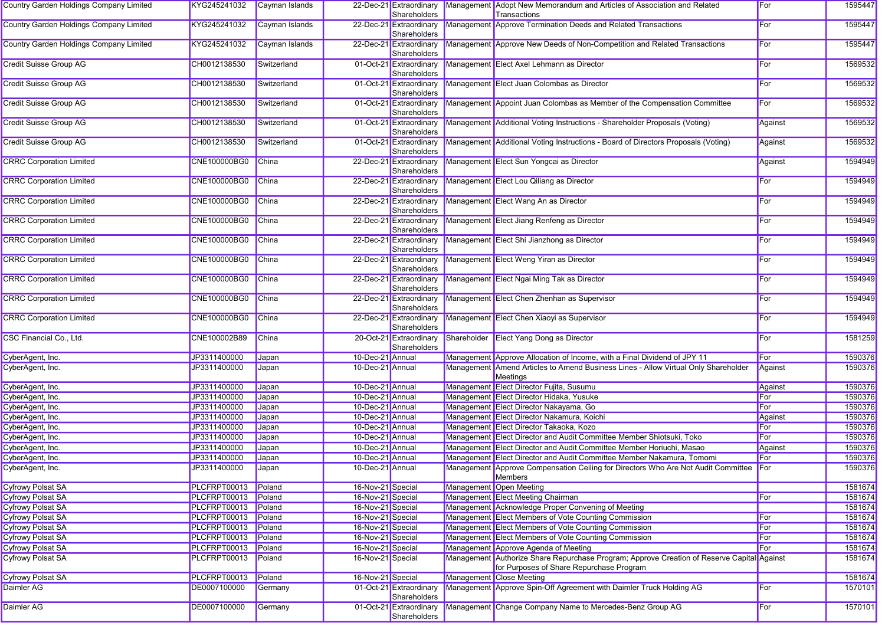| Country Garden Holdings Company Limited | KYG245241032 | Cayman Islands |                   | 22-Dec-21 Extraordinary<br>Shareholders | Management Adopt New Memorandum and Articles of Association and Related<br>Transactions                                                | For     | 1595447 |
|-----------------------------------------|--------------|----------------|-------------------|-----------------------------------------|----------------------------------------------------------------------------------------------------------------------------------------|---------|---------|
| Country Garden Holdings Company Limited | KYG245241032 | Cayman Islands |                   | 22-Dec-21 Extraordinary<br>Shareholders | Management Approve Termination Deeds and Related Transactions                                                                          | For     | 1595447 |
| Country Garden Holdings Company Limited | KYG245241032 | Cayman Islands |                   | 22-Dec-21 Extraordinary<br>Shareholders | Management Approve New Deeds of Non-Competition and Related Transactions                                                               | For     | 1595447 |
| <b>Credit Suisse Group AG</b>           | CH0012138530 | Switzerland    |                   | 01-Oct-21 Extraordinary<br>Shareholders | Management Elect Axel Lehmann as Director                                                                                              | For     | 1569532 |
| Credit Suisse Group AG                  | CH0012138530 | Switzerland    |                   | 01-Oct-21 Extraordinary<br>Shareholders | Management Elect Juan Colombas as Director                                                                                             | For     | 1569532 |
| Credit Suisse Group AG                  | CH0012138530 | Switzerland    |                   | 01-Oct-21 Extraordinary<br>Shareholders | Management Appoint Juan Colombas as Member of the Compensation Committee                                                               | For     | 1569532 |
| <b>Credit Suisse Group AG</b>           | CH0012138530 | Switzerland    |                   | 01-Oct-21 Extraordinary<br>Shareholders | Management Additional Voting Instructions - Shareholder Proposals (Voting)                                                             | Against | 1569532 |
| <b>Credit Suisse Group AG</b>           | CH0012138530 | Switzerland    |                   | 01-Oct-21 Extraordinary<br>Shareholders | Management Additional Voting Instructions - Board of Directors Proposals (Voting)                                                      | Against | 1569532 |
| <b>CRRC Corporation Limited</b>         | CNE100000BG0 | <b>China</b>   |                   | 22-Dec-21 Extraordinary<br>Shareholders | Management Elect Sun Yongcai as Director                                                                                               | Against | 1594949 |
| <b>CRRC Corporation Limited</b>         | CNE100000BG0 | China          |                   | 22-Dec-21 Extraordinary<br>Shareholders | Management Elect Lou Qiliang as Director                                                                                               | For     | 1594949 |
| <b>CRRC Corporation Limited</b>         | CNE100000BG0 | <b>China</b>   |                   | 22-Dec-21 Extraordinary<br>Shareholders | Management Elect Wang An as Director                                                                                                   | For     | 1594949 |
| <b>CRRC Corporation Limited</b>         | CNE100000BG0 | <b>China</b>   |                   | 22-Dec-21 Extraordinary<br>Shareholders | Management Elect Jiang Renfeng as Director                                                                                             | For     | 1594949 |
| <b>CRRC Corporation Limited</b>         | CNE100000BG0 | <b>China</b>   |                   | 22-Dec-21 Extraordinary<br>Shareholders | Management Elect Shi Jianzhong as Director                                                                                             | For     | 1594949 |
| <b>CRRC Corporation Limited</b>         | CNE100000BG0 | <b>China</b>   |                   | 22-Dec-21 Extraordinary<br>Shareholders | Management Elect Weng Yiran as Director                                                                                                | For     | 1594949 |
| <b>CRRC Corporation Limited</b>         | CNE100000BG0 | China          |                   | 22-Dec-21 Extraordinary<br>Shareholders | Management Elect Ngai Ming Tak as Director                                                                                             | For     | 1594949 |
| <b>CRRC Corporation Limited</b>         | CNE100000BG0 | China          |                   | 22-Dec-21 Extraordinary<br>Shareholders | Management Elect Chen Zhenhan as Supervisor                                                                                            | For     | 1594949 |
| <b>CRRC Corporation Limited</b>         | CNE100000BG0 | <b>China</b>   |                   | 22-Dec-21 Extraordinary<br>Shareholders | Management Elect Chen Xiaoyi as Supervisor                                                                                             | For     | 1594949 |
| CSC Financial Co., Ltd.                 | CNE100002B89 | China          |                   | 20-Oct-21 Extraordinary<br>Shareholders | Shareholder Elect Yang Dong as Director                                                                                                | For     | 1581259 |
| CyberAgent, Inc.                        | JP3311400000 | Japan          | 10-Dec-21 Annual  |                                         | Management Approve Allocation of Income, with a Final Dividend of JPY 11                                                               | For     | 1590376 |
| CyberAgent, Inc.                        | JP3311400000 | Japan          | 10-Dec-21 Annual  |                                         | Management Amend Articles to Amend Business Lines - Allow Virtual Only Shareholder<br>Meetings                                         | Against | 1590376 |
| CyberAgent, Inc.                        | JP3311400000 | Japan          | 10-Dec-21 Annual  |                                         | Management Elect Director Fujita, Susumu                                                                                               | Against | 1590376 |
| CyberAgent, Inc.                        | JP3311400000 | Japan          | 10-Dec-21 Annual  |                                         | Management Elect Director Hidaka, Yusuke                                                                                               | For     | 1590376 |
| CyberAgent, Inc.                        | JP3311400000 | Japan          | 10-Dec-21 Annual  |                                         | Management Elect Director Nakayama, Go                                                                                                 | For     | 1590376 |
| CyberAgent, Inc.                        | JP3311400000 | Japan          | 10-Dec-21 Annual  |                                         | Management Elect Director Nakamura, Koichi                                                                                             | Against | 1590376 |
| CyberAgent, Inc.                        | JP3311400000 | Japan          | 10-Dec-21 Annual  |                                         | Management Elect Director Takaoka, Kozo                                                                                                | For     | 1590376 |
| CyberAgent, Inc.                        | JP3311400000 | Japan          | 10-Dec-21 Annual  |                                         | Management Elect Director and Audit Committee Member Shiotsuki, Toko                                                                   | For     | 1590376 |
| CyberAgent, Inc.                        | JP3311400000 | Japan          | 10-Dec-21 Annual  |                                         | Management Elect Director and Audit Committee Member Horiuchi, Masao                                                                   | Against | 1590376 |
| CyberAgent, Inc.                        | JP3311400000 | Japan          | 10-Dec-21 Annual  |                                         | Management Elect Director and Audit Committee Member Nakamura, Tomomi                                                                  | For     | 1590376 |
| CyberAgent, Inc.                        | JP3311400000 | Japan          | 10-Dec-21 Annual  |                                         | Management Approve Compensation Ceiling for Directors Who Are Not Audit Committee For<br>Members                                       |         | 1590376 |
| <b>Cyfrowy Polsat SA</b>                | PLCFRPT00013 | Poland         | 16-Nov-21 Special |                                         | Management Open Meeting                                                                                                                |         | 1581674 |
| <b>Cyfrowy Polsat SA</b>                | PLCFRPT00013 | Poland         | 16-Nov-21 Special |                                         | Management Elect Meeting Chairman                                                                                                      | For     | 1581674 |
| <b>Cyfrowy Polsat SA</b>                | PLCFRPT00013 | Poland         | 16-Nov-21 Special |                                         | Management Acknowledge Proper Convening of Meeting                                                                                     |         | 1581674 |
| <b>Cyfrowy Polsat SA</b>                | PLCFRPT00013 | Poland         | 16-Nov-21 Special |                                         | Management Elect Members of Vote Counting Commission                                                                                   | For     | 1581674 |
| <b>Cyfrowy Polsat SA</b>                | PLCFRPT00013 | Poland         | 16-Nov-21 Special |                                         | Management Elect Members of Vote Counting Commission                                                                                   | For     | 1581674 |
| <b>Cyfrowy Polsat SA</b>                | PLCFRPT00013 | Poland         | 16-Nov-21 Special |                                         | Management Elect Members of Vote Counting Commission                                                                                   | For     | 1581674 |
| <b>Cyfrowy Polsat SA</b>                | PLCFRPT00013 | Poland         | 16-Nov-21 Special |                                         | Management Approve Agenda of Meeting                                                                                                   | For     | 1581674 |
| <b>Cyfrowy Polsat SA</b>                | PLCFRPT00013 | Poland         | 16-Nov-21 Special |                                         | Management Authorize Share Repurchase Program; Approve Creation of Reserve Capital Against<br>for Purposes of Share Repurchase Program |         | 1581674 |
| <b>Cyfrowy Polsat SA</b>                | PLCFRPT00013 | Poland         | 16-Nov-21 Special |                                         | Management Close Meeting                                                                                                               |         | 1581674 |
| Daimler AG                              | DE0007100000 | Germany        |                   | 01-Oct-21 Extraordinary<br>Shareholders | Management Approve Spin-Off Agreement with Daimler Truck Holding AG                                                                    | For     | 1570101 |
| Daimler AG                              | DE0007100000 | Germany        |                   | 01-Oct-21 Extraordinary<br>Shareholders | Management Change Company Name to Mercedes-Benz Group AG                                                                               | For     | 1570101 |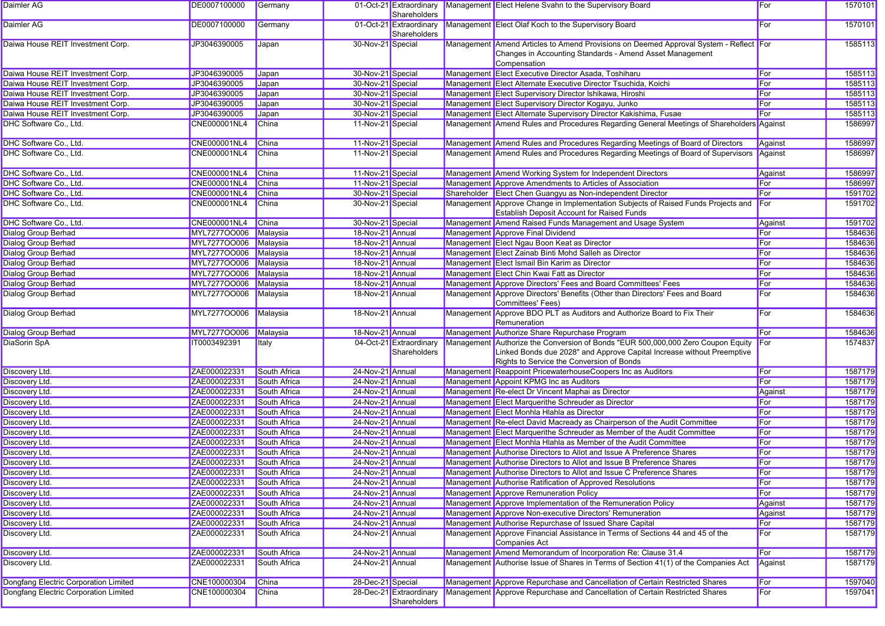| Daimler AG                            | DE0007100000        | Germany      |                   | 01-Oct-21 Extraordinary<br>Shareholders | Management Elect Helene Svahn to the Supervisory Board                                                                                                                                                  | For     | 1570101 |
|---------------------------------------|---------------------|--------------|-------------------|-----------------------------------------|---------------------------------------------------------------------------------------------------------------------------------------------------------------------------------------------------------|---------|---------|
| Daimler AG                            | DE0007100000        | Germany      |                   | 01-Oct-21 Extraordinary<br>Shareholders | Management Elect Olaf Koch to the Supervisory Board                                                                                                                                                     | For     | 1570101 |
| Daiwa House REIT Investment Corp.     | JP3046390005        | Japan        | 30-Nov-21 Special |                                         | Management Amend Articles to Amend Provisions on Deemed Approval System - Reflect For<br>Changes in Accounting Standards - Amend Asset Management<br>Compensation                                       |         | 1585113 |
| Daiwa House REIT Investment Corp.     | JP3046390005        | Japan        | 30-Nov-21 Special |                                         | Management Elect Executive Director Asada, Toshiharu                                                                                                                                                    | For     | 1585113 |
| Daiwa House REIT Investment Corp.     | JP3046390005        | Japan        | 30-Nov-21 Special |                                         | Management Elect Alternate Executive Director Tsuchida, Koichi                                                                                                                                          | For     | 1585113 |
| Daiwa House REIT Investment Corp.     | JP3046390005        | Japan        | 30-Nov-21 Special |                                         | Management Elect Supervisory Director Ishikawa, Hiroshi                                                                                                                                                 | For     | 1585113 |
| Daiwa House REIT Investment Corp.     | JP3046390005        | Japan        | 30-Nov-21 Special |                                         | Management Elect Supervisory Director Kogayu, Junko                                                                                                                                                     | For     | 1585113 |
| Daiwa House REIT Investment Corp.     | JP3046390005        | Japan        | 30-Nov-21 Special |                                         | Management Elect Alternate Supervisory Director Kakishima, Fusae                                                                                                                                        | For     | 1585113 |
| DHC Software Co., Ltd.                | CNE000001NL4        | China        | 11-Nov-21 Special |                                         | Management Amend Rules and Procedures Regarding General Meetings of Shareholders Against                                                                                                                |         | 1586997 |
| DHC Software Co., Ltd.                | <b>CNE000001NL4</b> | China        | 11-Nov-21 Special |                                         | Management Amend Rules and Procedures Regarding Meetings of Board of Directors                                                                                                                          | Against | 1586997 |
| DHC Software Co., Ltd.                | CNE000001NL4        | <b>China</b> | 11-Nov-21 Special |                                         | Management Amend Rules and Procedures Regarding Meetings of Board of Supervisors                                                                                                                        | Against | 1586997 |
| DHC Software Co., Ltd.                | CNE000001NL4        | <b>China</b> | 11-Nov-21 Special |                                         | Management Amend Working System for Independent Directors                                                                                                                                               | Against | 1586997 |
| DHC Software Co., Ltd.                | <b>CNE000001NL4</b> | China        | 11-Nov-21 Special |                                         | Management Approve Amendments to Articles of Association                                                                                                                                                | For     | 1586997 |
| DHC Software Co., Ltd.                | <b>CNE000001NL4</b> | <b>China</b> | 30-Nov-21 Special |                                         | Shareholder Elect Chen Guangyu as Non-independent Director                                                                                                                                              | For     | 1591702 |
| DHC Software Co., Ltd.                | CNE000001NL4        | China        | 30-Nov-21 Special |                                         | Management Approve Change in Implementation Subjects of Raised Funds Projects and<br><b>Establish Deposit Account for Raised Funds</b>                                                                  | For     | 1591702 |
| DHC Software Co., Ltd.                | CNE000001NL4        | China        | 30-Nov-21 Special |                                         | Management Amend Raised Funds Management and Usage System                                                                                                                                               | Against | 1591702 |
| <b>Dialog Group Berhad</b>            | MYL727700006        | Malaysia     | 18-Nov-21 Annual  |                                         | Management Approve Final Dividend                                                                                                                                                                       | For     | 1584636 |
| <b>Dialog Group Berhad</b>            | MYL727700006        | Malaysia     | 18-Nov-21 Annual  |                                         | Management Elect Ngau Boon Keat as Director                                                                                                                                                             | For     | 1584636 |
| <b>Dialog Group Berhad</b>            | MYL727700006        | Malaysia     | 18-Nov-21 Annual  |                                         | Management Elect Zainab Binti Mohd Salleh as Director                                                                                                                                                   | For     | 1584636 |
| <b>Dialog Group Berhad</b>            | MYL727700006        | Malaysia     | 18-Nov-21 Annual  |                                         | Management Elect Ismail Bin Karim as Director                                                                                                                                                           | For     | 1584636 |
| <b>Dialog Group Berhad</b>            | MYL727700006        | Malaysia     | 18-Nov-21 Annual  |                                         | Management Elect Chin Kwai Fatt as Director                                                                                                                                                             | For     | 1584636 |
| Dialog Group Berhad                   | MYL727700006        | Malaysia     | 18-Nov-21 Annual  |                                         | Management Approve Directors' Fees and Board Committees' Fees                                                                                                                                           | For     | 1584636 |
| <b>Dialog Group Berhad</b>            | MYL727700006        | Malaysia     | 18-Nov-21 Annual  |                                         | Management Approve Directors' Benefits (Other than Directors' Fees and Board<br>Committees' Fees)                                                                                                       | For     | 1584636 |
| Dialog Group Berhad                   | MYL727700006        | Malaysia     | 18-Nov-21 Annual  |                                         | Management Approve BDO PLT as Auditors and Authorize Board to Fix Their<br>Remuneration                                                                                                                 | For     | 1584636 |
| Dialog Group Berhad                   | MYL727700006        | Malaysia     | 18-Nov-21 Annual  |                                         | Management Authorize Share Repurchase Program                                                                                                                                                           | For     | 1584636 |
| <b>DiaSorin SpA</b>                   | IT0003492391        | Italy        |                   | 04-Oct-21 Extraordinary<br>Shareholders | Management Authorize the Conversion of Bonds "EUR 500,000,000 Zero Coupon Equity<br>Linked Bonds due 2028" and Approve Capital Increase without Preemptive<br>Rights to Service the Conversion of Bonds | For     | 1574837 |
| Discovery Ltd.                        | ZAE000022331        | South Africa | 24-Nov-21 Annual  |                                         | Management Reappoint PricewaterhouseCoopers Inc as Auditors                                                                                                                                             | For     | 1587179 |
| Discovery Ltd.                        | ZAE000022331        | South Africa | 24-Nov-21 Annual  |                                         | Management Appoint KPMG Inc as Auditors                                                                                                                                                                 | For     | 1587179 |
| Discovery Ltd.                        | ZAE000022331        | South Africa | 24-Nov-21 Annual  |                                         | Management Re-elect Dr Vincent Maphai as Director                                                                                                                                                       | Against | 1587179 |
| Discovery Ltd.                        | ZAE000022331        | South Africa | 24-Nov-21 Annual  |                                         | Management Elect Marquerithe Schreuder as Director                                                                                                                                                      | For     | 1587179 |
| Discovery Ltd.                        | ZAE000022331        | South Africa | 24-Nov-21 Annual  |                                         | Management Elect Monhla Hlahla as Director                                                                                                                                                              | For     | 1587179 |
| Discovery Ltd.                        | ZAE000022331        | South Africa | 24-Nov-21 Annual  |                                         | Management Re-elect David Macready as Chairperson of the Audit Committee                                                                                                                                | For     | 1587179 |
| Discovery Ltd.                        | ZAE000022331        | South Africa | 24-Nov-21 Annual  |                                         | Management Elect Marquerithe Schreuder as Member of the Audit Committee                                                                                                                                 | For     | 1587179 |
| Discovery Ltd.                        | ZAE000022331        | South Africa | 24-Nov-21 Annual  |                                         | Management Elect Monhla Hlahla as Member of the Audit Committee                                                                                                                                         | For     | 1587179 |
| Discovery Ltd.                        | ZAE000022331        | South Africa | 24-Nov-21 Annual  |                                         | Management Authorise Directors to Allot and Issue A Preference Shares                                                                                                                                   | For     | 1587179 |
| Discovery Ltd.                        | ZAE000022331        | South Africa | 24-Nov-21 Annual  |                                         | Management Authorise Directors to Allot and Issue B Preference Shares                                                                                                                                   | For     | 1587179 |
| Discovery Ltd.                        | ZAE000022331        | South Africa | 24-Nov-21 Annual  |                                         | Management Authorise Directors to Allot and Issue C Preference Shares                                                                                                                                   | For     | 1587179 |
| Discovery Ltd.                        | ZAE000022331        | South Africa | 24-Nov-21 Annual  |                                         | Management Authorise Ratification of Approved Resolutions                                                                                                                                               | For     | 1587179 |
| Discovery Ltd.                        | ZAE000022331        | South Africa | 24-Nov-21 Annual  |                                         | Management Approve Remuneration Policy                                                                                                                                                                  | For     | 1587179 |
| Discovery Ltd.                        | ZAE000022331        | South Africa | 24-Nov-21 Annual  |                                         | Management Approve Implementation of the Remuneration Policy                                                                                                                                            | Against | 1587179 |
| Discovery Ltd.                        | ZAE000022331        | South Africa | 24-Nov-21 Annual  |                                         | Management Approve Non-executive Directors' Remuneration                                                                                                                                                | Against | 1587179 |
| Discovery Ltd.                        | ZAE000022331        | South Africa | 24-Nov-21 Annual  |                                         | Management Authorise Repurchase of Issued Share Capital                                                                                                                                                 | For     | 1587179 |
| Discovery Ltd.                        | ZAE000022331        | South Africa | 24-Nov-21 Annual  |                                         | Management Approve Financial Assistance in Terms of Sections 44 and 45 of the<br>Companies Act                                                                                                          | For     | 1587179 |
| Discovery Ltd.                        | ZAE000022331        | South Africa | 24-Nov-21 Annual  |                                         | Management Amend Memorandum of Incorporation Re: Clause 31.4                                                                                                                                            | For     | 1587179 |
| Discovery Ltd.                        | ZAE000022331        | South Africa | 24-Nov-21 Annual  |                                         | Management Authorise Issue of Shares in Terms of Section 41(1) of the Companies Act                                                                                                                     | Against | 1587179 |
| Dongfang Electric Corporation Limited | CNE100000304        | China        | 28-Dec-21 Special |                                         | Management Approve Repurchase and Cancellation of Certain Restricted Shares                                                                                                                             | For     | 1597040 |
| Dongfang Electric Corporation Limited | CNE100000304        | China        |                   | 28-Dec-21 Extraordinary<br>Shareholders | Management Approve Repurchase and Cancellation of Certain Restricted Shares                                                                                                                             | For     | 1597041 |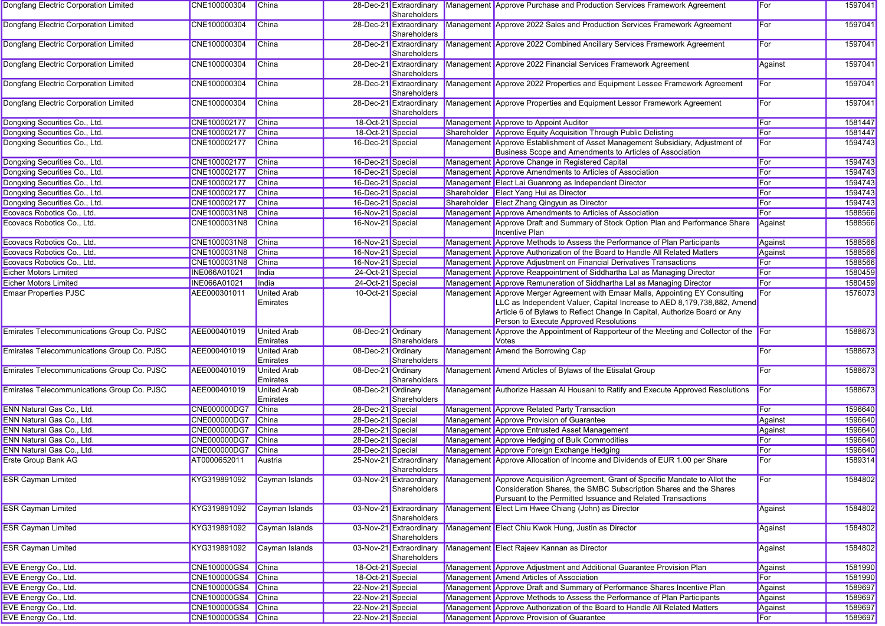| Dongfang Electric Corporation Limited      | CNE100000304        | China                          |                    | 28-Dec-21 Extraordinary<br>Shareholders | Management Approve Purchase and Production Services Framework Agreement                                                                                                                                                                                                         | For     | 1597041 |
|--------------------------------------------|---------------------|--------------------------------|--------------------|-----------------------------------------|---------------------------------------------------------------------------------------------------------------------------------------------------------------------------------------------------------------------------------------------------------------------------------|---------|---------|
| Dongfang Electric Corporation Limited      | CNE100000304        | China                          |                    | 28-Dec-21 Extraordinary<br>Shareholders | Management Approve 2022 Sales and Production Services Framework Agreement                                                                                                                                                                                                       | For     | 1597041 |
| Dongfang Electric Corporation Limited      | CNE100000304        | China                          |                    | 28-Dec-21 Extraordinary<br>Shareholders | Management Approve 2022 Combined Ancillary Services Framework Agreement                                                                                                                                                                                                         | For     | 1597041 |
| Dongfang Electric Corporation Limited      | CNE100000304        | China                          |                    | 28-Dec-21 Extraordinary<br>Shareholders | Management Approve 2022 Financial Services Framework Agreement                                                                                                                                                                                                                  | Against | 1597041 |
| Dongfang Electric Corporation Limited      | CNE100000304        | China                          |                    | 28-Dec-21 Extraordinary<br>Shareholders | Management Approve 2022 Properties and Equipment Lessee Framework Agreement                                                                                                                                                                                                     | For     | 1597041 |
| Dongfang Electric Corporation Limited      | CNE100000304        | China                          |                    | 28-Dec-21 Extraordinary<br>Shareholders | Management Approve Properties and Equipment Lessor Framework Agreement                                                                                                                                                                                                          | For     | 1597041 |
| Dongxing Securities Co., Ltd.              | CNE100002177        | China                          | 18-Oct-21 Special  |                                         | Management Approve to Appoint Auditor                                                                                                                                                                                                                                           | For     | 1581447 |
| Dongxing Securities Co., Ltd.              | CNE100002177        | China                          | 18-Oct-21 Special  |                                         | Shareholder Approve Equity Acquisition Through Public Delisting                                                                                                                                                                                                                 | For     | 1581447 |
| Dongxing Securities Co., Ltd.              | CNE100002177        | China                          | 16-Dec-21 Special  |                                         | Management Approve Establishment of Asset Management Subsidiary, Adjustment of<br>Business Scope and Amendments to Articles of Association                                                                                                                                      | For     | 1594743 |
| Dongxing Securities Co., Ltd.              | CNE100002177        | <b>China</b>                   | 16-Dec-21 Special  |                                         | Management Approve Change in Registered Capital                                                                                                                                                                                                                                 | For     | 1594743 |
| Dongxing Securities Co., Ltd.              | CNE100002177        | China                          | 16-Dec-21 Special  |                                         | Management Approve Amendments to Articles of Association                                                                                                                                                                                                                        | For     | 1594743 |
| Dongxing Securities Co., Ltd.              | CNE100002177        | <b>China</b>                   | 16-Dec-21 Special  |                                         | Management Elect Lai Guanrong as Independent Director                                                                                                                                                                                                                           | For     | 1594743 |
| Dongxing Securities Co., Ltd.              | CNE100002177        | <b>China</b>                   | 16-Dec-21 Special  |                                         | Shareholder Elect Yang Hui as Director                                                                                                                                                                                                                                          | For     | 1594743 |
| Dongxing Securities Co., Ltd.              | CNE100002177        | <b>China</b>                   | 16-Dec-21 Special  |                                         | Shareholder Elect Zhang Qingyun as Director                                                                                                                                                                                                                                     | For     | 1594743 |
| Ecovacs Robotics Co., Ltd.                 | CNE1000031N8        | China                          | 16-Nov-21 Special  |                                         | Management Approve Amendments to Articles of Association                                                                                                                                                                                                                        | For     | 1588566 |
| Ecovacs Robotics Co., Ltd.                 | CNE1000031N8        | <b>China</b>                   | 16-Nov-21 Special  |                                         | Management Approve Draft and Summary of Stock Option Plan and Performance Share<br>Incentive Plan                                                                                                                                                                               | Against | 1588566 |
| Ecovacs Robotics Co., Ltd.                 | CNE1000031N8        | <b>China</b>                   | 16-Nov-21 Special  |                                         | Management Approve Methods to Assess the Performance of Plan Participants                                                                                                                                                                                                       | Against | 1588566 |
| Ecovacs Robotics Co., Ltd.                 | CNE1000031N8        | China                          | 16-Nov-21 Special  |                                         | Management Approve Authorization of the Board to Handle All Related Matters                                                                                                                                                                                                     | Against | 1588566 |
| Ecovacs Robotics Co., Ltd.                 | CNE1000031N8        | <b>China</b>                   | 16-Nov-21 Special  |                                         | Management Approve Adjustment on Financial Derivatives Transactions                                                                                                                                                                                                             | For     | 1588566 |
| <b>Eicher Motors Limited</b>               | <b>INE066A01021</b> | India                          | 24-Oct-21 Special  |                                         | Management Approve Reappointment of Siddhartha Lal as Managing Director                                                                                                                                                                                                         | For     | 1580459 |
| <b>Eicher Motors Limited</b>               | INE066A01021        | India                          | 24-Oct-21 Special  |                                         | Management Approve Remuneration of Siddhartha Lal as Managing Director                                                                                                                                                                                                          | For     | 1580459 |
| <b>Emaar Properties PJSC</b>               | AEE000301011        | <b>United Arab</b><br>Emirates | 10-Oct-21 Special  |                                         | Management Approve Merger Agreement with Emaar Malls, Appointing EY Consulting<br>LLC as Independent Valuer, Capital Increase to AED 8,179,738,882, Amend<br>Article 6 of Bylaws to Reflect Change In Capital, Authorize Board or Any<br>Person to Execute Approved Resolutions | For     | 1576073 |
| Emirates Telecommunications Group Co. PJSC | AEE000401019        | <b>United Arab</b><br>Emirates | 08-Dec-21 Ordinary | Shareholders                            | Management Approve the Appointment of Rapporteur of the Meeting and Collector of the For<br><b>Votes</b>                                                                                                                                                                        |         | 1588673 |
| Emirates Telecommunications Group Co. PJSC | AEE000401019        | <b>United Arab</b><br>Emirates | 08-Dec-21 Ordinary | Shareholders                            | Management Amend the Borrowing Cap                                                                                                                                                                                                                                              | For     | 1588673 |
| Emirates Telecommunications Group Co. PJSC | AEE000401019        | <b>United Arab</b><br>Emirates | 08-Dec-21 Ordinary | Shareholders                            | Management Amend Articles of Bylaws of the Etisalat Group                                                                                                                                                                                                                       | For     | 1588673 |
| Emirates Telecommunications Group Co. PJSC | AEE000401019        | <b>United Arab</b><br>Emirates | 08-Dec-21 Ordinary | Shareholders                            | Management Authorize Hassan Al Housani to Ratify and Execute Approved Resolutions                                                                                                                                                                                               | For     | 1588673 |
| ENN Natural Gas Co., Ltd.                  | <b>CNE000000DG7</b> | <b>China</b>                   | 28-Dec-21 Special  |                                         | Management Approve Related Party Transaction                                                                                                                                                                                                                                    | For     | 1596640 |
| ENN Natural Gas Co., Ltd.                  | <b>CNE000000DG7</b> | China                          | 28-Dec-21 Special  |                                         | Management Approve Provision of Guarantee                                                                                                                                                                                                                                       | Against | 1596640 |
| ENN Natural Gas Co., Ltd.                  | CNE000000DG7        | China                          | 28-Dec-21 Special  |                                         | Management Approve Entrusted Asset Management                                                                                                                                                                                                                                   | Against | 1596640 |
| ENN Natural Gas Co., Ltd.                  | <b>CNE000000DG7</b> | <b>China</b>                   | 28-Dec-21 Special  |                                         | Management Approve Hedging of Bulk Commodities                                                                                                                                                                                                                                  | For     | 1596640 |
| ENN Natural Gas Co., Ltd.                  | <b>CNE000000DG7</b> | China                          | 28-Dec-21 Special  |                                         | Management Approve Foreign Exchange Hedging                                                                                                                                                                                                                                     | For     | 1596640 |
| <b>Erste Group Bank AG</b>                 | AT0000652011        | Austria                        |                    | 25-Nov-21 Extraordinary<br>Shareholders | Management Approve Allocation of Income and Dividends of EUR 1.00 per Share                                                                                                                                                                                                     | For     | 1589314 |
| <b>ESR Cayman Limited</b>                  | KYG319891092        | Cayman Islands                 |                    | 03-Nov-21 Extraordinary<br>Shareholders | Management Approve Acquisition Agreement, Grant of Specific Mandate to Allot the<br>Consideration Shares, the SMBC Subscription Shares and the Shares<br>Pursuant to the Permitted Issuance and Related Transactions                                                            | For     | 1584802 |
| <b>ESR Cayman Limited</b>                  | KYG319891092        | Cayman Islands                 |                    | 03-Nov-21 Extraordinary<br>Shareholders | Management Elect Lim Hwee Chiang (John) as Director                                                                                                                                                                                                                             | Against | 1584802 |
| <b>ESR Cayman Limited</b>                  | KYG319891092        | Cayman Islands                 |                    | 03-Nov-21 Extraordinary<br>Shareholders | Management Elect Chiu Kwok Hung, Justin as Director                                                                                                                                                                                                                             | Against | 1584802 |
| <b>ESR Cayman Limited</b>                  | KYG319891092        | Cayman Islands                 |                    | 03-Nov-21 Extraordinary<br>Shareholders | Management Elect Rajeev Kannan as Director                                                                                                                                                                                                                                      | Against | 1584802 |
| EVE Energy Co., Ltd.                       | CNE100000GS4        | China                          | 18-Oct-21 Special  |                                         | Management Approve Adjustment and Additional Guarantee Provision Plan                                                                                                                                                                                                           | Against | 1581990 |
| EVE Energy Co., Ltd.                       | <b>CNE100000GS4</b> | <b>China</b>                   | 18-Oct-21 Special  |                                         | Management Amend Articles of Association                                                                                                                                                                                                                                        | For     | 1581990 |
| EVE Energy Co., Ltd.                       | <b>CNE100000GS4</b> | <b>China</b>                   | 22-Nov-21 Special  |                                         | Management Approve Draft and Summary of Performance Shares Incentive Plan                                                                                                                                                                                                       | Against | 1589697 |
| EVE Energy Co., Ltd.                       | <b>CNE100000GS4</b> | China                          | 22-Nov-21 Special  |                                         | Management Approve Methods to Assess the Performance of Plan Participants                                                                                                                                                                                                       | Against | 1589697 |
| EVE Energy Co., Ltd.                       | <b>CNE100000GS4</b> | China                          | 22-Nov-21 Special  |                                         | Management Approve Authorization of the Board to Handle All Related Matters                                                                                                                                                                                                     | Against | 1589697 |
| EVE Energy Co., Ltd.                       | CNE100000GS4 China  |                                | 22-Nov-21 Special  |                                         | Management Approve Provision of Guarantee                                                                                                                                                                                                                                       | For     | 1589697 |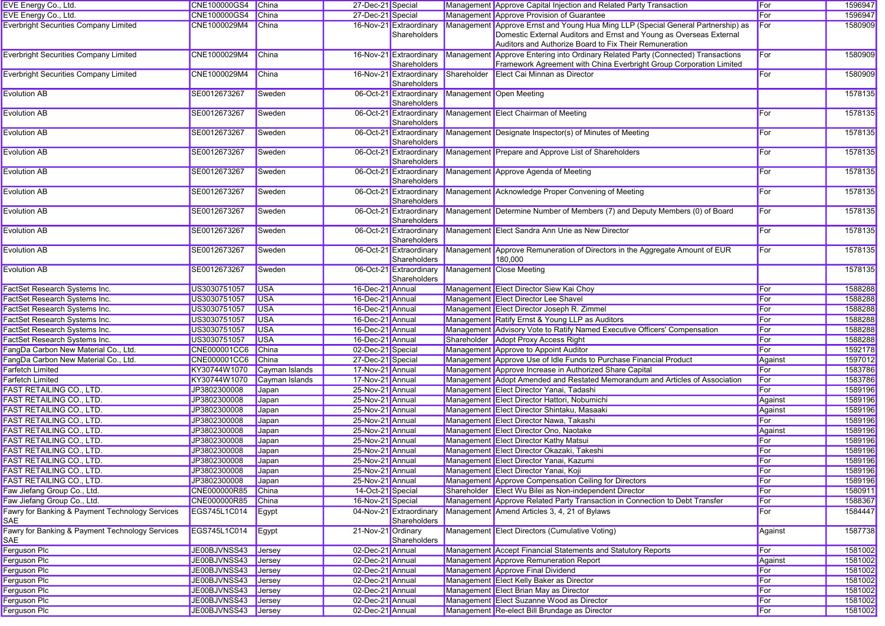| EVE Energy Co., Ltd.                                   | CNE100000GS4 China  |                | 27-Dec-21 Special  |                                         | Management Approve Capital Injection and Related Party Transaction                                                                                                                                                | For        | 1596947 |
|--------------------------------------------------------|---------------------|----------------|--------------------|-----------------------------------------|-------------------------------------------------------------------------------------------------------------------------------------------------------------------------------------------------------------------|------------|---------|
| EVE Energy Co., Ltd.                                   | <b>CNE100000GS4</b> | China          | 27-Dec-21 Special  |                                         | Management Approve Provision of Guarantee                                                                                                                                                                         | For        | 1596947 |
| <b>Everbright Securities Company Limited</b>           | CNE1000029M4        | China          |                    | 16-Nov-21 Extraordinary<br>Shareholders | Management Approve Ernst and Young Hua Ming LLP (Special General Partnership) as<br>Domestic External Auditors and Ernst and Young as Overseas External<br>Auditors and Authorize Board to Fix Their Remuneration | For        | 1580909 |
| <b>Everbright Securities Company Limited</b>           | CNE1000029M4        | China          |                    | 16-Nov-21 Extraordinary<br>Shareholders | Management Approve Entering into Ordinary Related Party (Connected) Transactions<br>Framework Agreement with China Everbright Group Corporation Limited                                                           | For        | 1580909 |
| <b>Everbright Securities Company Limited</b>           | CNE1000029M4        | China          |                    | 16-Nov-21 Extraordinary<br>Shareholders | Shareholder Elect Cai Minnan as Director                                                                                                                                                                          | For        | 1580909 |
| Evolution AB                                           | SE0012673267        | Sweden         |                    | 06-Oct-21 Extraordinary<br>Shareholders | Management Open Meeting                                                                                                                                                                                           |            | 1578135 |
| <b>Evolution AB</b>                                    | SE0012673267        | Sweden         |                    | 06-Oct-21 Extraordinary<br>Shareholders | Management Elect Chairman of Meeting                                                                                                                                                                              | For        | 1578135 |
| <b>Evolution AB</b>                                    | SE0012673267        | Sweden         |                    | Shareholders                            | 06-Oct-21 Extraordinary Management Designate Inspector(s) of Minutes of Meeting                                                                                                                                   | For        | 1578135 |
| <b>Evolution AB</b>                                    | SE0012673267        | Sweden         |                    | Shareholders                            | 06-Oct-21 Extraordinary Management Prepare and Approve List of Shareholders                                                                                                                                       | For        | 1578135 |
| Evolution AB                                           | SE0012673267        | Sweden         |                    | 06-Oct-21 Extraordinary<br>Shareholders | Management Approve Agenda of Meeting                                                                                                                                                                              | For        | 1578135 |
| Evolution AB                                           | SE0012673267        | Sweden         |                    | 06-Oct-21 Extraordinary<br>Shareholders | Management Acknowledge Proper Convening of Meeting                                                                                                                                                                | For        | 1578135 |
| <b>Evolution AB</b>                                    | SE0012673267        | Sweden         |                    | 06-Oct-21 Extraordinary<br>Shareholders | Management Determine Number of Members (7) and Deputy Members (0) of Board                                                                                                                                        | For        | 1578135 |
| <b>Evolution AB</b>                                    | SE0012673267        | Sweden         |                    | 06-Oct-21 Extraordinary<br>Shareholders | Management Elect Sandra Ann Urie as New Director                                                                                                                                                                  | For        | 1578135 |
| <b>Evolution AB</b>                                    | SE0012673267        | Sweden         |                    | 06-Oct-21 Extraordinary<br>Shareholders | Management Approve Remuneration of Directors in the Aggregate Amount of EUR<br>180,000                                                                                                                            | For        | 1578135 |
| Evolution AB                                           | SE0012673267        | Sweden         |                    | 06-Oct-21 Extraordinary<br>Shareholders | Management Close Meeting                                                                                                                                                                                          |            | 1578135 |
| FactSet Research Systems Inc.                          | US3030751057        | <b>USA</b>     | 16-Dec-21 Annual   |                                         | Management Elect Director Siew Kai Choy                                                                                                                                                                           | For        | 1588288 |
| FactSet Research Systems Inc.                          | US3030751057        | <b>USA</b>     | 16-Dec-21 Annual   |                                         | Management Elect Director Lee Shavel                                                                                                                                                                              | For        | 1588288 |
| FactSet Research Systems Inc.                          | US3030751057        | <b>USA</b>     | 16-Dec-21 Annual   |                                         | Management Elect Director Joseph R. Zimmel                                                                                                                                                                        | For        | 1588288 |
| FactSet Research Systems Inc.                          | US3030751057        | <b>USA</b>     | 16-Dec-21 Annual   |                                         | Management Ratify Ernst & Young LLP as Auditors                                                                                                                                                                   | For        | 1588288 |
| FactSet Research Systems Inc.                          | US3030751057        | <b>USA</b>     | 16-Dec-21 Annual   |                                         | Management Advisory Vote to Ratify Named Executive Officers' Compensation                                                                                                                                         | For        | 1588288 |
| FactSet Research Systems Inc.                          | US3030751057        | <b>USA</b>     | 16-Dec-21 Annual   |                                         | Shareholder Adopt Proxy Access Right                                                                                                                                                                              | For        | 1588288 |
| FangDa Carbon New Material Co., Ltd.                   | <b>CNE000001CC6</b> | China          | 02-Dec-21 Special  |                                         | Management Approve to Appoint Auditor                                                                                                                                                                             | For        | 1592178 |
| FangDa Carbon New Material Co., Ltd.                   | <b>CNE000001CC6</b> | China          | 27-Dec-21 Special  |                                         | Management Approve Use of Idle Funds to Purchase Financial Product                                                                                                                                                | Against    | 1597012 |
| <b>Farfetch Limited</b>                                | KY30744W1070        | Cayman Islands | 17-Nov-21 Annual   |                                         | Management Approve Increase in Authorized Share Capital                                                                                                                                                           | For        | 1583786 |
| <b>Farfetch Limited</b>                                | KY30744W1070        | Cayman Islands | 17-Nov-21 Annual   |                                         | Management Adopt Amended and Restated Memorandum and Articles of Association                                                                                                                                      | For        | 1583786 |
| <b>FAST RETAILING CO., LTD.</b>                        | JP3802300008        | Japan          | 25-Nov-21 Annual   |                                         | Management Elect Director Yanai, Tadashi                                                                                                                                                                          | For        | 1589196 |
| <b>FAST RETAILING CO., LTD.</b>                        | JP3802300008        | Japan          | 25-Nov-21 Annual   |                                         | Management Elect Director Hattori, Nobumichi                                                                                                                                                                      | Against    | 1589196 |
| <b>FAST RETAILING CO., LTD.</b>                        | JP3802300008        | Japan          | 25-Nov-21 Annual   |                                         | Management Elect Director Shintaku, Masaaki                                                                                                                                                                       | Against    | 1589196 |
| <b>FAST RETAILING CO., LTD.</b>                        | JP3802300008        | Japan          | 25-Nov-21 Annual   |                                         | Management Elect Director Nawa, Takashi                                                                                                                                                                           | For        | 1589196 |
| FAST RETAILING CO., LTD.                               | JP3802300008        | Japan          | 25-Nov-21 Annual   |                                         | Management Elect Director Ono, Naotake                                                                                                                                                                            | Against    | 1589196 |
| <b>FAST RETAILING CO., LTD.</b>                        | JP3802300008        | Japan          | 25-Nov-21 Annual   |                                         | Management Elect Director Kathy Matsui                                                                                                                                                                            | For        | 1589196 |
| <b>FAST RETAILING CO., LTD.</b>                        | JP3802300008        | Japan          | 25-Nov-21 Annual   |                                         | Management Elect Director Okazaki, Takeshi                                                                                                                                                                        | <b>For</b> | 1589196 |
| <b>FAST RETAILING CO., LTD.</b>                        | JP3802300008        | Japan          | 25-Nov-21 Annual   |                                         | Management Elect Director Yanai, Kazumi                                                                                                                                                                           | For        | 1589196 |
| <b>FAST RETAILING CO., LTD.</b>                        | JP3802300008        | Japan          | 25-Nov-21 Annual   |                                         | Management Elect Director Yanai, Koji                                                                                                                                                                             | For        | 1589196 |
| <b>FAST RETAILING CO., LTD.</b>                        | JP3802300008        | Japan          | 25-Nov-21 Annual   |                                         | Management Approve Compensation Ceiling for Directors                                                                                                                                                             | For        | 1589196 |
| Faw Jiefang Group Co., Ltd.                            | CNE000000R85        | China          | 14-Oct-21 Special  |                                         | Shareholder Elect Wu Bilei as Non-independent Director                                                                                                                                                            | For        | 1580911 |
| Faw Jiefang Group Co., Ltd.                            | CNE000000R85        | China          |                    |                                         | Management Approve Related Party Transaction in Connection to Debt Transfer                                                                                                                                       | For        | 1588367 |
| Fawry for Banking & Payment Technology Services        | EGS745L1C014        |                | 16-Nov-21 Special  | 04-Nov-21 Extraordinary                 | Management Amend Articles 3, 4, 21 of Bylaws                                                                                                                                                                      | For        | 1584447 |
| SAE                                                    |                     | Egypt          |                    | Shareholders                            |                                                                                                                                                                                                                   |            |         |
| Fawry for Banking & Payment Technology Services<br>SAE | EGS745L1C014        | Egypt          | 21-Nov-21 Ordinary | Shareholders                            | Management Elect Directors (Cumulative Voting)                                                                                                                                                                    | Against    | 1587738 |
| Ferguson Plc                                           | JE00BJVNSS43        | <b>Jersey</b>  | 02-Dec-21 Annual   |                                         | Management Accept Financial Statements and Statutory Reports                                                                                                                                                      | <b>For</b> | 1581002 |
| Ferguson Plc                                           | JE00BJVNSS43 Jersey |                | 02-Dec-21 Annual   |                                         | Management Approve Remuneration Report                                                                                                                                                                            | Against    | 1581002 |
| Ferguson Plc                                           | JE00BJVNSS43 Jersey |                | 02-Dec-21 Annual   |                                         | Management Approve Final Dividend                                                                                                                                                                                 | <b>For</b> | 1581002 |
| Ferguson Plc                                           | JE00BJVNSS43 Jersey |                | 02-Dec-21 Annual   |                                         | Management Elect Kelly Baker as Director                                                                                                                                                                          | For        | 1581002 |
| Ferguson Plc                                           | JE00BJVNSS43        | <b>Jersey</b>  | 02-Dec-21 Annual   |                                         | Management Elect Brian May as Director                                                                                                                                                                            | <b>For</b> | 1581002 |
| <b>Ferguson Plc</b>                                    | JE00BJVNSS43 Jersey |                | 02-Dec-21 Annual   |                                         | Management Elect Suzanne Wood as Director                                                                                                                                                                         | For        | 1581002 |
| Ferguson Plc                                           | JE00BJVNSS43 Jersey |                | 02-Dec-21 Annual   |                                         | Management Re-elect Bill Brundage as Director                                                                                                                                                                     | For        | 1581002 |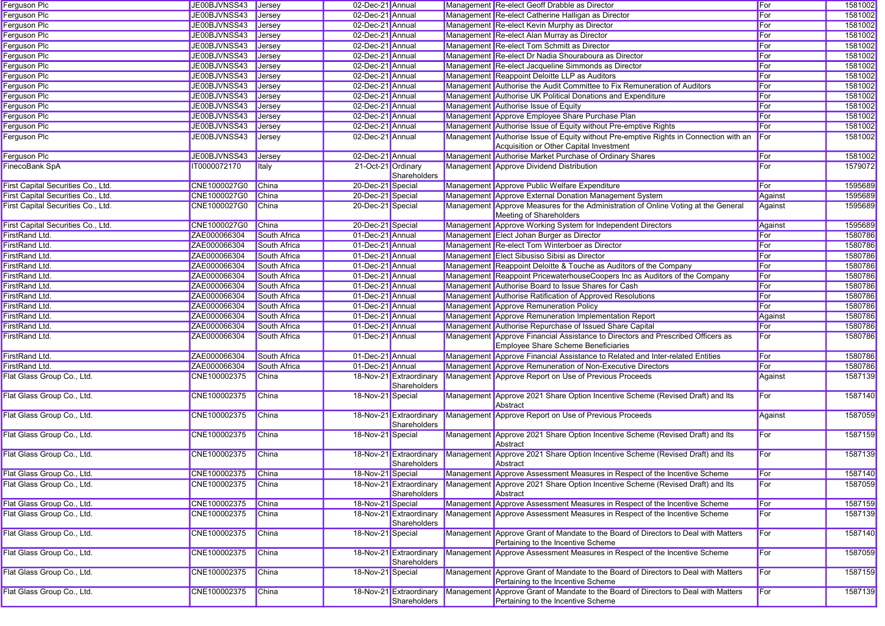| <b>Ferguson Plc</b>                | JE00BJVNSS43 Jersey |                     | 02-Dec-21 Annual   |                         | Management Re-elect Geoff Drabble as Director                                                                                 | For        | 1581002 |
|------------------------------------|---------------------|---------------------|--------------------|-------------------------|-------------------------------------------------------------------------------------------------------------------------------|------------|---------|
| <b>Ferguson Plc</b>                | JE00BJVNSS43        | Jersev              | 02-Dec-21 Annual   |                         | Management Re-elect Catherine Halligan as Director                                                                            | For        | 1581002 |
| Ferguson Plc                       | JE00BJVNSS43        | Jersey              | 02-Dec-21 Annual   |                         | Management Re-elect Kevin Murphy as Director                                                                                  | For        | 1581002 |
| <b>Ferguson Plc</b>                | JE00BJVNSS43        | Jersey              | 02-Dec-21 Annual   |                         | Management Re-elect Alan Murray as Director                                                                                   | For        | 1581002 |
| <b>Ferguson Plc</b>                | JE00BJVNSS43        | <b>Jersey</b>       | 02-Dec-21 Annual   |                         | Management Re-elect Tom Schmitt as Director                                                                                   | For        | 1581002 |
| <b>Ferguson Plc</b>                | JE00BJVNSS43        | <b>Jersey</b>       | 02-Dec-21 Annual   |                         | Management Re-elect Dr Nadia Shouraboura as Director                                                                          | For        | 1581002 |
| <b>Ferguson Plc</b>                | JE00BJVNSS43        | <b>Jersey</b>       | 02-Dec-21 Annual   |                         | Management Re-elect Jacqueline Simmonds as Director                                                                           | For        | 1581002 |
| Ferguson Plc                       | JE00BJVNSS43        | Jersey              | 02-Dec-21 Annual   |                         | Management Reappoint Deloitte LLP as Auditors                                                                                 | For        | 1581002 |
| <b>Ferguson Plc</b>                | JE00BJVNSS43        | Jersey              | 02-Dec-21 Annual   |                         | Management Authorise the Audit Committee to Fix Remuneration of Auditors                                                      | For        | 1581002 |
| <b>Ferguson Plc</b>                | JE00BJVNSS43        | <b>Jersey</b>       | 02-Dec-21 Annual   |                         | Management Authorise UK Political Donations and Expenditure                                                                   | For        | 1581002 |
| <b>Ferguson Plc</b>                | JE00BJVNSS43        | <b>Jersey</b>       | 02-Dec-21 Annual   |                         | Management Authorise Issue of Equity                                                                                          | For        | 1581002 |
| Ferguson Plc                       | JE00BJVNSS43        | <b>Jersey</b>       | 02-Dec-21 Annual   |                         | Management Approve Employee Share Purchase Plan                                                                               | For        | 1581002 |
| Ferguson Plc                       | JE00BJVNSS43        | Jersey              | 02-Dec-21 Annual   |                         | Management Authorise Issue of Equity without Pre-emptive Rights                                                               | For        | 1581002 |
| <b>Ferguson Plc</b>                | JE00BJVNSS43        | Jersey              | 02-Dec-21 Annual   |                         | Management Authorise Issue of Equity without Pre-emptive Rights in Connection with an                                         | For        | 1581002 |
|                                    |                     |                     |                    |                         | Acquisition or Other Capital Investment                                                                                       |            |         |
| <b>Ferguson Plc</b>                | JE00BJVNSS43        | Jersey              | 02-Dec-21 Annual   |                         | Management Authorise Market Purchase of Ordinary Shares                                                                       | For        | 1581002 |
| FinecoBank SpA                     | IT0000072170        | Italy               | 21-Oct-21 Ordinary |                         | Management Approve Dividend Distribution                                                                                      | For        | 1579072 |
|                                    |                     |                     |                    | Shareholders            |                                                                                                                               |            |         |
| First Capital Securities Co., Ltd. | CNE1000027G0        | China               | 20-Dec-21 Special  |                         | Management Approve Public Welfare Expenditure                                                                                 | For        | 1595689 |
| First Capital Securities Co., Ltd. | CNE1000027G0        | China               | 20-Dec-21 Special  |                         | Management Approve External Donation Management System                                                                        | Against    | 1595689 |
| First Capital Securities Co., Ltd. | CNE1000027G0        | China               | 20-Dec-21 Special  |                         | Management Approve Measures for the Administration of Online Voting at the General                                            | Against    | 1595689 |
|                                    |                     |                     |                    |                         | Meeting of Shareholders                                                                                                       |            |         |
| First Capital Securities Co., Ltd. | CNE1000027G0        | China               | 20-Dec-21 Special  |                         | Management Approve Working System for Independent Directors                                                                   | Against    | 1595689 |
| FirstRand Ltd.                     | ZAE000066304        | South Africa        | 01-Dec-21 Annual   |                         | Management Elect Johan Burger as Director                                                                                     | For        | 1580786 |
| FirstRand Ltd.                     | ZAE000066304        | South Africa        | 01-Dec-21 Annual   |                         | Management Re-elect Tom Winterboer as Director                                                                                | For        | 1580786 |
| FirstRand Ltd.                     | ZAE000066304        | South Africa        | 01-Dec-21 Annual   |                         | Management Elect Sibusiso Sibisi as Director                                                                                  | For        | 1580786 |
| FirstRand Ltd.                     | ZAE000066304        | South Africa        | 01-Dec-21 Annual   |                         | Management Reappoint Deloitte & Touche as Auditors of the Company                                                             | For        | 1580786 |
| FirstRand Ltd.                     | ZAE000066304        | <b>South Africa</b> | 01-Dec-21 Annual   |                         | Management Reappoint PricewaterhouseCoopers Inc as Auditors of the Company                                                    | For        | 1580786 |
| FirstRand Ltd.                     | ZAE000066304        | South Africa        | 01-Dec-21 Annual   |                         | Management Authorise Board to Issue Shares for Cash                                                                           | For        | 1580786 |
| <b>FirstRand Ltd.</b>              | ZAE000066304        | South Africa        | 01-Dec-21 Annual   |                         | Management Authorise Ratification of Approved Resolutions                                                                     | For        | 1580786 |
| FirstRand Ltd.                     | ZAE000066304        | South Africa        | 01-Dec-21 Annual   |                         | Management Approve Remuneration Policy                                                                                        | For        | 1580786 |
|                                    |                     |                     | 01-Dec-21 Annual   |                         |                                                                                                                               |            |         |
| FirstRand Ltd.                     | ZAE000066304        | South Africa        | 01-Dec-21 Annual   |                         | Management Approve Remuneration Implementation Report                                                                         | Against    | 1580786 |
| FirstRand Ltd.                     | ZAE000066304        | South Africa        |                    |                         | Management Authorise Repurchase of Issued Share Capital                                                                       | For        | 1580786 |
| FirstRand Ltd.                     | ZAE000066304        | South Africa        | 01-Dec-21 Annual   |                         | Management Approve Financial Assistance to Directors and Prescribed Officers as<br><b>Employee Share Scheme Beneficiaries</b> | For        | 1580786 |
| FirstRand Ltd.                     | ZAE000066304        | South Africa        | 01-Dec-21 Annual   |                         | Management Approve Financial Assistance to Related and Inter-related Entities                                                 | For        | 1580786 |
| FirstRand Ltd.                     | ZAE000066304        | South Africa        | 01-Dec-21 Annual   |                         |                                                                                                                               | For        | 1580786 |
|                                    |                     |                     |                    | 18-Nov-21 Extraordinary | Management Approve Remuneration of Non-Executive Directors                                                                    |            |         |
| Flat Glass Group Co., Ltd.         | CNE100002375        | China               |                    | Shareholders            | Management Approve Report on Use of Previous Proceeds                                                                         | Against    | 1587139 |
| Flat Glass Group Co., Ltd.         | CNE100002375        | China               | 18-Nov-21 Special  |                         | Management Approve 2021 Share Option Incentive Scheme (Revised Draft) and Its                                                 | For        | 1587140 |
|                                    |                     |                     |                    |                         | Abstract                                                                                                                      |            |         |
| Flat Glass Group Co., Ltd.         | CNE100002375        | <b>China</b>        |                    | 18-Nov-21 Extraordinary | Management Approve Report on Use of Previous Proceeds                                                                         | Against    | 1587059 |
|                                    |                     |                     |                    | Shareholders            |                                                                                                                               |            |         |
| Flat Glass Group Co., Ltd.         | CNE100002375        | China               | 18-Nov-21 Special  |                         | Management Approve 2021 Share Option Incentive Scheme (Revised Draft) and Its                                                 | For        | 1587159 |
|                                    |                     |                     |                    |                         | Abstract                                                                                                                      |            |         |
| Flat Glass Group Co., Ltd.         | CNE100002375        | China               |                    | 18-Nov-21 Extraordinary | Management Approve 2021 Share Option Incentive Scheme (Revised Draft) and Its                                                 | For        | 1587139 |
|                                    |                     |                     |                    | Shareholders            | Abstract                                                                                                                      |            |         |
| Flat Glass Group Co., Ltd.         | CNE100002375        | China               | 18-Nov-21 Special  |                         | Management Approve Assessment Measures in Respect of the Incentive Scheme                                                     | <b>For</b> | 1587140 |
| Flat Glass Group Co., Ltd.         | CNE100002375        | China               |                    | 18-Nov-21 Extraordinary | Management Approve 2021 Share Option Incentive Scheme (Revised Draft) and Its                                                 | For        | 1587059 |
|                                    |                     |                     |                    | Shareholders            | Abstract                                                                                                                      |            |         |
| Flat Glass Group Co., Ltd.         | CNE100002375        | China               | 18-Nov-21 Special  |                         | Management Approve Assessment Measures in Respect of the Incentive Scheme                                                     | For        | 1587159 |
| Flat Glass Group Co., Ltd.         | CNE100002375        | China               |                    | 18-Nov-21 Extraordinary | Management Approve Assessment Measures in Respect of the Incentive Scheme                                                     | For        | 1587139 |
|                                    |                     |                     |                    | Shareholders            |                                                                                                                               |            |         |
| Flat Glass Group Co., Ltd.         | CNE100002375        | <b>China</b>        | 18-Nov-21 Special  |                         | Management Approve Grant of Mandate to the Board of Directors to Deal with Matters                                            | For        | 1587140 |
|                                    |                     |                     |                    |                         | Pertaining to the Incentive Scheme                                                                                            |            |         |
| Flat Glass Group Co., Ltd.         | CNE100002375        | <b>China</b>        |                    | 18-Nov-21 Extraordinary | Management Approve Assessment Measures in Respect of the Incentive Scheme                                                     | For        | 1587059 |
|                                    |                     |                     |                    | Shareholders            |                                                                                                                               |            |         |
| Flat Glass Group Co., Ltd.         | CNE100002375        | <b>China</b>        | 18-Nov-21 Special  |                         | Management Approve Grant of Mandate to the Board of Directors to Deal with Matters                                            | For        | 1587159 |
|                                    |                     |                     |                    |                         | Pertaining to the Incentive Scheme                                                                                            |            |         |
| Flat Glass Group Co., Ltd.         | CNE100002375        | <b>China</b>        |                    | 18-Nov-21 Extraordinary | Management Approve Grant of Mandate to the Board of Directors to Deal with Matters                                            | For        | 1587139 |
|                                    |                     |                     |                    | Shareholders            | Pertaining to the Incentive Scheme                                                                                            |            |         |
|                                    |                     |                     |                    |                         |                                                                                                                               |            |         |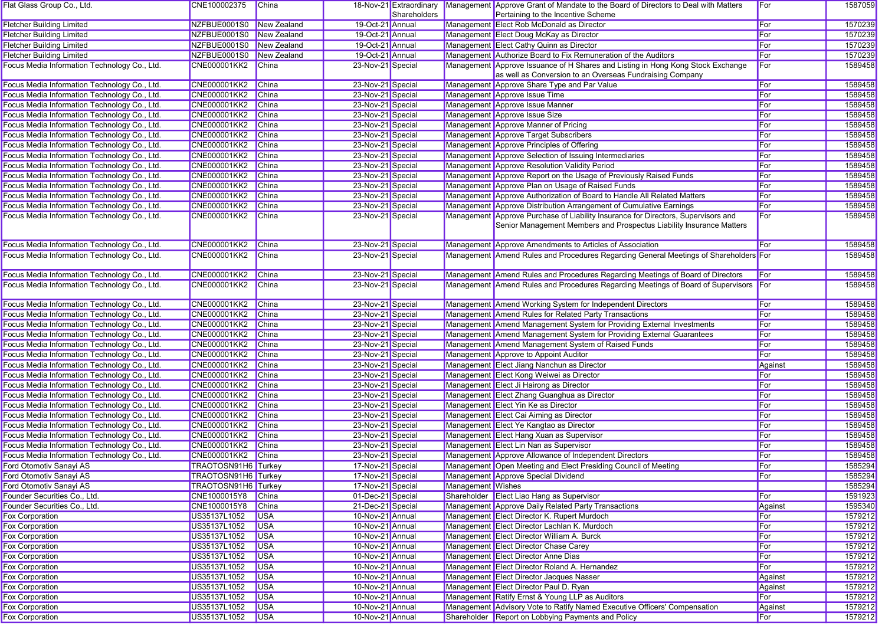| Flat Glass Group Co., Ltd.                   | CNE100002375        | China        |                   | 18-Nov-21 Extraordinary |                   | Management Approve Grant of Mandate to the Board of Directors to Deal with Matters                                                                        | For     | 1587059 |
|----------------------------------------------|---------------------|--------------|-------------------|-------------------------|-------------------|-----------------------------------------------------------------------------------------------------------------------------------------------------------|---------|---------|
|                                              |                     |              |                   | Shareholders            |                   | Pertaining to the Incentive Scheme                                                                                                                        |         |         |
| <b>Fletcher Building Limited</b>             | NZFBUE0001S0        | New Zealand  | 19-Oct-21 Annual  |                         |                   | Management Elect Rob McDonald as Director                                                                                                                 | For     | 1570239 |
| <b>Fletcher Building Limited</b>             | NZFBUE0001S0        | New Zealand  | 19-Oct-21 Annual  |                         |                   | Management Elect Doug McKay as Director                                                                                                                   | For     | 1570239 |
| <b>Fletcher Building Limited</b>             | NZFBUE0001S0        | New Zealand  | 19-Oct-21 Annual  |                         |                   | Management Elect Cathy Quinn as Director                                                                                                                  | For     | 1570239 |
| <b>Fletcher Building Limited</b>             | NZFBUE0001S0        | New Zealand  | 19-Oct-21 Annual  |                         |                   | Management Authorize Board to Fix Remuneration of the Auditors                                                                                            | For     | 1570239 |
| Focus Media Information Technology Co., Ltd. | CNE000001KK2        | China        | 23-Nov-21 Special |                         |                   | Management Approve Issuance of H Shares and Listing in Hong Kong Stock Exchange<br>as well as Conversion to an Overseas Fundraising Company               | For     | 1589458 |
| Focus Media Information Technology Co., Ltd. | CNE000001KK2        | China        | 23-Nov-21 Special |                         |                   | Management Approve Share Type and Par Value                                                                                                               | For     | 1589458 |
| Focus Media Information Technology Co., Ltd. | <b>CNE000001KK2</b> | China        | 23-Nov-21 Special |                         |                   | Management Approve Issue Time                                                                                                                             | For     | 1589458 |
| Focus Media Information Technology Co., Ltd. | <b>CNE000001KK2</b> | China        | 23-Nov-21 Special |                         |                   | Management Approve Issue Manner                                                                                                                           | For     | 1589458 |
| Focus Media Information Technology Co., Ltd. | <b>CNE000001KK2</b> | China        | 23-Nov-21 Special |                         |                   | Management Approve Issue Size                                                                                                                             | For     | 1589458 |
| Focus Media Information Technology Co., Ltd. | <b>CNE000001KK2</b> | China        | 23-Nov-21 Special |                         |                   | Management Approve Manner of Pricing                                                                                                                      | For     | 1589458 |
| Focus Media Information Technology Co., Ltd. | <b>CNE000001KK2</b> | China        | 23-Nov-21 Special |                         |                   | Management Approve Target Subscribers                                                                                                                     | For     | 1589458 |
| Focus Media Information Technology Co., Ltd. | <b>CNE000001KK2</b> | China        | 23-Nov-21 Special |                         |                   | Management Approve Principles of Offering                                                                                                                 | For     | 1589458 |
| Focus Media Information Technology Co., Ltd. | <b>CNE000001KK2</b> | China        | 23-Nov-21 Special |                         |                   | Management Approve Selection of Issuing Intermediaries                                                                                                    | For     | 1589458 |
| Focus Media Information Technology Co., Ltd. | <b>CNE000001KK2</b> | China        | 23-Nov-21 Special |                         |                   | Management Approve Resolution Validity Period                                                                                                             | For     | 1589458 |
| Focus Media Information Technology Co., Ltd. | <b>CNE000001KK2</b> | China        | 23-Nov-21 Special |                         |                   | Management Approve Report on the Usage of Previously Raised Funds                                                                                         | For     | 1589458 |
| Focus Media Information Technology Co., Ltd. | <b>CNE000001KK2</b> | China        | 23-Nov-21 Special |                         |                   | Management Approve Plan on Usage of Raised Funds                                                                                                          | For     | 1589458 |
| Focus Media Information Technology Co., Ltd. | <b>CNE000001KK2</b> | China        | 23-Nov-21 Special |                         |                   | Management Approve Authorization of Board to Handle All Related Matters                                                                                   | For     | 1589458 |
| Focus Media Information Technology Co., Ltd. | <b>CNE000001KK2</b> | <b>China</b> | 23-Nov-21 Special |                         |                   | Management Approve Distribution Arrangement of Cumulative Earnings                                                                                        | For     | 1589458 |
| Focus Media Information Technology Co., Ltd. | <b>CNE000001KK2</b> | China        | 23-Nov-21 Special |                         |                   | Management Approve Purchase of Liability Insurance for Directors, Supervisors and<br>Senior Management Members and Prospectus Liability Insurance Matters | For     | 1589458 |
|                                              |                     | China        |                   |                         |                   | Management Approve Amendments to Articles of Association                                                                                                  |         |         |
| Focus Media Information Technology Co., Ltd. | <b>CNE000001KK2</b> |              | 23-Nov-21 Special |                         |                   | Management Amend Rules and Procedures Regarding General Meetings of Shareholders For                                                                      | For     | 1589458 |
| Focus Media Information Technology Co., Ltd. | CNE000001KK2        | China        | 23-Nov-21 Special |                         |                   |                                                                                                                                                           |         | 1589458 |
| Focus Media Information Technology Co., Ltd. | <b>CNE000001KK2</b> | China        | 23-Nov-21 Special |                         |                   | Management Amend Rules and Procedures Regarding Meetings of Board of Directors                                                                            | For     | 1589458 |
| Focus Media Information Technology Co., Ltd. | CNE000001KK2        | China        | 23-Nov-21 Special |                         |                   | Management Amend Rules and Procedures Regarding Meetings of Board of Supervisors For                                                                      |         | 1589458 |
| Focus Media Information Technology Co., Ltd. | CNE000001KK2        | China        | 23-Nov-21 Special |                         |                   | Management Amend Working System for Independent Directors                                                                                                 | For     | 1589458 |
| Focus Media Information Technology Co., Ltd. | <b>CNE000001KK2</b> | China        | 23-Nov-21 Special |                         |                   | Management Amend Rules for Related Party Transactions                                                                                                     | For     | 1589458 |
| Focus Media Information Technology Co., Ltd. | <b>CNE000001KK2</b> | China        | 23-Nov-21 Special |                         |                   | Management Amend Management System for Providing External Investments                                                                                     | For     | 1589458 |
| Focus Media Information Technology Co., Ltd. | <b>CNE000001KK2</b> | China        | 23-Nov-21 Special |                         |                   | Management Amend Management System for Providing External Guarantees                                                                                      | For     | 1589458 |
| Focus Media Information Technology Co., Ltd. | <b>CNE000001KK2</b> | China        | 23-Nov-21 Special |                         |                   | Management Amend Management System of Raised Funds                                                                                                        | For     | 1589458 |
| Focus Media Information Technology Co., Ltd. | <b>CNE000001KK2</b> | China        | 23-Nov-21 Special |                         |                   | Management Approve to Appoint Auditor                                                                                                                     | For     | 1589458 |
| Focus Media Information Technology Co., Ltd. | <b>CNE000001KK2</b> | China        | 23-Nov-21 Special |                         |                   | Management Elect Jiang Nanchun as Director                                                                                                                | Against | 1589458 |
| Focus Media Information Technology Co., Ltd. | <b>CNE000001KK2</b> | China        | 23-Nov-21 Special |                         |                   | Management Elect Kong Weiwei as Director                                                                                                                  | For     | 1589458 |
| Focus Media Information Technology Co., Ltd. | <b>CNE000001KK2</b> | China        | 23-Nov-21 Special |                         |                   | Management Elect Ji Hairong as Director                                                                                                                   | For     | 1589458 |
| Focus Media Information Technology Co., Ltd. | <b>CNE000001KK2</b> | China        | 23-Nov-21 Special |                         |                   | Management Elect Zhang Guanghua as Director                                                                                                               | For     | 1589458 |
| Focus Media Information Technology Co., Ltd. | <b>CNE000001KK2</b> | China        | 23-Nov-21 Special |                         |                   | Management Elect Yin Ke as Director                                                                                                                       | For     | 1589458 |
| Focus Media Information Technology Co., Ltd. | <b>CNE000001KK2</b> | China        | 23-Nov-21 Special |                         |                   | Management Elect Cai Aiming as Director                                                                                                                   | For     | 1589458 |
| Focus Media Information Technology Co., Ltd. | <b>CNE000001KK2</b> | China        | 23-Nov-21 Special |                         |                   | Management Elect Ye Kangtao as Director                                                                                                                   | For     | 1589458 |
| Focus Media Information Technology Co., Ltd. | <b>CNE000001KK2</b> | China        | 23-Nov-21 Special |                         |                   | Management Elect Hang Xuan as Supervisor                                                                                                                  | For     | 1589458 |
| Focus Media Information Technology Co., Ltd. | <b>CNE000001KK2</b> | China        | 23-Nov-21 Special |                         |                   | Management Elect Lin Nan as Supervisor                                                                                                                    | For     | 1589458 |
| Focus Media Information Technology Co., Ltd. | <b>CNE000001KK2</b> | China        | 23-Nov-21 Special |                         |                   | Management Approve Allowance of Independent Directors                                                                                                     | For     | 1589458 |
| Ford Otomotiv Sanayi AS                      | TRAOTOSN91H6 Turkey |              | 17-Nov-21 Special |                         |                   | Management Open Meeting and Elect Presiding Council of Meeting                                                                                            | For     | 1585294 |
| Ford Otomotiv Sanayi AS                      | TRAOTOSN91H6 Turkey |              | 17-Nov-21 Special |                         |                   | Management Approve Special Dividend                                                                                                                       | For     | 1585294 |
| Ford Otomotiv Sanayi AS                      | TRAOTOSN91H6 Turkey |              | 17-Nov-21 Special |                         | Management Wishes |                                                                                                                                                           |         | 1585294 |
| Founder Securities Co., Ltd.                 | CNE1000015Y8        | China        | 01-Dec-21 Special |                         |                   | Shareholder Elect Liao Hang as Supervisor                                                                                                                 | For     | 1591923 |
| Founder Securities Co., Ltd.                 | CNE1000015Y8        | China        | 21-Dec-21 Special |                         |                   | Management Approve Daily Related Party Transactions                                                                                                       | Against | 1595340 |
| Fox Corporation                              | US35137L1052        | <b>USA</b>   | 10-Nov-21 Annual  |                         |                   | Management Elect Director K. Rupert Murdoch                                                                                                               | For     | 1579212 |
| <b>Fox Corporation</b>                       | US35137L1052        | <b>USA</b>   | 10-Nov-21 Annual  |                         |                   | Management Elect Director Lachlan K. Murdoch                                                                                                              | For     | 1579212 |
| Fox Corporation                              | US35137L1052        | <b>USA</b>   | 10-Nov-21 Annual  |                         |                   | Management Elect Director William A. Burck                                                                                                                | For     | 1579212 |
| <b>Fox Corporation</b>                       | US35137L1052        | <b>USA</b>   | 10-Nov-21 Annual  |                         |                   | Management Elect Director Chase Carey                                                                                                                     | For     | 1579212 |
| <b>Fox Corporation</b>                       | US35137L1052        | <b>USA</b>   | 10-Nov-21 Annual  |                         |                   | Management Elect Director Anne Dias                                                                                                                       | For     | 1579212 |
| Fox Corporation                              | US35137L1052        | <b>USA</b>   | 10-Nov-21 Annual  |                         |                   | Management Elect Director Roland A. Hernandez                                                                                                             | For     | 1579212 |
| Fox Corporation                              | US35137L1052        | <b>USA</b>   | 10-Nov-21 Annual  |                         |                   | Management Elect Director Jacques Nasser                                                                                                                  | Against | 1579212 |
| Fox Corporation                              | US35137L1052        | <b>USA</b>   | 10-Nov-21 Annual  |                         |                   | Management Elect Director Paul D. Ryan                                                                                                                    | Against | 1579212 |
| <b>Fox Corporation</b>                       | US35137L1052        | <b>USA</b>   | 10-Nov-21 Annual  |                         |                   | Management Ratify Ernst & Young LLP as Auditors                                                                                                           | For     | 1579212 |
| <b>Fox Corporation</b>                       | US35137L1052        | <b>USA</b>   | 10-Nov-21 Annual  |                         |                   | Management Advisory Vote to Ratify Named Executive Officers' Compensation                                                                                 | Against | 1579212 |
| <b>Fox Corporation</b>                       | US35137L1052        | <b>USA</b>   | 10-Nov-21 Annual  |                         |                   | Shareholder Report on Lobbying Payments and Policy                                                                                                        | For     | 1579212 |
|                                              |                     |              |                   |                         |                   |                                                                                                                                                           |         |         |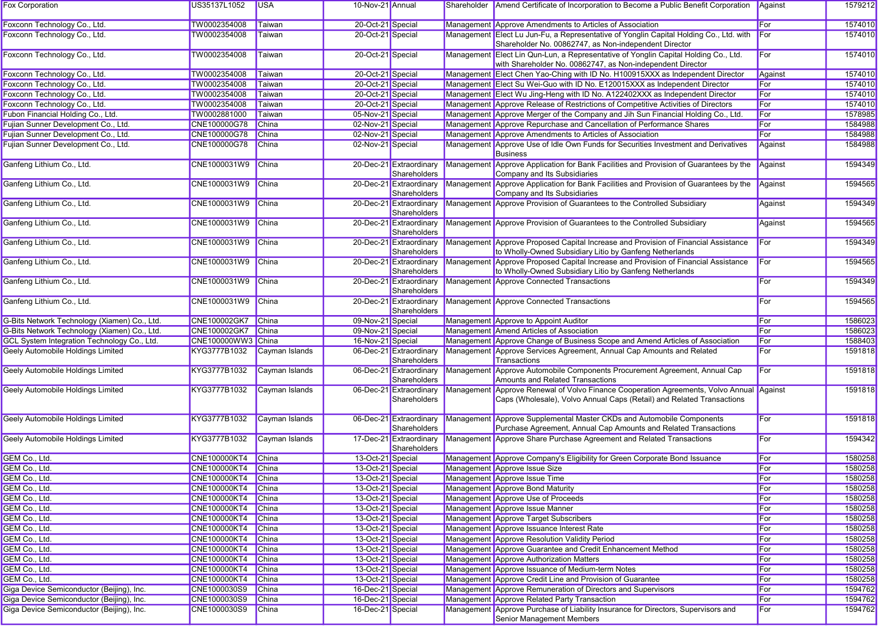| Management Approve Amendments to Articles of Association<br>1574010<br>Foxconn Technology Co., Ltd.<br>TW0002354008<br>Taiwan<br>20-Oct-21 Special<br>For<br>20-Oct-21 Special<br>Management Elect Lu Jun-Fu, a Representative of Yonglin Capital Holding Co., Ltd. with<br>For<br>TW0002354008<br>Taiwan<br>1574010<br>Shareholder No. 00862747, as Non-independent Director<br>Management Elect Lin Qun-Lun, a Representative of Yonglin Capital Holding Co., Ltd.<br>1574010<br>TW0002354008<br>Taiwan<br>20-Oct-21 Special<br>For<br>with Shareholder No. 00862747, as Non-independent Director<br>TW0002354008<br>Management Elect Chen Yao-Ching with ID No. H100915XXX as Independent Director<br>1574010<br>Foxconn Technology Co., Ltd.<br>Taiwan<br>20-Oct-21 Special<br>Against<br>Foxconn Technology Co., Ltd.<br>20-Oct-21 Special<br>Management Elect Su Wei-Guo with ID No. E120015XXX as Independent Director<br>For<br>1574010<br>TW0002354008<br>Taiwan<br>Foxconn Technology Co., Ltd.<br>20-Oct-21 Special<br>Management Elect Wu Jing-Heng with ID No. A122402XXX as Independent Director<br>For<br>TW0002354008<br>Taiwan<br>1574010<br>Foxconn Technology Co., Ltd.<br>20-Oct-21 Special<br>Management Approve Release of Restrictions of Competitive Activities of Directors<br>For<br>1574010<br>TW0002354008<br>Taiwan<br>Fubon Financial Holding Co., Ltd.<br>Management Approve Merger of the Company and Jih Sun Financial Holding Co., Ltd.<br>For<br>1578985<br>TW0002881000<br>Taiwan<br>05-Nov-21 Special<br>Fujian Sunner Development Co., Ltd.<br>02-Nov-21 Special<br>Management Approve Repurchase and Cancellation of Performance Shares<br>For<br>1584988<br>CNE100000G78<br><b>China</b><br>Fujian Sunner Development Co., Ltd.<br>CNE100000G78<br><b>China</b><br>Management Approve Amendments to Articles of Association<br>For<br>1584988<br>02-Nov-21 Special<br>Fujian Sunner Development Co., Ltd.<br>1584988<br>CNE100000G78<br>China<br>02-Nov-21 Special<br>Management Approve Use of Idle Own Funds for Securities Investment and Derivatives<br>Against<br><b>Business</b><br>Ganfeng Lithium Co., Ltd.<br>CNE1000031W9<br>China<br>20-Dec-21 Extraordinary<br>Management Approve Application for Bank Facilities and Provision of Guarantees by the<br>Against<br>1594349<br>Shareholders<br>Company and Its Subsidiaries<br>Management Approve Application for Bank Facilities and Provision of Guarantees by the<br>China<br>20-Dec-21 Extraordinary<br>Against<br>1594565<br>CNE1000031W9<br>Company and Its Subsidiaries<br>Shareholders<br>Management Approve Provision of Guarantees to the Controlled Subsidiary<br>CNE1000031W9<br>China<br>20-Dec-21 Extraordinary<br>Against<br>1594349<br>Shareholders<br>CNE1000031W9<br>Management Approve Provision of Guarantees to the Controlled Subsidiary<br>1594565<br>China<br>20-Dec-21 Extraordinary<br>Against<br>Shareholders<br>Management Approve Proposed Capital Increase and Provision of Financial Assistance<br>1594349<br>CNE1000031W9<br>China<br>For<br>20-Dec-21 Extraordinary<br>Shareholders<br>to Wholly-Owned Subsidiary Litio by Ganfeng Netherlands<br>Management Approve Proposed Capital Increase and Provision of Financial Assistance<br>For<br>1594565<br>Ganfeng Lithium Co., Ltd.<br>CNE1000031W9<br>China<br>20-Dec-21 Extraordinary<br>Shareholders<br>to Wholly-Owned Subsidiary Litio by Ganfeng Netherlands<br>Management Approve Connected Transactions<br>1594349<br>Ganfeng Lithium Co., Ltd.<br>CNE1000031W9<br>China<br>20-Dec-21 Extraordinary<br>For<br>Shareholders<br>Management Approve Connected Transactions<br>1594565<br>CNE1000031W9<br>China<br>20-Dec-21 Extraordinary<br>For<br>Shareholders<br>G-Bits Network Technology (Xiamen) Co., Ltd.<br>CNE100002GK7<br>China<br>09-Nov-21 Special<br>Management Approve to Appoint Auditor<br>1586023<br>For<br>Management Amend Articles of Association<br>G-Bits Network Technology (Xiamen) Co., Ltd.<br><b>CNE100002GK7</b><br>China<br>09-Nov-21 Special<br>For<br>1586023<br>CNE100000WW3 China<br>Management Approve Change of Business Scope and Amend Articles of Association<br>For<br>1588403<br>GCL System Integration Technology Co., Ltd.<br>16-Nov-21 Special<br>Management Approve Services Agreement, Annual Cap Amounts and Related<br>KYG3777B1032<br>06-Dec-21 Extraordinary<br>For<br>Cayman Islands<br>1591818<br>Shareholders<br>Transactions<br>Management Approve Automobile Components Procurement Agreement, Annual Cap<br>1591818<br>KYG3777B1032<br>Cayman Islands<br>06-Dec-21 Extraordinary<br>For<br>Amounts and Related Transactions<br>Shareholders<br>Management Approve Renewal of Volvo Finance Cooperation Agreements, Volvo Annual Against<br>1591818<br>KYG3777B1032<br>Cayman Islands<br>06-Dec-21 Extraordinary<br>Caps (Wholesale), Volvo Annual Caps (Retail) and Related Transactions<br>Shareholders<br>KYG3777B1032<br>Cayman Islands<br>06-Dec-21 Extraordinary<br>Management Approve Supplemental Master CKDs and Automobile Components<br>For<br>1591818<br>Shareholders<br>Purchase Agreement, Annual Cap Amounts and Related Transactions<br>KYG3777B1032<br>Management Approve Share Purchase Agreement and Related Transactions<br>For<br>1594342<br>Cayman Islands<br>17-Dec-21 Extraordinary<br>Shareholders<br>13-Oct-21 Special<br>1580258<br><b>CNE100000KT4</b><br>China<br>Management Approve Company's Eligibility for Green Corporate Bond Issuance<br>For<br><b>CNE100000KT4</b><br>13-Oct-21 Special<br>Management Approve Issue Size<br>For<br>1580258<br>China<br>13-Oct-21 Special<br>Management Approve Issue Time<br>For<br>1580258<br>CNE100000KT4 China<br>GEM Co., Ltd.<br><b>CNE100000KT4</b><br>13-Oct-21 Special<br>Management Approve Bond Maturity<br>For<br>1580258<br>China<br>13-Oct-21 Special<br>Management Approve Use of Proceeds<br>For<br>1580258<br>GEM Co., Ltd.<br><b>CNE100000KT4</b><br>China<br>Management Approve Issue Manner<br>GEM Co., Ltd.<br>13-Oct-21 Special<br>1580258<br><b>CNE100000KT4</b><br>China<br>For<br>13-Oct-21 Special<br>Management Approve Target Subscribers<br>1580258<br>GEM Co., Ltd.<br><b>CNE100000KT4</b><br>China<br>For<br>13-Oct-21 Special<br>GEM Co., Ltd.<br><b>CNE100000KT4</b><br>Management Approve Issuance Interest Rate<br>For<br>1580258<br>China<br>Management Approve Resolution Validity Period<br>GEM Co., Ltd.<br><b>CNE100000KT4</b><br>China<br>13-Oct-21 Special<br>For<br>1580258<br><b>CNE100000KT4</b><br>13-Oct-21 Special<br>Management Approve Guarantee and Credit Enhancement Method<br>For<br>1580258<br>GEM Co., Ltd.<br>China<br>GEM Co., Ltd.<br><b>CNE100000KT4</b><br>13-Oct-21 Special<br>Management Approve Authorization Matters<br>For<br>1580258<br>China<br>13-Oct-21 Special<br>Management Approve Issuance of Medium-term Notes<br>For<br>1580258<br>GEM Co., Ltd.<br><b>CNE100000KT4</b><br>China<br>GEM Co., Ltd.<br><b>CNE100000KT4</b><br>13-Oct-21 Special<br>Management Approve Credit Line and Provision of Guarantee<br>For<br>1580258<br>China<br>CNE1000030S9<br>16-Dec-21 Special<br>Management Approve Remuneration of Directors and Supervisors<br>For<br>1594762<br>Giga Device Semiconductor (Beijing), Inc.<br>China<br>16-Dec-21 Special<br>For<br>1594762<br>Giga Device Semiconductor (Beijing), Inc.<br>CNE1000030S9<br><b>China</b><br>Management Approve Related Party Transaction<br>Management Approve Purchase of Liability Insurance for Directors, Supervisors and<br>16-Dec-21 Special<br>For<br>CNE1000030S9<br><b>China</b><br>1594762 | <b>Fox Corporation</b>                    | US35137L1052 | <b>USA</b> | 10-Nov-21 Annual |  | Shareholder Amend Certificate of Incorporation to Become a Public Benefit Corporation Against | 1579212 |
|---------------------------------------------------------------------------------------------------------------------------------------------------------------------------------------------------------------------------------------------------------------------------------------------------------------------------------------------------------------------------------------------------------------------------------------------------------------------------------------------------------------------------------------------------------------------------------------------------------------------------------------------------------------------------------------------------------------------------------------------------------------------------------------------------------------------------------------------------------------------------------------------------------------------------------------------------------------------------------------------------------------------------------------------------------------------------------------------------------------------------------------------------------------------------------------------------------------------------------------------------------------------------------------------------------------------------------------------------------------------------------------------------------------------------------------------------------------------------------------------------------------------------------------------------------------------------------------------------------------------------------------------------------------------------------------------------------------------------------------------------------------------------------------------------------------------------------------------------------------------------------------------------------------------------------------------------------------------------------------------------------------------------------------------------------------------------------------------------------------------------------------------------------------------------------------------------------------------------------------------------------------------------------------------------------------------------------------------------------------------------------------------------------------------------------------------------------------------------------------------------------------------------------------------------------------------------------------------------------------------------------------------------------------------------------------------------------------------------------------------------------------------------------------------------------------------------------------------------------------------------------------------------------------------------------------------------------------------------------------------------------------------------------------------------------------------------------------------------------------------------------------------------------------------------------------------------------------------------------------------------------------------------------------------------------------------------------------------------------------------------------------------------------------------------------------------------------------------------------------------------------------------------------------------------------------------------------------------------------------------------------------------------------------------------------------------------------------------------------------------------------------------------------------------------------------------------------------------------------------------------------------------------------------------------------------------------------------------------------------------------------------------------------------------------------------------------------------------------------------------------------------------------------------------------------------------------------------------------------------------------------------------------------------------------------------------------------------------------------------------------------------------------------------------------------------------------------------------------------------------------------------------------------------------------------------------------------------------------------------------------------------------------------------------------------------------------------------------------------------------------------------------------------------------------------------------------------------------------------------------------------------------------------------------------------------------------------------------------------------------------------------------------------------------------------------------------------------------------------------------------------------------------------------------------------------------------------------------------------------------------------------------------------------------------------------------------------------------------------------------------------------------------------------------------------------------------------------------------------------------------------------------------------------------------------------------------------------------------------------------------------------------------------------------------------------------------------------------------------------------------------------------------------------------------------------------------------------------------------------------------------------------------------------------------------------------------------------------------------------------------------------------------------------------------------------------------------------------------------------------------------------------------------------------------------------------------------------------------------------------------------------------------------------------------------------------------------------------------------------------------------------------------------------------------------------------------------------------------------------------------------------------------------------------------------------------------------------------------------------------------------------------------------------------------------------------------------------------------------------------------------------------------------------------------------------------------------------------------------------------------------------------------------------------------------------------------------------------------------------------------------------------------------------------------------------------------------------------------------------------------------------------------------------------------------------------------------------------------------------------------------------------------------------------------------------------------------------------------------------------------------------------------------------------------------------------------------------------------------------------------------------------------------------------------------------------------------------------------------------------------------------------------|-------------------------------------------|--------------|------------|------------------|--|-----------------------------------------------------------------------------------------------|---------|
|                                                                                                                                                                                                                                                                                                                                                                                                                                                                                                                                                                                                                                                                                                                                                                                                                                                                                                                                                                                                                                                                                                                                                                                                                                                                                                                                                                                                                                                                                                                                                                                                                                                                                                                                                                                                                                                                                                                                                                                                                                                                                                                                                                                                                                                                                                                                                                                                                                                                                                                                                                                                                                                                                                                                                                                                                                                                                                                                                                                                                                                                                                                                                                                                                                                                                                                                                                                                                                                                                                                                                                                                                                                                                                                                                                                                                                                                                                                                                                                                                                                                                                                                                                                                                                                                                                                                                                                                                                                                                                                                                                                                                                                                                                                                                                                                                                                                                                                                                                                                                                                                                                                                                                                                                                                                                                                                                                                                                                                                                                                                                                                                                                                                                                                                                                                                                                                                                                                                                                                                                                                                                                                                                                                                                                                                                                                                                                                                                                                                                                                                                                                                                                                                                                                                                                                                                                                                                                                                                                                                                                                                                                                                                                                                                                                                                                                                                                                                                                                                                                                                                                                                                                                   |                                           |              |            |                  |  |                                                                                               |         |
|                                                                                                                                                                                                                                                                                                                                                                                                                                                                                                                                                                                                                                                                                                                                                                                                                                                                                                                                                                                                                                                                                                                                                                                                                                                                                                                                                                                                                                                                                                                                                                                                                                                                                                                                                                                                                                                                                                                                                                                                                                                                                                                                                                                                                                                                                                                                                                                                                                                                                                                                                                                                                                                                                                                                                                                                                                                                                                                                                                                                                                                                                                                                                                                                                                                                                                                                                                                                                                                                                                                                                                                                                                                                                                                                                                                                                                                                                                                                                                                                                                                                                                                                                                                                                                                                                                                                                                                                                                                                                                                                                                                                                                                                                                                                                                                                                                                                                                                                                                                                                                                                                                                                                                                                                                                                                                                                                                                                                                                                                                                                                                                                                                                                                                                                                                                                                                                                                                                                                                                                                                                                                                                                                                                                                                                                                                                                                                                                                                                                                                                                                                                                                                                                                                                                                                                                                                                                                                                                                                                                                                                                                                                                                                                                                                                                                                                                                                                                                                                                                                                                                                                                                                                   | Foxconn Technology Co., Ltd.              |              |            |                  |  |                                                                                               |         |
|                                                                                                                                                                                                                                                                                                                                                                                                                                                                                                                                                                                                                                                                                                                                                                                                                                                                                                                                                                                                                                                                                                                                                                                                                                                                                                                                                                                                                                                                                                                                                                                                                                                                                                                                                                                                                                                                                                                                                                                                                                                                                                                                                                                                                                                                                                                                                                                                                                                                                                                                                                                                                                                                                                                                                                                                                                                                                                                                                                                                                                                                                                                                                                                                                                                                                                                                                                                                                                                                                                                                                                                                                                                                                                                                                                                                                                                                                                                                                                                                                                                                                                                                                                                                                                                                                                                                                                                                                                                                                                                                                                                                                                                                                                                                                                                                                                                                                                                                                                                                                                                                                                                                                                                                                                                                                                                                                                                                                                                                                                                                                                                                                                                                                                                                                                                                                                                                                                                                                                                                                                                                                                                                                                                                                                                                                                                                                                                                                                                                                                                                                                                                                                                                                                                                                                                                                                                                                                                                                                                                                                                                                                                                                                                                                                                                                                                                                                                                                                                                                                                                                                                                                                                   | Foxconn Technology Co., Ltd.              |              |            |                  |  |                                                                                               |         |
|                                                                                                                                                                                                                                                                                                                                                                                                                                                                                                                                                                                                                                                                                                                                                                                                                                                                                                                                                                                                                                                                                                                                                                                                                                                                                                                                                                                                                                                                                                                                                                                                                                                                                                                                                                                                                                                                                                                                                                                                                                                                                                                                                                                                                                                                                                                                                                                                                                                                                                                                                                                                                                                                                                                                                                                                                                                                                                                                                                                                                                                                                                                                                                                                                                                                                                                                                                                                                                                                                                                                                                                                                                                                                                                                                                                                                                                                                                                                                                                                                                                                                                                                                                                                                                                                                                                                                                                                                                                                                                                                                                                                                                                                                                                                                                                                                                                                                                                                                                                                                                                                                                                                                                                                                                                                                                                                                                                                                                                                                                                                                                                                                                                                                                                                                                                                                                                                                                                                                                                                                                                                                                                                                                                                                                                                                                                                                                                                                                                                                                                                                                                                                                                                                                                                                                                                                                                                                                                                                                                                                                                                                                                                                                                                                                                                                                                                                                                                                                                                                                                                                                                                                                                   |                                           |              |            |                  |  |                                                                                               |         |
|                                                                                                                                                                                                                                                                                                                                                                                                                                                                                                                                                                                                                                                                                                                                                                                                                                                                                                                                                                                                                                                                                                                                                                                                                                                                                                                                                                                                                                                                                                                                                                                                                                                                                                                                                                                                                                                                                                                                                                                                                                                                                                                                                                                                                                                                                                                                                                                                                                                                                                                                                                                                                                                                                                                                                                                                                                                                                                                                                                                                                                                                                                                                                                                                                                                                                                                                                                                                                                                                                                                                                                                                                                                                                                                                                                                                                                                                                                                                                                                                                                                                                                                                                                                                                                                                                                                                                                                                                                                                                                                                                                                                                                                                                                                                                                                                                                                                                                                                                                                                                                                                                                                                                                                                                                                                                                                                                                                                                                                                                                                                                                                                                                                                                                                                                                                                                                                                                                                                                                                                                                                                                                                                                                                                                                                                                                                                                                                                                                                                                                                                                                                                                                                                                                                                                                                                                                                                                                                                                                                                                                                                                                                                                                                                                                                                                                                                                                                                                                                                                                                                                                                                                                                   |                                           |              |            |                  |  |                                                                                               |         |
|                                                                                                                                                                                                                                                                                                                                                                                                                                                                                                                                                                                                                                                                                                                                                                                                                                                                                                                                                                                                                                                                                                                                                                                                                                                                                                                                                                                                                                                                                                                                                                                                                                                                                                                                                                                                                                                                                                                                                                                                                                                                                                                                                                                                                                                                                                                                                                                                                                                                                                                                                                                                                                                                                                                                                                                                                                                                                                                                                                                                                                                                                                                                                                                                                                                                                                                                                                                                                                                                                                                                                                                                                                                                                                                                                                                                                                                                                                                                                                                                                                                                                                                                                                                                                                                                                                                                                                                                                                                                                                                                                                                                                                                                                                                                                                                                                                                                                                                                                                                                                                                                                                                                                                                                                                                                                                                                                                                                                                                                                                                                                                                                                                                                                                                                                                                                                                                                                                                                                                                                                                                                                                                                                                                                                                                                                                                                                                                                                                                                                                                                                                                                                                                                                                                                                                                                                                                                                                                                                                                                                                                                                                                                                                                                                                                                                                                                                                                                                                                                                                                                                                                                                                                   |                                           |              |            |                  |  |                                                                                               |         |
|                                                                                                                                                                                                                                                                                                                                                                                                                                                                                                                                                                                                                                                                                                                                                                                                                                                                                                                                                                                                                                                                                                                                                                                                                                                                                                                                                                                                                                                                                                                                                                                                                                                                                                                                                                                                                                                                                                                                                                                                                                                                                                                                                                                                                                                                                                                                                                                                                                                                                                                                                                                                                                                                                                                                                                                                                                                                                                                                                                                                                                                                                                                                                                                                                                                                                                                                                                                                                                                                                                                                                                                                                                                                                                                                                                                                                                                                                                                                                                                                                                                                                                                                                                                                                                                                                                                                                                                                                                                                                                                                                                                                                                                                                                                                                                                                                                                                                                                                                                                                                                                                                                                                                                                                                                                                                                                                                                                                                                                                                                                                                                                                                                                                                                                                                                                                                                                                                                                                                                                                                                                                                                                                                                                                                                                                                                                                                                                                                                                                                                                                                                                                                                                                                                                                                                                                                                                                                                                                                                                                                                                                                                                                                                                                                                                                                                                                                                                                                                                                                                                                                                                                                                                   |                                           |              |            |                  |  |                                                                                               |         |
|                                                                                                                                                                                                                                                                                                                                                                                                                                                                                                                                                                                                                                                                                                                                                                                                                                                                                                                                                                                                                                                                                                                                                                                                                                                                                                                                                                                                                                                                                                                                                                                                                                                                                                                                                                                                                                                                                                                                                                                                                                                                                                                                                                                                                                                                                                                                                                                                                                                                                                                                                                                                                                                                                                                                                                                                                                                                                                                                                                                                                                                                                                                                                                                                                                                                                                                                                                                                                                                                                                                                                                                                                                                                                                                                                                                                                                                                                                                                                                                                                                                                                                                                                                                                                                                                                                                                                                                                                                                                                                                                                                                                                                                                                                                                                                                                                                                                                                                                                                                                                                                                                                                                                                                                                                                                                                                                                                                                                                                                                                                                                                                                                                                                                                                                                                                                                                                                                                                                                                                                                                                                                                                                                                                                                                                                                                                                                                                                                                                                                                                                                                                                                                                                                                                                                                                                                                                                                                                                                                                                                                                                                                                                                                                                                                                                                                                                                                                                                                                                                                                                                                                                                                                   |                                           |              |            |                  |  |                                                                                               |         |
|                                                                                                                                                                                                                                                                                                                                                                                                                                                                                                                                                                                                                                                                                                                                                                                                                                                                                                                                                                                                                                                                                                                                                                                                                                                                                                                                                                                                                                                                                                                                                                                                                                                                                                                                                                                                                                                                                                                                                                                                                                                                                                                                                                                                                                                                                                                                                                                                                                                                                                                                                                                                                                                                                                                                                                                                                                                                                                                                                                                                                                                                                                                                                                                                                                                                                                                                                                                                                                                                                                                                                                                                                                                                                                                                                                                                                                                                                                                                                                                                                                                                                                                                                                                                                                                                                                                                                                                                                                                                                                                                                                                                                                                                                                                                                                                                                                                                                                                                                                                                                                                                                                                                                                                                                                                                                                                                                                                                                                                                                                                                                                                                                                                                                                                                                                                                                                                                                                                                                                                                                                                                                                                                                                                                                                                                                                                                                                                                                                                                                                                                                                                                                                                                                                                                                                                                                                                                                                                                                                                                                                                                                                                                                                                                                                                                                                                                                                                                                                                                                                                                                                                                                                                   |                                           |              |            |                  |  |                                                                                               |         |
|                                                                                                                                                                                                                                                                                                                                                                                                                                                                                                                                                                                                                                                                                                                                                                                                                                                                                                                                                                                                                                                                                                                                                                                                                                                                                                                                                                                                                                                                                                                                                                                                                                                                                                                                                                                                                                                                                                                                                                                                                                                                                                                                                                                                                                                                                                                                                                                                                                                                                                                                                                                                                                                                                                                                                                                                                                                                                                                                                                                                                                                                                                                                                                                                                                                                                                                                                                                                                                                                                                                                                                                                                                                                                                                                                                                                                                                                                                                                                                                                                                                                                                                                                                                                                                                                                                                                                                                                                                                                                                                                                                                                                                                                                                                                                                                                                                                                                                                                                                                                                                                                                                                                                                                                                                                                                                                                                                                                                                                                                                                                                                                                                                                                                                                                                                                                                                                                                                                                                                                                                                                                                                                                                                                                                                                                                                                                                                                                                                                                                                                                                                                                                                                                                                                                                                                                                                                                                                                                                                                                                                                                                                                                                                                                                                                                                                                                                                                                                                                                                                                                                                                                                                                   |                                           |              |            |                  |  |                                                                                               |         |
|                                                                                                                                                                                                                                                                                                                                                                                                                                                                                                                                                                                                                                                                                                                                                                                                                                                                                                                                                                                                                                                                                                                                                                                                                                                                                                                                                                                                                                                                                                                                                                                                                                                                                                                                                                                                                                                                                                                                                                                                                                                                                                                                                                                                                                                                                                                                                                                                                                                                                                                                                                                                                                                                                                                                                                                                                                                                                                                                                                                                                                                                                                                                                                                                                                                                                                                                                                                                                                                                                                                                                                                                                                                                                                                                                                                                                                                                                                                                                                                                                                                                                                                                                                                                                                                                                                                                                                                                                                                                                                                                                                                                                                                                                                                                                                                                                                                                                                                                                                                                                                                                                                                                                                                                                                                                                                                                                                                                                                                                                                                                                                                                                                                                                                                                                                                                                                                                                                                                                                                                                                                                                                                                                                                                                                                                                                                                                                                                                                                                                                                                                                                                                                                                                                                                                                                                                                                                                                                                                                                                                                                                                                                                                                                                                                                                                                                                                                                                                                                                                                                                                                                                                                                   |                                           |              |            |                  |  |                                                                                               |         |
|                                                                                                                                                                                                                                                                                                                                                                                                                                                                                                                                                                                                                                                                                                                                                                                                                                                                                                                                                                                                                                                                                                                                                                                                                                                                                                                                                                                                                                                                                                                                                                                                                                                                                                                                                                                                                                                                                                                                                                                                                                                                                                                                                                                                                                                                                                                                                                                                                                                                                                                                                                                                                                                                                                                                                                                                                                                                                                                                                                                                                                                                                                                                                                                                                                                                                                                                                                                                                                                                                                                                                                                                                                                                                                                                                                                                                                                                                                                                                                                                                                                                                                                                                                                                                                                                                                                                                                                                                                                                                                                                                                                                                                                                                                                                                                                                                                                                                                                                                                                                                                                                                                                                                                                                                                                                                                                                                                                                                                                                                                                                                                                                                                                                                                                                                                                                                                                                                                                                                                                                                                                                                                                                                                                                                                                                                                                                                                                                                                                                                                                                                                                                                                                                                                                                                                                                                                                                                                                                                                                                                                                                                                                                                                                                                                                                                                                                                                                                                                                                                                                                                                                                                                                   |                                           |              |            |                  |  |                                                                                               |         |
|                                                                                                                                                                                                                                                                                                                                                                                                                                                                                                                                                                                                                                                                                                                                                                                                                                                                                                                                                                                                                                                                                                                                                                                                                                                                                                                                                                                                                                                                                                                                                                                                                                                                                                                                                                                                                                                                                                                                                                                                                                                                                                                                                                                                                                                                                                                                                                                                                                                                                                                                                                                                                                                                                                                                                                                                                                                                                                                                                                                                                                                                                                                                                                                                                                                                                                                                                                                                                                                                                                                                                                                                                                                                                                                                                                                                                                                                                                                                                                                                                                                                                                                                                                                                                                                                                                                                                                                                                                                                                                                                                                                                                                                                                                                                                                                                                                                                                                                                                                                                                                                                                                                                                                                                                                                                                                                                                                                                                                                                                                                                                                                                                                                                                                                                                                                                                                                                                                                                                                                                                                                                                                                                                                                                                                                                                                                                                                                                                                                                                                                                                                                                                                                                                                                                                                                                                                                                                                                                                                                                                                                                                                                                                                                                                                                                                                                                                                                                                                                                                                                                                                                                                                                   |                                           |              |            |                  |  |                                                                                               |         |
|                                                                                                                                                                                                                                                                                                                                                                                                                                                                                                                                                                                                                                                                                                                                                                                                                                                                                                                                                                                                                                                                                                                                                                                                                                                                                                                                                                                                                                                                                                                                                                                                                                                                                                                                                                                                                                                                                                                                                                                                                                                                                                                                                                                                                                                                                                                                                                                                                                                                                                                                                                                                                                                                                                                                                                                                                                                                                                                                                                                                                                                                                                                                                                                                                                                                                                                                                                                                                                                                                                                                                                                                                                                                                                                                                                                                                                                                                                                                                                                                                                                                                                                                                                                                                                                                                                                                                                                                                                                                                                                                                                                                                                                                                                                                                                                                                                                                                                                                                                                                                                                                                                                                                                                                                                                                                                                                                                                                                                                                                                                                                                                                                                                                                                                                                                                                                                                                                                                                                                                                                                                                                                                                                                                                                                                                                                                                                                                                                                                                                                                                                                                                                                                                                                                                                                                                                                                                                                                                                                                                                                                                                                                                                                                                                                                                                                                                                                                                                                                                                                                                                                                                                                                   | Ganfeng Lithium Co., Ltd.                 |              |            |                  |  |                                                                                               |         |
|                                                                                                                                                                                                                                                                                                                                                                                                                                                                                                                                                                                                                                                                                                                                                                                                                                                                                                                                                                                                                                                                                                                                                                                                                                                                                                                                                                                                                                                                                                                                                                                                                                                                                                                                                                                                                                                                                                                                                                                                                                                                                                                                                                                                                                                                                                                                                                                                                                                                                                                                                                                                                                                                                                                                                                                                                                                                                                                                                                                                                                                                                                                                                                                                                                                                                                                                                                                                                                                                                                                                                                                                                                                                                                                                                                                                                                                                                                                                                                                                                                                                                                                                                                                                                                                                                                                                                                                                                                                                                                                                                                                                                                                                                                                                                                                                                                                                                                                                                                                                                                                                                                                                                                                                                                                                                                                                                                                                                                                                                                                                                                                                                                                                                                                                                                                                                                                                                                                                                                                                                                                                                                                                                                                                                                                                                                                                                                                                                                                                                                                                                                                                                                                                                                                                                                                                                                                                                                                                                                                                                                                                                                                                                                                                                                                                                                                                                                                                                                                                                                                                                                                                                                                   | Ganfeng Lithium Co., Ltd.                 |              |            |                  |  |                                                                                               |         |
|                                                                                                                                                                                                                                                                                                                                                                                                                                                                                                                                                                                                                                                                                                                                                                                                                                                                                                                                                                                                                                                                                                                                                                                                                                                                                                                                                                                                                                                                                                                                                                                                                                                                                                                                                                                                                                                                                                                                                                                                                                                                                                                                                                                                                                                                                                                                                                                                                                                                                                                                                                                                                                                                                                                                                                                                                                                                                                                                                                                                                                                                                                                                                                                                                                                                                                                                                                                                                                                                                                                                                                                                                                                                                                                                                                                                                                                                                                                                                                                                                                                                                                                                                                                                                                                                                                                                                                                                                                                                                                                                                                                                                                                                                                                                                                                                                                                                                                                                                                                                                                                                                                                                                                                                                                                                                                                                                                                                                                                                                                                                                                                                                                                                                                                                                                                                                                                                                                                                                                                                                                                                                                                                                                                                                                                                                                                                                                                                                                                                                                                                                                                                                                                                                                                                                                                                                                                                                                                                                                                                                                                                                                                                                                                                                                                                                                                                                                                                                                                                                                                                                                                                                                                   | Ganfeng Lithium Co., Ltd.                 |              |            |                  |  |                                                                                               |         |
|                                                                                                                                                                                                                                                                                                                                                                                                                                                                                                                                                                                                                                                                                                                                                                                                                                                                                                                                                                                                                                                                                                                                                                                                                                                                                                                                                                                                                                                                                                                                                                                                                                                                                                                                                                                                                                                                                                                                                                                                                                                                                                                                                                                                                                                                                                                                                                                                                                                                                                                                                                                                                                                                                                                                                                                                                                                                                                                                                                                                                                                                                                                                                                                                                                                                                                                                                                                                                                                                                                                                                                                                                                                                                                                                                                                                                                                                                                                                                                                                                                                                                                                                                                                                                                                                                                                                                                                                                                                                                                                                                                                                                                                                                                                                                                                                                                                                                                                                                                                                                                                                                                                                                                                                                                                                                                                                                                                                                                                                                                                                                                                                                                                                                                                                                                                                                                                                                                                                                                                                                                                                                                                                                                                                                                                                                                                                                                                                                                                                                                                                                                                                                                                                                                                                                                                                                                                                                                                                                                                                                                                                                                                                                                                                                                                                                                                                                                                                                                                                                                                                                                                                                                                   | Ganfeng Lithium Co., Ltd.                 |              |            |                  |  |                                                                                               |         |
|                                                                                                                                                                                                                                                                                                                                                                                                                                                                                                                                                                                                                                                                                                                                                                                                                                                                                                                                                                                                                                                                                                                                                                                                                                                                                                                                                                                                                                                                                                                                                                                                                                                                                                                                                                                                                                                                                                                                                                                                                                                                                                                                                                                                                                                                                                                                                                                                                                                                                                                                                                                                                                                                                                                                                                                                                                                                                                                                                                                                                                                                                                                                                                                                                                                                                                                                                                                                                                                                                                                                                                                                                                                                                                                                                                                                                                                                                                                                                                                                                                                                                                                                                                                                                                                                                                                                                                                                                                                                                                                                                                                                                                                                                                                                                                                                                                                                                                                                                                                                                                                                                                                                                                                                                                                                                                                                                                                                                                                                                                                                                                                                                                                                                                                                                                                                                                                                                                                                                                                                                                                                                                                                                                                                                                                                                                                                                                                                                                                                                                                                                                                                                                                                                                                                                                                                                                                                                                                                                                                                                                                                                                                                                                                                                                                                                                                                                                                                                                                                                                                                                                                                                                                   |                                           |              |            |                  |  |                                                                                               |         |
|                                                                                                                                                                                                                                                                                                                                                                                                                                                                                                                                                                                                                                                                                                                                                                                                                                                                                                                                                                                                                                                                                                                                                                                                                                                                                                                                                                                                                                                                                                                                                                                                                                                                                                                                                                                                                                                                                                                                                                                                                                                                                                                                                                                                                                                                                                                                                                                                                                                                                                                                                                                                                                                                                                                                                                                                                                                                                                                                                                                                                                                                                                                                                                                                                                                                                                                                                                                                                                                                                                                                                                                                                                                                                                                                                                                                                                                                                                                                                                                                                                                                                                                                                                                                                                                                                                                                                                                                                                                                                                                                                                                                                                                                                                                                                                                                                                                                                                                                                                                                                                                                                                                                                                                                                                                                                                                                                                                                                                                                                                                                                                                                                                                                                                                                                                                                                                                                                                                                                                                                                                                                                                                                                                                                                                                                                                                                                                                                                                                                                                                                                                                                                                                                                                                                                                                                                                                                                                                                                                                                                                                                                                                                                                                                                                                                                                                                                                                                                                                                                                                                                                                                                                                   |                                           |              |            |                  |  |                                                                                               |         |
|                                                                                                                                                                                                                                                                                                                                                                                                                                                                                                                                                                                                                                                                                                                                                                                                                                                                                                                                                                                                                                                                                                                                                                                                                                                                                                                                                                                                                                                                                                                                                                                                                                                                                                                                                                                                                                                                                                                                                                                                                                                                                                                                                                                                                                                                                                                                                                                                                                                                                                                                                                                                                                                                                                                                                                                                                                                                                                                                                                                                                                                                                                                                                                                                                                                                                                                                                                                                                                                                                                                                                                                                                                                                                                                                                                                                                                                                                                                                                                                                                                                                                                                                                                                                                                                                                                                                                                                                                                                                                                                                                                                                                                                                                                                                                                                                                                                                                                                                                                                                                                                                                                                                                                                                                                                                                                                                                                                                                                                                                                                                                                                                                                                                                                                                                                                                                                                                                                                                                                                                                                                                                                                                                                                                                                                                                                                                                                                                                                                                                                                                                                                                                                                                                                                                                                                                                                                                                                                                                                                                                                                                                                                                                                                                                                                                                                                                                                                                                                                                                                                                                                                                                                                   |                                           |              |            |                  |  |                                                                                               |         |
|                                                                                                                                                                                                                                                                                                                                                                                                                                                                                                                                                                                                                                                                                                                                                                                                                                                                                                                                                                                                                                                                                                                                                                                                                                                                                                                                                                                                                                                                                                                                                                                                                                                                                                                                                                                                                                                                                                                                                                                                                                                                                                                                                                                                                                                                                                                                                                                                                                                                                                                                                                                                                                                                                                                                                                                                                                                                                                                                                                                                                                                                                                                                                                                                                                                                                                                                                                                                                                                                                                                                                                                                                                                                                                                                                                                                                                                                                                                                                                                                                                                                                                                                                                                                                                                                                                                                                                                                                                                                                                                                                                                                                                                                                                                                                                                                                                                                                                                                                                                                                                                                                                                                                                                                                                                                                                                                                                                                                                                                                                                                                                                                                                                                                                                                                                                                                                                                                                                                                                                                                                                                                                                                                                                                                                                                                                                                                                                                                                                                                                                                                                                                                                                                                                                                                                                                                                                                                                                                                                                                                                                                                                                                                                                                                                                                                                                                                                                                                                                                                                                                                                                                                                                   | Ganfeng Lithium Co., Ltd.                 |              |            |                  |  |                                                                                               |         |
|                                                                                                                                                                                                                                                                                                                                                                                                                                                                                                                                                                                                                                                                                                                                                                                                                                                                                                                                                                                                                                                                                                                                                                                                                                                                                                                                                                                                                                                                                                                                                                                                                                                                                                                                                                                                                                                                                                                                                                                                                                                                                                                                                                                                                                                                                                                                                                                                                                                                                                                                                                                                                                                                                                                                                                                                                                                                                                                                                                                                                                                                                                                                                                                                                                                                                                                                                                                                                                                                                                                                                                                                                                                                                                                                                                                                                                                                                                                                                                                                                                                                                                                                                                                                                                                                                                                                                                                                                                                                                                                                                                                                                                                                                                                                                                                                                                                                                                                                                                                                                                                                                                                                                                                                                                                                                                                                                                                                                                                                                                                                                                                                                                                                                                                                                                                                                                                                                                                                                                                                                                                                                                                                                                                                                                                                                                                                                                                                                                                                                                                                                                                                                                                                                                                                                                                                                                                                                                                                                                                                                                                                                                                                                                                                                                                                                                                                                                                                                                                                                                                                                                                                                                                   |                                           |              |            |                  |  |                                                                                               |         |
|                                                                                                                                                                                                                                                                                                                                                                                                                                                                                                                                                                                                                                                                                                                                                                                                                                                                                                                                                                                                                                                                                                                                                                                                                                                                                                                                                                                                                                                                                                                                                                                                                                                                                                                                                                                                                                                                                                                                                                                                                                                                                                                                                                                                                                                                                                                                                                                                                                                                                                                                                                                                                                                                                                                                                                                                                                                                                                                                                                                                                                                                                                                                                                                                                                                                                                                                                                                                                                                                                                                                                                                                                                                                                                                                                                                                                                                                                                                                                                                                                                                                                                                                                                                                                                                                                                                                                                                                                                                                                                                                                                                                                                                                                                                                                                                                                                                                                                                                                                                                                                                                                                                                                                                                                                                                                                                                                                                                                                                                                                                                                                                                                                                                                                                                                                                                                                                                                                                                                                                                                                                                                                                                                                                                                                                                                                                                                                                                                                                                                                                                                                                                                                                                                                                                                                                                                                                                                                                                                                                                                                                                                                                                                                                                                                                                                                                                                                                                                                                                                                                                                                                                                                                   |                                           |              |            |                  |  |                                                                                               |         |
|                                                                                                                                                                                                                                                                                                                                                                                                                                                                                                                                                                                                                                                                                                                                                                                                                                                                                                                                                                                                                                                                                                                                                                                                                                                                                                                                                                                                                                                                                                                                                                                                                                                                                                                                                                                                                                                                                                                                                                                                                                                                                                                                                                                                                                                                                                                                                                                                                                                                                                                                                                                                                                                                                                                                                                                                                                                                                                                                                                                                                                                                                                                                                                                                                                                                                                                                                                                                                                                                                                                                                                                                                                                                                                                                                                                                                                                                                                                                                                                                                                                                                                                                                                                                                                                                                                                                                                                                                                                                                                                                                                                                                                                                                                                                                                                                                                                                                                                                                                                                                                                                                                                                                                                                                                                                                                                                                                                                                                                                                                                                                                                                                                                                                                                                                                                                                                                                                                                                                                                                                                                                                                                                                                                                                                                                                                                                                                                                                                                                                                                                                                                                                                                                                                                                                                                                                                                                                                                                                                                                                                                                                                                                                                                                                                                                                                                                                                                                                                                                                                                                                                                                                                                   |                                           |              |            |                  |  |                                                                                               |         |
|                                                                                                                                                                                                                                                                                                                                                                                                                                                                                                                                                                                                                                                                                                                                                                                                                                                                                                                                                                                                                                                                                                                                                                                                                                                                                                                                                                                                                                                                                                                                                                                                                                                                                                                                                                                                                                                                                                                                                                                                                                                                                                                                                                                                                                                                                                                                                                                                                                                                                                                                                                                                                                                                                                                                                                                                                                                                                                                                                                                                                                                                                                                                                                                                                                                                                                                                                                                                                                                                                                                                                                                                                                                                                                                                                                                                                                                                                                                                                                                                                                                                                                                                                                                                                                                                                                                                                                                                                                                                                                                                                                                                                                                                                                                                                                                                                                                                                                                                                                                                                                                                                                                                                                                                                                                                                                                                                                                                                                                                                                                                                                                                                                                                                                                                                                                                                                                                                                                                                                                                                                                                                                                                                                                                                                                                                                                                                                                                                                                                                                                                                                                                                                                                                                                                                                                                                                                                                                                                                                                                                                                                                                                                                                                                                                                                                                                                                                                                                                                                                                                                                                                                                                                   | <b>Geely Automobile Holdings Limited</b>  |              |            |                  |  |                                                                                               |         |
|                                                                                                                                                                                                                                                                                                                                                                                                                                                                                                                                                                                                                                                                                                                                                                                                                                                                                                                                                                                                                                                                                                                                                                                                                                                                                                                                                                                                                                                                                                                                                                                                                                                                                                                                                                                                                                                                                                                                                                                                                                                                                                                                                                                                                                                                                                                                                                                                                                                                                                                                                                                                                                                                                                                                                                                                                                                                                                                                                                                                                                                                                                                                                                                                                                                                                                                                                                                                                                                                                                                                                                                                                                                                                                                                                                                                                                                                                                                                                                                                                                                                                                                                                                                                                                                                                                                                                                                                                                                                                                                                                                                                                                                                                                                                                                                                                                                                                                                                                                                                                                                                                                                                                                                                                                                                                                                                                                                                                                                                                                                                                                                                                                                                                                                                                                                                                                                                                                                                                                                                                                                                                                                                                                                                                                                                                                                                                                                                                                                                                                                                                                                                                                                                                                                                                                                                                                                                                                                                                                                                                                                                                                                                                                                                                                                                                                                                                                                                                                                                                                                                                                                                                                                   | <b>Geely Automobile Holdings Limited</b>  |              |            |                  |  |                                                                                               |         |
|                                                                                                                                                                                                                                                                                                                                                                                                                                                                                                                                                                                                                                                                                                                                                                                                                                                                                                                                                                                                                                                                                                                                                                                                                                                                                                                                                                                                                                                                                                                                                                                                                                                                                                                                                                                                                                                                                                                                                                                                                                                                                                                                                                                                                                                                                                                                                                                                                                                                                                                                                                                                                                                                                                                                                                                                                                                                                                                                                                                                                                                                                                                                                                                                                                                                                                                                                                                                                                                                                                                                                                                                                                                                                                                                                                                                                                                                                                                                                                                                                                                                                                                                                                                                                                                                                                                                                                                                                                                                                                                                                                                                                                                                                                                                                                                                                                                                                                                                                                                                                                                                                                                                                                                                                                                                                                                                                                                                                                                                                                                                                                                                                                                                                                                                                                                                                                                                                                                                                                                                                                                                                                                                                                                                                                                                                                                                                                                                                                                                                                                                                                                                                                                                                                                                                                                                                                                                                                                                                                                                                                                                                                                                                                                                                                                                                                                                                                                                                                                                                                                                                                                                                                                   | <b>Geely Automobile Holdings Limited</b>  |              |            |                  |  |                                                                                               |         |
|                                                                                                                                                                                                                                                                                                                                                                                                                                                                                                                                                                                                                                                                                                                                                                                                                                                                                                                                                                                                                                                                                                                                                                                                                                                                                                                                                                                                                                                                                                                                                                                                                                                                                                                                                                                                                                                                                                                                                                                                                                                                                                                                                                                                                                                                                                                                                                                                                                                                                                                                                                                                                                                                                                                                                                                                                                                                                                                                                                                                                                                                                                                                                                                                                                                                                                                                                                                                                                                                                                                                                                                                                                                                                                                                                                                                                                                                                                                                                                                                                                                                                                                                                                                                                                                                                                                                                                                                                                                                                                                                                                                                                                                                                                                                                                                                                                                                                                                                                                                                                                                                                                                                                                                                                                                                                                                                                                                                                                                                                                                                                                                                                                                                                                                                                                                                                                                                                                                                                                                                                                                                                                                                                                                                                                                                                                                                                                                                                                                                                                                                                                                                                                                                                                                                                                                                                                                                                                                                                                                                                                                                                                                                                                                                                                                                                                                                                                                                                                                                                                                                                                                                                                                   | <b>Geely Automobile Holdings Limited</b>  |              |            |                  |  |                                                                                               |         |
|                                                                                                                                                                                                                                                                                                                                                                                                                                                                                                                                                                                                                                                                                                                                                                                                                                                                                                                                                                                                                                                                                                                                                                                                                                                                                                                                                                                                                                                                                                                                                                                                                                                                                                                                                                                                                                                                                                                                                                                                                                                                                                                                                                                                                                                                                                                                                                                                                                                                                                                                                                                                                                                                                                                                                                                                                                                                                                                                                                                                                                                                                                                                                                                                                                                                                                                                                                                                                                                                                                                                                                                                                                                                                                                                                                                                                                                                                                                                                                                                                                                                                                                                                                                                                                                                                                                                                                                                                                                                                                                                                                                                                                                                                                                                                                                                                                                                                                                                                                                                                                                                                                                                                                                                                                                                                                                                                                                                                                                                                                                                                                                                                                                                                                                                                                                                                                                                                                                                                                                                                                                                                                                                                                                                                                                                                                                                                                                                                                                                                                                                                                                                                                                                                                                                                                                                                                                                                                                                                                                                                                                                                                                                                                                                                                                                                                                                                                                                                                                                                                                                                                                                                                                   | <b>Geely Automobile Holdings Limited</b>  |              |            |                  |  |                                                                                               |         |
|                                                                                                                                                                                                                                                                                                                                                                                                                                                                                                                                                                                                                                                                                                                                                                                                                                                                                                                                                                                                                                                                                                                                                                                                                                                                                                                                                                                                                                                                                                                                                                                                                                                                                                                                                                                                                                                                                                                                                                                                                                                                                                                                                                                                                                                                                                                                                                                                                                                                                                                                                                                                                                                                                                                                                                                                                                                                                                                                                                                                                                                                                                                                                                                                                                                                                                                                                                                                                                                                                                                                                                                                                                                                                                                                                                                                                                                                                                                                                                                                                                                                                                                                                                                                                                                                                                                                                                                                                                                                                                                                                                                                                                                                                                                                                                                                                                                                                                                                                                                                                                                                                                                                                                                                                                                                                                                                                                                                                                                                                                                                                                                                                                                                                                                                                                                                                                                                                                                                                                                                                                                                                                                                                                                                                                                                                                                                                                                                                                                                                                                                                                                                                                                                                                                                                                                                                                                                                                                                                                                                                                                                                                                                                                                                                                                                                                                                                                                                                                                                                                                                                                                                                                                   | GEM Co., Ltd.                             |              |            |                  |  |                                                                                               |         |
|                                                                                                                                                                                                                                                                                                                                                                                                                                                                                                                                                                                                                                                                                                                                                                                                                                                                                                                                                                                                                                                                                                                                                                                                                                                                                                                                                                                                                                                                                                                                                                                                                                                                                                                                                                                                                                                                                                                                                                                                                                                                                                                                                                                                                                                                                                                                                                                                                                                                                                                                                                                                                                                                                                                                                                                                                                                                                                                                                                                                                                                                                                                                                                                                                                                                                                                                                                                                                                                                                                                                                                                                                                                                                                                                                                                                                                                                                                                                                                                                                                                                                                                                                                                                                                                                                                                                                                                                                                                                                                                                                                                                                                                                                                                                                                                                                                                                                                                                                                                                                                                                                                                                                                                                                                                                                                                                                                                                                                                                                                                                                                                                                                                                                                                                                                                                                                                                                                                                                                                                                                                                                                                                                                                                                                                                                                                                                                                                                                                                                                                                                                                                                                                                                                                                                                                                                                                                                                                                                                                                                                                                                                                                                                                                                                                                                                                                                                                                                                                                                                                                                                                                                                                   | GEM Co., Ltd.                             |              |            |                  |  |                                                                                               |         |
|                                                                                                                                                                                                                                                                                                                                                                                                                                                                                                                                                                                                                                                                                                                                                                                                                                                                                                                                                                                                                                                                                                                                                                                                                                                                                                                                                                                                                                                                                                                                                                                                                                                                                                                                                                                                                                                                                                                                                                                                                                                                                                                                                                                                                                                                                                                                                                                                                                                                                                                                                                                                                                                                                                                                                                                                                                                                                                                                                                                                                                                                                                                                                                                                                                                                                                                                                                                                                                                                                                                                                                                                                                                                                                                                                                                                                                                                                                                                                                                                                                                                                                                                                                                                                                                                                                                                                                                                                                                                                                                                                                                                                                                                                                                                                                                                                                                                                                                                                                                                                                                                                                                                                                                                                                                                                                                                                                                                                                                                                                                                                                                                                                                                                                                                                                                                                                                                                                                                                                                                                                                                                                                                                                                                                                                                                                                                                                                                                                                                                                                                                                                                                                                                                                                                                                                                                                                                                                                                                                                                                                                                                                                                                                                                                                                                                                                                                                                                                                                                                                                                                                                                                                                   | GEM Co., Ltd.                             |              |            |                  |  |                                                                                               |         |
|                                                                                                                                                                                                                                                                                                                                                                                                                                                                                                                                                                                                                                                                                                                                                                                                                                                                                                                                                                                                                                                                                                                                                                                                                                                                                                                                                                                                                                                                                                                                                                                                                                                                                                                                                                                                                                                                                                                                                                                                                                                                                                                                                                                                                                                                                                                                                                                                                                                                                                                                                                                                                                                                                                                                                                                                                                                                                                                                                                                                                                                                                                                                                                                                                                                                                                                                                                                                                                                                                                                                                                                                                                                                                                                                                                                                                                                                                                                                                                                                                                                                                                                                                                                                                                                                                                                                                                                                                                                                                                                                                                                                                                                                                                                                                                                                                                                                                                                                                                                                                                                                                                                                                                                                                                                                                                                                                                                                                                                                                                                                                                                                                                                                                                                                                                                                                                                                                                                                                                                                                                                                                                                                                                                                                                                                                                                                                                                                                                                                                                                                                                                                                                                                                                                                                                                                                                                                                                                                                                                                                                                                                                                                                                                                                                                                                                                                                                                                                                                                                                                                                                                                                                                   |                                           |              |            |                  |  |                                                                                               |         |
|                                                                                                                                                                                                                                                                                                                                                                                                                                                                                                                                                                                                                                                                                                                                                                                                                                                                                                                                                                                                                                                                                                                                                                                                                                                                                                                                                                                                                                                                                                                                                                                                                                                                                                                                                                                                                                                                                                                                                                                                                                                                                                                                                                                                                                                                                                                                                                                                                                                                                                                                                                                                                                                                                                                                                                                                                                                                                                                                                                                                                                                                                                                                                                                                                                                                                                                                                                                                                                                                                                                                                                                                                                                                                                                                                                                                                                                                                                                                                                                                                                                                                                                                                                                                                                                                                                                                                                                                                                                                                                                                                                                                                                                                                                                                                                                                                                                                                                                                                                                                                                                                                                                                                                                                                                                                                                                                                                                                                                                                                                                                                                                                                                                                                                                                                                                                                                                                                                                                                                                                                                                                                                                                                                                                                                                                                                                                                                                                                                                                                                                                                                                                                                                                                                                                                                                                                                                                                                                                                                                                                                                                                                                                                                                                                                                                                                                                                                                                                                                                                                                                                                                                                                                   |                                           |              |            |                  |  |                                                                                               |         |
|                                                                                                                                                                                                                                                                                                                                                                                                                                                                                                                                                                                                                                                                                                                                                                                                                                                                                                                                                                                                                                                                                                                                                                                                                                                                                                                                                                                                                                                                                                                                                                                                                                                                                                                                                                                                                                                                                                                                                                                                                                                                                                                                                                                                                                                                                                                                                                                                                                                                                                                                                                                                                                                                                                                                                                                                                                                                                                                                                                                                                                                                                                                                                                                                                                                                                                                                                                                                                                                                                                                                                                                                                                                                                                                                                                                                                                                                                                                                                                                                                                                                                                                                                                                                                                                                                                                                                                                                                                                                                                                                                                                                                                                                                                                                                                                                                                                                                                                                                                                                                                                                                                                                                                                                                                                                                                                                                                                                                                                                                                                                                                                                                                                                                                                                                                                                                                                                                                                                                                                                                                                                                                                                                                                                                                                                                                                                                                                                                                                                                                                                                                                                                                                                                                                                                                                                                                                                                                                                                                                                                                                                                                                                                                                                                                                                                                                                                                                                                                                                                                                                                                                                                                                   |                                           |              |            |                  |  |                                                                                               |         |
|                                                                                                                                                                                                                                                                                                                                                                                                                                                                                                                                                                                                                                                                                                                                                                                                                                                                                                                                                                                                                                                                                                                                                                                                                                                                                                                                                                                                                                                                                                                                                                                                                                                                                                                                                                                                                                                                                                                                                                                                                                                                                                                                                                                                                                                                                                                                                                                                                                                                                                                                                                                                                                                                                                                                                                                                                                                                                                                                                                                                                                                                                                                                                                                                                                                                                                                                                                                                                                                                                                                                                                                                                                                                                                                                                                                                                                                                                                                                                                                                                                                                                                                                                                                                                                                                                                                                                                                                                                                                                                                                                                                                                                                                                                                                                                                                                                                                                                                                                                                                                                                                                                                                                                                                                                                                                                                                                                                                                                                                                                                                                                                                                                                                                                                                                                                                                                                                                                                                                                                                                                                                                                                                                                                                                                                                                                                                                                                                                                                                                                                                                                                                                                                                                                                                                                                                                                                                                                                                                                                                                                                                                                                                                                                                                                                                                                                                                                                                                                                                                                                                                                                                                                                   |                                           |              |            |                  |  |                                                                                               |         |
|                                                                                                                                                                                                                                                                                                                                                                                                                                                                                                                                                                                                                                                                                                                                                                                                                                                                                                                                                                                                                                                                                                                                                                                                                                                                                                                                                                                                                                                                                                                                                                                                                                                                                                                                                                                                                                                                                                                                                                                                                                                                                                                                                                                                                                                                                                                                                                                                                                                                                                                                                                                                                                                                                                                                                                                                                                                                                                                                                                                                                                                                                                                                                                                                                                                                                                                                                                                                                                                                                                                                                                                                                                                                                                                                                                                                                                                                                                                                                                                                                                                                                                                                                                                                                                                                                                                                                                                                                                                                                                                                                                                                                                                                                                                                                                                                                                                                                                                                                                                                                                                                                                                                                                                                                                                                                                                                                                                                                                                                                                                                                                                                                                                                                                                                                                                                                                                                                                                                                                                                                                                                                                                                                                                                                                                                                                                                                                                                                                                                                                                                                                                                                                                                                                                                                                                                                                                                                                                                                                                                                                                                                                                                                                                                                                                                                                                                                                                                                                                                                                                                                                                                                                                   |                                           |              |            |                  |  |                                                                                               |         |
|                                                                                                                                                                                                                                                                                                                                                                                                                                                                                                                                                                                                                                                                                                                                                                                                                                                                                                                                                                                                                                                                                                                                                                                                                                                                                                                                                                                                                                                                                                                                                                                                                                                                                                                                                                                                                                                                                                                                                                                                                                                                                                                                                                                                                                                                                                                                                                                                                                                                                                                                                                                                                                                                                                                                                                                                                                                                                                                                                                                                                                                                                                                                                                                                                                                                                                                                                                                                                                                                                                                                                                                                                                                                                                                                                                                                                                                                                                                                                                                                                                                                                                                                                                                                                                                                                                                                                                                                                                                                                                                                                                                                                                                                                                                                                                                                                                                                                                                                                                                                                                                                                                                                                                                                                                                                                                                                                                                                                                                                                                                                                                                                                                                                                                                                                                                                                                                                                                                                                                                                                                                                                                                                                                                                                                                                                                                                                                                                                                                                                                                                                                                                                                                                                                                                                                                                                                                                                                                                                                                                                                                                                                                                                                                                                                                                                                                                                                                                                                                                                                                                                                                                                                                   |                                           |              |            |                  |  |                                                                                               |         |
|                                                                                                                                                                                                                                                                                                                                                                                                                                                                                                                                                                                                                                                                                                                                                                                                                                                                                                                                                                                                                                                                                                                                                                                                                                                                                                                                                                                                                                                                                                                                                                                                                                                                                                                                                                                                                                                                                                                                                                                                                                                                                                                                                                                                                                                                                                                                                                                                                                                                                                                                                                                                                                                                                                                                                                                                                                                                                                                                                                                                                                                                                                                                                                                                                                                                                                                                                                                                                                                                                                                                                                                                                                                                                                                                                                                                                                                                                                                                                                                                                                                                                                                                                                                                                                                                                                                                                                                                                                                                                                                                                                                                                                                                                                                                                                                                                                                                                                                                                                                                                                                                                                                                                                                                                                                                                                                                                                                                                                                                                                                                                                                                                                                                                                                                                                                                                                                                                                                                                                                                                                                                                                                                                                                                                                                                                                                                                                                                                                                                                                                                                                                                                                                                                                                                                                                                                                                                                                                                                                                                                                                                                                                                                                                                                                                                                                                                                                                                                                                                                                                                                                                                                                                   |                                           |              |            |                  |  |                                                                                               |         |
|                                                                                                                                                                                                                                                                                                                                                                                                                                                                                                                                                                                                                                                                                                                                                                                                                                                                                                                                                                                                                                                                                                                                                                                                                                                                                                                                                                                                                                                                                                                                                                                                                                                                                                                                                                                                                                                                                                                                                                                                                                                                                                                                                                                                                                                                                                                                                                                                                                                                                                                                                                                                                                                                                                                                                                                                                                                                                                                                                                                                                                                                                                                                                                                                                                                                                                                                                                                                                                                                                                                                                                                                                                                                                                                                                                                                                                                                                                                                                                                                                                                                                                                                                                                                                                                                                                                                                                                                                                                                                                                                                                                                                                                                                                                                                                                                                                                                                                                                                                                                                                                                                                                                                                                                                                                                                                                                                                                                                                                                                                                                                                                                                                                                                                                                                                                                                                                                                                                                                                                                                                                                                                                                                                                                                                                                                                                                                                                                                                                                                                                                                                                                                                                                                                                                                                                                                                                                                                                                                                                                                                                                                                                                                                                                                                                                                                                                                                                                                                                                                                                                                                                                                                                   |                                           |              |            |                  |  |                                                                                               |         |
|                                                                                                                                                                                                                                                                                                                                                                                                                                                                                                                                                                                                                                                                                                                                                                                                                                                                                                                                                                                                                                                                                                                                                                                                                                                                                                                                                                                                                                                                                                                                                                                                                                                                                                                                                                                                                                                                                                                                                                                                                                                                                                                                                                                                                                                                                                                                                                                                                                                                                                                                                                                                                                                                                                                                                                                                                                                                                                                                                                                                                                                                                                                                                                                                                                                                                                                                                                                                                                                                                                                                                                                                                                                                                                                                                                                                                                                                                                                                                                                                                                                                                                                                                                                                                                                                                                                                                                                                                                                                                                                                                                                                                                                                                                                                                                                                                                                                                                                                                                                                                                                                                                                                                                                                                                                                                                                                                                                                                                                                                                                                                                                                                                                                                                                                                                                                                                                                                                                                                                                                                                                                                                                                                                                                                                                                                                                                                                                                                                                                                                                                                                                                                                                                                                                                                                                                                                                                                                                                                                                                                                                                                                                                                                                                                                                                                                                                                                                                                                                                                                                                                                                                                                                   |                                           |              |            |                  |  |                                                                                               |         |
|                                                                                                                                                                                                                                                                                                                                                                                                                                                                                                                                                                                                                                                                                                                                                                                                                                                                                                                                                                                                                                                                                                                                                                                                                                                                                                                                                                                                                                                                                                                                                                                                                                                                                                                                                                                                                                                                                                                                                                                                                                                                                                                                                                                                                                                                                                                                                                                                                                                                                                                                                                                                                                                                                                                                                                                                                                                                                                                                                                                                                                                                                                                                                                                                                                                                                                                                                                                                                                                                                                                                                                                                                                                                                                                                                                                                                                                                                                                                                                                                                                                                                                                                                                                                                                                                                                                                                                                                                                                                                                                                                                                                                                                                                                                                                                                                                                                                                                                                                                                                                                                                                                                                                                                                                                                                                                                                                                                                                                                                                                                                                                                                                                                                                                                                                                                                                                                                                                                                                                                                                                                                                                                                                                                                                                                                                                                                                                                                                                                                                                                                                                                                                                                                                                                                                                                                                                                                                                                                                                                                                                                                                                                                                                                                                                                                                                                                                                                                                                                                                                                                                                                                                                                   |                                           |              |            |                  |  |                                                                                               |         |
|                                                                                                                                                                                                                                                                                                                                                                                                                                                                                                                                                                                                                                                                                                                                                                                                                                                                                                                                                                                                                                                                                                                                                                                                                                                                                                                                                                                                                                                                                                                                                                                                                                                                                                                                                                                                                                                                                                                                                                                                                                                                                                                                                                                                                                                                                                                                                                                                                                                                                                                                                                                                                                                                                                                                                                                                                                                                                                                                                                                                                                                                                                                                                                                                                                                                                                                                                                                                                                                                                                                                                                                                                                                                                                                                                                                                                                                                                                                                                                                                                                                                                                                                                                                                                                                                                                                                                                                                                                                                                                                                                                                                                                                                                                                                                                                                                                                                                                                                                                                                                                                                                                                                                                                                                                                                                                                                                                                                                                                                                                                                                                                                                                                                                                                                                                                                                                                                                                                                                                                                                                                                                                                                                                                                                                                                                                                                                                                                                                                                                                                                                                                                                                                                                                                                                                                                                                                                                                                                                                                                                                                                                                                                                                                                                                                                                                                                                                                                                                                                                                                                                                                                                                                   |                                           |              |            |                  |  |                                                                                               |         |
|                                                                                                                                                                                                                                                                                                                                                                                                                                                                                                                                                                                                                                                                                                                                                                                                                                                                                                                                                                                                                                                                                                                                                                                                                                                                                                                                                                                                                                                                                                                                                                                                                                                                                                                                                                                                                                                                                                                                                                                                                                                                                                                                                                                                                                                                                                                                                                                                                                                                                                                                                                                                                                                                                                                                                                                                                                                                                                                                                                                                                                                                                                                                                                                                                                                                                                                                                                                                                                                                                                                                                                                                                                                                                                                                                                                                                                                                                                                                                                                                                                                                                                                                                                                                                                                                                                                                                                                                                                                                                                                                                                                                                                                                                                                                                                                                                                                                                                                                                                                                                                                                                                                                                                                                                                                                                                                                                                                                                                                                                                                                                                                                                                                                                                                                                                                                                                                                                                                                                                                                                                                                                                                                                                                                                                                                                                                                                                                                                                                                                                                                                                                                                                                                                                                                                                                                                                                                                                                                                                                                                                                                                                                                                                                                                                                                                                                                                                                                                                                                                                                                                                                                                                                   |                                           |              |            |                  |  |                                                                                               |         |
|                                                                                                                                                                                                                                                                                                                                                                                                                                                                                                                                                                                                                                                                                                                                                                                                                                                                                                                                                                                                                                                                                                                                                                                                                                                                                                                                                                                                                                                                                                                                                                                                                                                                                                                                                                                                                                                                                                                                                                                                                                                                                                                                                                                                                                                                                                                                                                                                                                                                                                                                                                                                                                                                                                                                                                                                                                                                                                                                                                                                                                                                                                                                                                                                                                                                                                                                                                                                                                                                                                                                                                                                                                                                                                                                                                                                                                                                                                                                                                                                                                                                                                                                                                                                                                                                                                                                                                                                                                                                                                                                                                                                                                                                                                                                                                                                                                                                                                                                                                                                                                                                                                                                                                                                                                                                                                                                                                                                                                                                                                                                                                                                                                                                                                                                                                                                                                                                                                                                                                                                                                                                                                                                                                                                                                                                                                                                                                                                                                                                                                                                                                                                                                                                                                                                                                                                                                                                                                                                                                                                                                                                                                                                                                                                                                                                                                                                                                                                                                                                                                                                                                                                                                                   | Giga Device Semiconductor (Beijing), Inc. |              |            |                  |  | Senior Management Members                                                                     |         |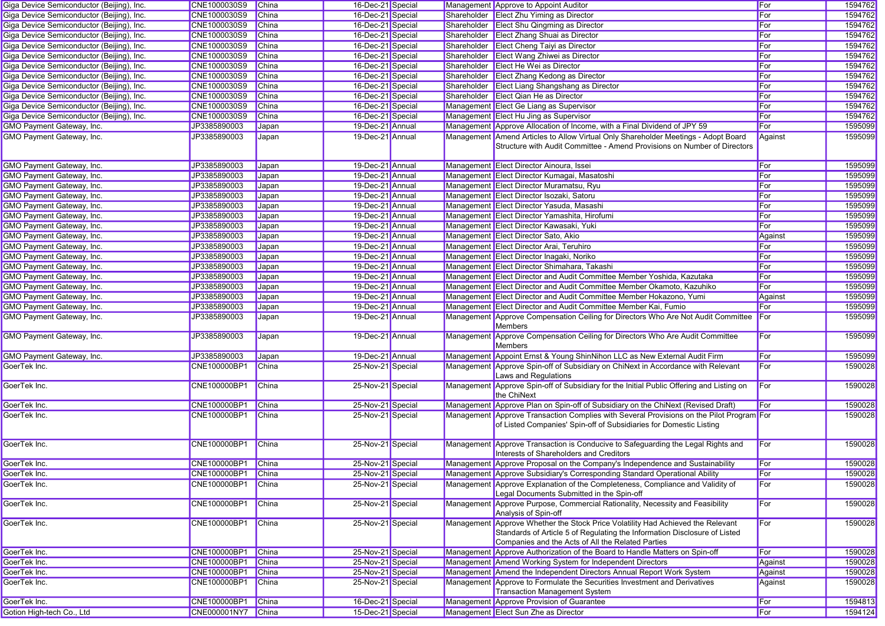| Giga Device Semiconductor (Beijing), Inc. | CNE1000030S9       | China        | 16-Dec-21 Special |             | Management Approve to Appoint Auditor                                                                                                                                                                             | For     | 1594762 |
|-------------------------------------------|--------------------|--------------|-------------------|-------------|-------------------------------------------------------------------------------------------------------------------------------------------------------------------------------------------------------------------|---------|---------|
| Giga Device Semiconductor (Beijing), Inc. | CNE1000030S9       | China        | 16-Dec-21 Special |             | Shareholder Elect Zhu Yiming as Director                                                                                                                                                                          | For     | 1594762 |
| Giga Device Semiconductor (Beijing), Inc. | CNE1000030S9       | <b>China</b> | 16-Dec-21 Special |             | Shareholder Elect Shu Qingming as Director                                                                                                                                                                        | For     | 1594762 |
| Giga Device Semiconductor (Beijing), Inc. | CNE1000030S9       | <b>China</b> | 16-Dec-21 Special |             | Shareholder Elect Zhang Shuai as Director                                                                                                                                                                         | For     | 1594762 |
| Giga Device Semiconductor (Beijing), Inc. | CNE1000030S9       | China        | 16-Dec-21 Special |             | Shareholder Elect Cheng Taiyi as Director                                                                                                                                                                         | For     | 1594762 |
| Giga Device Semiconductor (Beijing), Inc. | CNE1000030S9       | China        | 16-Dec-21 Special |             | Shareholder Elect Wang Zhiwei as Director                                                                                                                                                                         | For     | 1594762 |
| Giga Device Semiconductor (Beijing), Inc. | CNE1000030S9       | <b>China</b> | 16-Dec-21 Special | Shareholder | <b>Elect He Wei as Director</b>                                                                                                                                                                                   | For     | 1594762 |
| Giga Device Semiconductor (Beijing), Inc. | CNE1000030S9       | China        | 16-Dec-21 Special |             | Shareholder Elect Zhang Kedong as Director                                                                                                                                                                        | For     | 1594762 |
| Giga Device Semiconductor (Beijing), Inc. | CNE1000030S9       | <b>China</b> | 16-Dec-21 Special |             | Shareholder Elect Liang Shangshang as Director                                                                                                                                                                    | For     | 1594762 |
| Giga Device Semiconductor (Beijing), Inc. | CNE1000030S9       | <b>China</b> | 16-Dec-21 Special |             | Shareholder Elect Qian He as Director                                                                                                                                                                             | For     | 1594762 |
| Giga Device Semiconductor (Beijing), Inc. | CNE1000030S9       | China        | 16-Dec-21 Special |             | Management Elect Ge Liang as Supervisor                                                                                                                                                                           | For     | 1594762 |
| Giga Device Semiconductor (Beijing), Inc. | CNE1000030S9       | China        | 16-Dec-21 Special |             | Management Elect Hu Jing as Supervisor                                                                                                                                                                            | For     | 1594762 |
| GMO Payment Gateway, Inc.                 | JP3385890003       | Japan        | 19-Dec-21 Annual  |             | Management Approve Allocation of Income, with a Final Dividend of JPY 59                                                                                                                                          | For     | 1595099 |
| <b>GMO Payment Gateway, Inc.</b>          | JP3385890003       | Japan        | 19-Dec-21 Annual  |             | Management Amend Articles to Allow Virtual Only Shareholder Meetings - Adopt Board<br>Structure with Audit Committee - Amend Provisions on Number of Directors                                                    | Against | 1595099 |
| GMO Payment Gateway, Inc.                 | JP3385890003       | Japan        | 19-Dec-21 Annual  |             | Management Elect Director Ainoura, Issei                                                                                                                                                                          | For     | 1595099 |
| GMO Payment Gateway, Inc.                 | JP3385890003       | Japan        | 19-Dec-21 Annual  |             | Management Elect Director Kumagai, Masatoshi                                                                                                                                                                      | For     | 1595099 |
| GMO Payment Gateway, Inc.                 | JP3385890003       | Japan        | 19-Dec-21 Annual  |             | Management Elect Director Muramatsu, Ryu                                                                                                                                                                          | For     | 1595099 |
| GMO Payment Gateway, Inc.                 | JP3385890003       | Japan        | 19-Dec-21 Annual  |             | Management Elect Director Isozaki, Satoru                                                                                                                                                                         | For     | 1595099 |
| GMO Payment Gateway, Inc.                 | JP3385890003       | Japan        | 19-Dec-21 Annual  |             | Management Elect Director Yasuda, Masashi                                                                                                                                                                         | For     | 1595099 |
| <b>GMO Payment Gateway, Inc.</b>          | JP3385890003       | Japan        | 19-Dec-21 Annual  |             | Management Elect Director Yamashita, Hirofumi                                                                                                                                                                     | For     | 1595099 |
| <b>GMO Payment Gateway, Inc.</b>          | JP3385890003       | Japan        | 19-Dec-21 Annual  |             | Management Elect Director Kawasaki, Yuki                                                                                                                                                                          | For     | 1595099 |
| <b>GMO Payment Gateway, Inc.</b>          | JP3385890003       | Japan        | 19-Dec-21 Annual  |             | Management Elect Director Sato, Akio                                                                                                                                                                              | Against | 1595099 |
| GMO Payment Gateway, Inc.                 | JP3385890003       | Japan        | 19-Dec-21 Annual  |             | Management Elect Director Arai, Teruhiro                                                                                                                                                                          | For     | 1595099 |
| GMO Payment Gateway, Inc.                 | JP3385890003       | Japan        | 19-Dec-21 Annual  |             | Management Elect Director Inagaki, Noriko                                                                                                                                                                         | For     | 1595099 |
| <b>GMO Payment Gateway, Inc.</b>          | JP3385890003       | Japan        | 19-Dec-21 Annual  |             | Management Elect Director Shimahara, Takashi                                                                                                                                                                      | For     | 1595099 |
| GMO Payment Gateway, Inc.                 | JP3385890003       | Japan        | 19-Dec-21 Annual  |             | Management Elect Director and Audit Committee Member Yoshida, Kazutaka                                                                                                                                            | For     | 1595099 |
| GMO Payment Gateway, Inc.                 | JP3385890003       | Japan        | 19-Dec-21 Annual  |             | Management Elect Director and Audit Committee Member Okamoto, Kazuhiko                                                                                                                                            | For     | 1595099 |
| GMO Payment Gateway, Inc.                 | JP3385890003       | Japan        | 19-Dec-21 Annual  |             | Management Elect Director and Audit Committee Member Hokazono, Yumi                                                                                                                                               | Against | 1595099 |
| GMO Payment Gateway, Inc.                 | JP3385890003       | Japan        | 19-Dec-21 Annual  |             | Management Elect Director and Audit Committee Member Kai, Fumio                                                                                                                                                   | For     | 1595099 |
| GMO Payment Gateway, Inc.                 | JP3385890003       | Japan        | 19-Dec-21 Annual  |             | Management Approve Compensation Ceiling for Directors Who Are Not Audit Committee For                                                                                                                             |         | 1595099 |
|                                           |                    |              |                   |             | <b>Members</b>                                                                                                                                                                                                    |         |         |
| GMO Payment Gateway, Inc.                 | JP3385890003       | Japan        | 19-Dec-21 Annual  |             | Management Approve Compensation Ceiling for Directors Who Are Audit Committee<br><b>Members</b>                                                                                                                   | For     | 1595099 |
| GMO Payment Gateway, Inc.                 | JP3385890003       | Japan        | 19-Dec-21 Annual  |             | Management Appoint Ernst & Young ShinNihon LLC as New External Audit Firm                                                                                                                                         | For     | 1595099 |
| GoerTek Inc.                              | CNE100000BP1       | <b>China</b> | 25-Nov-21 Special |             | Management Approve Spin-off of Subsidiary on ChiNext in Accordance with Relevant<br>Laws and Regulations                                                                                                          | For     | 1590028 |
| GoerTek Inc.                              | CNE100000BP1       | China        | 25-Nov-21 Special |             | Management Approve Spin-off of Subsidiary for the Initial Public Offering and Listing on<br>the ChiNext                                                                                                           | For     | 1590028 |
| GoerTek Inc.                              | CNE100000BP1       | China        | 25-Nov-21 Special |             | Management Approve Plan on Spin-off of Subsidiary on the ChiNext (Revised Draft)                                                                                                                                  | For     | 1590028 |
| GoerTek Inc.                              | CNE100000BP1       | China        | 25-Nov-21 Special |             | Management Approve Transaction Complies with Several Provisions on the Pilot Program For<br>of Listed Companies' Spin-off of Subsidiaries for Domestic Listing                                                    |         | 1590028 |
| GoerTek Inc.                              | CNE100000BP1       | China        | 25-Nov-21 Special |             | Management Approve Transaction is Conducive to Safeguarding the Legal Rights and<br>Interests of Shareholders and Creditors                                                                                       | For     | 1590028 |
| GoerTek Inc.                              | CNE100000BP1 China |              | 25-Nov-21 Special |             | Management Approve Proposal on the Company's Independence and Sustainability                                                                                                                                      | For     | 1590028 |
| GoerTek Inc.                              | CNE100000BP1 China |              | 25-Nov-21 Special |             | Management Approve Subsidiary's Corresponding Standard Operational Ability                                                                                                                                        | ∥For    | 1590028 |
| GoerTek Inc.                              | CNE100000BP1       | China        | 25-Nov-21 Special |             | Management Approve Explanation of the Completeness, Compliance and Validity of<br>Legal Documents Submitted in the Spin-off                                                                                       | For     | 1590028 |
| GoerTek Inc.                              | CNE100000BP1       | China        | 25-Nov-21 Special |             | Management Approve Purpose, Commercial Rationality, Necessity and Feasibility<br>Analysis of Spin-off                                                                                                             | For     | 1590028 |
| GoerTek Inc.                              | CNE100000BP1       | China        | 25-Nov-21 Special |             | Management Approve Whether the Stock Price Volatility Had Achieved the Relevant<br>Standards of Article 5 of Regulating the Information Disclosure of Listed<br>Companies and the Acts of All the Related Parties | For     | 1590028 |
| GoerTek Inc.                              | CNE100000BP1       | China        | 25-Nov-21 Special |             | Management Approve Authorization of the Board to Handle Matters on Spin-off                                                                                                                                       | For     | 1590028 |
| GoerTek Inc.                              | CNE100000BP1       | China        | 25-Nov-21 Special |             | Management Amend Working System for Independent Directors                                                                                                                                                         | Against | 1590028 |
| GoerTek Inc.                              | CNE100000BP1       | China        | 25-Nov-21 Special |             | Management Amend the Independent Directors Annual Report Work System                                                                                                                                              | Against | 1590028 |
| GoerTek Inc.                              | CNE100000BP1       | China        | 25-Nov-21 Special |             | Management Approve to Formulate the Securities Investment and Derivatives<br><b>Transaction Management System</b>                                                                                                 | Against | 1590028 |
| GoerTek Inc.                              | CNE100000BP1 China |              | 16-Dec-21 Special |             | Management Approve Provision of Guarantee                                                                                                                                                                         | For     | 1594813 |
| Gotion High-tech Co., Ltd                 | CNE000001NY7 China |              | 15-Dec-21 Special |             | Management Elect Sun Zhe as Director                                                                                                                                                                              | For     | 1594124 |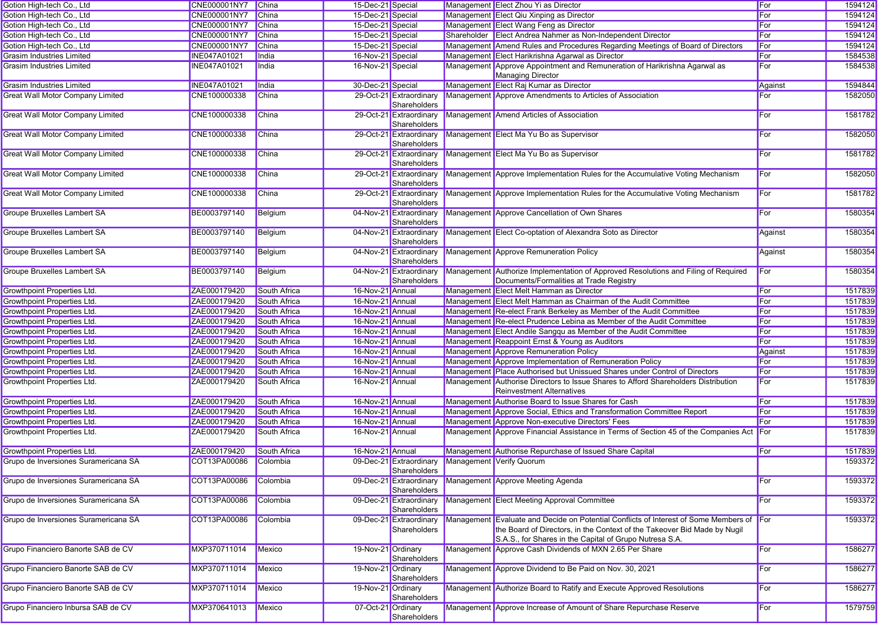| Gotion High-tech Co., Ltd               | CNE000001NY7 China  |                     | 15-Dec-21 Special  |                                         | Management Elect Zhou Yi as Director                                                                                                                                                                                            | For     | 1594124 |
|-----------------------------------------|---------------------|---------------------|--------------------|-----------------------------------------|---------------------------------------------------------------------------------------------------------------------------------------------------------------------------------------------------------------------------------|---------|---------|
| Gotion High-tech Co., Ltd               | CNE000001NY7        | China               | 15-Dec-21 Special  |                                         | Management Elect Qiu Xinping as Director                                                                                                                                                                                        | For     | 1594124 |
| Gotion High-tech Co., Ltd               | CNE000001NY7        | China               | 15-Dec-21 Special  |                                         | Management Elect Wang Feng as Director                                                                                                                                                                                          | For     | 1594124 |
| Gotion High-tech Co., Ltd               | <b>CNE000001NY7</b> | <b>China</b>        | 15-Dec-21 Special  |                                         | Shareholder Elect Andrea Nahmer as Non-Independent Director                                                                                                                                                                     | For     | 1594124 |
| Gotion High-tech Co., Ltd               | CNE000001NY7        | China               | 15-Dec-21 Special  |                                         | Management Amend Rules and Procedures Regarding Meetings of Board of Directors                                                                                                                                                  | For     | 1594124 |
| <b>Grasim Industries Limited</b>        | <b>INE047A01021</b> | India               | 16-Nov-21 Special  |                                         | Management Elect Harikrishna Agarwal as Director                                                                                                                                                                                | For     | 1584538 |
| <b>Grasim Industries Limited</b>        | INE047A01021        | India               | 16-Nov-21 Special  |                                         | Management Approve Appointment and Remuneration of Harikrishna Agarwal as<br>Managing Director                                                                                                                                  | For     | 1584538 |
| <b>Grasim Industries Limited</b>        | <b>INE047A01021</b> | India               | 30-Dec-21 Special  |                                         | Management Elect Raj Kumar as Director                                                                                                                                                                                          | Against | 1594844 |
| <b>Great Wall Motor Company Limited</b> | CNE100000338        | China               |                    | 29-Oct-21 Extraordinary<br>Shareholders | Management Approve Amendments to Articles of Association                                                                                                                                                                        | For     | 1582050 |
| <b>Great Wall Motor Company Limited</b> | CNE100000338        | China               |                    | 29-Oct-21 Extraordinary<br>Shareholders | Management Amend Articles of Association                                                                                                                                                                                        | For     | 1581782 |
| <b>Great Wall Motor Company Limited</b> | CNE100000338        | China               |                    | 29-Oct-21 Extraordinary<br>Shareholders | Management Elect Ma Yu Bo as Supervisor                                                                                                                                                                                         | For     | 1582050 |
| <b>Great Wall Motor Company Limited</b> | CNE100000338        | China               |                    | 29-Oct-21 Extraordinary<br>Shareholders | Management Elect Ma Yu Bo as Supervisor                                                                                                                                                                                         | For     | 1581782 |
| <b>Great Wall Motor Company Limited</b> | CNE100000338        | China               |                    | 29-Oct-21 Extraordinary<br>Shareholders | Management Approve Implementation Rules for the Accumulative Voting Mechanism                                                                                                                                                   | For     | 1582050 |
| <b>Great Wall Motor Company Limited</b> | CNE100000338        | China               |                    | 29-Oct-21 Extraordinary<br>Shareholders | Management Approve Implementation Rules for the Accumulative Voting Mechanism                                                                                                                                                   | For     | 1581782 |
| <b>Groupe Bruxelles Lambert SA</b>      | BE0003797140        | Belgium             |                    | 04-Nov-21 Extraordinary<br>Shareholders | Management Approve Cancellation of Own Shares                                                                                                                                                                                   | For     | 1580354 |
| <b>Groupe Bruxelles Lambert SA</b>      | BE0003797140        | Belgium             |                    | 04-Nov-21 Extraordinary<br>Shareholders | Management Elect Co-optation of Alexandra Soto as Director                                                                                                                                                                      | Against | 1580354 |
| <b>Groupe Bruxelles Lambert SA</b>      | BE0003797140        | Belgium             |                    | 04-Nov-21 Extraordinary<br>Shareholders | Management Approve Remuneration Policy                                                                                                                                                                                          | Against | 1580354 |
| Groupe Bruxelles Lambert SA             | BE0003797140        | Belgium             |                    | 04-Nov-21 Extraordinary<br>Shareholders | Management Authorize Implementation of Approved Resolutions and Filing of Required<br>Documents/Formalities at Trade Registry                                                                                                   | For     | 1580354 |
| Growthpoint Properties Ltd.             | ZAE000179420        | South Africa        | 16-Nov-21 Annual   |                                         | Management Elect Melt Hamman as Director                                                                                                                                                                                        | For     | 1517839 |
| <b>Growthpoint Properties Ltd.</b>      | ZAE000179420        | South Africa        | 16-Nov-21 Annual   |                                         | Management Elect Melt Hamman as Chairman of the Audit Committee                                                                                                                                                                 | For     | 1517839 |
| <b>Growthpoint Properties Ltd.</b>      | ZAE000179420        | South Africa        | 16-Nov-21 Annual   |                                         | Management Re-elect Frank Berkeley as Member of the Audit Committee                                                                                                                                                             | For     | 1517839 |
| <b>Growthpoint Properties Ltd.</b>      | ZAE000179420        | South Africa        | 16-Nov-21 Annual   |                                         | Management Re-elect Prudence Lebina as Member of the Audit Committee                                                                                                                                                            | For     | 1517839 |
| <b>Growthpoint Properties Ltd.</b>      | ZAE000179420        | South Africa        | 16-Nov-21 Annual   |                                         | Management Elect Andile Sangqu as Member of the Audit Committee                                                                                                                                                                 | For     | 1517839 |
| <b>Growthpoint Properties Ltd.</b>      | ZAE000179420        | South Africa        | 16-Nov-21 Annual   |                                         | Management Reappoint Ernst & Young as Auditors                                                                                                                                                                                  | For     | 1517839 |
| <b>Growthpoint Properties Ltd.</b>      | ZAE000179420        | South Africa        | 16-Nov-21 Annual   |                                         | Management Approve Remuneration Policy                                                                                                                                                                                          | Against | 1517839 |
| <b>Growthpoint Properties Ltd.</b>      | ZAE000179420        | South Africa        | 16-Nov-21 Annual   |                                         | Management Approve Implementation of Remuneration Policy                                                                                                                                                                        | For     | 1517839 |
| <b>Growthpoint Properties Ltd.</b>      | ZAE000179420        | South Africa        | 16-Nov-21 Annual   |                                         | Management Place Authorised but Unissued Shares under Control of Directors                                                                                                                                                      | For     | 1517839 |
| Growthpoint Properties Ltd.             | ZAE000179420        | South Africa        | 16-Nov-21 Annual   |                                         | Management Authorise Directors to Issue Shares to Afford Shareholders Distribution<br><b>Reinvestment Alternatives</b>                                                                                                          | For     | 1517839 |
| <b>Growthpoint Properties Ltd.</b>      | ZAE000179420        | South Africa        | 16-Nov-21 Annual   |                                         | Management Authorise Board to Issue Shares for Cash                                                                                                                                                                             | For     | 1517839 |
| <b>Growthpoint Properties Ltd.</b>      | ZAE000179420        | South Africa        | 16-Nov-21 Annual   |                                         | Management Approve Social, Ethics and Transformation Committee Report                                                                                                                                                           | For     | 1517839 |
| Growthpoint Properties Ltd.             | ZAE000179420        | <b>South Africa</b> | 16-Nov-21 Annual   |                                         | Management Approve Non-executive Directors' Fees                                                                                                                                                                                | For     | 1517839 |
| Growthpoint Properties Ltd.             | ZAE000179420        | South Africa        | 16-Nov-21 Annual   |                                         | Management Approve Financial Assistance in Terms of Section 45 of the Companies Act For                                                                                                                                         |         | 1517839 |
| <b>Growthpoint Properties Ltd.</b>      | ZAE000179420        | South Africa        | 16-Nov-21 Annual   |                                         | Management Authorise Repurchase of Issued Share Capital                                                                                                                                                                         | For     | 1517839 |
| Grupo de Inversiones Suramericana SA    | COT13PA00086        | Colombia            |                    | 09-Dec-21 Extraordinary<br>Shareholders | Management Verify Quorum                                                                                                                                                                                                        |         | 1593372 |
| Grupo de Inversiones Suramericana SA    | COT13PA00086        | Colombia            |                    | Shareholders                            | 09-Dec-21 Extraordinary Management Approve Meeting Agenda                                                                                                                                                                       | For     | 1593372 |
| Grupo de Inversiones Suramericana SA    | COT13PA00086        | Colombia            |                    | 09-Dec-21 Extraordinary<br>Shareholders | Management Elect Meeting Approval Committee                                                                                                                                                                                     | For     | 1593372 |
| Grupo de Inversiones Suramericana SA    | COT13PA00086        | Colombia            |                    | 09-Dec-21 Extraordinary<br>Shareholders | Management Evaluate and Decide on Potential Conflicts of Interest of Some Members of For<br>the Board of Directors, in the Context of the Takeover Bid Made by Nugil<br>S.A.S., for Shares in the Capital of Grupo Nutresa S.A. |         | 1593372 |
| Grupo Financiero Banorte SAB de CV      | MXP370711014        | Mexico              | 19-Nov-21 Ordinary | Shareholders                            | Management Approve Cash Dividends of MXN 2.65 Per Share                                                                                                                                                                         | For     | 1586277 |
| Grupo Financiero Banorte SAB de CV      | MXP370711014        | Mexico              | 19-Nov-21 Ordinary | Shareholders                            | Management Approve Dividend to Be Paid on Nov. 30, 2021                                                                                                                                                                         | For     | 1586277 |
| Grupo Financiero Banorte SAB de CV      | MXP370711014        | Mexico              | 19-Nov-21 Ordinary | Shareholders                            | Management Authorize Board to Ratify and Execute Approved Resolutions                                                                                                                                                           | For     | 1586277 |
| Grupo Financiero Inbursa SAB de CV      | MXP370641013        | Mexico              | 07-Oct-21 Ordinary | Shareholders                            | Management Approve Increase of Amount of Share Repurchase Reserve                                                                                                                                                               | For     | 1579759 |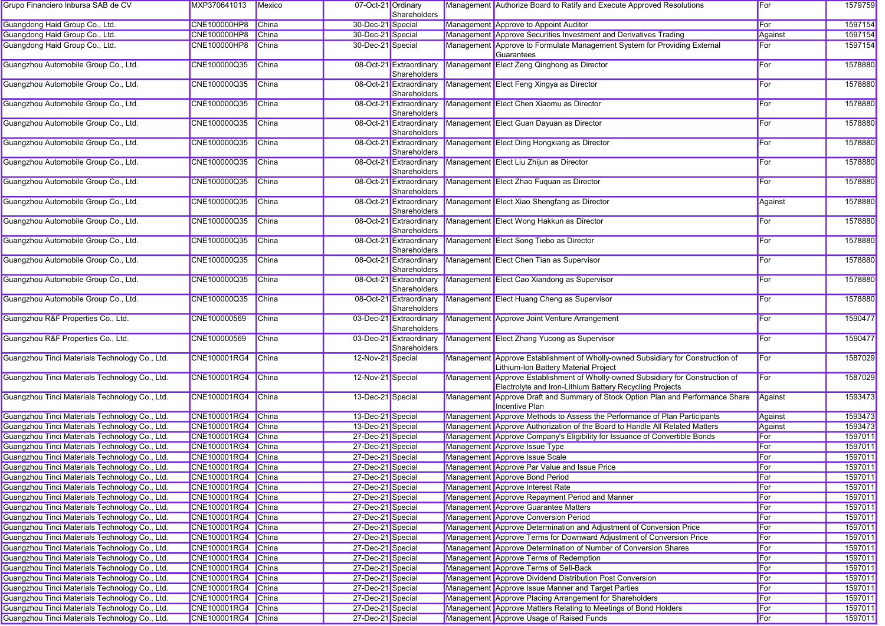| Grupo Financiero Inbursa SAB de CV             | MXP370641013        | Mexico       | 07-Oct-21 Ordinary | Shareholders                            | Management Authorize Board to Ratify and Execute Approved Resolutions                                                                      | For     | 1579759 |
|------------------------------------------------|---------------------|--------------|--------------------|-----------------------------------------|--------------------------------------------------------------------------------------------------------------------------------------------|---------|---------|
| Guangdong Haid Group Co., Ltd.                 | <b>CNE100000HP8</b> | China        | 30-Dec-21 Special  |                                         | Management Approve to Appoint Auditor                                                                                                      | For     | 1597154 |
| Guangdong Haid Group Co., Ltd.                 | <b>CNE100000HP8</b> | China        | 30-Dec-21 Special  |                                         | Management Approve Securities Investment and Derivatives Trading                                                                           | Against | 1597154 |
| Guangdong Haid Group Co., Ltd.                 | <b>CNE100000HP8</b> | <b>China</b> | 30-Dec-21 Special  |                                         | Management Approve to Formulate Management System for Providing External<br>Guarantees                                                     | For     | 1597154 |
| Guangzhou Automobile Group Co., Ltd.           | CNE100000Q35        | China        |                    | 08-Oct-21 Extraordinary<br>Shareholders | Management Elect Zeng Qinghong as Director                                                                                                 | For     | 1578880 |
| Guangzhou Automobile Group Co., Ltd.           | CNE100000Q35        | China        |                    | 08-Oct-21 Extraordinary<br>Shareholders | Management Elect Feng Xingya as Director                                                                                                   | For     | 1578880 |
| Guangzhou Automobile Group Co., Ltd.           | CNE100000Q35        | <b>China</b> |                    | 08-Oct-21 Extraordinary<br>Shareholders | Management Elect Chen Xiaomu as Director                                                                                                   | For     | 1578880 |
| Guangzhou Automobile Group Co., Ltd.           | CNE100000Q35        | <b>China</b> |                    | 08-Oct-21 Extraordinary<br>Shareholders | Management Elect Guan Dayuan as Director                                                                                                   | For     | 1578880 |
| Guangzhou Automobile Group Co., Ltd.           | CNE100000Q35        | <b>China</b> |                    | 08-Oct-21 Extraordinary<br>Shareholders | Management Elect Ding Hongxiang as Director                                                                                                | For     | 1578880 |
| Guangzhou Automobile Group Co., Ltd.           | CNE100000Q35        | <b>China</b> |                    | 08-Oct-21 Extraordinary<br>Shareholders | Management Elect Liu Zhijun as Director                                                                                                    | For     | 1578880 |
| Guangzhou Automobile Group Co., Ltd.           | CNE100000Q35        | China        |                    | 08-Oct-21 Extraordinary<br>Shareholders | Management Elect Zhao Fuquan as Director                                                                                                   | For     | 1578880 |
| Guangzhou Automobile Group Co., Ltd.           | CNE100000Q35        | China        |                    | 08-Oct-21 Extraordinary<br>Shareholders | Management Elect Xiao Shengfang as Director                                                                                                | Against | 1578880 |
| Guangzhou Automobile Group Co., Ltd.           | CNE100000Q35        | <b>China</b> |                    | 08-Oct-21 Extraordinary<br>Shareholders | Management Elect Wong Hakkun as Director                                                                                                   | For     | 1578880 |
| Guangzhou Automobile Group Co., Ltd.           | CNE100000Q35        | <b>China</b> |                    | 08-Oct-21 Extraordinary<br>Shareholders | Management Elect Song Tiebo as Director                                                                                                    | For     | 1578880 |
| Guangzhou Automobile Group Co., Ltd.           | CNE100000Q35        | <b>China</b> |                    | 08-Oct-21 Extraordinary<br>Shareholders | Management Elect Chen Tian as Supervisor                                                                                                   | For     | 1578880 |
| Guangzhou Automobile Group Co., Ltd.           | CNE100000Q35        | <b>China</b> |                    | 08-Oct-21 Extraordinary<br>Shareholders | Management Elect Cao Xiandong as Supervisor                                                                                                | For     | 1578880 |
| Guangzhou Automobile Group Co., Ltd.           | CNE100000Q35        | <b>China</b> |                    | 08-Oct-21 Extraordinary<br>Shareholders | Management Elect Huang Cheng as Supervisor                                                                                                 | For     | 1578880 |
| Guangzhou R&F Properties Co., Ltd.             | CNE100000569        | China        |                    | 03-Dec-21 Extraordinary<br>Shareholders | Management Approve Joint Venture Arrangement                                                                                               | For     | 1590477 |
| Guangzhou R&F Properties Co., Ltd.             | CNE100000569        | China        |                    | 03-Dec-21 Extraordinary<br>Shareholders | Management Elect Zhang Yucong as Supervisor                                                                                                | For     | 1590477 |
| Guangzhou Tinci Materials Technology Co., Ltd. | CNE100001RG4        | <b>China</b> | 12-Nov-21 Special  |                                         | Management Approve Establishment of Wholly-owned Subsidiary for Construction of<br>Lithium-Ion Battery Material Project                    | For     | 1587029 |
| Guangzhou Tinci Materials Technology Co., Ltd. | CNE100001RG4        | China        | 12-Nov-21 Special  |                                         | Management Approve Establishment of Wholly-owned Subsidiary for Construction of<br>Electrolyte and Iron-Lithium Battery Recycling Projects | For     | 1587029 |
| Guangzhou Tinci Materials Technology Co., Ltd. | CNE100001RG4        | <b>China</b> | 13-Dec-21 Special  |                                         | Management Approve Draft and Summary of Stock Option Plan and Performance Share<br><b>Incentive Plan</b>                                   | Against | 1593473 |
| Guangzhou Tinci Materials Technology Co., Ltd. | CNE100001RG4        | China        | 13-Dec-21 Special  |                                         | Management Approve Methods to Assess the Performance of Plan Participants                                                                  | Against | 1593473 |
| Guangzhou Tinci Materials Technology Co., Ltd. | CNE100001RG4        | China        | 13-Dec-21 Special  |                                         | Management Approve Authorization of the Board to Handle All Related Matters                                                                | Against | 1593473 |
| Guangzhou Tinci Materials Technology Co., Ltd. | CNE100001RG4        | China        | 27-Dec-21 Special  |                                         | Management Approve Company's Eligibility for Issuance of Convertible Bonds                                                                 | For     | 1597011 |
| Guangzhou Tinci Materials Technology Co., Ltd. | CNE100001RG4        | China        | 27-Dec-21 Special  |                                         | Management Approve Issue Type                                                                                                              | For     | 1597011 |
| Guangzhou Tinci Materials Technology Co., Ltd. | CNE100001RG4        | <b>China</b> | 27-Dec-21 Special  |                                         | Management Approve Issue Scale                                                                                                             | For     | 1597011 |
| Guangzhou Tinci Materials Technology Co., Ltd. | CNE100001RG4 China  |              | 27-Dec-21 Special  |                                         | Management Approve Par Value and Issue Price                                                                                               | For     | 1597011 |
| Guangzhou Tinci Materials Technology Co., Ltd. | CNE100001RG4 China  |              | 27-Dec-21 Special  |                                         | Management Approve Bond Period                                                                                                             | For     | 1597011 |
| Guangzhou Tinci Materials Technology Co., Ltd. | CNE100001RG4 China  |              | 27-Dec-21 Special  |                                         | Management Approve Interest Rate                                                                                                           | For     | 1597011 |
| Guangzhou Tinci Materials Technology Co., Ltd. | CNE100001RG4 China  |              | 27-Dec-21 Special  |                                         | Management Approve Repayment Period and Manner                                                                                             | For     | 1597011 |
| Guangzhou Tinci Materials Technology Co., Ltd. | CNE100001RG4 China  |              | 27-Dec-21 Special  |                                         | Management Approve Guarantee Matters                                                                                                       | For     | 1597011 |
| Guangzhou Tinci Materials Technology Co., Ltd. | CNE100001RG4        | China        | 27-Dec-21 Special  |                                         | Management Approve Conversion Period                                                                                                       | For     | 1597011 |
| Guangzhou Tinci Materials Technology Co., Ltd. | CNE100001RG4        | China        | 27-Dec-21 Special  |                                         | Management Approve Determination and Adjustment of Conversion Price                                                                        | For     | 1597011 |
| Guangzhou Tinci Materials Technology Co., Ltd. | CNE100001RG4        | China        | 27-Dec-21 Special  |                                         | Management Approve Terms for Downward Adjustment of Conversion Price                                                                       | For     | 1597011 |
| Guangzhou Tinci Materials Technology Co., Ltd. | CNE100001RG4        | China        | 27-Dec-21 Special  |                                         | Management Approve Determination of Number of Conversion Shares                                                                            | For     | 1597011 |
| Guangzhou Tinci Materials Technology Co., Ltd. | CNE100001RG4        | China        | 27-Dec-21 Special  |                                         | Management Approve Terms of Redemption                                                                                                     | For     | 1597011 |
| Guangzhou Tinci Materials Technology Co., Ltd. | CNE100001RG4        | China        | 27-Dec-21 Special  |                                         | Management Approve Terms of Sell-Back                                                                                                      | For     | 1597011 |
| Guangzhou Tinci Materials Technology Co., Ltd. | CNE100001RG4        | China        | 27-Dec-21 Special  |                                         | Management Approve Dividend Distribution Post Conversion                                                                                   | For     | 1597011 |
| Guangzhou Tinci Materials Technology Co., Ltd. | CNE100001RG4        | China        | 27-Dec-21 Special  |                                         | Management Approve Issue Manner and Target Parties                                                                                         | For     | 1597011 |
| Guangzhou Tinci Materials Technology Co., Ltd. | CNE100001RG4 China  |              | 27-Dec-21 Special  |                                         | Management Approve Placing Arrangement for Shareholders                                                                                    | For     | 1597011 |
| Guangzhou Tinci Materials Technology Co., Ltd. | CNE100001RG4 China  |              | 27-Dec-21 Special  |                                         | Management Approve Matters Relating to Meetings of Bond Holders                                                                            | For     | 1597011 |
| Guangzhou Tinci Materials Technology Co., Ltd. | CNE100001RG4 China  |              | 27-Dec-21 Special  |                                         | Management Approve Usage of Raised Funds                                                                                                   | For     | 1597011 |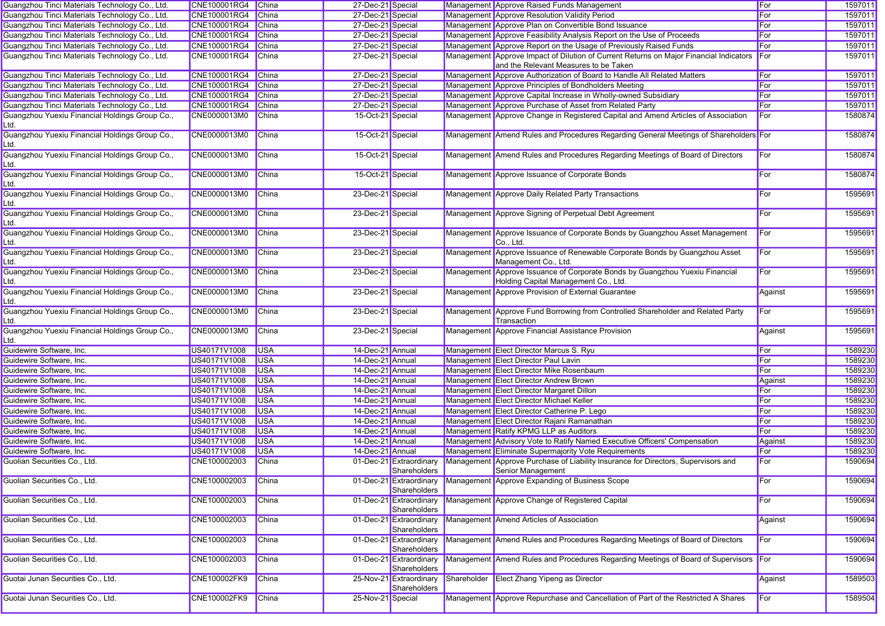| Guangzhou Tinci Materials Technology Co., Ltd.         | CNE100001RG4 China  |              | 27-Dec-21 Special |                                         |             | Management Approve Raised Funds Management                                                                                      | For     | 1597011 |
|--------------------------------------------------------|---------------------|--------------|-------------------|-----------------------------------------|-------------|---------------------------------------------------------------------------------------------------------------------------------|---------|---------|
| Guangzhou Tinci Materials Technology Co., Ltd.         | CNE100001RG4        | China        | 27-Dec-21 Special |                                         |             | Management Approve Resolution Validity Period                                                                                   | For     | 1597011 |
| Guangzhou Tinci Materials Technology Co., Ltd.         | CNE100001RG4        | China        | 27-Dec-21 Special |                                         |             | Management Approve Plan on Convertible Bond Issuance                                                                            | For     | 1597011 |
| Guangzhou Tinci Materials Technology Co., Ltd.         | CNE100001RG4        | <b>China</b> | 27-Dec-21 Special |                                         |             | Management Approve Feasibility Analysis Report on the Use of Proceeds                                                           | For     | 1597011 |
| Guangzhou Tinci Materials Technology Co., Ltd.         | CNE100001RG4        | China        | 27-Dec-21 Special |                                         |             | Management Approve Report on the Usage of Previously Raised Funds                                                               | For     | 1597011 |
| Guangzhou Tinci Materials Technology Co., Ltd.         | CNE100001RG4        | China        | 27-Dec-21 Special |                                         |             | Management Approve Impact of Dilution of Current Returns on Major Financial Indicators<br>and the Relevant Measures to be Taken | For     | 1597011 |
| Guangzhou Tinci Materials Technology Co., Ltd.         | CNE100001RG4        | China        | 27-Dec-21 Special |                                         |             | Management Approve Authorization of Board to Handle All Related Matters                                                         | For     | 1597011 |
| Guangzhou Tinci Materials Technology Co., Ltd.         | CNE100001RG4        | China        | 27-Dec-21 Special |                                         |             | Management Approve Principles of Bondholders Meeting                                                                            | For     | 1597011 |
| Guangzhou Tinci Materials Technology Co., Ltd.         | CNE100001RG4        | <b>China</b> | 27-Dec-21 Special |                                         |             | Management Approve Capital Increase in Wholly-owned Subsidiary                                                                  | For     | 1597011 |
| Guangzhou Tinci Materials Technology Co., Ltd.         | CNE100001RG4        | <b>China</b> | 27-Dec-21 Special |                                         |             | Management Approve Purchase of Asset from Related Party                                                                         | For     | 1597011 |
| Guangzhou Yuexiu Financial Holdings Group Co.,<br>_td. | CNE0000013M0        | China        | 15-Oct-21 Special |                                         |             | Management Approve Change in Registered Capital and Amend Articles of Association                                               | For     | 1580874 |
| Guangzhou Yuexiu Financial Holdings Group Co.,<br>_td. | CNE0000013M0        | <b>China</b> | 15-Oct-21 Special |                                         |             | Management Amend Rules and Procedures Regarding General Meetings of Shareholders For                                            |         | 1580874 |
| Guangzhou Yuexiu Financial Holdings Group Co.,<br>.td. | CNE0000013M0        | <b>China</b> | 15-Oct-21 Special |                                         |             | Management Amend Rules and Procedures Regarding Meetings of Board of Directors                                                  | For     | 1580874 |
| Guangzhou Yuexiu Financial Holdings Group Co.,<br>Ltd. | CNE0000013M0        | <b>China</b> | 15-Oct-21 Special |                                         |             | Management Approve Issuance of Corporate Bonds                                                                                  | For     | 1580874 |
| Guangzhou Yuexiu Financial Holdings Group Co.,<br>Ltd. | CNE0000013M0        | China        | 23-Dec-21 Special |                                         |             | Management Approve Daily Related Party Transactions                                                                             | For     | 1595691 |
| Guangzhou Yuexiu Financial Holdings Group Co.,<br>Ltd. | CNE0000013M0        | <b>China</b> | 23-Dec-21 Special |                                         |             | Management Approve Signing of Perpetual Debt Agreement                                                                          | For     | 1595691 |
| Guangzhou Yuexiu Financial Holdings Group Co.,<br>Ltd. | CNE0000013M0        | <b>China</b> | 23-Dec-21 Special |                                         |             | Management Approve Issuance of Corporate Bonds by Guangzhou Asset Management<br>Co., Ltd.                                       | For     | 1595691 |
| Guangzhou Yuexiu Financial Holdings Group Co.,<br>_td. | CNE0000013M0        | <b>China</b> | 23-Dec-21 Special |                                         |             | Management Approve Issuance of Renewable Corporate Bonds by Guangzhou Asset<br>Management Co., Ltd.                             | For     | 1595691 |
| Guangzhou Yuexiu Financial Holdings Group Co.,<br>_td. | CNE0000013M0        | <b>China</b> | 23-Dec-21 Special |                                         |             | Management Approve Issuance of Corporate Bonds by Guangzhou Yuexiu Financial<br>Holding Capital Management Co., Ltd.            | For     | 1595691 |
| Guangzhou Yuexiu Financial Holdings Group Co.,<br>_td. | CNE0000013M0        | China        | 23-Dec-21 Special |                                         |             | Management Approve Provision of External Guarantee                                                                              | Against | 1595691 |
| Guangzhou Yuexiu Financial Holdings Group Co.,<br>_td. | CNE0000013M0        | China        | 23-Dec-21 Special |                                         |             | Management Approve Fund Borrowing from Controlled Shareholder and Related Party<br>Transaction                                  | For     | 1595691 |
| Guangzhou Yuexiu Financial Holdings Group Co.,<br>_td. | CNE0000013M0        | China        | 23-Dec-21 Special |                                         |             | Management Approve Financial Assistance Provision                                                                               | Against | 1595691 |
| Guidewire Software, Inc.                               | US40171V1008        | <b>USA</b>   | 14-Dec-21 Annual  |                                         |             | Management Elect Director Marcus S. Ryu                                                                                         | For     | 1589230 |
| Guidewire Software, Inc.                               | US40171V1008        | <b>USA</b>   | 14-Dec-21 Annual  |                                         |             | Management Elect Director Paul Lavin                                                                                            | For     | 1589230 |
| Guidewire Software, Inc.                               | US40171V1008        | <b>USA</b>   | 14-Dec-21 Annual  |                                         |             | Management Elect Director Mike Rosenbaum                                                                                        | For     | 1589230 |
| Guidewire Software, Inc.                               | US40171V1008        | <b>USA</b>   | 14-Dec-21 Annual  |                                         |             | Management Elect Director Andrew Brown                                                                                          | Against | 1589230 |
| Guidewire Software, Inc.                               | US40171V1008        | <b>USA</b>   | 14-Dec-21 Annual  |                                         |             | Management Elect Director Margaret Dillon                                                                                       | For     | 1589230 |
| Guidewire Software, Inc.                               | US40171V1008        | <b>USA</b>   | 14-Dec-21 Annual  |                                         |             | Management Elect Director Michael Keller                                                                                        | For     | 1589230 |
| Guidewire Software, Inc.                               | US40171V1008        | <b>USA</b>   | 14-Dec-21 Annual  |                                         |             | Management Elect Director Catherine P. Lego                                                                                     | For     | 1589230 |
| Guidewire Software, Inc.                               | US40171V1008        | <b>USA</b>   | 14-Dec-21 Annual  |                                         |             | Management Elect Director Rajani Ramanathan                                                                                     | For     | 1589230 |
| Guidewire Software, Inc.                               | US40171V1008        | <b>USA</b>   | 14-Dec-21 Annual  |                                         |             | Management Ratify KPMG LLP as Auditors                                                                                          | For     | 1589230 |
| Guidewire Software, Inc.                               | US40171V1008        | <b>USA</b>   | 14-Dec-21 Annual  |                                         |             | Management Advisory Vote to Ratify Named Executive Officers' Compensation                                                       | Against | 1589230 |
| Guidewire Software, Inc.                               | US40171V1008        | <b>USA</b>   | 14-Dec-21 Annual  |                                         |             | Management Eliminate Supermajority Vote Requirements                                                                            | For     | 1589230 |
| Guolian Securities Co., Ltd.                           | CNE100002003        | China        |                   | 01-Dec-21 Extraordinary<br>Shareholders |             | Management Approve Purchase of Liability Insurance for Directors, Supervisors and<br>Senior Management                          | For     | 1590694 |
| Guolian Securities Co., Ltd.                           | CNE100002003        | <b>China</b> |                   | Shareholders                            |             | 01-Dec-21 Extraordinary Management Approve Expanding of Business Scope                                                          | For     | 1590694 |
| Guolian Securities Co., Ltd.                           | CNE100002003        | China        |                   | 01-Dec-21 Extraordinary<br>Shareholders |             | Management Approve Change of Registered Capital                                                                                 | For     | 1590694 |
| Guolian Securities Co., Ltd.                           | CNE100002003        | China        |                   | 01-Dec-21 Extraordinary<br>Shareholders |             | Management Amend Articles of Association                                                                                        | Against | 1590694 |
| Guolian Securities Co., Ltd.                           | CNE100002003        | China        |                   | 01-Dec-21 Extraordinary<br>Shareholders |             | Management Amend Rules and Procedures Regarding Meetings of Board of Directors                                                  | For     | 1590694 |
| Guolian Securities Co., Ltd.                           | CNE100002003        | China        |                   | 01-Dec-21 Extraordinary<br>Shareholders |             | Management Amend Rules and Procedures Regarding Meetings of Board of Supervisors                                                | For     | 1590694 |
| Guotai Junan Securities Co., Ltd.                      | <b>CNE100002FK9</b> | China        |                   | 25-Nov-21 Extraordinary<br>Shareholders | Shareholder | <b>Elect Zhang Yipeng as Director</b>                                                                                           | Against | 1589503 |
| Guotai Junan Securities Co., Ltd.                      | <b>CNE100002FK9</b> | China        | 25-Nov-21 Special |                                         |             | Management Approve Repurchase and Cancellation of Part of the Restricted A Shares                                               | For     | 1589504 |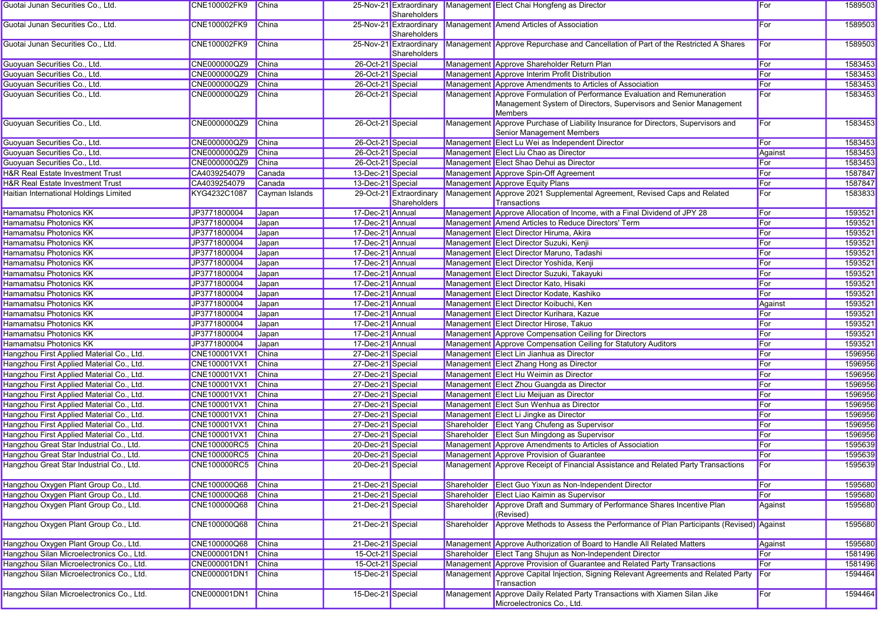| Guotai Junan Securities Co., Ltd.         | CNE100002FK9        | China          |                   | Shareholders                            |             | 25-Nov-21 Extraordinary Management Elect Chai Hongfeng as Director                                             | For     | 1589503 |
|-------------------------------------------|---------------------|----------------|-------------------|-----------------------------------------|-------------|----------------------------------------------------------------------------------------------------------------|---------|---------|
| Guotai Junan Securities Co., Ltd.         | CNE100002FK9        | China          |                   | 25-Nov-21 Extraordinary<br>Shareholders |             | Management Amend Articles of Association                                                                       | For     | 1589503 |
| Guotai Junan Securities Co., Ltd.         | CNE100002FK9        | China          |                   | 25-Nov-21 Extraordinary<br>Shareholders |             | Management Approve Repurchase and Cancellation of Part of the Restricted A Shares                              | For     | 1589503 |
| Guoyuan Securities Co., Ltd.              | CNE000000QZ9        | China          | 26-Oct-21 Special |                                         |             | Management Approve Shareholder Return Plan                                                                     | For     | 1583453 |
| Guoyuan Securities Co., Ltd.              | CNE000000QZ9        | China          | 26-Oct-21 Special |                                         |             | Management Approve Interim Profit Distribution                                                                 | For     | 1583453 |
| Guoyuan Securities Co., Ltd.              | CNE000000QZ9        | China          | 26-Oct-21 Special |                                         |             | Management Approve Amendments to Articles of Association                                                       | For     | 1583453 |
| Guoyuan Securities Co., Ltd.              | CNE000000QZ9        | China          | 26-Oct-21 Special |                                         |             | Management Approve Formulation of Performance Evaluation and Remuneration                                      | For     | 1583453 |
|                                           |                     |                |                   |                                         |             | Management System of Directors, Supervisors and Senior Management<br><b>Members</b>                            |         |         |
| Guoyuan Securities Co., Ltd.              | CNE000000QZ9        | China          | 26-Oct-21 Special |                                         |             | Management Approve Purchase of Liability Insurance for Directors, Supervisors and<br>Senior Management Members | For     | 1583453 |
| Guoyuan Securities Co., Ltd.              | CNE000000QZ9        | China          | 26-Oct-21 Special |                                         |             | Management Elect Lu Wei as Independent Director                                                                | For     | 1583453 |
| Guoyuan Securities Co., Ltd.              | CNE000000QZ9        | China          | 26-Oct-21 Special |                                         |             | Management Elect Liu Chao as Director                                                                          | Against | 1583453 |
| Guoyuan Securities Co., Ltd.              | CNE000000QZ9        | China          | 26-Oct-21 Special |                                         |             | Management Elect Shao Dehui as Director                                                                        | For     | 1583453 |
| H&R Real Estate Investment Trust          | CA4039254079        | Canada         | 13-Dec-21 Special |                                         |             | Management Approve Spin-Off Agreement                                                                          | For     | 1587847 |
| H&R Real Estate Investment Trust          | CA4039254079        | Canada         | 13-Dec-21 Special |                                         |             | Management Approve Equity Plans                                                                                | For     | 1587847 |
| Haitian International Holdings Limited    | KYG4232C1087        | Cayman Islands |                   | 29-Oct-21 Extraordinary<br>Shareholders |             | Management Approve 2021 Supplemental Agreement, Revised Caps and Related<br>Transactions                       | For     | 1583833 |
| <b>Hamamatsu Photonics KK</b>             | JP3771800004        | Japan          | 17-Dec-21 Annual  |                                         |             | Management Approve Allocation of Income, with a Final Dividend of JPY 28                                       | For     | 1593521 |
| <b>Hamamatsu Photonics KK</b>             | JP3771800004        | Japan          | 17-Dec-21 Annual  |                                         |             | Management Amend Articles to Reduce Directors' Term                                                            | For     | 1593521 |
| Hamamatsu Photonics KK                    | JP3771800004        | Japan          | 17-Dec-21 Annual  |                                         |             | Management Elect Director Hiruma, Akira                                                                        | For     | 1593521 |
| <b>Hamamatsu Photonics KK</b>             | JP3771800004        | Japan          | 17-Dec-21 Annual  |                                         |             | Management Elect Director Suzuki, Kenji                                                                        | For     | 1593521 |
| Hamamatsu Photonics KK                    | JP3771800004        | Japan          | 17-Dec-21 Annual  |                                         |             | Management Elect Director Maruno, Tadashi                                                                      | For     | 1593521 |
| <b>Hamamatsu Photonics KK</b>             | JP3771800004        | Japan          | 17-Dec-21 Annual  |                                         |             | Management Elect Director Yoshida, Kenji                                                                       | For     | 1593521 |
| Hamamatsu Photonics KK                    | JP3771800004        | Japan          | 17-Dec-21 Annual  |                                         |             | Management Elect Director Suzuki, Takayuki                                                                     | For     | 1593521 |
| <b>Hamamatsu Photonics KK</b>             | JP3771800004        | Japan          | 17-Dec-21 Annual  |                                         |             | Management Elect Director Kato, Hisaki                                                                         | For     | 1593521 |
| Hamamatsu Photonics KK                    | JP3771800004        | Japan          | 17-Dec-21 Annual  |                                         |             | Management Elect Director Kodate, Kashiko                                                                      | For     | 1593521 |
| <b>Hamamatsu Photonics KK</b>             |                     |                | 17-Dec-21 Annual  |                                         |             |                                                                                                                |         |         |
|                                           | JP3771800004        | Japan          |                   |                                         |             | Management Elect Director Koibuchi, Ken                                                                        | Against | 1593521 |
| Hamamatsu Photonics KK                    | JP3771800004        | Japan          | 17-Dec-21 Annual  |                                         |             | Management Elect Director Kurihara, Kazue                                                                      | For     | 1593521 |
| Hamamatsu Photonics KK                    | JP3771800004        | Japan          | 17-Dec-21 Annual  |                                         |             | Management Elect Director Hirose, Takuo                                                                        | For     | 1593521 |
| Hamamatsu Photonics KK                    | JP3771800004        | Japan          | 17-Dec-21 Annual  |                                         |             | Management Approve Compensation Ceiling for Directors                                                          | For     | 1593521 |
| <b>Hamamatsu Photonics KK</b>             | JP3771800004        | Japan          | 17-Dec-21 Annual  |                                         |             | Management Approve Compensation Ceiling for Statutory Auditors                                                 | For     | 1593521 |
| Hangzhou First Applied Material Co., Ltd. | CNE100001VX1        | <b>China</b>   | 27-Dec-21 Special |                                         |             | Management Elect Lin Jianhua as Director                                                                       | For     | 1596956 |
| Hangzhou First Applied Material Co., Ltd. | CNE100001VX1        | China          | 27-Dec-21 Special |                                         |             | Management Elect Zhang Hong as Director                                                                        | For     | 1596956 |
| Hangzhou First Applied Material Co., Ltd. | CNE100001VX1        | China          | 27-Dec-21 Special |                                         |             | Management Elect Hu Weimin as Director                                                                         | For     | 1596956 |
| Hangzhou First Applied Material Co., Ltd. | CNE100001VX1        | China          | 27-Dec-21 Special |                                         |             | Management Elect Zhou Guangda as Director                                                                      | For     | 1596956 |
| Hangzhou First Applied Material Co., Ltd. | CNE100001VX1        | China          | 27-Dec-21 Special |                                         |             | Management Elect Liu Meijuan as Director                                                                       | For     | 1596956 |
| Hangzhou First Applied Material Co., Ltd. | CNE100001VX1        | China          | 27-Dec-21 Special |                                         |             | Management Elect Sun Wenhua as Director                                                                        | For     | 1596956 |
| Hangzhou First Applied Material Co., Ltd. | CNE100001VX1        | China          | 27-Dec-21 Special |                                         |             | Management Elect Li Jingke as Director                                                                         | For     | 1596956 |
| Hangzhou First Applied Material Co., Ltd. | CNE100001VX1        | China          | 27-Dec-21 Special |                                         |             | Shareholder Elect Yang Chufeng as Supervisor                                                                   | For     | 1596956 |
| Hangzhou First Applied Material Co., Ltd. | CNE100001VX1        | China          | 27-Dec-21 Special |                                         |             | Shareholder Elect Sun Mingdong as Supervisor                                                                   | For     | 1596956 |
| Hangzhou Great Star Industrial Co., Ltd.  | <b>CNE100000RC5</b> | China          | 20-Dec-21 Special |                                         |             | Management Approve Amendments to Articles of Association                                                       | For     | 1595639 |
| Hangzhou Great Star Industrial Co., Ltd.  | CNE100000RC5        | China          | 20-Dec-21 Special |                                         |             | Management Approve Provision of Guarantee                                                                      | For     | 1595639 |
| Hangzhou Great Star Industrial Co., Ltd.  | CNE100000RC5        | China          | 20-Dec-21 Special |                                         |             | Management Approve Receipt of Financial Assistance and Related Party Transactions                              | For     | 1595639 |
| Hangzhou Oxygen Plant Group Co., Ltd.     | CNE100000Q68        | China          | 21-Dec-21 Special |                                         |             | Shareholder Elect Guo Yixun as Non-Independent Director                                                        | For     | 1595680 |
| Hangzhou Oxygen Plant Group Co., Ltd.     | CNE100000Q68        | China          | 21-Dec-21 Special |                                         |             | Shareholder Elect Liao Kaimin as Supervisor                                                                    | For     | 1595680 |
| Hangzhou Oxygen Plant Group Co., Ltd.     | CNE100000Q68        | <b>China</b>   | 21-Dec-21 Special |                                         |             | Shareholder Approve Draft and Summary of Performance Shares Incentive Plan<br>(Revised)                        | Against | 1595680 |
| Hangzhou Oxygen Plant Group Co., Ltd.     | CNE100000Q68        | China          | 21-Dec-21 Special |                                         | Shareholder | Approve Methods to Assess the Performance of Plan Participants (Revised) Against                               |         | 1595680 |
| Hangzhou Oxygen Plant Group Co., Ltd.     | CNE100000Q68        | China          | 21-Dec-21 Special |                                         |             | Management Approve Authorization of Board to Handle All Related Matters                                        | Against | 1595680 |
| Hangzhou Silan Microelectronics Co., Ltd. | CNE000001DN1        | China          | 15-Oct-21 Special |                                         |             | Shareholder Elect Tang Shujun as Non-Independent Director                                                      | For     | 1581496 |
| Hangzhou Silan Microelectronics Co., Ltd. | CNE000001DN1        | China          | 15-Oct-21 Special |                                         |             | Management Approve Provision of Guarantee and Related Party Transactions                                       | For     | 1581496 |
| Hangzhou Silan Microelectronics Co., Ltd. | CNE000001DN1        | China          | 15-Dec-21 Special |                                         |             | Management Approve Capital Injection, Signing Relevant Agreements and Related Party<br>Transaction             | For     | 1594464 |
| Hangzhou Silan Microelectronics Co., Ltd. | CNE000001DN1        | China          | 15-Dec-21 Special |                                         |             | Management Approve Daily Related Party Transactions with Xiamen Silan Jike<br>Microelectronics Co., Ltd.       | For     | 1594464 |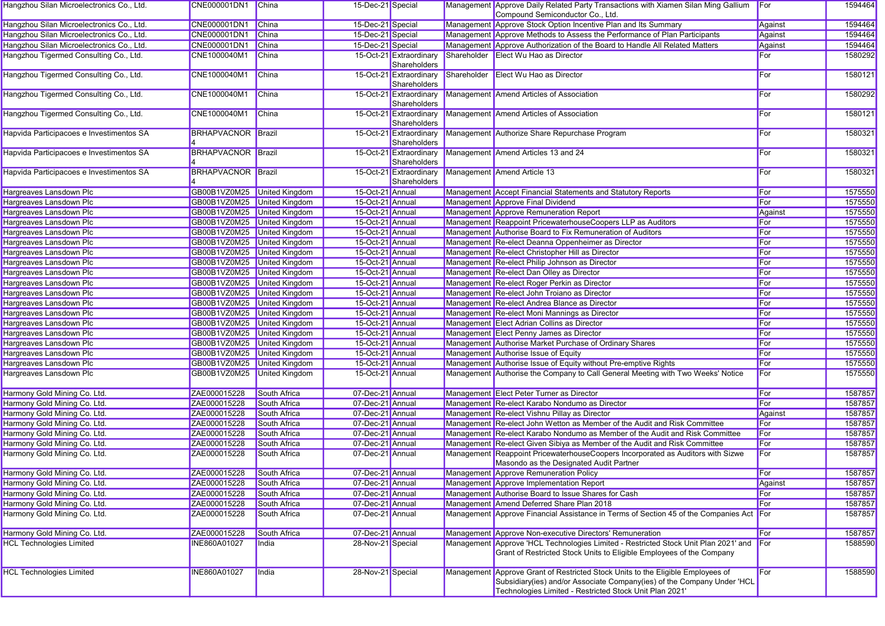| Hangzhou Silan Microelectronics Co., Ltd. | CNE000001DN1 China          |                       | 15-Dec-21 Special |                                         |             | Management Approve Daily Related Party Transactions with Xiamen Silan Ming Gallium<br>Compound Semiconductor Co., Ltd.                                                                                                | For     | 1594464 |
|-------------------------------------------|-----------------------------|-----------------------|-------------------|-----------------------------------------|-------------|-----------------------------------------------------------------------------------------------------------------------------------------------------------------------------------------------------------------------|---------|---------|
| Hangzhou Silan Microelectronics Co., Ltd. | CNE000001DN1                | China                 | 15-Dec-21 Special |                                         |             | Management Approve Stock Option Incentive Plan and Its Summary                                                                                                                                                        | Against | 1594464 |
| Hangzhou Silan Microelectronics Co., Ltd. | CNE000001DN1                | China                 | 15-Dec-21 Special |                                         |             | Management Approve Methods to Assess the Performance of Plan Participants                                                                                                                                             | Against | 1594464 |
| Hangzhou Silan Microelectronics Co., Ltd. | <b>CNE000001DN1</b>         | <b>China</b>          | 15-Dec-21 Special |                                         |             | Management Approve Authorization of the Board to Handle All Related Matters                                                                                                                                           | Against | 1594464 |
| Hangzhou Tigermed Consulting Co., Ltd.    | CNE1000040M1                | China                 |                   | 15-Oct-21 Extraordinary<br>Shareholders |             | Shareholder Elect Wu Hao as Director                                                                                                                                                                                  | For     | 1580292 |
| Hangzhou Tigermed Consulting Co., Ltd.    | CNE1000040M1                | China                 |                   | 15-Oct-21 Extraordinary<br>Shareholders | Shareholder | Elect Wu Hao as Director                                                                                                                                                                                              | For     | 1580121 |
| Hangzhou Tigermed Consulting Co., Ltd.    | CNE1000040M1                | <b>China</b>          |                   | 15-Oct-21 Extraordinary<br>Shareholders |             | Management Amend Articles of Association                                                                                                                                                                              | For     | 1580292 |
| Hangzhou Tigermed Consulting Co., Ltd.    | CNE1000040M1                | China                 |                   | 15-Oct-21 Extraordinary<br>Shareholders |             | Management Amend Articles of Association                                                                                                                                                                              | For     | 1580121 |
| Hapvida Participacoes e Investimentos SA  | <b>BRHAPVACNOR</b> Brazil   |                       |                   | 15-Oct-21 Extraordinary<br>Shareholders |             | Management Authorize Share Repurchase Program                                                                                                                                                                         | For     | 1580321 |
| Hapvida Participacoes e Investimentos SA  | <b>BRHAPVACNOR Brazil</b>   |                       |                   | 15-Oct-21 Extraordinary<br>Shareholders |             | Management Amend Articles 13 and 24                                                                                                                                                                                   | For     | 1580321 |
| Hapvida Participacoes e Investimentos SA  | <b>BRHAPVACNOR Brazil</b>   |                       |                   | 15-Oct-21 Extraordinary<br>Shareholders |             | Management Amend Article 13                                                                                                                                                                                           | For     | 1580321 |
| Hargreaves Lansdown Plc                   | GB00B1VZ0M25 United Kingdom |                       | 15-Oct-21 Annual  |                                         |             | Management Accept Financial Statements and Statutory Reports                                                                                                                                                          | For     | 1575550 |
| Hargreaves Lansdown Plc                   | GB00B1VZ0M25 United Kingdom |                       | 15-Oct-21 Annual  |                                         |             | Management Approve Final Dividend                                                                                                                                                                                     | For     | 1575550 |
| Hargreaves Lansdown Plc                   | GB00B1VZ0M25 United Kingdom |                       | 15-Oct-21 Annual  |                                         |             | Management Approve Remuneration Report                                                                                                                                                                                | Against | 1575550 |
| Hargreaves Lansdown Plc                   | GB00B1VZ0M25 United Kingdom |                       | 15-Oct-21 Annual  |                                         |             | Management Reappoint PricewaterhouseCoopers LLP as Auditors                                                                                                                                                           | For     | 1575550 |
| Hargreaves Lansdown Plc                   | GB00B1VZ0M25 United Kingdom |                       | 15-Oct-21 Annual  |                                         |             | Management Authorise Board to Fix Remuneration of Auditors                                                                                                                                                            | For     | 1575550 |
| Hargreaves Lansdown Plc                   | GB00B1VZ0M25 United Kingdom |                       | 15-Oct-21 Annual  |                                         |             | Management Re-elect Deanna Oppenheimer as Director                                                                                                                                                                    | For     | 1575550 |
| Hargreaves Lansdown Plc                   | GB00B1VZ0M25 United Kingdom |                       | 15-Oct-21 Annual  |                                         |             | Management Re-elect Christopher Hill as Director                                                                                                                                                                      | For     | 1575550 |
| Hargreaves Lansdown Plc                   | GB00B1VZ0M25 United Kingdom |                       | 15-Oct-21 Annual  |                                         |             | Management Re-elect Philip Johnson as Director                                                                                                                                                                        | For     | 1575550 |
| Hargreaves Lansdown Plc                   | GB00B1VZ0M25 United Kingdom |                       | 15-Oct-21 Annual  |                                         |             | Management Re-elect Dan Olley as Director                                                                                                                                                                             | For     | 1575550 |
| Hargreaves Lansdown Plc                   | GB00B1VZ0M25 United Kingdom |                       | 15-Oct-21 Annual  |                                         |             | Management Re-elect Roger Perkin as Director                                                                                                                                                                          | For     | 1575550 |
| Hargreaves Lansdown Plc                   | GB00B1VZ0M25 United Kingdom |                       | 15-Oct-21 Annual  |                                         |             | Management Re-elect John Troiano as Director                                                                                                                                                                          | For     | 1575550 |
| Hargreaves Lansdown Plc                   | GB00B1VZ0M25 United Kingdom |                       | 15-Oct-21 Annual  |                                         |             | Management Re-elect Andrea Blance as Director                                                                                                                                                                         | For     | 1575550 |
| Hargreaves Lansdown Plc                   | GB00B1VZ0M25 United Kingdom |                       | 15-Oct-21 Annual  |                                         |             | Management Re-elect Moni Mannings as Director                                                                                                                                                                         | For     | 1575550 |
| Hargreaves Lansdown Plc                   | GB00B1VZ0M25 United Kingdom |                       | 15-Oct-21 Annual  |                                         |             | Management Elect Adrian Collins as Director                                                                                                                                                                           | For     | 1575550 |
| Hargreaves Lansdown Plc                   | GB00B1VZ0M25 United Kingdom |                       | 15-Oct-21 Annual  |                                         |             | Management Elect Penny James as Director                                                                                                                                                                              | For     | 1575550 |
| Hargreaves Lansdown Plc                   | GB00B1VZ0M25 United Kingdom |                       | 15-Oct-21 Annual  |                                         |             | Management Authorise Market Purchase of Ordinary Shares                                                                                                                                                               | For     | 1575550 |
| Hargreaves Lansdown Plc                   | GB00B1VZ0M25 United Kingdom |                       | 15-Oct-21 Annual  |                                         |             | Management Authorise Issue of Equity                                                                                                                                                                                  | For     | 1575550 |
| Hargreaves Lansdown Plc                   | GB00B1VZ0M25                | <b>United Kingdom</b> | 15-Oct-21 Annual  |                                         |             | Management Authorise Issue of Equity without Pre-emptive Rights                                                                                                                                                       | For     | 1575550 |
| Hargreaves Lansdown Plc                   | GB00B1VZ0M25                | United Kingdom        | 15-Oct-21 Annual  |                                         |             | Management Authorise the Company to Call General Meeting with Two Weeks' Notice                                                                                                                                       | For     | 1575550 |
| Harmony Gold Mining Co. Ltd.              | ZAE000015228                | South Africa          | 07-Dec-21 Annual  |                                         |             | Management Elect Peter Turner as Director                                                                                                                                                                             | For     | 1587857 |
| Harmony Gold Mining Co. Ltd.              | ZAE000015228                | South Africa          | 07-Dec-21 Annual  |                                         |             | Management Re-elect Karabo Nondumo as Director                                                                                                                                                                        | For     | 1587857 |
| Harmony Gold Mining Co. Ltd.              | ZAE000015228                | South Africa          | 07-Dec-21 Annual  |                                         |             | Management Re-elect Vishnu Pillay as Director                                                                                                                                                                         | Against | 1587857 |
| Harmony Gold Mining Co. Ltd.              | ZAE000015228                | South Africa          | 07-Dec-21 Annual  |                                         |             | Management Re-elect John Wetton as Member of the Audit and Risk Committee                                                                                                                                             | For     | 1587857 |
| Harmony Gold Mining Co. Ltd.              | ZAE000015228                | South Africa          | 07-Dec-21 Annual  |                                         |             | Management Re-elect Karabo Nondumo as Member of the Audit and Risk Committee                                                                                                                                          | For     | 1587857 |
| Harmony Gold Mining Co. Ltd.              | ZAE000015228                | South Africa          | 07-Dec-21 Annual  |                                         |             | Management Re-elect Given Sibiya as Member of the Audit and Risk Committee                                                                                                                                            | For     | 1587857 |
| Harmony Gold Mining Co. Ltd.              | ZAE000015228                | South Africa          | 07-Dec-21 Annual  |                                         |             | Management Reappoint PricewaterhouseCoopers Incorporated as Auditors with Sizwe<br>Masondo as the Designated Audit Partner                                                                                            | For     | 1587857 |
| Harmony Gold Mining Co. Ltd.              | ZAE000015228                | South Africa          | 07-Dec-21 Annual  |                                         |             | Management Approve Remuneration Policy                                                                                                                                                                                | For     | 1587857 |
| Harmony Gold Mining Co. Ltd.              | ZAE000015228                | South Africa          | 07-Dec-21 Annual  |                                         |             | Management Approve Implementation Report                                                                                                                                                                              | Against | 1587857 |
| Harmony Gold Mining Co. Ltd.              | ZAE000015228                | South Africa          | 07-Dec-21 Annual  |                                         |             | Management Authorise Board to Issue Shares for Cash                                                                                                                                                                   | For     | 1587857 |
| Harmony Gold Mining Co. Ltd.              | ZAE000015228                | South Africa          | 07-Dec-21 Annual  |                                         |             | Management Amend Deferred Share Plan 2018                                                                                                                                                                             | For     | 1587857 |
| Harmony Gold Mining Co. Ltd.              | ZAE000015228                | South Africa          | 07-Dec-21 Annual  |                                         |             | Management Approve Financial Assistance in Terms of Section 45 of the Companies Act For                                                                                                                               |         | 1587857 |
| Harmony Gold Mining Co. Ltd.              | ZAE000015228                | South Africa          | 07-Dec-21 Annual  |                                         |             | Management Approve Non-executive Directors' Remuneration                                                                                                                                                              | For     | 1587857 |
| <b>HCL Technologies Limited</b>           | INE860A01027                | India                 | 28-Nov-21 Special |                                         |             | Management Approve 'HCL Technologies Limited - Restricted Stock Unit Plan 2021' and For<br>Grant of Restricted Stock Units to Eligible Employees of the Company                                                       |         | 1588590 |
| <b>HCL Technologies Limited</b>           | INE860A01027                | India                 | 28-Nov-21 Special |                                         |             | Management Approve Grant of Restricted Stock Units to the Eligible Employees of<br>Subsidiary(ies) and/or Associate Company(ies) of the Company Under 'HCL<br>Technologies Limited - Restricted Stock Unit Plan 2021' | For     | 1588590 |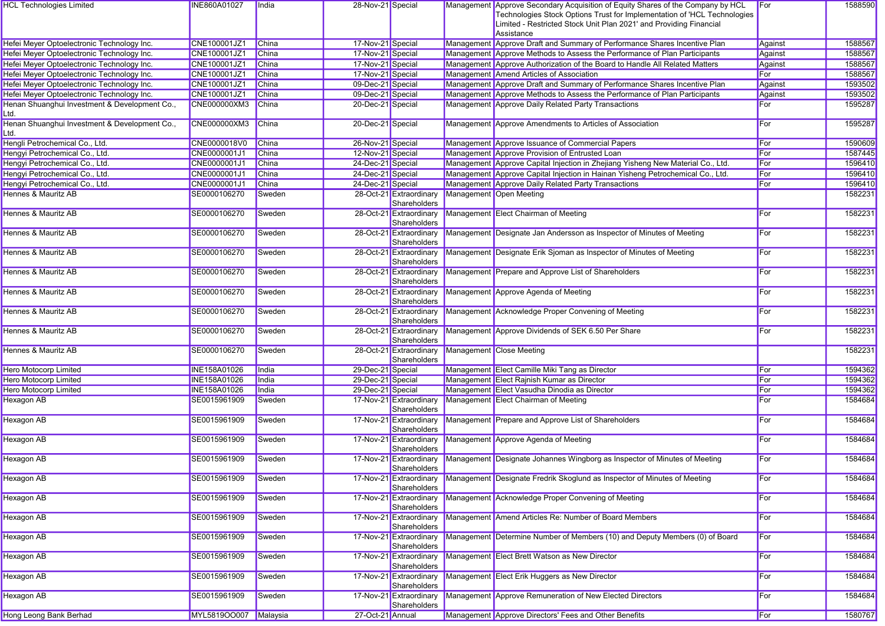| <b>HCL Technologies Limited</b>                       | INE860A01027          | <b>India</b> | 28-Nov-21 Special |                                         | Management Approve Secondary Acquisition of Equity Shares of the Company by HCL<br>Technologies Stock Options Trust for Implementation of 'HCL Technologies<br>Limited - Restricted Stock Unit Plan 2021' and Providing Financial<br>Assistance | For     | 1588590 |
|-------------------------------------------------------|-----------------------|--------------|-------------------|-----------------------------------------|-------------------------------------------------------------------------------------------------------------------------------------------------------------------------------------------------------------------------------------------------|---------|---------|
| Hefei Meyer Optoelectronic Technology Inc.            | CNE100001JZ1          | China        | 17-Nov-21 Special |                                         | Management Approve Draft and Summary of Performance Shares Incentive Plan                                                                                                                                                                       | Against | 1588567 |
| Hefei Meyer Optoelectronic Technology Inc.            | CNE100001JZ1          | China        | 17-Nov-21 Special |                                         | Management Approve Methods to Assess the Performance of Plan Participants                                                                                                                                                                       | Against | 1588567 |
| Hefei Meyer Optoelectronic Technology Inc.            | CNE100001JZ1          | <b>China</b> | 17-Nov-21 Special |                                         | Management Approve Authorization of the Board to Handle All Related Matters                                                                                                                                                                     | Against | 1588567 |
| Hefei Meyer Optoelectronic Technology Inc.            | CNE100001JZ1          | China        | 17-Nov-21 Special |                                         | Management Amend Articles of Association                                                                                                                                                                                                        | For     | 1588567 |
| Hefei Meyer Optoelectronic Technology Inc.            | CNE100001JZ1          | China        | 09-Dec-21 Special |                                         | Management Approve Draft and Summary of Performance Shares Incentive Plan                                                                                                                                                                       | Against | 1593502 |
| Hefei Meyer Optoelectronic Technology Inc.            | CNE100001JZ1          | China        | 09-Dec-21 Special |                                         | Management Approve Methods to Assess the Performance of Plan Participants                                                                                                                                                                       | Against | 1593502 |
| Henan Shuanghui Investment & Development Co.,         | <b>CNE000000XM3</b>   | China        | 20-Dec-21 Special |                                         | Management Approve Daily Related Party Transactions                                                                                                                                                                                             | For     | 1595287 |
| Ltd.                                                  |                       |              |                   |                                         |                                                                                                                                                                                                                                                 |         |         |
| Henan Shuanghui Investment & Development Co.,<br>Ltd. | CNE000000XM3          | China        | 20-Dec-21 Special |                                         | Management Approve Amendments to Articles of Association                                                                                                                                                                                        | For     | 1595287 |
| Hengli Petrochemical Co., Ltd.                        | CNE0000018V0          | China        | 26-Nov-21 Special |                                         | Management Approve Issuance of Commercial Papers                                                                                                                                                                                                | For     | 1590609 |
| Hengyi Petrochemical Co., Ltd.                        | CNE0000001J1          | China        | 12-Nov-21 Special |                                         | Management Approve Provision of Entrusted Loan                                                                                                                                                                                                  | For     | 1587445 |
| Hengyi Petrochemical Co., Ltd.                        | CNE0000001J1          | China        | 24-Dec-21 Special |                                         | Management Approve Capital Injection in Zhejiang Yisheng New Material Co., Ltd.                                                                                                                                                                 | For     | 1596410 |
| Hengyi Petrochemical Co., Ltd.                        | CNE0000001J1          | <b>China</b> | 24-Dec-21 Special |                                         | Management Approve Capital Injection in Hainan Yisheng Petrochemical Co., Ltd.                                                                                                                                                                  | For     | 1596410 |
| Hengyi Petrochemical Co., Ltd.                        | CNE0000001J1          | China        | 24-Dec-21 Special |                                         | Management Approve Daily Related Party Transactions                                                                                                                                                                                             | For     | 1596410 |
| Hennes & Mauritz AB                                   | SE0000106270          | Sweden       |                   | 28-Oct-21 Extraordinary<br>Shareholders | Management Open Meeting                                                                                                                                                                                                                         |         | 1582231 |
| Hennes & Mauritz AB                                   | SE0000106270          | Sweden       |                   | 28-Oct-21 Extraordinary<br>Shareholders | Management Elect Chairman of Meeting                                                                                                                                                                                                            | For     | 1582231 |
| Hennes & Mauritz AB                                   | SE0000106270          | Sweden       |                   | 28-Oct-21 Extraordinary<br>Shareholders | Management Designate Jan Andersson as Inspector of Minutes of Meeting                                                                                                                                                                           | For     | 1582231 |
| Hennes & Mauritz AB                                   | SE0000106270          | Sweden       |                   | 28-Oct-21 Extraordinary<br>Shareholders | Management Designate Erik Sjoman as Inspector of Minutes of Meeting                                                                                                                                                                             | For     | 1582231 |
| Hennes & Mauritz AB                                   | SE0000106270          | Sweden       |                   | 28-Oct-21 Extraordinary<br>Shareholders | Management Prepare and Approve List of Shareholders                                                                                                                                                                                             | For     | 1582231 |
| Hennes & Mauritz AB                                   | SE0000106270          | Sweden       |                   | 28-Oct-21 Extraordinary<br>Shareholders | Management Approve Agenda of Meeting                                                                                                                                                                                                            | For     | 1582231 |
| Hennes & Mauritz AB                                   | SE0000106270          | Sweden       |                   | 28-Oct-21 Extraordinary<br>Shareholders | Management Acknowledge Proper Convening of Meeting                                                                                                                                                                                              | For     | 1582231 |
| <b>Hennes &amp; Mauritz AB</b>                        | SE0000106270          | Sweden       |                   | 28-Oct-21 Extraordinary<br>Shareholders | Management Approve Dividends of SEK 6.50 Per Share                                                                                                                                                                                              | For     | 1582231 |
| <b>Hennes &amp; Mauritz AB</b>                        | SE0000106270          | Sweden       |                   | 28-Oct-21 Extraordinary<br>Shareholders | Management Close Meeting                                                                                                                                                                                                                        |         | 1582231 |
| <b>Hero Motocorp Limited</b>                          | <b>INE158A01026</b>   | India        | 29-Dec-21 Special |                                         | Management Elect Camille Miki Tang as Director                                                                                                                                                                                                  | For     | 1594362 |
| <b>Hero Motocorp Limited</b>                          | <b>INE158A01026</b>   | India        | 29-Dec-21 Special |                                         | Management Elect Rajnish Kumar as Director                                                                                                                                                                                                      | For     | 1594362 |
| <b>Hero Motocorp Limited</b>                          | <b>INE158A01026</b>   | India        | 29-Dec-21 Special |                                         | Management Elect Vasudha Dinodia as Director                                                                                                                                                                                                    | For     | 1594362 |
| <b>Hexagon AB</b>                                     | SE0015961909          | Sweden       |                   | 17-Nov-21 Extraordinary<br>Shareholders | Management Elect Chairman of Meeting                                                                                                                                                                                                            | For     | 1584684 |
| <b>Hexagon AB</b>                                     | SE0015961909          | Sweden       |                   | 17-Nov-21 Extraordinary<br>Shareholders | Management Prepare and Approve List of Shareholders                                                                                                                                                                                             | For     | 1584684 |
| <b>Hexagon AB</b>                                     | SE0015961909          | Sweden       |                   | 17-Nov-21 Extraordinary<br>Shareholders | Management Approve Agenda of Meeting                                                                                                                                                                                                            | For     | 1584684 |
| <b>Hexagon AB</b>                                     | SE0015961909          | Sweden       |                   | 17-Nov-21 Extraordinary<br>Shareholders | Management Designate Johannes Wingborg as Inspector of Minutes of Meeting                                                                                                                                                                       | For     | 1584684 |
| <b>Hexagon AB</b>                                     | SE0015961909          | Sweden       |                   | 17-Nov-21 Extraordinary<br>Shareholders | Management Designate Fredrik Skoglund as Inspector of Minutes of Meeting                                                                                                                                                                        | For     | 1584684 |
| <b>Hexagon AB</b>                                     | SE0015961909          | Sweden       |                   | 17-Nov-21 Extraordinary<br>Shareholders | Management Acknowledge Proper Convening of Meeting                                                                                                                                                                                              | For     | 1584684 |
| <b>Hexagon AB</b>                                     | SE0015961909          | Sweden       |                   | 17-Nov-21 Extraordinary<br>Shareholders | Management Amend Articles Re: Number of Board Members                                                                                                                                                                                           | For     | 1584684 |
| <b>Hexagon AB</b>                                     | SE0015961909          | Sweden       |                   | 17-Nov-21 Extraordinary<br>Shareholders | Management Determine Number of Members (10) and Deputy Members (0) of Board                                                                                                                                                                     | For     | 1584684 |
| Hexagon AB                                            | SE0015961909          | Sweden       |                   | 17-Nov-21 Extraordinary<br>Shareholders | Management Elect Brett Watson as New Director                                                                                                                                                                                                   | For     | 1584684 |
| <b>Hexagon AB</b>                                     | SE0015961909          | Sweden       |                   | 17-Nov-21 Extraordinary<br>Shareholders | Management Elect Erik Huggers as New Director                                                                                                                                                                                                   | For     | 1584684 |
| <b>Hexagon AB</b>                                     | SE0015961909          | Sweden       |                   | 17-Nov-21 Extraordinary<br>Shareholders | Management Approve Remuneration of New Elected Directors                                                                                                                                                                                        | For     | 1584684 |
| Hong Leong Bank Berhad                                | MYL5819OO007 Malaysia |              | 27-Oct-21 Annual  |                                         | Management Approve Directors' Fees and Other Benefits                                                                                                                                                                                           | For     | 1580767 |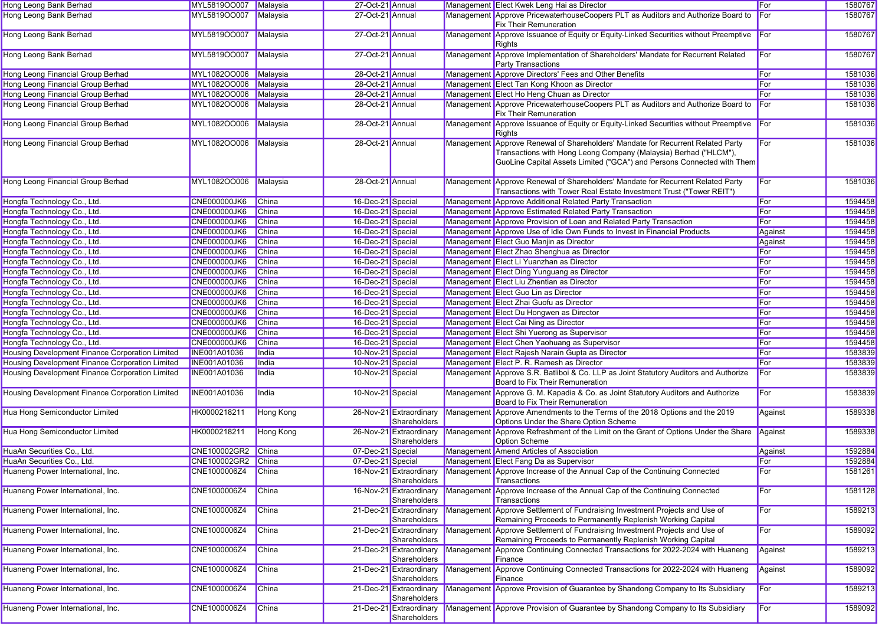| Hong Leong Bank Berhad                          | MYL5819OO007        | Malaysia     | 27-Oct-21 Annual  |                                         | Management Elect Kwek Leng Hai as Director                                                                                                                                                                                    | For          | 1580767            |
|-------------------------------------------------|---------------------|--------------|-------------------|-----------------------------------------|-------------------------------------------------------------------------------------------------------------------------------------------------------------------------------------------------------------------------------|--------------|--------------------|
| Hong Leong Bank Berhad                          | MYL5819OO007        | Malaysia     | 27-Oct-21 Annual  |                                         | Management Approve PricewaterhouseCoopers PLT as Auditors and Authorize Board to<br><b>Fix Their Remuneration</b>                                                                                                             | <b>I</b> For | 1580767            |
| Hong Leong Bank Berhad                          | MYL5819OO007        | Malaysia     | 27-Oct-21 Annual  |                                         | Management Approve Issuance of Equity or Equity-Linked Securities without Preemptive<br>Rights                                                                                                                                | For          | 1580767            |
| Hong Leong Bank Berhad                          | MYL5819OO007        | Malaysia     | 27-Oct-21 Annual  |                                         | Management Approve Implementation of Shareholders' Mandate for Recurrent Related<br><b>Party Transactions</b>                                                                                                                 | For          | 1580767            |
| Hong Leong Financial Group Berhad               | MYL1082OO006        | Malaysia     | 28-Oct-21 Annual  |                                         | Management Approve Directors' Fees and Other Benefits                                                                                                                                                                         | For          | 1581036            |
| Hong Leong Financial Group Berhad               | MYL1082OO006        | Malaysia     | 28-Oct-21 Annual  |                                         | Management Elect Tan Kong Khoon as Director                                                                                                                                                                                   | For          | 1581036            |
| Hong Leong Financial Group Berhad               | MYL1082OO006        | Malaysia     | 28-Oct-21 Annual  |                                         | Management Elect Ho Heng Chuan as Director                                                                                                                                                                                    | For          | 1581036            |
| Hong Leong Financial Group Berhad               | MYL1082OO006        | Malaysia     | 28-Oct-21 Annual  |                                         | Management Approve PricewaterhouseCoopers PLT as Auditors and Authorize Board to<br><b>Fix Their Remuneration</b>                                                                                                             | For          | 1581036            |
| Hong Leong Financial Group Berhad               | MYL1082OO006        | Malaysia     | 28-Oct-21 Annual  |                                         | Management Approve Issuance of Equity or Equity-Linked Securities without Preemptive<br>Rights                                                                                                                                | For          | 1581036            |
| Hong Leong Financial Group Berhad               | MYL1082OO006        | Malaysia     | 28-Oct-21 Annual  |                                         | Management Approve Renewal of Shareholders' Mandate for Recurrent Related Party<br>Transactions with Hong Leong Company (Malaysia) Berhad ("HLCM"),<br>GuoLine Capital Assets Limited ("GCA") and Persons Connected with Them | For          | 1581036            |
| Hong Leong Financial Group Berhad               | MYL1082OO006        | Malaysia     | 28-Oct-21 Annual  |                                         | Management Approve Renewal of Shareholders' Mandate for Recurrent Related Party<br>Transactions with Tower Real Estate Investment Trust ("Tower REIT")                                                                        | For          | 1581036            |
| Hongfa Technology Co., Ltd.                     | <b>CNE000000JK6</b> | China        | 16-Dec-21 Special |                                         | Management Approve Additional Related Party Transaction                                                                                                                                                                       | For          | 1594458            |
| Hongfa Technology Co., Ltd.                     | <b>CNE000000JK6</b> | <b>China</b> | 16-Dec-21 Special |                                         | Management Approve Estimated Related Party Transaction                                                                                                                                                                        | For          | 1594458            |
| Hongfa Technology Co., Ltd.                     | <b>CNE000000JK6</b> | <b>China</b> | 16-Dec-21 Special |                                         | Management Approve Provision of Loan and Related Party Transaction                                                                                                                                                            | For          | 1594458            |
| Hongfa Technology Co., Ltd.                     | <b>CNE000000JK6</b> | <b>China</b> | 16-Dec-21 Special |                                         | Management Approve Use of Idle Own Funds to Invest in Financial Products                                                                                                                                                      | Against      | 1594458            |
| Hongfa Technology Co., Ltd.                     | <b>CNE000000JK6</b> | <b>China</b> | 16-Dec-21 Special |                                         | Management Elect Guo Manjin as Director                                                                                                                                                                                       | Against      | 1594458            |
| Hongfa Technology Co., Ltd.                     | <b>CNE000000JK6</b> | <b>China</b> | 16-Dec-21 Special |                                         | Management Elect Zhao Shenghua as Director                                                                                                                                                                                    | For          | 1594458            |
| Hongfa Technology Co., Ltd.                     | <b>CNE000000JK6</b> | China        | 16-Dec-21 Special |                                         | Management Elect Li Yuanzhan as Director                                                                                                                                                                                      | For          | 1594458            |
| Hongfa Technology Co., Ltd.                     | CNE000000JK6        | <b>China</b> | 16-Dec-21 Special |                                         | Management Elect Ding Yunguang as Director                                                                                                                                                                                    | For          | 1594458            |
| Hongfa Technology Co., Ltd.                     | <b>CNE000000JK6</b> | <b>China</b> | 16-Dec-21 Special |                                         | Management Elect Liu Zhentian as Director                                                                                                                                                                                     | For          | 1594458            |
| Hongfa Technology Co., Ltd.                     | <b>CNE000000JK6</b> | <b>China</b> | 16-Dec-21 Special |                                         | Management Elect Guo Lin as Director                                                                                                                                                                                          | For          | 1594458            |
| Hongfa Technology Co., Ltd.                     | <b>CNE000000JK6</b> | <b>China</b> | 16-Dec-21 Special |                                         | Management Elect Zhai Guofu as Director                                                                                                                                                                                       | For          | 1594458            |
| Hongfa Technology Co., Ltd.                     | <b>CNE000000JK6</b> | China        | 16-Dec-21 Special |                                         | Management Elect Du Hongwen as Director                                                                                                                                                                                       | For          | 1594458            |
| Hongfa Technology Co., Ltd.                     | <b>CNE000000JK6</b> | China        | 16-Dec-21 Special |                                         | Management Elect Cai Ning as Director                                                                                                                                                                                         | For          | 1594458            |
|                                                 | <b>CNE000000JK6</b> | <b>China</b> | 16-Dec-21 Special |                                         | Management Elect Shi Yuerong as Supervisor                                                                                                                                                                                    | For          | 1594458            |
| Hongfa Technology Co., Ltd.                     |                     |              |                   |                                         |                                                                                                                                                                                                                               | For          |                    |
| Hongfa Technology Co., Ltd.                     | <b>CNE000000JK6</b> | China        | 16-Dec-21 Special |                                         | Management Elect Chen Yaohuang as Supervisor                                                                                                                                                                                  |              | 1594458<br>1583839 |
| Housing Development Finance Corporation Limited | <b>INE001A01036</b> | India        | 10-Nov-21 Special |                                         | Management Elect Rajesh Narain Gupta as Director                                                                                                                                                                              | For          |                    |
| Housing Development Finance Corporation Limited | <b>INE001A01036</b> | India        | 10-Nov-21 Special |                                         | Management Elect P. R. Ramesh as Director                                                                                                                                                                                     | For          | 1583839            |
| Housing Development Finance Corporation Limited | <b>INE001A01036</b> | India        | 10-Nov-21 Special |                                         | Management Approve S.R. Batliboi & Co. LLP as Joint Statutory Auditors and Authorize<br>Board to Fix Their Remuneration                                                                                                       | For          | 1583839            |
| Housing Development Finance Corporation Limited | <b>INE001A01036</b> | India        | 10-Nov-21 Special |                                         | Management Approve G. M. Kapadia & Co. as Joint Statutory Auditors and Authorize<br>Board to Fix Their Remuneration                                                                                                           | For          | 1583839            |
| Hua Hong Semiconductor Limited                  | HK0000218211        | Hong Kong    |                   | 26-Nov-21 Extraordinary<br>Shareholders | Management Approve Amendments to the Terms of the 2018 Options and the 2019<br>Options Under the Share Option Scheme                                                                                                          | Against      | 1589338            |
| Hua Hong Semiconductor Limited                  | HK0000218211        | Hong Kong    |                   | 26-Nov-21 Extraordinary<br>Shareholders | Management Approve Refreshment of the Limit on the Grant of Options Under the Share<br>Option Scheme                                                                                                                          | Against      | 1589338            |
| HuaAn Securities Co., Ltd.                      | CNE100002GR2 China  |              | 07-Dec-21 Special |                                         | Management Amend Articles of Association                                                                                                                                                                                      | Against      | 1592884            |
| HuaAn Securities Co., Ltd.                      | CNE100002GR2 China  |              | 07-Dec-21 Special |                                         | Management Elect Fang Da as Supervisor                                                                                                                                                                                        | For          | 1592884            |
| Huaneng Power International, Inc.               | CNE1000006Z4 China  |              |                   | Shareholders                            | 16-Nov-21 Extraordinary Management Approve Increase of the Annual Cap of the Continuing Connected<br>Transactions                                                                                                             | For          | 1581261            |
| Huaneng Power International, Inc.               | CNE1000006Z4        | <b>China</b> |                   | 16-Nov-21 Extraordinary<br>Shareholders | Management Approve Increase of the Annual Cap of the Continuing Connected<br>Transactions                                                                                                                                     | For          | 1581128            |
| Huaneng Power International, Inc.               | CNE1000006Z4        | China        |                   | 21-Dec-21 Extraordinary<br>Shareholders | Management Approve Settlement of Fundraising Investment Projects and Use of<br>Remaining Proceeds to Permanently Replenish Working Capital                                                                                    | For          | 1589213            |
| Huaneng Power International, Inc.               | CNE1000006Z4        | China        |                   | 21-Dec-21 Extraordinary<br>Shareholders | Management Approve Settlement of Fundraising Investment Projects and Use of<br>Remaining Proceeds to Permanently Replenish Working Capital                                                                                    | For          | 1589092            |
| Huaneng Power International, Inc.               | CNE1000006Z4        | China        |                   | 21-Dec-21 Extraordinary<br>Shareholders | Management Approve Continuing Connected Transactions for 2022-2024 with Huaneng<br>Finance                                                                                                                                    | Against      | 1589213            |
| Huaneng Power International, Inc.               | CNE1000006Z4        | China        |                   | 21-Dec-21 Extraordinary<br>Shareholders | Management Approve Continuing Connected Transactions for 2022-2024 with Huaneng<br>Finance                                                                                                                                    | Against      | 1589092            |
| Huaneng Power International, Inc.               | CNE1000006Z4        | China        |                   | 21-Dec-21 Extraordinary<br>Shareholders | Management Approve Provision of Guarantee by Shandong Company to Its Subsidiary                                                                                                                                               | For          | 1589213            |
| Huaneng Power International, Inc.               | CNE1000006Z4        | China        |                   | 21-Dec-21 Extraordinary<br>Shareholders | Management Approve Provision of Guarantee by Shandong Company to Its Subsidiary                                                                                                                                               | For          | 1589092            |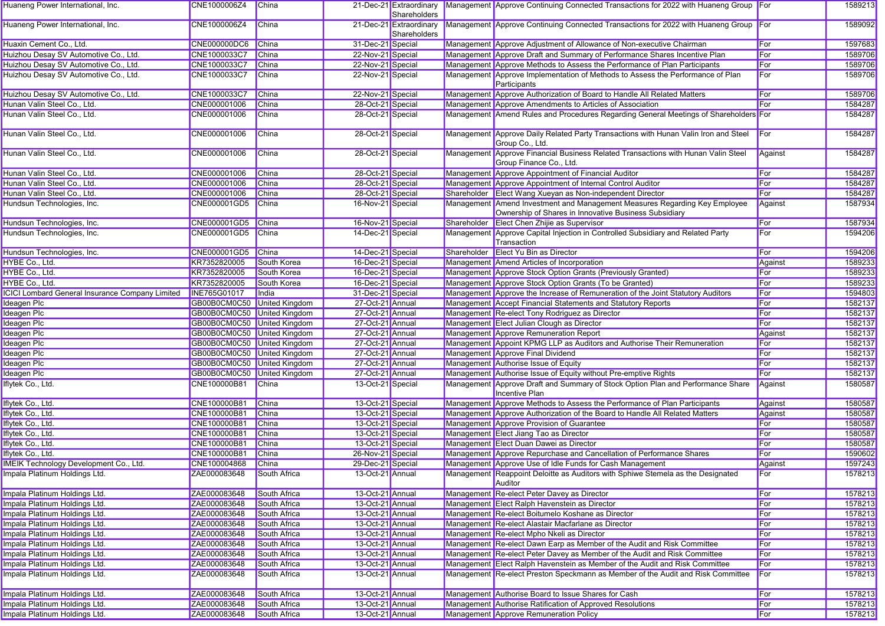| Huaneng Power International, Inc.                      | CNE1000006Z4                | China        |                   | 21-Dec-21 Extraordinary<br>Shareholders |             | Management Approve Continuing Connected Transactions for 2022 with Huaneng Group                                                    |            | 1589213 |
|--------------------------------------------------------|-----------------------------|--------------|-------------------|-----------------------------------------|-------------|-------------------------------------------------------------------------------------------------------------------------------------|------------|---------|
| Huaneng Power International, Inc.                      | CNE1000006Z4                | China        |                   | 21-Dec-21 Extraordinary<br>Shareholders |             | Management Approve Continuing Connected Transactions for 2022 with Huaneng Group For                                                |            | 1589092 |
| Huaxin Cement Co., Ltd.                                | <b>CNE000000DC6</b>         | China        | 31-Dec-21 Special |                                         |             | Management Approve Adjustment of Allowance of Non-executive Chairman                                                                | For        | 1597683 |
| Huizhou Desay SV Automotive Co., Ltd.                  | CNE1000033C7                | <b>China</b> | 22-Nov-21 Special |                                         |             | Management Approve Draft and Summary of Performance Shares Incentive Plan                                                           | For        | 1589706 |
| Huizhou Desay SV Automotive Co., Ltd.                  | CNE1000033C7                | <b>China</b> | 22-Nov-21 Special |                                         |             | Management Approve Methods to Assess the Performance of Plan Participants                                                           | For        | 1589706 |
| Huizhou Desay SV Automotive Co., Ltd.                  | CNE1000033C7                | China        | 22-Nov-21 Special |                                         |             | Management Approve Implementation of Methods to Assess the Performance of Plan<br>Participants                                      | For        | 1589706 |
| Huizhou Desay SV Automotive Co., Ltd.                  | CNE1000033C7                | China        | 22-Nov-21 Special |                                         |             | Management Approve Authorization of Board to Handle All Related Matters                                                             | For        | 1589706 |
| Hunan Valin Steel Co., Ltd.                            | CNE000001006                | <b>China</b> | 28-Oct-21 Special |                                         |             | Management Approve Amendments to Articles of Association                                                                            | For        | 1584287 |
| Hunan Valin Steel Co., Ltd.                            | CNE000001006                | China        | 28-Oct-21 Special |                                         |             | Management Amend Rules and Procedures Regarding General Meetings of Shareholders For                                                |            | 1584287 |
| Hunan Valin Steel Co., Ltd.                            | CNE000001006                | China        | 28-Oct-21 Special |                                         |             | Management Approve Daily Related Party Transactions with Hunan Valin Iron and Steel<br>Group Co., Ltd.                              | For        | 1584287 |
| Hunan Valin Steel Co., Ltd.                            | CNE000001006                | China        | 28-Oct-21 Special |                                         |             | Management Approve Financial Business Related Transactions with Hunan Valin Steel<br>Group Finance Co., Ltd.                        | Against    | 1584287 |
| Hunan Valin Steel Co., Ltd.                            | CNE000001006                | China        | 28-Oct-21 Special |                                         |             | Management Approve Appointment of Financial Auditor                                                                                 | For        | 1584287 |
| Hunan Valin Steel Co., Ltd.                            | CNE000001006                | <b>China</b> | 28-Oct-21 Special |                                         |             | Management Approve Appointment of Internal Control Auditor                                                                          | For        | 1584287 |
| Hunan Valin Steel Co., Ltd.                            | CNE000001006                | <b>China</b> | 28-Oct-21 Special |                                         |             | Shareholder Elect Wang Xueyan as Non-independent Director                                                                           | For        | 1584287 |
| Hundsun Technologies, Inc.                             | CNE000001GD5                | <b>China</b> | 16-Nov-21 Special |                                         |             | Management Amend Investment and Management Measures Regarding Key Employee<br>Ownership of Shares in Innovative Business Subsidiary | Against    | 1587934 |
| Hundsun Technologies, Inc.                             | CNE000001GD5                | China        | 16-Nov-21 Special |                                         | Shareholder | Elect Chen Zhijie as Supervisor                                                                                                     | For        | 1587934 |
| Hundsun Technologies, Inc.                             | CNE000001GD5                | China        | 14-Dec-21 Special |                                         |             | Management Approve Capital Injection in Controlled Subsidiary and Related Party<br>Transaction                                      | For        | 1594206 |
| Hundsun Technologies, Inc.                             | CNE000001GD5                | China        | 14-Dec-21 Special |                                         |             | Shareholder Elect Yu Bin as Director                                                                                                | For        | 1594206 |
| HYBE Co., Ltd.                                         | KR7352820005                | South Korea  | 16-Dec-21 Special |                                         |             | Management Amend Articles of Incorporation                                                                                          | Against    | 1589233 |
| HYBE Co., Ltd.                                         | KR7352820005                | South Korea  | 16-Dec-21 Special |                                         |             | Management Approve Stock Option Grants (Previously Granted)                                                                         | For        | 1589233 |
| HYBE Co., Ltd.                                         | KR7352820005                | South Korea  | 16-Dec-21 Special |                                         |             | Management Approve Stock Option Grants (To be Granted)                                                                              | For        | 1589233 |
| <b>ICICI Lombard General Insurance Company Limited</b> | <b>INE765G01017</b>         | India        | 31-Dec-21 Special |                                         |             | Management Approve the Increase of Remuneration of the Joint Statutory Auditors                                                     | For        | 1594803 |
| Ideagen Plc                                            | GB00B0CM0C50 United Kingdom |              | 27-Oct-21 Annual  |                                         |             | Management Accept Financial Statements and Statutory Reports                                                                        | For        | 1582137 |
| Ideagen Plc                                            | GB00B0CM0C50 United Kingdom |              | 27-Oct-21 Annual  |                                         |             | Management Re-elect Tony Rodriguez as Director                                                                                      | For        | 1582137 |
| <b>Ideagen Plc</b>                                     | GB00B0CM0C50 United Kingdom |              | 27-Oct-21 Annual  |                                         |             | Management Elect Julian Clough as Director                                                                                          | For        | 1582137 |
| <b>Ideagen PIc</b>                                     | GB00B0CM0C50 United Kingdom |              | 27-Oct-21 Annual  |                                         |             | Management Approve Remuneration Report                                                                                              | Against    | 1582137 |
| Ideagen Plc                                            | GB00B0CM0C50 United Kingdom |              | 27-Oct-21 Annual  |                                         |             | Management Appoint KPMG LLP as Auditors and Authorise Their Remuneration                                                            | For        | 1582137 |
| Ideagen Plc                                            | GB00B0CM0C50 United Kingdom |              | 27-Oct-21 Annual  |                                         |             | Management Approve Final Dividend                                                                                                   | For        | 1582137 |
| Ideagen Plc                                            | GB00B0CM0C50 United Kingdom |              | 27-Oct-21 Annual  |                                         |             | Management Authorise Issue of Equity                                                                                                | For        | 1582137 |
| Ideagen Plc                                            | GB00B0CM0C50 United Kingdom |              | 27-Oct-21 Annual  |                                         |             | Management Authorise Issue of Equity without Pre-emptive Rights                                                                     | For        | 1582137 |
| Iflytek Co., Ltd.                                      | CNE100000B81                | <b>China</b> | 13-Oct-21 Special |                                         |             | Management Approve Draft and Summary of Stock Option Plan and Performance Share<br>Incentive Plan                                   | Against    | 1580587 |
| Iflytek Co., Ltd.                                      | CNE100000B81                | <b>China</b> | 13-Oct-21 Special |                                         |             | Management Approve Methods to Assess the Performance of Plan Participants                                                           | Against    | 1580587 |
| Iflytek Co., Ltd.                                      | CNE100000B81                | <b>China</b> | 13-Oct-21 Special |                                         |             | Management Approve Authorization of the Board to Handle All Related Matters                                                         | Against    | 1580587 |
| Iflytek Co., Ltd.                                      | CNE100000B81                | China        | 13-Oct-21 Special |                                         |             | Management Approve Provision of Guarantee                                                                                           | For        | 1580587 |
| Iflytek Co., Ltd.                                      | CNE100000B81                | <b>China</b> | 13-Oct-21 Special |                                         |             | Management Elect Jiang Tao as Director                                                                                              | For        | 1580587 |
| Iflytek Co., Ltd.                                      | CNE100000B81                | <b>China</b> | 13-Oct-21 Special |                                         |             | Management Elect Duan Dawei as Director                                                                                             | For        | 1580587 |
| Iflytek Co., Ltd.                                      | CNE100000B81                | China        | 26-Nov-21 Special |                                         |             | Management Approve Repurchase and Cancellation of Performance Shares                                                                | For        | 1590602 |
| <b>IMEIK Technology Development Co., Ltd.</b>          | CNE100004868                | China        | 29-Dec-21 Special |                                         |             | Management Approve Use of Idle Funds for Cash Management                                                                            | Against    | 1597243 |
| Impala Platinum Holdings Ltd.                          | ZAE000083648                | South Africa | 13-Oct-21 Annual  |                                         |             | Management Reappoint Deloitte as Auditors with Sphiwe Stemela as the Designated<br>Auditor                                          | ⊩or        | 1578213 |
| Impala Platinum Holdings Ltd.                          | ZAE000083648                | South Africa | 13-Oct-21 Annual  |                                         |             | Management Re-elect Peter Davey as Director                                                                                         | For        | 1578213 |
| Impala Platinum Holdings Ltd.                          | ZAE000083648                | South Africa | 13-Oct-21 Annual  |                                         |             | Management Elect Ralph Havenstein as Director                                                                                       | For        | 1578213 |
| Impala Platinum Holdings Ltd.                          | ZAE000083648                | South Africa | 13-Oct-21 Annual  |                                         |             | Management Re-elect Boitumelo Koshane as Director                                                                                   | <b>For</b> | 1578213 |
| Impala Platinum Holdings Ltd.                          | ZAE000083648                | South Africa | 13-Oct-21 Annual  |                                         |             | Management Re-elect Alastair Macfarlane as Director                                                                                 | For        | 1578213 |
| Impala Platinum Holdings Ltd.                          | ZAE000083648                | South Africa | 13-Oct-21 Annual  |                                         |             | Management Re-elect Mpho Nkeli as Director                                                                                          | For        | 1578213 |
| Impala Platinum Holdings Ltd.                          | ZAE000083648                | South Africa | 13-Oct-21 Annual  |                                         |             | Management Re-elect Dawn Earp as Member of the Audit and Risk Committee                                                             | For        | 1578213 |
| Impala Platinum Holdings Ltd.                          | ZAE000083648                | South Africa | 13-Oct-21 Annual  |                                         |             | Management Re-elect Peter Davey as Member of the Audit and Risk Committee                                                           | For        | 1578213 |
| Impala Platinum Holdings Ltd.                          | ZAE000083648                | South Africa | 13-Oct-21 Annual  |                                         |             | Management Elect Ralph Havenstein as Member of the Audit and Risk Committee                                                         | For        | 1578213 |
| Impala Platinum Holdings Ltd.                          | ZAE000083648                | South Africa | 13-Oct-21 Annual  |                                         |             | Management Re-elect Preston Speckmann as Member of the Audit and Risk Committee                                                     | For        | 1578213 |
| Impala Platinum Holdings Ltd.                          | ZAE000083648                | South Africa | 13-Oct-21 Annual  |                                         |             | Management Authorise Board to Issue Shares for Cash                                                                                 | For        | 1578213 |
| Impala Platinum Holdings Ltd.                          | ZAE000083648                | South Africa | 13-Oct-21 Annual  |                                         |             | Management Authorise Ratification of Approved Resolutions                                                                           | For        | 1578213 |
| Impala Platinum Holdings Ltd.                          | ZAE000083648                | South Africa | 13-Oct-21 Annual  |                                         |             | Management Approve Remuneration Policy                                                                                              | For        | 1578213 |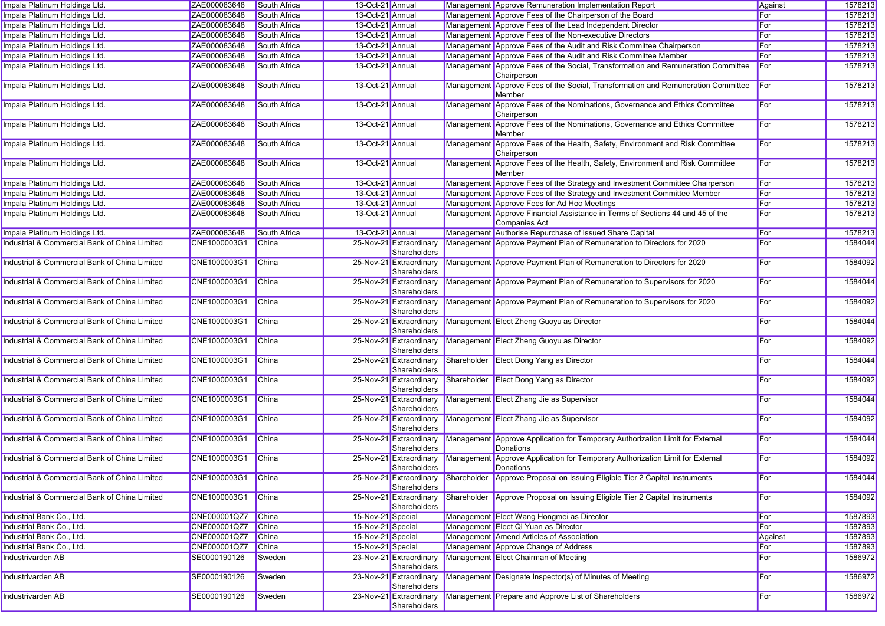| Impala Platinum Holdings Ltd.                 | ZAE000083648 | South Africa        | 13-Oct-21 Annual  |                                         |             | Management Approve Remuneration Implementation Report                                           | Against | 1578213 |
|-----------------------------------------------|--------------|---------------------|-------------------|-----------------------------------------|-------------|-------------------------------------------------------------------------------------------------|---------|---------|
| Impala Platinum Holdings Ltd.                 | ZAE000083648 | South Africa        | 13-Oct-21 Annual  |                                         |             | Management Approve Fees of the Chairperson of the Board                                         | For     | 1578213 |
| Impala Platinum Holdings Ltd.                 | ZAE000083648 | South Africa        | 13-Oct-21 Annual  |                                         |             | Management Approve Fees of the Lead Independent Director                                        | For     | 1578213 |
| Impala Platinum Holdings Ltd.                 | ZAE000083648 | South Africa        | 13-Oct-21 Annual  |                                         |             | Management Approve Fees of the Non-executive Directors                                          | For     | 1578213 |
| Impala Platinum Holdings Ltd.                 | ZAE000083648 | South Africa        | 13-Oct-21 Annual  |                                         |             | Management Approve Fees of the Audit and Risk Committee Chairperson                             | For     | 1578213 |
| Impala Platinum Holdings Ltd.                 | ZAE000083648 | South Africa        | 13-Oct-21 Annual  |                                         |             | Management Approve Fees of the Audit and Risk Committee Member                                  | For     | 1578213 |
| Impala Platinum Holdings Ltd.                 | ZAE000083648 | <b>South Africa</b> | 13-Oct-21 Annual  |                                         |             | Management Approve Fees of the Social, Transformation and Remuneration Committee<br>Chairperson | For     | 1578213 |
| Impala Platinum Holdings Ltd.                 | ZAE000083648 | <b>South Africa</b> | 13-Oct-21 Annual  |                                         |             | Management Approve Fees of the Social, Transformation and Remuneration Committee<br>Member      | For     | 1578213 |
| Impala Platinum Holdings Ltd.                 | ZAE000083648 | South Africa        | 13-Oct-21 Annual  |                                         |             | Management Approve Fees of the Nominations, Governance and Ethics Committee<br>Chairperson      | For     | 1578213 |
| Impala Platinum Holdings Ltd.                 | ZAE000083648 | South Africa        | 13-Oct-21 Annual  |                                         |             | Management Approve Fees of the Nominations, Governance and Ethics Committee<br>Member           | For     | 1578213 |
| Impala Platinum Holdings Ltd.                 | ZAE000083648 | South Africa        | 13-Oct-21 Annual  |                                         |             | Management Approve Fees of the Health, Safety, Environment and Risk Committee<br>Chairperson    | For     | 1578213 |
| Impala Platinum Holdings Ltd.                 | ZAE000083648 | South Africa        | 13-Oct-21 Annual  |                                         |             | Management Approve Fees of the Health, Safety, Environment and Risk Committee<br>Member         | For     | 1578213 |
| Impala Platinum Holdings Ltd.                 | ZAE000083648 | South Africa        | 13-Oct-21 Annual  |                                         |             | Management Approve Fees of the Strategy and Investment Committee Chairperson                    | For     | 1578213 |
| Impala Platinum Holdings Ltd.                 | ZAE000083648 | South Africa        | 13-Oct-21 Annual  |                                         |             | Management Approve Fees of the Strategy and Investment Committee Member                         | For     | 1578213 |
| Impala Platinum Holdings Ltd.                 | ZAE000083648 | South Africa        | 13-Oct-21 Annual  |                                         |             | Management Approve Fees for Ad Hoc Meetings                                                     | For     | 1578213 |
| Impala Platinum Holdings Ltd.                 | ZAE000083648 | South Africa        | 13-Oct-21 Annual  |                                         |             | Management Approve Financial Assistance in Terms of Sections 44 and 45 of the<br>Companies Act  | For     | 1578213 |
| Impala Platinum Holdings Ltd.                 | ZAE000083648 | South Africa        | 13-Oct-21 Annual  |                                         |             | Management Authorise Repurchase of Issued Share Capital                                         | For     | 1578213 |
| Industrial & Commercial Bank of China Limited | CNE1000003G1 | China               |                   | 25-Nov-21 Extraordinary<br>Shareholders |             | Management Approve Payment Plan of Remuneration to Directors for 2020                           | For     | 1584044 |
| Industrial & Commercial Bank of China Limited | CNE1000003G1 | <b>China</b>        |                   | 25-Nov-21 Extraordinary<br>Shareholders |             | Management Approve Payment Plan of Remuneration to Directors for 2020                           | For     | 1584092 |
| Industrial & Commercial Bank of China Limited | CNE1000003G1 | China               |                   | 25-Nov-21 Extraordinary<br>Shareholders |             | Management Approve Payment Plan of Remuneration to Supervisors for 2020                         | For     | 1584044 |
| Industrial & Commercial Bank of China Limited | CNE1000003G1 | <b>China</b>        |                   | 25-Nov-21 Extraordinary<br>Shareholders |             | Management Approve Payment Plan of Remuneration to Supervisors for 2020                         | For     | 1584092 |
| Industrial & Commercial Bank of China Limited | CNE1000003G1 | China               |                   | 25-Nov-21 Extraordinary<br>Shareholders |             | Management Elect Zheng Guoyu as Director                                                        | For     | 1584044 |
| Industrial & Commercial Bank of China Limited | CNE1000003G1 | China               |                   | 25-Nov-21 Extraordinary<br>Shareholders |             | Management Elect Zheng Guoyu as Director                                                        | For     | 1584092 |
| Industrial & Commercial Bank of China Limited | CNE1000003G1 | China               |                   | 25-Nov-21 Extraordinary<br>Shareholders | Shareholder | Elect Dong Yang as Director                                                                     | For     | 1584044 |
| Industrial & Commercial Bank of China Limited | CNE1000003G1 | <b>China</b>        |                   | 25-Nov-21 Extraordinary<br>Shareholders |             | Shareholder Elect Dong Yang as Director                                                         | For     | 1584092 |
| Industrial & Commercial Bank of China Limited | CNE1000003G1 | China               |                   | 25-Nov-21 Extraordinary<br>Shareholders |             | Management Elect Zhang Jie as Supervisor                                                        | For     | 1584044 |
| Industrial & Commercial Bank of China Limited | CNE1000003G1 | <b>China</b>        |                   | 25-Nov-21 Extraordinary<br>Shareholders |             | Management Elect Zhang Jie as Supervisor                                                        | For     | 1584092 |
| Industrial & Commercial Bank of China Limited | CNE1000003G1 | <b>China</b>        |                   | 25-Nov-21 Extraordinary<br>Shareholders |             | Management Approve Application for Temporary Authorization Limit for External<br>Donations      | For     | 1584044 |
| Industrial & Commercial Bank of China Limited | CNE1000003G1 | China               |                   | 25-Nov-21 Extraordinary<br>Shareholders |             | Management Approve Application for Temporary Authorization Limit for External<br>Donations      | For     | 1584092 |
| Industrial & Commercial Bank of China Limited | CNE1000003G1 | <b>China</b>        |                   | 25-Nov-21 Extraordinary<br>Shareholders |             | Shareholder Approve Proposal on Issuing Eligible Tier 2 Capital Instruments                     | For     | 1584044 |
| Industrial & Commercial Bank of China Limited | CNE1000003G1 | China               |                   | 25-Nov-21 Extraordinary<br>Shareholders | Shareholder | Approve Proposal on Issuing Eligible Tier 2 Capital Instruments                                 | For     | 1584092 |
| Industrial Bank Co., Ltd.                     | CNE000001QZ7 | China               | 15-Nov-21 Special |                                         |             | Management Elect Wang Hongmei as Director                                                       | For     | 1587893 |
| Industrial Bank Co., Ltd.                     | CNE000001QZ7 | China               | 15-Nov-21 Special |                                         |             | Management Elect Qi Yuan as Director                                                            | For     | 1587893 |
| Industrial Bank Co., Ltd.                     | CNE000001QZ7 | <b>China</b>        | 15-Nov-21 Special |                                         |             | Management Amend Articles of Association                                                        | Against | 1587893 |
| Industrial Bank Co., Ltd.                     | CNE000001QZ7 | <b>China</b>        | 15-Nov-21 Special |                                         |             | Management Approve Change of Address                                                            | For     | 1587893 |
| Industrivarden AB                             | SE0000190126 | Sweden              |                   | 23-Nov-21 Extraordinary<br>Shareholders |             | Management Elect Chairman of Meeting                                                            | For     | 1586972 |
| Industrivarden AB                             | SE0000190126 | Sweden              |                   | 23-Nov-21 Extraordinary<br>Shareholders |             | Management Designate Inspector(s) of Minutes of Meeting                                         | For     | 1586972 |
| <b>Industrivarden AB</b>                      | SE0000190126 | Sweden              |                   | 23-Nov-21 Extraordinary<br>Shareholders |             | Management Prepare and Approve List of Shareholders                                             | For     | 1586972 |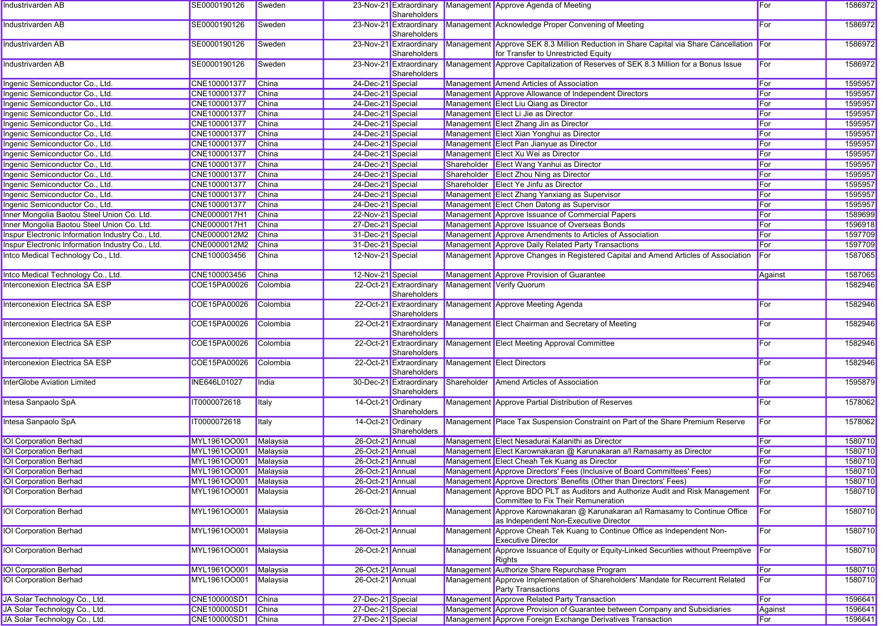| Industrivarden AB                                | SE0000190126          | Sweden       |                    | Shareholders                            |             | 23-Nov-21 Extraordinary Management Approve Agenda of Meeting                                                                    | For        | 1586972 |
|--------------------------------------------------|-----------------------|--------------|--------------------|-----------------------------------------|-------------|---------------------------------------------------------------------------------------------------------------------------------|------------|---------|
| Industrivarden AB                                | SE0000190126          | Sweden       |                    | 23-Nov-21 Extraordinary<br>Shareholders |             | Management Acknowledge Proper Convening of Meeting                                                                              | For        | 1586972 |
| Industrivarden AB                                | SE0000190126          | Sweden       |                    | 23-Nov-21 Extraordinary<br>Shareholders |             | Management Approve SEK 8.3 Million Reduction in Share Capital via Share Cancellation For<br>for Transfer to Unrestricted Equity |            | 1586972 |
| Industrivarden AB                                | SE0000190126          | Sweden       |                    | 23-Nov-21 Extraordinary<br>Shareholders |             | Management Approve Capitalization of Reserves of SEK 8.3 Million for a Bonus Issue                                              | For        | 1586972 |
| Ingenic Semiconductor Co., Ltd.                  | CNE100001377          | China        | 24-Dec-21 Special  |                                         |             | Management Amend Articles of Association                                                                                        | <b>For</b> | 1595957 |
| Ingenic Semiconductor Co., Ltd.                  | CNE100001377          | China        | 24-Dec-21 Special  |                                         |             | Management Approve Allowance of Independent Directors                                                                           | For        | 1595957 |
| Ingenic Semiconductor Co., Ltd.                  | CNE100001377          | <b>China</b> | 24-Dec-21 Special  |                                         |             | Management Elect Liu Qiang as Director                                                                                          | For        | 1595957 |
| Ingenic Semiconductor Co., Ltd.                  | CNE100001377          | China        | 24-Dec-21 Special  |                                         |             | Management Elect Li Jie as Director                                                                                             | For        | 1595957 |
| Ingenic Semiconductor Co., Ltd.                  | CNE100001377          | <b>China</b> | 24-Dec-21 Special  |                                         |             | Management Elect Zhang Jin as Director                                                                                          | For        | 1595957 |
| Ingenic Semiconductor Co., Ltd.                  | CNE100001377          | China        | 24-Dec-21 Special  |                                         |             | Management Elect Xian Yonghui as Director                                                                                       | For        | 1595957 |
| Ingenic Semiconductor Co., Ltd.                  | CNE100001377          | <b>China</b> | 24-Dec-21 Special  |                                         |             | Management Elect Pan Jianyue as Director                                                                                        | For        | 1595957 |
| Ingenic Semiconductor Co., Ltd.                  | CNE100001377          | China        | 24-Dec-21 Special  |                                         |             | Management Elect Xu Wei as Director                                                                                             | For        | 1595957 |
| Ingenic Semiconductor Co., Ltd.                  | CNE100001377          | China        | 24-Dec-21 Special  |                                         |             | Shareholder Elect Wang Yanhui as Director                                                                                       | For        | 1595957 |
| Ingenic Semiconductor Co., Ltd.                  | CNE100001377          | <b>China</b> | 24-Dec-21 Special  |                                         |             | Shareholder Elect Zhou Ning as Director                                                                                         | For        | 1595957 |
| Ingenic Semiconductor Co., Ltd.                  | CNE100001377          | <b>China</b> | 24-Dec-21 Special  |                                         |             | Shareholder Elect Ye Jinfu as Director                                                                                          | For        | 1595957 |
| Ingenic Semiconductor Co., Ltd.                  | CNE100001377          | <b>China</b> | 24-Dec-21 Special  |                                         |             | Management Elect Zhang Yanxiang as Supervisor                                                                                   | For        | 1595957 |
| Ingenic Semiconductor Co., Ltd.                  | CNE100001377          | <b>China</b> | 24-Dec-21 Special  |                                         |             | Management Elect Chen Datong as Supervisor                                                                                      | For        | 1595957 |
| Inner Mongolia Baotou Steel Union Co. Ltd.       | CNE0000017H1          | <b>China</b> | 22-Nov-21 Special  |                                         |             | Management Approve Issuance of Commercial Papers                                                                                | For        | 1589699 |
| Inner Mongolia Baotou Steel Union Co. Ltd.       | CNE0000017H1          | <b>China</b> | 27-Dec-21 Special  |                                         |             | Management Approve Issuance of Overseas Bonds                                                                                   | For        | 1596918 |
| Inspur Electronic Information Industry Co., Ltd. | CNE0000012M2          | <b>China</b> | 31-Dec-21 Special  |                                         |             | Management Approve Amendments to Articles of Association                                                                        | For        | 1597709 |
| Inspur Electronic Information Industry Co., Ltd. | CNE0000012M2          | <b>China</b> | 31-Dec-21 Special  |                                         |             | Management Approve Daily Related Party Transactions                                                                             | For        | 1597709 |
| Intco Medical Technology Co., Ltd.               | CNE100003456          | China        | 12-Nov-21 Special  |                                         |             | Management Approve Changes in Registered Capital and Amend Articles of Association                                              | For        | 1587065 |
| Intco Medical Technology Co., Ltd.               | CNE100003456          | China        | 12-Nov-21 Special  |                                         |             | Management Approve Provision of Guarantee                                                                                       | Against    | 1587065 |
| Interconexion Electrica SA ESP                   | COE15PA00026          | Colombia     |                    | 22-Oct-21 Extraordinary<br>Shareholders |             | Management Verify Quorum                                                                                                        |            | 1582946 |
| Interconexion Electrica SA ESP                   | COE15PA00026          | Colombia     |                    | 22-Oct-21 Extraordinary<br>Shareholders |             | Management Approve Meeting Agenda                                                                                               | For        | 1582946 |
| Interconexion Electrica SA ESP                   | COE15PA00026          | Colombia     |                    | 22-Oct-21 Extraordinary<br>Shareholders |             | Management Elect Chairman and Secretary of Meeting                                                                              | For        | 1582946 |
| Interconexion Electrica SA ESP                   | COE15PA00026          | Colombia     |                    | 22-Oct-21 Extraordinary<br>Shareholders |             | Management Elect Meeting Approval Committee                                                                                     | For        | 1582946 |
| Interconexion Electrica SA ESP                   | COE15PA00026          | Colombia     |                    | 22-Oct-21 Extraordinary<br>Shareholders |             | Management Elect Directors                                                                                                      | For        | 1582946 |
| InterGlobe Aviation Limited                      | INE646L01027          | India        |                    | 30-Dec-21 Extraordinary<br>Shareholders | Shareholder | Amend Articles of Association                                                                                                   | For        | 1595879 |
| Intesa Sanpaolo SpA                              | IT0000072618          | Italy        | 14-Oct-21 Ordinary | Shareholders                            |             | Management Approve Partial Distribution of Reserves                                                                             | For        | 1578062 |
| Intesa Sanpaolo SpA                              | IT0000072618          | Italy        | 14-Oct-21 Ordinary | Shareholders                            |             | Management Place Tax Suspension Constraint on Part of the Share Premium Reserve                                                 | For        | 1578062 |
| <b>IOI Corporation Berhad</b>                    | MYL1961OO001          | Malaysia     | 26-Oct-21 Annual   |                                         |             | Management Elect Nesadurai Kalanithi as Director                                                                                | <b>For</b> | 1580710 |
| <b>IOI Corporation Berhad</b>                    | MYL1961OO001          | Malaysia     | 26-Oct-21 Annual   |                                         |             | Management Elect Karownakaran @ Karunakaran a/l Ramasamy as Director                                                            | For        | 1580710 |
| <b>IOI Corporation Berhad</b>                    | MYL1961OO001          | Malaysia     | 26-Oct-21 Annual   |                                         |             | Management Elect Cheah Tek Kuang as Director                                                                                    | For        | 1580710 |
| <b>IOI Corporation Berhad</b>                    | MYL1961OO001 Malaysia |              | 26-Oct-21 Annual   |                                         |             | Management Approve Directors' Fees (Inclusive of Board Committees' Fees)                                                        | For        | 1580710 |
| <b>IOI Corporation Berhad</b>                    | MYL1961OO001 Malaysia |              | 26-Oct-21 Annual   |                                         |             | Management Approve Directors' Benefits (Other than Directors' Fees)                                                             | For        | 1580710 |
| <b>IOI Corporation Berhad</b>                    | MYL1961OO001          | Malaysia     | 26-Oct-21 Annual   |                                         |             | Management Approve BDO PLT as Auditors and Authorize Audit and Risk Management<br>Committee to Fix Their Remuneration           | For        | 1580710 |
| <b>IOI Corporation Berhad</b>                    | MYL1961OO001          | Malaysia     | 26-Oct-21 Annual   |                                         |             | Management Approve Karownakaran @ Karunakaran a/l Ramasamy to Continue Office<br>as Independent Non-Executive Director          | <b>For</b> | 1580710 |
| <b>IOI Corporation Berhad</b>                    | MYL1961OO001          | Malaysia     | 26-Oct-21 Annual   |                                         |             | Management Approve Cheah Tek Kuang to Continue Office as Independent Non-<br><b>Executive Director</b>                          | For        | 1580710 |
| <b>IOI Corporation Berhad</b>                    | MYL1961OO001          | Malaysia     | 26-Oct-21 Annual   |                                         |             | Management Approve Issuance of Equity or Equity-Linked Securities without Preemptive For<br>Rights                              |            | 1580710 |
| <b>IOI Corporation Berhad</b>                    | MYL1961OO001          | Malaysia     | 26-Oct-21 Annual   |                                         |             | Management Authorize Share Repurchase Program                                                                                   | For        | 1580710 |
| <b>IOI Corporation Berhad</b>                    | MYL1961OO001          | Malaysia     | 26-Oct-21 Annual   |                                         |             | Management Approve Implementation of Shareholders' Mandate for Recurrent Related<br><b>Party Transactions</b>                   | <b>For</b> | 1580710 |
| JA Solar Technology Co., Ltd.                    | CNE100000SD1          | China        | 27-Dec-21 Special  |                                         |             | Management Approve Related Party Transaction                                                                                    | For        | 1596641 |
| JA Solar Technology Co., Ltd.                    | CNE100000SD1          | China        | 27-Dec-21 Special  |                                         |             | Management Approve Provision of Guarantee between Company and Subsidiaries                                                      | Against    | 1596641 |
| JA Solar Technology Co., Ltd.                    | CNE100000SD1 China    |              | 27-Dec-21 Special  |                                         |             | Management Approve Foreign Exchange Derivatives Transaction                                                                     | For        | 1596641 |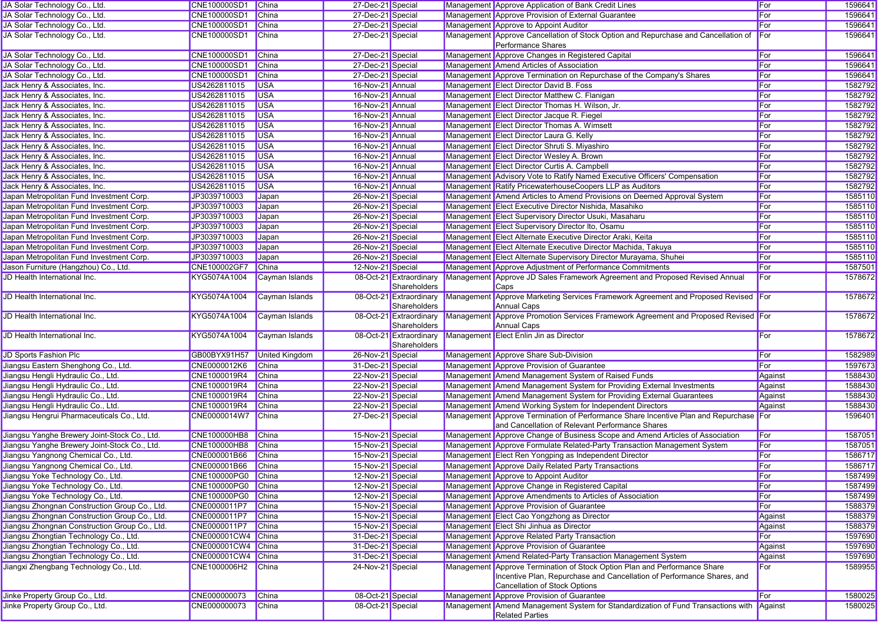| JA Solar Technology Co., Ltd.                                                   | <b>CNE100000SD1</b>          | <b>China</b>          | 27-Dec-21 Special                      |                                         | Management Approve Application of Bank Credit Lines                                                                                                                                                   | For     | 1596641            |
|---------------------------------------------------------------------------------|------------------------------|-----------------------|----------------------------------------|-----------------------------------------|-------------------------------------------------------------------------------------------------------------------------------------------------------------------------------------------------------|---------|--------------------|
| JA Solar Technology Co., Ltd.                                                   | CNE100000SD1                 | China                 | 27-Dec-21 Special                      |                                         | Management Approve Provision of External Guarantee                                                                                                                                                    | For     | 1596641            |
| JA Solar Technology Co., Ltd.                                                   | CNE100000SD1                 | China                 | 27-Dec-21 Special                      |                                         | Management Approve to Appoint Auditor                                                                                                                                                                 | For     | 1596641            |
| JA Solar Technology Co., Ltd.                                                   | CNE100000SD1                 | China                 | 27-Dec-21 Special                      |                                         | Management Approve Cancellation of Stock Option and Repurchase and Cancellation of<br><b>Performance Shares</b>                                                                                       | For     | 1596641            |
| JA Solar Technology Co., Ltd.                                                   | CNE100000SD1                 | China                 | 27-Dec-21 Special                      |                                         | Management Approve Changes in Registered Capital                                                                                                                                                      | For     | 1596641            |
| JA Solar Technology Co., Ltd.                                                   | CNE100000SD1                 | China                 | 27-Dec-21 Special                      |                                         | Management Amend Articles of Association                                                                                                                                                              | For     | 1596641            |
| JA Solar Technology Co., Ltd.                                                   | CNE100000SD1                 | China                 | 27-Dec-21 Special                      |                                         | Management Approve Termination on Repurchase of the Company's Shares                                                                                                                                  | For     | 1596641            |
| Jack Henry & Associates, Inc.                                                   | US4262811015                 | <b>USA</b>            | 16-Nov-21 Annual                       |                                         | Management Elect Director David B. Foss                                                                                                                                                               | For     | 1582792            |
| Jack Henry & Associates, Inc.                                                   | US4262811015                 | <b>USA</b>            | 16-Nov-21 Annual                       |                                         | Management Elect Director Matthew C. Flanigan                                                                                                                                                         | For     | 1582792            |
| Jack Henry & Associates, Inc.                                                   | US4262811015                 | <b>USA</b>            | 16-Nov-21 Annual                       |                                         | Management Elect Director Thomas H. Wilson, Jr.                                                                                                                                                       | For     | 1582792            |
| Jack Henry & Associates, Inc.                                                   | US4262811015                 | <b>USA</b>            | 16-Nov-21 Annual                       |                                         | Management Elect Director Jacque R. Fiegel                                                                                                                                                            | For     | 1582792            |
| Jack Henry & Associates, Inc.                                                   | US4262811015                 | <b>USA</b>            | 16-Nov-21 Annual                       |                                         | Management Elect Director Thomas A. Wimsett                                                                                                                                                           | For     | 1582792            |
| Jack Henry & Associates, Inc.                                                   | US4262811015                 | <b>USA</b>            | 16-Nov-21 Annual                       |                                         | Management Elect Director Laura G. Kelly                                                                                                                                                              | For     | 1582792            |
| Jack Henry & Associates, Inc.                                                   | US4262811015                 | <b>USA</b>            | 16-Nov-21 Annual                       |                                         | Management Elect Director Shruti S. Miyashiro                                                                                                                                                         | For     | 1582792            |
| Jack Henry & Associates, Inc.                                                   | US4262811015                 | <b>USA</b>            | 16-Nov-21 Annual                       |                                         | Management Elect Director Wesley A. Brown                                                                                                                                                             | For     | 1582792            |
| Jack Henry & Associates, Inc.                                                   | US4262811015                 | <b>USA</b>            | 16-Nov-21 Annual                       |                                         | Management Elect Director Curtis A. Campbell                                                                                                                                                          | For     | 1582792            |
| Jack Henry & Associates, Inc.                                                   | US4262811015                 | <b>USA</b>            | 16-Nov-21 Annual                       |                                         | Management Advisory Vote to Ratify Named Executive Officers' Compensation                                                                                                                             | For     | 1582792            |
| Jack Henry & Associates, Inc.                                                   | US4262811015                 | <b>USA</b>            | 16-Nov-21 Annual                       |                                         | Management Ratify PricewaterhouseCoopers LLP as Auditors                                                                                                                                              | For     | 1582792            |
| Japan Metropolitan Fund Investment Corp.                                        | JP3039710003                 | Japan                 | 26-Nov-21 Special                      |                                         | Management Amend Articles to Amend Provisions on Deemed Approval System                                                                                                                               | For     | 1585110            |
| Japan Metropolitan Fund Investment Corp.                                        | JP3039710003                 |                       | 26-Nov-21 Special                      |                                         | Management Elect Executive Director Nishida, Masahiko                                                                                                                                                 | For     | 1585110            |
|                                                                                 |                              | Japan                 |                                        |                                         |                                                                                                                                                                                                       |         |                    |
| Japan Metropolitan Fund Investment Corp.                                        | JP3039710003                 | Japan                 | 26-Nov-21 Special                      |                                         | Management Elect Supervisory Director Usuki, Masaharu                                                                                                                                                 | For     | 1585110            |
| Japan Metropolitan Fund Investment Corp.                                        | JP3039710003                 | Japan                 | 26-Nov-21 Special                      |                                         | Management Elect Supervisory Director Ito, Osamu                                                                                                                                                      | For     | 1585110            |
| Japan Metropolitan Fund Investment Corp.                                        | JP3039710003                 | Japan                 | 26-Nov-21 Special                      |                                         | Management Elect Alternate Executive Director Araki, Keita                                                                                                                                            | For     | 1585110            |
| Japan Metropolitan Fund Investment Corp.                                        | JP3039710003                 | Japan                 | 26-Nov-21 Special                      |                                         | Management Elect Alternate Executive Director Machida, Takuya                                                                                                                                         | For     | 1585110            |
| Japan Metropolitan Fund Investment Corp.                                        | JP3039710003                 | Japan                 | 26-Nov-21 Special                      |                                         | Management Elect Alternate Supervisory Director Murayama, Shuhei                                                                                                                                      | For     | 1585110            |
| Jason Furniture (Hangzhou) Co., Ltd.                                            | CNE100002GF7                 | China                 | 12-Nov-21 Special                      |                                         | Management Approve Adjustment of Performance Commitments                                                                                                                                              | For     | 1587501            |
| JD Health International Inc.                                                    | KYG5074A1004                 | Cayman Islands        |                                        | 08-Oct-21 Extraordinary<br>Shareholders | Management Approve JD Sales Framework Agreement and Proposed Revised Annual<br>Caps                                                                                                                   | For     | 1578672            |
| JD Health International Inc.                                                    | KYG5074A1004                 | Cayman Islands        |                                        | 08-Oct-21 Extraordinary<br>Shareholders | Management Approve Marketing Services Framework Agreement and Proposed Revised For<br>Annual Caps                                                                                                     |         | 1578672            |
| JD Health International Inc.                                                    | KYG5074A1004                 | Cayman Islands        |                                        | 08-Oct-21 Extraordinary<br>Shareholders | Management Approve Promotion Services Framework Agreement and Proposed Revised For<br><b>Annual Caps</b>                                                                                              |         | 1578672            |
| JD Health International Inc.                                                    | KYG5074A1004                 | Cayman Islands        |                                        | 08-Oct-21 Extraordinary<br>Shareholders | Management Elect Enlin Jin as Director                                                                                                                                                                | For     | 1578672            |
| JD Sports Fashion Plc                                                           | GB00BYX91H57                 | <b>United Kingdom</b> | 26-Nov-21 Special                      |                                         | Management Approve Share Sub-Division                                                                                                                                                                 | For     | 1582989            |
| Jiangsu Eastern Shenghong Co., Ltd.                                             | CNE0000012K6                 | China                 | 31-Dec-21 Special                      |                                         | Management Approve Provision of Guarantee                                                                                                                                                             | For     | 1597673            |
| Jiangsu Hengli Hydraulic Co., Ltd.                                              |                              |                       |                                        |                                         |                                                                                                                                                                                                       |         |                    |
|                                                                                 | CNE1000019R4                 | China                 |                                        |                                         |                                                                                                                                                                                                       |         | 1588430            |
|                                                                                 | CNE1000019R4                 | China                 | 22-Nov-21 Special<br>22-Nov-21 Special |                                         | Management Amend Management System of Raised Funds                                                                                                                                                    | Against | 1588430            |
| Jiangsu Hengli Hydraulic Co., Ltd.<br>Jiangsu Hengli Hydraulic Co., Ltd.        | CNE1000019R4                 | <b>China</b>          | 22-Nov-21 Special                      |                                         | Management Amend Management System for Providing External Investments                                                                                                                                 | Against | 1588430            |
|                                                                                 |                              |                       |                                        |                                         | Management Amend Management System for Providing External Guarantees                                                                                                                                  | Against |                    |
| Jiangsu Hengli Hydraulic Co., Ltd.<br>Jiangsu Hengrui Pharmaceuticals Co., Ltd. | CNE1000019R4<br>CNE0000014W7 | China<br>China        | 22-Nov-21 Special<br>27-Dec-21 Special |                                         | Management Amend Working System for Independent Directors<br>Management Approve Termination of Performance Share Incentive Plan and Repurchase For<br>and Cancellation of Relevant Performance Shares | Against | 1588430<br>1596401 |
| Jiangsu Yanghe Brewery Joint-Stock Co., Ltd.                                    | <b>CNE100000HB8</b>          | <b>China</b>          | 15-Nov-21 Special                      |                                         | Management Approve Change of Business Scope and Amend Articles of Association                                                                                                                         | For     | 1587051            |
| Jiangsu Yanghe Brewery Joint-Stock Co., Ltd.                                    | <b>CNE100000HB8</b>          | China                 | 15-Nov-21 Special                      |                                         |                                                                                                                                                                                                       | For     | 1587051            |
|                                                                                 | CNE000001B66                 | China                 |                                        |                                         | Management Approve Formulate Related-Party Transaction Management System                                                                                                                              | For     |                    |
| Jiangsu Yangnong Chemical Co., Ltd.                                             | CNE000001B66                 | China                 | 15-Nov-21 Special                      |                                         | Management Elect Ren Yongping as Independent Director                                                                                                                                                 | For     | 1586717            |
| Jiangsu Yangnong Chemical Co., Ltd.                                             |                              |                       | 15-Nov-21 Special                      |                                         | Management Approve Daily Related Party Transactions                                                                                                                                                   |         | 1586717            |
| Jiangsu Yoke Technology Co., Ltd.                                               | CNE100000PG0 China           |                       | 12-Nov-21 Special                      |                                         | Management Approve to Appoint Auditor                                                                                                                                                                 | For     | 1587499            |
| Jiangsu Yoke Technology Co., Ltd.                                               | CNE100000PG0 China           |                       | 12-Nov-21 Special                      |                                         | Management Approve Change in Registered Capital                                                                                                                                                       | For     | 1587499            |
| Jiangsu Yoke Technology Co., Ltd.                                               | <b>CNE100000PG0</b>          | China                 | 12-Nov-21 Special                      |                                         | Management Approve Amendments to Articles of Association                                                                                                                                              | For     | 1587499            |
| Jiangsu Zhongnan Construction Group Co., Ltd.                                   | CNE0000011P7                 | China                 | 15-Nov-21 Special                      |                                         | Management Approve Provision of Guarantee                                                                                                                                                             | For     | 1588379            |
| Jiangsu Zhongnan Construction Group Co., Ltd.                                   | CNE0000011P7                 | China                 | 15-Nov-21 Special                      |                                         | Management Elect Cao Yongzhong as Director                                                                                                                                                            | Against | 1588379            |
| Jiangsu Zhongnan Construction Group Co., Ltd.                                   | CNE0000011P7                 | China                 | 15-Nov-21 Special                      |                                         | Management Elect Shi Jinhua as Director                                                                                                                                                               | Against | 1588379            |
| Jiangsu Zhongtian Technology Co., Ltd.                                          | CNE000001CW4 China           |                       | 31-Dec-21 Special                      |                                         | Management Approve Related Party Transaction                                                                                                                                                          | For     | 1597690            |
| Jiangsu Zhongtian Technology Co., Ltd.                                          | CNE000001CW4 China           |                       | 31-Dec-21 Special                      |                                         | Management Approve Provision of Guarantee                                                                                                                                                             | Against | 1597690            |
| Jiangsu Zhongtian Technology Co., Ltd.                                          | CNE000001CW4 China           |                       | 31-Dec-21 Special                      |                                         | Management Amend Related-Party Transaction Management System                                                                                                                                          | Against | 1597690            |
| Jiangxi Zhengbang Technology Co., Ltd.                                          | CNE1000006H2                 | China                 | 24-Nov-21 Special                      |                                         | Management Approve Termination of Stock Option Plan and Performance Share<br>Incentive Plan, Repurchase and Cancellation of Performance Shares, and<br>Cancellation of Stock Options                  | For     | 1589955            |
| Jinke Property Group Co., Ltd.                                                  | CNE000000073                 | China                 | 08-Oct-21 Special                      |                                         | Management Approve Provision of Guarantee                                                                                                                                                             | For     | 1580025            |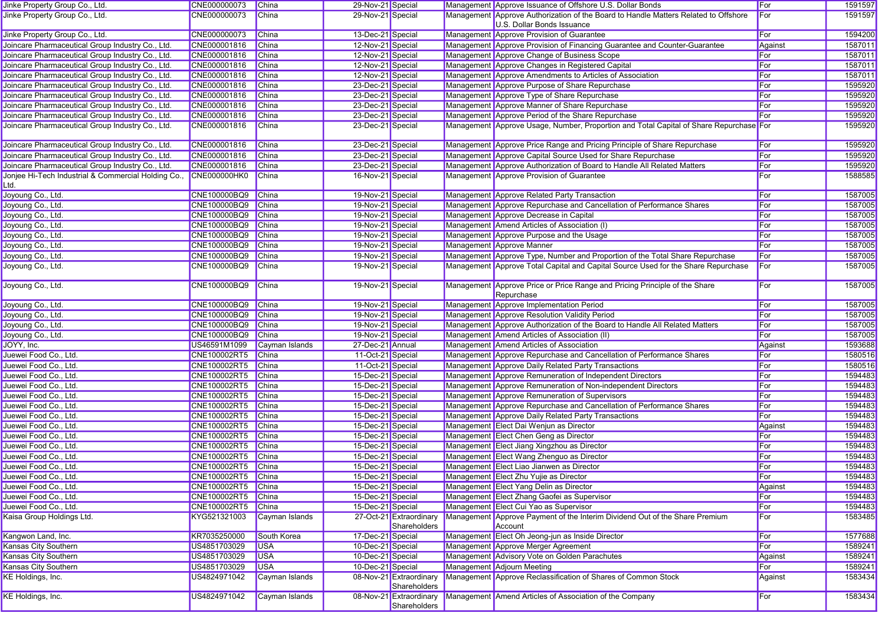| Jinke Property Group Co., Ltd.                              | CNE000000073        | <b>China</b>   | 29-Nov-21 Special |                                         | Management Approve Issuance of Offshore U.S. Dollar Bonds                                                         | For        | 1591597 |
|-------------------------------------------------------------|---------------------|----------------|-------------------|-----------------------------------------|-------------------------------------------------------------------------------------------------------------------|------------|---------|
| Jinke Property Group Co., Ltd.                              | CNE000000073        | China          | 29-Nov-21 Special |                                         | Management Approve Authorization of the Board to Handle Matters Related to Offshore<br>U.S. Dollar Bonds Issuance | For        | 1591597 |
| Jinke Property Group Co., Ltd.                              | CNE000000073        | China          | 13-Dec-21 Special |                                         | Management Approve Provision of Guarantee                                                                         | For        | 1594200 |
| Joincare Pharmaceutical Group Industry Co., Ltd.            | CNE000001816        | China          | 12-Nov-21 Special |                                         | Management Approve Provision of Financing Guarantee and Counter-Guarantee                                         | Against    | 1587011 |
| Joincare Pharmaceutical Group Industry Co., Ltd.            | CNE000001816        | <b>China</b>   | 12-Nov-21 Special |                                         | Management Approve Change of Business Scope                                                                       | For        | 1587011 |
| Joincare Pharmaceutical Group Industry Co., Ltd.            | CNE000001816        | China          | 12-Nov-21 Special |                                         | Management Approve Changes in Registered Capital                                                                  | For        | 1587011 |
| Joincare Pharmaceutical Group Industry Co., Ltd.            | CNE000001816        | <b>China</b>   | 12-Nov-21 Special |                                         | Management Approve Amendments to Articles of Association                                                          | For        | 1587011 |
| Joincare Pharmaceutical Group Industry Co., Ltd.            | CNE000001816        | China          | 23-Dec-21 Special |                                         | Management Approve Purpose of Share Repurchase                                                                    | For        | 1595920 |
| Joincare Pharmaceutical Group Industry Co., Ltd.            | CNE000001816        | China          | 23-Dec-21 Special |                                         | Management Approve Type of Share Repurchase                                                                       | For        | 1595920 |
| Joincare Pharmaceutical Group Industry Co., Ltd.            | CNE000001816        | <b>China</b>   | 23-Dec-21 Special |                                         | Management Approve Manner of Share Repurchase                                                                     | For        | 1595920 |
| Joincare Pharmaceutical Group Industry Co., Ltd.            | CNE000001816        | China          | 23-Dec-21 Special |                                         | Management Approve Period of the Share Repurchase                                                                 | For        | 1595920 |
| Joincare Pharmaceutical Group Industry Co., Ltd.            | CNE000001816        | China          | 23-Dec-21 Special |                                         | Management Approve Usage, Number, Proportion and Total Capital of Share Repurchase For                            |            | 1595920 |
| Joincare Pharmaceutical Group Industry Co., Ltd.            | CNE000001816        | China          | 23-Dec-21 Special |                                         | Management Approve Price Range and Pricing Principle of Share Repurchase                                          | For        | 1595920 |
| Joincare Pharmaceutical Group Industry Co., Ltd.            | CNE000001816        | China          | 23-Dec-21 Special |                                         | Management Approve Capital Source Used for Share Repurchase                                                       | For        | 1595920 |
| Joincare Pharmaceutical Group Industry Co., Ltd.            | CNE000001816        | China          | 23-Dec-21 Special |                                         | Management Approve Authorization of Board to Handle All Related Matters                                           | For        | 1595920 |
| Jonjee Hi-Tech Industrial & Commercial Holding Co.,<br>Ltd. | <b>CNE000000HK0</b> | China          | 16-Nov-21 Special |                                         | Management Approve Provision of Guarantee                                                                         | For        | 1588585 |
| Joyoung Co., Ltd.                                           | CNE100000BQ9        | China          | 19-Nov-21 Special |                                         | Management Approve Related Party Transaction                                                                      | <b>For</b> | 1587005 |
| Joyoung Co., Ltd.                                           | CNE100000BQ9        | China          | 19-Nov-21 Special |                                         | Management Approve Repurchase and Cancellation of Performance Shares                                              | For        | 1587005 |
| Joyoung Co., Ltd.                                           | CNE100000BQ9        | <b>China</b>   | 19-Nov-21 Special |                                         | Management Approve Decrease in Capital                                                                            | For        | 1587005 |
| Joyoung Co., Ltd.                                           | CNE100000BQ9        | <b>China</b>   | 19-Nov-21 Special |                                         | Management Amend Articles of Association (I)                                                                      | For        | 1587005 |
| Joyoung Co., Ltd.                                           | CNE100000BQ9        | China          | 19-Nov-21 Special |                                         | Management Approve Purpose and the Usage                                                                          | For        | 1587005 |
| Joyoung Co., Ltd.                                           | CNE100000BQ9        | China          | 19-Nov-21 Special |                                         | Management Approve Manner                                                                                         | For        | 1587005 |
| Joyoung Co., Ltd.                                           | CNE100000BQ9        | <b>China</b>   | 19-Nov-21 Special |                                         | Management Approve Type, Number and Proportion of the Total Share Repurchase                                      | For        | 1587005 |
| Joyoung Co., Ltd.                                           | CNE100000BQ9        | <b>China</b>   | 19-Nov-21 Special |                                         | Management Approve Total Capital and Capital Source Used for the Share Repurchase                                 | For        | 1587005 |
| Joyoung Co., Ltd.                                           | CNE100000BQ9        | China          | 19-Nov-21 Special |                                         | Management Approve Price or Price Range and Pricing Principle of the Share<br>Repurchase                          | For        | 1587005 |
| Joyoung Co., Ltd.                                           | CNE100000BQ9        | China          | 19-Nov-21 Special |                                         | Management Approve Implementation Period                                                                          | For        | 1587005 |
| Joyoung Co., Ltd.                                           | CNE100000BQ9        | <b>China</b>   | 19-Nov-21 Special |                                         | Management Approve Resolution Validity Period                                                                     | For        | 1587005 |
| Joyoung Co., Ltd.                                           | CNE100000BQ9        | <b>China</b>   | 19-Nov-21 Special |                                         | Management Approve Authorization of the Board to Handle All Related Matters                                       | For        | 1587005 |
| Joyoung Co., Ltd.                                           | CNE100000BQ9        | China          | 19-Nov-21 Special |                                         | Management Amend Articles of Association (II)                                                                     | For        | 1587005 |
| JOYY, Inc.                                                  | US46591M1099        | Cayman Islands | 27-Dec-21 Annual  |                                         | Management Amend Articles of Association                                                                          | Against    | 1593688 |
| Juewei Food Co., Ltd.                                       | CNE100002RT5        | China          | 11-Oct-21 Special |                                         | Management Approve Repurchase and Cancellation of Performance Shares                                              | For        | 1580516 |
| Juewei Food Co., Ltd.                                       | CNE100002RT5        | <b>China</b>   | 11-Oct-21 Special |                                         | Management Approve Daily Related Party Transactions                                                               | For        | 1580516 |
| Juewei Food Co., Ltd.                                       | CNE100002RT5        | China          | 15-Dec-21 Special |                                         | Management Approve Remuneration of Independent Directors                                                          | For        | 1594483 |
| Juewei Food Co., Ltd.                                       | CNE100002RT5        | China          | 15-Dec-21 Special |                                         | Management Approve Remuneration of Non-independent Directors                                                      | For        | 1594483 |
| Juewei Food Co., Ltd.                                       | CNE100002RT5        | <b>China</b>   | 15-Dec-21 Special |                                         | Management Approve Remuneration of Supervisors                                                                    | For        | 1594483 |
| Juewei Food Co., Ltd.                                       | CNE100002RT5        | China          | 15-Dec-21 Special |                                         | Management Approve Repurchase and Cancellation of Performance Shares                                              | For        | 1594483 |
| Juewei Food Co., Ltd.                                       | CNE100002RT5        | <b>China</b>   | 15-Dec-21 Special |                                         | Management Approve Daily Related Party Transactions                                                               | For        | 1594483 |
| Juewei Food Co., Ltd.                                       | CNE100002RT5        | <b>China</b>   | 15-Dec-21 Special |                                         | Management Elect Dai Wenjun as Director                                                                           | Against    | 1594483 |
| Juewei Food Co., Ltd.                                       | CNE100002RT5        | China          | 15-Dec-21 Special |                                         | Management Elect Chen Geng as Director                                                                            | For        | 1594483 |
| Juewei Food Co., Ltd.                                       | CNE100002RT5        | China          | 15-Dec-21 Special |                                         | Management Elect Jiang Xingzhou as Director                                                                       | For        | 1594483 |
| Juewei Food Co., Ltd.                                       | CNE100002RT5        | China          | 15-Dec-21 Special |                                         | Management Elect Wang Zhenguo as Director                                                                         | For        | 1594483 |
| Juewei Food Co., Ltd.                                       | CNE100002RT5        | China          | 15-Dec-21 Special |                                         | Management Elect Liao Jianwen as Director                                                                         | For        | 1594483 |
| Juewei Food Co., Ltd.                                       | CNE100002RT5 China  |                | 15-Dec-21 Special |                                         | Management Elect Zhu Yujie as Director                                                                            | For        | 1594483 |
| Juewei Food Co., Ltd.                                       | CNE100002RT5        | China          | 15-Dec-21 Special |                                         | Management Elect Yang Delin as Director                                                                           | Against    | 1594483 |
| Juewei Food Co., Ltd.                                       | CNE100002RT5        | China          | 15-Dec-21 Special |                                         | Management Elect Zhang Gaofei as Supervisor                                                                       | For        | 1594483 |
| Juewei Food Co., Ltd.                                       | CNE100002RT5        | China          | 15-Dec-21 Special |                                         | Management Elect Cui Yao as Supervisor                                                                            | For        | 1594483 |
| Kaisa Group Holdings Ltd.                                   | KYG521321003        | Cayman Islands |                   | 27-Oct-21 Extraordinary<br>Shareholders | Management Approve Payment of the Interim Dividend Out of the Share Premium<br>Account                            | For        | 1583485 |
| Kangwon Land, Inc.                                          | KR7035250000        | South Korea    | 17-Dec-21 Special |                                         | Management Elect Oh Jeong-jun as Inside Director                                                                  | For        | 1577688 |
| Kansas City Southern                                        | US4851703029        | <b>USA</b>     | 10-Dec-21 Special |                                         | Management Approve Merger Agreement                                                                               | For        | 1589241 |
| Kansas City Southern                                        | US4851703029        | <b>USA</b>     | 10-Dec-21 Special |                                         | Management Advisory Vote on Golden Parachutes                                                                     | Against    | 1589241 |
| Kansas City Southern                                        | US4851703029        | <b>USA</b>     | 10-Dec-21 Special |                                         | Management Adjourn Meeting                                                                                        | For        | 1589241 |
| KE Holdings, Inc.                                           | US4824971042        | Cayman Islands |                   | 08-Nov-21 Extraordinary<br>Shareholders | Management Approve Reclassification of Shares of Common Stock                                                     | Against    | 1583434 |
| KE Holdings, Inc.                                           | US4824971042        | Cayman Islands |                   | 08-Nov-21 Extraordinary<br>Shareholders | Management Amend Articles of Association of the Company                                                           | For        | 1583434 |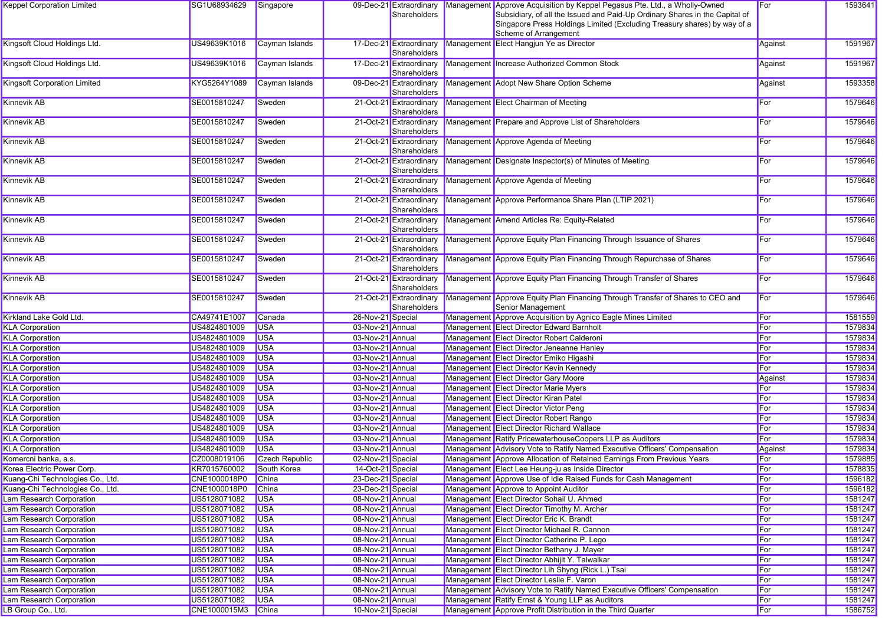| <b>Keppel Corporation Limited</b>   | SG1U68934629       | Singapore      |                   | 09-Dec-21 Extraordinary                 | Management Approve Acquisition by Keppel Pegasus Pte. Ltd., a Wholly-Owned                          | For     | 1593641 |
|-------------------------------------|--------------------|----------------|-------------------|-----------------------------------------|-----------------------------------------------------------------------------------------------------|---------|---------|
|                                     |                    |                |                   | Shareholders                            | Subsidiary, of all the Issued and Paid-Up Ordinary Shares in the Capital of                         |         |         |
|                                     |                    |                |                   |                                         | Singapore Press Holdings Limited (Excluding Treasury shares) by way of a                            |         |         |
|                                     |                    |                |                   |                                         | Scheme of Arrangement                                                                               |         |         |
| Kingsoft Cloud Holdings Ltd.        | US49639K1016       | Cayman Islands |                   | 17-Dec-21 Extraordinary<br>Shareholders | Management Elect Hangjun Ye as Director                                                             | Against | 1591967 |
| Kingsoft Cloud Holdings Ltd.        | US49639K1016       | Cayman Islands |                   | 17-Dec-21 Extraordinary<br>Shareholders | Management Increase Authorized Common Stock                                                         | Against | 1591967 |
| <b>Kingsoft Corporation Limited</b> | KYG5264Y1089       | Cayman Islands |                   | Shareholders                            | 09-Dec-21 Extraordinary Management Adopt New Share Option Scheme                                    | Against | 1593358 |
| Kinnevik AB                         | SE0015810247       | Sweden         |                   | 21-Oct-21 Extraordinary                 | Management Elect Chairman of Meeting                                                                | For     | 1579646 |
|                                     |                    |                |                   | Shareholders                            |                                                                                                     |         |         |
| <b>Kinnevik AB</b>                  | SE0015810247       | Sweden         |                   | 21-Oct-21 Extraordinary<br>Shareholders | Management Prepare and Approve List of Shareholders                                                 | For     | 1579646 |
| Kinnevik AB                         | SE0015810247       | Sweden         |                   | 21-Oct-21 Extraordinary<br>Shareholders | Management Approve Agenda of Meeting                                                                | For     | 1579646 |
| Kinnevik AB                         | SE0015810247       | Sweden         |                   | 21-Oct-21 Extraordinary<br>Shareholders | Management Designate Inspector(s) of Minutes of Meeting                                             | For     | 1579646 |
| <b>Kinnevik AB</b>                  | SE0015810247       | Sweden         |                   | 21-Oct-21 Extraordinary<br>Shareholders | Management Approve Agenda of Meeting                                                                | For     | 1579646 |
| Kinnevik AB                         | SE0015810247       | Sweden         |                   | 21-Oct-21 Extraordinary<br>Shareholders | Management Approve Performance Share Plan (LTIP 2021)                                               | For     | 1579646 |
| Kinnevik AB                         | SE0015810247       | Sweden         |                   | 21-Oct-21 Extraordinary<br>Shareholders | Management Amend Articles Re: Equity-Related                                                        | For     | 1579646 |
| <b>Kinnevik AB</b>                  | SE0015810247       | Sweden         |                   | 21-Oct-21 Extraordinary<br>Shareholders | Management Approve Equity Plan Financing Through Issuance of Shares                                 | For     | 1579646 |
| Kinnevik AB                         | SE0015810247       | Sweden         |                   | 21-Oct-21 Extraordinary<br>Shareholders | Management Approve Equity Plan Financing Through Repurchase of Shares                               | For     | 1579646 |
| <b>Kinnevik AB</b>                  | SE0015810247       | Sweden         |                   | 21-Oct-21 Extraordinary<br>Shareholders | Management Approve Equity Plan Financing Through Transfer of Shares                                 | For     | 1579646 |
| Kinnevik AB                         | SE0015810247       | Sweden         |                   | 21-Oct-21 Extraordinary<br>Shareholders | Management Approve Equity Plan Financing Through Transfer of Shares to CEO and<br>Senior Management | For     | 1579646 |
| Kirkland Lake Gold Ltd.             | CA49741E1007       | Canada         | 26-Nov-21 Special |                                         | Management Approve Acquisition by Agnico Eagle Mines Limited                                        | For     | 1581559 |
| <b>KLA Corporation</b>              | US4824801009       | <b>USA</b>     | 03-Nov-21 Annual  |                                         | Management Elect Director Edward Barnholt                                                           | For     | 1579834 |
| <b>KLA Corporation</b>              | US4824801009       | <b>USA</b>     | 03-Nov-21 Annual  |                                         | Management Elect Director Robert Calderoni                                                          | For     | 1579834 |
| <b>KLA Corporation</b>              | US4824801009       | <b>USA</b>     | 03-Nov-21 Annual  |                                         | Management Elect Director Jeneanne Hanley                                                           | For     | 1579834 |
| <b>KLA Corporation</b>              | US4824801009       | <b>USA</b>     | 03-Nov-21 Annual  |                                         | Management Elect Director Emiko Higashi                                                             | For     | 1579834 |
| <b>KLA Corporation</b>              | US4824801009       | <b>USA</b>     | 03-Nov-21 Annual  |                                         | Management Elect Director Kevin Kennedy                                                             | For     | 1579834 |
| <b>KLA Corporation</b>              | US4824801009       | <b>USA</b>     | 03-Nov-21 Annual  |                                         | Management Elect Director Gary Moore                                                                | Against | 1579834 |
| <b>KLA Corporation</b>              | US4824801009       | <b>USA</b>     | 03-Nov-21 Annual  |                                         | Management Elect Director Marie Myers                                                               | For     | 1579834 |
| <b>KLA Corporation</b>              | US4824801009       | <b>USA</b>     | 03-Nov-21 Annual  |                                         | Management Elect Director Kiran Patel                                                               | For     | 1579834 |
| <b>KLA Corporation</b>              | US4824801009       | <b>USA</b>     | 03-Nov-21 Annual  |                                         | Management Elect Director Victor Peng                                                               | For     | 1579834 |
| <b>KLA Corporation</b>              | US4824801009       | <b>USA</b>     | 03-Nov-21 Annual  |                                         | Management Elect Director Robert Rango                                                              | For     | 1579834 |
| <b>KLA Corporation</b>              | US4824801009       | <b>USA</b>     | 03-Nov-21 Annual  |                                         | Management Elect Director Richard Wallace                                                           | For     | 1579834 |
| <b>KLA Corporation</b>              | US4824801009       | <b>USA</b>     | 03-Nov-21 Annual  |                                         | Management Ratify PricewaterhouseCoopers LLP as Auditors                                            | For     | 1579834 |
| <b>KLA Corporation</b>              | US4824801009       | <b>USA</b>     | 03-Nov-21 Annual  |                                         | Management Advisory Vote to Ratify Named Executive Officers' Compensation                           | Against | 1579834 |
| Komercni banka, a.s.                | CZ0008019106       | Czech Republic | 02-Nov-21 Special |                                         | Management Approve Allocation of Retained Earnings From Previous Years                              | For     | 1579885 |
| Korea Electric Power Corp.          | KR7015760002       | South Korea    | 14-Oct-21 Special |                                         | Management Elect Lee Heung-ju as Inside Director                                                    | For     | 1578835 |
| Kuang-Chi Technologies Co., Ltd.    |                    |                |                   |                                         | Management Approve Use of Idle Raised Funds for Cash Management                                     | For     |         |
|                                     | CNE1000018P0 China |                | 23-Dec-21 Special |                                         |                                                                                                     |         | 1596182 |
| Kuang-Chi Technologies Co., Ltd.    | CNE1000018P0       | China          | 23-Dec-21 Special |                                         | Management Approve to Appoint Auditor                                                               | For     | 1596182 |
| Lam Research Corporation            | US5128071082       | <b>USA</b>     | 08-Nov-21 Annual  |                                         | Management Elect Director Sohail U. Ahmed                                                           | For     | 1581247 |
| Lam Research Corporation            | US5128071082       | <b>USA</b>     | 08-Nov-21 Annual  |                                         | Management Elect Director Timothy M. Archer                                                         | For     | 1581247 |
| Lam Research Corporation            | US5128071082       | <b>USA</b>     | 08-Nov-21 Annual  |                                         | Management Elect Director Eric K. Brandt                                                            | For     | 1581247 |
| Lam Research Corporation            | US5128071082       | <b>USA</b>     | 08-Nov-21 Annual  |                                         | Management Elect Director Michael R. Cannon                                                         | For     | 1581247 |
| Lam Research Corporation            | US5128071082       | <b>USA</b>     | 08-Nov-21 Annual  |                                         | Management Elect Director Catherine P. Lego                                                         | For     | 1581247 |
| Lam Research Corporation            | US5128071082       | <b>USA</b>     | 08-Nov-21 Annual  |                                         | Management Elect Director Bethany J. Mayer                                                          | For     | 1581247 |
| Lam Research Corporation            | US5128071082       | <b>USA</b>     | 08-Nov-21 Annual  |                                         | Management Elect Director Abhijit Y. Talwalkar                                                      | For     | 1581247 |
| Lam Research Corporation            | US5128071082       | <b>USA</b>     | 08-Nov-21 Annual  |                                         | Management Elect Director Lih Shyng (Rick L.) Tsai                                                  | For     | 1581247 |
| Lam Research Corporation            | US5128071082       | <b>USA</b>     | 08-Nov-21 Annual  |                                         | Management Elect Director Leslie F. Varon                                                           | For     | 1581247 |
| Lam Research Corporation            | US5128071082       | <b>USA</b>     | 08-Nov-21 Annual  |                                         | Management Advisory Vote to Ratify Named Executive Officers' Compensation                           | For     | 1581247 |
| Lam Research Corporation            | US5128071082       | <b>USA</b>     | 08-Nov-21 Annual  |                                         | Management Ratify Ernst & Young LLP as Auditors                                                     | For     | 1581247 |
| LB Group Co., Ltd.                  | CNE1000015M3 China |                | 10-Nov-21 Special |                                         | Management Approve Profit Distribution in the Third Quarter                                         | For     | 1586752 |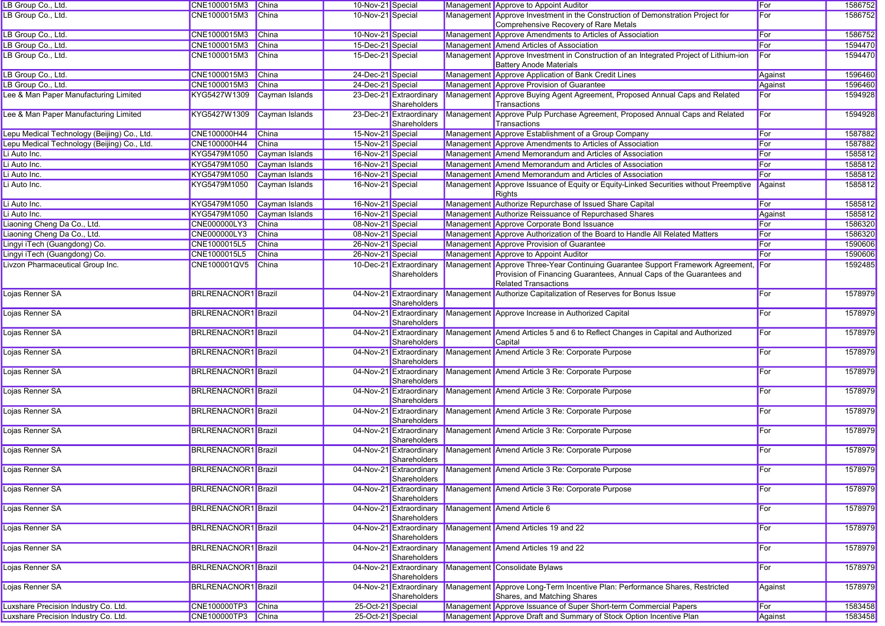| LB Group Co., Ltd.                          | CNE1000015M3 China         |                | 10-Nov-21 Special |                                         | Management Approve to Appoint Auditor                                                                                                                                                 | For     | 1586752 |
|---------------------------------------------|----------------------------|----------------|-------------------|-----------------------------------------|---------------------------------------------------------------------------------------------------------------------------------------------------------------------------------------|---------|---------|
| LB Group Co., Ltd.                          | CNE1000015M3               | China          | 10-Nov-21 Special |                                         | Management Approve Investment in the Construction of Demonstration Project for<br>Comprehensive Recovery of Rare Metals                                                               | For     | 1586752 |
| LB Group Co., Ltd.                          | CNE1000015M3               | China          | 10-Nov-21 Special |                                         | Management Approve Amendments to Articles of Association                                                                                                                              | For     | 1586752 |
| LB Group Co., Ltd.                          | CNE1000015M3               | <b>China</b>   | 15-Dec-21 Special |                                         | Management Amend Articles of Association                                                                                                                                              | For     | 1594470 |
| LB Group Co., Ltd.                          | CNE1000015M3               | China          | 15-Dec-21 Special |                                         | Management Approve Investment in Construction of an Integrated Project of Lithium-ion<br><b>Battery Anode Materials</b>                                                               | For     | 1594470 |
| LB Group Co., Ltd.                          | CNE1000015M3               | China          | 24-Dec-21 Special |                                         | Management Approve Application of Bank Credit Lines                                                                                                                                   | Against | 1596460 |
| LB Group Co., Ltd.                          | CNE1000015M3               | China          | 24-Dec-21 Special |                                         | Management Approve Provision of Guarantee                                                                                                                                             | Against | 1596460 |
| Lee & Man Paper Manufacturing Limited       | KYG5427W1309               | Cayman Islands |                   | 23-Dec-21 Extraordinary<br>Shareholders | Management Approve Buying Agent Agreement, Proposed Annual Caps and Related<br>Transactions                                                                                           | For     | 1594928 |
| Lee & Man Paper Manufacturing Limited       | KYG5427W1309               | Cayman Islands |                   | 23-Dec-21 Extraordinary<br>Shareholders | Management Approve Pulp Purchase Agreement, Proposed Annual Caps and Related<br>Transactions                                                                                          | For     | 1594928 |
| Lepu Medical Technology (Beijing) Co., Ltd. | CNE100000H44               | China          | 15-Nov-21 Special |                                         | Management Approve Establishment of a Group Company                                                                                                                                   | For     | 1587882 |
| Lepu Medical Technology (Beijing) Co., Ltd. | CNE100000H44               | China          | 15-Nov-21 Special |                                         | Management Approve Amendments to Articles of Association                                                                                                                              | For     | 1587882 |
| Li Auto Inc.                                | KYG5479M1050               | Cayman Islands | 16-Nov-21 Special |                                         | Management Amend Memorandum and Articles of Association                                                                                                                               | For     | 1585812 |
| Li Auto Inc.                                | KYG5479M1050               | Cayman Islands | 16-Nov-21 Special |                                         | Management Amend Memorandum and Articles of Association                                                                                                                               | For     | 1585812 |
| Li Auto Inc.                                | KYG5479M1050               | Cayman Islands | 16-Nov-21 Special |                                         | Management Amend Memorandum and Articles of Association                                                                                                                               | For     | 1585812 |
| Li Auto Inc.                                | KYG5479M1050               | Cayman Islands | 16-Nov-21 Special |                                         | Management Approve Issuance of Equity or Equity-Linked Securities without Preemptive<br>Rights                                                                                        | Against | 1585812 |
| Li Auto Inc.                                | KYG5479M1050               | Cayman Islands | 16-Nov-21 Special |                                         | Management Authorize Repurchase of Issued Share Capital                                                                                                                               | For     | 1585812 |
| Li Auto Inc.                                | KYG5479M1050               | Cayman Islands | 16-Nov-21 Special |                                         | Management Authorize Reissuance of Repurchased Shares                                                                                                                                 | Against | 1585812 |
| Liaoning Cheng Da Co., Ltd.                 | CNE000000LY3               | China          | 08-Nov-21 Special |                                         | Management Approve Corporate Bond Issuance                                                                                                                                            | For     | 1586320 |
| Liaoning Cheng Da Co., Ltd.                 | CNE000000LY3               | China          | 08-Nov-21 Special |                                         | Management Approve Authorization of the Board to Handle All Related Matters                                                                                                           | For     | 1586320 |
| Lingyi iTech (Guangdong) Co.                | CNE1000015L5               | China          | 26-Nov-21 Special |                                         | Management Approve Provision of Guarantee                                                                                                                                             | For     | 1590606 |
| Lingyi iTech (Guangdong) Co.                | CNE1000015L5               | China          | 26-Nov-21 Special |                                         | Management Approve to Appoint Auditor                                                                                                                                                 | For     | 1590606 |
| Livzon Pharmaceutical Group Inc.            | CNE100001QV5               | China          |                   | 10-Dec-21 Extraordinary<br>Shareholders | Management Approve Three-Year Continuing Guarantee Support Framework Agreement<br>Provision of Financing Guarantees, Annual Caps of the Guarantees and<br><b>Related Transactions</b> | For     | 1592485 |
| Lojas Renner SA                             | <b>BRLRENACNOR1</b> Brazil |                |                   | 04-Nov-21 Extraordinary<br>Shareholders | Management Authorize Capitalization of Reserves for Bonus Issue                                                                                                                       | For     | 1578979 |
| Lojas Renner SA                             | <b>BRLRENACNOR1</b> Brazil |                |                   | 04-Nov-21 Extraordinary<br>Shareholders | Management Approve Increase in Authorized Capital                                                                                                                                     | For     | 1578979 |
| Lojas Renner SA                             | <b>BRLRENACNOR1</b> Brazil |                |                   | 04-Nov-21 Extraordinary<br>Shareholders | Management Amend Articles 5 and 6 to Reflect Changes in Capital and Authorized<br>Capital                                                                                             | For     | 1578979 |
| Lojas Renner SA                             | <b>BRLRENACNOR1</b> Brazil |                |                   | 04-Nov-21 Extraordinary<br>Shareholders | Management Amend Article 3 Re: Corporate Purpose                                                                                                                                      | For     | 1578979 |
| Lojas Renner SA                             | <b>BRLRENACNOR1</b> Brazil |                |                   | 04-Nov-21 Extraordinary<br>Shareholders | Management Amend Article 3 Re: Corporate Purpose                                                                                                                                      | For     | 1578979 |
| Lojas Renner SA                             | <b>BRLRENACNOR1</b> Brazil |                |                   | 04-Nov-21 Extraordinary<br>Shareholders | Management Amend Article 3 Re: Corporate Purpose                                                                                                                                      | For     | 1578979 |
| Lojas Renner SA                             | <b>BRLRENACNOR1</b> Brazil |                |                   | 04-Nov-21 Extraordinary<br>Shareholders | Management Amend Article 3 Re: Corporate Purpose                                                                                                                                      | For     | 1578979 |
| Lojas Renner SA                             | <b>BRLRENACNOR1</b> Brazil |                |                   | 04-Nov-21 Extraordinary<br>Shareholders | Management Amend Article 3 Re: Corporate Purpose                                                                                                                                      | For     | 1578979 |
| Lojas Renner SA                             | <b>BRLRENACNOR1</b> Brazil |                |                   | 04-Nov-21 Extraordinary<br>Shareholders | Management Amend Article 3 Re: Corporate Purpose                                                                                                                                      | For     | 1578979 |
| Lojas Renner SA                             | <b>BRLRENACNOR1</b> Brazil |                |                   | Shareholders                            | 04-Nov-21 Extraordinary Management Amend Article 3 Re: Corporate Purpose                                                                                                              | For     | 1578979 |
| Lojas Renner SA                             | <b>BRLRENACNOR1</b> Brazil |                |                   | 04-Nov-21 Extraordinary<br>Shareholders | Management Amend Article 3 Re: Corporate Purpose                                                                                                                                      | For     | 1578979 |
| Lojas Renner SA                             | <b>BRLRENACNOR1</b> Brazil |                |                   | 04-Nov-21 Extraordinary<br>Shareholders | Management Amend Article 6                                                                                                                                                            | For     | 1578979 |
| Lojas Renner SA                             | <b>BRLRENACNOR1</b> Brazil |                |                   | 04-Nov-21 Extraordinary<br>Shareholders | Management Amend Articles 19 and 22                                                                                                                                                   | For     | 1578979 |
| Lojas Renner SA                             | <b>BRLRENACNOR1</b> Brazil |                |                   | 04-Nov-21 Extraordinary<br>Shareholders | Management Amend Articles 19 and 22                                                                                                                                                   | For     | 1578979 |
| Lojas Renner SA                             | <b>BRLRENACNOR1</b> Brazil |                |                   | 04-Nov-21 Extraordinary<br>Shareholders | Management Consolidate Bylaws                                                                                                                                                         | For     | 1578979 |
| Lojas Renner SA                             | <b>BRLRENACNOR1</b> Brazil |                |                   | 04-Nov-21 Extraordinary<br>Shareholders | Management Approve Long-Term Incentive Plan: Performance Shares, Restricted<br>Shares, and Matching Shares                                                                            | Against | 1578979 |
| Luxshare Precision Industry Co. Ltd.        | CNE100000TP3               | China          | 25-Oct-21 Special |                                         | Management Approve Issuance of Super Short-term Commercial Papers                                                                                                                     | For     | 1583458 |
| Luxshare Precision Industry Co. Ltd.        | CNE100000TP3 China         |                | 25-Oct-21 Special |                                         | Management Approve Draft and Summary of Stock Option Incentive Plan                                                                                                                   | Against | 1583458 |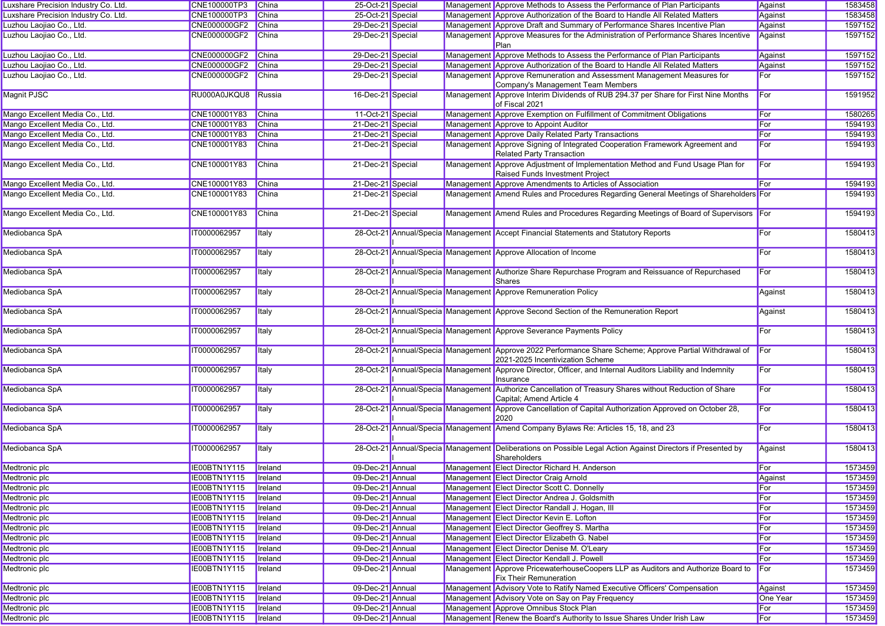| Luxshare Precision Industry Co. Ltd. | CNE100000TP3        | <b>China</b>    | 25-Oct-21 Special |  | Management Approve Methods to Assess the Performance of Plan Participants                                                                   | Against         | 1583458 |
|--------------------------------------|---------------------|-----------------|-------------------|--|---------------------------------------------------------------------------------------------------------------------------------------------|-----------------|---------|
| Luxshare Precision Industry Co. Ltd. | CNE100000TP3        | China           | 25-Oct-21 Special |  | Management Approve Authorization of the Board to Handle All Related Matters                                                                 | Against         | 1583458 |
| Luzhou Laojiao Co., Ltd.             | CNE000000GF2        | China           | 29-Dec-21 Special |  | Management Approve Draft and Summary of Performance Shares Incentive Plan                                                                   | Against         | 1597152 |
| Luzhou Laojiao Co., Ltd.             | CNE000000GF2        | China           | 29-Dec-21 Special |  | Management Approve Measures for the Administration of Performance Shares Incentive<br>Plan                                                  | Against         | 1597152 |
| Luzhou Laojiao Co., Ltd.             | <b>CNE000000GF2</b> | China           | 29-Dec-21 Special |  | Management Approve Methods to Assess the Performance of Plan Participants                                                                   | Against         | 1597152 |
| Luzhou Laojiao Co., Ltd.             | <b>CNE000000GF2</b> | China           | 29-Dec-21 Special |  | Management Approve Authorization of the Board to Handle All Related Matters                                                                 | Against         | 1597152 |
| Luzhou Laojiao Co., Ltd.             | CNE000000GF2        | <b>China</b>    | 29-Dec-21 Special |  | Management Approve Remuneration and Assessment Management Measures for<br>Company's Management Team Members                                 | For             | 1597152 |
| Magnit PJSC                          | RU000A0JKQU8        | Russia          | 16-Dec-21 Special |  | Management Approve Interim Dividends of RUB 294.37 per Share for First Nine Months<br>of Fiscal 2021                                        | For             | 1591952 |
| Mango Excellent Media Co., Ltd.      | CNE100001Y83        | <b>China</b>    | 11-Oct-21 Special |  | Management Approve Exemption on Fulfillment of Commitment Obligations                                                                       | For             | 1580265 |
| Mango Excellent Media Co., Ltd.      | CNE100001Y83        | <b>China</b>    | 21-Dec-21 Special |  | Management Approve to Appoint Auditor                                                                                                       | For             | 1594193 |
| Mango Excellent Media Co., Ltd.      | CNE100001Y83        | China           | 21-Dec-21 Special |  | Management Approve Daily Related Party Transactions                                                                                         | For             | 1594193 |
| Mango Excellent Media Co., Ltd.      | CNE100001Y83        | China           | 21-Dec-21 Special |  | Management Approve Signing of Integrated Cooperation Framework Agreement and<br>Related Party Transaction                                   | For             | 1594193 |
| Mango Excellent Media Co., Ltd.      | CNE100001Y83        | <b>China</b>    | 21-Dec-21 Special |  | Management Approve Adjustment of Implementation Method and Fund Usage Plan for<br>Raised Funds Investment Project                           | For             | 1594193 |
| Mango Excellent Media Co., Ltd.      | CNE100001Y83        | <b>China</b>    | 21-Dec-21 Special |  | Management Approve Amendments to Articles of Association                                                                                    | For             | 1594193 |
| Mango Excellent Media Co., Ltd.      | CNE100001Y83        | China           | 21-Dec-21 Special |  | Management Amend Rules and Procedures Regarding General Meetings of Shareholders For                                                        |                 | 1594193 |
| Mango Excellent Media Co., Ltd.      | CNE100001Y83        | <b>China</b>    | 21-Dec-21 Special |  | Management Amend Rules and Procedures Regarding Meetings of Board of Supervisors For                                                        |                 | 1594193 |
| Mediobanca SpA                       | IT0000062957        | <b>Italy</b>    |                   |  | 28-Oct-21 Annual/Specia Management Accept Financial Statements and Statutory Reports                                                        | For             | 1580413 |
| Mediobanca SpA                       | IT0000062957        | <b>Italy</b>    |                   |  | 28-Oct-21 Annual/Specia Management Approve Allocation of Income                                                                             | For             | 1580413 |
| Mediobanca SpA                       | IT0000062957        | <b>Italy</b>    |                   |  | 28-Oct-21 Annual/Specia Management Authorize Share Repurchase Program and Reissuance of Repurchased<br><b>Shares</b>                        | For             | 1580413 |
| Mediobanca SpA                       | IT0000062957        | <b>Italy</b>    |                   |  | 28-Oct-21 Annual/Specia Management Approve Remuneration Policy                                                                              | Against         | 1580413 |
| Mediobanca SpA                       | IT0000062957        | <b>Italy</b>    |                   |  | 28-Oct-21 Annual/Specia Management Approve Second Section of the Remuneration Report                                                        | Against         | 1580413 |
| Mediobanca SpA                       | IT0000062957        | <b>Italy</b>    |                   |  | 28-Oct-21 Annual/Specia Management Approve Severance Payments Policy                                                                        | For             | 1580413 |
| Mediobanca SpA                       | IT0000062957        | Italy           |                   |  | 28-Oct-21 Annual/Specia Management Approve 2022 Performance Share Scheme; Approve Partial Withdrawal of<br>2021-2025 Incentivization Scheme | For             | 1580413 |
| Mediobanca SpA                       | IT0000062957        | Italy           |                   |  | 28-Oct-21 Annual/Specia Management Approve Director, Officer, and Internal Auditors Liability and Indemnity<br>Insurance                    | For             | 1580413 |
| Mediobanca SpA                       | IT0000062957        | <b>Italy</b>    |                   |  | 28-Oct-21 Annual/Specia Management Authorize Cancellation of Treasury Shares without Reduction of Share<br>Capital; Amend Article 4         | For             | 1580413 |
| Mediobanca SpA                       | IT0000062957        | <b>Italy</b>    |                   |  | 28-Oct-21 Annual/Specia Management Approve Cancellation of Capital Authorization Approved on October 28,<br>2020                            | For             | 1580413 |
| Mediobanca SpA                       | IT0000062957        | <b>Italy</b>    |                   |  | 28-Oct-21 Annual/Specia Management Amend Company Bylaws Re: Articles 15, 18, and 23                                                         | For             | 1580413 |
| Mediobanca SpA                       | IT0000062957        | <b>I</b> taly   |                   |  | 28-Oct-21 Annual/Specia Management Deliberations on Possible Legal Action Against Directors if Presented by<br>Shareholders                 | Against         | 1580413 |
| Medtronic plc                        | IE00BTN1Y115        | <b>I</b> reland | 09-Dec-21 Annual  |  | Management Elect Director Richard H. Anderson                                                                                               | For             | 1573459 |
| Medtronic plc                        | IE00BTN1Y115        | <b>I</b> reland | 09-Dec-21 Annual  |  | Management Elect Director Craig Arnold                                                                                                      | Against         | 1573459 |
| Medtronic plc                        | IE00BTN1Y115        | Ireland         | 09-Dec-21 Annual  |  | Management Elect Director Scott C. Donnelly                                                                                                 | For             | 1573459 |
| <b>Medtronic plc</b>                 | IE00BTN1Y115        | <b>I</b> reland | 09-Dec-21 Annual  |  | Management Elect Director Andrea J. Goldsmith                                                                                               | For             | 1573459 |
| Medtronic plc                        | IE00BTN1Y115        | Ireland         | 09-Dec-21 Annual  |  | Management Elect Director Randall J. Hogan, III                                                                                             | For             | 1573459 |
| Medtronic plc                        | IE00BTN1Y115        | Ireland         | 09-Dec-21 Annual  |  | Management Elect Director Kevin E. Lofton                                                                                                   | For             | 1573459 |
| Medtronic plc                        | IE00BTN1Y115        | <b>I</b> reland | 09-Dec-21 Annual  |  | Management Elect Director Geoffrey S. Martha                                                                                                | For             | 1573459 |
| Medtronic plc                        | IE00BTN1Y115        | Ireland         | 09-Dec-21 Annual  |  | Management Elect Director Elizabeth G. Nabel                                                                                                | For             | 1573459 |
| Medtronic plc                        | IE00BTN1Y115        | Ireland         | 09-Dec-21 Annual  |  | Management Elect Director Denise M. O'Leary                                                                                                 | For             | 1573459 |
| Medtronic plc                        | IE00BTN1Y115        | Ireland         | 09-Dec-21 Annual  |  | Management Elect Director Kendall J. Powell                                                                                                 | For             | 1573459 |
| Medtronic plc                        | IE00BTN1Y115        | <b>I</b> reland | 09-Dec-21 Annual  |  | Management Approve PricewaterhouseCoopers LLP as Auditors and Authorize Board to<br><b>Fix Their Remuneration</b>                           | For             | 1573459 |
| Medtronic plc                        | IE00BTN1Y115        | Ireland         | 09-Dec-21 Annual  |  | Management Advisory Vote to Ratify Named Executive Officers' Compensation                                                                   | Against         | 1573459 |
| Medtronic plc                        | IE00BTN1Y115        | Ireland         | 09-Dec-21 Annual  |  | Management Advisory Vote on Say on Pay Frequency                                                                                            | <b>One Year</b> | 1573459 |
| Medtronic plc                        | IE00BTN1Y115        | Ireland         | 09-Dec-21 Annual  |  | Management Approve Omnibus Stock Plan                                                                                                       | For             | 1573459 |
| Medtronic plc                        | IE00BTN1Y115        | <b>I</b> reland | 09-Dec-21 Annual  |  | Management Renew the Board's Authority to Issue Shares Under Irish Law                                                                      | For             | 1573459 |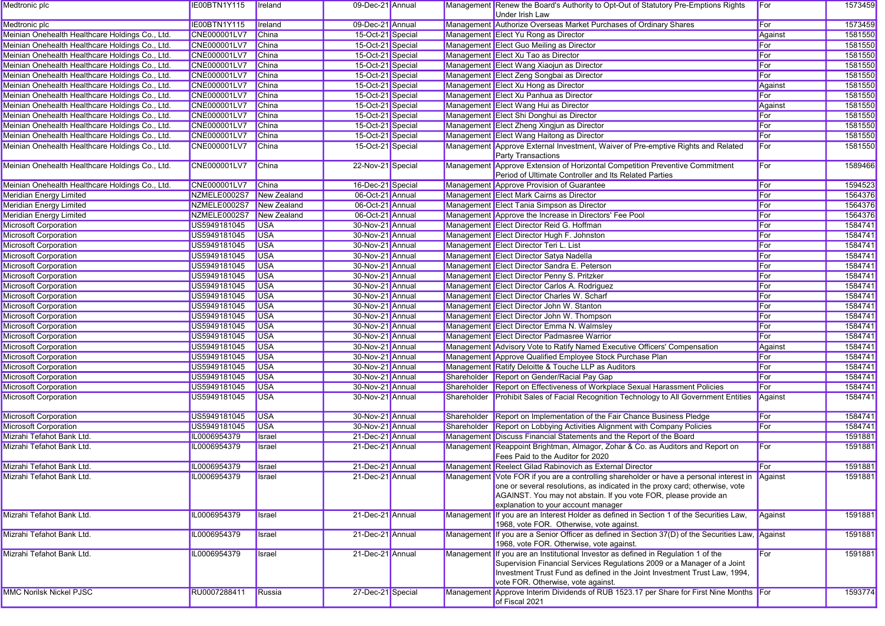| Medtronic plc                                   | IE00BTN1Y115        | <b>I</b> reland | 09-Dec-21 Annual  |             | Management Renew the Board's Authority to Opt-Out of Statutory Pre-Emptions Rights<br>Under Irish Law                                                                                                                                                                           | For     | 1573459 |
|-------------------------------------------------|---------------------|-----------------|-------------------|-------------|---------------------------------------------------------------------------------------------------------------------------------------------------------------------------------------------------------------------------------------------------------------------------------|---------|---------|
| Medtronic plc                                   | IE00BTN1Y115        | Ireland         | 09-Dec-21 Annual  |             | Management Authorize Overseas Market Purchases of Ordinary Shares                                                                                                                                                                                                               | For     | 1573459 |
| Meinian Onehealth Healthcare Holdings Co., Ltd. | CNE000001LV7        | <b>China</b>    | 15-Oct-21 Special |             | Management Elect Yu Rong as Director                                                                                                                                                                                                                                            | Against | 1581550 |
| Meinian Onehealth Healthcare Holdings Co., Ltd. | <b>CNE000001LV7</b> | <b>China</b>    | 15-Oct-21 Special |             | Management Elect Guo Meiling as Director                                                                                                                                                                                                                                        | For     | 1581550 |
| Meinian Onehealth Healthcare Holdings Co., Ltd. | CNE000001LV7        | <b>China</b>    | 15-Oct-21 Special |             | Management Elect Xu Tao as Director                                                                                                                                                                                                                                             | For     | 1581550 |
| Meinian Onehealth Healthcare Holdings Co., Ltd. | CNE000001LV7        | <b>China</b>    | 15-Oct-21 Special |             | Management Elect Wang Xiaojun as Director                                                                                                                                                                                                                                       | For     | 1581550 |
| Meinian Onehealth Healthcare Holdings Co., Ltd. | <b>CNE000001LV7</b> | <b>China</b>    | 15-Oct-21 Special |             | Management Elect Zeng Songbai as Director                                                                                                                                                                                                                                       | For     | 1581550 |
| Meinian Onehealth Healthcare Holdings Co., Ltd. | CNE000001LV7        | China           | 15-Oct-21 Special |             | Management Elect Xu Hong as Director                                                                                                                                                                                                                                            | Against | 1581550 |
| Meinian Onehealth Healthcare Holdings Co., Ltd. | <b>CNE000001LV7</b> | <b>China</b>    | 15-Oct-21 Special |             | Management Elect Xu Panhua as Director                                                                                                                                                                                                                                          | For     | 1581550 |
| Meinian Onehealth Healthcare Holdings Co., Ltd. | <b>CNE000001LV7</b> | <b>China</b>    | 15-Oct-21 Special |             | Management Elect Wang Hui as Director                                                                                                                                                                                                                                           | Against | 1581550 |
| Meinian Onehealth Healthcare Holdings Co., Ltd. | CNE000001LV7        | <b>China</b>    | 15-Oct-21 Special |             | Management Elect Shi Donghui as Director                                                                                                                                                                                                                                        | For     | 1581550 |
| Meinian Onehealth Healthcare Holdings Co., Ltd. | CNE000001LV7        | <b>China</b>    | 15-Oct-21 Special |             | Management Elect Zheng Xingjun as Director                                                                                                                                                                                                                                      | For     | 1581550 |
| Meinian Onehealth Healthcare Holdings Co., Ltd. | CNE000001LV7        | <b>China</b>    | 15-Oct-21 Special |             | Management Elect Wang Haitong as Director                                                                                                                                                                                                                                       | For     | 1581550 |
| Meinian Onehealth Healthcare Holdings Co., Ltd. | <b>CNE000001LV7</b> | <b>China</b>    | 15-Oct-21 Special |             | Management Approve External Investment, Waiver of Pre-emptive Rights and Related                                                                                                                                                                                                | For     | 1581550 |
|                                                 |                     |                 |                   |             | Party Transactions                                                                                                                                                                                                                                                              |         |         |
| Meinian Onehealth Healthcare Holdings Co., Ltd. | CNE000001LV7        | China           | 22-Nov-21 Special |             | Management Approve Extension of Horizontal Competition Preventive Commitment<br>Period of Ultimate Controller and Its Related Parties                                                                                                                                           | For     | 1589466 |
| Meinian Onehealth Healthcare Holdings Co., Ltd. | CNE000001LV7        | China           | 16-Dec-21 Special |             | Management Approve Provision of Guarantee                                                                                                                                                                                                                                       | For     | 1594523 |
| <b>Meridian Energy Limited</b>                  | NZMELE0002S7        | New Zealand     | 06-Oct-21 Annual  |             | Management Elect Mark Cairns as Director                                                                                                                                                                                                                                        | For     | 1564376 |
| Meridian Energy Limited                         | NZMELE0002S7        | New Zealand     | 06-Oct-21 Annual  |             | Management Elect Tania Simpson as Director                                                                                                                                                                                                                                      | For     | 1564376 |
| <b>Meridian Energy Limited</b>                  | NZMELE0002S7        | New Zealand     | 06-Oct-21 Annual  |             | Management Approve the Increase in Directors' Fee Pool                                                                                                                                                                                                                          | For     | 1564376 |
| <b>Microsoft Corporation</b>                    | US5949181045        | <b>USA</b>      | 30-Nov-21 Annual  |             | Management Elect Director Reid G. Hoffman                                                                                                                                                                                                                                       | For     | 1584741 |
| <b>Microsoft Corporation</b>                    | US5949181045        | <b>USA</b>      | 30-Nov-21 Annual  |             | Management Elect Director Hugh F. Johnston                                                                                                                                                                                                                                      | For     | 1584741 |
| <b>Microsoft Corporation</b>                    | US5949181045        | <b>USA</b>      | 30-Nov-21 Annual  |             | Management Elect Director Teri L. List                                                                                                                                                                                                                                          | For     | 1584741 |
| <b>Microsoft Corporation</b>                    | US5949181045        | <b>USA</b>      | 30-Nov-21 Annual  |             | Management Elect Director Satya Nadella                                                                                                                                                                                                                                         | For     | 1584741 |
| <b>Microsoft Corporation</b>                    | US5949181045        | <b>USA</b>      | 30-Nov-21 Annual  |             | Management Elect Director Sandra E. Peterson                                                                                                                                                                                                                                    | For     | 1584741 |
| <b>Microsoft Corporation</b>                    | US5949181045        | <b>USA</b>      | 30-Nov-21 Annual  |             | Management Elect Director Penny S. Pritzker                                                                                                                                                                                                                                     | For     | 1584741 |
| <b>Microsoft Corporation</b>                    | US5949181045        | <b>USA</b>      | 30-Nov-21 Annual  |             | Management Elect Director Carlos A. Rodriguez                                                                                                                                                                                                                                   | For     | 1584741 |
| <b>Microsoft Corporation</b>                    | US5949181045        | <b>USA</b>      | 30-Nov-21 Annual  |             | Management Elect Director Charles W. Scharf                                                                                                                                                                                                                                     | For     | 1584741 |
| <b>Microsoft Corporation</b>                    | US5949181045        | <b>USA</b>      | 30-Nov-21 Annual  |             | Management Elect Director John W. Stanton                                                                                                                                                                                                                                       | For     | 1584741 |
| <b>Microsoft Corporation</b>                    | US5949181045        | <b>USA</b>      | 30-Nov-21 Annual  |             | Management Elect Director John W. Thompson                                                                                                                                                                                                                                      | For     | 1584741 |
| <b>Microsoft Corporation</b>                    | US5949181045        | <b>USA</b>      | 30-Nov-21 Annual  |             | Management Elect Director Emma N. Walmsley                                                                                                                                                                                                                                      | For     | 1584741 |
| <b>Microsoft Corporation</b>                    | US5949181045        | <b>USA</b>      | 30-Nov-21 Annual  |             | Management Elect Director Padmasree Warrior                                                                                                                                                                                                                                     | For     | 1584741 |
| <b>Microsoft Corporation</b>                    | US5949181045        | <b>USA</b>      | 30-Nov-21 Annual  |             | Management Advisory Vote to Ratify Named Executive Officers' Compensation                                                                                                                                                                                                       | Against | 1584741 |
| <b>Microsoft Corporation</b>                    | US5949181045        | <b>USA</b>      | 30-Nov-21 Annual  |             | Management Approve Qualified Employee Stock Purchase Plan                                                                                                                                                                                                                       | For     | 1584741 |
| <b>Microsoft Corporation</b>                    | US5949181045        | <b>USA</b>      | 30-Nov-21 Annual  |             | Management Ratify Deloitte & Touche LLP as Auditors                                                                                                                                                                                                                             | For     | 1584741 |
| <b>Microsoft Corporation</b>                    | US5949181045        | <b>USA</b>      | 30-Nov-21 Annual  | Shareholder | Report on Gender/Racial Pay Gap                                                                                                                                                                                                                                                 | For     | 1584741 |
| <b>Microsoft Corporation</b>                    | US5949181045        | <b>USA</b>      | 30-Nov-21 Annual  | Shareholder | Report on Effectiveness of Workplace Sexual Harassment Policies                                                                                                                                                                                                                 | For     | 1584741 |
| <b>Microsoft Corporation</b>                    | US5949181045        | <b>USA</b>      | 30-Nov-21 Annual  | Shareholder | Prohibit Sales of Facial Recognition Technology to All Government Entities                                                                                                                                                                                                      | Against | 1584741 |
| <b>Microsoft Corporation</b>                    | US5949181045        | <b>USA</b>      | 30-Nov-21 Annual  | Shareholder | Report on Implementation of the Fair Chance Business Pledge                                                                                                                                                                                                                     | For     | 1584741 |
| Microsoft Corporation                           | US5949181045        | <b>USA</b>      | 30-Nov-21 Annual  | Shareholder | Report on Lobbying Activities Alignment with Company Policies                                                                                                                                                                                                                   | For     | 1584741 |
| Mizrahi Tefahot Bank Ltd.                       | IL0006954379        | Israel          | 21-Dec-21 Annual  |             | Management Discuss Financial Statements and the Report of the Board                                                                                                                                                                                                             |         | 1591881 |
| Mizrahi Tefahot Bank Ltd.                       | IL0006954379        | Israel          | 21-Dec-21 Annual  |             | Management Reappoint Brightman, Almagor, Zohar & Co. as Auditors and Report on<br>Fees Paid to the Auditor for 2020                                                                                                                                                             | For     | 1591881 |
| Mizrahi Tefahot Bank Ltd.                       | IL0006954379        | Israel          | 21-Dec-21 Annual  |             | Management Reelect Gilad Rabinovich as External Director                                                                                                                                                                                                                        | For     | 1591881 |
| Mizrahi Tefahot Bank Ltd.                       | IL0006954379        | <b>I</b> srael  | 21-Dec-21 Annual  |             | Management Vote FOR if you are a controlling shareholder or have a personal interest in Against                                                                                                                                                                                 |         | 1591881 |
|                                                 |                     |                 |                   |             | one or several resolutions, as indicated in the proxy card; otherwise, vote<br>AGAINST. You may not abstain. If you vote FOR, please provide an<br>explanation to your account manager                                                                                          |         |         |
| Mizrahi Tefahot Bank Ltd.                       | IL0006954379        | Israel          | 21-Dec-21 Annual  |             | Management If you are an Interest Holder as defined in Section 1 of the Securities Law.<br>1968, vote FOR. Otherwise, vote against.                                                                                                                                             | Against | 1591881 |
| Mizrahi Tefahot Bank Ltd.                       | IL0006954379        | Israel          | 21-Dec-21 Annual  |             | Management If you are a Senior Officer as defined in Section 37(D) of the Securities Law, Against<br>1968, vote FOR. Otherwise, vote against.                                                                                                                                   |         | 1591881 |
| Mizrahi Tefahot Bank Ltd.                       | IL0006954379        | Israel          | 21-Dec-21 Annual  |             | Management If you are an Institutional Investor as defined in Regulation 1 of the<br>Supervision Financial Services Regulations 2009 or a Manager of a Joint<br>Investment Trust Fund as defined in the Joint Investment Trust Law, 1994,<br>vote FOR. Otherwise, vote against. | For     | 1591881 |
| <b>MMC Norilsk Nickel PJSC</b>                  | RU0007288411        | Russia          | 27-Dec-21 Special |             | Management Approve Interim Dividends of RUB 1523.17 per Share for First Nine Months For<br>of Fiscal 2021                                                                                                                                                                       |         | 1593774 |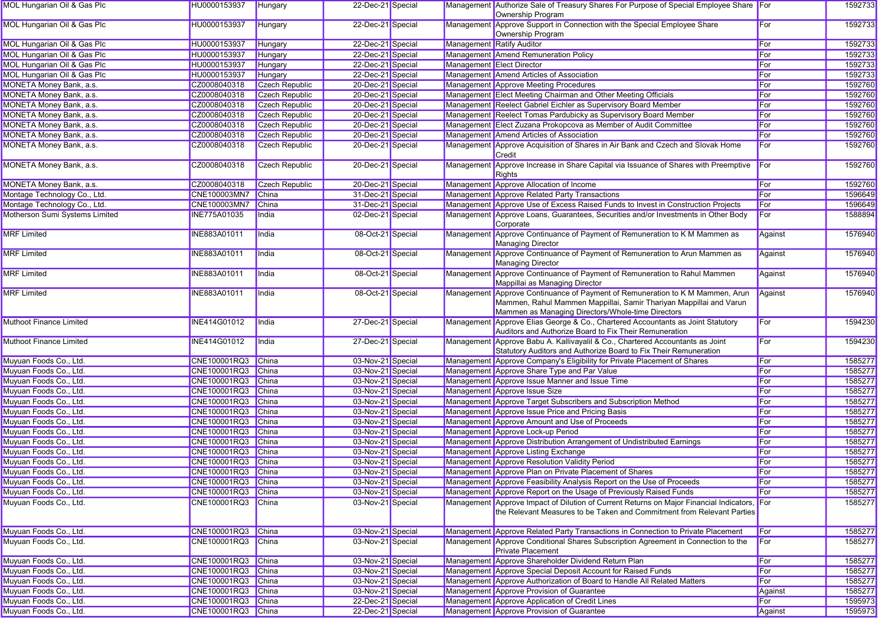| <b>MOL Hungarian Oil &amp; Gas Plc</b> | HU0000153937        | Hungary               | 22-Dec-21 Special |  | Management Authorize Sale of Treasury Shares For Purpose of Special Employee Share For<br>Ownership Program                                                                                              |         | 1592733 |
|----------------------------------------|---------------------|-----------------------|-------------------|--|----------------------------------------------------------------------------------------------------------------------------------------------------------------------------------------------------------|---------|---------|
| MOL Hungarian Oil & Gas Plc            | HU0000153937        | Hungary               | 22-Dec-21 Special |  | Management Approve Support in Connection with the Special Employee Share<br>Ownership Program                                                                                                            | For     | 1592733 |
| MOL Hungarian Oil & Gas Plc            | HU0000153937        | Hungary               | 22-Dec-21 Special |  | Management Ratify Auditor                                                                                                                                                                                | For     | 1592733 |
| MOL Hungarian Oil & Gas Plc            | HU0000153937        | Hungary               | 22-Dec-21 Special |  | Management Amend Remuneration Policy                                                                                                                                                                     | For     | 1592733 |
| <b>MOL Hungarian Oil &amp; Gas Plc</b> | HU0000153937        | Hungary               | 22-Dec-21 Special |  | Management Elect Director                                                                                                                                                                                | For     | 1592733 |
| MOL Hungarian Oil & Gas Plc            | HU0000153937        | Hungary               | 22-Dec-21 Special |  | Management Amend Articles of Association                                                                                                                                                                 | For     | 1592733 |
| MONETA Money Bank, a.s.                | CZ0008040318        | <b>Czech Republic</b> | 20-Dec-21 Special |  | Management Approve Meeting Procedures                                                                                                                                                                    | For     | 1592760 |
| MONETA Money Bank, a.s.                | CZ0008040318        | <b>Czech Republic</b> | 20-Dec-21 Special |  | Management Elect Meeting Chairman and Other Meeting Officials                                                                                                                                            | For     | 1592760 |
| MONETA Money Bank, a.s.                | CZ0008040318        | <b>Czech Republic</b> | 20-Dec-21 Special |  | Management Reelect Gabriel Eichler as Supervisory Board Member                                                                                                                                           | For     | 1592760 |
| MONETA Money Bank, a.s.                | CZ0008040318        | <b>Czech Republic</b> | 20-Dec-21 Special |  | Management Reelect Tomas Pardubicky as Supervisory Board Member                                                                                                                                          | For     | 1592760 |
| MONETA Money Bank, a.s.                | CZ0008040318        | <b>Czech Republic</b> | 20-Dec-21 Special |  | Management Elect Zuzana Prokopcova as Member of Audit Committee                                                                                                                                          | For     | 1592760 |
| MONETA Money Bank, a.s.                | CZ0008040318        | Czech Republic        | 20-Dec-21 Special |  | Management Amend Articles of Association                                                                                                                                                                 | For     | 1592760 |
| MONETA Money Bank, a.s.                | CZ0008040318        | <b>Czech Republic</b> | 20-Dec-21 Special |  | Management Approve Acquisition of Shares in Air Bank and Czech and Slovak Home<br>Credit                                                                                                                 | For     | 1592760 |
| MONETA Money Bank, a.s.                | CZ0008040318        | Czech Republic        | 20-Dec-21 Special |  | Management Approve Increase in Share Capital via Issuance of Shares with Preemptive<br>Rights                                                                                                            | For     | 1592760 |
| MONETA Money Bank, a.s.                | CZ0008040318        | Czech Republic        | 20-Dec-21 Special |  | Management Approve Allocation of Income                                                                                                                                                                  | For     | 1592760 |
| Montage Technology Co., Ltd.           | CNE100003MN7        | <b>China</b>          | 31-Dec-21 Special |  | Management Approve Related Party Transactions                                                                                                                                                            | For     | 1596649 |
| Montage Technology Co., Ltd.           | <b>CNE100003MN7</b> | China                 | 31-Dec-21 Special |  | Management Approve Use of Excess Raised Funds to Invest in Construction Projects                                                                                                                         | For     | 1596649 |
| Motherson Sumi Systems Limited         | <b>INE775A01035</b> | India                 | 02-Dec-21 Special |  | Management Approve Loans, Guarantees, Securities and/or Investments in Other Body<br>Corporate                                                                                                           | For     | 1588894 |
| <b>MRF</b> Limited                     | INE883A01011        | India                 | 08-Oct-21 Special |  | Management Approve Continuance of Payment of Remuneration to K M Mammen as<br><b>Managing Director</b>                                                                                                   | Against | 1576940 |
| <b>MRF</b> Limited                     | INE883A01011        | India                 | 08-Oct-21 Special |  | Management Approve Continuance of Payment of Remuneration to Arun Mammen as<br><b>Managing Director</b>                                                                                                  | Against | 1576940 |
| <b>MRF Limited</b>                     | INE883A01011        | India                 | 08-Oct-21 Special |  | Management Approve Continuance of Payment of Remuneration to Rahul Mammen<br>Mappillai as Managing Director                                                                                              | Against | 1576940 |
| <b>MRF Limited</b>                     | INE883A01011        | India                 | 08-Oct-21 Special |  | Management Approve Continuance of Payment of Remuneration to K M Mammen, Arun<br>Mammen, Rahul Mammen Mappillai, Samir Thariyan Mappillai and Varun<br>Mammen as Managing Directors/Whole-time Directors | Against | 1576940 |
| <b>Muthoot Finance Limited</b>         | INE414G01012        | India                 | 27-Dec-21 Special |  | Management Approve Elias George & Co., Chartered Accountants as Joint Statutory<br>Auditors and Authorize Board to Fix Their Remuneration                                                                | For     | 1594230 |
| Muthoot Finance Limited                | INE414G01012        | India                 | 27-Dec-21 Special |  | Management Approve Babu A. Kallivayalil & Co., Chartered Accountants as Joint<br>Statutory Auditors and Authorize Board to Fix Their Remuneration                                                        | For     | 1594230 |
| Muyuan Foods Co., Ltd.                 | CNE100001RQ3        | China                 | 03-Nov-21 Special |  | Management Approve Company's Eligibility for Private Placement of Shares                                                                                                                                 | For     | 1585277 |
| Muyuan Foods Co., Ltd.                 | CNE100001RQ3        | China                 | 03-Nov-21 Special |  | Management Approve Share Type and Par Value                                                                                                                                                              | For     | 1585277 |
| Muyuan Foods Co., Ltd.                 | CNE100001RQ3        | China                 | 03-Nov-21 Special |  | Management Approve Issue Manner and Issue Time                                                                                                                                                           | For     | 1585277 |
| Muyuan Foods Co., Ltd.                 | CNE100001RQ3        | China                 | 03-Nov-21 Special |  | Management Approve Issue Size                                                                                                                                                                            | For     | 1585277 |
| Muyuan Foods Co., Ltd.                 | CNE100001RQ3        | <b>China</b>          | 03-Nov-21 Special |  | Management Approve Target Subscribers and Subscription Method                                                                                                                                            | For     | 1585277 |
| Muyuan Foods Co., Ltd.                 | CNE100001RQ3        | China                 | 03-Nov-21 Special |  | Management Approve Issue Price and Pricing Basis                                                                                                                                                         | For     | 1585277 |
| Muyuan Foods Co., Ltd.                 | CNE100001RQ3        | China                 | 03-Nov-21 Special |  | Management Approve Amount and Use of Proceeds                                                                                                                                                            | For     | 1585277 |
| Muyuan Foods Co., Ltd.                 | CNE100001RQ3        | China                 | 03-Nov-21 Special |  | Management Approve Lock-up Period                                                                                                                                                                        | For     | 1585277 |
| Muyuan Foods Co., Ltd.                 | CNE100001RQ3        | China                 | 03-Nov-21 Special |  | Management Approve Distribution Arrangement of Undistributed Earnings                                                                                                                                    | For     | 1585277 |
| Muyuan Foods Co., Ltd.                 | CNE100001RQ3        | China                 | 03-Nov-21 Special |  | Management Approve Listing Exchange                                                                                                                                                                      | For     | 1585277 |
| Muyuan Foods Co., Ltd.                 | CNE100001RQ3        | China                 | 03-Nov-21 Special |  | Management Approve Resolution Validity Period                                                                                                                                                            | For     | 1585277 |
| Muyuan Foods Co., Ltd.                 | CNE100001RQ3 China  |                       | 03-Nov-21 Special |  | Management Approve Plan on Private Placement of Shares                                                                                                                                                   | For     | 1585277 |
| Muyuan Foods Co., Ltd.                 | CNE100001RQ3 China  |                       | 03-Nov-21 Special |  | Management Approve Feasibility Analysis Report on the Use of Proceeds                                                                                                                                    | For     | 1585277 |
| Muyuan Foods Co., Ltd.                 | CNE100001RQ3 China  |                       | 03-Nov-21 Special |  | Management Approve Report on the Usage of Previously Raised Funds                                                                                                                                        | For     | 1585277 |
| Muyuan Foods Co., Ltd.                 | CNE100001RQ3        | <b>China</b>          | 03-Nov-21 Special |  | Management Approve Impact of Dilution of Current Returns on Major Financial Indicators,<br>the Relevant Measures to be Taken and Commitment from Relevant Parties                                        | For     | 1585277 |
| Muyuan Foods Co., Ltd.                 | CNE100001RQ3        | <b>China</b>          | 03-Nov-21 Special |  | Management Approve Related Party Transactions in Connection to Private Placement                                                                                                                         | For     | 1585277 |
| Muvuan Foods Co., Ltd.                 | CNE100001RQ3        | China                 | 03-Nov-21 Special |  | Management Approve Conditional Shares Subscription Agreement in Connection to the<br><b>Private Placement</b>                                                                                            | For     | 1585277 |
| Muyuan Foods Co., Ltd.                 | CNE100001RQ3 China  |                       | 03-Nov-21 Special |  | Management Approve Shareholder Dividend Return Plan                                                                                                                                                      | For     | 1585277 |
| Muyuan Foods Co., Ltd.                 | CNE100001RQ3 China  |                       | 03-Nov-21 Special |  | Management Approve Special Deposit Account for Raised Funds                                                                                                                                              | For     | 1585277 |
| Muyuan Foods Co., Ltd.                 | CNE100001RQ3 China  |                       | 03-Nov-21 Special |  | Management Approve Authorization of Board to Handle All Related Matters                                                                                                                                  | For     | 1585277 |
| Muyuan Foods Co., Ltd.                 | CNE100001RQ3 China  |                       | 03-Nov-21 Special |  | Management Approve Provision of Guarantee                                                                                                                                                                | Against | 1585277 |
| Muyuan Foods Co., Ltd.                 | CNE100001RQ3 China  |                       | 22-Dec-21 Special |  | Management Approve Application of Credit Lines                                                                                                                                                           | For     | 1595973 |
| Muyuan Foods Co., Ltd.                 | CNE100001RQ3 China  |                       | 22-Dec-21 Special |  | Management Approve Provision of Guarantee                                                                                                                                                                | Against | 1595973 |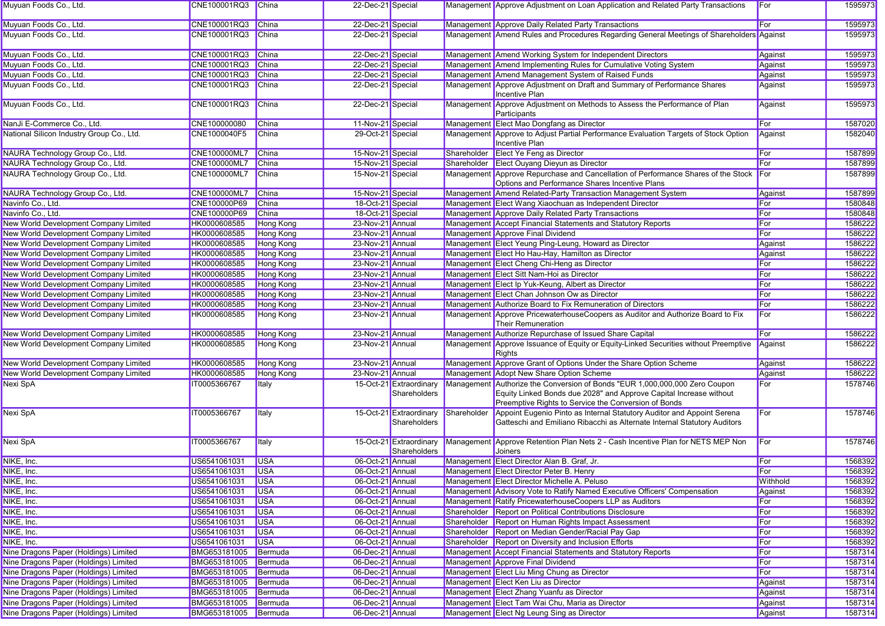| Muyuan Foods Co., Ltd.                    | CNE100001RQ3 China   |                      | 22-Dec-21 Special |                                         |             | Management Approve Adjustment on Loan Application and Related Party Transactions                                                                                                                          | For      | 1595973 |
|-------------------------------------------|----------------------|----------------------|-------------------|-----------------------------------------|-------------|-----------------------------------------------------------------------------------------------------------------------------------------------------------------------------------------------------------|----------|---------|
| Muyuan Foods Co., Ltd.                    | CNE100001RQ3         | China                | 22-Dec-21 Special |                                         |             | Management Approve Daily Related Party Transactions                                                                                                                                                       | For      | 1595973 |
| Muyuan Foods Co., Ltd.                    | CNE100001RQ3         | China                | 22-Dec-21 Special |                                         |             | Management Amend Rules and Procedures Regarding General Meetings of Shareholders Against                                                                                                                  |          | 1595973 |
| Muyuan Foods Co., Ltd.                    | CNE100001RQ3         | China                | 22-Dec-21 Special |                                         |             | Management Amend Working System for Independent Directors                                                                                                                                                 | Against  | 1595973 |
| Muyuan Foods Co., Ltd.                    | CNE100001RQ3         | China                | 22-Dec-21 Special |                                         |             | Management Amend Implementing Rules for Cumulative Voting System                                                                                                                                          | Against  | 1595973 |
| Muyuan Foods Co., Ltd.                    | CNE100001RQ3         | China                | 22-Dec-21 Special |                                         |             | Management Amend Management System of Raised Funds                                                                                                                                                        | Against  | 1595973 |
| Muyuan Foods Co., Ltd.                    | CNE100001RQ3         | <b>China</b>         | 22-Dec-21 Special |                                         |             | Management Approve Adjustment on Draft and Summary of Performance Shares<br>Incentive Plan                                                                                                                | Against  | 1595973 |
| Muyuan Foods Co., Ltd.                    | CNE100001RQ3         | China                | 22-Dec-21 Special |                                         |             | Management Approve Adjustment on Methods to Assess the Performance of Plan<br>Participants                                                                                                                | Against  | 1595973 |
| NanJi E-Commerce Co., Ltd.                | CNE100000080         | <b>China</b>         | 11-Nov-21 Special |                                         |             | Management Elect Mao Dongfang as Director                                                                                                                                                                 | For      | 1587020 |
| National Silicon Industry Group Co., Ltd. | CNE1000040F5         | China                | 29-Oct-21 Special |                                         |             | Management Approve to Adjust Partial Performance Evaluation Targets of Stock Option<br><b>Incentive Plan</b>                                                                                              | Against  | 1582040 |
| NAURA Technology Group Co., Ltd.          | <b>CNE100000ML7</b>  | China                | 15-Nov-21 Special |                                         | Shareholder | Elect Ye Feng as Director                                                                                                                                                                                 | For      | 1587899 |
| NAURA Technology Group Co., Ltd.          | <b>CNE100000ML7</b>  | China                | 15-Nov-21 Special |                                         | Shareholder | Elect Ouyang Dieyun as Director                                                                                                                                                                           | For      | 1587899 |
| NAURA Technology Group Co., Ltd.          | CNE100000ML7         | China                | 15-Nov-21 Special |                                         |             | Management Approve Repurchase and Cancellation of Performance Shares of the Stock                                                                                                                         | For      | 1587899 |
|                                           |                      |                      |                   |                                         |             | Options and Performance Shares Incentive Plans                                                                                                                                                            |          |         |
| NAURA Technology Group Co., Ltd.          | <b>CNE100000ML7</b>  | China                | 15-Nov-21 Special |                                         |             | Management Amend Related-Party Transaction Management System                                                                                                                                              | Against  | 1587899 |
| Navinfo Co., Ltd.                         | CNE100000P69         | China                | 18-Oct-21 Special |                                         |             | Management Elect Wang Xiaochuan as Independent Director                                                                                                                                                   | For      | 1580848 |
| Navinfo Co., Ltd.                         | CNE100000P69         | China                | 18-Oct-21 Special |                                         |             | Management Approve Daily Related Party Transactions                                                                                                                                                       | For      | 1580848 |
| New World Development Company Limited     | HK0000608585         | Hong Kong            | 23-Nov-21 Annual  |                                         |             | Management Accept Financial Statements and Statutory Reports                                                                                                                                              | For      | 1586222 |
| New World Development Company Limited     | HK0000608585         | <b>Hong Kong</b>     | 23-Nov-21 Annual  |                                         |             | <b>Management Approve Final Dividend</b>                                                                                                                                                                  | For      | 1586222 |
| New World Development Company Limited     | HK0000608585         | Hong Kong            | 23-Nov-21 Annual  |                                         |             | Management Elect Yeung Ping-Leung, Howard as Director                                                                                                                                                     | Against  | 1586222 |
| New World Development Company Limited     | HK0000608585         | Hong Kong            | 23-Nov-21 Annual  |                                         |             | Management Elect Ho Hau-Hay, Hamilton as Director                                                                                                                                                         | Against  | 1586222 |
| New World Development Company Limited     | HK0000608585         | Hong Kong            | 23-Nov-21 Annual  |                                         |             | Management Elect Cheng Chi-Heng as Director                                                                                                                                                               | For      | 1586222 |
| New World Development Company Limited     | HK0000608585         | <b>Hong Kong</b>     | 23-Nov-21 Annual  |                                         |             | Management Elect Sitt Nam-Hoi as Director                                                                                                                                                                 | For      | 1586222 |
| New World Development Company Limited     | HK0000608585         |                      | 23-Nov-21 Annual  |                                         |             |                                                                                                                                                                                                           | For      | 1586222 |
|                                           |                      | Hong Kong            |                   |                                         |             | Management Elect Ip Yuk-Keung, Albert as Director                                                                                                                                                         |          |         |
| New World Development Company Limited     | HK0000608585         | <b>Hong Kong</b>     | 23-Nov-21 Annual  |                                         |             | Management Elect Chan Johnson Ow as Director                                                                                                                                                              | For      | 1586222 |
| New World Development Company Limited     | HK0000608585         | <b>Hong Kong</b>     | 23-Nov-21 Annual  |                                         |             | Management Authorize Board to Fix Remuneration of Directors                                                                                                                                               | For      | 1586222 |
| New World Development Company Limited     | HK0000608585         | Hong Kong            | 23-Nov-21 Annual  |                                         |             | Management Approve PricewaterhouseCoopers as Auditor and Authorize Board to Fix<br><b>Their Remuneration</b>                                                                                              | For      | 1586222 |
| New World Development Company Limited     | HK0000608585         | Hong Kong            | 23-Nov-21 Annual  |                                         |             | Management Authorize Repurchase of Issued Share Capital                                                                                                                                                   | For      | 1586222 |
| New World Development Company Limited     | HK0000608585         | <b>Hong Kong</b>     | 23-Nov-21 Annual  |                                         |             | Management Approve Issuance of Equity or Equity-Linked Securities without Preemptive<br>Rights                                                                                                            | Against  | 1586222 |
| New World Development Company Limited     | HK0000608585         | <b>Hong Kong</b>     | 23-Nov-21 Annual  |                                         |             | Management Approve Grant of Options Under the Share Option Scheme                                                                                                                                         | Against  | 1586222 |
| New World Development Company Limited     | HK0000608585         | Hong Kong            | 23-Nov-21 Annual  |                                         |             | Management Adopt New Share Option Scheme                                                                                                                                                                  | Against  | 1586222 |
| Nexi SpA                                  | IT0005366767         | <b>I</b> taly        |                   | 15-Oct-21 Extraordinary<br>Shareholders |             | Management Authorize the Conversion of Bonds "EUR 1,000,000,000 Zero Coupon<br>Equity Linked Bonds due 2028" and Approve Capital Increase without<br>Preemptive Rights to Service the Conversion of Bonds | For      | 1578746 |
| <b>Nexi SpA</b>                           | IT0005366767         | <b>Italy</b>         |                   | 15-Oct-21 Extraordinary<br>Shareholders | Shareholder | Appoint Eugenio Pinto as Internal Statutory Auditor and Appoint Serena<br>Gatteschi and Emiliano Ribacchi as Alternate Internal Statutory Auditors                                                        | For      | 1578746 |
| Nexi SpA                                  | IT0005366767         | <b>Italy</b>         |                   | 15-Oct-21 Extraordinary<br>Shareholders |             | Management Approve Retention Plan Nets 2 - Cash Incentive Plan for NETS MEP Non<br>Joiners                                                                                                                | For      | 1578746 |
| NIKE, Inc.                                | US6541061031         | <b>USA</b>           | 06-Oct-21 Annual  |                                         |             | Management Elect Director Alan B. Graf, Jr.                                                                                                                                                               | For      | 1568392 |
| NIKE, Inc.                                | US6541061031         | $\overline{\bigcup}$ | 06-Oct-21 Annual  |                                         |             | Management Elect Director Peter B. Henry                                                                                                                                                                  | For      | 1568392 |
| NIKE, Inc.                                | US6541061031 USA     |                      | 06-Oct-21 Annual  |                                         |             | Management Elect Director Michelle A. Peluso                                                                                                                                                              | Withhold | 1568392 |
| NIKE, Inc.                                | US6541061031         | <b>USA</b>           | 06-Oct-21 Annual  |                                         |             | Management Advisory Vote to Ratify Named Executive Officers' Compensation                                                                                                                                 | Against  | 1568392 |
| NIKE, Inc.                                | US6541061031         | <b>USA</b>           | 06-Oct-21 Annual  |                                         |             | Management Ratify PricewaterhouseCoopers LLP as Auditors                                                                                                                                                  | For      | 1568392 |
| NIKE, Inc.                                | US6541061031         | <b>USA</b>           | 06-Oct-21 Annual  |                                         |             | Shareholder Report on Political Contributions Disclosure                                                                                                                                                  | For      | 1568392 |
| NIKE, Inc.                                | US6541061031         | <b>USA</b>           | 06-Oct-21 Annual  |                                         |             | Shareholder Report on Human Rights Impact Assessment                                                                                                                                                      | For      | 1568392 |
| NIKE, Inc.                                | US6541061031         | <b>USA</b>           | 06-Oct-21 Annual  |                                         |             | Shareholder Report on Median Gender/Racial Pay Gap                                                                                                                                                        | For      | 1568392 |
| NIKE, Inc.                                | US6541061031         | <b>USA</b>           | 06-Oct-21 Annual  |                                         |             | Shareholder Report on Diversity and Inclusion Efforts                                                                                                                                                     | For      | 1568392 |
| Nine Dragons Paper (Holdings) Limited     | BMG653181005         | Bermuda              | 06-Dec-21 Annual  |                                         |             | Management Accept Financial Statements and Statutory Reports                                                                                                                                              | For      | 1587314 |
| Nine Dragons Paper (Holdings) Limited     | BMG653181005         | Bermuda              | 06-Dec-21 Annual  |                                         |             | Management Approve Final Dividend                                                                                                                                                                         | For      | 1587314 |
| Nine Dragons Paper (Holdings) Limited     | BMG653181005         | Bermuda              | 06-Dec-21 Annual  |                                         |             | Management Elect Liu Ming Chung as Director                                                                                                                                                               | For      | 1587314 |
| Nine Dragons Paper (Holdings) Limited     | BMG653181005         | Bermuda              | 06-Dec-21 Annual  |                                         |             | Management Elect Ken Liu as Director                                                                                                                                                                      | Against  | 1587314 |
|                                           | BMG653181005         |                      |                   |                                         |             |                                                                                                                                                                                                           |          | 1587314 |
| Nine Dragons Paper (Holdings) Limited     |                      | Bermuda              | 06-Dec-21 Annual  |                                         |             | Management Elect Zhang Yuanfu as Director<br>Management Elect Tam Wai Chu, Maria as Director                                                                                                              | Against  |         |
| Nine Dragons Paper (Holdings) Limited     | BMG653181005 Bermuda |                      | 06-Dec-21 Annual  |                                         |             |                                                                                                                                                                                                           | Against  | 1587314 |
| Nine Dragons Paper (Holdings) Limited     | BMG653181005 Bermuda |                      | 06-Dec-21 Annual  |                                         |             | Management Elect Ng Leung Sing as Director                                                                                                                                                                | Against  | 1587314 |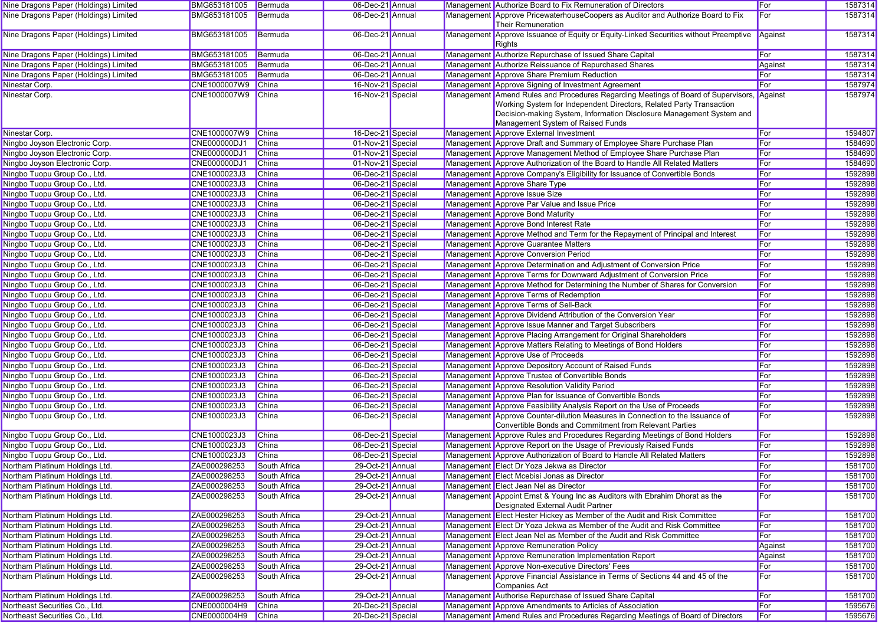| Nine Dragons Paper (Holdings) Limited                            | BMG653181005                 | Bermuda               | 06-Dec-21 Annual                       |  | Management Authorize Board to Fix Remuneration of Directors                                                                                  | <b>For</b> | 1587314            |
|------------------------------------------------------------------|------------------------------|-----------------------|----------------------------------------|--|----------------------------------------------------------------------------------------------------------------------------------------------|------------|--------------------|
| Nine Dragons Paper (Holdings) Limited                            | BMG653181005                 | Bermuda               | 06-Dec-21 Annual                       |  | Management Approve PricewaterhouseCoopers as Auditor and Authorize Board to Fix<br><b>Their Remuneration</b>                                 | For        | 1587314            |
| Nine Dragons Paper (Holdings) Limited                            | BMG653181005                 | Bermuda               | 06-Dec-21 Annual                       |  | Management Approve Issuance of Equity or Equity-Linked Securities without Preemptive<br>Rights                                               | Against    | 1587314            |
| Nine Dragons Paper (Holdings) Limited                            | BMG653181005                 | Bermuda               | 06-Dec-21 Annual                       |  | Management Authorize Repurchase of Issued Share Capital                                                                                      | For        | 1587314            |
| Nine Dragons Paper (Holdings) Limited                            | BMG653181005                 | Bermuda               | 06-Dec-21 Annual                       |  | Management Authorize Reissuance of Repurchased Shares                                                                                        | Against    | 1587314            |
| Nine Dragons Paper (Holdings) Limited                            | BMG653181005                 | Bermuda               | 06-Dec-21 Annual                       |  | Management Approve Share Premium Reduction                                                                                                   | For        | 1587314            |
| Ninestar Corp.                                                   | CNE1000007W9                 | China                 | 16-Nov-21 Special                      |  | Management Approve Signing of Investment Agreement                                                                                           | For        | 1587974            |
| Ninestar Corp.                                                   | CNE1000007W9                 | China                 | 16-Nov-21 Special                      |  | Management Amend Rules and Procedures Regarding Meetings of Board of Supervisors, Against                                                    |            | 1587974            |
|                                                                  |                              |                       |                                        |  | Working System for Independent Directors, Related Party Transaction                                                                          |            |                    |
|                                                                  |                              |                       |                                        |  | Decision-making System, Information Disclosure Management System and                                                                         |            |                    |
|                                                                  |                              |                       |                                        |  | Management System of Raised Funds                                                                                                            |            |                    |
| Ninestar Corp.                                                   | CNE1000007W9                 | <b>China</b>          | 16-Dec-21 Special                      |  | Management Approve External Investment                                                                                                       | For        | 1594807            |
| Ningbo Joyson Electronic Corp.                                   | <b>CNE000000DJ1</b>          | China                 | 01-Nov-21 Special                      |  | Management Approve Draft and Summary of Employee Share Purchase Plan<br>Management Approve Management Method of Employee Share Purchase Plan | For        | 1584690            |
| Ningbo Joyson Electronic Corp.<br>Ningbo Joyson Electronic Corp. | CNE000000DJ1<br>CNE000000DJ1 | <b>China</b><br>China | 01-Nov-21 Special                      |  | Management Approve Authorization of the Board to Handle All Related Matters                                                                  | For<br>For | 1584690<br>1584690 |
| Ningbo Tuopu Group Co., Ltd.                                     | CNE1000023J3                 | China                 | 01-Nov-21 Special<br>06-Dec-21 Special |  | Management Approve Company's Eligibility for Issuance of Convertible Bonds                                                                   | For        | 1592898            |
| Ningbo Tuopu Group Co., Ltd.                                     | CNE1000023J3                 | China                 | 06-Dec-21 Special                      |  | Management Approve Share Type                                                                                                                | For        | 1592898            |
| Ningbo Tuopu Group Co., Ltd.                                     | CNE1000023J3                 | China                 | 06-Dec-21 Special                      |  | Management Approve Issue Size                                                                                                                | For        | 1592898            |
| Ningbo Tuopu Group Co., Ltd.                                     | CNE1000023J3                 | China                 | 06-Dec-21 Special                      |  | Management Approve Par Value and Issue Price                                                                                                 | For        | 1592898            |
| Ningbo Tuopu Group Co., Ltd.                                     | CNE1000023J3                 | <b>China</b>          | 06-Dec-21 Special                      |  | Management Approve Bond Maturity                                                                                                             | For        | 1592898            |
| Ningbo Tuopu Group Co., Ltd.                                     | CNE1000023J3                 | China                 | 06-Dec-21 Special                      |  | Management Approve Bond Interest Rate                                                                                                        | For        | 1592898            |
| Ningbo Tuopu Group Co., Ltd.                                     | CNE1000023J3                 | <b>China</b>          | 06-Dec-21 Special                      |  | Management Approve Method and Term for the Repayment of Principal and Interest                                                               | For        | 1592898            |
| Ningbo Tuopu Group Co., Ltd.                                     | CNE1000023J3                 | China                 | 06-Dec-21 Special                      |  | Management Approve Guarantee Matters                                                                                                         | For        | 1592898            |
| Ningbo Tuopu Group Co., Ltd.                                     | CNE1000023J3                 | China                 | 06-Dec-21 Special                      |  | Management Approve Conversion Period                                                                                                         | For        | 1592898            |
| Ningbo Tuopu Group Co., Ltd.                                     | CNE1000023J3                 | <b>China</b>          | 06-Dec-21 Special                      |  | Management Approve Determination and Adjustment of Conversion Price                                                                          | For        | 1592898            |
| Ningbo Tuopu Group Co., Ltd.                                     | CNE1000023J3                 | China                 | 06-Dec-21 Special                      |  | Management Approve Terms for Downward Adjustment of Conversion Price                                                                         | For        | 1592898            |
| Ningbo Tuopu Group Co., Ltd.                                     | CNE1000023J3                 | China                 | 06-Dec-21 Special                      |  | Management Approve Method for Determining the Number of Shares for Conversion                                                                | For        | 1592898            |
| Ningbo Tuopu Group Co., Ltd.                                     | CNE1000023J3                 | China                 | 06-Dec-21 Special                      |  | Management Approve Terms of Redemption                                                                                                       | For        | 1592898            |
| Ningbo Tuopu Group Co., Ltd.                                     | CNE1000023J3                 | China                 | 06-Dec-21 Special                      |  | Management Approve Terms of Sell-Back                                                                                                        | For        | 1592898            |
| Ningbo Tuopu Group Co., Ltd.                                     | CNE1000023J3                 | <b>China</b>          | 06-Dec-21 Special                      |  | Management Approve Dividend Attribution of the Conversion Year                                                                               | For        | 1592898            |
| Ningbo Tuopu Group Co., Ltd.                                     | CNE1000023J3                 | China                 | 06-Dec-21 Special                      |  | Management Approve Issue Manner and Target Subscribers                                                                                       | For        | 1592898            |
| Ningbo Tuopu Group Co., Ltd.                                     | CNE1000023J3                 | China                 | 06-Dec-21 Special                      |  | Management Approve Placing Arrangement for Original Shareholders                                                                             | For        | 1592898            |
| Ningbo Tuopu Group Co., Ltd.                                     | CNE1000023J3                 | <b>China</b>          | 06-Dec-21 Special                      |  | Management Approve Matters Relating to Meetings of Bond Holders                                                                              | For        | 1592898            |
| Ningbo Tuopu Group Co., Ltd.                                     | CNE1000023J3                 | China                 | 06-Dec-21 Special                      |  | Management Approve Use of Proceeds                                                                                                           | For        | 1592898            |
| Ningbo Tuopu Group Co., Ltd.                                     | CNE1000023J3                 | <b>China</b>          | 06-Dec-21 Special                      |  | Management Approve Depository Account of Raised Funds                                                                                        | For        | 1592898            |
| Ningbo Tuopu Group Co., Ltd.                                     | CNE1000023J3                 | China                 | 06-Dec-21 Special                      |  | Management Approve Trustee of Convertible Bonds                                                                                              | For        | 1592898            |
| Ningbo Tuopu Group Co., Ltd.                                     | CNE1000023J3                 | China                 | 06-Dec-21 Special                      |  | Management Approve Resolution Validity Period                                                                                                | For        | 1592898            |
| Ningbo Tuopu Group Co., Ltd.                                     | CNE1000023J3                 | <b>China</b>          | 06-Dec-21 Special                      |  | Management Approve Plan for Issuance of Convertible Bonds                                                                                    | For        | 1592898            |
| Ningbo Tuopu Group Co., Ltd.                                     | CNE1000023J3                 | China                 | 06-Dec-21 Special                      |  | Management Approve Feasibility Analysis Report on the Use of Proceeds                                                                        | For        | 1592898            |
| Ningbo Tuopu Group Co., Ltd.                                     | CNE1000023J3                 | <b>China</b>          | 06-Dec-21 Special                      |  | Management Approve Counter-dilution Measures in Connection to the Issuance of                                                                | For        | 1592898            |
|                                                                  |                              |                       |                                        |  | Convertible Bonds and Commitment from Relevant Parties                                                                                       |            |                    |
| Ningbo Tuopu Group Co., Ltd.                                     | CNE1000023J3                 | China                 | 06-Dec-21 Special                      |  | Management Approve Rules and Procedures Regarding Meetings of Bond Holders                                                                   | For        | 1592898            |
| Ningbo Tuopu Group Co., Ltd.                                     | CNE1000023J3                 | <b>China</b>          | 06-Dec-21 Special                      |  | Management Approve Report on the Usage of Previously Raised Funds                                                                            | For        | 1592898            |
| Ningbo Tuopu Group Co., Ltd.                                     | CNE1000023J3                 | China                 | 06-Dec-21 Special                      |  | Management Approve Authorization of Board to Handle All Related Matters                                                                      | For        | 1592898            |
| Northam Platinum Holdings Ltd.                                   | ZAE000298253                 | South Africa          | 29-Oct-21 Annual                       |  | Management Elect Dr Yoza Jekwa as Director                                                                                                   | For        | 1581700            |
| Northam Platinum Holdings Ltd.                                   | ZAE000298253                 | South Africa          | 29-Oct-21 Annual                       |  | Management Elect Mcebisi Jonas as Director                                                                                                   | <b>For</b> | 1581700            |
| Northam Platinum Holdings Ltd.                                   | ZAE000298253                 | South Africa          | 29-Oct-21 Annual                       |  | Management Elect Jean Nel as Director                                                                                                        | For        | 1581700            |
| Northam Platinum Holdings Ltd.                                   | ZAE000298253                 | South Africa          | 29-Oct-21 Annual                       |  | Management Appoint Ernst & Young Inc as Auditors with Ebrahim Dhorat as the<br>Designated External Audit Partner                             | For        | 1581700            |
| Northam Platinum Holdings Ltd.                                   | ZAE000298253                 | South Africa          | 29-Oct-21 Annual                       |  | Management Elect Hester Hickey as Member of the Audit and Risk Committee                                                                     | For        | 1581700            |
| Northam Platinum Holdings Ltd.                                   | ZAE000298253                 | South Africa          | 29-Oct-21 Annual                       |  | Management Elect Dr Yoza Jekwa as Member of the Audit and Risk Committee                                                                     | For        | 1581700            |
| Northam Platinum Holdings Ltd.                                   | ZAE000298253                 | South Africa          | 29-Oct-21 Annual                       |  | Management Elect Jean Nel as Member of the Audit and Risk Committee                                                                          | For        | 1581700            |
| Northam Platinum Holdings Ltd.                                   | ZAE000298253                 | South Africa          | 29-Oct-21 Annual                       |  | Management Approve Remuneration Policy                                                                                                       | Against    | 1581700            |
| Northam Platinum Holdings Ltd.                                   | ZAE000298253                 | South Africa          | 29-Oct-21 Annual                       |  | Management Approve Remuneration Implementation Report                                                                                        | Against    | 1581700            |
| Northam Platinum Holdings Ltd.                                   | ZAE000298253                 | South Africa          | 29-Oct-21 Annual                       |  | Management Approve Non-executive Directors' Fees                                                                                             | For        | 1581700            |
| Northam Platinum Holdings Ltd.                                   | ZAE000298253                 | South Africa          | 29-Oct-21 Annual                       |  | Management Approve Financial Assistance in Terms of Sections 44 and 45 of the<br>Companies Act                                               | For        | 1581700            |
| Northam Platinum Holdings Ltd.                                   | ZAE000298253                 | South Africa          | 29-Oct-21 Annual                       |  | Management Authorise Repurchase of Issued Share Capital                                                                                      | For        | 1581700            |
| Northeast Securities Co., Ltd.                                   | CNE0000004H9                 | China                 | 20-Dec-21 Special                      |  | Management Approve Amendments to Articles of Association                                                                                     | For        | 1595676            |
| Northeast Securities Co., Ltd.                                   | CNE0000004H9                 | China                 | 20-Dec-21 Special                      |  | Management Amend Rules and Procedures Regarding Meetings of Board of Directors                                                               | For        | 1595676            |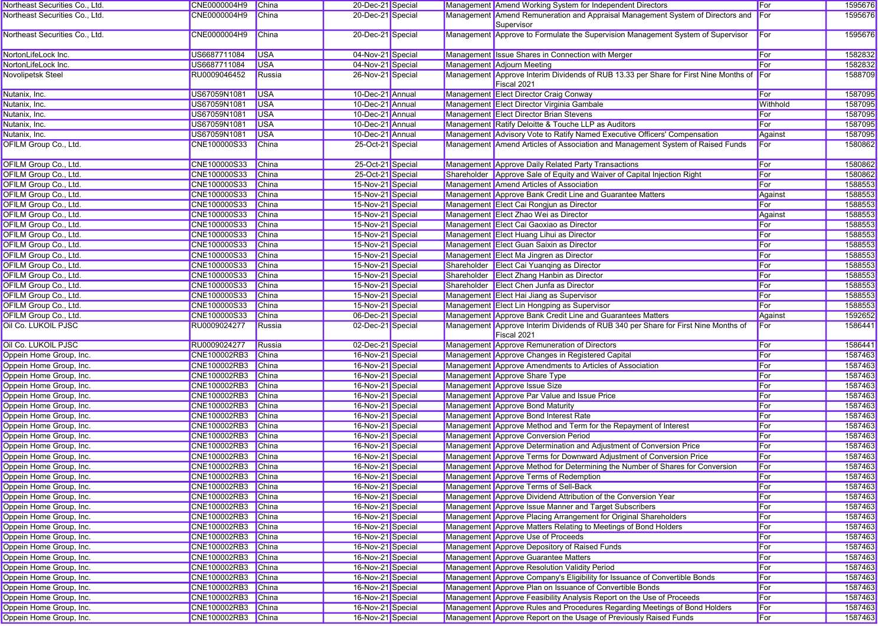| Northeast Securities Co., Ltd.                     | CNE0000004H9        | China        | 20-Dec-21 Special |  | Management Amend Working System for Independent Directors                                               | For            | 1595676 |
|----------------------------------------------------|---------------------|--------------|-------------------|--|---------------------------------------------------------------------------------------------------------|----------------|---------|
| Northeast Securities Co., Ltd.                     | CNE0000004H9        | China        | 20-Dec-21 Special |  | Management Amend Remuneration and Appraisal Management System of Directors and<br>Supervisor            | <b>I</b> For   | 1595676 |
| Northeast Securities Co., Ltd.                     | CNE0000004H9        | China        | 20-Dec-21 Special |  | Management Approve to Formulate the Supervision Management System of Supervisor                         | For            | 1595676 |
| NortonLifeLock Inc.                                | US6687711084        | <b>USA</b>   | 04-Nov-21 Special |  | Management Issue Shares in Connection with Merger                                                       | For            | 1582832 |
| NortonLifeLock Inc.                                | US6687711084        | <b>USA</b>   | 04-Nov-21 Special |  | Management Adjourn Meeting                                                                              | For            | 1582832 |
| Novolipetsk Steel                                  | RU0009046452        | Russia       | 26-Nov-21 Special |  | Management Approve Interim Dividends of RUB 13.33 per Share for First Nine Months of For<br>Fiscal 2021 |                | 1588709 |
| Nutanix, Inc.                                      | US67059N1081        | <b>USA</b>   | 10-Dec-21 Annual  |  | Management Elect Director Craig Conway                                                                  | For            | 1587095 |
| Nutanix, Inc.                                      | US67059N1081        | <b>USA</b>   | 10-Dec-21 Annual  |  | Management Elect Director Virginia Gambale                                                              | Withhold       | 1587095 |
| Nutanix, Inc.                                      | US67059N1081        | <b>USA</b>   | 10-Dec-21 Annual  |  | Management Elect Director Brian Stevens                                                                 | For            | 1587095 |
| Nutanix, Inc.                                      | US67059N1081        | <b>USA</b>   | 10-Dec-21 Annual  |  | Management Ratify Deloitte & Touche LLP as Auditors                                                     | For            | 1587095 |
| Nutanix, Inc.                                      | US67059N1081        | <b>USA</b>   | 10-Dec-21 Annual  |  | Management Advisory Vote to Ratify Named Executive Officers' Compensation                               | Against        | 1587095 |
| <b>OFILM Group Co., Ltd.</b>                       | CNE100000S33        | China        | 25-Oct-21 Special |  | Management Amend Articles of Association and Management System of Raised Funds                          | For            | 1580862 |
| OFILM Group Co., Ltd.                              | CNE100000S33        | China        | 25-Oct-21 Special |  | Management Approve Daily Related Party Transactions                                                     | For            | 1580862 |
| OFILM Group Co., Ltd.                              | CNE100000S33        | <b>China</b> | 25-Oct-21 Special |  | Shareholder Approve Sale of Equity and Waiver of Capital Injection Right                                | For            | 1580862 |
| OFILM Group Co., Ltd.                              | CNE100000S33        | China        | 15-Nov-21 Special |  | Management Amend Articles of Association                                                                | For            | 1588553 |
| OFILM Group Co., Ltd.                              | CNE100000S33        | China        | 15-Nov-21 Special |  | Management Approve Bank Credit Line and Guarantee Matters                                               | Against        | 1588553 |
| OFILM Group Co., Ltd.                              | CNE100000S33        | <b>China</b> | 15-Nov-21 Special |  | Management Elect Cai Rongjun as Director                                                                | For            | 1588553 |
| OFILM Group Co., Ltd.                              | CNE100000S33        | China        | 15-Nov-21 Special |  | Management Elect Zhao Wei as Director                                                                   | Against        | 1588553 |
| OFILM Group Co., Ltd.                              | CNE100000S33        | China        | 15-Nov-21 Special |  | Management Elect Cai Gaoxiao as Director                                                                | For            | 1588553 |
| OFILM Group Co., Ltd.                              | CNE100000S33        | <b>China</b> | 15-Nov-21 Special |  | Management Elect Huang Lihui as Director                                                                | For            | 1588553 |
| OFILM Group Co., Ltd.                              | CNE100000S33        | <b>China</b> | 15-Nov-21 Special |  | Management Elect Guan Saixin as Director                                                                | For            | 1588553 |
| OFILM Group Co., Ltd.                              | CNE100000S33        | China        | 15-Nov-21 Special |  | Management Elect Ma Jingren as Director                                                                 | For            | 1588553 |
| OFILM Group Co., Ltd.                              | CNE100000S33        | China        | 15-Nov-21 Special |  | Shareholder Elect Cai Yuanqing as Director                                                              | For            | 1588553 |
| OFILM Group Co., Ltd.                              | CNE100000S33        | <b>China</b> | 15-Nov-21 Special |  | Shareholder Elect Zhang Hanbin as Director                                                              | For            | 1588553 |
| OFILM Group Co., Ltd.                              | CNE100000S33        | China        | 15-Nov-21 Special |  | Shareholder Elect Chen Junfa as Director                                                                | For            | 1588553 |
| <b>OFILM Group Co., Ltd.</b>                       | CNE100000S33        | <b>China</b> | 15-Nov-21 Special |  | Management Elect Hai Jiang as Supervisor                                                                | For            | 1588553 |
| OFILM Group Co., Ltd.                              | CNE100000S33        | <b>China</b> | 15-Nov-21 Special |  | Management Elect Lin Hongping as Supervisor                                                             | For            | 1588553 |
| OFILM Group Co., Ltd.                              | CNE100000S33        | China        | 06-Dec-21 Special |  | Management Approve Bank Credit Line and Guarantees Matters                                              |                | 1592652 |
| Oil Co. LUKOIL PJSC                                | RU0009024277        | Russia       | 02-Dec-21 Special |  | Management Approve Interim Dividends of RUB 340 per Share for First Nine Months of<br>Fiscal 2021       | Against<br>For | 1586441 |
| <b>Oil Co. LUKOIL PJSC</b>                         | RU0009024277        | Russia       | 02-Dec-21 Special |  | Management Approve Remuneration of Directors                                                            | For            | 1586441 |
| Oppein Home Group, Inc.                            | CNE100002RB3        | China        | 16-Nov-21 Special |  | Management Approve Changes in Registered Capital                                                        | For            | 1587463 |
| Oppein Home Group, Inc.                            | CNE100002RB3        | <b>China</b> | 16-Nov-21 Special |  | Management Approve Amendments to Articles of Association                                                | For            | 1587463 |
| Oppein Home Group, Inc.                            | CNE100002RB3        | <b>China</b> | 16-Nov-21 Special |  | Management Approve Share Type                                                                           | For            | 1587463 |
| Oppein Home Group, Inc.                            | CNE100002RB3        | China        | 16-Nov-21 Special |  | Management Approve Issue Size                                                                           | For            | 1587463 |
| Oppein Home Group, Inc.                            | CNE100002RB3        | China        | 16-Nov-21 Special |  | Management Approve Par Value and Issue Price                                                            | For            | 1587463 |
| Oppein Home Group, Inc.                            | CNE100002RB3        | China        | 16-Nov-21 Special |  | Management Approve Bond Maturity                                                                        | For            | 1587463 |
| Oppein Home Group, Inc.                            | CNE100002RB3        | <b>China</b> | 16-Nov-21 Special |  | Management Approve Bond Interest Rate                                                                   | For            | 1587463 |
| Oppein Home Group, Inc.                            | CNE100002RB3        | China        | 16-Nov-21 Special |  | Management Approve Method and Term for the Repayment of Interest                                        | For            | 1587463 |
| Oppein Home Group, Inc.                            | CNE100002RB3        | <b>China</b> | 16-Nov-21 Special |  | Management Approve Conversion Period                                                                    | For            | 1587463 |
| Oppein Home Group, Inc.                            | CNE100002RB3        | <b>China</b> | 16-Nov-21 Special |  | Management Approve Determination and Adjustment of Conversion Price                                     | For            | 1587463 |
| Oppein Home Group, Inc.                            | CNE100002RB3        | China        | 16-Nov-21 Special |  | Management Approve Terms for Downward Adjustment of Conversion Price                                    | For            | 1587463 |
| Oppein Home Group, Inc.                            | CNE100002RB3        | <b>China</b> | 16-Nov-21 Special |  | Management Approve Method for Determining the Number of Shares for Conversion                           | For            | 1587463 |
| Oppein Home Group, Inc.                            | CNE100002RB3 China  |              | 16-Nov-21 Special |  | Management Approve Terms of Redemption                                                                  | For            | 1587463 |
| Oppein Home Group, Inc.                            | CNE100002RB3        | China        | 16-Nov-21 Special |  | Management Approve Terms of Sell-Back                                                                   | For            | 1587463 |
| Oppein Home Group, Inc.                            | CNE100002RB3        | China        | 16-Nov-21 Special |  | Management Approve Dividend Attribution of the Conversion Year                                          | For            | 1587463 |
| Oppein Home Group, Inc.                            | CNE100002RB3        | China        | 16-Nov-21 Special |  | Management Approve Issue Manner and Target Subscribers                                                  | For            | 1587463 |
| Oppein Home Group, Inc.                            | CNE100002RB3        | China        | 16-Nov-21 Special |  | Management Approve Placing Arrangement for Original Shareholders                                        | For            | 1587463 |
|                                                    | CNE100002RB3        | China        | 16-Nov-21 Special |  | Management Approve Matters Relating to Meetings of Bond Holders                                         | For            | 1587463 |
| Oppein Home Group, Inc.<br>Oppein Home Group, Inc. | CNE100002RB3        | China        | 16-Nov-21 Special |  | Management Approve Use of Proceeds                                                                      | For            | 1587463 |
| Oppein Home Group, Inc.                            | <b>CNE100002RB3</b> | China        | 16-Nov-21 Special |  | Management Approve Depository of Raised Funds                                                           | For            | 1587463 |
|                                                    | <b>CNE100002RB3</b> |              |                   |  | Management Approve Guarantee Matters                                                                    | For            |         |
| Oppein Home Group, Inc.                            |                     | China        | 16-Nov-21 Special |  |                                                                                                         |                | 1587463 |
| Oppein Home Group, Inc.                            | CNE100002RB3        | China        | 16-Nov-21 Special |  | Management Approve Resolution Validity Period                                                           | For            | 1587463 |
| Oppein Home Group, Inc.                            | CNE100002RB3        | China        | 16-Nov-21 Special |  | Management Approve Company's Eligibility for Issuance of Convertible Bonds                              | For            | 1587463 |
| Oppein Home Group, Inc.                            | CNE100002RB3        | China        | 16-Nov-21 Special |  | Management Approve Plan on Issuance of Convertible Bonds                                                | For            | 1587463 |
| Oppein Home Group, Inc.                            | CNE100002RB3        | China        | 16-Nov-21 Special |  | Management Approve Feasibility Analysis Report on the Use of Proceeds                                   | For            | 1587463 |
| Oppein Home Group, Inc.                            | CNE100002RB3        | China        | 16-Nov-21 Special |  | Management Approve Rules and Procedures Regarding Meetings of Bond Holders                              | For            | 1587463 |
| Oppein Home Group, Inc.                            | CNE100002RB3 China  |              | 16-Nov-21 Special |  | Management Approve Report on the Usage of Previously Raised Funds                                       | For            | 1587463 |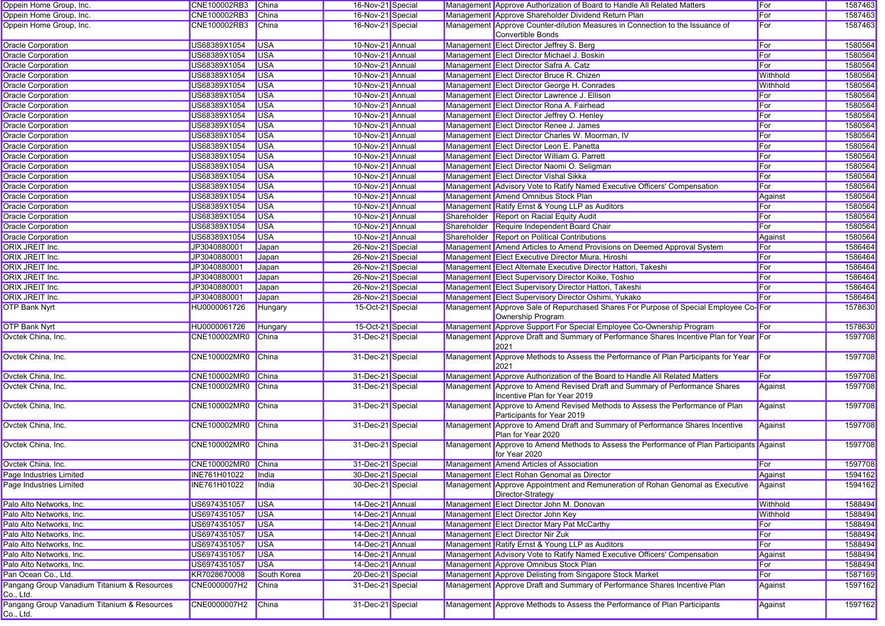| Oppein Home Group, Inc.                                  | CNE100002RB3 China |               | 16-Nov-21 Special |  | Management Approve Authorization of Board to Handle All Related Matters                                       | For             | 1587463 |
|----------------------------------------------------------|--------------------|---------------|-------------------|--|---------------------------------------------------------------------------------------------------------------|-----------------|---------|
| Oppein Home Group, Inc.                                  | CNE100002RB3       | China         | 16-Nov-21 Special |  | Management Approve Shareholder Dividend Return Plan                                                           | For             | 1587463 |
| Oppein Home Group, Inc.                                  | CNE100002RB3       | China         | 16-Nov-21 Special |  | Management Approve Counter-dilution Measures in Connection to the Issuance of<br>Convertible Bonds            | For             | 1587463 |
| <b>Oracle Corporation</b>                                | US68389X1054       | <b>USA</b>    | 10-Nov-21 Annual  |  | Management Elect Director Jeffrey S. Berg                                                                     | For             | 1580564 |
| <b>Oracle Corporation</b>                                | US68389X1054       | <b>USA</b>    | 10-Nov-21 Annual  |  | Management Elect Director Michael J. Boskin                                                                   | For             | 1580564 |
| <b>Oracle Corporation</b>                                | US68389X1054       | <b>USA</b>    | 10-Nov-21 Annual  |  | Management Elect Director Safra A. Catz                                                                       | For             | 1580564 |
| <b>Oracle Corporation</b>                                | US68389X1054       | <b>USA</b>    | 10-Nov-21 Annual  |  | Management Elect Director Bruce R. Chizen                                                                     | <b>Withhold</b> | 1580564 |
| <b>Oracle Corporation</b>                                | US68389X1054       | <b>USA</b>    | 10-Nov-21 Annual  |  | Management Elect Director George H. Conrades                                                                  | <b>Withhold</b> | 1580564 |
| <b>Oracle Corporation</b>                                | US68389X1054       | <b>USA</b>    | 10-Nov-21 Annual  |  | Management Elect Director Lawrence J. Ellison                                                                 | For             | 1580564 |
| <b>Oracle Corporation</b>                                | US68389X1054       | <b>USA</b>    | 10-Nov-21 Annual  |  | Management Elect Director Rona A. Fairhead                                                                    | For             | 1580564 |
| <b>Oracle Corporation</b>                                | US68389X1054       | <b>USA</b>    | 10-Nov-21 Annual  |  | Management Elect Director Jeffrey O. Henley                                                                   | For             | 1580564 |
| <b>Oracle Corporation</b>                                | US68389X1054       | <b>USA</b>    | 10-Nov-21 Annual  |  | Management Elect Director Renee J. James                                                                      | For             | 1580564 |
| <b>Oracle Corporation</b>                                | US68389X1054       | <b>USA</b>    | 10-Nov-21 Annual  |  | Management Elect Director Charles W. Moorman, IV                                                              | For             | 1580564 |
| <b>Oracle Corporation</b>                                | US68389X1054       | <b>USA</b>    | 10-Nov-21 Annual  |  | Management Elect Director Leon E. Panetta                                                                     | For             | 1580564 |
| <b>Oracle Corporation</b>                                | US68389X1054       | <b>USA</b>    | 10-Nov-21 Annual  |  | Management Elect Director William G. Parrett                                                                  | For             | 1580564 |
| <b>Oracle Corporation</b>                                | US68389X1054       | <b>USA</b>    | 10-Nov-21 Annual  |  | Management Elect Director Naomi O. Seligman                                                                   | For             | 1580564 |
| <b>Oracle Corporation</b>                                | US68389X1054       | <b>USA</b>    | 10-Nov-21 Annual  |  | Management Elect Director Vishal Sikka                                                                        | For             | 1580564 |
| <b>Oracle Corporation</b>                                | US68389X1054       | <b>USA</b>    | 10-Nov-21 Annual  |  | Management Advisory Vote to Ratify Named Executive Officers' Compensation                                     | For             | 1580564 |
| <b>Oracle Corporation</b>                                | US68389X1054       | <b>USA</b>    | 10-Nov-21 Annual  |  | Management Amend Omnibus Stock Plan                                                                           | Against         | 1580564 |
| <b>Oracle Corporation</b>                                | US68389X1054       | <b>USA</b>    | 10-Nov-21 Annual  |  | Management Ratify Ernst & Young LLP as Auditors                                                               | For             | 1580564 |
| <b>Oracle Corporation</b>                                | US68389X1054       | <b>USA</b>    | 10-Nov-21 Annual  |  | Shareholder Report on Racial Equity Audit                                                                     | For             | 1580564 |
| <b>Oracle Corporation</b>                                | US68389X1054       | <b>USA</b>    | 10-Nov-21 Annual  |  | Shareholder Require Independent Board Chair                                                                   | For             | 1580564 |
| <b>Oracle Corporation</b>                                | US68389X1054       | <b>USA</b>    | 10-Nov-21 Annual  |  | Shareholder Report on Political Contributions                                                                 | Against         | 1580564 |
| ORIX JREIT Inc.                                          | JP3040880001       | Japan         | 26-Nov-21 Special |  | Management Amend Articles to Amend Provisions on Deemed Approval System                                       | For             | 1586464 |
| ORIX JREIT Inc.                                          | JP3040880001       | Japan         | 26-Nov-21 Special |  | Management Elect Executive Director Miura, Hiroshi                                                            | For             | 1586464 |
| ORIX JREIT Inc.                                          | JP3040880001       | Japan         | 26-Nov-21 Special |  | Management Elect Alternate Executive Director Hattori, Takeshi                                                | For             | 1586464 |
| ORIX JREIT Inc.                                          | JP3040880001       | Japan         | 26-Nov-21 Special |  | Management Elect Supervisory Director Koike, Toshio                                                           | For             | 1586464 |
| ORIX JREIT Inc.                                          | JP3040880001       | Japan         | 26-Nov-21 Special |  | Management Elect Supervisory Director Hattori, Takeshi                                                        | For             | 1586464 |
| ORIX JREIT Inc.                                          | JP3040880001       | Japan         | 26-Nov-21 Special |  | Management Elect Supervisory Director Oshimi, Yukako                                                          | For             | 1586464 |
| <b>OTP Bank Nyrt</b>                                     | HU0000061726       | Hungary       | 15-Oct-21 Special |  | Management Approve Sale of Repurchased Shares For Purpose of Special Employee Co-For                          |                 | 1578630 |
|                                                          |                    |               |                   |  | Ownership Program                                                                                             |                 |         |
| <b>OTP Bank Nyrt</b>                                     | HU0000061726       | Hungary       | 15-Oct-21 Special |  | Management Approve Support For Special Employee Co-Ownership Program                                          | For             | 1578630 |
| Ovctek China, Inc.                                       | CNE100002MR0       | China         | 31-Dec-21 Special |  | Management Approve Draft and Summary of Performance Shares Incentive Plan for Year For<br>2021                |                 | 1597708 |
| Ovctek China, Inc.                                       | CNE100002MR0       | China         | 31-Dec-21 Special |  | Management Approve Methods to Assess the Performance of Plan Participants for Year<br>2021                    | For             | 1597708 |
| Ovctek China, Inc.                                       | CNE100002MR0       | China         | 31-Dec-21 Special |  | Management Approve Authorization of the Board to Handle All Related Matters                                   | For             | 1597708 |
| Ovctek China, Inc.                                       | CNE100002MR0       | China         | 31-Dec-21 Special |  | Management Approve to Amend Revised Draft and Summary of Performance Shares                                   | Against         | 1597708 |
| Ovctek China, Inc.                                       | CNE100002MR0 China |               | 31-Dec-21 Special |  | Incentive Plan for Year 2019<br>Management Approve to Amend Revised Methods to Assess the Performance of Plan | Against         | 1597708 |
|                                                          |                    |               |                   |  | Participants for Year 2019                                                                                    |                 |         |
| Ovctek China, Inc.                                       | CNE100002MR0 China |               | 31-Dec-21 Special |  | Management Approve to Amend Draft and Summary of Performance Shares Incentive<br>Plan for Year 2020           | Against         | 1597708 |
| Ovctek China, Inc.                                       | CNE100002MR0       | China         | 31-Dec-21 Special |  | Management Approve to Amend Methods to Assess the Performance of Plan Participants Against<br>for Year 2020   |                 | 1597708 |
| Ovctek China, Inc.                                       | CNE100002MR0 China |               | 31-Dec-21 Special |  | Management Amend Articles of Association                                                                      | For             | 1597708 |
| Page Industries Limited                                  | INE761H01022       | <b>I</b> ndia | 30-Dec-21 Special |  | Management Elect Rohan Genomal as Director                                                                    | <b>Against</b>  | 1594162 |
| Page Industries Limited                                  | INE761H01022       | <b>India</b>  | 30-Dec-21 Special |  | Management Approve Appointment and Remuneration of Rohan Genomal as Executive<br>Director-Strategy            | Against         | 1594162 |
| Palo Alto Networks, Inc.                                 | US6974351057       | <b>USA</b>    | 14-Dec-21 Annual  |  | Management Elect Director John M. Donovan                                                                     | Withhold        | 1588494 |
| Palo Alto Networks, Inc.                                 | US6974351057       | <b>USA</b>    | 14-Dec-21 Annual  |  | Management Elect Director John Key                                                                            | Withhold        | 1588494 |
| Palo Alto Networks, Inc.                                 | US6974351057       | <b>USA</b>    | 14-Dec-21 Annual  |  | Management Elect Director Mary Pat McCarthy                                                                   | For             | 1588494 |
| Palo Alto Networks, Inc.                                 | US6974351057       | <b>USA</b>    | 14-Dec-21 Annual  |  | Management Elect Director Nir Zuk                                                                             | For             | 1588494 |
| Palo Alto Networks, Inc.                                 | US6974351057       | <b>USA</b>    | 14-Dec-21 Annual  |  | Management Ratify Ernst & Young LLP as Auditors                                                               | For             | 1588494 |
| Palo Alto Networks, Inc.                                 | US6974351057       | <b>USA</b>    | 14-Dec-21 Annual  |  | Management Advisory Vote to Ratify Named Executive Officers' Compensation                                     | Against         | 1588494 |
| Palo Alto Networks, Inc.                                 | US6974351057       | <b>USA</b>    | 14-Dec-21 Annual  |  | Management Approve Omnibus Stock Plan                                                                         | For             | 1588494 |
| Pan Ocean Co., Ltd.                                      | KR7028670008       | South Korea   | 20-Dec-21 Special |  | Management Approve Delisting from Singapore Stock Market                                                      | For             | 1587169 |
| Pangang Group Vanadium Titanium & Resources<br>Co., Ltd. | CNE0000007H2       | <b>China</b>  | 31-Dec-21 Special |  | Management Approve Draft and Summary of Performance Shares Incentive Plan                                     | Against         | 1597162 |
| Pangang Group Vanadium Titanium & Resources<br>Co., Ltd. | CNE0000007H2       | <b>China</b>  | 31-Dec-21 Special |  | Management Approve Methods to Assess the Performance of Plan Participants                                     | Against         | 1597162 |
|                                                          |                    |               |                   |  |                                                                                                               |                 |         |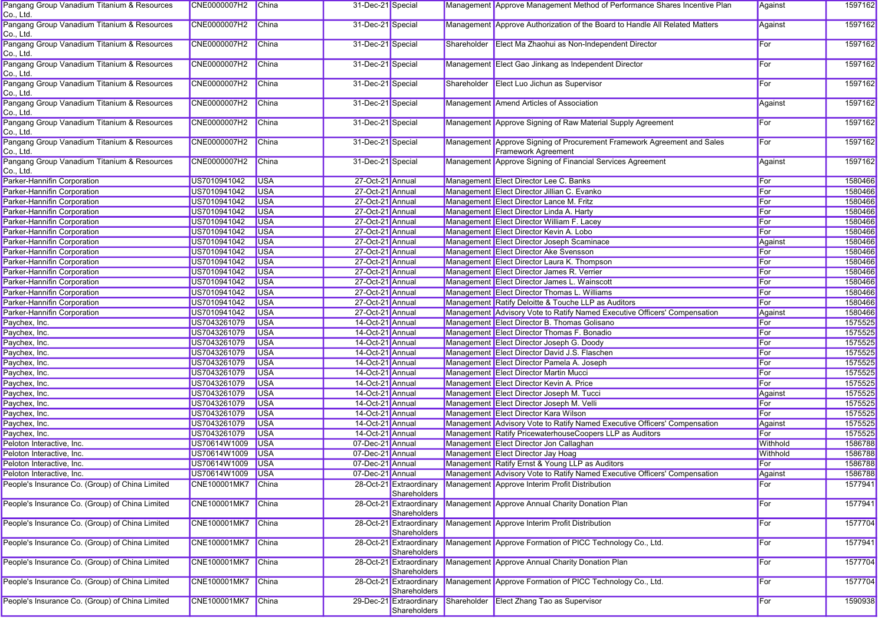| Pangang Group Vanadium Titanium & Resources<br>Co., Ltd. | CNE0000007H2       | China        | 31-Dec-21 Special |                                         | Management Approve Management Method of Performance Shares Incentive Plan                      | Against         | 1597162 |
|----------------------------------------------------------|--------------------|--------------|-------------------|-----------------------------------------|------------------------------------------------------------------------------------------------|-----------------|---------|
| Pangang Group Vanadium Titanium & Resources<br>Co., Ltd. | CNE0000007H2       | China        | 31-Dec-21 Special |                                         | Management Approve Authorization of the Board to Handle All Related Matters                    | Against         | 1597162 |
| Pangang Group Vanadium Titanium & Resources<br>Co., Ltd. | CNE0000007H2       | China        | 31-Dec-21 Special |                                         | Shareholder Elect Ma Zhaohui as Non-Independent Director                                       | For             | 1597162 |
| Pangang Group Vanadium Titanium & Resources<br>Co., Ltd. | CNE0000007H2       | <b>China</b> | 31-Dec-21 Special |                                         | Management Elect Gao Jinkang as Independent Director                                           | For             | 1597162 |
| Pangang Group Vanadium Titanium & Resources<br>Co., Ltd. | CNE0000007H2       | <b>China</b> | 31-Dec-21 Special |                                         | Shareholder Elect Luo Jichun as Supervisor                                                     | For             | 1597162 |
| Pangang Group Vanadium Titanium & Resources<br>Co., Ltd. | CNE0000007H2       | China        | 31-Dec-21 Special |                                         | Management Amend Articles of Association                                                       | Against         | 1597162 |
| Pangang Group Vanadium Titanium & Resources<br>Co., Ltd. | CNE0000007H2       | <b>China</b> | 31-Dec-21 Special |                                         | Management Approve Signing of Raw Material Supply Agreement                                    | For             | 1597162 |
| Pangang Group Vanadium Titanium & Resources<br>Co., Ltd. | CNE0000007H2       | China        | 31-Dec-21 Special |                                         | Management Approve Signing of Procurement Framework Agreement and Sales<br>Framework Agreement | For             | 1597162 |
| Pangang Group Vanadium Titanium & Resources<br>Co., Ltd. | CNE0000007H2       | <b>China</b> | 31-Dec-21 Special |                                         | Management Approve Signing of Financial Services Agreement                                     | Against         | 1597162 |
| Parker-Hannifin Corporation                              | US7010941042       | <b>USA</b>   | 27-Oct-21 Annual  |                                         | Management Elect Director Lee C. Banks                                                         | For             | 1580466 |
| Parker-Hannifin Corporation                              | US7010941042       | <b>USA</b>   | 27-Oct-21 Annual  |                                         | Management Elect Director Jillian C. Evanko                                                    | For             | 1580466 |
| Parker-Hannifin Corporation                              | US7010941042       | <b>USA</b>   | 27-Oct-21 Annual  |                                         | Management Elect Director Lance M. Fritz                                                       | For             | 1580466 |
| Parker-Hannifin Corporation                              | US7010941042       | <b>USA</b>   | 27-Oct-21 Annual  |                                         | Management Elect Director Linda A. Harty                                                       | For             | 1580466 |
| <b>Parker-Hannifin Corporation</b>                       | US7010941042       | <b>USA</b>   | 27-Oct-21 Annual  |                                         | Management Elect Director William F. Lacey                                                     | For             | 1580466 |
| Parker-Hannifin Corporation                              | US7010941042       | <b>USA</b>   | 27-Oct-21 Annual  |                                         | Management Elect Director Kevin A. Lobo                                                        | For             | 1580466 |
| Parker-Hannifin Corporation                              | US7010941042       | <b>USA</b>   | 27-Oct-21 Annual  |                                         | Management Elect Director Joseph Scaminace                                                     | Against         | 1580466 |
| Parker-Hannifin Corporation                              | US7010941042       | <b>USA</b>   | 27-Oct-21 Annual  |                                         | Management Elect Director Ake Svensson                                                         | For             | 1580466 |
| Parker-Hannifin Corporation                              | US7010941042       | <b>USA</b>   | 27-Oct-21 Annual  |                                         | Management Elect Director Laura K. Thompson                                                    | For             | 1580466 |
| <b>Parker-Hannifin Corporation</b>                       | US7010941042       | <b>USA</b>   | 27-Oct-21 Annual  |                                         | Management Elect Director James R. Verrier                                                     | For             | 1580466 |
| <b>Parker-Hannifin Corporation</b>                       | US7010941042       | <b>USA</b>   | 27-Oct-21 Annual  |                                         | Management Elect Director James L. Wainscott                                                   | For             | 1580466 |
| Parker-Hannifin Corporation                              | US7010941042       | <b>USA</b>   | 27-Oct-21 Annual  |                                         | Management Elect Director Thomas L. Williams                                                   | For             | 1580466 |
|                                                          |                    |              |                   |                                         |                                                                                                | For             | 1580466 |
| Parker-Hannifin Corporation                              | US7010941042       | <b>USA</b>   | 27-Oct-21 Annual  |                                         | Management Ratify Deloitte & Touche LLP as Auditors                                            |                 |         |
| Parker-Hannifin Corporation                              | US7010941042       | <b>USA</b>   | 27-Oct-21 Annual  |                                         | Management Advisory Vote to Ratify Named Executive Officers' Compensation                      | Against         | 1580466 |
| Paychex, Inc.                                            | US7043261079       | <b>USA</b>   | 14-Oct-21 Annual  |                                         | Management Elect Director B. Thomas Golisano                                                   | For             | 1575525 |
| Paychex, Inc.                                            | US7043261079       | <b>USA</b>   | 14-Oct-21 Annual  |                                         | Management Elect Director Thomas F. Bonadio                                                    | For             | 1575525 |
| Paychex, Inc.                                            | US7043261079       | <b>USA</b>   | 14-Oct-21 Annual  |                                         | Management Elect Director Joseph G. Doody                                                      | For             | 1575525 |
| Paychex, Inc.                                            | US7043261079       | <b>USA</b>   | 14-Oct-21 Annual  |                                         | Management Elect Director David J.S. Flaschen                                                  | For             | 1575525 |
| Paychex, Inc.                                            | US7043261079       | <b>USA</b>   | 14-Oct-21 Annual  |                                         | Management Elect Director Pamela A. Joseph                                                     | For             | 1575525 |
| Paychex, Inc.                                            | US7043261079       | <b>USA</b>   | 14-Oct-21 Annual  |                                         | Management Elect Director Martin Mucci                                                         | For             | 1575525 |
| Paychex, Inc.                                            | US7043261079       | <b>USA</b>   | 14-Oct-21 Annual  |                                         | Management Elect Director Kevin A. Price                                                       | For             | 1575525 |
| Paychex, Inc.                                            | US7043261079       | <b>USA</b>   | 14-Oct-21 Annual  |                                         | Management Elect Director Joseph M. Tucci                                                      | Against         | 1575525 |
| Paychex, Inc.                                            | US7043261079       | <b>USA</b>   | 14-Oct-21 Annual  |                                         | Management Elect Director Joseph M. Velli                                                      | For             | 1575525 |
| Paychex, Inc.                                            | US7043261079       | <b>USA</b>   | 14-Oct-21 Annual  |                                         | Management Elect Director Kara Wilson                                                          | For             | 1575525 |
| Paychex, Inc.                                            | US7043261079       | <b>USA</b>   | 14-Oct-21 Annual  |                                         | Management Advisory Vote to Ratify Named Executive Officers' Compensation                      | Against         | 1575525 |
| Paychex, Inc.                                            | US7043261079       | <b>USA</b>   | 14-Oct-21 Annual  |                                         | Management Ratify PricewaterhouseCoopers LLP as Auditors                                       | For             | 1575525 |
| Peloton Interactive, Inc.                                | US70614W1009       | <b>USA</b>   | 07-Dec-21 Annual  |                                         | Management Elect Director Jon Callaghan                                                        | Withhold        | 1586788 |
| Peloton Interactive, Inc.                                | US70614W1009       | <b>USA</b>   | 07-Dec-21 Annual  |                                         | Management Elect Director Jay Hoag                                                             | <b>Withhold</b> | 1586788 |
| Peloton Interactive, Inc.                                | US70614W1009       | <b>USA</b>   | 07-Dec-21 Annual  |                                         | Management Ratify Ernst & Young LLP as Auditors                                                | For             | 1586788 |
| Peloton Interactive, Inc.                                | US70614W1009 USA   |              | 07-Dec-21 Annual  |                                         | Management Advisory Vote to Ratify Named Executive Officers' Compensation                      | ∥Against        | 1586788 |
| People's Insurance Co. (Group) of China Limited          | CNE100001MK7       | <b>China</b> |                   | 28-Oct-21 Extraordinary                 | Management Approve Interim Profit Distribution                                                 | For             | 1577941 |
|                                                          |                    |              |                   | Shareholders                            |                                                                                                |                 |         |
| People's Insurance Co. (Group) of China Limited          | CNE100001MK7       | China        |                   | 28-Oct-21 Extraordinary<br>Shareholders | Management Approve Annual Charity Donation Plan                                                | For             | 1577941 |
| People's Insurance Co. (Group) of China Limited          | CNE100001MK7 China |              |                   | 28-Oct-21 Extraordinary<br>Shareholders | Management Approve Interim Profit Distribution                                                 | For             | 1577704 |
| People's Insurance Co. (Group) of China Limited          | CNE100001MK7 China |              |                   | 28-Oct-21 Extraordinary<br>Shareholders | Management Approve Formation of PICC Technology Co., Ltd.                                      | For             | 1577941 |
| People's Insurance Co. (Group) of China Limited          | CNE100001MK7 China |              |                   | 28-Oct-21 Extraordinary<br>Shareholders | Management Approve Annual Charity Donation Plan                                                | For             | 1577704 |
| People's Insurance Co. (Group) of China Limited          | CNE100001MK7       | China        |                   | 28-Oct-21 Extraordinary<br>Shareholders | Management Approve Formation of PICC Technology Co., Ltd.                                      | For             | 1577704 |
| People's Insurance Co. (Group) of China Limited          | CNE100001MK7       | China        |                   | 29-Dec-21 Extraordinary<br>Shareholders | Shareholder Elect Zhang Tao as Supervisor                                                      | For             | 1590938 |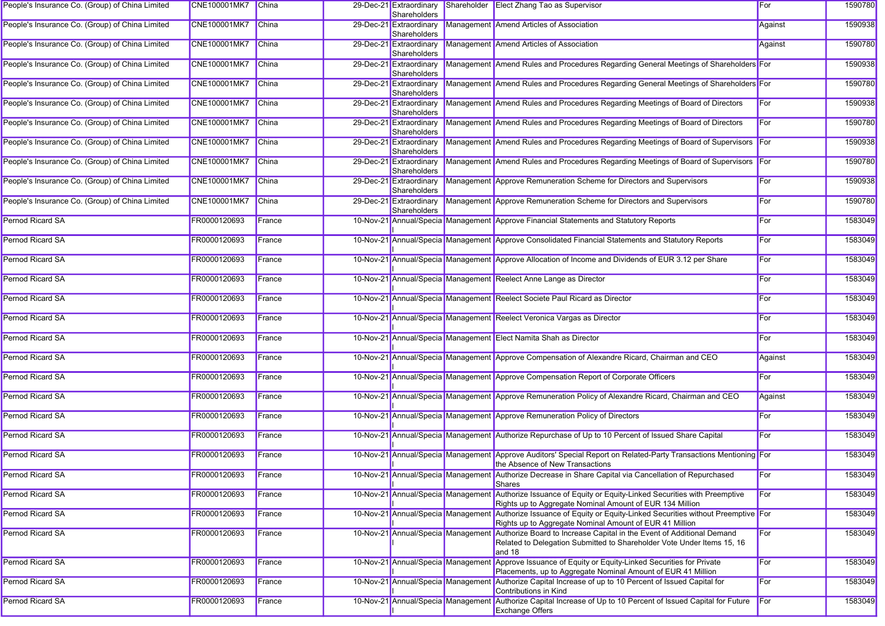| People's Insurance Co. (Group) of China Limited | CNE100001MK7 China  |              | 29-Dec-21 Extraordinary<br>Shareholders | Shareholder Elect Zhang Tao as Supervisor                                                                                                                               | For     | 1590780 |
|-------------------------------------------------|---------------------|--------------|-----------------------------------------|-------------------------------------------------------------------------------------------------------------------------------------------------------------------------|---------|---------|
| People's Insurance Co. (Group) of China Limited | CNE100001MK7 China  |              | 29-Dec-21 Extraordinary<br>Shareholders | Management Amend Articles of Association                                                                                                                                | Against | 1590938 |
| People's Insurance Co. (Group) of China Limited | <b>CNE100001MK7</b> | China        | 29-Dec-21 Extraordinary<br>Shareholders | Management Amend Articles of Association                                                                                                                                | Against | 1590780 |
| People's Insurance Co. (Group) of China Limited | CNE100001MK7 China  |              | 29-Dec-21 Extraordinary<br>Shareholders | Management Amend Rules and Procedures Regarding General Meetings of Shareholders For                                                                                    |         | 1590938 |
| People's Insurance Co. (Group) of China Limited | CNE100001MK7 China  |              | 29-Dec-21 Extraordinary<br>Shareholders | Management Amend Rules and Procedures Regarding General Meetings of Shareholders For                                                                                    |         | 1590780 |
| People's Insurance Co. (Group) of China Limited | CNE100001MK7        | <b>China</b> | 29-Dec-21 Extraordinary<br>Shareholders | Management Amend Rules and Procedures Regarding Meetings of Board of Directors                                                                                          | For     | 1590938 |
| People's Insurance Co. (Group) of China Limited | CNE100001MK7 China  |              | 29-Dec-21 Extraordinary<br>Shareholders | Management Amend Rules and Procedures Regarding Meetings of Board of Directors                                                                                          | For     | 1590780 |
| People's Insurance Co. (Group) of China Limited | CNE100001MK7        | China        | 29-Dec-21 Extraordinary<br>Shareholders | Management Amend Rules and Procedures Regarding Meetings of Board of Supervisors For                                                                                    |         | 1590938 |
| People's Insurance Co. (Group) of China Limited | <b>CNE100001MK7</b> | China        | 29-Dec-21 Extraordinary<br>Shareholders | Management Amend Rules and Procedures Regarding Meetings of Board of Supervisors For                                                                                    |         | 1590780 |
| People's Insurance Co. (Group) of China Limited | CNE100001MK7        | China        | 29-Dec-21 Extraordinary<br>Shareholders | Management Approve Remuneration Scheme for Directors and Supervisors                                                                                                    | For     | 1590938 |
| People's Insurance Co. (Group) of China Limited | <b>CNE100001MK7</b> | China        | 29-Dec-21 Extraordinary<br>Shareholders | Management Approve Remuneration Scheme for Directors and Supervisors                                                                                                    | For     | 1590780 |
| Pernod Ricard SA                                | FR0000120693        | France       |                                         | 10-Nov-21 Annual/Specia Management Approve Financial Statements and Statutory Reports                                                                                   | For     | 1583049 |
| <b>Pernod Ricard SA</b>                         | FR0000120693        | France       |                                         | 10-Nov-21 Annual/Specia Management Approve Consolidated Financial Statements and Statutory Reports                                                                      | For     | 1583049 |
| <b>Pernod Ricard SA</b>                         | FR0000120693        | France       |                                         | 10-Nov-21 Annual/Specia Management Approve Allocation of Income and Dividends of EUR 3.12 per Share                                                                     | For     | 1583049 |
| Pernod Ricard SA                                | FR0000120693        | France       |                                         | 10-Nov-21 Annual/Specia Management Reelect Anne Lange as Director                                                                                                       | For     | 1583049 |
| Pernod Ricard SA                                | FR0000120693        | France       |                                         | 10-Nov-21 Annual/Specia Management Reelect Societe Paul Ricard as Director                                                                                              | For     | 1583049 |
| Pernod Ricard SA                                | FR0000120693        | France       |                                         | 10-Nov-21 Annual/Specia Management Reelect Veronica Vargas as Director                                                                                                  | For     | 1583049 |
| Pernod Ricard SA                                | FR0000120693        | France       |                                         | 10-Nov-21 Annual/Specia Management Elect Namita Shah as Director                                                                                                        | For     | 1583049 |
| <b>Pernod Ricard SA</b>                         | FR0000120693        | France       |                                         | 10-Nov-21 Annual/Specia Management Approve Compensation of Alexandre Ricard, Chairman and CEO                                                                           | Against | 1583049 |
| Pernod Ricard SA                                | FR0000120693        | France       |                                         | 10-Nov-21 Annual/Specia Management Approve Compensation Report of Corporate Officers                                                                                    | For     | 1583049 |
| <b>Pernod Ricard SA</b>                         | FR0000120693        | France       |                                         | 10-Nov-21 Annual/Specia Management Approve Remuneration Policy of Alexandre Ricard, Chairman and CEO                                                                    | Against | 1583049 |
| Pernod Ricard SA                                | FR0000120693        | France       |                                         | 10-Nov-21 Annual/Specia Management Approve Remuneration Policy of Directors                                                                                             | For     | 1583049 |
| <b>Pernod Ricard SA</b>                         | FR0000120693        | France       |                                         | 10-Nov-21 Annual/Specia Management Authorize Repurchase of Up to 10 Percent of Issued Share Capital                                                                     | For     | 1583049 |
| <b>Pernod Ricard SA</b>                         | FR0000120693        | France       |                                         | 10-Nov-21 Annual/Specia Management Approve Auditors' Special Report on Related-Party Transactions Mentioning For<br>the Absence of New Transactions                     |         | 1583049 |
| Pernod Ricard SA                                | FR0000120693        | $l$ France   |                                         | 10-Nov-21 Annual/Specia Management Authorize Decrease in Share Capital via Cancellation of Repurchased<br>Shares                                                        | ∣For    | 1583049 |
| Pernod Ricard SA                                | FR0000120693        | France       |                                         | 10-Nov-21 Annual/Specia Management Authorize Issuance of Equity or Equity-Linked Securities with Preemptive<br>Rights up to Aggregate Nominal Amount of EUR 134 Million | For     | 1583049 |
| Pernod Ricard SA                                | FR0000120693        | France       | 10-Nov-21 Annual/Specia Managemen       | I Authorize Issuance of Equity or Equity-Linked Securities without Preemptive For<br>Rights up to Aggregate Nominal Amount of EUR 41 Million                            |         | 1583049 |
| Pernod Ricard SA                                | FR0000120693        | France       | 10-Nov-21 Annual/Specia Managemen       | Authorize Board to Increase Capital in the Event of Additional Demand<br>Related to Delegation Submitted to Shareholder Vote Under Items 15, 16                         | For     | 1583049 |
| Pernod Ricard SA                                | FR0000120693        | France       |                                         | and 18<br>10-Nov-21 Annual/Specia Management Approve Issuance of Equity or Equity-Linked Securities for Private                                                         | For     | 1583049 |
| <b>Pernod Ricard SA</b>                         | FR0000120693        | France       |                                         | Placements, up to Aggregate Nominal Amount of EUR 41 Million<br>10-Nov-21 Annual/Specia Management Authorize Capital Increase of up to 10 Percent of Issued Capital for | For     | 1583049 |
| Pernod Ricard SA                                | FR0000120693        | France       | 10-Nov-21 Annual/Specia Managemen       | Contributions in Kind<br>Authorize Capital Increase of Up to 10 Percent of Issued Capital for Future                                                                    | For     | 1583049 |
|                                                 |                     |              |                                         | <b>Exchange Offers</b>                                                                                                                                                  |         |         |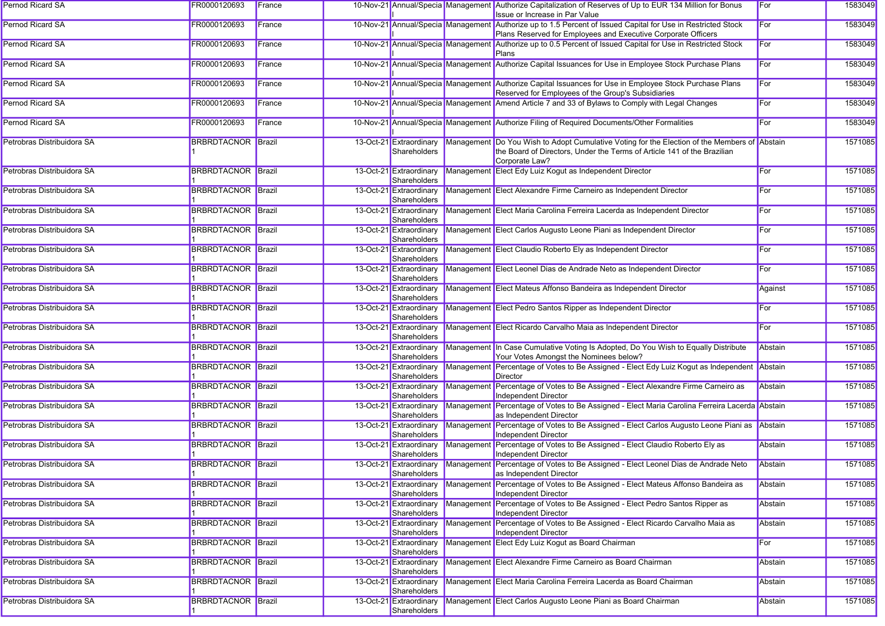| Pernod Ricard SA           | FR0000120693              | France |                                         |            | 10-Nov-21 Annual/Specia Management Authorize Capitalization of Reserves of Up to EUR 134 Million for Bonus<br>Issue or Increase in Par Value                                              | For     | 1583049 |
|----------------------------|---------------------------|--------|-----------------------------------------|------------|-------------------------------------------------------------------------------------------------------------------------------------------------------------------------------------------|---------|---------|
| <b>Pernod Ricard SA</b>    | FR0000120693              | France |                                         |            | 10-Nov-21 Annual/Specia Management Authorize up to 1.5 Percent of Issued Capital for Use in Restricted Stock<br>Plans Reserved for Employees and Executive Corporate Officers             | For     | 1583049 |
| Pernod Ricard SA           | FR0000120693              | France |                                         |            | 10-Nov-21 Annual/Specia Management Authorize up to 0.5 Percent of Issued Capital for Use in Restricted Stock<br>Plans                                                                     | For     | 1583049 |
| Pernod Ricard SA           | FR0000120693              | France |                                         |            | 10-Nov-21 Annual/Specia Management Authorize Capital Issuances for Use in Employee Stock Purchase Plans                                                                                   | For     | 1583049 |
| Pernod Ricard SA           | FR0000120693              | France |                                         |            | 10-Nov-21 Annual/Specia Management Authorize Capital Issuances for Use in Employee Stock Purchase Plans<br>Reserved for Employees of the Group's Subsidiaries                             | For     | 1583049 |
| Pernod Ricard SA           | FR0000120693              | France |                                         |            | 10-Nov-21 Annual/Specia Management Amend Article 7 and 33 of Bylaws to Comply with Legal Changes                                                                                          | For     | 1583049 |
| <b>Pernod Ricard SA</b>    | FR0000120693              | France |                                         |            | 10-Nov-21 Annual/Specia Management Authorize Filing of Required Documents/Other Formalities                                                                                               | For     | 1583049 |
| Petrobras Distribuidora SA | <b>BRBRDTACNOR Brazil</b> |        | 13-Oct-21 Extraordinary<br>Shareholders |            | Management Do You Wish to Adopt Cumulative Voting for the Election of the Members of Abstain<br>the Board of Directors, Under the Terms of Article 141 of the Brazilian<br>Corporate Law? |         | 1571085 |
| Petrobras Distribuidora SA | <b>BRBRDTACNOR Brazil</b> |        | 13-Oct-21 Extraordinary<br>Shareholders |            | Management Elect Edy Luiz Kogut as Independent Director                                                                                                                                   | For     | 1571085 |
| Petrobras Distribuidora SA | <b>BRBRDTACNOR Brazil</b> |        | 13-Oct-21 Extraordinary<br>Shareholders |            | Management Elect Alexandre Firme Carneiro as Independent Director                                                                                                                         | For     | 1571085 |
| Petrobras Distribuidora SA | <b>BRBRDTACNOR Brazil</b> |        | 13-Oct-21 Extraordinary<br>Shareholders |            | Management Elect Maria Carolina Ferreira Lacerda as Independent Director                                                                                                                  | For     | 1571085 |
| Petrobras Distribuidora SA | <b>BRBRDTACNOR Brazil</b> |        | 13-Oct-21 Extraordinary<br>Shareholders |            | Management Elect Carlos Augusto Leone Piani as Independent Director                                                                                                                       | For     | 1571085 |
| Petrobras Distribuidora SA | <b>BRBRDTACNOR Brazil</b> |        | 13-Oct-21 Extraordinary<br>Shareholders |            | Management Elect Claudio Roberto Ely as Independent Director                                                                                                                              | For     | 1571085 |
| Petrobras Distribuidora SA | <b>BRBRDTACNOR Brazil</b> |        | 13-Oct-21 Extraordinary<br>Shareholders |            | Management Elect Leonel Dias de Andrade Neto as Independent Director                                                                                                                      | For     | 1571085 |
| Petrobras Distribuidora SA | <b>BRBRDTACNOR Brazil</b> |        | 13-Oct-21 Extraordinary<br>Shareholders |            | Management Elect Mateus Affonso Bandeira as Independent Director                                                                                                                          | Against | 1571085 |
| Petrobras Distribuidora SA | <b>BRBRDTACNOR Brazil</b> |        | 13-Oct-21 Extraordinary<br>Shareholders |            | Management Elect Pedro Santos Ripper as Independent Director                                                                                                                              | For     | 1571085 |
| Petrobras Distribuidora SA | <b>BRBRDTACNOR Brazil</b> |        | 13-Oct-21 Extraordinary<br>Shareholders |            | Management Elect Ricardo Carvalho Maia as Independent Director                                                                                                                            | For     | 1571085 |
| Petrobras Distribuidora SA | <b>BRBRDTACNOR Brazil</b> |        | 13-Oct-21 Extraordinary<br>Shareholders |            | Management In Case Cumulative Voting Is Adopted, Do You Wish to Equally Distribute<br>Your Votes Amongst the Nominees below?                                                              | Abstain | 1571085 |
| Petrobras Distribuidora SA | <b>BRBRDTACNOR Brazil</b> |        | 13-Oct-21 Extraordinary<br>Shareholders |            | Management Percentage of Votes to Be Assigned - Elect Edy Luiz Kogut as Independent<br>Director                                                                                           | Abstain | 1571085 |
| Petrobras Distribuidora SA | <b>BRBRDTACNOR Brazil</b> |        | 13-Oct-21 Extraordinary<br>Shareholders |            | Management Percentage of Votes to Be Assigned - Elect Alexandre Firme Carneiro as<br>Independent Director                                                                                 | Abstain | 1571085 |
| Petrobras Distribuidora SA | <b>BRBRDTACNOR</b> Brazil |        | 13-Oct-21 Extraordinary<br>Shareholders | Management | Dercentage of Votes to Be Assigned - Elect Maria Carolina Ferreira Lacerda Abstain<br>as Independent Director                                                                             |         | 1571085 |
| Petrobras Distribuidora SA | <b>BRBRDTACNOR Brazil</b> |        | 13-Oct-21 Extraordinary<br>Shareholders | Managemen  | Percentage of Votes to Be Assigned - Elect Carlos Augusto Leone Piani as<br>Independent Director                                                                                          | Abstain | 1571085 |
| Petrobras Distribuidora SA | <b>BRBRDTACNOR Brazil</b> |        | 13-Oct-21 Extraordinary<br>Shareholders |            | Management Percentage of Votes to Be Assigned - Elect Claudio Roberto Ely as<br>Independent Director                                                                                      | Abstain | 1571085 |
| Petrobras Distribuidora SA | <b>BRBRDTACNOR Brazil</b> |        | Shareholders                            |            | 13-Oct-21 Extraordinary Management Percentage of Votes to Be Assigned - Elect Leonel Dias de Andrade Neto<br>as Independent Director                                                      | Abstain | 1571085 |
| Petrobras Distribuidora SA | <b>BRBRDTACNOR Brazil</b> |        | 13-Oct-21 Extraordinary<br>Shareholders |            | Management Percentage of Votes to Be Assigned - Elect Mateus Affonso Bandeira as<br>Independent Director                                                                                  | Abstain | 1571085 |
| Petrobras Distribuidora SA | <b>BRBRDTACNOR Brazil</b> |        | 13-Oct-21 Extraordinary<br>Shareholders |            | Management Percentage of Votes to Be Assigned - Elect Pedro Santos Ripper as<br>Independent Director                                                                                      | Abstain | 1571085 |
| Petrobras Distribuidora SA | <b>BRBRDTACNOR Brazil</b> |        | 13-Oct-21 Extraordinary<br>Shareholders |            | Management Percentage of Votes to Be Assigned - Elect Ricardo Carvalho Maia as<br>Independent Director                                                                                    | Abstain | 1571085 |
| Petrobras Distribuidora SA | <b>BRBRDTACNOR Brazil</b> |        | 13-Oct-21 Extraordinary<br>Shareholders |            | Management Elect Edy Luiz Kogut as Board Chairman                                                                                                                                         | For     | 1571085 |
| Petrobras Distribuidora SA | <b>BRBRDTACNOR Brazil</b> |        | 13-Oct-21 Extraordinary<br>Shareholders |            | Management Elect Alexandre Firme Carneiro as Board Chairman                                                                                                                               | Abstain | 1571085 |
| Petrobras Distribuidora SA | <b>BRBRDTACNOR Brazil</b> |        | 13-Oct-21 Extraordinary<br>Shareholders |            | Management Elect Maria Carolina Ferreira Lacerda as Board Chairman                                                                                                                        | Abstain | 1571085 |
| Petrobras Distribuidora SA | <b>BRBRDTACNOR Brazil</b> |        | 13-Oct-21 Extraordinary<br>Shareholders |            | Management Elect Carlos Augusto Leone Piani as Board Chairman                                                                                                                             | Abstain | 1571085 |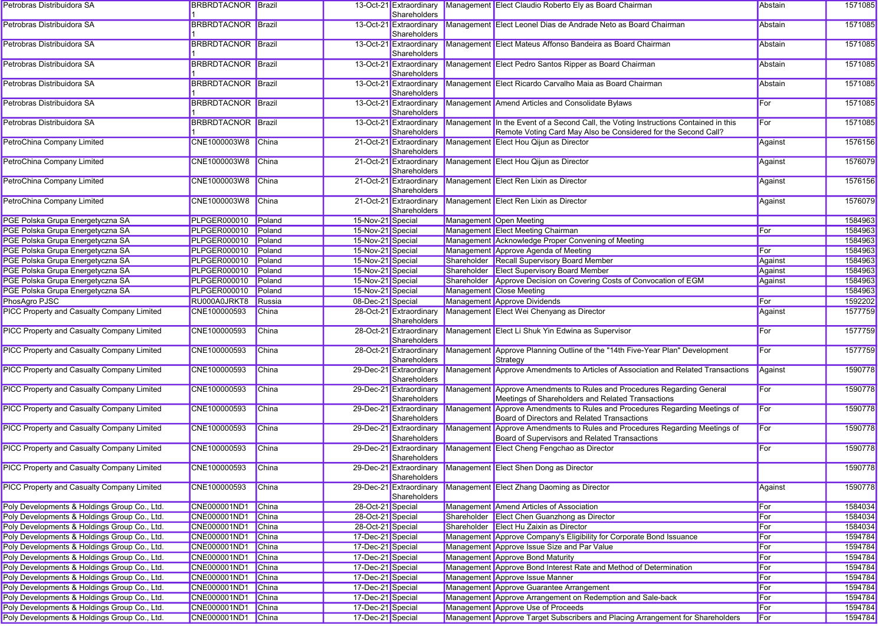| Petrobras Distribuidora SA                        | <b>BRBRDTACNOR Brazil</b> |              |                   | 13-Oct-21 Extraordinary<br>Shareholders | Management Elect Claudio Roberto Ely as Board Chairman                                                                                                | Abstain | 1571085 |
|---------------------------------------------------|---------------------------|--------------|-------------------|-----------------------------------------|-------------------------------------------------------------------------------------------------------------------------------------------------------|---------|---------|
| Petrobras Distribuidora SA                        | <b>BRBRDTACNOR Brazil</b> |              |                   | 13-Oct-21 Extraordinary<br>Shareholders | Management Elect Leonel Dias de Andrade Neto as Board Chairman                                                                                        | Abstain | 1571085 |
| Petrobras Distribuidora SA                        | <b>BRBRDTACNOR Brazil</b> |              |                   | 13-Oct-21 Extraordinary<br>Shareholders | Management Elect Mateus Affonso Bandeira as Board Chairman                                                                                            | Abstain | 1571085 |
| Petrobras Distribuidora SA                        | <b>BRBRDTACNOR Brazil</b> |              |                   | 13-Oct-21 Extraordinary<br>Shareholders | Management Elect Pedro Santos Ripper as Board Chairman                                                                                                | Abstain | 1571085 |
| Petrobras Distribuidora SA                        | <b>BRBRDTACNOR Brazil</b> |              |                   | 13-Oct-21 Extraordinary<br>Shareholders | Management Elect Ricardo Carvalho Maia as Board Chairman                                                                                              | Abstain | 1571085 |
| Petrobras Distribuidora SA                        | <b>BRBRDTACNOR Brazil</b> |              |                   | 13-Oct-21 Extraordinary<br>Shareholders | Management Amend Articles and Consolidate Bylaws                                                                                                      | For     | 1571085 |
| Petrobras Distribuidora SA                        | <b>BRBRDTACNOR Brazil</b> |              |                   | 13-Oct-21 Extraordinary<br>Shareholders | Management In the Event of a Second Call, the Voting Instructions Contained in this<br>Remote Voting Card May Also be Considered for the Second Call? | For     | 1571085 |
| PetroChina Company Limited                        | CNE1000003W8              | China        |                   | 21-Oct-21 Extraordinary<br>Shareholders | Management Elect Hou Qijun as Director                                                                                                                | Against | 1576156 |
| PetroChina Company Limited                        | CNE1000003W8              | <b>China</b> |                   | 21-Oct-21 Extraordinary<br>Shareholders | Management Elect Hou Qijun as Director                                                                                                                | Against | 1576079 |
| PetroChina Company Limited                        | CNE1000003W8              | China        |                   | 21-Oct-21 Extraordinary<br>Shareholders | Management Elect Ren Lixin as Director                                                                                                                | Against | 1576156 |
| PetroChina Company Limited                        | CNE1000003W8              | China        |                   | 21-Oct-21 Extraordinary<br>Shareholders | Management Elect Ren Lixin as Director                                                                                                                | Against | 1576079 |
| PGE Polska Grupa Energetyczna SA                  | <b>PLPGER000010</b>       | Poland       | 15-Nov-21 Special |                                         | Management Open Meeting                                                                                                                               |         | 1584963 |
| PGE Polska Grupa Energetyczna SA                  | <b>PLPGER000010</b>       | Poland       | 15-Nov-21 Special |                                         | Management Elect Meeting Chairman                                                                                                                     | For     | 1584963 |
| PGE Polska Grupa Energetyczna SA                  | <b>PLPGER000010</b>       | Poland       | 15-Nov-21 Special |                                         | Management Acknowledge Proper Convening of Meeting                                                                                                    |         | 1584963 |
| PGE Polska Grupa Energetyczna SA                  | <b>PLPGER000010</b>       | Poland       | 15-Nov-21 Special |                                         | Management Approve Agenda of Meeting                                                                                                                  | For     | 1584963 |
| PGE Polska Grupa Energetyczna SA                  | <b>PLPGER000010</b>       | Poland       | 15-Nov-21 Special |                                         | Shareholder Recall Supervisory Board Member                                                                                                           | Against | 1584963 |
| PGE Polska Grupa Energetyczna SA                  | <b>PLPGER000010</b>       | Poland       | 15-Nov-21 Special |                                         | Shareholder Elect Supervisory Board Member                                                                                                            | Against | 1584963 |
| PGE Polska Grupa Energetyczna SA                  | <b>PLPGER000010</b>       | Poland       | 15-Nov-21 Special |                                         | Shareholder Approve Decision on Covering Costs of Convocation of EGM                                                                                  | Against | 1584963 |
| PGE Polska Grupa Energetyczna SA                  | <b>PLPGER000010</b>       | Poland       | 15-Nov-21 Special |                                         | Management Close Meeting                                                                                                                              |         | 1584963 |
| PhosAgro PJSC                                     | RU000A0JRKT8              | Russia       | 08-Dec-21 Special |                                         | Management Approve Dividends                                                                                                                          | For     | 1592202 |
| <b>PICC Property and Casualty Company Limited</b> | CNE100000593              | China        |                   | 28-Oct-21 Extraordinary<br>Shareholders | Management Elect Wei Chenyang as Director                                                                                                             | Against | 1577759 |
| <b>PICC Property and Casualty Company Limited</b> | CNE100000593              | China        |                   | 28-Oct-21 Extraordinary<br>Shareholders | Management Elect Li Shuk Yin Edwina as Supervisor                                                                                                     | For     | 1577759 |
| <b>PICC Property and Casualty Company Limited</b> | CNE100000593              | <b>China</b> |                   | 28-Oct-21 Extraordinary<br>Shareholders | Management Approve Planning Outline of the "14th Five-Year Plan" Development<br>Strategy                                                              | For     | 1577759 |
| <b>PICC Property and Casualty Company Limited</b> | CNE100000593              | <b>China</b> |                   | 29-Dec-21 Extraordinary<br>Shareholders | Management Approve Amendments to Articles of Association and Related Transactions                                                                     | Against | 1590778 |
| <b>PICC Property and Casualty Company Limited</b> | CNE100000593              | <b>China</b> |                   | 29-Dec-21 Extraordinary<br>Shareholders | Management Approve Amendments to Rules and Procedures Regarding General<br>Meetings of Shareholders and Related Transactions                          | For     | 1590778 |
| <b>PICC Property and Casualty Company Limited</b> | CNE100000593              | China        |                   | 29-Dec-21 Extraordinary<br>Shareholders | Management Approve Amendments to Rules and Procedures Regarding Meetings of<br>Board of Directors and Related Transactions                            | For     | 1590778 |
| <b>PICC Property and Casualty Company Limited</b> | CNE100000593              | China        |                   | 29-Dec-21 Extraordinary<br>Shareholders | Management Approve Amendments to Rules and Procedures Regarding Meetings of<br>Board of Supervisors and Related Transactions                          | For     | 1590778 |
| <b>PICC Property and Casualty Company Limited</b> | CNE100000593              | China        |                   | 29-Dec-21 Extraordinary<br>Shareholders | Management Elect Cheng Fengchao as Director                                                                                                           | For     | 1590778 |
| <b>PICC Property and Casualty Company Limited</b> | CNE100000593              | China        |                   | Shareholders                            | 29-Dec-21 Extraordinary Management Elect Shen Dong as Director                                                                                        |         | 1590778 |
| <b>PICC Property and Casualty Company Limited</b> | CNE100000593              | China        |                   | 29-Dec-21 Extraordinary<br>Shareholders | Management Elect Zhang Daoming as Director                                                                                                            | Against | 1590778 |
| Poly Developments & Holdings Group Co., Ltd.      | CNE000001ND1              | China        | 28-Oct-21 Special |                                         | Management Amend Articles of Association                                                                                                              | For     | 1584034 |
| Poly Developments & Holdings Group Co., Ltd.      | CNE000001ND1              | China        | 28-Oct-21 Special |                                         | Shareholder Elect Chen Guanzhong as Director                                                                                                          | For     | 1584034 |
| Poly Developments & Holdings Group Co., Ltd.      | CNE000001ND1              | China        | 28-Oct-21 Special |                                         | Shareholder Elect Hu Zaixin as Director                                                                                                               | For     | 1584034 |
| Poly Developments & Holdings Group Co., Ltd.      | CNE000001ND1              | China        | 17-Dec-21 Special |                                         | Management Approve Company's Eligibility for Corporate Bond Issuance                                                                                  | For     | 1594784 |
| Poly Developments & Holdings Group Co., Ltd.      | CNE000001ND1              | China        | 17-Dec-21 Special |                                         | Management Approve Issue Size and Par Value                                                                                                           | For     | 1594784 |
| Poly Developments & Holdings Group Co., Ltd.      | CNE000001ND1              | China        | 17-Dec-21 Special |                                         | Management Approve Bond Maturity                                                                                                                      | For     | 1594784 |
| Poly Developments & Holdings Group Co., Ltd.      | CNE000001ND1              | China        | 17-Dec-21 Special |                                         | Management Approve Bond Interest Rate and Method of Determination                                                                                     | For     | 1594784 |
| Poly Developments & Holdings Group Co., Ltd.      | CNE000001ND1              | China        | 17-Dec-21 Special |                                         | Management Approve Issue Manner                                                                                                                       | For     | 1594784 |
| Poly Developments & Holdings Group Co., Ltd.      | CNE000001ND1              | China        | 17-Dec-21 Special |                                         | Management Approve Guarantee Arrangement                                                                                                              | For     | 1594784 |
| Poly Developments & Holdings Group Co., Ltd.      | CNE000001ND1              | China        | 17-Dec-21 Special |                                         | Management Approve Arrangement on Redemption and Sale-back                                                                                            | For     | 1594784 |
| Poly Developments & Holdings Group Co., Ltd.      | CNE000001ND1              | China        | 17-Dec-21 Special |                                         | Management Approve Use of Proceeds                                                                                                                    | For     | 1594784 |
| Poly Developments & Holdings Group Co., Ltd.      | CNE000001ND1 China        |              | 17-Dec-21 Special |                                         | Management Approve Target Subscribers and Placing Arrangement for Shareholders                                                                        | For     | 1594784 |
|                                                   |                           |              |                   |                                         |                                                                                                                                                       |         |         |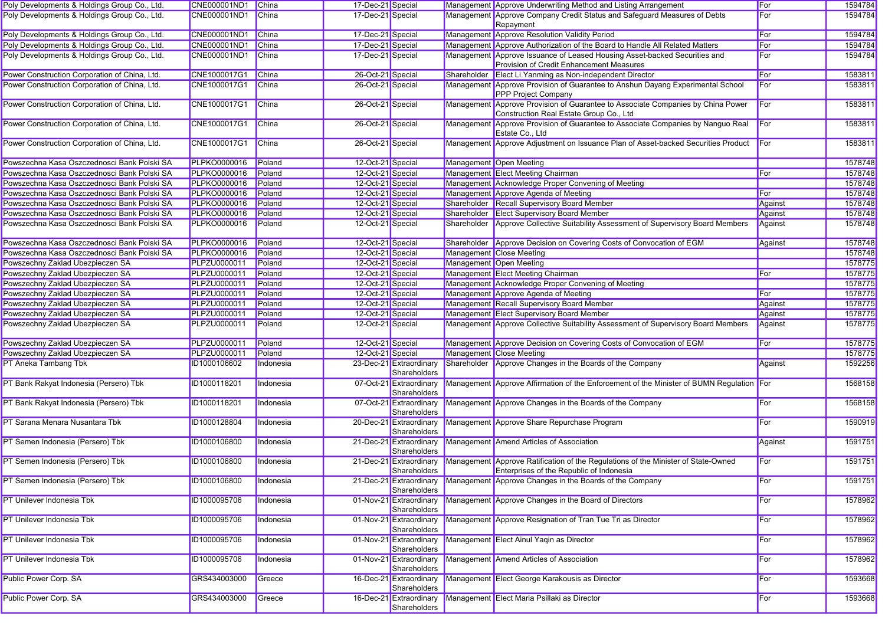| Poly Developments & Holdings Group Co., Ltd.  | CNE000001ND1 China  |              | 17-Dec-21 Special |                                         | Management Approve Underwriting Method and Listing Arrangement                                                                                               | For          | 1594784 |
|-----------------------------------------------|---------------------|--------------|-------------------|-----------------------------------------|--------------------------------------------------------------------------------------------------------------------------------------------------------------|--------------|---------|
| Poly Developments & Holdings Group Co., Ltd.  | CNE000001ND1        | China        | 17-Dec-21 Special |                                         | Management Approve Company Credit Status and Safeguard Measures of Debts<br>Repayment                                                                        | For          | 1594784 |
| Poly Developments & Holdings Group Co., Ltd.  | CNE000001ND1        | China        | 17-Dec-21 Special |                                         | Management Approve Resolution Validity Period                                                                                                                | For          | 1594784 |
| Poly Developments & Holdings Group Co., Ltd.  | CNE000001ND1        | China        | 17-Dec-21 Special |                                         | Management Approve Authorization of the Board to Handle All Related Matters                                                                                  | For          | 1594784 |
| Poly Developments & Holdings Group Co., Ltd.  | CNE000001ND1        | China        | 17-Dec-21 Special |                                         | Management Approve Issuance of Leased Housing Asset-backed Securities and<br>Provision of Credit Enhancement Measures                                        | For          | 1594784 |
| Power Construction Corporation of China, Ltd. | CNE1000017G1        | China        | 26-Oct-21 Special |                                         | Shareholder Elect Li Yanming as Non-independent Director                                                                                                     | For          | 1583811 |
| Power Construction Corporation of China, Ltd. | CNE1000017G1        | China        | 26-Oct-21 Special |                                         | Management Approve Provision of Guarantee to Anshun Dayang Experimental School<br>PPP Project Company                                                        | For          | 1583811 |
| Power Construction Corporation of China, Ltd. | CNE1000017G1        | China        | 26-Oct-21 Special |                                         | Management Approve Provision of Guarantee to Associate Companies by China Power<br>Construction Real Estate Group Co., Ltd                                   | For          | 1583811 |
| Power Construction Corporation of China, Ltd. | CNE1000017G1        | <b>China</b> | 26-Oct-21 Special |                                         | Management Approve Provision of Guarantee to Associate Companies by Nanguo Real<br>Estate Co., Ltd                                                           | For          | 1583811 |
| Power Construction Corporation of China, Ltd. | CNE1000017G1        | China        | 26-Oct-21 Special |                                         | Management Approve Adjustment on Issuance Plan of Asset-backed Securities Product                                                                            | <b>I</b> For | 1583811 |
| Powszechna Kasa Oszczednosci Bank Polski SA   | <b>PLPKO0000016</b> | Poland       | 12-Oct-21 Special |                                         | Management Open Meeting                                                                                                                                      |              | 1578748 |
| Powszechna Kasa Oszczednosci Bank Polski SA   | <b>PLPKO0000016</b> | Poland       | 12-Oct-21 Special |                                         | Management Elect Meeting Chairman                                                                                                                            | <b>For</b>   | 1578748 |
| Powszechna Kasa Oszczednosci Bank Polski SA   | <b>PLPKO0000016</b> | Poland       | 12-Oct-21 Special |                                         | Management Acknowledge Proper Convening of Meeting                                                                                                           |              | 1578748 |
| Powszechna Kasa Oszczednosci Bank Polski SA   | <b>PLPKO0000016</b> | Poland       | 12-Oct-21 Special |                                         | Management Approve Agenda of Meeting                                                                                                                         | For          | 1578748 |
| Powszechna Kasa Oszczednosci Bank Polski SA   | <b>PLPKO0000016</b> | Poland       | 12-Oct-21 Special |                                         | Shareholder Recall Supervisory Board Member                                                                                                                  | Against      | 1578748 |
| Powszechna Kasa Oszczednosci Bank Polski SA   | <b>PLPKO0000016</b> | Poland       | 12-Oct-21 Special |                                         | Shareholder Elect Supervisory Board Member                                                                                                                   | Against      | 1578748 |
| Powszechna Kasa Oszczednosci Bank Polski SA   | <b>PLPKO0000016</b> | Poland       | 12-Oct-21 Special |                                         | Shareholder Approve Collective Suitability Assessment of Supervisory Board Members                                                                           | Against      | 1578748 |
| Powszechna Kasa Oszczednosci Bank Polski SA   | <b>PLPKO0000016</b> | Poland       | 12-Oct-21 Special |                                         | Shareholder Approve Decision on Covering Costs of Convocation of EGM                                                                                         | Against      | 1578748 |
| Powszechna Kasa Oszczednosci Bank Polski SA   | <b>PLPKO0000016</b> | Poland       | 12-Oct-21 Special |                                         | <b>Management Close Meeting</b>                                                                                                                              |              | 1578748 |
| Powszechny Zaklad Ubezpieczen SA              | <b>PLPZU0000011</b> | Poland       | 12-Oct-21 Special |                                         | Management Open Meeting                                                                                                                                      |              | 1578775 |
| Powszechny Zaklad Ubezpieczen SA              | <b>PLPZU0000011</b> | Poland       | 12-Oct-21 Special |                                         | Management Elect Meeting Chairman                                                                                                                            | For          | 1578775 |
| Powszechny Zaklad Ubezpieczen SA              | <b>PLPZU0000011</b> | Poland       | 12-Oct-21 Special |                                         | Management Acknowledge Proper Convening of Meeting                                                                                                           |              | 1578775 |
| Powszechny Zaklad Ubezpieczen SA              | <b>PLPZU0000011</b> | Poland       | 12-Oct-21 Special |                                         | Management Approve Agenda of Meeting                                                                                                                         | For          | 1578775 |
| Powszechny Zaklad Ubezpieczen SA              | <b>PLPZU0000011</b> | Poland       | 12-Oct-21 Special |                                         | Management Recall Supervisory Board Member                                                                                                                   | Against      | 1578775 |
| Powszechny Zaklad Ubezpieczen SA              | PLPZU0000011        | Poland       | 12-Oct-21 Special |                                         | Management Elect Supervisory Board Member                                                                                                                    | Against      | 1578775 |
| Powszechny Zaklad Ubezpieczen SA              | PLPZU0000011        | Poland       | 12-Oct-21 Special |                                         | Management Approve Collective Suitability Assessment of Supervisory Board Members                                                                            | Against      | 1578775 |
| Powszechny Zaklad Ubezpieczen SA              | <b>PLPZU0000011</b> | Poland       | 12-Oct-21 Special |                                         | Management Approve Decision on Covering Costs of Convocation of EGM                                                                                          | For          | 1578775 |
| Powszechny Zaklad Ubezpieczen SA              | <b>PLPZU0000011</b> | Poland       | 12-Oct-21 Special |                                         | Management Close Meeting                                                                                                                                     |              | 1578775 |
| PT Aneka Tambang Tbk                          | ID1000106602        | Indonesia    |                   | 23-Dec-21 Extraordinary                 | Shareholder Approve Changes in the Boards of the Company                                                                                                     | Against      | 1592256 |
| PT Bank Rakyat Indonesia (Persero) Tbk        | ID1000118201        | Indonesia    |                   | Shareholders<br>07-Oct-21 Extraordinary | Management Approve Affirmation of the Enforcement of the Minister of BUMN Regulation For                                                                     |              | 1568158 |
| PT Bank Rakyat Indonesia (Persero) Tbk        | ID1000118201        |              |                   | Shareholders<br>07-Oct-21 Extraordinary | Management Approve Changes in the Boards of the Company                                                                                                      | For          | 1568158 |
|                                               |                     | Indonesia    |                   | Shareholders                            |                                                                                                                                                              |              |         |
| PT Sarana Menara Nusantara Tbk                | ID1000128804        | Indonesia    |                   | 20-Dec-21 Extraordinary<br>Shareholders | Management Approve Share Repurchase Program                                                                                                                  | For          | 1590919 |
| PT Semen Indonesia (Persero) Tbk              | ID1000106800        | Indonesia    |                   | 21-Dec-21 Extraordinary<br>Shareholders | Management Amend Articles of Association                                                                                                                     | Against      | 1591751 |
| PT Semen Indonesia (Persero) Tbk              | ID1000106800        | Indonesia    |                   | Shareholders                            | 21-Dec-21 Extraordinary Management Approve Ratification of the Regulations of the Minister of State-Owned<br><b>Enterprises of the Republic of Indonesia</b> | For          | 1591751 |
| PT Semen Indonesia (Persero) Tbk              | ID1000106800        | Indonesia    |                   | Shareholders                            | 21-Dec-21 Extraordinary Management Approve Changes in the Boards of the Company                                                                              | For          | 1591751 |
| PT Unilever Indonesia Tbk                     | ID1000095706        | Indonesia    |                   | 01-Nov-21 Extraordinary<br>Shareholders | Management Approve Changes in the Board of Directors                                                                                                         | For          | 1578962 |
| PT Unilever Indonesia Tbk                     | ID1000095706        | Indonesia    |                   | 01-Nov-21 Extraordinary<br>Shareholders | Management Approve Resignation of Tran Tue Tri as Director                                                                                                   | For          | 1578962 |
| PT Unilever Indonesia Tbk                     | ID1000095706        | Indonesia    |                   | 01-Nov-21 Extraordinary<br>Shareholders | Management Elect Ainul Yaqin as Director                                                                                                                     | For          | 1578962 |
| <b>PT Unilever Indonesia Tbk</b>              | ID1000095706        | Indonesia    |                   | 01-Nov-21 Extraordinary<br>Shareholders | Management Amend Articles of Association                                                                                                                     | For          | 1578962 |
| Public Power Corp. SA                         | GRS434003000        | Greece       |                   | 16-Dec-21 Extraordinary<br>Shareholders | Management Elect George Karakousis as Director                                                                                                               | For          | 1593668 |
| Public Power Corp. SA                         | GRS434003000        | Greece       |                   | 16-Dec-21 Extraordinary<br>Shareholders | Management Elect Maria Psillaki as Director                                                                                                                  | For          | 1593668 |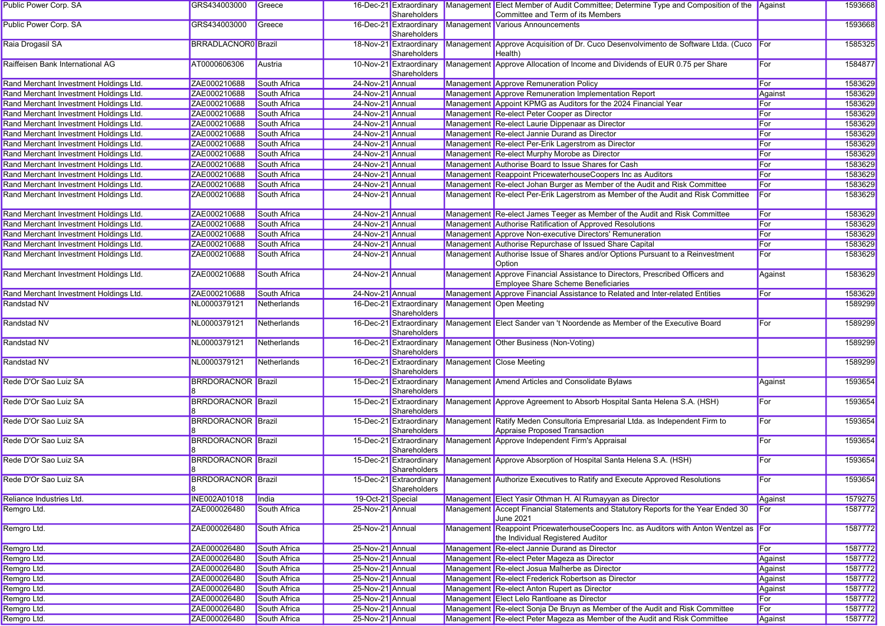| Public Power Corp. SA                  | GRS434003000               | Greece              |                   | 16-Dec-21 Extraordinary<br>Shareholders | Management Elect Member of Audit Committee; Determine Type and Composition of the Against<br>Committee and Term of its Members |         | 1593668 |
|----------------------------------------|----------------------------|---------------------|-------------------|-----------------------------------------|--------------------------------------------------------------------------------------------------------------------------------|---------|---------|
| <b>Public Power Corp. SA</b>           | GRS434003000               | Greece              |                   | 16-Dec-21 Extraordinary<br>Shareholders | Management Various Announcements                                                                                               |         | 1593668 |
| Raia Drogasil SA                       | <b>BRRADLACNOR0</b> Brazil |                     |                   | 18-Nov-21 Extraordinary<br>Shareholders | Management Approve Acquisition of Dr. Cuco Desenvolvimento de Software Ltda. (Cuco For<br>Health)                              |         | 1585325 |
| Raiffeisen Bank International AG       | AT0000606306               | Austria             |                   | 10-Nov-21 Extraordinary<br>Shareholders | Management Approve Allocation of Income and Dividends of EUR 0.75 per Share                                                    | For     | 1584877 |
| Rand Merchant Investment Holdings Ltd. | ZAE000210688               | South Africa        | 24-Nov-21 Annual  |                                         | Management Approve Remuneration Policy                                                                                         | For     | 1583629 |
| Rand Merchant Investment Holdings Ltd. | ZAE000210688               | South Africa        | 24-Nov-21 Annual  |                                         | Management Approve Remuneration Implementation Report                                                                          | Against | 1583629 |
| Rand Merchant Investment Holdings Ltd. | ZAE000210688               | South Africa        | 24-Nov-21 Annual  |                                         | Management Appoint KPMG as Auditors for the 2024 Financial Year                                                                | For     | 1583629 |
| Rand Merchant Investment Holdings Ltd. | ZAE000210688               | South Africa        | 24-Nov-21 Annual  |                                         | Management Re-elect Peter Cooper as Director                                                                                   | For     | 1583629 |
| Rand Merchant Investment Holdings Ltd. | ZAE000210688               | South Africa        | 24-Nov-21 Annual  |                                         | Management Re-elect Laurie Dippenaar as Director                                                                               | For     | 1583629 |
| Rand Merchant Investment Holdings Ltd. | ZAE000210688               | South Africa        | 24-Nov-21 Annual  |                                         | Management Re-elect Jannie Durand as Director                                                                                  | For     | 1583629 |
| Rand Merchant Investment Holdings Ltd. | ZAE000210688               | South Africa        | 24-Nov-21 Annual  |                                         | Management Re-elect Per-Erik Lagerstrom as Director                                                                            | For     | 1583629 |
| Rand Merchant Investment Holdings Ltd. | ZAE000210688               | South Africa        | 24-Nov-21 Annual  |                                         | Management Re-elect Murphy Morobe as Director                                                                                  | For     | 1583629 |
| Rand Merchant Investment Holdings Ltd. | ZAE000210688               | South Africa        | 24-Nov-21 Annual  |                                         | Management Authorise Board to Issue Shares for Cash                                                                            | For     | 1583629 |
| Rand Merchant Investment Holdings Ltd. | ZAE000210688               | South Africa        | 24-Nov-21 Annual  |                                         | Management Reappoint PricewaterhouseCoopers Inc as Auditors                                                                    | For     | 1583629 |
| Rand Merchant Investment Holdings Ltd. | ZAE000210688               | South Africa        | 24-Nov-21 Annual  |                                         | Management Re-elect Johan Burger as Member of the Audit and Risk Committee                                                     | For     | 1583629 |
| Rand Merchant Investment Holdings Ltd. | ZAE000210688               | South Africa        | 24-Nov-21 Annual  |                                         | Management Re-elect Per-Erik Lagerstrom as Member of the Audit and Risk Committee                                              | For     | 1583629 |
| Rand Merchant Investment Holdings Ltd. | ZAE000210688               | South Africa        | 24-Nov-21 Annual  |                                         | Management Re-elect James Teeger as Member of the Audit and Risk Committee                                                     | For     | 1583629 |
| Rand Merchant Investment Holdings Ltd. | ZAE000210688               | South Africa        | 24-Nov-21 Annual  |                                         | Management Authorise Ratification of Approved Resolutions                                                                      | For     | 1583629 |
| Rand Merchant Investment Holdings Ltd. | ZAE000210688               | South Africa        | 24-Nov-21 Annual  |                                         | Management Approve Non-executive Directors' Remuneration                                                                       | For     | 1583629 |
| Rand Merchant Investment Holdings Ltd. | ZAE000210688               | <b>South Africa</b> | 24-Nov-21 Annual  |                                         | Management Authorise Repurchase of Issued Share Capital                                                                        | For     | 1583629 |
| Rand Merchant Investment Holdings Ltd. | ZAE000210688               | South Africa        | 24-Nov-21 Annual  |                                         | Management Authorise Issue of Shares and/or Options Pursuant to a Reinvestment<br>Option                                       | For     | 1583629 |
| Rand Merchant Investment Holdings Ltd. | ZAE000210688               | <b>South Africa</b> | 24-Nov-21 Annual  |                                         | Management Approve Financial Assistance to Directors, Prescribed Officers and<br>Employee Share Scheme Beneficiaries           | Against | 1583629 |
| Rand Merchant Investment Holdings Ltd. | ZAE000210688               | South Africa        | 24-Nov-21 Annual  |                                         | Management Approve Financial Assistance to Related and Inter-related Entities                                                  | For     | 1583629 |
| Randstad NV                            | NL0000379121               | Netherlands         |                   | 16-Dec-21 Extraordinary<br>Shareholders | Management Open Meeting                                                                                                        |         | 1589299 |
| Randstad NV                            | NL0000379121               | Netherlands         |                   | 16-Dec-21 Extraordinary<br>Shareholders | Management Elect Sander van 't Noordende as Member of the Executive Board                                                      | For     | 1589299 |
| Randstad NV                            | NL0000379121               | Netherlands         |                   | 16-Dec-21 Extraordinary<br>Shareholders | Management Other Business (Non-Voting)                                                                                         |         | 1589299 |
| Randstad NV                            | NL0000379121               | Netherlands         |                   | 16-Dec-21 Extraordinary<br>Shareholders | Management Close Meeting                                                                                                       |         | 1589299 |
| Rede D'Or Sao Luiz SA                  | <b>BRRDORACNOR Brazil</b>  |                     |                   | 15-Dec-21 Extraordinary<br>Shareholders | Management Amend Articles and Consolidate Bylaws                                                                               | Against | 1593654 |
| Rede D'Or Sao Luiz SA                  | <b>BRRDORACNOR Brazil</b>  |                     |                   | 15-Dec-21 Extraordinary<br>Shareholders | Management Approve Agreement to Absorb Hospital Santa Helena S.A. (HSH)                                                        | For     | 1593654 |
| Rede D'Or Sao Luiz SA                  | <b>BRRDORACNOR Brazil</b>  |                     |                   | 15-Dec-21 Extraordinary<br>Shareholders | Management Ratify Meden Consultoria Empresarial Ltda. as Independent Firm to<br>Appraise Proposed Transaction                  | For     | 1593654 |
| Rede D'Or Sao Luiz SA                  | <b>BRRDORACNOR Brazil</b>  |                     |                   | 15-Dec-21 Extraordinary<br>Shareholders | Management Approve Independent Firm's Appraisal                                                                                | For     | 1593654 |
| Rede D'Or Sao Luiz SA                  | <b>BRRDORACNOR Brazil</b>  |                     |                   | 15-Dec-21 Extraordinary<br>Shareholders | Management Approve Absorption of Hospital Santa Helena S.A. (HSH)                                                              | For     | 1593654 |
| Rede D'Or Sao Luiz SA                  | <b>BRRDORACNOR Brazil</b>  |                     |                   | 15-Dec-21 Extraordinary<br>Shareholders | Management Authorize Executives to Ratify and Execute Approved Resolutions                                                     | For     | 1593654 |
| Reliance Industries Ltd.               | INE002A01018               | India               | 19-Oct-21 Special |                                         | Management Elect Yasir Othman H. Al Rumayyan as Director                                                                       | Against | 1579275 |
| Remgro Ltd.                            | ZAE000026480               | South Africa        | 25-Nov-21 Annual  |                                         | Management Accept Financial Statements and Statutory Reports for the Year Ended 30<br>June 2021                                | For     | 1587772 |
| Remgro Ltd.                            | ZAE000026480               | South Africa        | 25-Nov-21 Annual  |                                         | Management Reappoint PricewaterhouseCoopers Inc. as Auditors with Anton Wentzel as For<br>the Individual Registered Auditor    |         | 1587772 |
| Remgro Ltd.                            | ZAE000026480               | South Africa        | 25-Nov-21 Annual  |                                         | Management Re-elect Jannie Durand as Director                                                                                  | For     | 1587772 |
| Remgro Ltd.                            | ZAE000026480               | South Africa        | 25-Nov-21 Annual  |                                         | Management Re-elect Peter Mageza as Director                                                                                   | Against | 1587772 |
| Remgro Ltd.                            | ZAE000026480               | South Africa        | 25-Nov-21 Annual  |                                         | Management Re-elect Josua Malherbe as Director                                                                                 | Against | 1587772 |
| Remgro Ltd.                            | ZAE000026480               | South Africa        | 25-Nov-21 Annual  |                                         | Management Re-elect Frederick Robertson as Director                                                                            | Against | 1587772 |
| Remgro Ltd.                            | ZAE000026480               | South Africa        | 25-Nov-21 Annual  |                                         | Management Re-elect Anton Rupert as Director                                                                                   | Against | 1587772 |
| Remgro Ltd.                            | ZAE000026480               | South Africa        | 25-Nov-21 Annual  |                                         | Management Elect Lelo Rantloane as Director                                                                                    | For     | 1587772 |
| Remgro Ltd.                            | ZAE000026480               | South Africa        | 25-Nov-21 Annual  |                                         | Management Re-elect Sonja De Bruyn as Member of the Audit and Risk Committee                                                   | For     | 1587772 |
| Remgro Ltd.                            | ZAE000026480               | South Africa        | 25-Nov-21 Annual  |                                         | Management Re-elect Peter Mageza as Member of the Audit and Risk Committee                                                     | Against | 1587772 |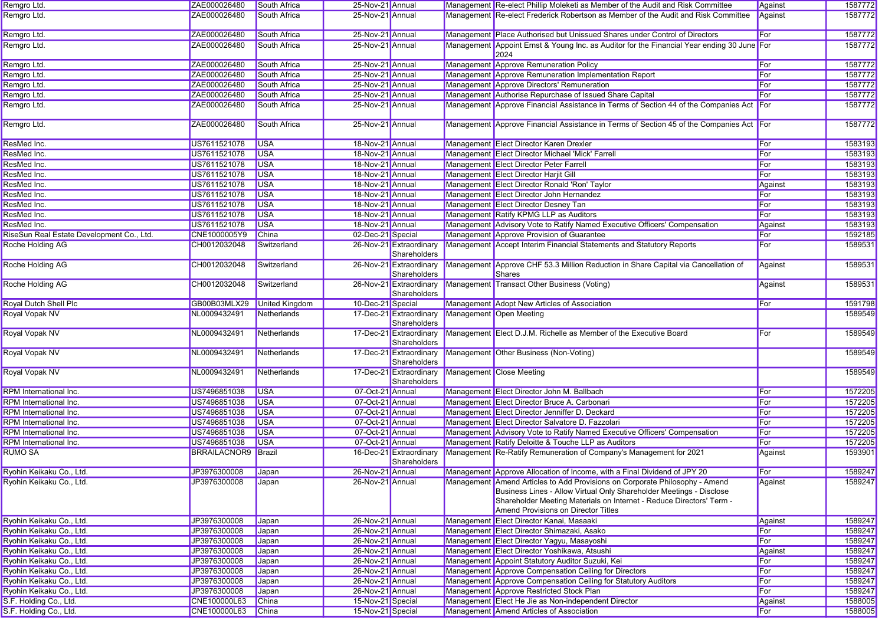| Remgro Ltd.                               | ZAE000026480               | South Africa          | 25-Nov-21 Annual  |                                                                  | Management Re-elect Phillip Moleketi as Member of the Audit and Risk Committee                                                                                                                                                                                    | Against | 1587772 |
|-------------------------------------------|----------------------------|-----------------------|-------------------|------------------------------------------------------------------|-------------------------------------------------------------------------------------------------------------------------------------------------------------------------------------------------------------------------------------------------------------------|---------|---------|
| Remgro Ltd.                               | ZAE000026480               | South Africa          | 25-Nov-21 Annual  |                                                                  | Management Re-elect Frederick Robertson as Member of the Audit and Risk Committee                                                                                                                                                                                 | Against | 1587772 |
| Remgro Ltd.                               | ZAE000026480               | <b>South Africa</b>   | 25-Nov-21 Annual  |                                                                  | Management Place Authorised but Unissued Shares under Control of Directors                                                                                                                                                                                        | For     | 1587772 |
| Remgro Ltd.                               | ZAE000026480               | <b>South Africa</b>   | 25-Nov-21 Annual  |                                                                  | Management Appoint Ernst & Young Inc. as Auditor for the Financial Year ending 30 June For<br>2024                                                                                                                                                                |         | 1587772 |
| Remgro Ltd.                               | ZAE000026480               | South Africa          | 25-Nov-21 Annual  |                                                                  | Management Approve Remuneration Policy                                                                                                                                                                                                                            | For     | 1587772 |
| Remgro Ltd.                               | ZAE000026480               | South Africa          | 25-Nov-21 Annual  |                                                                  | Management Approve Remuneration Implementation Report                                                                                                                                                                                                             | For     | 1587772 |
| Remgro Ltd.                               | ZAE000026480               | South Africa          | 25-Nov-21 Annual  |                                                                  | Management Approve Directors' Remuneration                                                                                                                                                                                                                        | For     | 1587772 |
| Remgro Ltd.                               | ZAE000026480               | South Africa          | 25-Nov-21 Annual  |                                                                  | Management Authorise Repurchase of Issued Share Capital                                                                                                                                                                                                           | For     | 1587772 |
| Remgro Ltd.                               | ZAE000026480               | South Africa          | 25-Nov-21 Annual  |                                                                  | Management Approve Financial Assistance in Terms of Section 44 of the Companies Act For                                                                                                                                                                           |         | 1587772 |
| Remgro Ltd.                               | ZAE000026480               | South Africa          | 25-Nov-21 Annual  |                                                                  | Management Approve Financial Assistance in Terms of Section 45 of the Companies Act For                                                                                                                                                                           |         | 1587772 |
| ResMed Inc.                               | US7611521078               | <b>USA</b>            | 18-Nov-21 Annual  |                                                                  | Management Elect Director Karen Drexler                                                                                                                                                                                                                           | For     | 1583193 |
| ResMed Inc.                               | US7611521078               | <b>USA</b>            | 18-Nov-21 Annual  |                                                                  | Management Elect Director Michael 'Mick' Farrell                                                                                                                                                                                                                  | For     | 1583193 |
| ResMed Inc.                               | US7611521078               | <b>USA</b>            | 18-Nov-21 Annual  |                                                                  | Management Elect Director Peter Farrell                                                                                                                                                                                                                           | For     | 1583193 |
| ResMed Inc.                               | US7611521078               | <b>USA</b>            | 18-Nov-21 Annual  |                                                                  | Management Elect Director Harjit Gill                                                                                                                                                                                                                             | For     | 1583193 |
| ResMed Inc.                               | US7611521078               | <b>USA</b>            | 18-Nov-21 Annual  |                                                                  | Management Elect Director Ronald 'Ron' Taylor                                                                                                                                                                                                                     | Against | 1583193 |
| ResMed Inc.                               | US7611521078               | <b>USA</b>            | 18-Nov-21 Annual  |                                                                  | Management Elect Director John Hernandez                                                                                                                                                                                                                          | For     | 1583193 |
| ResMed Inc.                               | US7611521078               | <b>USA</b>            | 18-Nov-21 Annual  |                                                                  | Management Elect Director Desney Tan                                                                                                                                                                                                                              | For     | 1583193 |
| ResMed Inc.                               | US7611521078               | <b>USA</b>            | 18-Nov-21 Annual  |                                                                  | Management Ratify KPMG LLP as Auditors                                                                                                                                                                                                                            | For     | 1583193 |
| ResMed Inc.                               | US7611521078               | <b>USA</b>            | 18-Nov-21 Annual  |                                                                  | Management Advisory Vote to Ratify Named Executive Officers' Compensation                                                                                                                                                                                         | Against | 1583193 |
| RiseSun Real Estate Development Co., Ltd. | CNE1000005Y9               | China                 | 02-Dec-21 Special |                                                                  | Management Approve Provision of Guarantee                                                                                                                                                                                                                         | For     | 1592185 |
| Roche Holding AG                          | CH0012032048               | Switzerland           |                   | 26-Nov-21 Extraordinary<br>Shareholders                          | Management Accept Interim Financial Statements and Statutory Reports                                                                                                                                                                                              | For     | 1589531 |
| <b>Roche Holding AG</b>                   | CH0012032048               | Switzerland           |                   | 26-Nov-21 Extraordinary<br>Shareholders                          | Management Approve CHF 53.3 Million Reduction in Share Capital via Cancellation of<br><b>Shares</b>                                                                                                                                                               | Against | 1589531 |
| Roche Holding AG                          | CH0012032048               | Switzerland           |                   | Shareholders                                                     | 26-Nov-21 Extraordinary Management Transact Other Business (Voting)                                                                                                                                                                                               | Against | 1589531 |
| Royal Dutch Shell Plc                     | GB00B03MLX29               | <b>United Kingdom</b> | 10-Dec-21 Special |                                                                  | Management Adopt New Articles of Association                                                                                                                                                                                                                      | For     | 1591798 |
| Royal Vopak NV                            | NL0009432491               | Netherlands           |                   | 17-Dec-21 Extraordinary<br>Shareholders                          | Management Open Meeting                                                                                                                                                                                                                                           |         | 1589549 |
| Royal Vopak NV                            | NL0009432491               | Netherlands           |                   | 17-Dec-21 Extraordinary<br>Shareholders                          | Management Elect D.J.M. Richelle as Member of the Executive Board                                                                                                                                                                                                 | For     | 1589549 |
| Royal Vopak NV                            | NL0009432491               | Netherlands           |                   | 17-Dec-21 Extraordinary<br>Shareholders                          | Management Other Business (Non-Voting)                                                                                                                                                                                                                            |         | 1589549 |
| Royal Vopak NV                            | NL0009432491               | Netherlands           |                   | 17-Dec-21 Extraordinary Management Close Meeting<br>Shareholders |                                                                                                                                                                                                                                                                   |         | 1589549 |
| RPM International Inc.                    | US7496851038               | <b>USA</b>            | 07-Oct-21 Annual  |                                                                  | Management Elect Director John M. Ballbach                                                                                                                                                                                                                        | For     | 1572205 |
| RPM International Inc.                    | US7496851038               | <b>USA</b>            | 07-Oct-21 Annual  |                                                                  | Management Elect Director Bruce A. Carbonari                                                                                                                                                                                                                      | For     | 1572205 |
| RPM International Inc.                    | US7496851038               | <b>USA</b>            | 07-Oct-21 Annual  |                                                                  | Management Elect Director Jenniffer D. Deckard                                                                                                                                                                                                                    | For     | 1572205 |
| RPM International Inc.                    | US7496851038               | <b>USA</b>            | 07-Oct-21 Annual  |                                                                  | Management Elect Director Salvatore D. Fazzolari                                                                                                                                                                                                                  | For     | 1572205 |
| RPM International Inc.                    | US7496851038               | <b>USA</b>            | 07-Oct-21 Annual  |                                                                  | Management Advisory Vote to Ratify Named Executive Officers' Compensation                                                                                                                                                                                         | For     | 1572205 |
| RPM International Inc.                    | US7496851038               | <b>USA</b>            | 07-Oct-21 Annual  |                                                                  | Management Ratify Deloitte & Touche LLP as Auditors                                                                                                                                                                                                               | For     | 1572205 |
| <b>RUMO SA</b>                            | <b>BRRAILACNOR9 Brazil</b> |                       |                   | 16-Dec-21 Extraordinary<br>Shareholders                          | Management Re-Ratify Remuneration of Company's Management for 2021                                                                                                                                                                                                | Against | 1593901 |
| Ryohin Keikaku Co., Ltd.                  | JP3976300008 Japan         |                       | 26-Nov-21 Annual  |                                                                  | Management Approve Allocation of Income, with a Final Dividend of JPY 20                                                                                                                                                                                          | For     | 1589247 |
| Ryohin Keikaku Co., Ltd.                  | JP3976300008               | <b>Japan</b>          | 26-Nov-21 Annual  |                                                                  | Management Amend Articles to Add Provisions on Corporate Philosophy - Amend<br>Business Lines - Allow Virtual Only Shareholder Meetings - Disclose<br>Shareholder Meeting Materials on Internet - Reduce Directors' Term -<br>Amend Provisions on Director Titles | Against | 1589247 |
| Ryohin Keikaku Co., Ltd.                  | JP3976300008               | Japan                 | 26-Nov-21 Annual  |                                                                  | Management Elect Director Kanai, Masaaki                                                                                                                                                                                                                          | Against | 1589247 |
| Ryohin Keikaku Co., Ltd.                  | JP3976300008               | Japan                 | 26-Nov-21 Annual  |                                                                  | Management Elect Director Shimazaki, Asako                                                                                                                                                                                                                        | For     | 1589247 |
| Ryohin Keikaku Co., Ltd.                  | JP3976300008               | Japan                 | 26-Nov-21 Annual  |                                                                  | Management Elect Director Yagyu, Masayoshi                                                                                                                                                                                                                        | For     | 1589247 |
| Ryohin Keikaku Co., Ltd.                  | JP3976300008               | Japan                 | 26-Nov-21 Annual  |                                                                  | Management Elect Director Yoshikawa, Atsushi                                                                                                                                                                                                                      | Against | 1589247 |
| Ryohin Keikaku Co., Ltd.                  | JP3976300008               | Japan                 | 26-Nov-21 Annual  |                                                                  | Management Appoint Statutory Auditor Suzuki, Kei                                                                                                                                                                                                                  | For     | 1589247 |
| Ryohin Keikaku Co., Ltd.                  | JP3976300008               | Japan                 | 26-Nov-21 Annual  |                                                                  | Management Approve Compensation Ceiling for Directors                                                                                                                                                                                                             | For     | 1589247 |
| Ryohin Keikaku Co., Ltd.                  | JP3976300008               | Japan                 | 26-Nov-21 Annual  |                                                                  | Management Approve Compensation Ceiling for Statutory Auditors                                                                                                                                                                                                    | For     | 1589247 |
| Ryohin Keikaku Co., Ltd.                  | JP3976300008               | Japan                 | 26-Nov-21 Annual  |                                                                  | Management Approve Restricted Stock Plan                                                                                                                                                                                                                          | For     | 1589247 |
| S.F. Holding Co., Ltd.                    | CNE100000L63               | China                 | 15-Nov-21 Special |                                                                  | Management Elect He Jie as Non-independent Director                                                                                                                                                                                                               | Against | 1588005 |
| S.F. Holding Co., Ltd.                    | CNE100000L63               | China                 | 15-Nov-21 Special |                                                                  | Management Amend Articles of Association                                                                                                                                                                                                                          | For     | 1588005 |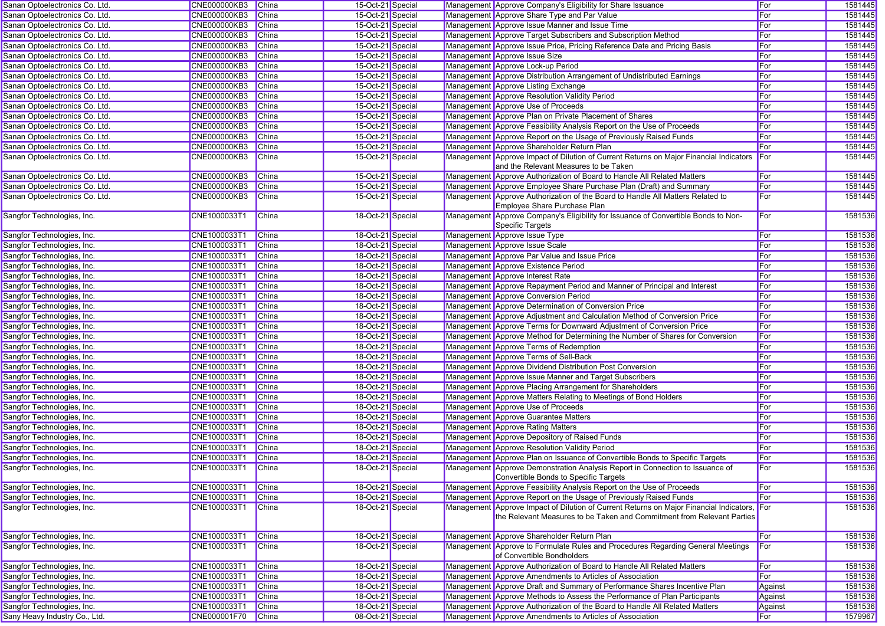| Sanan Optoelectronics Co. Ltd.                           | <b>CNE000000KB3</b>          | <b>China</b> | 15-Oct-21 Special |  | Management Approve Company's Eligibility for Share Issuance                                                                                                           | For     | 1581445 |
|----------------------------------------------------------|------------------------------|--------------|-------------------|--|-----------------------------------------------------------------------------------------------------------------------------------------------------------------------|---------|---------|
| Sanan Optoelectronics Co. Ltd.                           | <b>CNE000000KB3</b>          | China        | 15-Oct-21 Special |  | Management Approve Share Type and Par Value                                                                                                                           | For     | 1581445 |
| Sanan Optoelectronics Co. Ltd.                           | <b>CNE000000KB3</b>          | China        | 15-Oct-21 Special |  | Management Approve Issue Manner and Issue Time                                                                                                                        | For     | 1581445 |
| Sanan Optoelectronics Co. Ltd.                           | <b>CNE000000KB3</b>          | <b>China</b> | 15-Oct-21 Special |  | Management Approve Target Subscribers and Subscription Method                                                                                                         | For     | 1581445 |
| Sanan Optoelectronics Co. Ltd.                           | <b>CNE000000KB3</b>          | <b>China</b> | 15-Oct-21 Special |  | Management Approve Issue Price, Pricing Reference Date and Pricing Basis                                                                                              | For     | 1581445 |
| Sanan Optoelectronics Co. Ltd.                           | <b>CNE000000KB3</b>          | China        | 15-Oct-21 Special |  | Management Approve Issue Size                                                                                                                                         | For     | 1581445 |
| Sanan Optoelectronics Co. Ltd.                           | <b>CNE000000KB3</b>          | China        | 15-Oct-21 Special |  | Management Approve Lock-up Period                                                                                                                                     | For     | 1581445 |
| Sanan Optoelectronics Co. Ltd.                           | <b>CNE000000KB3</b>          | China        | 15-Oct-21 Special |  | Management Approve Distribution Arrangement of Undistributed Earnings                                                                                                 | For     | 1581445 |
| Sanan Optoelectronics Co. Ltd.                           | <b>CNE000000KB3</b>          | <b>China</b> | 15-Oct-21 Special |  | Management Approve Listing Exchange                                                                                                                                   | For     | 1581445 |
| Sanan Optoelectronics Co. Ltd.                           | <b>CNE000000KB3</b>          | <b>China</b> | 15-Oct-21 Special |  | Management Approve Resolution Validity Period                                                                                                                         | For     | 1581445 |
| Sanan Optoelectronics Co. Ltd.                           | <b>CNE000000KB3</b>          | <b>China</b> | 15-Oct-21 Special |  | Management Approve Use of Proceeds                                                                                                                                    | For     | 1581445 |
| Sanan Optoelectronics Co. Ltd.                           | <b>CNE000000KB3</b>          | <b>China</b> | 15-Oct-21 Special |  | Management Approve Plan on Private Placement of Shares                                                                                                                | For     | 1581445 |
| Sanan Optoelectronics Co. Ltd.                           | <b>CNE000000KB3</b>          | China        | 15-Oct-21 Special |  | Management Approve Feasibility Analysis Report on the Use of Proceeds                                                                                                 | For     | 1581445 |
| Sanan Optoelectronics Co. Ltd.                           | <b>CNE000000KB3</b>          | <b>China</b> | 15-Oct-21 Special |  | Management Approve Report on the Usage of Previously Raised Funds                                                                                                     | For     | 1581445 |
| Sanan Optoelectronics Co. Ltd.                           | <b>CNE000000KB3</b>          | China        | 15-Oct-21 Special |  | Management Approve Shareholder Return Plan                                                                                                                            | For     | 1581445 |
| Sanan Optoelectronics Co. Ltd.                           | CNE000000KB3                 | China        | 15-Oct-21 Special |  | Management Approve Impact of Dilution of Current Returns on Major Financial Indicators                                                                                | For     | 1581445 |
|                                                          |                              |              |                   |  | and the Relevant Measures to be Taken                                                                                                                                 |         |         |
| Sanan Optoelectronics Co. Ltd.                           | <b>CNE000000KB3</b>          | China        | 15-Oct-21 Special |  | Management Approve Authorization of Board to Handle All Related Matters                                                                                               | For     | 1581445 |
| Sanan Optoelectronics Co. Ltd.                           | <b>CNE000000KB3</b>          | China        | 15-Oct-21 Special |  | Management Approve Employee Share Purchase Plan (Draft) and Summary                                                                                                   | For     | 1581445 |
| Sanan Optoelectronics Co. Ltd.                           | <b>CNE000000KB3</b>          | China        | 15-Oct-21 Special |  | Management Approve Authorization of the Board to Handle All Matters Related to                                                                                        | For     | 1581445 |
|                                                          |                              |              |                   |  | Employee Share Purchase Plan                                                                                                                                          |         |         |
| Sangfor Technologies, Inc.                               | CNE1000033T1                 | <b>China</b> | 18-Oct-21 Special |  | Management Approve Company's Eligibility for Issuance of Convertible Bonds to Non-<br>Specific Targets                                                                | For     | 1581536 |
|                                                          | CNE1000033T1                 | China        | 18-Oct-21 Special |  | Management Approve Issue Type                                                                                                                                         | For     | 1581536 |
| Sangfor Technologies, Inc.                               | CNE1000033T1                 | <b>China</b> | 18-Oct-21 Special |  | Management Approve Issue Scale                                                                                                                                        | For     | 1581536 |
| Sangfor Technologies, Inc.                               |                              | China        | 18-Oct-21 Special |  | Management Approve Par Value and Issue Price                                                                                                                          | For     | 1581536 |
| Sangfor Technologies, Inc.<br>Sangfor Technologies, Inc. | CNE1000033T1<br>CNE1000033T1 | <b>China</b> | 18-Oct-21 Special |  | Management Approve Existence Period                                                                                                                                   | For     | 1581536 |
| Sangfor Technologies, Inc.                               | CNE1000033T1                 | China        | 18-Oct-21 Special |  | Management Approve Interest Rate                                                                                                                                      | For     | 1581536 |
|                                                          |                              |              | 18-Oct-21 Special |  |                                                                                                                                                                       |         |         |
| Sangfor Technologies, Inc.                               | CNE1000033T1                 | China        |                   |  | Management Approve Repayment Period and Manner of Principal and Interest                                                                                              | For     | 1581536 |
| Sangfor Technologies, Inc.                               | CNE1000033T1                 | <b>China</b> | 18-Oct-21 Special |  | Management Approve Conversion Period                                                                                                                                  | For     | 1581536 |
| Sangfor Technologies, Inc.                               | CNE1000033T1                 | China        | 18-Oct-21 Special |  | Management Approve Determination of Conversion Price                                                                                                                  | For     | 1581536 |
| Sangfor Technologies, Inc.                               | CNE1000033T1                 | <b>China</b> | 18-Oct-21 Special |  | Management Approve Adjustment and Calculation Method of Conversion Price                                                                                              | For     | 1581536 |
| Sangfor Technologies, Inc.                               | CNE1000033T1                 | China        | 18-Oct-21 Special |  | Management Approve Terms for Downward Adjustment of Conversion Price                                                                                                  | For     | 1581536 |
| Sangfor Technologies, Inc.                               | CNE1000033T1                 | China        | 18-Oct-21 Special |  | Management Approve Method for Determining the Number of Shares for Conversion                                                                                         | For     | 1581536 |
| Sangfor Technologies, Inc.                               | CNE1000033T1                 | China        | 18-Oct-21 Special |  | Management Approve Terms of Redemption                                                                                                                                | For     | 1581536 |
| Sangfor Technologies, Inc.                               | CNE1000033T1                 | China        | 18-Oct-21 Special |  | Management Approve Terms of Sell-Back                                                                                                                                 | For     | 1581536 |
| Sangfor Technologies, Inc.                               | CNE1000033T1                 | <b>China</b> | 18-Oct-21 Special |  | Management Approve Dividend Distribution Post Conversion                                                                                                              | For     | 1581536 |
| Sangfor Technologies, Inc.                               | CNE1000033T1                 | China        | 18-Oct-21 Special |  | Management Approve Issue Manner and Target Subscribers                                                                                                                | For     | 1581536 |
| Sangfor Technologies, Inc.                               | CNE1000033T1                 | China        | 18-Oct-21 Special |  | Management Approve Placing Arrangement for Shareholders                                                                                                               | For     | 1581536 |
| Sangfor Technologies, Inc.                               | CNE1000033T1                 | <b>China</b> | 18-Oct-21 Special |  | Management Approve Matters Relating to Meetings of Bond Holders                                                                                                       | For     | 1581536 |
| Sangfor Technologies, Inc.                               | CNE1000033T                  | <b>China</b> | 18-Oct-21 Special |  | Management Approve Use of Proceeds                                                                                                                                    | For     | 1581536 |
| Sangfor Technologies, Inc.                               | CNE1000033T1                 | China        | 18-Oct-21 Special |  | Management Approve Guarantee Matters                                                                                                                                  | For     | 1581536 |
| Sangfor Technologies, Inc.                               | CNE1000033T1                 | China        | 18-Oct-21 Special |  | Management Approve Rating Matters                                                                                                                                     | For     | 1581536 |
| Sangfor Technologies, Inc.                               | CNE1000033T1                 | China        | 18-Oct-21 Special |  | Management Approve Depository of Raised Funds                                                                                                                         | For     | 1581536 |
| Sangfor Technologies, Inc.                               | CNE1000033T1                 | <b>China</b> | 18-Oct-21 Special |  | Management Approve Resolution Validity Period                                                                                                                         | For     | 1581536 |
| Sangfor Technologies, Inc.                               | CNE1000033T1                 | China        | 18-Oct-21 Special |  | Management Approve Plan on Issuance of Convertible Bonds to Specific Targets                                                                                          | For     | 1581536 |
| Sangfor Technologies, Inc.                               | CNE1000033T1                 | <b>China</b> | 18-Oct-21 Special |  | Management Approve Demonstration Analysis Report in Connection to Issuance of<br>Convertible Bonds to Specific Targets                                                | For     | 1581536 |
| Sangfor Technologies, Inc.                               | CNE1000033T1                 | <b>China</b> | 18-Oct-21 Special |  | Management Approve Feasibility Analysis Report on the Use of Proceeds                                                                                                 | For     | 1581536 |
| Sangfor Technologies, Inc.                               | CNE1000033T1                 | <b>China</b> | 18-Oct-21 Special |  | Management Approve Report on the Usage of Previously Raised Funds                                                                                                     | For     | 1581536 |
| Sangfor Technologies, Inc.                               | CNE1000033T1                 | China        | 18-Oct-21 Special |  | Management Approve Impact of Dilution of Current Returns on Major Financial Indicators, For<br>the Relevant Measures to be Taken and Commitment from Relevant Parties |         | 1581536 |
| Sangfor Technologies, Inc.                               | CNE1000033T1                 | <b>China</b> | 18-Oct-21 Special |  | Management Approve Shareholder Return Plan                                                                                                                            | For     | 1581536 |
| Sangfor Technologies, Inc.                               | CNE1000033T1                 | <b>China</b> | 18-Oct-21 Special |  | Management Approve to Formulate Rules and Procedures Regarding General Meetings                                                                                       | For     | 1581536 |
| Sangfor Technologies, Inc.                               | CNE1000033T1                 | China        | 18-Oct-21 Special |  | of Convertible Bondholders<br>Management Approve Authorization of Board to Handle All Related Matters                                                                 | For     | 1581536 |
| Sangfor Technologies, Inc.                               | CNE1000033T1                 | <b>China</b> | 18-Oct-21 Special |  | Management Approve Amendments to Articles of Association                                                                                                              | For     | 1581536 |
| Sangfor Technologies, Inc.                               | CNE1000033T1                 | China        | 18-Oct-21 Special |  | Management Approve Draft and Summary of Performance Shares Incentive Plan                                                                                             | Against | 1581536 |
| Sangfor Technologies, Inc.                               | CNE1000033T1                 | China        | 18-Oct-21 Special |  | Management Approve Methods to Assess the Performance of Plan Participants                                                                                             | Against | 1581536 |
| Sangfor Technologies, Inc.                               | CNE1000033T1                 | China        | 18-Oct-21 Special |  | Management Approve Authorization of the Board to Handle All Related Matters                                                                                           | Against | 1581536 |
| Sany Heavy Industry Co., Ltd.                            | CNE000001F70                 | China        | 08-Oct-21 Special |  | Management Approve Amendments to Articles of Association                                                                                                              | For     | 1579967 |
|                                                          |                              |              |                   |  |                                                                                                                                                                       |         |         |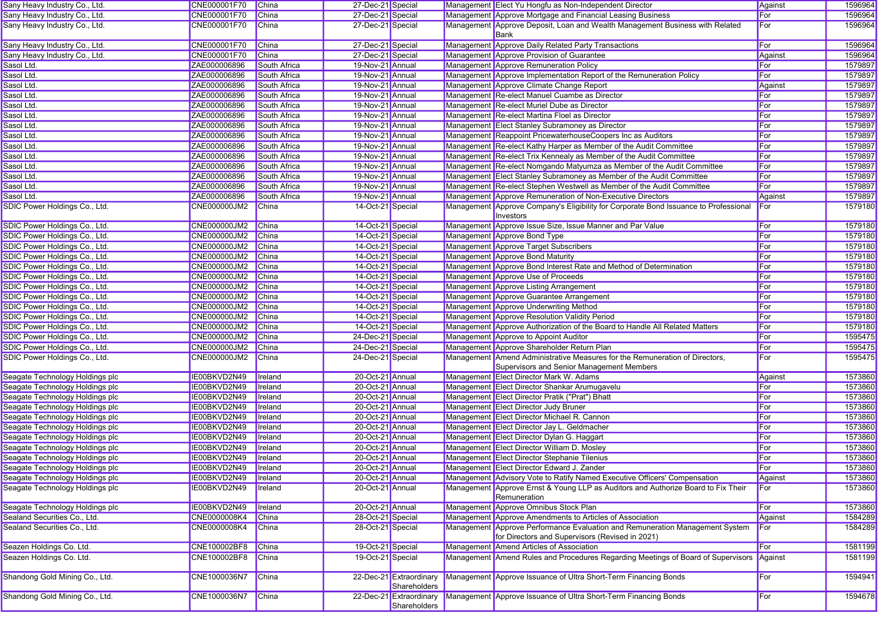| Sany Heavy Industry Co., Ltd.   | CNE000001F70        | China           | 27-Dec-21 Special |                                         | Management Elect Yu Hongfu as Non-Independent Director                                                                   | Against | 1596964 |
|---------------------------------|---------------------|-----------------|-------------------|-----------------------------------------|--------------------------------------------------------------------------------------------------------------------------|---------|---------|
| Sany Heavy Industry Co., Ltd.   | CNE000001F70        | China           | 27-Dec-21 Special |                                         | Management Approve Mortgage and Financial Leasing Business                                                               | For     | 1596964 |
| Sany Heavy Industry Co., Ltd.   | CNE000001F70        | China           | 27-Dec-21 Special |                                         | Management Approve Deposit, Loan and Wealth Management Business with Related<br><b>Bank</b>                              | For     | 1596964 |
| Sany Heavy Industry Co., Ltd.   | CNE000001F70        | China           | 27-Dec-21 Special |                                         | Management Approve Daily Related Party Transactions                                                                      | For     | 1596964 |
| Sany Heavy Industry Co., Ltd.   | CNE000001F70        | China           | 27-Dec-21 Special |                                         | Management Approve Provision of Guarantee                                                                                | Against | 1596964 |
| Sasol Ltd.                      | ZAE000006896        | South Africa    | 19-Nov-21 Annual  |                                         | Management Approve Remuneration Policy                                                                                   | For     | 1579897 |
| Sasol Ltd.                      | ZAE000006896        | South Africa    | 19-Nov-21 Annual  |                                         | Management Approve Implementation Report of the Remuneration Policy                                                      | For     | 1579897 |
| Sasol Ltd.                      | ZAE000006896        | South Africa    | 19-Nov-21 Annual  |                                         | Management Approve Climate Change Report                                                                                 | Against | 1579897 |
| Sasol Ltd.                      | ZAE000006896        | South Africa    | 19-Nov-21 Annual  |                                         | Management Re-elect Manuel Cuambe as Director                                                                            | For     | 1579897 |
| Sasol Ltd.                      | ZAE000006896        | South Africa    | 19-Nov-21 Annual  |                                         | Management Re-elect Muriel Dube as Director                                                                              | For     | 1579897 |
| Sasol Ltd.                      | ZAE000006896        | South Africa    | 19-Nov-21 Annual  |                                         | Management Re-elect Martina Floel as Director                                                                            | For     | 1579897 |
| Sasol Ltd.                      | ZAE000006896        | South Africa    | 19-Nov-21 Annual  |                                         | Management Elect Stanley Subramoney as Director                                                                          | For     | 1579897 |
| Sasol Ltd.                      | ZAE000006896        | South Africa    | 19-Nov-21 Annual  |                                         | Management Reappoint PricewaterhouseCoopers Inc as Auditors                                                              | For     | 1579897 |
| Sasol Ltd.                      | ZAE000006896        | South Africa    | 19-Nov-21 Annual  |                                         | Management Re-elect Kathy Harper as Member of the Audit Committee                                                        | For     | 1579897 |
| Sasol Ltd.                      | ZAE000006896        | South Africa    | 19-Nov-21 Annual  |                                         | Management Re-elect Trix Kennealy as Member of the Audit Committee                                                       | For     | 1579897 |
| Sasol Ltd.                      | ZAE000006896        | South Africa    | 19-Nov-21 Annual  |                                         | Management Re-elect Nomgando Matyumza as Member of the Audit Committee                                                   | For     | 1579897 |
| Sasol Ltd.                      | ZAE000006896        | South Africa    | 19-Nov-21 Annual  |                                         | Management Elect Stanley Subramoney as Member of the Audit Committee                                                     | For     | 1579897 |
| Sasol Ltd.                      | ZAE000006896        | South Africa    | 19-Nov-21 Annual  |                                         | Management Re-elect Stephen Westwell as Member of the Audit Committee                                                    | For     | 1579897 |
| Sasol Ltd.                      | ZAE000006896        | South Africa    | 19-Nov-21 Annual  |                                         | Management Approve Remuneration of Non-Executive Directors                                                               | Against | 1579897 |
| SDIC Power Holdings Co., Ltd.   | CNE000000JM2        | <b>China</b>    | 14-Oct-21 Special |                                         | Management Approve Company's Eligibility for Corporate Bond Issuance to Professional                                     | For     | 1579180 |
|                                 |                     |                 |                   |                                         | Investors                                                                                                                |         |         |
| SDIC Power Holdings Co., Ltd.   | CNE000000JM2        | China           | 14-Oct-21 Special |                                         | Management Approve Issue Size, Issue Manner and Par Value                                                                | For     | 1579180 |
| SDIC Power Holdings Co., Ltd.   | CNE000000JM2        | China           | 14-Oct-21 Special |                                         | Management Approve Bond Type                                                                                             | For     | 1579180 |
| SDIC Power Holdings Co., Ltd.   | CNE000000JM2        | China           | 14-Oct-21 Special |                                         | Management Approve Target Subscribers                                                                                    | For     | 1579180 |
| SDIC Power Holdings Co., Ltd.   | <b>CNE000000JM2</b> | China           | 14-Oct-21 Special |                                         | Management Approve Bond Maturity                                                                                         | For     | 1579180 |
| SDIC Power Holdings Co., Ltd.   | <b>CNE000000JM2</b> | China           | 14-Oct-21 Special |                                         | Management Approve Bond Interest Rate and Method of Determination                                                        | For     | 1579180 |
| SDIC Power Holdings Co., Ltd.   | CNE000000JM2        | China           | 14-Oct-21 Special |                                         | Management Approve Use of Proceeds                                                                                       | For     | 1579180 |
| SDIC Power Holdings Co., Ltd.   | CNE000000JM2        | China           | 14-Oct-21 Special |                                         | Management Approve Listing Arrangement                                                                                   | For     | 1579180 |
| SDIC Power Holdings Co., Ltd.   | CNE000000JM2        | China           | 14-Oct-21 Special |                                         | Management Approve Guarantee Arrangement                                                                                 | For     | 1579180 |
| SDIC Power Holdings Co., Ltd.   | CNE000000JM2        | China           | 14-Oct-21 Special |                                         | Management Approve Underwriting Method                                                                                   | For     | 1579180 |
| SDIC Power Holdings Co., Ltd.   | <b>CNE000000JM2</b> | China           | 14-Oct-21 Special |                                         | Management Approve Resolution Validity Period                                                                            | For     | 1579180 |
| SDIC Power Holdings Co., Ltd.   | CNE000000JM2        | China           | 14-Oct-21 Special |                                         | Management Approve Authorization of the Board to Handle All Related Matters                                              | For     | 1579180 |
| SDIC Power Holdings Co., Ltd.   | CNE000000JM2        | <b>China</b>    | 24-Dec-21 Special |                                         | Management Approve to Appoint Auditor                                                                                    | For     | 1595475 |
| SDIC Power Holdings Co., Ltd.   | CNE000000JM2        | China           | 24-Dec-21 Special |                                         | Management Approve Shareholder Return Plan                                                                               | For     | 1595475 |
| SDIC Power Holdings Co., Ltd.   | CNE000000JM2        | China           | 24-Dec-21 Special |                                         | Management Amend Administrative Measures for the Remuneration of Directors,<br>Supervisors and Senior Management Members | For     | 1595475 |
| Seagate Technology Holdings plc | IE00BKVD2N49        | Ireland         | 20-Oct-21 Annual  |                                         | Management Elect Director Mark W. Adams                                                                                  | Against | 1573860 |
| Seagate Technology Holdings plc | IE00BKVD2N49        | Ireland         | 20-Oct-21 Annual  |                                         | Management Elect Director Shankar Arumugavelu                                                                            | For     | 1573860 |
| Seagate Technology Holdings plc | IE00BKVD2N49        | Ireland         | 20-Oct-21 Annual  |                                         | Management Elect Director Pratik ("Prat") Bhatt                                                                          | For     | 1573860 |
| Seagate Technology Holdings plc | IE00BKVD2N49        | Ireland         | 20-Oct-21 Annual  |                                         | Management Elect Director Judy Bruner                                                                                    | For     | 1573860 |
| Seagate Technology Holdings plc | IE00BKVD2N49        | Ireland         | 20-Oct-21 Annual  |                                         | Management Elect Director Michael R. Cannon                                                                              | For     | 1573860 |
| Seagate Technology Holdings plc | IE00BKVD2N49        | Ireland         | 20-Oct-21 Annual  |                                         | Management Elect Director Jay L. Geldmacher                                                                              | For     | 1573860 |
| Seagate Technology Holdings plc | IE00BKVD2N49        | Ireland         | 20-Oct-21 Annual  |                                         | Management Elect Director Dylan G. Haggart                                                                               | For     | 1573860 |
| Seagate Technology Holdings plc | IE00BKVD2N49        | Ireland         | 20-Oct-21 Annual  |                                         | Management Elect Director William D. Mosley                                                                              | For     | 1573860 |
| Seagate Technology Holdings plc | IE00BKVD2N49        | Ireland         | 20-Oct-21 Annual  |                                         | Management Elect Director Stephanie Tilenius                                                                             | For     | 1573860 |
| Seagate Technology Holdings plc | IE00BKVD2N49        | <b>I</b> reland | 20-Oct-21 Annual  |                                         | Management Elect Director Edward J. Zander                                                                               | For     | 1573860 |
| Seagate Technology Holdings plc | IE00BKVD2N49        | <b>I</b> reland | 20-Oct-21 Annual  |                                         | Management Advisory Vote to Ratify Named Executive Officers' Compensation                                                | Against | 1573860 |
| Seagate Technology Holdings plc | IE00BKVD2N49        | Ireland         | 20-Oct-21 Annual  |                                         | Management Approve Ernst & Young LLP as Auditors and Authorize Board to Fix Their<br>Remuneration                        | For     | 1573860 |
| Seagate Technology Holdings plc | IE00BKVD2N49        | Ireland         | 20-Oct-21 Annual  |                                         | Management Approve Omnibus Stock Plan                                                                                    | For     | 1573860 |
| Sealand Securities Co., Ltd.    | CNE0000008K4        | China           | 28-Oct-21 Special |                                         | Management Approve Amendments to Articles of Association                                                                 | Against | 1584289 |
| Sealand Securities Co., Ltd.    | CNE0000008K4        | China           | 28-Oct-21 Special |                                         | Management Approve Performance Evaluation and Remuneration Management System                                             | For     | 1584289 |
|                                 |                     |                 |                   |                                         | for Directors and Supervisors (Revised in 2021)                                                                          |         |         |
| Seazen Holdings Co. Ltd.        | CNE100002BF8        | China           | 19-Oct-21 Special |                                         | Management Amend Articles of Association                                                                                 | For     | 1581199 |
| Seazen Holdings Co. Ltd.        | CNE100002BF8        | <b>China</b>    | 19-Oct-21 Special |                                         | Management Amend Rules and Procedures Regarding Meetings of Board of Supervisors                                         | Against | 1581199 |
| Shandong Gold Mining Co., Ltd.  | CNE1000036N7        | China           |                   | 22-Dec-21 Extraordinary<br>Shareholders | Management Approve Issuance of Ultra Short-Term Financing Bonds                                                          | For     | 1594941 |
| Shandong Gold Mining Co., Ltd.  | CNE1000036N7        | China           |                   | 22-Dec-21 Extraordinary<br>Shareholders | Management Approve Issuance of Ultra Short-Term Financing Bonds                                                          | For     | 1594678 |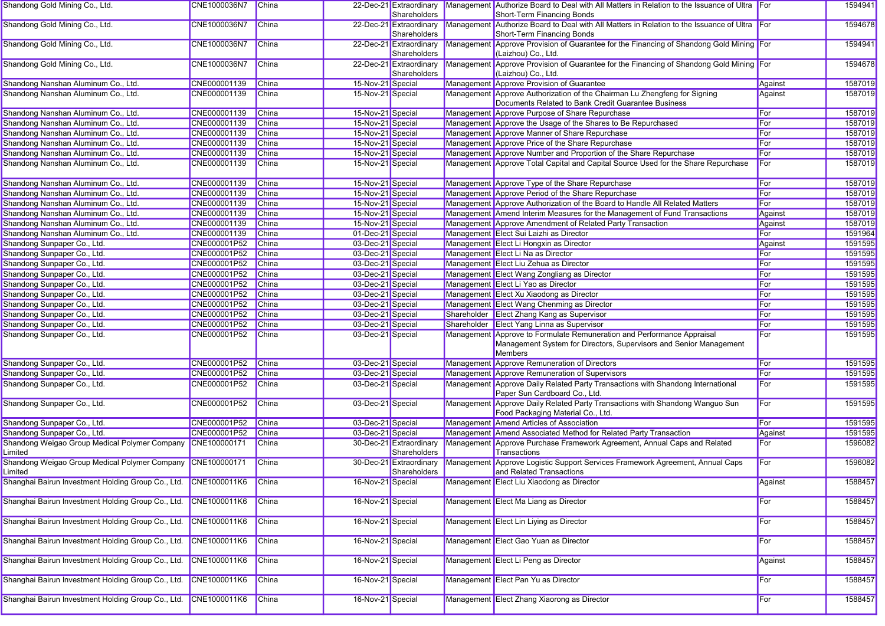| Shandong Gold Mining Co., Ltd.                                        | CNE1000036N7 | China        |                   | 22-Dec-21 Extraordinary<br>Shareholders | Management Authorize Board to Deal with All Matters in Relation to the Issuance of Ultra For<br>Short-Term Financing Bonds                              |         | 1594941 |
|-----------------------------------------------------------------------|--------------|--------------|-------------------|-----------------------------------------|---------------------------------------------------------------------------------------------------------------------------------------------------------|---------|---------|
| Shandong Gold Mining Co., Ltd.                                        | CNE1000036N7 | <b>China</b> |                   | 22-Dec-21 Extraordinary<br>Shareholders | Management Authorize Board to Deal with All Matters in Relation to the Issuance of Ultra For<br>Short-Term Financing Bonds                              |         | 1594678 |
| Shandong Gold Mining Co., Ltd.                                        | CNE1000036N7 | <b>China</b> |                   | 22-Dec-21 Extraordinary<br>Shareholders | Management Approve Provision of Guarantee for the Financing of Shandong Gold Mining For<br>(Laizhou) Co., Ltd.                                          |         | 1594941 |
| Shandong Gold Mining Co., Ltd.                                        | CNE1000036N7 | <b>China</b> |                   | 22-Dec-21 Extraordinary<br>Shareholders | Management Approve Provision of Guarantee for the Financing of Shandong Gold Mining For<br>(Laizhou) Co., Ltd.                                          |         | 1594678 |
| Shandong Nanshan Aluminum Co., Ltd.                                   | CNE000001139 | China        | 15-Nov-21 Special |                                         | Management Approve Provision of Guarantee                                                                                                               | Against | 1587019 |
| Shandong Nanshan Aluminum Co., Ltd.                                   | CNE000001139 | China        | 15-Nov-21 Special |                                         | Management Approve Authorization of the Chairman Lu Zhengfeng for Signing<br>Documents Related to Bank Credit Guarantee Business                        | Against | 1587019 |
| Shandong Nanshan Aluminum Co., Ltd.                                   | CNE000001139 | <b>China</b> | 15-Nov-21 Special |                                         | Management Approve Purpose of Share Repurchase                                                                                                          | For     | 1587019 |
| Shandong Nanshan Aluminum Co., Ltd.                                   | CNE000001139 | China        | 15-Nov-21 Special |                                         | Management Approve the Usage of the Shares to Be Repurchased                                                                                            | For     | 1587019 |
| Shandong Nanshan Aluminum Co., Ltd.                                   | CNE000001139 | <b>China</b> | 15-Nov-21 Special |                                         | Management Approve Manner of Share Repurchase                                                                                                           | For     | 1587019 |
| Shandong Nanshan Aluminum Co., Ltd.                                   | CNE000001139 | <b>China</b> | 15-Nov-21 Special |                                         | Management Approve Price of the Share Repurchase                                                                                                        | For     | 1587019 |
| Shandong Nanshan Aluminum Co., Ltd.                                   | CNE000001139 | China        | 15-Nov-21 Special |                                         | Management Approve Number and Proportion of the Share Repurchase                                                                                        | For     | 1587019 |
| Shandong Nanshan Aluminum Co., Ltd.                                   | CNE000001139 | China        | 15-Nov-21 Special |                                         | Management Approve Total Capital and Capital Source Used for the Share Repurchase                                                                       | For     | 1587019 |
| Shandong Nanshan Aluminum Co., Ltd.                                   | CNE000001139 | China        | 15-Nov-21 Special |                                         | Management Approve Type of the Share Repurchase                                                                                                         | For     | 1587019 |
| Shandong Nanshan Aluminum Co., Ltd.                                   | CNE000001139 | <b>China</b> | 15-Nov-21 Special |                                         | Management Approve Period of the Share Repurchase                                                                                                       | For     | 1587019 |
| Shandong Nanshan Aluminum Co., Ltd.                                   | CNE000001139 | <b>China</b> | 15-Nov-21 Special |                                         | Management Approve Authorization of the Board to Handle All Related Matters                                                                             | For     | 1587019 |
| Shandong Nanshan Aluminum Co., Ltd.                                   | CNE000001139 | China        | 15-Nov-21 Special |                                         | Management Amend Interim Measures for the Management of Fund Transactions                                                                               | Against | 1587019 |
| Shandong Nanshan Aluminum Co., Ltd.                                   | CNE000001139 | <b>China</b> | 15-Nov-21 Special |                                         | Management Approve Amendment of Related Party Transaction                                                                                               | Against | 1587019 |
| Shandong Nanshan Aluminum Co., Ltd.                                   | CNE000001139 | China        | 01-Dec-21 Special |                                         | Management Elect Sui Laizhi as Director                                                                                                                 | For     | 1591964 |
| Shandong Sunpaper Co., Ltd.                                           | CNE000001P52 | <b>China</b> | 03-Dec-21 Special |                                         | Management Elect Li Hongxin as Director                                                                                                                 | Against | 1591595 |
| Shandong Sunpaper Co., Ltd.                                           | CNE000001P52 | <b>China</b> | 03-Dec-21 Special |                                         | Management Elect Li Na as Director                                                                                                                      | For     | 1591595 |
| Shandong Sunpaper Co., Ltd.                                           | CNE000001P52 | China        | 03-Dec-21 Special |                                         | Management Elect Liu Zehua as Director                                                                                                                  | For     | 1591595 |
| Shandong Sunpaper Co., Ltd.                                           | CNE000001P52 | <b>China</b> | 03-Dec-21 Special |                                         | Management Elect Wang Zongliang as Director                                                                                                             | For     | 1591595 |
| Shandong Sunpaper Co., Ltd.                                           | CNE000001P52 | <b>China</b> | 03-Dec-21 Special |                                         | Management Elect Li Yao as Director                                                                                                                     | For     | 1591595 |
| Shandong Sunpaper Co., Ltd.                                           | CNE000001P52 | China        | 03-Dec-21 Special |                                         | Management Elect Xu Xiaodong as Director                                                                                                                | For     | 1591595 |
|                                                                       | CNE000001P52 | <b>China</b> | 03-Dec-21 Special |                                         | Management Elect Wang Chenming as Director                                                                                                              | For     | 1591595 |
| Shandong Sunpaper Co., Ltd.                                           |              |              |                   |                                         |                                                                                                                                                         |         |         |
| Shandong Sunpaper Co., Ltd.                                           | CNE000001P52 | <b>China</b> | 03-Dec-21 Special |                                         | Shareholder Elect Zhang Kang as Supervisor                                                                                                              | For     | 1591595 |
| Shandong Sunpaper Co., Ltd.                                           | CNE000001P52 | China        | 03-Dec-21 Special |                                         | Shareholder Elect Yang Linna as Supervisor                                                                                                              | For     | 1591595 |
| Shandong Sunpaper Co., Ltd.                                           | CNE000001P52 | China        | 03-Dec-21 Special |                                         | Management Approve to Formulate Remuneration and Performance Appraisal<br>Management System for Directors, Supervisors and Senior Management<br>Members | For     | 1591595 |
| Shandong Sunpaper Co., Ltd.                                           | CNE000001P52 | China        | 03-Dec-21 Special |                                         | Management Approve Remuneration of Directors                                                                                                            | For     | 1591595 |
| Shandong Sunpaper Co., Ltd.                                           | CNE000001P52 | China        | 03-Dec-21 Special |                                         | Management Approve Remuneration of Supervisors                                                                                                          | For     | 1591595 |
| Shandong Sunpaper Co., Ltd.                                           | CNE000001P52 | <b>China</b> | 03-Dec-21 Special |                                         | Management Approve Daily Related Party Transactions with Shandong International<br>Paper Sun Cardboard Co., Ltd.                                        | For     | 1591595 |
| Shandong Sunpaper Co., Ltd.                                           | CNE000001P52 | <b>China</b> | 03-Dec-21 Special |                                         | Management Approve Daily Related Party Transactions with Shandong Wanguo Sun<br>Food Packaging Material Co., Ltd.                                       | For     | 1591595 |
| Shandong Sunpaper Co., Ltd.                                           | CNE000001P52 | China        | 03-Dec-21 Special |                                         | Management Amend Articles of Association                                                                                                                | For     | 1591595 |
| Shandong Sunpaper Co., Ltd.                                           | CNE000001P52 | China        | 03-Dec-21 Special |                                         | Management Amend Associated Method for Related Party Transaction                                                                                        | Against | 1591595 |
| Shandong Weigao Group Medical Polymer Company<br>Limited              | CNE100000171 | China        |                   | 30-Dec-21 Extraordinary<br>Shareholders | Management Approve Purchase Framework Agreement, Annual Caps and Related<br>Transactions                                                                | For     | 1596082 |
| Shandong Weigao Group Medical Polymer Company CNE100000171<br>_imited |              | China        |                   | 30-Dec-21 Extraordinary<br>Shareholders | Management Approve Logistic Support Services Framework Agreement, Annual Caps<br>and Related Transactions                                               | For     | 1596082 |
| Shanghai Bairun Investment Holding Group Co., Ltd. CNE1000011K6       |              | <b>China</b> | 16-Nov-21 Special |                                         | Management Elect Liu Xiaodong as Director                                                                                                               | Against | 1588457 |
| Shanghai Bairun Investment Holding Group Co., Ltd.                    | CNE1000011K6 | China        | 16-Nov-21 Special |                                         | Management Elect Ma Liang as Director                                                                                                                   | For     | 1588457 |
| Shanghai Bairun Investment Holding Group Co., Ltd.                    | CNE1000011K6 | China        | 16-Nov-21 Special |                                         | Management Elect Lin Liying as Director                                                                                                                 | For     | 1588457 |
| Shanghai Bairun Investment Holding Group Co., Ltd.                    | CNE1000011K6 | China        | 16-Nov-21 Special |                                         | Management Elect Gao Yuan as Director                                                                                                                   | For     | 1588457 |
| Shanghai Bairun Investment Holding Group Co., Ltd. CNE1000011K6       |              | China        | 16-Nov-21 Special |                                         | Management Elect Li Peng as Director                                                                                                                    | Against | 1588457 |
| Shanghai Bairun Investment Holding Group Co., Ltd.                    | CNE1000011K6 | China        | 16-Nov-21 Special |                                         | Management Elect Pan Yu as Director                                                                                                                     | For     | 1588457 |
| Shanghai Bairun Investment Holding Group Co., Ltd.                    | CNE1000011K6 | <b>China</b> | 16-Nov-21 Special |                                         | Management Elect Zhang Xiaorong as Director                                                                                                             | For     | 1588457 |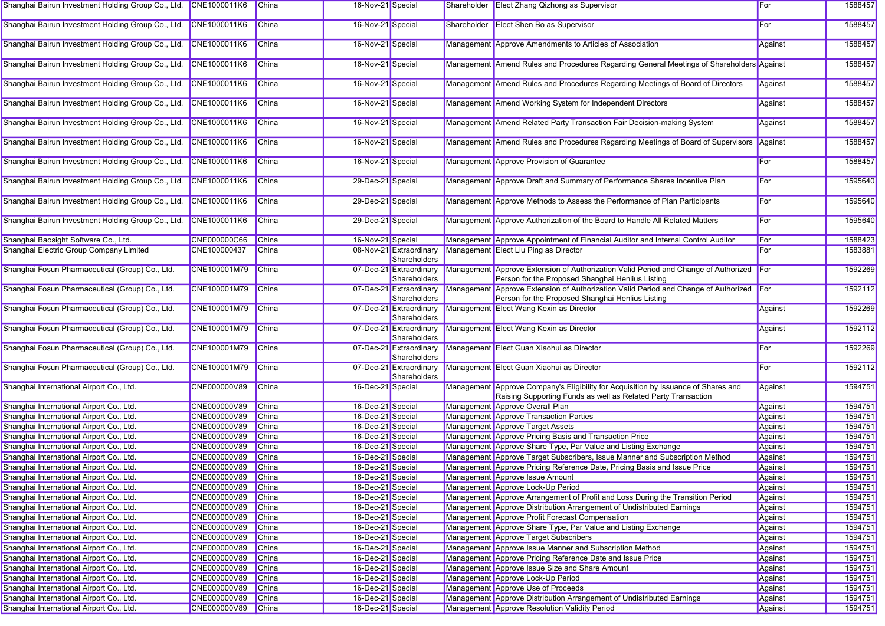| Shanghai Bairun Investment Holding Group Co., Ltd. CNE1000011K6 |                     | China        | 16-Nov-21 Special |                                         |             | Shareholder Elect Zhang Qizhong as Supervisor                                                                                                       | For     | 1588457 |
|-----------------------------------------------------------------|---------------------|--------------|-------------------|-----------------------------------------|-------------|-----------------------------------------------------------------------------------------------------------------------------------------------------|---------|---------|
| Shanghai Bairun Investment Holding Group Co., Ltd.              | CNE1000011K6        | China        | 16-Nov-21 Special |                                         | Shareholder | <b>Elect Shen Bo as Supervisor</b>                                                                                                                  | For     | 1588457 |
| Shanghai Bairun Investment Holding Group Co., Ltd.              | CNE1000011K6        | China        | 16-Nov-21 Special |                                         |             | Management Approve Amendments to Articles of Association                                                                                            | Against | 1588457 |
| Shanghai Bairun Investment Holding Group Co., Ltd.              | CNE1000011K6        | <b>China</b> | 16-Nov-21 Special |                                         |             | Management Amend Rules and Procedures Regarding General Meetings of Shareholders Against                                                            |         | 1588457 |
| Shanghai Bairun Investment Holding Group Co., Ltd.              | CNE1000011K6        | China        | 16-Nov-21 Special |                                         |             | Management Amend Rules and Procedures Regarding Meetings of Board of Directors                                                                      | Against | 1588457 |
| Shanghai Bairun Investment Holding Group Co., Ltd.              | CNE1000011K6        | China        | 16-Nov-21 Special |                                         |             | Management Amend Working System for Independent Directors                                                                                           | Against | 1588457 |
| Shanghai Bairun Investment Holding Group Co., Ltd.              | CNE1000011K6        | <b>China</b> | 16-Nov-21 Special |                                         |             | Management Amend Related Party Transaction Fair Decision-making System                                                                              | Against | 1588457 |
| Shanghai Bairun Investment Holding Group Co., Ltd.              | CNE1000011K6        | <b>China</b> | 16-Nov-21 Special |                                         |             | Management Amend Rules and Procedures Regarding Meetings of Board of Supervisors                                                                    | Against | 1588457 |
| Shanghai Bairun Investment Holding Group Co., Ltd.              | CNE1000011K6        | <b>China</b> | 16-Nov-21 Special |                                         |             | Management Approve Provision of Guarantee                                                                                                           | For     | 1588457 |
| Shanghai Bairun Investment Holding Group Co., Ltd.              | CNE1000011K6        | China        | 29-Dec-21 Special |                                         |             | Management Approve Draft and Summary of Performance Shares Incentive Plan                                                                           | For     | 1595640 |
| Shanghai Bairun Investment Holding Group Co., Ltd.              | CNE1000011K6        | <b>China</b> | 29-Dec-21 Special |                                         |             | Management Approve Methods to Assess the Performance of Plan Participants                                                                           | For     | 1595640 |
| Shanghai Bairun Investment Holding Group Co., Ltd.              | CNE1000011K6        | China        | 29-Dec-21 Special |                                         |             | Management Approve Authorization of the Board to Handle All Related Matters                                                                         | For     | 1595640 |
| Shanghai Baosight Software Co., Ltd.                            | CNE000000C66        | <b>China</b> | 16-Nov-21 Special |                                         |             | Management Approve Appointment of Financial Auditor and Internal Control Auditor                                                                    | For     | 1588423 |
| Shanghai Electric Group Company Limited                         | CNE100000437        | <b>China</b> |                   | 08-Nov-21 Extraordinary<br>Shareholders |             | Management Elect Liu Ping as Director                                                                                                               | For     | 1583881 |
| Shanghai Fosun Pharmaceutical (Group) Co., Ltd.                 | CNE100001M79        | China        |                   | 07-Dec-21 Extraordinary<br>Shareholders |             | Management Approve Extension of Authorization Valid Period and Change of Authorized For<br>Person for the Proposed Shanghai Henlius Listing         |         | 1592269 |
| Shanghai Fosun Pharmaceutical (Group) Co., Ltd.                 | CNE100001M79        | China        |                   | 07-Dec-21 Extraordinary<br>Shareholders |             | Management Approve Extension of Authorization Valid Period and Change of Authorized<br>Person for the Proposed Shanghai Henlius Listing             | For     | 1592112 |
| Shanghai Fosun Pharmaceutical (Group) Co., Ltd.                 | CNE100001M79        | China        |                   | 07-Dec-21 Extraordinary<br>Shareholders |             | Management Elect Wang Kexin as Director                                                                                                             | Against | 1592269 |
| Shanghai Fosun Pharmaceutical (Group) Co., Ltd.                 | CNE100001M79        | China        |                   | 07-Dec-21 Extraordinary<br>Shareholders |             | Management Elect Wang Kexin as Director                                                                                                             | Against | 1592112 |
| Shanghai Fosun Pharmaceutical (Group) Co., Ltd.                 | CNE100001M79        | China        |                   | 07-Dec-21 Extraordinary<br>Shareholders |             | Management Elect Guan Xiaohui as Director                                                                                                           | For     | 1592269 |
| Shanghai Fosun Pharmaceutical (Group) Co., Ltd.                 | CNE100001M79        | China        |                   | 07-Dec-21 Extraordinary<br>Shareholders |             | Management Elect Guan Xiaohui as Director                                                                                                           | For     | 1592112 |
| Shanghai International Airport Co., Ltd.                        | CNE000000V89        | <b>China</b> | 16-Dec-21 Special |                                         |             | Management Approve Company's Eligibility for Acquisition by Issuance of Shares and<br>Raising Supporting Funds as well as Related Party Transaction | Against | 1594751 |
| Shanghai International Airport Co., Ltd.                        | CNE000000V89        | <b>China</b> | 16-Dec-21 Special |                                         |             | Management Approve Overall Plan                                                                                                                     | Against | 1594751 |
| Shanghai International Airport Co., Ltd.                        | CNE000000V89        | China        | 16-Dec-21 Special |                                         |             | Management Approve Transaction Parties                                                                                                              | Against | 1594751 |
| Shanghai International Airport Co., Ltd.                        | CNE000000V89        | China        | 16-Dec-21 Special |                                         |             | Management Approve Target Assets                                                                                                                    | Against | 1594751 |
| Shanghai International Airport Co., Ltd.                        | CNE000000V89        | China        | 16-Dec-21 Special |                                         |             | Management Approve Pricing Basis and Transaction Price                                                                                              | Against | 1594751 |
| Shanghai International Airport Co., Ltd.                        | <b>CNE000000V89</b> | <b>China</b> | 16-Dec-21 Special |                                         |             | Management Approve Share Type, Par Value and Listing Exchange                                                                                       | Against | 1594751 |
| Shanghai International Airport Co., Ltd.                        | CNE000000V89        | <b>China</b> | 16-Dec-21 Special |                                         |             | Management Approve Target Subscribers, Issue Manner and Subscription Method                                                                         | Against | 1594751 |
| Shanghai International Airport Co., Ltd.                        | CNE000000V89        | <b>China</b> | 16-Dec-21 Special |                                         |             | Management Approve Pricing Reference Date, Pricing Basis and Issue Price                                                                            | Against | 1594751 |
| Shanghai International Airport Co., Ltd.                        | CNE000000V89        | China        | 16-Dec-21 Special |                                         |             | Management Approve Issue Amount                                                                                                                     | Against | 1594751 |
| Shanghai International Airport Co., Ltd.                        | CNE000000V89        | China        | 16-Dec-21 Special |                                         |             | Management Approve Lock-Up Period                                                                                                                   | Against | 1594751 |
| Shanghai International Airport Co., Ltd.                        | CNE000000V89        | China        | 16-Dec-21 Special |                                         |             | Management Approve Arrangement of Profit and Loss During the Transition Period                                                                      | Against | 1594751 |
| Shanghai International Airport Co., Ltd.                        | CNE000000V89        | China        | 16-Dec-21 Special |                                         |             | Management Approve Distribution Arrangement of Undistributed Earnings                                                                               | Against | 1594751 |
| Shanghai International Airport Co., Ltd.                        | CNE000000V89        | China        | 16-Dec-21 Special |                                         |             | Management Approve Profit Forecast Compensation                                                                                                     | Against | 1594751 |
| Shanghai International Airport Co., Ltd.                        | CNE000000V89        | China        | 16-Dec-21 Special |                                         |             | Management Approve Share Type, Par Value and Listing Exchange                                                                                       | Against | 1594751 |
| Shanghai International Airport Co., Ltd.                        | CNE000000V89        | China        | 16-Dec-21 Special |                                         |             | Management Approve Target Subscribers                                                                                                               | Against | 1594751 |
| Shanghai International Airport Co., Ltd.                        | CNE000000V89        | China        | 16-Dec-21 Special |                                         |             | Management Approve Issue Manner and Subscription Method                                                                                             | Against | 1594751 |
| Shanghai International Airport Co., Ltd.                        | CNE000000V89        | China        | 16-Dec-21 Special |                                         |             | Management Approve Pricing Reference Date and Issue Price                                                                                           | Against | 1594751 |
| Shanghai International Airport Co., Ltd.                        | CNE000000V89        | China        | 16-Dec-21 Special |                                         |             | Management Approve Issue Size and Share Amount                                                                                                      | Against | 1594751 |
| Shanghai International Airport Co., Ltd.                        | CNE000000V89        | China        | 16-Dec-21 Special |                                         |             | Management Approve Lock-Up Period                                                                                                                   | Against | 1594751 |
| Shanghai International Airport Co., Ltd.                        | CNE000000V89        | China        | 16-Dec-21 Special |                                         |             | Management Approve Use of Proceeds                                                                                                                  | Against | 1594751 |
| Shanghai International Airport Co., Ltd.                        | CNE000000V89        | China        | 16-Dec-21 Special |                                         |             | Management Approve Distribution Arrangement of Undistributed Earnings                                                                               | Against | 1594751 |
| Shanghai International Airport Co., Ltd.                        | CNE000000V89        | China        | 16-Dec-21 Special |                                         |             | Management Approve Resolution Validity Period                                                                                                       | Against | 1594751 |
|                                                                 |                     |              |                   |                                         |             |                                                                                                                                                     |         |         |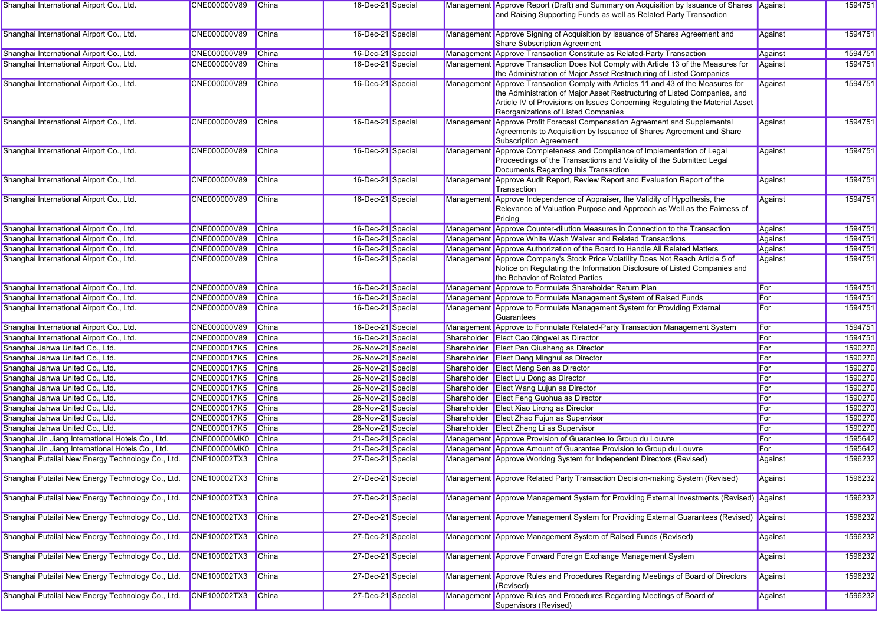| Shanghai International Airport Co., Ltd.          | CNE000000V89        | China        | 16-Dec-21 Special |            | Management Approve Report (Draft) and Summary on Acquisition by Issuance of Shares Against<br>and Raising Supporting Funds as well as Related Party Transaction                                                                                                                     |         | 1594751 |
|---------------------------------------------------|---------------------|--------------|-------------------|------------|-------------------------------------------------------------------------------------------------------------------------------------------------------------------------------------------------------------------------------------------------------------------------------------|---------|---------|
| Shanghai International Airport Co., Ltd.          | CNE000000V89        | China        | 16-Dec-21 Special |            | Management Approve Signing of Acquisition by Issuance of Shares Agreement and<br>Share Subscription Agreement                                                                                                                                                                       | Against | 1594751 |
| Shanghai International Airport Co., Ltd.          | CNE000000V89        | China        | 16-Dec-21 Special |            | Management Approve Transaction Constitute as Related-Party Transaction                                                                                                                                                                                                              | Against | 1594751 |
| Shanghai International Airport Co., Ltd.          | CNE000000V89        | China        | 16-Dec-21 Special |            | Management Approve Transaction Does Not Comply with Article 13 of the Measures for<br>the Administration of Major Asset Restructuring of Listed Companies                                                                                                                           | Against | 1594751 |
| Shanghai International Airport Co., Ltd.          | CNE000000V89        | China        | 16-Dec-21 Special |            | Management Approve Transaction Comply with Articles 11 and 43 of the Measures for<br>the Administration of Major Asset Restructuring of Listed Companies, and<br>Article IV of Provisions on Issues Concerning Regulating the Material Asset<br>Reorganizations of Listed Companies | Against | 1594751 |
| Shanghai International Airport Co., Ltd.          | CNE000000V89        | China        | 16-Dec-21 Special | Management | Approve Profit Forecast Compensation Agreement and Supplemental<br>Agreements to Acquisition by Issuance of Shares Agreement and Share<br><b>Subscription Agreement</b>                                                                                                             | Against | 1594751 |
| Shanghai International Airport Co., Ltd.          | CNE000000V89        | China        | 16-Dec-21 Special |            | Management Approve Completeness and Compliance of Implementation of Legal<br>Proceedings of the Transactions and Validity of the Submitted Legal<br>Documents Regarding this Transaction                                                                                            | Against | 1594751 |
| Shanghai International Airport Co., Ltd.          | CNE000000V89        | China        | 16-Dec-21 Special |            | Management Approve Audit Report, Review Report and Evaluation Report of the<br>Transaction                                                                                                                                                                                          | Against | 1594751 |
| Shanghai International Airport Co., Ltd.          | CNE000000V89        | <b>China</b> | 16-Dec-21 Special |            | Management Approve Independence of Appraiser, the Validity of Hypothesis, the<br>Relevance of Valuation Purpose and Approach as Well as the Fairness of<br>Pricing                                                                                                                  | Against | 1594751 |
| Shanghai International Airport Co., Ltd.          | CNE000000V89        | China        | 16-Dec-21 Special |            | Management Approve Counter-dilution Measures in Connection to the Transaction                                                                                                                                                                                                       | Against | 1594751 |
| Shanghai International Airport Co., Ltd.          | CNE000000V89        | China        | 16-Dec-21 Special |            | Management Approve White Wash Waiver and Related Transactions                                                                                                                                                                                                                       | Against | 1594751 |
| Shanghai International Airport Co., Ltd.          | CNE000000V89        | China        | 16-Dec-21 Special |            | Management Approve Authorization of the Board to Handle All Related Matters                                                                                                                                                                                                         | Against | 1594751 |
| Shanghai International Airport Co., Ltd.          | CNE000000V89        | China        | 16-Dec-21 Special |            | Management Approve Company's Stock Price Volatility Does Not Reach Article 5 of<br>Notice on Regulating the Information Disclosure of Listed Companies and<br>the Behavior of Related Parties                                                                                       | Against | 1594751 |
| Shanghai International Airport Co., Ltd.          | CNE000000V89        | China        | 16-Dec-21 Special |            | Management Approve to Formulate Shareholder Return Plan                                                                                                                                                                                                                             | For     | 1594751 |
| Shanghai International Airport Co., Ltd.          | CNE000000V89        | China        | 16-Dec-21 Special |            | Management Approve to Formulate Management System of Raised Funds                                                                                                                                                                                                                   | For     | 1594751 |
| Shanghai International Airport Co., Ltd.          | CNE000000V89        | China        | 16-Dec-21 Special |            | Management Approve to Formulate Management System for Providing External<br>Guarantees                                                                                                                                                                                              | For     | 1594751 |
| Shanghai International Airport Co., Ltd.          | CNE000000V89        | China        | 16-Dec-21 Special |            | Management Approve to Formulate Related-Party Transaction Management System                                                                                                                                                                                                         | For     | 1594751 |
| Shanghai International Airport Co., Ltd.          | CNE000000V89        | China        | 16-Dec-21 Special |            | Shareholder Elect Cao Qingwei as Director                                                                                                                                                                                                                                           | For     | 1594751 |
| Shanghai Jahwa United Co., Ltd.                   | CNE0000017K5        | China        | 26-Nov-21 Special |            | Shareholder Elect Pan Qiusheng as Director                                                                                                                                                                                                                                          | For     | 1590270 |
| Shanghai Jahwa United Co., Ltd.                   | <b>CNE0000017K5</b> | China        | 26-Nov-21 Special |            | Shareholder Elect Deng Minghui as Director                                                                                                                                                                                                                                          | For     | 1590270 |
| Shanghai Jahwa United Co., Ltd.                   | CNE0000017K5        | China        | 26-Nov-21 Special |            | Shareholder Elect Meng Sen as Director                                                                                                                                                                                                                                              | For     | 1590270 |
| Shanghai Jahwa United Co., Ltd.                   | CNE0000017K5        | China        | 26-Nov-21 Special |            | Shareholder Elect Liu Dong as Director                                                                                                                                                                                                                                              | For     | 1590270 |
| Shanghai Jahwa United Co., Ltd.                   | CNE0000017K5        | China        | 26-Nov-21 Special |            | Shareholder Elect Wang Lujun as Director                                                                                                                                                                                                                                            | For     | 1590270 |
| Shanghai Jahwa United Co., Ltd.                   | CNE0000017K5        | China        | 26-Nov-21 Special |            | Shareholder Elect Feng Guohua as Director                                                                                                                                                                                                                                           | For     | 1590270 |
| Shanghai Jahwa United Co., Ltd.                   | <b>CNE0000017K5</b> | China        | 26-Nov-21 Special |            | Shareholder Elect Xiao Lirong as Director                                                                                                                                                                                                                                           | For     | 1590270 |
| Shanghai Jahwa United Co., Ltd.                   | CNE0000017K5        | China        | 26-Nov-21 Special |            | Shareholder Elect Zhao Fujun as Supervisor                                                                                                                                                                                                                                          | For     | 1590270 |
| Shanghai Jahwa United Co., Ltd.                   | <b>CNE0000017K5</b> | China        | 26-Nov-21 Special |            | Shareholder Elect Zheng Li as Supervisor                                                                                                                                                                                                                                            | For     | 1590270 |
| Shanghai Jin Jiang International Hotels Co., Ltd. | CNE000000MK0        | China        | 21-Dec-21 Special |            | Management Approve Provision of Guarantee to Group du Louvre                                                                                                                                                                                                                        | For     | 1595642 |
| Shanghai Jin Jiang International Hotels Co., Ltd. | CNE000000MK0        | China        | 21-Dec-21 Special |            | Management Approve Amount of Guarantee Provision to Group du Louvre                                                                                                                                                                                                                 | For     | 1595642 |
| Shanghai Putailai New Energy Technology Co., Ltd. | <b>CNE100002TX3</b> | China        | 27-Dec-21 Special |            | Management Approve Working System for Independent Directors (Revised)                                                                                                                                                                                                               | Against | 1596232 |
| Shanghai Putailai New Energy Technology Co., Ltd. | CNE100002TX3        | China        | 27-Dec-21 Special |            | Management Approve Related Party Transaction Decision-making System (Revised)                                                                                                                                                                                                       | Against | 1596232 |
| Shanghai Putailai New Energy Technology Co., Ltd. | CNE100002TX3        | China        | 27-Dec-21 Special |            | Management Approve Management System for Providing External Investments (Revised) Against                                                                                                                                                                                           |         | 1596232 |
| Shanghai Putailai New Energy Technology Co., Ltd. | CNE100002TX3        | <b>China</b> | 27-Dec-21 Special |            | Management Approve Management System for Providing External Guarantees (Revised) Against                                                                                                                                                                                            |         | 1596232 |
| Shanghai Putailai New Energy Technology Co., Ltd. | CNE100002TX3        | China        | 27-Dec-21 Special |            | Management Approve Management System of Raised Funds (Revised)                                                                                                                                                                                                                      | Against | 1596232 |
| Shanghai Putailai New Energy Technology Co., Ltd. | <b>CNE100002TX3</b> | China        | 27-Dec-21 Special |            | Management Approve Forward Foreign Exchange Management System                                                                                                                                                                                                                       | Against | 1596232 |
| Shanghai Putailai New Energy Technology Co., Ltd. | <b>CNE100002TX3</b> | China        | 27-Dec-21 Special |            | Management Approve Rules and Procedures Regarding Meetings of Board of Directors<br>(Revised)                                                                                                                                                                                       | Against | 1596232 |
| Shanghai Putailai New Energy Technology Co., Ltd. | CNE100002TX3        | China        | 27-Dec-21 Special |            | Management Approve Rules and Procedures Regarding Meetings of Board of<br>Supervisors (Revised)                                                                                                                                                                                     | Against | 1596232 |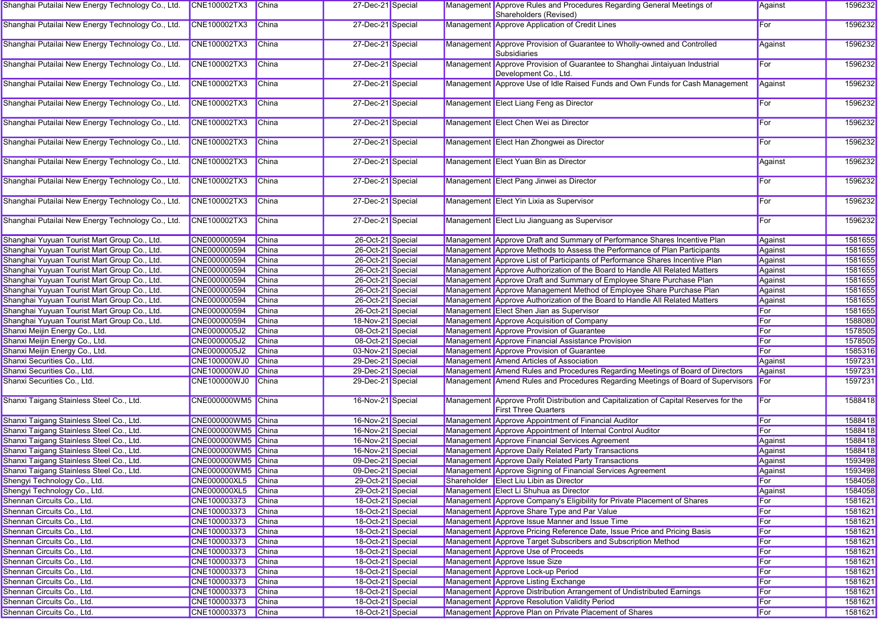| Shanghai Putailai New Energy Technology Co., Ltd. | <b>CNE100002TX3</b> | <b>China</b> | 27-Dec-21 Special |  | Management Approve Rules and Procedures Regarding General Meetings of<br>Shareholders (Revised)                      | Against | 1596232 |
|---------------------------------------------------|---------------------|--------------|-------------------|--|----------------------------------------------------------------------------------------------------------------------|---------|---------|
| Shanghai Putailai New Energy Technology Co., Ltd. | CNE100002TX3        | China        | 27-Dec-21 Special |  | Management Approve Application of Credit Lines                                                                       | For     | 1596232 |
| Shanghai Putailai New Energy Technology Co., Ltd. | CNE100002TX3        | China        | 27-Dec-21 Special |  | Management Approve Provision of Guarantee to Wholly-owned and Controlled<br><b>Subsidiaries</b>                      | Against | 1596232 |
| Shanghai Putailai New Energy Technology Co., Ltd. | CNE100002TX3        | <b>China</b> | 27-Dec-21 Special |  | Management Approve Provision of Guarantee to Shanghai Jintaiyuan Industrial<br>Development Co., Ltd.                 | For     | 1596232 |
| Shanghai Putailai New Energy Technology Co., Ltd. | CNE100002TX3        | China        | 27-Dec-21 Special |  | Management Approve Use of Idle Raised Funds and Own Funds for Cash Management                                        | Against | 1596232 |
| Shanghai Putailai New Energy Technology Co., Ltd. | CNE100002TX3        | China        | 27-Dec-21 Special |  | Management Elect Liang Feng as Director                                                                              | For     | 1596232 |
| Shanghai Putailai New Energy Technology Co., Ltd. | CNE100002TX3        | <b>China</b> | 27-Dec-21 Special |  | Management Elect Chen Wei as Director                                                                                | For     | 1596232 |
| Shanghai Putailai New Energy Technology Co., Ltd. | CNE100002TX3        | <b>China</b> | 27-Dec-21 Special |  | Management Elect Han Zhongwei as Director                                                                            | For     | 1596232 |
| Shanghai Putailai New Energy Technology Co., Ltd. | <b>CNE100002TX3</b> | <b>China</b> | 27-Dec-21 Special |  | Management Elect Yuan Bin as Director                                                                                | Against | 1596232 |
| Shanghai Putailai New Energy Technology Co., Ltd. | CNE100002TX3        | <b>China</b> | 27-Dec-21 Special |  | Management Elect Pang Jinwei as Director                                                                             | For     | 1596232 |
| Shanghai Putailai New Energy Technology Co., Ltd. | CNE100002TX3        | <b>China</b> | 27-Dec-21 Special |  | Management Elect Yin Lixia as Supervisor                                                                             | For     | 1596232 |
| Shanghai Putailai New Energy Technology Co., Ltd. | CNE100002TX3        | <b>China</b> | 27-Dec-21 Special |  | Management Elect Liu Jianguang as Supervisor                                                                         | For     | 1596232 |
| Shanghai Yuyuan Tourist Mart Group Co., Ltd.      | CNE000000594        | <b>China</b> | 26-Oct-21 Special |  | Management Approve Draft and Summary of Performance Shares Incentive Plan                                            | Against | 1581655 |
| Shanghai Yuyuan Tourist Mart Group Co., Ltd.      | CNE000000594        | <b>China</b> | 26-Oct-21 Special |  | Management Approve Methods to Assess the Performance of Plan Participants                                            | Against | 1581655 |
| Shanghai Yuyuan Tourist Mart Group Co., Ltd.      | CNE000000594        | <b>China</b> | 26-Oct-21 Special |  | Management Approve List of Participants of Performance Shares Incentive Plan                                         | Against | 1581655 |
| Shanghai Yuyuan Tourist Mart Group Co., Ltd.      | CNE000000594        | <b>China</b> | 26-Oct-21 Special |  | Management Approve Authorization of the Board to Handle All Related Matters                                          | Against | 1581655 |
| Shanghai Yuyuan Tourist Mart Group Co., Ltd.      | CNE000000594        | China        | 26-Oct-21 Special |  | Management Approve Draft and Summary of Employee Share Purchase Plan                                                 | Against | 1581655 |
| Shanghai Yuyuan Tourist Mart Group Co., Ltd.      | CNE000000594        | China        | 26-Oct-21 Special |  | Management Approve Management Method of Employee Share Purchase Plan                                                 | Against | 1581655 |
| Shanghai Yuyuan Tourist Mart Group Co., Ltd.      | CNE000000594        | China        | 26-Oct-21 Special |  | Management Approve Authorization of the Board to Handle All Related Matters                                          | Against | 1581655 |
| Shanghai Yuyuan Tourist Mart Group Co., Ltd.      | CNE000000594        | China        | 26-Oct-21 Special |  | Management Elect Shen Jian as Supervisor                                                                             | For     | 1581655 |
| Shanghai Yuyuan Tourist Mart Group Co., Ltd.      | CNE000000594        | <b>China</b> | 18-Nov-21 Special |  | Management Approve Acquisition of Company                                                                            | For     | 1588080 |
| Shanxi Meijin Energy Co., Ltd.                    | CNE0000005J2        | <b>China</b> | 08-Oct-21 Special |  | Management Approve Provision of Guarantee                                                                            | For     | 1578505 |
| Shanxi Meijin Energy Co., Ltd.                    | CNE0000005J2        | <b>China</b> | 08-Oct-21 Special |  | Management Approve Financial Assistance Provision                                                                    | For     | 1578505 |
| Shanxi Meijin Energy Co., Ltd.                    | CNE0000005J2        | China        | 03-Nov-21 Special |  | Management Approve Provision of Guarantee                                                                            | For     | 1585316 |
| Shanxi Securities Co., Ltd.                       | CNE100000WJ0        | China        | 29-Dec-21 Special |  | Management Amend Articles of Association                                                                             | Against | 1597231 |
| Shanxi Securities Co., Ltd.                       | CNE100000WJ0        | China        | 29-Dec-21 Special |  | Management Amend Rules and Procedures Regarding Meetings of Board of Directors                                       | Against | 1597231 |
| Shanxi Securities Co., Ltd.                       | <b>CNE100000WJ0</b> |              | 29-Dec-21 Special |  | Management Amend Rules and Procedures Regarding Meetings of Board of Supervisors                                     | For     | 1597231 |
|                                                   |                     | China        |                   |  |                                                                                                                      |         |         |
| Shanxi Taigang Stainless Steel Co., Ltd.          | CNE000000WM5 China  |              | 16-Nov-21 Special |  | Management Approve Profit Distribution and Capitalization of Capital Reserves for the<br><b>First Three Quarters</b> | For     | 1588418 |
| Shanxi Taigang Stainless Steel Co., Ltd.          | CNE000000WM5 China  |              | 16-Nov-21 Special |  | Management Approve Appointment of Financial Auditor                                                                  | For     | 1588418 |
| Shanxi Taigang Stainless Steel Co., Ltd.          | CNE000000WM5 China  |              | 16-Nov-21 Special |  | Management Approve Appointment of Internal Control Auditor                                                           | For     | 1588418 |
| Shanxi Taigang Stainless Steel Co., Ltd.          | CNE000000WM5 China  |              | 16-Nov-21 Special |  | Management Approve Financial Services Agreement                                                                      | Against | 1588418 |
| Shanxi Taigang Stainless Steel Co., Ltd.          | CNE000000WM5 China  |              | 16-Nov-21 Special |  | Management Approve Daily Related Party Transactions                                                                  | Against | 1588418 |
| Shanxi Taigang Stainless Steel Co., Ltd.          | CNE000000WM5 China  |              | 09-Dec-21 Special |  | Management Approve Daily Related Party Transactions                                                                  | Against | 1593498 |
| Shanxi Taigang Stainless Steel Co., Ltd.          | CNE000000WM5 China  |              | 09-Dec-21 Special |  | Management Approve Signing of Financial Services Agreement                                                           | Against | 1593498 |
| Shengyi Technology Co., Ltd.                      | CNE000000XL5 China  |              | 29-Oct-21 Special |  | Shareholder Elect Liu Libin as Director                                                                              | For     | 1584058 |
| Shengyi Technology Co., Ltd.                      | <b>CNE000000XL5</b> | China        | 29-Oct-21 Special |  | Management Elect Li Shuhua as Director                                                                               | Against | 1584058 |
| Shennan Circuits Co., Ltd.                        | CNE100003373        | China        | 18-Oct-21 Special |  | Management Approve Company's Eligibility for Private Placement of Shares                                             | For     | 1581621 |
| Shennan Circuits Co., Ltd.                        | CNE100003373        | China        | 18-Oct-21 Special |  | Management Approve Share Type and Par Value                                                                          | For     | 1581621 |
| Shennan Circuits Co., Ltd.                        | CNE100003373        | China        | 18-Oct-21 Special |  | Management Approve Issue Manner and Issue Time                                                                       | For     | 1581621 |
| Shennan Circuits Co., Ltd.                        | CNE100003373        | China        | 18-Oct-21 Special |  | Management Approve Pricing Reference Date, Issue Price and Pricing Basis                                             | For     | 1581621 |
| Shennan Circuits Co., Ltd.                        | CNE100003373        | China        | 18-Oct-21 Special |  | Management Approve Target Subscribers and Subscription Method                                                        | For     | 1581621 |
| Shennan Circuits Co., Ltd.                        | CNE100003373        | China        | 18-Oct-21 Special |  | Management Approve Use of Proceeds                                                                                   | For     | 1581621 |
| Shennan Circuits Co., Ltd.                        | CNE100003373        | China        | 18-Oct-21 Special |  | Management Approve Issue Size                                                                                        | For     | 1581621 |
| Shennan Circuits Co., Ltd.                        | CNE100003373        | China        | 18-Oct-21 Special |  | Management Approve Lock-up Period                                                                                    | For     | 1581621 |
| Shennan Circuits Co., Ltd.                        | CNE100003373        | China        | 18-Oct-21 Special |  | Management Approve Listing Exchange                                                                                  | For     | 1581621 |
| Shennan Circuits Co., Ltd.                        | CNE100003373        | China        | 18-Oct-21 Special |  | Management Approve Distribution Arrangement of Undistributed Earnings                                                | For     | 1581621 |
| Shennan Circuits Co., Ltd.                        | CNE100003373        | China        | 18-Oct-21 Special |  | Management Approve Resolution Validity Period                                                                        | For     | 1581621 |
| Shennan Circuits Co., Ltd.                        | CNE100003373        | China        | 18-Oct-21 Special |  | Management Approve Plan on Private Placement of Shares                                                               | For     | 1581621 |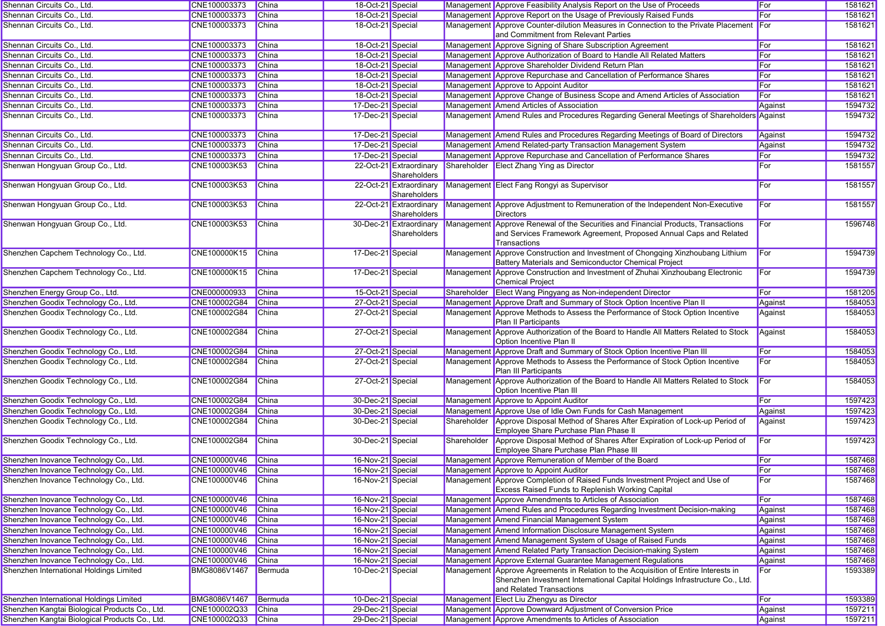| Shennan Circuits Co., Ltd.                     | CNE100003373        | China        | 18-Oct-21 Special |                                         |             | Management Approve Feasibility Analysis Report on the Use of Proceeds                                                                                                                          | For          | 1581621 |
|------------------------------------------------|---------------------|--------------|-------------------|-----------------------------------------|-------------|------------------------------------------------------------------------------------------------------------------------------------------------------------------------------------------------|--------------|---------|
| Shennan Circuits Co., Ltd.                     | CNE100003373        | China        | 18-Oct-21 Special |                                         |             | Management Approve Report on the Usage of Previously Raised Funds                                                                                                                              | For          | 1581621 |
| Shennan Circuits Co., Ltd.                     | CNE100003373        | China        | 18-Oct-21 Special |                                         |             | Management Approve Counter-dilution Measures in Connection to the Private Placement<br>and Commitment from Relevant Parties                                                                    | <b>I</b> For | 1581621 |
| Shennan Circuits Co., Ltd.                     | CNE100003373        | China        | 18-Oct-21 Special |                                         |             | Management Approve Signing of Share Subscription Agreement                                                                                                                                     | For          | 1581621 |
| Shennan Circuits Co., Ltd.                     | CNE100003373        | China        | 18-Oct-21 Special |                                         |             | Management Approve Authorization of Board to Handle All Related Matters                                                                                                                        | For          | 1581621 |
| Shennan Circuits Co., Ltd.                     | CNE100003373        | China        | 18-Oct-21 Special |                                         |             | Management Approve Shareholder Dividend Return Plan                                                                                                                                            | For          | 1581621 |
| Shennan Circuits Co., Ltd.                     | CNE100003373        | China        | 18-Oct-21 Special |                                         |             | Management Approve Repurchase and Cancellation of Performance Shares                                                                                                                           | For          | 1581621 |
| Shennan Circuits Co., Ltd.                     | CNE100003373        | China        | 18-Oct-21 Special |                                         |             | Management Approve to Appoint Auditor                                                                                                                                                          | For          | 1581621 |
| Shennan Circuits Co., Ltd.                     | CNE100003373        | <b>China</b> | 18-Oct-21 Special |                                         |             | Management Approve Change of Business Scope and Amend Articles of Association                                                                                                                  | For          | 1581621 |
| Shennan Circuits Co., Ltd.                     | CNE100003373        | China        | 17-Dec-21 Special |                                         |             | Management Amend Articles of Association                                                                                                                                                       | Against      | 1594732 |
| Shennan Circuits Co., Ltd.                     | CNE100003373        | China        | 17-Dec-21 Special |                                         |             | Management Amend Rules and Procedures Regarding General Meetings of Shareholders Against                                                                                                       |              | 1594732 |
| Shennan Circuits Co., Ltd.                     | CNE100003373        | <b>China</b> | 17-Dec-21 Special |                                         |             | Management Amend Rules and Procedures Regarding Meetings of Board of Directors                                                                                                                 | Against      | 1594732 |
| Shennan Circuits Co., Ltd.                     | CNE100003373        | China        | 17-Dec-21 Special |                                         |             | Management Amend Related-party Transaction Management System                                                                                                                                   | Against      | 1594732 |
| Shennan Circuits Co., Ltd.                     | CNE100003373        | <b>China</b> | 17-Dec-21 Special |                                         |             | Management Approve Repurchase and Cancellation of Performance Shares                                                                                                                           | For          | 1594732 |
| Shenwan Hongyuan Group Co., Ltd.               | CNE100003K53        | China        |                   | 22-Oct-21 Extraordinary<br>Shareholders |             | Shareholder Elect Zhang Ying as Director                                                                                                                                                       | For          | 1581557 |
| Shenwan Hongyuan Group Co., Ltd.               | CNE100003K53        | <b>China</b> |                   | 22-Oct-21 Extraordinary<br>Shareholders |             | Management Elect Fang Rongyi as Supervisor                                                                                                                                                     | For          | 1581557 |
| Shenwan Hongyuan Group Co., Ltd.               | CNE100003K53        | China        |                   | 22-Oct-21 Extraordinary<br>Shareholders |             | Management Approve Adjustment to Remuneration of the Independent Non-Executive<br><b>Directors</b>                                                                                             | For          | 1581557 |
| Shenwan Hongyuan Group Co., Ltd.               | CNE100003K53        | China        |                   | 30-Dec-21 Extraordinary<br>Shareholders |             | Management Approve Renewal of the Securities and Financial Products, Transactions<br>and Services Framework Agreement, Proposed Annual Caps and Related<br>Transactions                        | For          | 1596748 |
| Shenzhen Capchem Technology Co., Ltd.          | CNE100000K15        | China        | 17-Dec-21 Special |                                         |             | Management Approve Construction and Investment of Chongqing Xinzhoubang Lithium<br>Battery Materials and Semiconductor Chemical Project                                                        | For          | 1594739 |
| Shenzhen Capchem Technology Co., Ltd.          | CNE100000K15        | China        | 17-Dec-21 Special |                                         |             | Management Approve Construction and Investment of Zhuhai Xinzhoubang Electronic<br><b>Chemical Project</b>                                                                                     | For          | 1594739 |
| Shenzhen Energy Group Co., Ltd.                | CNE000000933        | China        | 15-Oct-21 Special |                                         | Shareholder | <b>Elect Wang Pingyang as Non-independent Director</b>                                                                                                                                         | For          | 1581205 |
| Shenzhen Goodix Technology Co., Ltd.           | CNE100002G84        | China        | 27-Oct-21 Special |                                         |             | Management Approve Draft and Summary of Stock Option Incentive Plan II                                                                                                                         | Against      | 1584053 |
| Shenzhen Goodix Technology Co., Ltd.           | CNE100002G84        | China        | 27-Oct-21 Special |                                         |             | Management Approve Methods to Assess the Performance of Stock Option Incentive<br>Plan II Participants                                                                                         | Against      | 1584053 |
| Shenzhen Goodix Technology Co., Ltd.           | CNE100002G84        | China        | 27-Oct-21 Special |                                         |             | Management Approve Authorization of the Board to Handle All Matters Related to Stock<br>Option Incentive Plan II                                                                               | Against      | 1584053 |
| Shenzhen Goodix Technology Co., Ltd.           | CNE100002G84        | China        | 27-Oct-21 Special |                                         |             | Management Approve Draft and Summary of Stock Option Incentive Plan III                                                                                                                        | For          | 1584053 |
| Shenzhen Goodix Technology Co., Ltd.           | CNE100002G84        | China        | 27-Oct-21 Special |                                         |             | Management Approve Methods to Assess the Performance of Stock Option Incentive<br>Plan III Participants                                                                                        | For          | 1584053 |
| Shenzhen Goodix Technology Co., Ltd.           | CNE100002G84        | China        | 27-Oct-21 Special |                                         |             | Management Approve Authorization of the Board to Handle All Matters Related to Stock<br>Option Incentive Plan III                                                                              | <b>For</b>   | 1584053 |
| Shenzhen Goodix Technology Co., Ltd.           | CNE100002G84        | <b>China</b> | 30-Dec-21 Special |                                         |             | Management Approve to Appoint Auditor                                                                                                                                                          | For          | 1597423 |
| Shenzhen Goodix Technology Co., Ltd.           | CNE100002G84        | China        | 30-Dec-21 Special |                                         |             | Management Approve Use of Idle Own Funds for Cash Management                                                                                                                                   | Against      | 1597423 |
| Shenzhen Goodix Technology Co., Ltd.           | CNE100002G84        | China        | 30-Dec-21 Special |                                         | Shareholder | Approve Disposal Method of Shares After Expiration of Lock-up Period of<br>Employee Share Purchase Plan Phase II                                                                               | Against      | 1597423 |
| Shenzhen Goodix Technology Co., Ltd.           | CNE100002G84        | <b>China</b> | 30-Dec-21 Special |                                         | Shareholder | Approve Disposal Method of Shares After Expiration of Lock-up Period of<br>Employee Share Purchase Plan Phase III                                                                              | For          | 1597423 |
| Shenzhen Inovance Technology Co., Ltd.         | CNE100000V46        | China        | 16-Nov-21 Special |                                         |             | Management Approve Remuneration of Member of the Board                                                                                                                                         | For          | 1587468 |
| Shenzhen Inovance Technology Co., Ltd.         | CNE100000V46 China  |              | 16-Nov-21 Special |                                         |             | Management Approve to Appoint Auditor                                                                                                                                                          | For          | 1587468 |
| Shenzhen Inovance Technology Co., Ltd.         | CNE100000V46        | China        | 16-Nov-21 Special |                                         |             | Management Approve Completion of Raised Funds Investment Project and Use of<br><b>Excess Raised Funds to Replenish Working Capital</b>                                                         | For          | 1587468 |
| Shenzhen Inovance Technology Co., Ltd.         | CNE100000V46        | China        | 16-Nov-21 Special |                                         |             | Management Approve Amendments to Articles of Association                                                                                                                                       | For          | 1587468 |
| Shenzhen Inovance Technology Co., Ltd.         | CNE100000V46        | China        | 16-Nov-21 Special |                                         |             | Management Amend Rules and Procedures Regarding Investment Decision-making                                                                                                                     | Against      | 1587468 |
| Shenzhen Inovance Technology Co., Ltd.         | CNE100000V46        | China        | 16-Nov-21 Special |                                         |             | Management Amend Financial Management System                                                                                                                                                   | Against      | 1587468 |
| Shenzhen Inovance Technology Co., Ltd.         | CNE100000V46        | China        | 16-Nov-21 Special |                                         |             | Management Amend Information Disclosure Management System                                                                                                                                      | Against      | 1587468 |
| Shenzhen Inovance Technology Co., Ltd.         | CNE100000V46        | China        | 16-Nov-21 Special |                                         |             | Management Amend Management System of Usage of Raised Funds                                                                                                                                    | Against      | 1587468 |
| Shenzhen Inovance Technology Co., Ltd.         | CNE100000V46        | China        | 16-Nov-21 Special |                                         |             | Management Amend Related Party Transaction Decision-making System                                                                                                                              | Against      | 1587468 |
| Shenzhen Inovance Technology Co., Ltd.         | CNE100000V46        | China        | 16-Nov-21 Special |                                         |             | Management Approve External Guarantee Management Regulations                                                                                                                                   | Against      | 1587468 |
| Shenzhen International Holdings Limited        | BMG8086V1467        | Bermuda      | 10-Dec-21 Special |                                         |             | Management Approve Agreements in Relation to the Acquisition of Entire Interests in<br>Shenzhen Investment International Capital Holdings Infrastructure Co., Ltd.<br>and Related Transactions | For          | 1593389 |
| Shenzhen International Holdings Limited        | <b>BMG8086V1467</b> | Bermuda      | 10-Dec-21 Special |                                         |             | Management Elect Liu Zhengyu as Director                                                                                                                                                       | For          | 1593389 |
| Shenzhen Kangtai Biological Products Co., Ltd. | CNE100002Q33        | China        | 29-Dec-21 Special |                                         |             | Management Approve Downward Adjustment of Conversion Price                                                                                                                                     | Against      | 1597211 |
| Shenzhen Kangtai Biological Products Co., Ltd. | CNE100002Q33 China  |              | 29-Dec-21 Special |                                         |             | Management Approve Amendments to Articles of Association                                                                                                                                       | Against      | 1597211 |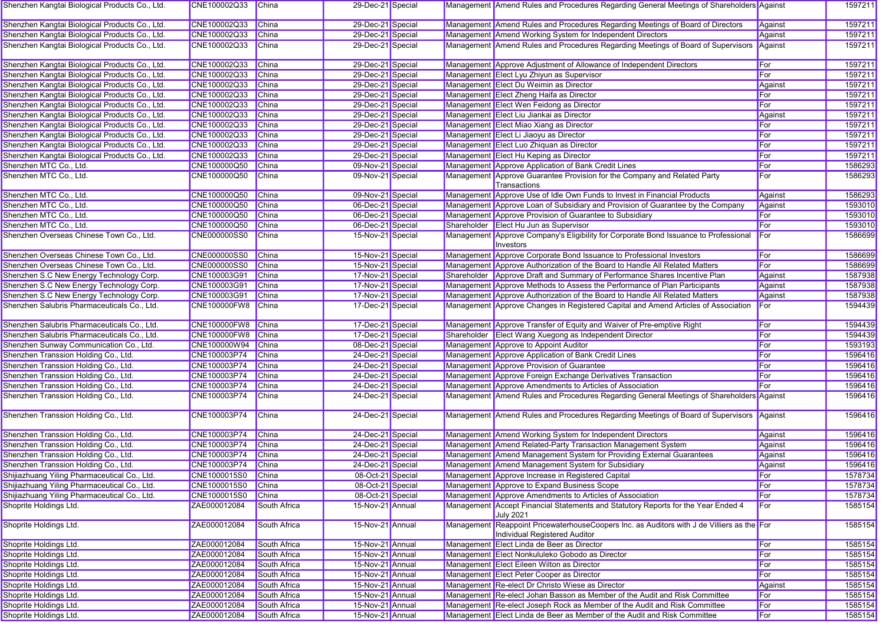| Shenzhen Kangtai Biological Products Co., Ltd. | CNE100002Q33        | China        | 29-Dec-21 Special |  | Management Amend Rules and Procedures Regarding General Meetings of Shareholders Against                                    |            | 1597211 |
|------------------------------------------------|---------------------|--------------|-------------------|--|-----------------------------------------------------------------------------------------------------------------------------|------------|---------|
| Shenzhen Kangtai Biological Products Co., Ltd. | CNE100002Q33        | China        | 29-Dec-21 Special |  | Management Amend Rules and Procedures Regarding Meetings of Board of Directors                                              | Against    | 1597211 |
| Shenzhen Kangtai Biological Products Co., Ltd. | CNE100002Q33        | China        | 29-Dec-21 Special |  | Management Amend Working System for Independent Directors                                                                   | Against    | 1597211 |
| Shenzhen Kangtai Biological Products Co., Ltd. | CNE100002Q33        | <b>China</b> | 29-Dec-21 Special |  | Management Amend Rules and Procedures Regarding Meetings of Board of Supervisors Against                                    |            | 1597211 |
|                                                |                     |              |                   |  |                                                                                                                             |            |         |
| Shenzhen Kangtai Biological Products Co., Ltd. | CNE100002Q33        | China        | 29-Dec-21 Special |  | Management Approve Adjustment of Allowance of Independent Directors                                                         | For        | 1597211 |
| Shenzhen Kangtai Biological Products Co., Ltd. | CNE100002Q33        | China        | 29-Dec-21 Special |  | Management Elect Lyu Zhiyun as Supervisor                                                                                   | For        | 1597211 |
| Shenzhen Kangtai Biological Products Co., Ltd. | CNE100002Q33        | China        | 29-Dec-21 Special |  | Management Elect Du Weimin as Director                                                                                      | Against    | 1597211 |
| Shenzhen Kangtai Biological Products Co., Ltd. | CNE100002Q33        | China        | 29-Dec-21 Special |  | Management Elect Zheng Haifa as Director                                                                                    | For        | 1597211 |
| Shenzhen Kangtai Biological Products Co., Ltd. | CNE100002Q33        | <b>China</b> | 29-Dec-21 Special |  | Management Elect Wen Feidong as Director                                                                                    | For        | 1597211 |
| Shenzhen Kangtai Biological Products Co., Ltd. | CNE100002Q33        | China        | 29-Dec-21 Special |  | Management Elect Liu Jiankai as Director                                                                                    | Against    | 1597211 |
| Shenzhen Kangtai Biological Products Co., Ltd. | CNE100002Q33        | China        | 29-Dec-21 Special |  | Management Elect Miao Xiang as Director                                                                                     | For        | 1597211 |
| Shenzhen Kangtai Biological Products Co., Ltd. | CNE100002Q33        | China        | 29-Dec-21 Special |  | Management Elect Li Jiaoyu as Director                                                                                      | For        | 1597211 |
| Shenzhen Kangtai Biological Products Co., Ltd. | CNE100002Q33        | China        | 29-Dec-21 Special |  | Management Elect Luo Zhiquan as Director                                                                                    | For        | 1597211 |
| Shenzhen Kangtai Biological Products Co., Ltd. | CNE100002Q33        | <b>China</b> | 29-Dec-21 Special |  | Management Elect Hu Keping as Director                                                                                      | For        | 1597211 |
| Shenzhen MTC Co., Ltd.                         | CNE100000Q50        | China        | 09-Nov-21 Special |  | Management Approve Application of Bank Credit Lines                                                                         | For        | 1586293 |
| Shenzhen MTC Co., Ltd.                         | CNE100000Q50        | China        | 09-Nov-21 Special |  | Management Approve Guarantee Provision for the Company and Related Party                                                    | For        | 1586293 |
|                                                |                     |              |                   |  | Transactions                                                                                                                |            |         |
| Shenzhen MTC Co., Ltd.                         | CNE100000Q50        | China        | 09-Nov-21 Special |  | Management Approve Use of Idle Own Funds to Invest in Financial Products                                                    | Against    | 1586293 |
| Shenzhen MTC Co., Ltd.                         | CNE100000Q50        | China        | 06-Dec-21 Special |  | Management Approve Loan of Subsidiary and Provision of Guarantee by the Company                                             | Against    | 1593010 |
| Shenzhen MTC Co., Ltd.                         | CNE100000Q50        | <b>China</b> | 06-Dec-21 Special |  | Management Approve Provision of Guarantee to Subsidiary                                                                     | For        | 1593010 |
| Shenzhen MTC Co., Ltd.                         | CNE100000Q50        | China        | 06-Dec-21 Special |  | Shareholder Elect Hu Jun as Supervisor                                                                                      | For        | 1593010 |
| Shenzhen Overseas Chinese Town Co., Ltd.       | CNE000000SS0        | China        | 15-Nov-21 Special |  | Management Approve Company's Eligibility for Corporate Bond Issuance to Professional<br>Investors                           | For        | 1586699 |
| Shenzhen Overseas Chinese Town Co., Ltd.       | <b>CNE000000SS0</b> | China        | 15-Nov-21 Special |  | Management Approve Corporate Bond Issuance to Professional Investors                                                        | For        | 1586699 |
| Shenzhen Overseas Chinese Town Co., Ltd.       | CNE000000SS0        | China        | 15-Nov-21 Special |  | Management Approve Authorization of the Board to Handle All Related Matters                                                 | For        | 1586699 |
| Shenzhen S.C New Energy Technology Corp.       | CNE100003G91        | <b>China</b> | 17-Nov-21 Special |  | Shareholder Approve Draft and Summary of Performance Shares Incentive Plan                                                  | Against    | 1587938 |
| Shenzhen S.C New Energy Technology Corp.       | CNE100003G91        | China        | 17-Nov-21 Special |  | Management Approve Methods to Assess the Performance of Plan Participants                                                   | Against    | 1587938 |
| Shenzhen S.C New Energy Technology Corp.       | CNE100003G91        | China        | 17-Nov-21 Special |  | Management Approve Authorization of the Board to Handle All Related Matters                                                 | Against    | 1587938 |
| Shenzhen Salubris Pharmaceuticals Co., Ltd.    | <b>CNE100000FW8</b> | China        | 17-Dec-21 Special |  | Management Approve Changes in Registered Capital and Amend Articles of Association                                          | For        | 1594439 |
|                                                |                     |              |                   |  |                                                                                                                             |            |         |
| Shenzhen Salubris Pharmaceuticals Co., Ltd.    | CNE100000FW8 China  |              | 17-Dec-21 Special |  | Management Approve Transfer of Equity and Waiver of Pre-emptive Right                                                       | For        | 1594439 |
| Shenzhen Salubris Pharmaceuticals Co., Ltd.    | CNE100000FW8 China  |              | 17-Dec-21 Special |  | Shareholder Elect Wang Xuegong as Independent Director                                                                      | For        | 1594439 |
| Shenzhen Sunway Communication Co., Ltd.        | CNE100000W94        | China        | 08-Dec-21 Special |  | Management Approve to Appoint Auditor                                                                                       | For        | 1593193 |
| Shenzhen Transsion Holding Co., Ltd.           | CNE100003P74        | China        | 24-Dec-21 Special |  | Management Approve Application of Bank Credit Lines                                                                         | For        | 1596416 |
| Shenzhen Transsion Holding Co., Ltd.           | CNE100003P74        | China        | 24-Dec-21 Special |  | Management Approve Provision of Guarantee                                                                                   | For        | 1596416 |
| Shenzhen Transsion Holding Co., Ltd.           | CNE100003P74        | <b>China</b> | 24-Dec-21 Special |  | Management Approve Foreign Exchange Derivatives Transaction                                                                 | For        | 1596416 |
| Shenzhen Transsion Holding Co., Ltd.           | CNE100003P74        | China        | 24-Dec-21 Special |  | Management Approve Amendments to Articles of Association                                                                    | For        | 1596416 |
| Shenzhen Transsion Holding Co., Ltd.           | CNE100003P74        | China        | 24-Dec-21 Special |  | Management Amend Rules and Procedures Regarding General Meetings of Shareholders Against                                    |            | 1596416 |
|                                                |                     |              |                   |  |                                                                                                                             |            |         |
| Shenzhen Transsion Holding Co., Ltd.           | CNE100003P74        | China        | 24-Dec-21 Special |  | Management Amend Rules and Procedures Regarding Meetings of Board of Supervisors Against                                    |            | 1596416 |
| Shenzhen Transsion Holding Co., Ltd.           | CNE100003P74        | China        | 24-Dec-21 Special |  | Management Amend Working System for Independent Directors                                                                   | Against    | 1596416 |
| Shenzhen Transsion Holding Co., Ltd.           | CNE100003P74        | China        | 24-Dec-21 Special |  | Management Amend Related-Party Transaction Management System                                                                | Against    | 1596416 |
| Shenzhen Transsion Holding Co., Ltd.           | CNE100003P74        | <b>China</b> | 24-Dec-21 Special |  | Management Amend Management System for Providing External Guarantees                                                        | Against    | 1596416 |
| Shenzhen Transsion Holding Co., Ltd.           | CNE100003P74        | China        | 24-Dec-21 Special |  | Management Amend Management System for Subsidiary                                                                           | Against    | 1596416 |
| Shijiazhuang Yiling Pharmaceutical Co., Ltd.   | CNE1000015S0 China  |              | 08-Oct-21 Special |  | Management Approve Increase in Registered Capital                                                                           | <b>For</b> | 1578734 |
| Shijiazhuang Yiling Pharmaceutical Co., Ltd.   | CNE1000015S0        | China        | 08-Oct-21 Special |  | Management Approve to Expand Business Scope                                                                                 | For        | 1578734 |
| Shijiazhuang Yiling Pharmaceutical Co., Ltd.   | CNE1000015S0        | China        | 08-Oct-21 Special |  | Management Approve Amendments to Articles of Association                                                                    | For        | 1578734 |
| Shoprite Holdings Ltd.                         | ZAE000012084        | South Africa | 15-Nov-21 Annual  |  | Management Accept Financial Statements and Statutory Reports for the Year Ended 4<br><b>July 2021</b>                       | For        | 1585154 |
| Shoprite Holdings Ltd.                         | ZAE000012084        | South Africa | 15-Nov-21 Annual  |  | Management Reappoint PricewaterhouseCoopers Inc. as Auditors with J de Villiers as the For<br>Individual Registered Auditor |            | 1585154 |
| Shoprite Holdings Ltd.                         | ZAE000012084        | South Africa | 15-Nov-21 Annual  |  | Management Elect Linda de Beer as Director                                                                                  | For        | 1585154 |
| Shoprite Holdings Ltd.                         | ZAE000012084        | South Africa | 15-Nov-21 Annual  |  | Management Elect Nonkululeko Gobodo as Director                                                                             | For        | 1585154 |
| Shoprite Holdings Ltd.                         | ZAE000012084        | South Africa | 15-Nov-21 Annual  |  | Management Elect Eileen Wilton as Director                                                                                  | For        | 1585154 |
| Shoprite Holdings Ltd.                         | ZAE000012084        | South Africa | 15-Nov-21 Annual  |  | Management Elect Peter Cooper as Director                                                                                   | For        | 1585154 |
| Shoprite Holdings Ltd.                         | ZAE000012084        | South Africa | 15-Nov-21 Annual  |  | Management Re-elect Dr Christo Wiese as Director                                                                            | Against    | 1585154 |
| Shoprite Holdings Ltd.                         | ZAE000012084        | South Africa | 15-Nov-21 Annual  |  | Management Re-elect Johan Basson as Member of the Audit and Risk Committee                                                  | For        | 1585154 |
| Shoprite Holdings Ltd.                         | ZAE000012084        | South Africa | 15-Nov-21 Annual  |  | Management Re-elect Joseph Rock as Member of the Audit and Risk Committee                                                   | For        | 1585154 |
| Shoprite Holdings Ltd.                         | ZAE000012084        | South Africa | 15-Nov-21 Annual  |  | Management Elect Linda de Beer as Member of the Audit and Risk Committee                                                    | For        | 1585154 |
|                                                |                     |              |                   |  |                                                                                                                             |            |         |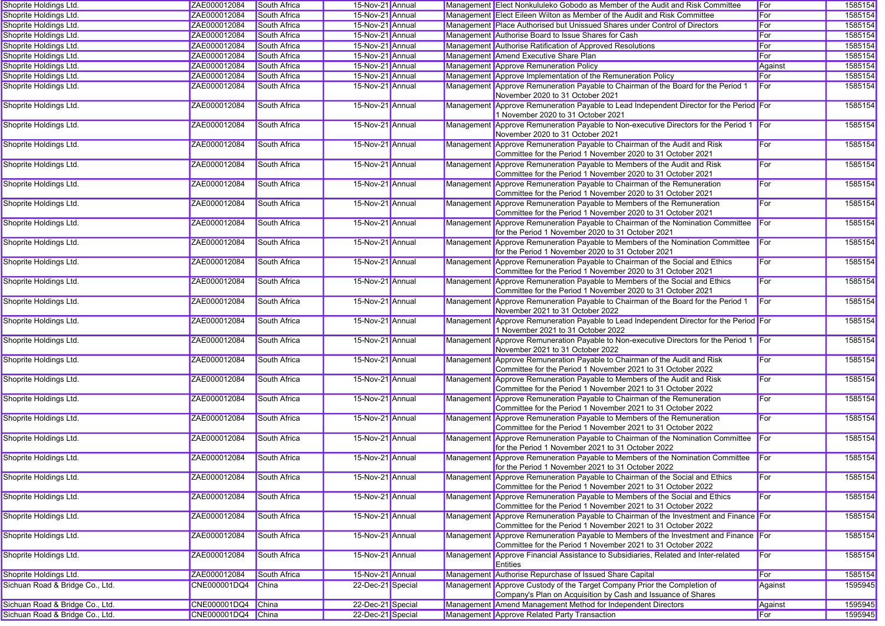| Shoprite Holdings Ltd.          | ZAE000012084       | South Africa        | 15-Nov-21 Annual  |           | Management Elect Nonkululeko Gobodo as Member of the Audit and Risk Committee                                                                        | For          | 1585154 |
|---------------------------------|--------------------|---------------------|-------------------|-----------|------------------------------------------------------------------------------------------------------------------------------------------------------|--------------|---------|
| Shoprite Holdings Ltd.          | ZAE000012084       | South Africa        | 15-Nov-21 Annual  |           | Management Elect Eileen Wilton as Member of the Audit and Risk Committee                                                                             | For          | 1585154 |
| Shoprite Holdings Ltd.          | ZAE000012084       | South Africa        | 15-Nov-21 Annual  |           | Management Place Authorised but Unissued Shares under Control of Directors                                                                           | For          | 1585154 |
| Shoprite Holdings Ltd.          | ZAE000012084       | South Africa        | 15-Nov-21 Annual  |           | Management Authorise Board to Issue Shares for Cash                                                                                                  | For          | 1585154 |
| Shoprite Holdings Ltd.          | ZAE000012084       | South Africa        | 15-Nov-21 Annual  |           | Management Authorise Ratification of Approved Resolutions                                                                                            | For          | 1585154 |
| Shoprite Holdings Ltd.          | ZAE000012084       | South Africa        | 15-Nov-21 Annual  |           | Management Amend Executive Share Plan                                                                                                                | For          | 1585154 |
| Shoprite Holdings Ltd.          | ZAE000012084       | South Africa        | 15-Nov-21 Annual  |           | <b>Management Approve Remuneration Policy</b>                                                                                                        | Against      | 1585154 |
| Shoprite Holdings Ltd.          | ZAE000012084       | South Africa        | 15-Nov-21 Annual  |           | Management Approve Implementation of the Remuneration Policy                                                                                         | For          | 1585154 |
| Shoprite Holdings Ltd.          | ZAE000012084       | South Africa        | 15-Nov-21 Annual  |           | Management Approve Remuneration Payable to Chairman of the Board for the Period 1<br>November 2020 to 31 October 2021                                | For          | 1585154 |
| Shoprite Holdings Ltd.          | ZAE000012084       | South Africa        | 15-Nov-21 Annual  | Managemen | t Approve Remuneration Payable to Lead Independent Director for the Period For<br>1 November 2020 to 31 October 2021                                 |              | 1585154 |
| Shoprite Holdings Ltd.          | ZAE000012084       | South Africa        | 15-Nov-21 Annual  |           | Management Approve Remuneration Payable to Non-executive Directors for the Period 1 For<br>November 2020 to 31 October 2021                          |              | 1585154 |
| Shoprite Holdings Ltd.          | ZAE000012084       | South Africa        | 15-Nov-21 Annual  |           | Management Approve Remuneration Payable to Chairman of the Audit and Risk<br>Committee for the Period 1 November 2020 to 31 October 2021             | For          | 1585154 |
| Shoprite Holdings Ltd.          | ZAE000012084       | South Africa        | 15-Nov-21 Annual  |           | Management Approve Remuneration Payable to Members of the Audit and Risk<br>Committee for the Period 1 November 2020 to 31 October 2021              | For          | 1585154 |
| Shoprite Holdings Ltd.          | ZAE000012084       | South Africa        | 15-Nov-21 Annual  |           | Management Approve Remuneration Payable to Chairman of the Remuneration<br>Committee for the Period 1 November 2020 to 31 October 2021               | For          | 1585154 |
| Shoprite Holdings Ltd.          | ZAE000012084       | South Africa        | 15-Nov-21 Annual  | Managemen | t Approve Remuneration Payable to Members of the Remuneration<br>Committee for the Period 1 November 2020 to 31 October 2021                         | For          | 1585154 |
| Shoprite Holdings Ltd.          | ZAE000012084       | South Africa        | 15-Nov-21 Annual  |           | Management Approve Remuneration Payable to Chairman of the Nomination Committee<br>for the Period 1 November 2020 to 31 October 2021                 | For          | 1585154 |
| Shoprite Holdings Ltd.          | ZAE000012084       | <b>South Africa</b> | 15-Nov-21 Annual  | Managemen | Approve Remuneration Payable to Members of the Nomination Committee<br>for the Period 1 November 2020 to 31 October 2021                             | For          | 1585154 |
| Shoprite Holdings Ltd.          | ZAE000012084       | South Africa        | 15-Nov-21 Annual  |           | Management Approve Remuneration Payable to Chairman of the Social and Ethics<br>Committee for the Period 1 November 2020 to 31 October 2021          | For          | 1585154 |
| Shoprite Holdings Ltd.          | ZAE000012084       | <b>South Africa</b> | 15-Nov-21 Annual  |           | Management Approve Remuneration Payable to Members of the Social and Ethics<br>Committee for the Period 1 November 2020 to 31 October 2021           | For          | 1585154 |
| Shoprite Holdings Ltd.          | ZAE000012084       | <b>South Africa</b> | 15-Nov-21 Annual  |           | Management Approve Remuneration Payable to Chairman of the Board for the Period 1<br>November 2021 to 31 October 2022                                | For          | 1585154 |
| Shoprite Holdings Ltd.          | ZAE000012084       | South Africa        | 15-Nov-21 Annual  |           | Management Approve Remuneration Payable to Lead Independent Director for the Period For<br>1 November 2021 to 31 October 2022                        |              | 1585154 |
| Shoprite Holdings Ltd.          | ZAE000012084       | South Africa        | 15-Nov-21 Annual  |           | Management Approve Remuneration Payable to Non-executive Directors for the Period 1 For<br>November 2021 to 31 October 2022                          |              | 1585154 |
| Shoprite Holdings Ltd.          | ZAE000012084       | South Africa        | 15-Nov-21 Annual  |           | Management Approve Remuneration Payable to Chairman of the Audit and Risk<br>Committee for the Period 1 November 2021 to 31 October 2022             | For          | 1585154 |
| Shoprite Holdings Ltd.          | ZAE000012084       | South Africa        | 15-Nov-21 Annual  |           | Management Approve Remuneration Payable to Members of the Audit and Risk<br>Committee for the Period 1 November 2021 to 31 October 2022              | For          | 1585154 |
| Shoprite Holdings Ltd.          | ZAE000012084       | South Africa        | 15-Nov-21 Annual  |           | Management Approve Remuneration Payable to Chairman of the Remuneration<br>Committee for the Period 1 November 2021 to 31 October 2022               | For          | 1585154 |
| Shoprite Holdings Ltd.          | ZAE000012084       | South Africa        | 15-Nov-21 Annual  | Managemen | Approve Remuneration Payable to Members of the Remuneration<br>Committee for the Period 1 November 2021 to 31 October 2022                           | For          | 1585154 |
| Shoprite Holdings Ltd.          | ZAE000012084       | South Africa        | 15-Nov-21 Annual  | Managemen | t Approve Remuneration Payable to Chairman of the Nomination Committee<br>for the Period 1 November 2021 to 31 October 2022                          | For          | 1585154 |
| Shoprite Holdings Ltd.          | ZAE000012084       | <b>South Africa</b> | 15-Nov-21 Annual  | Managemen | t Approve Remuneration Payable to Members of the Nomination Committee<br>for the Period 1 November 2021 to 31 October 2022                           | <b>I</b> For | 1585154 |
| Shoprite Holdings Ltd.          | ZAE000012084       | South Africa        | 15-Nov-21 Annual  |           | Management Approve Remuneration Payable to Chairman of the Social and Ethics<br>Committee for the Period 1 November 2021 to 31 October 2022          | <b>For</b>   | 1585154 |
| Shoprite Holdings Ltd.          | ZAE000012084       | South Africa        | 15-Nov-21 Annual  |           | Management Approve Remuneration Payable to Members of the Social and Ethics<br>Committee for the Period 1 November 2021 to 31 October 2022           | For          | 1585154 |
| Shoprite Holdings Ltd.          | ZAE000012084       | South Africa        | 15-Nov-21 Annual  |           | Management Approve Remuneration Payable to Chairman of the Investment and Finance For<br>Committee for the Period 1 November 2021 to 31 October 2022 |              | 1585154 |
| Shoprite Holdings Ltd.          | ZAE000012084       | South Africa        | 15-Nov-21 Annual  |           | Management Approve Remuneration Payable to Members of the Investment and Finance For<br>Committee for the Period 1 November 2021 to 31 October 2022  |              | 1585154 |
| Shoprite Holdings Ltd.          | ZAE000012084       | South Africa        | 15-Nov-21 Annual  |           | Management Approve Financial Assistance to Subsidiaries, Related and Inter-related<br><b>Entities</b>                                                | <b>For</b>   | 1585154 |
| Shoprite Holdings Ltd.          | ZAE000012084       | South Africa        | 15-Nov-21 Annual  |           | Management Authorise Repurchase of Issued Share Capital                                                                                              | For          | 1585154 |
| Sichuan Road & Bridge Co., Ltd. | CNE000001DQ4       | China               | 22-Dec-21 Special |           | Management Approve Custody of the Target Company Prior the Completion of<br>Company's Plan on Acquisition by Cash and Issuance of Shares             | Against      | 1595945 |
| Sichuan Road & Bridge Co., Ltd. | CNE000001DQ4 China |                     | 22-Dec-21 Special |           | Management Amend Management Method for Independent Directors                                                                                         | Against      | 1595945 |
| Sichuan Road & Bridge Co., Ltd. | CNE000001DQ4 China |                     | 22-Dec-21 Special |           | Management Approve Related Party Transaction                                                                                                         | For          | 1595945 |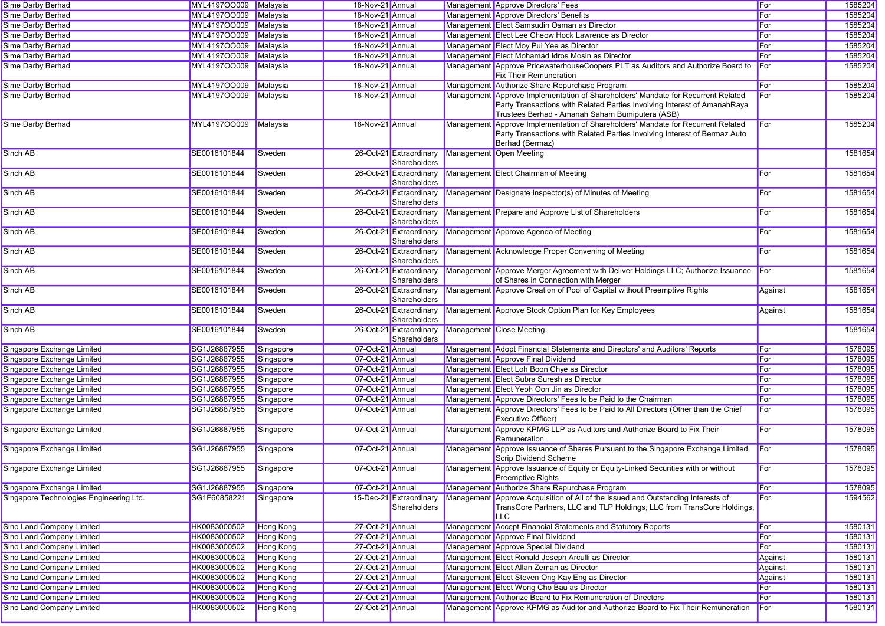| <b>Sime Darby Berhad</b>                | MYL4197OO009 Malaysia |                  | 18-Nov-21 Annual |                                         | Management Approve Directors' Fees                                                                                                                                                                              | For     | 1585204 |
|-----------------------------------------|-----------------------|------------------|------------------|-----------------------------------------|-----------------------------------------------------------------------------------------------------------------------------------------------------------------------------------------------------------------|---------|---------|
| <b>Sime Darby Berhad</b>                | MYL4197OO009          | Malaysia         | 18-Nov-21 Annual |                                         | Management Approve Directors' Benefits                                                                                                                                                                          | For     | 1585204 |
| Sime Darby Berhad                       | MYL4197OO009          | Malaysia         | 18-Nov-21 Annual |                                         | Management Elect Samsudin Osman as Director                                                                                                                                                                     | For     | 1585204 |
| <b>Sime Darby Berhad</b>                | MYL4197OO009          | Malaysia         | 18-Nov-21 Annual |                                         | Management Elect Lee Cheow Hock Lawrence as Director                                                                                                                                                            | For     | 1585204 |
| Sime Darby Berhad                       | MYL4197OO009          | Malaysia         | 18-Nov-21 Annual |                                         | Management Elect Moy Pui Yee as Director                                                                                                                                                                        | For     | 1585204 |
| Sime Darby Berhad                       | MYL4197OO009          | Malaysia         | 18-Nov-21 Annual |                                         | Management Elect Mohamad Idros Mosin as Director                                                                                                                                                                | For     | 1585204 |
| <b>Sime Darby Berhad</b>                | MYL4197OO009          | Malaysia         | 18-Nov-21 Annual |                                         | Management Approve PricewaterhouseCoopers PLT as Auditors and Authorize Board to<br><b>Fix Their Remuneration</b>                                                                                               | For     | 1585204 |
| Sime Darby Berhad                       | MYL4197OO009          | Malaysia         | 18-Nov-21 Annual |                                         | Management Authorize Share Repurchase Program                                                                                                                                                                   | For     | 1585204 |
| <b>Sime Darby Berhad</b>                | MYL4197OO009          | Malaysia         | 18-Nov-21 Annual |                                         | Management Approve Implementation of Shareholders' Mandate for Recurrent Related<br>Party Transactions with Related Parties Involving Interest of AmanahRaya<br>Trustees Berhad - Amanah Saham Bumiputera (ASB) | For     | 1585204 |
| <b>Sime Darby Berhad</b>                | MYL4197OO009          | Malaysia         | 18-Nov-21 Annual |                                         | Management Approve Implementation of Shareholders' Mandate for Recurrent Related<br>Party Transactions with Related Parties Involving Interest of Bermaz Auto<br>Berhad (Bermaz)                                | For     | 1585204 |
| Sinch AB                                | SE0016101844          | Sweden           |                  | 26-Oct-21 Extraordinary<br>Shareholders | Management Open Meeting                                                                                                                                                                                         |         | 1581654 |
| Sinch AB                                | SE0016101844          | Sweden           |                  | 26-Oct-21 Extraordinary<br>Shareholders | Management Elect Chairman of Meeting                                                                                                                                                                            | For     | 1581654 |
| Sinch AB                                | SE0016101844          | Sweden           |                  | 26-Oct-21 Extraordinary<br>Shareholders | Management Designate Inspector(s) of Minutes of Meeting                                                                                                                                                         | For     | 1581654 |
| Sinch AB                                | SE0016101844          | Sweden           |                  | 26-Oct-21 Extraordinary<br>Shareholders | Management Prepare and Approve List of Shareholders                                                                                                                                                             | For     | 1581654 |
| Sinch AB                                | SE0016101844          | Sweden           |                  | 26-Oct-21 Extraordinary<br>Shareholders | Management Approve Agenda of Meeting                                                                                                                                                                            | For     | 1581654 |
| Sinch AB                                | SE0016101844          | Sweden           |                  | 26-Oct-21 Extraordinary<br>Shareholders | Management Acknowledge Proper Convening of Meeting                                                                                                                                                              | For     | 1581654 |
| Sinch AB                                | SE0016101844          | Sweden           |                  | 26-Oct-21 Extraordinary<br>Shareholders | Management Approve Merger Agreement with Deliver Holdings LLC; Authorize Issuance<br>of Shares in Connection with Merger                                                                                        | For     | 1581654 |
| Sinch AB                                | SE0016101844          | Sweden           |                  | 26-Oct-21 Extraordinary<br>Shareholders | Management Approve Creation of Pool of Capital without Preemptive Rights                                                                                                                                        | Against | 1581654 |
| Sinch AB                                | SE0016101844          | Sweden           |                  | 26-Oct-21 Extraordinary<br>Shareholders | Management Approve Stock Option Plan for Key Employees                                                                                                                                                          | Against | 1581654 |
| Sinch AB                                | SE0016101844          | Sweden           |                  | 26-Oct-21 Extraordinary<br>Shareholders | Management Close Meeting                                                                                                                                                                                        |         | 1581654 |
| Singapore Exchange Limited              | SG1J26887955          | Singapore        | 07-Oct-21 Annual |                                         | Management Adopt Financial Statements and Directors' and Auditors' Reports                                                                                                                                      | For     | 1578095 |
| Singapore Exchange Limited              | SG1J26887955          | Singapore        | 07-Oct-21 Annual |                                         | Management Approve Final Dividend                                                                                                                                                                               | For     | 1578095 |
| Singapore Exchange Limited              | SG1J26887955          | Singapore        | 07-Oct-21 Annual |                                         | Management Elect Loh Boon Chye as Director                                                                                                                                                                      | For     | 1578095 |
| Singapore Exchange Limited              | SG1J26887955          | Singapore        | 07-Oct-21 Annual |                                         | Management Elect Subra Suresh as Director                                                                                                                                                                       | For     | 1578095 |
| Singapore Exchange Limited              | SG1J26887955          | Singapore        | 07-Oct-21 Annual |                                         | Management Elect Yeoh Oon Jin as Director                                                                                                                                                                       | For     | 1578095 |
| Singapore Exchange Limited              | SG1J26887955          | Singapore        | 07-Oct-21 Annual |                                         | Management Approve Directors' Fees to be Paid to the Chairman                                                                                                                                                   | For     | 1578095 |
| Singapore Exchange Limited              | SG1J26887955          | Singapore        | 07-Oct-21 Annual |                                         | Management Approve Directors' Fees to be Paid to All Directors (Other than the Chief<br><b>Executive Officer)</b>                                                                                               | For     | 1578095 |
| Singapore Exchange Limited              | SG1J26887955          | Singapore        | 07-Oct-21 Annual |                                         | Management Approve KPMG LLP as Auditors and Authorize Board to Fix Their<br>Remuneration                                                                                                                        | For     | 1578095 |
| Singapore Exchange Limited              | SG1J26887955          | Singapore        | 07-Oct-21 Annual |                                         | Management Approve Issuance of Shares Pursuant to the Singapore Exchange Limited<br>Scrip Dividend Scheme                                                                                                       | For     | 1578095 |
| Singapore Exchange Limited              | SG1J26887955          | Singapore        | 07-Oct-21 Annual |                                         | Management Approve Issuance of Equity or Equity-Linked Securities with or without<br><b>Preemptive Rights</b>                                                                                                   | For     | 1578095 |
| Singapore Exchange Limited              | SG1J26887955          | Singapore        | 07-Oct-21 Annual |                                         | Management Authorize Share Repurchase Program                                                                                                                                                                   | For     | 1578095 |
| Singapore Technologies Engineering Ltd. | SG1F60858221          | Singapore        |                  | 15-Dec-21 Extraordinary<br>Shareholders | Management Approve Acquisition of All of the Issued and Outstanding Interests of<br>TransCore Partners, LLC and TLP Holdings, LLC from TransCore Holdings<br><b>LLC</b>                                         | For     | 1594562 |
| Sino Land Company Limited               | HK0083000502          | Hong Kong        | 27-Oct-21 Annual |                                         | Management Accept Financial Statements and Statutory Reports                                                                                                                                                    | For     | 1580131 |
| Sino Land Company Limited               | HK0083000502          | <b>Hong Kong</b> | 27-Oct-21 Annual |                                         | Management Approve Final Dividend                                                                                                                                                                               | For     | 1580131 |
| Sino Land Company Limited               | HK0083000502          | Hong Kong        | 27-Oct-21 Annual |                                         | Management Approve Special Dividend                                                                                                                                                                             | For     | 1580131 |
| Sino Land Company Limited               | HK0083000502          | Hong Kong        | 27-Oct-21 Annual |                                         | Management Elect Ronald Joseph Arculli as Director                                                                                                                                                              | Against | 1580131 |
| Sino Land Company Limited               | HK0083000502          | Hong Kong        | 27-Oct-21 Annual |                                         | Management Elect Allan Zeman as Director                                                                                                                                                                        | Against | 1580131 |
| <b>Sino Land Company Limited</b>        | HK0083000502          | <b>Hong Kong</b> | 27-Oct-21 Annual |                                         | Management Elect Steven Ong Kay Eng as Director                                                                                                                                                                 | Against | 1580131 |
| Sino Land Company Limited               | HK0083000502          | Hong Kong        | 27-Oct-21 Annual |                                         | Management Elect Wong Cho Bau as Director                                                                                                                                                                       | For     | 1580131 |
| Sino Land Company Limited               | HK0083000502          | <b>Hong Kong</b> | 27-Oct-21 Annual |                                         | Management Authorize Board to Fix Remuneration of Directors                                                                                                                                                     | For     | 1580131 |
| <b>Sino Land Company Limited</b>        | HK0083000502          | Hong Kong        | 27-Oct-21 Annual |                                         | Management Approve KPMG as Auditor and Authorize Board to Fix Their Remuneration                                                                                                                                | For     | 1580131 |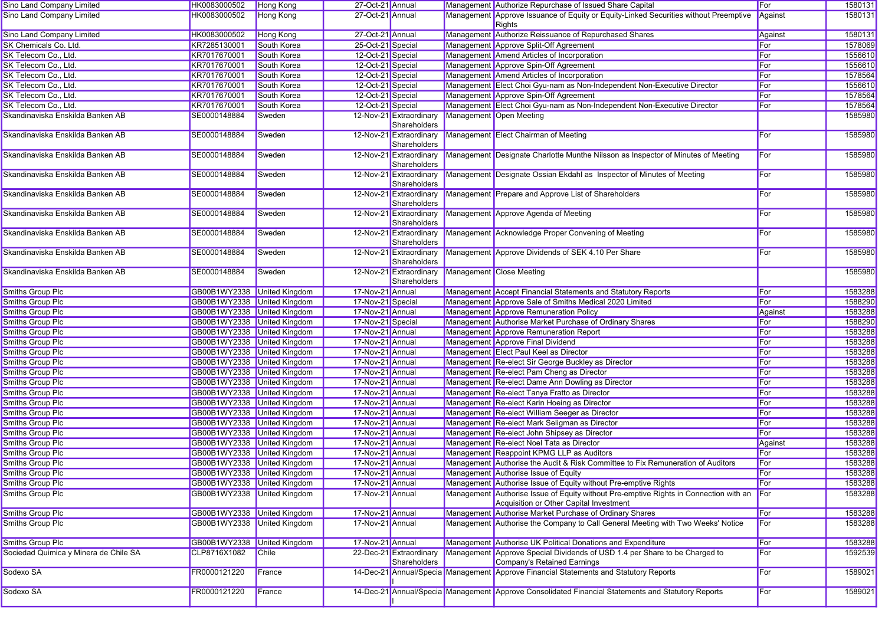| Sino Land Company Limited             | HK0083000502                | <b>Hong Kong</b>      | 27-Oct-21 Annual  |                                         | Management Authorize Repurchase of Issued Share Capital                                                                          | For        | 1580131 |
|---------------------------------------|-----------------------------|-----------------------|-------------------|-----------------------------------------|----------------------------------------------------------------------------------------------------------------------------------|------------|---------|
| Sino Land Company Limited             | HK0083000502                | Hong Kong             | 27-Oct-21 Annual  |                                         | Management Approve Issuance of Equity or Equity-Linked Securities without Preemptive<br>Rights                                   | Against    | 1580131 |
| Sino Land Company Limited             | HK0083000502                | Hong Kong             | 27-Oct-21 Annual  |                                         | Management Authorize Reissuance of Repurchased Shares                                                                            | Against    | 1580131 |
| SK Chemicals Co. Ltd.                 | KR7285130001                | South Korea           | 25-Oct-21 Special |                                         | Management Approve Split-Off Agreement                                                                                           | For        | 1578069 |
| SK Telecom Co., Ltd.                  | KR7017670001                | South Korea           | 12-Oct-21 Special |                                         | Management Amend Articles of Incorporation                                                                                       | For        | 1556610 |
| SK Telecom Co., Ltd.                  | KR7017670001                | South Korea           | 12-Oct-21 Special |                                         | Management Approve Spin-Off Agreement                                                                                            | For        | 1556610 |
| SK Telecom Co., Ltd.                  | KR7017670001                | South Korea           | 12-Oct-21 Special |                                         | Management Amend Articles of Incorporation                                                                                       | For        | 1578564 |
| SK Telecom Co., Ltd.                  | KR7017670001                | South Korea           | 12-Oct-21 Special |                                         | Management Elect Choi Gyu-nam as Non-Independent Non-Executive Director                                                          | For        | 1556610 |
| SK Telecom Co., Ltd.                  | KR7017670001                | South Korea           | 12-Oct-21 Special |                                         | Management Approve Spin-Off Agreement                                                                                            | For        | 1578564 |
| SK Telecom Co., Ltd.                  | KR7017670001                | South Korea           | 12-Oct-21 Special |                                         | Management Elect Choi Gyu-nam as Non-Independent Non-Executive Director                                                          | <b>For</b> | 1578564 |
| Skandinaviska Enskilda Banken AB      | SE0000148884                | Sweden                |                   | 12-Nov-21 Extraordinary<br>Shareholders | Management Open Meeting                                                                                                          |            | 1585980 |
| Skandinaviska Enskilda Banken AB      | SE0000148884                | Sweden                |                   | 12-Nov-21 Extraordinary<br>Shareholders | Management Elect Chairman of Meeting                                                                                             | For        | 1585980 |
| Skandinaviska Enskilda Banken AB      | SE0000148884                | Sweden                |                   | 12-Nov-21 Extraordinary<br>Shareholders | Management Designate Charlotte Munthe Nilsson as Inspector of Minutes of Meeting                                                 | For        | 1585980 |
| Skandinaviska Enskilda Banken AB      | SE0000148884                | Sweden                |                   | 12-Nov-21 Extraordinary<br>Shareholders | Management Designate Ossian Ekdahl as Inspector of Minutes of Meeting                                                            | For        | 1585980 |
| Skandinaviska Enskilda Banken AB      | SE0000148884                | Sweden                |                   | 12-Nov-21 Extraordinary<br>Shareholders | Management Prepare and Approve List of Shareholders                                                                              | For        | 1585980 |
| Skandinaviska Enskilda Banken AB      | SE0000148884                | Sweden                |                   | 12-Nov-21 Extraordinary<br>Shareholders | Management Approve Agenda of Meeting                                                                                             | For        | 1585980 |
| Skandinaviska Enskilda Banken AB      | SE0000148884                | Sweden                |                   | 12-Nov-21 Extraordinary<br>Shareholders | Management Acknowledge Proper Convening of Meeting                                                                               | For        | 1585980 |
| Skandinaviska Enskilda Banken AB      | SE0000148884                | Sweden                |                   | 12-Nov-21 Extraordinary<br>Shareholders | Management Approve Dividends of SEK 4.10 Per Share                                                                               | For        | 1585980 |
| Skandinaviska Enskilda Banken AB      | SE0000148884                | Sweden                |                   | 12-Nov-21 Extraordinary<br>Shareholders | Management Close Meeting                                                                                                         |            | 1585980 |
| Smiths Group Plc                      | GB00B1WY2338 United Kingdom |                       | 17-Nov-21 Annual  |                                         | Management Accept Financial Statements and Statutory Reports                                                                     | <b>For</b> | 1583288 |
| Smiths Group Plc                      | GB00B1WY2338 United Kingdom |                       | 17-Nov-21 Special |                                         | Management Approve Sale of Smiths Medical 2020 Limited                                                                           | For        | 1588290 |
| Smiths Group Plc                      | GB00B1WY2338 United Kingdom |                       | 17-Nov-21 Annual  |                                         | Management Approve Remuneration Policy                                                                                           | Against    | 1583288 |
| Smiths Group Plc                      | GB00B1WY2338 United Kingdom |                       | 17-Nov-21 Special |                                         | Management Authorise Market Purchase of Ordinary Shares                                                                          | For        | 1588290 |
| Smiths Group Plc                      | GB00B1WY2338 United Kingdom |                       | 17-Nov-21 Annual  |                                         | Management Approve Remuneration Report                                                                                           | For        | 1583288 |
| <b>Smiths Group Plc</b>               | GB00B1WY2338 United Kingdom |                       | 17-Nov-21 Annual  |                                         | Management Approve Final Dividend                                                                                                | <b>For</b> | 1583288 |
| Smiths Group Plc                      | GB00B1WY2338 United Kingdom |                       | 17-Nov-21 Annual  |                                         | Management Elect Paul Keel as Director                                                                                           | For        | 1583288 |
| Smiths Group Plc                      | GB00B1WY2338 United Kingdom |                       | 17-Nov-21 Annual  |                                         | Management Re-elect Sir George Buckley as Director                                                                               | For        | 1583288 |
| Smiths Group Plc                      | GB00B1WY2338 United Kingdom |                       | 17-Nov-21 Annual  |                                         | Management Re-elect Pam Cheng as Director                                                                                        | For        | 1583288 |
| Smiths Group Plc                      | GB00B1WY2338 United Kingdom |                       | 17-Nov-21 Annual  |                                         | Management Re-elect Dame Ann Dowling as Director                                                                                 | For        | 1583288 |
| Smiths Group Plc                      | GB00B1WY2338 United Kingdom |                       | 17-Nov-21 Annual  |                                         | Management Re-elect Tanya Fratto as Director                                                                                     | <b>For</b> | 1583288 |
| Smiths Group Plc                      | GB00B1WY2338 United Kingdom |                       | 17-Nov-21 Annual  |                                         | Management Re-elect Karin Hoeing as Director                                                                                     | For        | 1583288 |
| Smiths Group Plc                      | GB00B1WY2338 United Kingdom |                       | 17-Nov-21 Annual  |                                         | Management Re-elect William Seeger as Director                                                                                   | For        | 1583288 |
| Smiths Group Plc                      | GB00B1WY2338 United Kingdom |                       | 17-Nov-21 Annual  |                                         | Management Re-elect Mark Seligman as Director                                                                                    | For        | 1583288 |
| Smiths Group Plc                      | GB00B1WY2338 United Kingdom |                       | 17-Nov-21 Annual  |                                         | Management Re-elect John Shipsey as Director                                                                                     | For        | 1583288 |
| Smiths Group Plc                      | GB00B1WY2338 United Kingdom |                       | 17-Nov-21 Annual  |                                         | Management Re-elect Noel Tata as Director                                                                                        | Against    | 1583288 |
| Smiths Group Plc                      | GB00B1WY2338 United Kingdom |                       | 17-Nov-21 Annual  |                                         | Management Reappoint KPMG LLP as Auditors                                                                                        | For        | 1583288 |
| Smiths Group Plc                      | GB00B1WY2338 United Kingdom |                       | 17-Nov-21 Annual  |                                         | Management Authorise the Audit & Risk Committee to Fix Remuneration of Auditors                                                  | For        | 1583288 |
| Smiths Group Plc                      | GB00B1WY2338 United Kingdom |                       | 17-Nov-21 Annual  |                                         | Management Authorise Issue of Equity                                                                                             | ∣F∪r       | 1583288 |
| Smiths Group Plc                      | GB00B1WY2338 United Kingdom |                       | 17-Nov-21 Annual  |                                         | Management Authorise Issue of Equity without Pre-emptive Rights                                                                  | For        | 1583288 |
| Smiths Group Plc                      | GB00B1WY2338 United Kingdom |                       | 17-Nov-21 Annual  |                                         | Management Authorise Issue of Equity without Pre-emptive Rights in Connection with an<br>Acquisition or Other Capital Investment | For        | 1583288 |
| Smiths Group Plc                      | GB00B1WY2338 United Kingdom |                       | 17-Nov-21 Annual  |                                         | Management Authorise Market Purchase of Ordinary Shares                                                                          | For        | 1583288 |
| Smiths Group Plc                      | GB00B1WY2338 United Kingdom |                       | 17-Nov-21 Annual  |                                         | Management Authorise the Company to Call General Meeting with Two Weeks' Notice                                                  | For        | 1583288 |
| Smiths Group Plc                      | GB00B1WY2338                | <b>United Kingdom</b> | 17-Nov-21 Annual  |                                         | Management Authorise UK Political Donations and Expenditure                                                                      | For        | 1583288 |
| Sociedad Quimica y Minera de Chile SA | CLP8716X1082                | <b>Chile</b>          |                   | 22-Dec-21 Extraordinary<br>Shareholders | Management Approve Special Dividends of USD 1.4 per Share to be Charged to<br>Company's Retained Earnings                        | For        | 1592539 |
| Sodexo SA                             | FR0000121220                | France                |                   |                                         | 14-Dec-21 Annual/Specia Management Approve Financial Statements and Statutory Reports                                            | For        | 1589021 |
| Sodexo SA                             | FR0000121220                | France                |                   |                                         | 14-Dec-21 Annual/Specia Management Approve Consolidated Financial Statements and Statutory Reports                               | For        | 1589021 |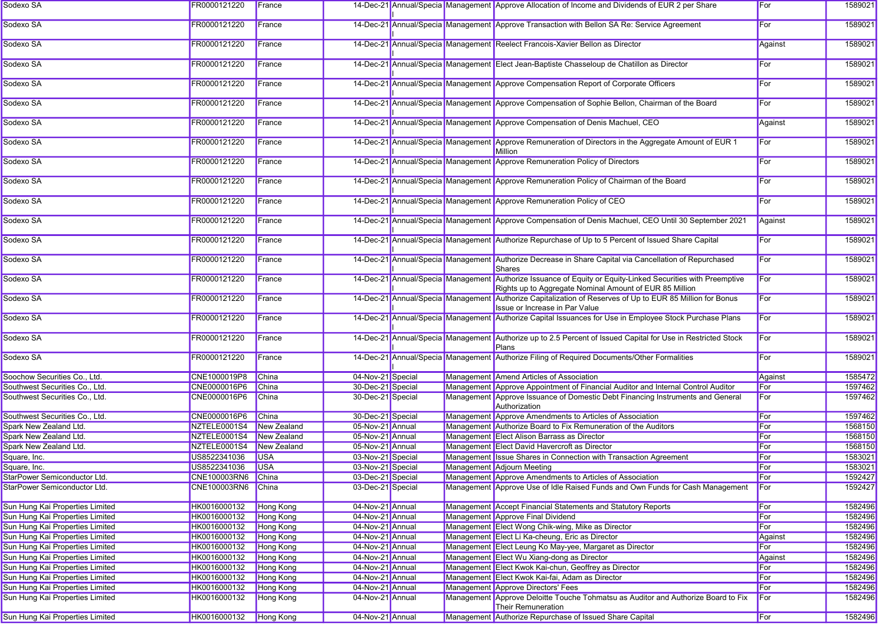| Sodexo SA                       | FR0000121220       | France           |                   |  | 14-Dec-21 Annual/Specia Management Approve Allocation of Income and Dividends of EUR 2 per Share                                                                       | For     | 1589021 |
|---------------------------------|--------------------|------------------|-------------------|--|------------------------------------------------------------------------------------------------------------------------------------------------------------------------|---------|---------|
| Sodexo SA                       | FR0000121220       | France           |                   |  | 14-Dec-21 Annual/Specia Management Approve Transaction with Bellon SA Re: Service Agreement                                                                            | For     | 1589021 |
| Sodexo SA                       | FR0000121220       | France           |                   |  | 14-Dec-21 Annual/Specia Management Reelect Francois-Xavier Bellon as Director                                                                                          | Against | 1589021 |
| Sodexo SA                       | FR0000121220       | France           |                   |  | 14-Dec-21 Annual/Specia Management Elect Jean-Baptiste Chasseloup de Chatillon as Director                                                                             | For     | 1589021 |
| Sodexo SA                       | FR0000121220       | France           |                   |  | 14-Dec-21 Annual/Specia Management Approve Compensation Report of Corporate Officers                                                                                   | For     | 1589021 |
| Sodexo SA                       | FR0000121220       | France           |                   |  | 14-Dec-21 Annual/Specia Management Approve Compensation of Sophie Bellon, Chairman of the Board                                                                        | For     | 1589021 |
| Sodexo SA                       | FR0000121220       | France           |                   |  | 14-Dec-21 Annual/Specia Management Approve Compensation of Denis Machuel, CEO                                                                                          | Against | 1589021 |
| Sodexo SA                       | FR0000121220       | France           |                   |  | 14-Dec-21 Annual/Specia Management Approve Remuneration of Directors in the Aggregate Amount of EUR 1<br>Million                                                       | For     | 1589021 |
| Sodexo SA                       | FR0000121220       | France           |                   |  | 14-Dec-21 Annual/Specia Management Approve Remuneration Policy of Directors                                                                                            | For     | 1589021 |
| Sodexo SA                       | FR0000121220       | France           |                   |  | 14-Dec-21 Annual/Specia Management Approve Remuneration Policy of Chairman of the Board                                                                                | For     | 1589021 |
| Sodexo SA                       | FR0000121220       | France           |                   |  | 14-Dec-21 Annual/Specia Management Approve Remuneration Policy of CEO                                                                                                  | For     | 1589021 |
| Sodexo SA                       | FR0000121220       | France           |                   |  | 14-Dec-21 Annual/Specia Management Approve Compensation of Denis Machuel, CEO Until 30 September 2021                                                                  | Against | 1589021 |
| Sodexo SA                       | FR0000121220       | France           |                   |  | 14-Dec-21 Annual/Specia Management Authorize Repurchase of Up to 5 Percent of Issued Share Capital                                                                     | For     | 1589021 |
| Sodexo SA                       | FR0000121220       | France           |                   |  | 14-Dec-21 Annual/Specia Management Authorize Decrease in Share Capital via Cancellation of Repurchased<br><b>Shares</b>                                                | For     | 1589021 |
| Sodexo SA                       | FR0000121220       | France           |                   |  | 14-Dec-21 Annual/Specia Management Authorize Issuance of Equity or Equity-Linked Securities with Preemptive<br>Rights up to Aggregate Nominal Amount of EUR 85 Million | For     | 1589021 |
| Sodexo SA                       | FR0000121220       | France           |                   |  | 14-Dec-21 Annual/Specia Management Authorize Capitalization of Reserves of Up to EUR 85 Million for Bonus<br>Issue or Increase in Par Value                            | For     | 1589021 |
| Sodexo SA                       | FR0000121220       | France           |                   |  | 14-Dec-21 Annual/Specia Management Authorize Capital Issuances for Use in Employee Stock Purchase Plans                                                                | For     | 1589021 |
| Sodexo SA                       | FR0000121220       | France           |                   |  | 14-Dec-21 Annual/Specia Management Authorize up to 2.5 Percent of Issued Capital for Use in Restricted Stock<br>Plans                                                  | For     | 1589021 |
| Sodexo SA                       | FR0000121220       | France           |                   |  | 14-Dec-21 Annual/Specia Management Authorize Filing of Required Documents/Other Formalities                                                                            | For     | 1589021 |
| Soochow Securities Co., Ltd.    | CNE1000019P8       | China            | 04-Nov-21 Special |  | Management Amend Articles of Association                                                                                                                               | Against | 1585472 |
| Southwest Securities Co., Ltd.  | CNE0000016P6       | China            | 30-Dec-21 Special |  | Management Approve Appointment of Financial Auditor and Internal Control Auditor                                                                                       | For     | 1597462 |
| Southwest Securities Co., Ltd.  | CNE0000016P6       | <b>China</b>     | 30-Dec-21 Special |  | Management Approve Issuance of Domestic Debt Financing Instruments and General                                                                                         | For     | 1597462 |
|                                 |                    |                  |                   |  | Authorization                                                                                                                                                          |         |         |
| Southwest Securities Co., Ltd.  | CNE0000016P6       | China            | 30-Dec-21 Special |  | Management Approve Amendments to Articles of Association                                                                                                               | For     | 1597462 |
| Spark New Zealand Ltd.          | NZTELE0001S4       | New Zealand      | 05-Nov-21 Annual  |  | Management Authorize Board to Fix Remuneration of the Auditors                                                                                                         | For     | 1568150 |
| Spark New Zealand Ltd.          | NZTELE0001S4       | New Zealand      | 05-Nov-21 Annual  |  | Management Elect Alison Barrass as Director                                                                                                                            | For     | 1568150 |
| Spark New Zealand Ltd.          | NZTELE0001S4       | New Zealand      | 05-Nov-21 Annual  |  | Management Elect David Havercroft as Director                                                                                                                          | For     | 1568150 |
| Square, Inc.                    | US8522341036       | <b>USA</b>       | 03-Nov-21 Special |  | Management Issue Shares in Connection with Transaction Agreement                                                                                                       | For     | 1583021 |
| Square, Inc.                    | US8522341036       | <b>USA</b>       | 03-Nov-21 Special |  | <b>Management Adjourn Meeting</b>                                                                                                                                      | For     | 1583021 |
| StarPower Semiconductor Ltd.    | CNE100003RN6 China |                  | 03-Dec-21 Special |  | Management Approve Amendments to Articles of Association                                                                                                               | For     | 1592427 |
| StarPower Semiconductor Ltd.    | CNE100003RN6 China |                  | 03-Dec-21 Special |  | Management Approve Use of Idle Raised Funds and Own Funds for Cash Management                                                                                          | For     | 1592427 |
| Sun Hung Kai Properties Limited | HK0016000132       | <b>Hong Kong</b> | 04-Nov-21 Annual  |  | Management Accept Financial Statements and Statutory Reports                                                                                                           | For     | 1582496 |
| Sun Hung Kai Properties Limited | HK0016000132       | Hong Kong        | 04-Nov-21 Annual  |  | Management Approve Final Dividend                                                                                                                                      | For     | 1582496 |
| Sun Hung Kai Properties Limited | HK0016000132       | Hong Kong        | 04-Nov-21 Annual  |  | Management Elect Wong Chik-wing, Mike as Director                                                                                                                      | For     | 1582496 |
| Sun Hung Kai Properties Limited | HK0016000132       | <b>Hong Kong</b> | 04-Nov-21 Annual  |  | Management Elect Li Ka-cheung, Eric as Director                                                                                                                        | Against | 1582496 |
| Sun Hung Kai Properties Limited | HK0016000132       | Hong Kong        | 04-Nov-21 Annual  |  | Management Elect Leung Ko May-yee, Margaret as Director                                                                                                                | For     | 1582496 |
| Sun Hung Kai Properties Limited |                    |                  | 04-Nov-21 Annual  |  |                                                                                                                                                                        |         | 1582496 |
|                                 | HK0016000132       | Hong Kong        |                   |  | Management Elect Wu Xiang-dong as Director                                                                                                                             | Against |         |
| Sun Hung Kai Properties Limited | HK0016000132       | Hong Kong        | 04-Nov-21 Annual  |  | Management Elect Kwok Kai-chun, Geoffrey as Director                                                                                                                   | For     | 1582496 |
| Sun Hung Kai Properties Limited | HK0016000132       | Hong Kong        | 04-Nov-21 Annual  |  | Management Elect Kwok Kai-fai, Adam as Director                                                                                                                        | For     | 1582496 |
| Sun Hung Kai Properties Limited | HK0016000132       | Hong Kong        | 04-Nov-21 Annual  |  | Management Approve Directors' Fees                                                                                                                                     | For     | 1582496 |
| Sun Hung Kai Properties Limited | HK0016000132       | Hong Kong        | 04-Nov-21 Annual  |  | Management Approve Deloitte Touche Tohmatsu as Auditor and Authorize Board to Fix<br><b>Their Remuneration</b>                                                         | For     | 1582496 |
| Sun Hung Kai Properties Limited | HK0016000132       | <b>Hong Kong</b> | 04-Nov-21 Annual  |  | Management Authorize Repurchase of Issued Share Capital                                                                                                                | For     | 1582496 |
|                                 |                    |                  |                   |  |                                                                                                                                                                        |         |         |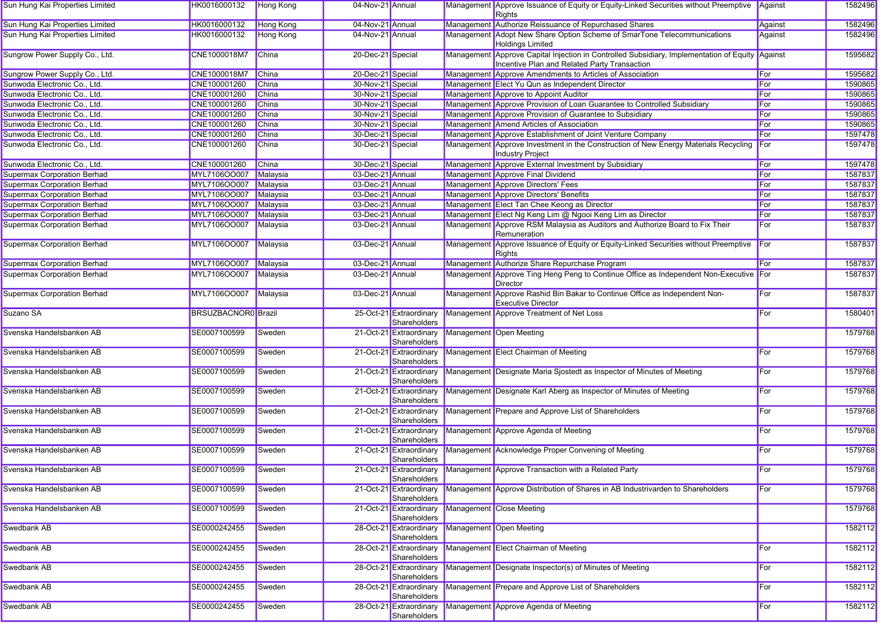| Sun Hung Kai Properties Limited    | HK0016000132               | Hong Kong        | 04-Nov-21 Annual  |                                         |           | Management Approve Issuance of Equity or Equity-Linked Securities without Preemptive Against<br>Rights                                          |         | 1582496 |
|------------------------------------|----------------------------|------------------|-------------------|-----------------------------------------|-----------|-------------------------------------------------------------------------------------------------------------------------------------------------|---------|---------|
| Sun Hung Kai Properties Limited    | HK0016000132               | <b>Hong Kong</b> | 04-Nov-21 Annual  |                                         |           | Management Authorize Reissuance of Repurchased Shares                                                                                           | Against | 1582496 |
| Sun Hung Kai Properties Limited    | HK0016000132               | Hong Kong        | 04-Nov-21 Annual  |                                         |           | Management Adopt New Share Option Scheme of SmarTone Telecommunications<br><b>Holdings Limited</b>                                              | Against | 1582496 |
| Sungrow Power Supply Co., Ltd.     | CNE1000018M7               | China            | 20-Dec-21 Special |                                         |           | Management Approve Capital Injection in Controlled Subsidiary, Implementation of Equity Against<br>Incentive Plan and Related Party Transaction |         | 1595682 |
| Sungrow Power Supply Co., Ltd.     | CNE1000018M7               | China            | 20-Dec-21 Special |                                         |           | Management Approve Amendments to Articles of Association                                                                                        | For     | 1595682 |
| Sunwoda Electronic Co., Ltd.       | CNE100001260               | China            | 30-Nov-21 Special |                                         |           | Management Elect Yu Qun as Independent Director                                                                                                 | For     | 1590865 |
| Sunwoda Electronic Co., Ltd.       | CNE100001260               | China            | 30-Nov-21 Special |                                         |           | Management Approve to Appoint Auditor                                                                                                           | For     | 1590865 |
| Sunwoda Electronic Co., Ltd.       | CNE100001260               | China            | 30-Nov-21 Special |                                         |           | Management Approve Provision of Loan Guarantee to Controlled Subsidiary                                                                         | For     | 1590865 |
| Sunwoda Electronic Co., Ltd.       | CNE100001260               | <b>China</b>     | 30-Nov-21 Special |                                         |           | Management Approve Provision of Guarantee to Subsidiary                                                                                         | For     | 1590865 |
| Sunwoda Electronic Co., Ltd.       | CNE100001260               | China            | 30-Nov-21 Special |                                         |           | Management Amend Articles of Association                                                                                                        | For     | 1590865 |
| Sunwoda Electronic Co., Ltd.       | CNE100001260               | China            | 30-Dec-21 Special |                                         |           | Management Approve Establishment of Joint Venture Company                                                                                       | For     | 1597478 |
| Sunwoda Electronic Co., Ltd.       | CNE100001260               | China            | 30-Dec-21 Special |                                         |           | Management Approve Investment in the Construction of New Energy Materials Recycling<br><b>Industry Project</b>                                  | For     | 1597478 |
| Sunwoda Electronic Co., Ltd.       | CNE100001260               | China            | 30-Dec-21 Special |                                         |           | Management Approve External Investment by Subsidiary                                                                                            | For     | 1597478 |
| <b>Supermax Corporation Berhad</b> | MYL7106OO007               | Malaysia         | 03-Dec-21 Annual  |                                         |           | Management Approve Final Dividend                                                                                                               | For     | 1587837 |
| <b>Supermax Corporation Berhad</b> | MYL7106OO007               | Malaysia         | 03-Dec-21 Annual  |                                         |           | Management Approve Directors' Fees                                                                                                              | For     | 1587837 |
| <b>Supermax Corporation Berhad</b> | MYL7106OO007               | Malaysia         | 03-Dec-21 Annual  |                                         |           | Management Approve Directors' Benefits                                                                                                          | For     | 1587837 |
| <b>Supermax Corporation Berhad</b> | MYL7106OO007               | Malaysia         | 03-Dec-21 Annual  |                                         |           | Management Elect Tan Chee Keong as Director                                                                                                     | For     | 1587837 |
| <b>Supermax Corporation Berhad</b> | MYL7106OO007               | Malaysia         | 03-Dec-21 Annual  |                                         |           | Management Elect Ng Keng Lim @ Ngooi Keng Lim as Director                                                                                       | For     | 1587837 |
| <b>Supermax Corporation Berhad</b> | MYL7106OO007               | Malaysia         | 03-Dec-21 Annual  |                                         |           | Management Approve RSM Malaysia as Auditors and Authorize Board to Fix Their<br>Remuneration                                                    | For     | 1587837 |
| <b>Supermax Corporation Berhad</b> | MYL7106OO007               | Malaysia         | 03-Dec-21 Annual  |                                         |           | Management Approve Issuance of Equity or Equity-Linked Securities without Preemptive<br>Rights                                                  | For     | 1587837 |
| <b>Supermax Corporation Berhad</b> | MYL7106OO007               | Malaysia         | 03-Dec-21 Annual  |                                         |           | Management Authorize Share Repurchase Program                                                                                                   | For     | 1587837 |
| <b>Supermax Corporation Berhad</b> | MYL7106OO007               | Malaysia         | 03-Dec-21 Annual  |                                         |           | Management Approve Ting Heng Peng to Continue Office as Independent Non-Executive For<br><b>Director</b>                                        |         | 1587837 |
| <b>Supermax Corporation Berhad</b> | MYL7106OO007               | Malaysia         | 03-Dec-21 Annual  |                                         | Managemen | Approve Rashid Bin Bakar to Continue Office as Independent Non-<br><b>Executive Director</b>                                                    | For     | 1587837 |
| Suzano SA                          | <b>BRSUZBACNOR0</b> Brazil |                  |                   | 25-Oct-21 Extraordinary<br>Shareholders |           | Management Approve Treatment of Net Loss                                                                                                        | For     | 1580401 |
| Svenska Handelsbanken AB           | SE0007100599               | Sweden           |                   | 21-Oct-21 Extraordinary<br>Shareholders |           | Management Open Meeting                                                                                                                         |         | 1579768 |
| Svenska Handelsbanken AB           | SE0007100599               | Sweden           |                   | 21-Oct-21 Extraordinary<br>Shareholders |           | Management Elect Chairman of Meeting                                                                                                            | For     | 1579768 |
| Svenska Handelsbanken AB           | SE0007100599               | Sweden           |                   | 21-Oct-21 Extraordinary<br>Shareholders |           | Management Designate Maria Sjostedt as Inspector of Minutes of Meeting                                                                          | For     | 1579768 |
| Svenska Handelsbanken AB           | SE0007100599               | Sweden           |                   | 21-Oct-21 Extraordinary<br>Shareholders |           | Management Designate Karl Aberg as Inspector of Minutes of Meeting                                                                              | For     | 1579768 |
| Svenska Handelsbanken AB           | SE0007100599               | Sweden           |                   | 21-Oct-21 Extraordinary<br>Shareholders |           | Management Prepare and Approve List of Shareholders                                                                                             | For     | 1579768 |
| Svenska Handelsbanken AB           | SE0007100599               | Sweden           |                   | 21-Oct-21 Extraordinary<br>Shareholders |           | Management Approve Agenda of Meeting                                                                                                            | For     | 1579768 |
| Svenska Handelsbanken AB           | SE0007100599               | Sweden           |                   | 21-Oct-21 Extraordinary<br>Shareholders |           | Management Acknowledge Proper Convening of Meeting                                                                                              | For     | 1579768 |
| Svenska Handelsbanken AB           | SE0007100599               | Sweden           |                   | Shareholders                            |           | 21-Oct-21 Extraordinary Management Approve Transaction with a Related Party                                                                     | For     | 1579768 |
| Svenska Handelsbanken AB           | SE0007100599               | Sweden           |                   | 21-Oct-21 Extraordinary<br>Shareholders |           | Management Approve Distribution of Shares in AB Industrivarden to Shareholders                                                                  | For     | 1579768 |
| Svenska Handelsbanken AB           | SE0007100599               | Sweden           |                   | 21-Oct-21 Extraordinary<br>Shareholders |           | Management Close Meeting                                                                                                                        |         | 1579768 |
| Swedbank AB                        | SE0000242455               | Sweden           |                   | 28-Oct-21 Extraordinary<br>Shareholders |           | Management Open Meeting                                                                                                                         |         | 1582112 |
| Swedbank AB                        | SE0000242455               | Sweden           |                   | 28-Oct-21 Extraordinary<br>Shareholders |           | Management Elect Chairman of Meeting                                                                                                            | For     | 1582112 |
| Swedbank AB                        | SE0000242455               | Sweden           |                   | 28-Oct-21 Extraordinary<br>Shareholders |           | Management Designate Inspector(s) of Minutes of Meeting                                                                                         | For     | 1582112 |
| <b>Swedbank AB</b>                 | SE0000242455               | Sweden           |                   | 28-Oct-21 Extraordinary<br>Shareholders |           | Management Prepare and Approve List of Shareholders                                                                                             | For     | 1582112 |
| Swedbank AB                        | SE0000242455               | Sweden           |                   | 28-Oct-21 Extraordinary<br>Shareholders |           | Management Approve Agenda of Meeting                                                                                                            | For     | 1582112 |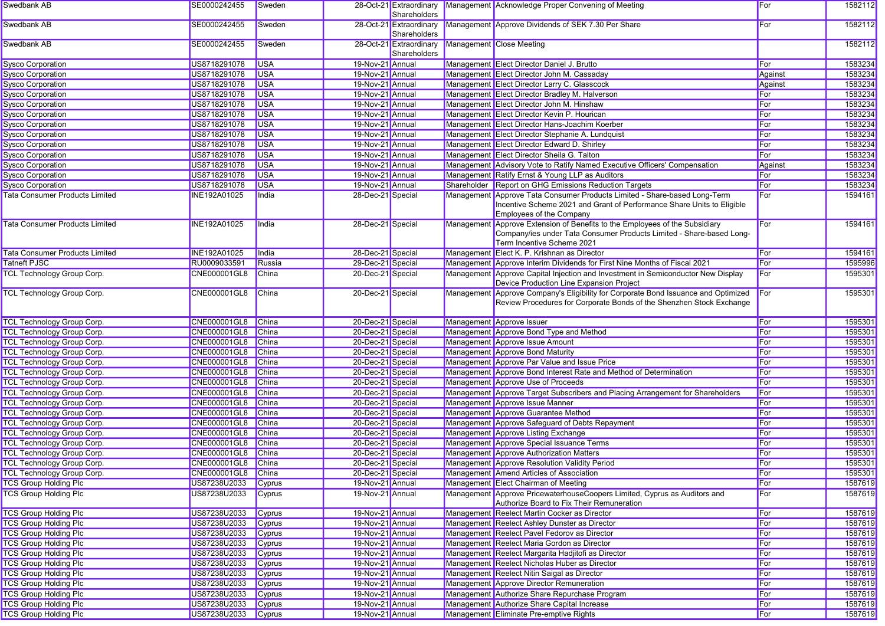| Swedbank AB                           | SE0000242455        | Sweden     |                   | Shareholders                            | 28-Oct-21 Extraordinary Management Acknowledge Proper Convening of Meeting                                                                                 | For         | 1582112 |
|---------------------------------------|---------------------|------------|-------------------|-----------------------------------------|------------------------------------------------------------------------------------------------------------------------------------------------------------|-------------|---------|
| Swedbank AB                           | SE0000242455        | Sweden     |                   | 28-Oct-21 Extraordinary<br>Shareholders | Management Approve Dividends of SEK 7.30 Per Share                                                                                                         | For         | 1582112 |
| Swedbank AB                           | SE0000242455        | Sweden     |                   | 28-Oct-21 Extraordinary<br>Shareholders | Management Close Meeting                                                                                                                                   |             | 1582112 |
| <b>Sysco Corporation</b>              | US8718291078        | <b>USA</b> | 19-Nov-21 Annual  |                                         | Management Elect Director Daniel J. Brutto                                                                                                                 | For         | 1583234 |
| <b>Sysco Corporation</b>              | US8718291078        | <b>USA</b> | 19-Nov-21 Annual  |                                         | Management Elect Director John M. Cassaday                                                                                                                 | Against     | 1583234 |
| <b>Sysco Corporation</b>              | US8718291078        | <b>USA</b> | 19-Nov-21 Annual  |                                         | Management Elect Director Larry C. Glasscock                                                                                                               | Against     | 1583234 |
| <b>Sysco Corporation</b>              | US8718291078        | <b>USA</b> | 19-Nov-21 Annual  |                                         | Management Elect Director Bradley M. Halverson                                                                                                             | For         | 1583234 |
| <b>Sysco Corporation</b>              | US8718291078        | <b>USA</b> | 19-Nov-21 Annual  |                                         | Management Elect Director John M. Hinshaw                                                                                                                  | For         | 1583234 |
| <b>Sysco Corporation</b>              | US8718291078        | <b>USA</b> | 19-Nov-21 Annual  |                                         | Management Elect Director Kevin P. Hourican                                                                                                                | For         | 1583234 |
| <b>Sysco Corporation</b>              | US8718291078        | <b>USA</b> | 19-Nov-21 Annual  |                                         | Management Elect Director Hans-Joachim Koerber                                                                                                             | For         | 1583234 |
| <b>Sysco Corporation</b>              | US8718291078        | <b>USA</b> | 19-Nov-21 Annual  |                                         | Management Elect Director Stephanie A. Lundquist                                                                                                           | For         | 1583234 |
| <b>Sysco Corporation</b>              | US8718291078        | <b>USA</b> | 19-Nov-21 Annual  |                                         | Management Elect Director Edward D. Shirley                                                                                                                | For         | 1583234 |
| <b>Sysco Corporation</b>              | US8718291078        | <b>USA</b> | 19-Nov-21 Annual  |                                         | Management Elect Director Sheila G. Talton                                                                                                                 | For         | 1583234 |
| <b>Sysco Corporation</b>              | US8718291078        | <b>USA</b> | 19-Nov-21 Annual  |                                         | Management Advisory Vote to Ratify Named Executive Officers' Compensation                                                                                  | Against     | 1583234 |
| <b>Sysco Corporation</b>              | US8718291078        | <b>USA</b> | 19-Nov-21 Annual  |                                         | Management Ratify Ernst & Young LLP as Auditors                                                                                                            | For         | 1583234 |
| <b>Sysco Corporation</b>              | US8718291078        | <b>USA</b> | 19-Nov-21 Annual  |                                         | Shareholder Report on GHG Emissions Reduction Targets                                                                                                      | For         | 1583234 |
| <b>Tata Consumer Products Limited</b> | INE192A01025        | India      | 28-Dec-21 Special |                                         | Management Approve Tata Consumer Products Limited - Share-based Long-Term                                                                                  | For         | 1594161 |
|                                       |                     |            |                   |                                         | Incentive Scheme 2021 and Grant of Performance Share Units to Eligible<br>Employees of the Company                                                         |             |         |
| <b>Tata Consumer Products Limited</b> | <b>INE192A01025</b> | India      | 28-Dec-21 Special |                                         | Management Approve Extension of Benefits to the Employees of the Subsidiary                                                                                | For         | 1594161 |
|                                       |                     |            |                   |                                         | Company/ies under Tata Consumer Products Limited - Share-based Long-<br>Term Incentive Scheme 2021                                                         |             |         |
| <b>Tata Consumer Products Limited</b> | <b>INE192A01025</b> | India      | 28-Dec-21 Special |                                         | Management Elect K. P. Krishnan as Director                                                                                                                | For         | 1594161 |
| <b>Tatneft PJSC</b>                   | RU0009033591        | Russia     | 29-Dec-21 Special |                                         | Management Approve Interim Dividends for First Nine Months of Fiscal 2021                                                                                  | For         | 1595996 |
| <b>TCL Technology Group Corp.</b>     | CNE000001GL8        | China      | 20-Dec-21 Special |                                         | Management Approve Capital Injection and Investment in Semiconductor New Display<br>Device Production Line Expansion Project                               | For         | 1595301 |
| <b>TCL Technology Group Corp.</b>     | CNE000001GL8        | China      | 20-Dec-21 Special |                                         | Management Approve Company's Eligibility for Corporate Bond Issuance and Optimized<br>Review Procedures for Corporate Bonds of the Shenzhen Stock Exchange | For         | 1595301 |
| TCL Technology Group Corp.            | CNE000001GL8        | China      | 20-Dec-21 Special |                                         | Management Approve Issuer                                                                                                                                  | For         | 1595301 |
| <b>TCL Technology Group Corp.</b>     | CNE000001GL8        | China      | 20-Dec-21 Special |                                         | Management Approve Bond Type and Method                                                                                                                    | For         | 1595301 |
| TCL Technology Group Corp.            | CNE000001GL8        | China      | 20-Dec-21 Special |                                         | Management Approve Issue Amount                                                                                                                            | For         | 1595301 |
| TCL Technology Group Corp.            | CNE000001GL8        | China      | 20-Dec-21 Special |                                         | Management Approve Bond Maturity                                                                                                                           | For         | 1595301 |
| <b>TCL Technology Group Corp.</b>     | CNE000001GL8        | China      | 20-Dec-21 Special |                                         | Management Approve Par Value and Issue Price                                                                                                               | For         | 1595301 |
| TCL Technology Group Corp.            | CNE000001GL8        | China      | 20-Dec-21 Special |                                         | Management Approve Bond Interest Rate and Method of Determination                                                                                          | For         | 1595301 |
| <b>TCL Technology Group Corp.</b>     | CNE000001GL8        | China      | 20-Dec-21 Special |                                         | Management Approve Use of Proceeds                                                                                                                         | For         | 1595301 |
| TCL Technology Group Corp.            | CNE000001GL8        | China      | 20-Dec-21 Special |                                         | Management Approve Target Subscribers and Placing Arrangement for Shareholders                                                                             | For         | 1595301 |
| TCL Technology Group Corp.            | CNE000001GL8        | China      | 20-Dec-21 Special |                                         | Management Approve Issue Manner                                                                                                                            | For         | 1595301 |
| <b>TCL Technology Group Corp.</b>     | CNE000001GL8        | China      | 20-Dec-21 Special |                                         | Management Approve Guarantee Method                                                                                                                        | For         | 1595301 |
| <b>TCL Technology Group Corp.</b>     | CNE000001GL8        | China      | 20-Dec-21 Special |                                         | Management Approve Safeguard of Debts Repayment                                                                                                            | For         | 1595301 |
| <b>TCL Technology Group Corp.</b>     | CNE000001GL8        | China      | 20-Dec-21 Special |                                         | Management Approve Listing Exchange                                                                                                                        | For         | 1595301 |
| <b>TCL Technology Group Corp.</b>     | CNE000001GL8        | China      | 20-Dec-21 Special |                                         | Management Approve Special Issuance Terms                                                                                                                  | For         | 1595301 |
| TCL Technology Group Corp.            | CNE000001GL8        | China      | 20-Dec-21 Special |                                         | Management Approve Authorization Matters                                                                                                                   | For         | 1595301 |
| <b>TCL Technology Group Corp.</b>     | CNE000001GL8 China  |            | 20-Dec-21 Special |                                         | Management Approve Resolution Validity Period                                                                                                              | For         | 1595301 |
| <b>TCL Technology Group Corp.</b>     | CNE000001GL8 China  |            | 20-Dec-21 Special |                                         | Management Amend Articles of Association                                                                                                                   |             | 1595301 |
| <b>TCS Group Holding Plc</b>          | US87238U2033 Cyprus |            | 19-Nov-21 Annual  |                                         | Management Elect Chairman of Meeting                                                                                                                       | ∣For<br>For | 1587619 |
| <b>TCS Group Holding Plc</b>          | US87238U2033        | Cyprus     | 19-Nov-21 Annual  |                                         | Management Approve PricewaterhouseCoopers Limited, Cyprus as Auditors and                                                                                  | For         | 1587619 |
| <b>TCS Group Holding Plc</b>          | US87238U2033        | Cyprus     | 19-Nov-21 Annual  |                                         | Authorize Board to Fix Their Remuneration<br>Management Reelect Martin Cocker as Director                                                                  | For         | 1587619 |
| <b>TCS Group Holding Plc</b>          | US87238U2033        | Cyprus     | 19-Nov-21 Annual  |                                         | Management Reelect Ashley Dunster as Director                                                                                                              | For         | 1587619 |
| <b>TCS Group Holding Plc</b>          | US87238U2033        | Cyprus     | 19-Nov-21 Annual  |                                         | Management Reelect Pavel Fedorov as Director                                                                                                               | For         | 1587619 |
| <b>TCS Group Holding Plc</b>          | US87238U2033        | Cyprus     | 19-Nov-21 Annual  |                                         | Management Reelect Maria Gordon as Director                                                                                                                | For         | 1587619 |
| <b>TCS Group Holding Plc</b>          | US87238U2033        | Cyprus     | 19-Nov-21 Annual  |                                         | Management Reelect Margarita Hadjitofi as Director                                                                                                         | For         | 1587619 |
| <b>TCS Group Holding Plc</b>          | US87238U2033        |            | 19-Nov-21 Annual  |                                         | Management Reelect Nicholas Huber as Director                                                                                                              | For         | 1587619 |
| <b>TCS Group Holding Plc</b>          |                     | Cyprus     |                   |                                         |                                                                                                                                                            |             |         |
|                                       | US87238U2033        | Cyprus     | 19-Nov-21 Annual  |                                         | Management Reelect Nitin Saigal as Director<br>Management Approve Director Remuneration                                                                    | For         | 1587619 |
| <b>TCS Group Holding Plc</b>          | US87238U2033        | Cyprus     | 19-Nov-21 Annual  |                                         |                                                                                                                                                            | For         | 1587619 |
| <b>TCS Group Holding Plc</b>          | US87238U2033        | Cyprus     | 19-Nov-21 Annual  |                                         | Management Authorize Share Repurchase Program                                                                                                              | For         | 1587619 |
| <b>TCS Group Holding Plc</b>          | US87238U2033        | Cyprus     | 19-Nov-21 Annual  |                                         | Management Authorize Share Capital Increase                                                                                                                | For         | 1587619 |
| <b>TCS Group Holding Plc</b>          | US87238U2033 Cyprus |            | 19-Nov-21 Annual  |                                         | Management Eliminate Pre-emptive Rights                                                                                                                    | For         | 1587619 |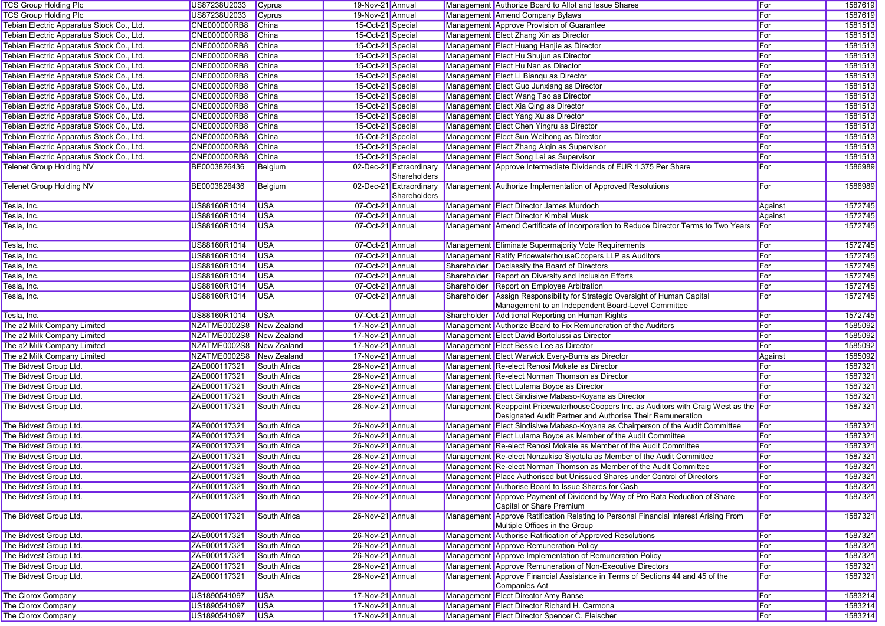| <b>TCS Group Holding Plc</b>              | US87238U2033             | Cyprus       | 19-Nov-21 Annual  |                                         |             | Management Authorize Board to Allot and Issue Shares                                                                                                 | For     | 1587619 |
|-------------------------------------------|--------------------------|--------------|-------------------|-----------------------------------------|-------------|------------------------------------------------------------------------------------------------------------------------------------------------------|---------|---------|
| <b>TCS Group Holding Plc</b>              | US87238U2033             | Cyprus       | 19-Nov-21 Annual  |                                         |             | Management Amend Company Bylaws                                                                                                                      | For     | 1587619 |
| Tebian Electric Apparatus Stock Co., Ltd. | CNE000000RB8             | China        | 15-Oct-21 Special |                                         |             | Management Approve Provision of Guarantee                                                                                                            | For     | 1581513 |
| Tebian Electric Apparatus Stock Co., Ltd. | <b>CNE000000RB8</b>      | <b>China</b> | 15-Oct-21 Special |                                         |             | Management Elect Zhang Xin as Director                                                                                                               | For     | 1581513 |
| Tebian Electric Apparatus Stock Co., Ltd. | CNE000000RB8             | China        | 15-Oct-21 Special |                                         |             | Management Elect Huang Hanjie as Director                                                                                                            | For     | 1581513 |
| Tebian Electric Apparatus Stock Co., Ltd. | <b>CNE000000RB8</b>      | China        | 15-Oct-21 Special |                                         |             | Management Elect Hu Shujun as Director                                                                                                               | For     | 1581513 |
| Tebian Electric Apparatus Stock Co., Ltd. | <b>CNE000000RB8</b>      | China        | 15-Oct-21 Special |                                         |             | Management Elect Hu Nan as Director                                                                                                                  | For     | 1581513 |
| Tebian Electric Apparatus Stock Co., Ltd. | <b>CNE000000RB8</b>      | China        | 15-Oct-21 Special |                                         |             | Management Elect Li Bianqu as Director                                                                                                               | For     | 1581513 |
| Tebian Electric Apparatus Stock Co., Ltd. | <b>CNE000000RB8</b>      | <b>China</b> | 15-Oct-21 Special |                                         |             | Management Elect Guo Junxiang as Director                                                                                                            | For     | 1581513 |
| Tebian Electric Apparatus Stock Co., Ltd. | CNE000000RB8             | China        | 15-Oct-21 Special |                                         |             | Management Elect Wang Tao as Director                                                                                                                | For     | 1581513 |
| Tebian Electric Apparatus Stock Co., Ltd. | <b>CNE000000RB8</b>      | China        | 15-Oct-21 Special |                                         |             | Management Elect Xia Qing as Director                                                                                                                | For     | 1581513 |
| Tebian Electric Apparatus Stock Co., Ltd. | <b>CNE000000RB8</b>      | China        | 15-Oct-21 Special |                                         |             | Management Elect Yang Xu as Director                                                                                                                 | For     | 1581513 |
| Tebian Electric Apparatus Stock Co., Ltd. | <b>CNE000000RB8</b>      | China        | 15-Oct-21 Special |                                         |             | Management Elect Chen Yingru as Director                                                                                                             | For     | 1581513 |
| Tebian Electric Apparatus Stock Co., Ltd. | <b>CNE000000RB8</b>      | <b>China</b> | 15-Oct-21 Special |                                         |             | Management Elect Sun Weihong as Director                                                                                                             | For     | 1581513 |
| Tebian Electric Apparatus Stock Co., Ltd. | CNE000000RB8             | China        | 15-Oct-21 Special |                                         |             | Management Elect Zhang Aiqin as Supervisor                                                                                                           | For     | 1581513 |
| Tebian Electric Apparatus Stock Co., Ltd. | CNE000000RB8             | <b>China</b> | 15-Oct-21 Special |                                         |             | Management Elect Song Lei as Supervisor                                                                                                              | For     | 1581513 |
| <b>Telenet Group Holding NV</b>           | BE0003826436             | Belgium      |                   | 02-Dec-21 Extraordinary                 |             | Management Approve Intermediate Dividends of EUR 1.375 Per Share                                                                                     | For     | 1586989 |
|                                           |                          |              |                   | Shareholders                            |             |                                                                                                                                                      |         |         |
| Telenet Group Holding NV                  | BE0003826436             | Belgium      |                   | 02-Dec-21 Extraordinary<br>Shareholders |             | Management Authorize Implementation of Approved Resolutions                                                                                          | For     | 1586989 |
| Tesla, Inc.                               | US88160R1014             | <b>USA</b>   | 07-Oct-21 Annual  |                                         |             | Management Elect Director James Murdoch                                                                                                              | Against | 1572745 |
| Tesla, Inc.                               | US88160R1014             | <b>USA</b>   | 07-Oct-21 Annual  |                                         |             | Management Elect Director Kimbal Musk                                                                                                                | Against | 1572745 |
| Tesla, Inc.                               | US88160R1014             | <b>USA</b>   | 07-Oct-21 Annual  |                                         |             | Management Amend Certificate of Incorporation to Reduce Director Terms to Two Years                                                                  | For     | 1572745 |
| Tesla, Inc.                               | US88160R1014             | <b>USA</b>   | 07-Oct-21 Annual  |                                         |             | Management Eliminate Supermajority Vote Requirements                                                                                                 | For     | 1572745 |
| Tesla, Inc.                               | US88160R1014             | <b>USA</b>   | 07-Oct-21 Annual  |                                         |             | Management Ratify PricewaterhouseCoopers LLP as Auditors                                                                                             | For     | 1572745 |
| Tesla, Inc.                               | US88160R1014             | <b>USA</b>   | 07-Oct-21 Annual  |                                         |             | Shareholder   Declassify the Board of Directors                                                                                                      | For     | 1572745 |
| Tesla, Inc.                               | US88160R1014             | <b>USA</b>   | 07-Oct-21 Annual  |                                         |             | Shareholder Report on Diversity and Inclusion Efforts                                                                                                | For     | 1572745 |
| Tesla, Inc.                               | US88160R1014             | <b>USA</b>   | 07-Oct-21 Annual  |                                         | Shareholder | Report on Employee Arbitration                                                                                                                       | For     | 1572745 |
| Tesla, Inc.                               | US88160R1014             | <b>USA</b>   | 07-Oct-21 Annual  |                                         | Shareholder | Assign Responsibility for Strategic Oversight of Human Capital                                                                                       | For     | 1572745 |
|                                           |                          |              |                   |                                         |             | Management to an Independent Board-Level Committee                                                                                                   |         |         |
| Tesla, Inc.                               | US88160R1014             | <b>USA</b>   | 07-Oct-21 Annual  |                                         |             | Shareholder Additional Reporting on Human Rights                                                                                                     | For     | 1572745 |
| The a2 Milk Company Limited               | NZATME0002S8             | New Zealand  | 17-Nov-21 Annual  |                                         |             | Management Authorize Board to Fix Remuneration of the Auditors                                                                                       | For     | 1585092 |
| The a2 Milk Company Limited               | NZATME0002S8 New Zealand |              | 17-Nov-21 Annual  |                                         |             | Management Elect David Bortolussi as Director                                                                                                        | For     | 1585092 |
| The a2 Milk Company Limited               | NZATME0002S8 New Zealand |              | 17-Nov-21 Annual  |                                         |             | Management Elect Bessie Lee as Director                                                                                                              | For     | 1585092 |
| The a2 Milk Company Limited               | NZATME0002S8 New Zealand |              | 17-Nov-21 Annual  |                                         |             | Management Elect Warwick Every-Burns as Director                                                                                                     | Against | 1585092 |
| The Bidvest Group Ltd.                    | ZAE000117321             | South Africa | 26-Nov-21 Annual  |                                         |             | Management Re-elect Renosi Mokate as Director                                                                                                        | For     | 1587321 |
| The Bidvest Group Ltd.                    | ZAE000117321             | South Africa | 26-Nov-21 Annual  |                                         |             | Management Re-elect Norman Thomson as Director                                                                                                       | For     | 1587321 |
| The Bidvest Group Ltd.                    | ZAE000117321             | South Africa | 26-Nov-21 Annual  |                                         |             | Management Elect Lulama Boyce as Director                                                                                                            | For     | 1587321 |
| The Bidvest Group Ltd.                    | ZAE000117321             | South Africa | 26-Nov-21 Annual  |                                         |             | Management Elect Sindisiwe Mabaso-Koyana as Director                                                                                                 | For     | 1587321 |
| The Bidvest Group Ltd.                    | ZAE000117321             | South Africa | 26-Nov-21 Annual  |                                         |             | Management Reappoint PricewaterhouseCoopers Inc. as Auditors with Craig West as the For<br>Designated Audit Partner and Authorise Their Remuneration |         | 1587321 |
| The Bidvest Group Ltd.                    | ZAE000117321             | South Africa | 26-Nov-21 Annual  |                                         |             | Management Elect Sindisiwe Mabaso-Koyana as Chairperson of the Audit Committee                                                                       | For     | 1587321 |
| The Bidvest Group Ltd.                    | ZAE000117321             | South Africa | 26-Nov-21 Annual  |                                         |             | Management Elect Lulama Boyce as Member of the Audit Committee                                                                                       | For     | 1587321 |
| The Bidvest Group Ltd.                    | ZAE000117321             | South Africa | 26-Nov-21 Annual  |                                         |             | Management Re-elect Renosi Mokate as Member of the Audit Committee                                                                                   | For     | 1587321 |
| The Bidvest Group Ltd.                    | ZAE000117321             | South Africa | 26-Nov-21 Annual  |                                         |             | Management Re-elect Nonzukiso Siyotula as Member of the Audit Committee                                                                              | For     | 1587321 |
| The Bidvest Group Ltd.                    | ZAE000117321             | South Africa | 26-Nov-21 Annual  |                                         |             | Management Re-elect Norman Thomson as Member of the Audit Committee                                                                                  | For     | 1587321 |
| The Bidvest Group Ltd.                    | ZAE000117321             | South Africa | 26-Nov-21 Annual  |                                         |             | Management Place Authorised but Unissued Shares under Control of Directors                                                                           | For     | 1587321 |
| The Bidvest Group Ltd.                    | ZAE000117321             | South Africa | 26-Nov-21 Annual  |                                         |             | Management Authorise Board to Issue Shares for Cash                                                                                                  | For     | 1587321 |
| The Bidvest Group Ltd.                    | ZAE000117321             | South Africa | 26-Nov-21 Annual  |                                         |             | Management Approve Payment of Dividend by Way of Pro Rata Reduction of Share                                                                         | For     | 1587321 |
|                                           |                          |              |                   |                                         |             | Capital or Share Premium                                                                                                                             |         |         |
| The Bidvest Group Ltd.                    | ZAE000117321             | South Africa | 26-Nov-21 Annual  |                                         |             | Management Approve Ratification Relating to Personal Financial Interest Arising From<br>Multiple Offices in the Group                                | For     | 1587321 |
| The Bidvest Group Ltd.                    | ZAE000117321             | South Africa | 26-Nov-21 Annual  |                                         |             | Management Authorise Ratification of Approved Resolutions                                                                                            | For     | 1587321 |
| The Bidvest Group Ltd.                    | ZAE000117321             | South Africa | 26-Nov-21 Annual  |                                         |             | Management Approve Remuneration Policy                                                                                                               | For     | 1587321 |
| The Bidvest Group Ltd.                    | ZAE000117321             | South Africa | 26-Nov-21 Annual  |                                         |             | Management Approve Implementation of Remuneration Policy                                                                                             | For     | 1587321 |
| The Bidvest Group Ltd.                    | ZAE000117321             | South Africa | 26-Nov-21 Annual  |                                         |             | Management Approve Remuneration of Non-Executive Directors                                                                                           | For     | 1587321 |
| The Bidvest Group Ltd.                    | ZAE000117321             | South Africa | 26-Nov-21 Annual  |                                         |             | Management Approve Financial Assistance in Terms of Sections 44 and 45 of the<br>Companies Act                                                       | For     | 1587321 |
| The Clorox Company                        | US1890541097             | <b>USA</b>   | 17-Nov-21 Annual  |                                         |             | Management Elect Director Amy Banse                                                                                                                  | For     | 1583214 |
| The Clorox Company                        | US1890541097             | <b>USA</b>   | 17-Nov-21 Annual  |                                         |             | Management Elect Director Richard H. Carmona                                                                                                         | For     | 1583214 |
| The Clorox Company                        | US1890541097             | <b>USA</b>   | 17-Nov-21 Annual  |                                         |             | Management Elect Director Spencer C. Fleischer                                                                                                       | For     | 1583214 |
|                                           |                          |              |                   |                                         |             |                                                                                                                                                      |         |         |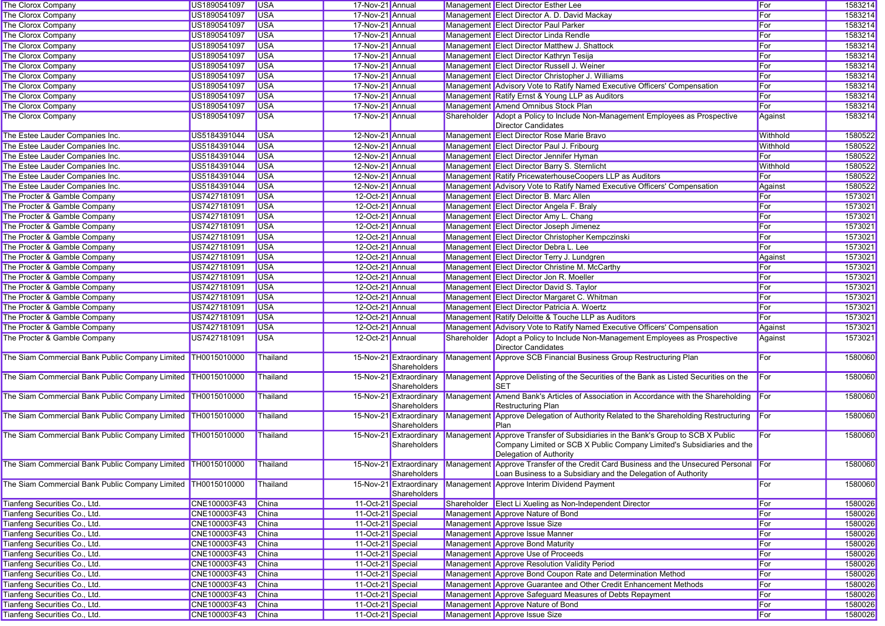| The Clorox Company                                             | US1890541097 | <b>USA</b>               | 17-Nov-21 Annual  |                                         | Management Elect Director Esther Lee                                                                                                                                                 | For      | 1583214 |
|----------------------------------------------------------------|--------------|--------------------------|-------------------|-----------------------------------------|--------------------------------------------------------------------------------------------------------------------------------------------------------------------------------------|----------|---------|
| The Clorox Company                                             | US1890541097 | <b>USA</b>               | 17-Nov-21 Annual  |                                         | Management Elect Director A. D. David Mackay                                                                                                                                         | For      | 1583214 |
| The Clorox Company                                             | US1890541097 | <b>USA</b>               | 17-Nov-21 Annual  |                                         | Management Elect Director Paul Parker                                                                                                                                                | For      | 1583214 |
| The Clorox Company                                             | US1890541097 | <b>USA</b>               | 17-Nov-21 Annual  |                                         | Management Elect Director Linda Rendle                                                                                                                                               | For      | 1583214 |
| The Clorox Company                                             | US1890541097 | <b>USA</b>               | 17-Nov-21 Annual  |                                         | Management Elect Director Matthew J. Shattock                                                                                                                                        | For      | 1583214 |
| The Clorox Company                                             | US1890541097 | <b>USA</b>               | 17-Nov-21 Annual  |                                         | Management Elect Director Kathryn Tesija                                                                                                                                             | For      | 1583214 |
| The Clorox Company                                             | US1890541097 | <b>USA</b>               | 17-Nov-21 Annual  |                                         | Management Elect Director Russell J. Weiner                                                                                                                                          | For      | 1583214 |
| The Clorox Company                                             | US1890541097 | <b>USA</b>               | 17-Nov-21 Annual  |                                         | Management Elect Director Christopher J. Williams                                                                                                                                    | For      | 1583214 |
| The Clorox Company                                             | US1890541097 | <b>USA</b>               | 17-Nov-21 Annual  |                                         | Management Advisory Vote to Ratify Named Executive Officers' Compensation                                                                                                            | For      | 1583214 |
| The Clorox Company                                             | US1890541097 | <b>USA</b>               | 17-Nov-21 Annual  |                                         | Management Ratify Ernst & Young LLP as Auditors                                                                                                                                      | For      | 1583214 |
| The Clorox Company                                             | US1890541097 | <b>USA</b>               | 17-Nov-21 Annual  |                                         | Management Amend Omnibus Stock Plan                                                                                                                                                  | For      | 1583214 |
| The Clorox Company                                             | US1890541097 | <b>USA</b>               | 17-Nov-21 Annual  |                                         | Shareholder Adopt a Policy to Include Non-Management Employees as Prospective<br>Director Candidates                                                                                 | Against  | 1583214 |
| The Estee Lauder Companies Inc.                                | US5184391044 | <b>USA</b>               | 12-Nov-21 Annual  |                                         | Management Elect Director Rose Marie Bravo                                                                                                                                           | Withhold | 1580522 |
| The Estee Lauder Companies Inc.                                | US5184391044 | <b>USA</b>               | 12-Nov-21 Annual  |                                         | Management Elect Director Paul J. Fribourg                                                                                                                                           | Withhold | 1580522 |
| The Estee Lauder Companies Inc.                                | US5184391044 | <b>USA</b>               | 12-Nov-21 Annual  |                                         | Management Elect Director Jennifer Hyman                                                                                                                                             | For      | 1580522 |
| The Estee Lauder Companies Inc.                                | US5184391044 | <b>USA</b>               | 12-Nov-21 Annual  |                                         | Management Elect Director Barry S. Sternlicht                                                                                                                                        | Withhold | 1580522 |
| The Estee Lauder Companies Inc.                                | US5184391044 | <b>USA</b>               | 12-Nov-21 Annual  |                                         | Management Ratify PricewaterhouseCoopers LLP as Auditors                                                                                                                             | For      | 1580522 |
| The Estee Lauder Companies Inc.                                | US5184391044 | <b>USA</b>               | 12-Nov-21 Annual  |                                         | Management Advisory Vote to Ratify Named Executive Officers' Compensation                                                                                                            | Against  | 1580522 |
| The Procter & Gamble Company                                   | US7427181091 | <b>USA</b>               | 12-Oct-21 Annual  |                                         | Management Elect Director B. Marc Allen                                                                                                                                              | For      | 1573021 |
| The Procter & Gamble Company                                   | US7427181091 | <b>USA</b>               | 12-Oct-21 Annual  |                                         | Management Elect Director Angela F. Braly                                                                                                                                            | For      | 1573021 |
| The Procter & Gamble Company                                   | US7427181091 | <b>USA</b>               | 12-Oct-21 Annual  |                                         | Management Elect Director Amy L. Chang                                                                                                                                               | For      | 1573021 |
| The Procter & Gamble Company                                   | US7427181091 | <b>USA</b>               | 12-Oct-21 Annual  |                                         | Management Elect Director Joseph Jimenez                                                                                                                                             | For      | 1573021 |
| The Procter & Gamble Company                                   | US7427181091 | <b>USA</b>               | 12-Oct-21 Annual  |                                         | Management Elect Director Christopher Kempczinski                                                                                                                                    | For      | 1573021 |
| The Procter & Gamble Company                                   | US7427181091 | <b>USA</b>               | 12-Oct-21 Annual  |                                         | Management Elect Director Debra L. Lee                                                                                                                                               | For      | 1573021 |
| The Procter & Gamble Company                                   | US7427181091 | <b>USA</b>               | 12-Oct-21 Annual  |                                         | Management Elect Director Terry J. Lundgren                                                                                                                                          | Against  | 1573021 |
| The Procter & Gamble Company                                   | US7427181091 | <b>USA</b>               | 12-Oct-21 Annual  |                                         | Management Elect Director Christine M. McCarthy                                                                                                                                      | For      | 1573021 |
| The Procter & Gamble Company                                   | US7427181091 | <b>USA</b>               | 12-Oct-21 Annual  |                                         | Management Elect Director Jon R. Moeller                                                                                                                                             | For      | 1573021 |
| The Procter & Gamble Company                                   | US7427181091 | <b>USA</b>               | 12-Oct-21 Annual  |                                         | Management Elect Director David S. Taylor                                                                                                                                            | For      | 1573021 |
| The Procter & Gamble Company                                   | US7427181091 | <b>USA</b>               | 12-Oct-21 Annual  |                                         | Management Elect Director Margaret C. Whitman                                                                                                                                        | For      | 1573021 |
| The Procter & Gamble Company                                   | US7427181091 | <b>USA</b>               | 12-Oct-21 Annual  |                                         | Management Elect Director Patricia A. Woertz                                                                                                                                         | For      | 1573021 |
|                                                                |              |                          |                   |                                         |                                                                                                                                                                                      | For      |         |
| The Procter & Gamble Company                                   | US7427181091 | <b>USA</b><br><b>USA</b> | 12-Oct-21 Annual  |                                         | Management Ratify Deloitte & Touche LLP as Auditors                                                                                                                                  |          | 1573021 |
| The Procter & Gamble Company                                   | US7427181091 |                          | 12-Oct-21 Annual  |                                         | Management Advisory Vote to Ratify Named Executive Officers' Compensation                                                                                                            | Against  | 1573021 |
| The Procter & Gamble Company                                   | US7427181091 | <b>USA</b>               | 12-Oct-21 Annual  |                                         | Shareholder Adopt a Policy to Include Non-Management Employees as Prospective<br><b>Director Candidates</b>                                                                          | Against  | 1573021 |
| The Siam Commercial Bank Public Company Limited TH0015010000   |              | Thailand                 |                   | 15-Nov-21 Extraordinary<br>Shareholders | Management Approve SCB Financial Business Group Restructuring Plan                                                                                                                   | For      | 1580060 |
| The Siam Commercial Bank Public Company Limited TH0015010000   |              | Thailand                 |                   | 15-Nov-21 Extraordinary<br>Shareholders | Management Approve Delisting of the Securities of the Bank as Listed Securities on the<br><b>SET</b>                                                                                 | For      | 1580060 |
| The Siam Commercial Bank Public Company Limited TH0015010000   |              | Thailand                 |                   | 15-Nov-21 Extraordinary<br>Shareholders | Management Amend Bank's Articles of Association in Accordance with the Shareholding<br><b>Restructuring Plan</b>                                                                     | For      | 1580060 |
| The Siam Commercial Bank Public Company Limited   TH0015010000 |              | Thailand                 |                   | 15-Nov-21 Extraordinary<br>Shareholders | Management Approve Delegation of Authority Related to the Shareholding Restructuring<br>Plan                                                                                         | For      | 1580060 |
| The Siam Commercial Bank Public Company Limited TH0015010000   |              | Thailand                 |                   | 15-Nov-21 Extraordinary<br>Shareholders | Management Approve Transfer of Subsidiaries in the Bank's Group to SCB X Public<br>Company Limited or SCB X Public Company Limited's Subsidiaries and the<br>Delegation of Authority | For      | 1580060 |
| The Siam Commercial Bank Public Company Limited TH0015010000   |              | Thailand                 |                   | Shareholders                            | 15-Nov-21 Extraordinary Management Approve Transfer of the Credit Card Business and the Unsecured Personal For<br>Loan Business to a Subsidiary and the Delegation of Authority      |          | 1580060 |
| The Siam Commercial Bank Public Company Limited TH0015010000   |              | Thailand                 |                   | Shareholders                            | 15-Nov-21 Extraordinary Management Approve Interim Dividend Payment                                                                                                                  | For      | 1580060 |
| Tianfeng Securities Co., Ltd.                                  | CNE100003F43 | China                    | 11-Oct-21 Special |                                         | Shareholder Elect Li Xueling as Non-Independent Director                                                                                                                             | For      | 1580026 |
| Tianfeng Securities Co., Ltd.                                  | CNE100003F43 | China                    | 11-Oct-21 Special |                                         | Management Approve Nature of Bond                                                                                                                                                    | For      | 1580026 |
| Tianfeng Securities Co., Ltd.                                  | CNE100003F43 | China                    | 11-Oct-21 Special |                                         | Management Approve Issue Size                                                                                                                                                        | For      | 1580026 |
| Tianfeng Securities Co., Ltd.                                  | CNE100003F43 | China                    | 11-Oct-21 Special |                                         | Management Approve Issue Manner                                                                                                                                                      | For      | 1580026 |
| Tianfeng Securities Co., Ltd.                                  | CNE100003F43 | China                    | 11-Oct-21 Special |                                         | Management Approve Bond Maturity                                                                                                                                                     | For      | 1580026 |
| Tianfeng Securities Co., Ltd.                                  | CNE100003F43 | China                    | 11-Oct-21 Special |                                         | Management Approve Use of Proceeds                                                                                                                                                   | For      | 1580026 |
| Tianfeng Securities Co., Ltd.                                  | CNE100003F43 | China                    | 11-Oct-21 Special |                                         | Management Approve Resolution Validity Period                                                                                                                                        | For      | 1580026 |
| Tianfeng Securities Co., Ltd.                                  | CNE100003F43 | China                    | 11-Oct-21 Special |                                         | Management Approve Bond Coupon Rate and Determination Method                                                                                                                         | For      | 1580026 |
| Tianfeng Securities Co., Ltd.                                  | CNE100003F43 | China                    | 11-Oct-21 Special |                                         | Management Approve Guarantee and Other Credit Enhancement Methods                                                                                                                    | For      | 1580026 |
| Tianfeng Securities Co., Ltd.                                  | CNE100003F43 | China                    | 11-Oct-21 Special |                                         | Management Approve Safeguard Measures of Debts Repayment                                                                                                                             | For      | 1580026 |
| Tianfeng Securities Co., Ltd.                                  | CNE100003F43 | China                    | 11-Oct-21 Special |                                         | Management Approve Nature of Bond                                                                                                                                                    | For      | 1580026 |
| Tianfeng Securities Co., Ltd.                                  | CNE100003F43 | China                    | 11-Oct-21 Special |                                         | Management Approve Issue Size                                                                                                                                                        | For      | 1580026 |
|                                                                |              |                          |                   |                                         |                                                                                                                                                                                      |          |         |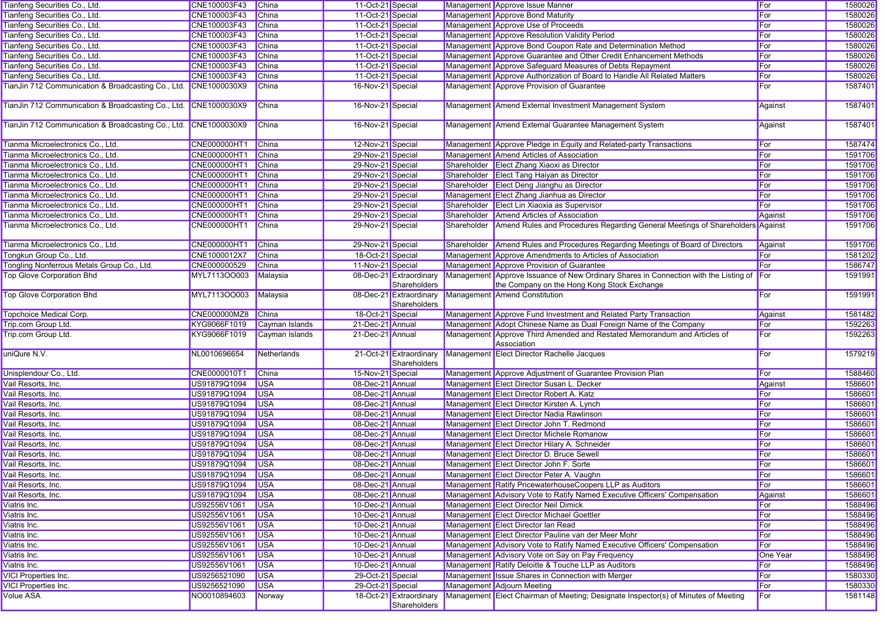| Tianfeng Securities Co., Ltd.                                   | CNE100003F43                 | China                | 11-Oct-21 Special |                                         |             | Management Approve Issue Manner                                                                                                     | For        | 1580026            |
|-----------------------------------------------------------------|------------------------------|----------------------|-------------------|-----------------------------------------|-------------|-------------------------------------------------------------------------------------------------------------------------------------|------------|--------------------|
| Tianfeng Securities Co., Ltd.                                   | CNE100003F43                 | <b>China</b>         | 11-Oct-21 Special |                                         |             | Management Approve Bond Maturity                                                                                                    | For        | 1580026            |
| Tianfeng Securities Co., Ltd.                                   | CNE100003F43                 | China                | 11-Oct-21 Special |                                         |             | Management Approve Use of Proceeds                                                                                                  | For        | 1580026            |
| Tianfeng Securities Co., Ltd.                                   | CNE100003F43                 | <b>China</b>         | 11-Oct-21 Special |                                         |             | Management Approve Resolution Validity Period                                                                                       | For        | 1580026            |
| Tianfeng Securities Co., Ltd.                                   | CNE100003F43                 | China                | 11-Oct-21 Special |                                         |             | Management Approve Bond Coupon Rate and Determination Method                                                                        | For        | 1580026            |
| Tianfeng Securities Co., Ltd.                                   | CNE100003F43                 | China                | 11-Oct-21 Special |                                         |             | Management Approve Guarantee and Other Credit Enhancement Methods                                                                   | For        | 1580026            |
| Tianfeng Securities Co., Ltd.                                   | CNE100003F43                 | <b>China</b>         | 11-Oct-21 Special |                                         |             | Management Approve Safeguard Measures of Debts Repayment                                                                            | For        | 1580026            |
| Tianfeng Securities Co., Ltd.                                   | CNE100003F43                 | China                | 11-Oct-21 Special |                                         |             | Management Approve Authorization of Board to Handle All Related Matters                                                             | For        | 1580026            |
| TianJin 712 Communication & Broadcasting Co., Ltd. CNE1000030X9 |                              | China                | 16-Nov-21 Special |                                         |             | Management Approve Provision of Guarantee                                                                                           | For        | 1587401            |
| TianJin 712 Communication & Broadcasting Co., Ltd. CNE1000030X9 |                              | China                | 16-Nov-21 Special |                                         |             | Management Amend External Investment Management System                                                                              | Against    | 1587401            |
| TianJin 712 Communication & Broadcasting Co., Ltd. CNE1000030X9 |                              | <b>China</b>         | 16-Nov-21 Special |                                         |             | Management Amend External Guarantee Management System                                                                               | Against    | 1587401            |
| Tianma Microelectronics Co., Ltd.                               | CNE000000HT1                 | China                | 12-Nov-21 Special |                                         |             | Management Approve Pledge in Equity and Related-party Transactions                                                                  | For        | 1587474            |
| Tianma Microelectronics Co., Ltd.                               | <b>CNE000000HT1</b>          | China                | 29-Nov-21 Special |                                         |             | Management Amend Articles of Association                                                                                            | For        | 1591706            |
| Tianma Microelectronics Co., Ltd.                               | <b>CNE000000HT1</b>          | <b>China</b>         | 29-Nov-21 Special |                                         |             | Shareholder Elect Zhang Xiaoxi as Director                                                                                          | For        | 1591706            |
| Tianma Microelectronics Co., Ltd.                               | CNE000000HT1                 | <b>China</b>         | 29-Nov-21 Special |                                         |             | Shareholder Elect Tang Haiyan as Director                                                                                           | For        | 1591706            |
| Tianma Microelectronics Co., Ltd.                               | CNE000000HT1                 | China                | 29-Nov-21 Special |                                         |             | Shareholder Elect Deng Jianghu as Director                                                                                          | For        | 1591706            |
| Tianma Microelectronics Co., Ltd.                               | <b>CNE000000HT1</b>          | <b>China</b>         | 29-Nov-21 Special |                                         |             | Management Elect Zhang Jianhua as Director                                                                                          | For        | 1591706            |
| Tianma Microelectronics Co., Ltd.                               | CNE000000HT1                 | China                | 29-Nov-21 Special |                                         |             | Shareholder Elect Lin Xiaoxia as Supervisor                                                                                         | For        | 1591706            |
| Tianma Microelectronics Co., Ltd.                               | <b>CNE000000HT1</b>          | China                | 29-Nov-21 Special |                                         |             | Shareholder Amend Articles of Association                                                                                           | Against    | 1591706            |
| Tianma Microelectronics Co., Ltd.                               | CNE000000HT1                 | China                | 29-Nov-21 Special |                                         | Shareholder | Amend Rules and Procedures Regarding General Meetings of Shareholders Against                                                       |            | 1591706            |
|                                                                 |                              |                      |                   |                                         |             |                                                                                                                                     |            |                    |
| Tianma Microelectronics Co., Ltd.                               | <b>CNE000000HT1</b>          | China                | 29-Nov-21 Special |                                         |             | Shareholder Amend Rules and Procedures Regarding Meetings of Board of Directors                                                     | Against    | 1591706            |
| Tongkun Group Co., Ltd.                                         | CNE1000012X7                 | <b>China</b>         | 18-Oct-21 Special |                                         |             | Management Approve Amendments to Articles of Association                                                                            | For        | 1581202            |
| Tongling Nonferrous Metals Group Co., Ltd.                      | CNE000000529                 | China                | 11-Nov-21 Special |                                         |             | Management Approve Provision of Guarantee                                                                                           | For        | 1586747            |
| <b>Top Glove Corporation Bhd</b>                                | MYL7113OO003                 | Malaysia             |                   | 08-Dec-21 Extraordinary<br>Shareholders |             | Management Approve Issuance of New Ordinary Shares in Connection with the Listing of<br>the Company on the Hong Kong Stock Exchange | For        | 1591991            |
| <b>Top Glove Corporation Bhd</b>                                | MYL7113OO003                 | Malaysia             |                   | 08-Dec-21 Extraordinary<br>Shareholders |             | Management Amend Constitution                                                                                                       | For        | 1591991            |
| Topchoice Medical Corp.                                         | <b>CNE000000MZ8</b>          | China                | 18-Oct-21 Special |                                         |             | Management Approve Fund Investment and Related Party Transaction                                                                    | Against    | 1581482            |
| Trip.com Group Ltd.                                             | KYG9066F1019                 | Cayman Islands       | 21-Dec-21 Annual  |                                         |             | Management Adopt Chinese Name as Dual Foreign Name of the Company                                                                   | For        | 1592263            |
| Trip.com Group Ltd.                                             | KYG9066F1019                 | Cayman Islands       | 21-Dec-21 Annual  |                                         |             | Management Approve Third Amended and Restated Memorandum and Articles of<br>Association                                             | For        | 1592263            |
| uniQure N.V.                                                    | NL0010696654                 | Netherlands          |                   | 21-Oct-21 Extraordinary<br>Shareholders |             | Management Elect Director Rachelle Jacques                                                                                          | For        | 1579219            |
| Unisplendour Co., Ltd.                                          | CNE0000010T1                 | <b>China</b>         | 15-Nov-21 Special |                                         |             | Management Approve Adjustment of Guarantee Provision Plan                                                                           | For        | 1588460            |
| Vail Resorts, Inc.                                              | US91879Q1094                 | <b>USA</b>           | 08-Dec-21 Annual  |                                         |             | Management Elect Director Susan L. Decker                                                                                           | Against    | 1586601            |
| Vail Resorts, Inc.                                              | US91879Q1094                 | <b>USA</b>           | 08-Dec-21 Annual  |                                         |             | Management Elect Director Robert A. Katz                                                                                            | For        | 1586601            |
| Vail Resorts, Inc.                                              | US91879Q1094                 | <b>USA</b>           | 08-Dec-21 Annual  |                                         |             | Management Elect Director Kirsten A. Lynch                                                                                          | For        | 1586601            |
| Vail Resorts, Inc.                                              | US91879Q1094                 | <b>USA</b>           | 08-Dec-21 Annual  |                                         |             | Management Elect Director Nadia Rawlinson                                                                                           | For        | 1586601            |
| Vail Resorts, Inc.                                              | US91879Q1094                 | <b>USA</b>           | 08-Dec-21 Annual  |                                         |             | Management Elect Director John T. Redmond                                                                                           | For        | 1586601            |
| Vail Resorts, Inc.                                              | US91879Q1094                 | <b>USA</b>           | 08-Dec-21 Annual  |                                         |             | Management Elect Director Michele Romanow                                                                                           | For        | 1586601            |
| Vail Resorts, Inc.                                              | US91879Q1094                 | <b>USA</b>           | 08-Dec-21 Annual  |                                         |             | Management Elect Director Hilary A. Schneider                                                                                       | For        | 1586601            |
| Vail Resorts, Inc.                                              | US91879Q1094                 | <b>USA</b>           | 08-Dec-21 Annual  |                                         |             | Management Elect Director D. Bruce Sewell                                                                                           | For        | 1586601            |
| Vail Resorts, Inc.                                              | US91879Q1094                 | <b>USA</b>           | 08-Dec-21 Annual  |                                         |             | Management Elect Director John F. Sorte                                                                                             | For        | 1586601            |
| Vail Resorts, Inc.                                              |                              |                      |                   |                                         |             |                                                                                                                                     |            | 1586601            |
| Vail Resorts, Inc.                                              |                              |                      |                   |                                         |             |                                                                                                                                     |            |                    |
|                                                                 | US91879Q1094 USA             |                      | 08-Dec-21 Annual  |                                         |             | Management Elect Director Peter A. Vaughn                                                                                           | ∥For       |                    |
|                                                                 | US91879Q1094                 | <b>USA</b>           | 08-Dec-21 Annual  |                                         |             | Management Ratify PricewaterhouseCoopers LLP as Auditors                                                                            | For        | 1586601            |
|                                                                 | US91879Q1094                 | <b>USA</b>           | 08-Dec-21 Annual  |                                         |             | Management Advisory Vote to Ratify Named Executive Officers' Compensation                                                           | Against    | 1586601            |
| Vail Resorts, Inc.<br>Viatris Inc.                              | US92556V1061                 | <b>USA</b>           | 10-Dec-21 Annual  |                                         |             | Management Elect Director Neil Dimick                                                                                               | For        | 1588496            |
| Viatris Inc.                                                    | US92556V1061                 | <b>USA</b>           | 10-Dec-21 Annual  |                                         |             | Management Elect Director Michael Goettler                                                                                          | For        | 1588496            |
| Viatris Inc.                                                    | US92556V1061                 | <b>USA</b>           | 10-Dec-21 Annual  |                                         |             | Management Elect Director Ian Read                                                                                                  | For        | 1588496            |
| Viatris Inc.                                                    | US92556V1061                 | <b>USA</b>           | 10-Dec-21 Annual  |                                         |             | Management Elect Director Pauline van der Meer Mohr                                                                                 | For        | 1588496            |
| Viatris Inc.                                                    | US92556V1061                 | <b>USA</b>           | 10-Dec-21 Annual  |                                         |             | Management Advisory Vote to Ratify Named Executive Officers' Compensation                                                           | For        | 1588496            |
| Viatris Inc.                                                    | US92556V1061                 | <b>USA</b>           | 10-Dec-21 Annual  |                                         |             | Management Advisory Vote on Say on Pay Frequency                                                                                    | One Year   | 1588496            |
| Viatris Inc.                                                    | US92556V1061                 | <b>USA</b>           | 10-Dec-21 Annual  |                                         |             | Management Ratify Deloitte & Touche LLP as Auditors                                                                                 | For        | 1588496            |
| <b>VICI Properties Inc.</b>                                     | US9256521090                 | <b>USA</b>           | 29-Oct-21 Special |                                         |             | Management Issue Shares in Connection with Merger                                                                                   | For        | 1580330            |
| <b>VICI Properties Inc.</b><br><b>Volue ASA</b>                 | US9256521090<br>NO0010894603 | <b>USA</b><br>Norway | 29-Oct-21 Special | 18-Oct-21 Extraordinary                 |             | Management Adjourn Meeting<br>Management Elect Chairman of Meeting; Designate Inspector(s) of Minutes of Meeting                    | For<br>For | 1580330<br>1581148 |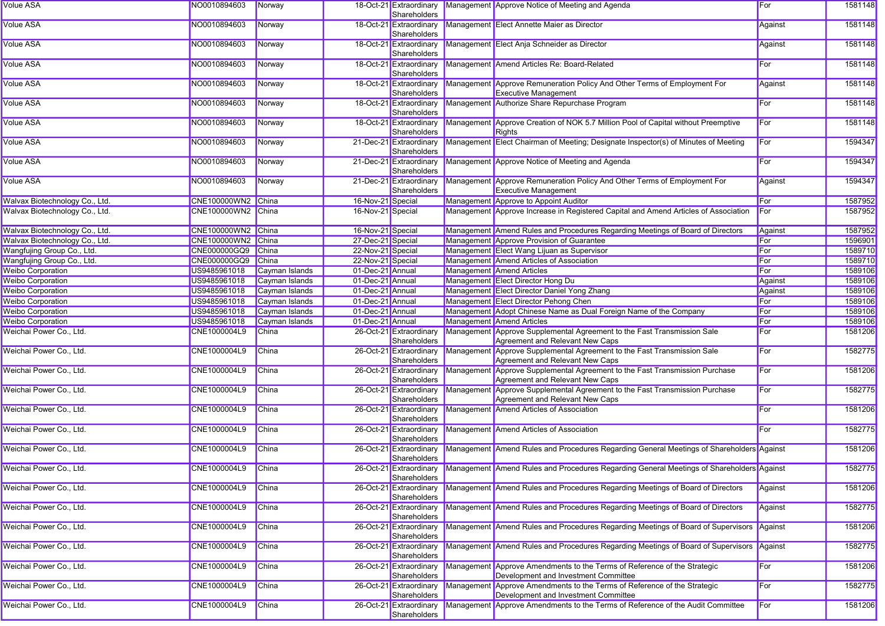| <b>Volue ASA</b>               | NO0010894603       | Norway         |                   | Shareholders                            | 18-Oct-21 Extraordinary Management Approve Notice of Meeting and Agenda                                          | For          | 1581148 |
|--------------------------------|--------------------|----------------|-------------------|-----------------------------------------|------------------------------------------------------------------------------------------------------------------|--------------|---------|
| <b>Volue ASA</b>               | NO0010894603       | Norway         |                   | 18-Oct-21 Extraordinary<br>Shareholders | Management Elect Annette Maier as Director                                                                       | Against      | 1581148 |
| <b>Volue ASA</b>               | NO0010894603       | Norway         |                   | Shareholders                            | 18-Oct-21 Extraordinary Management Elect Anja Schneider as Director                                              | Against      | 1581148 |
| <b>Volue ASA</b>               | NO0010894603       | Norway         |                   | 18-Oct-21 Extraordinary<br>Shareholders | Management Amend Articles Re: Board-Related                                                                      | For          | 1581148 |
| <b>Volue ASA</b>               | NO0010894603       | Norway         |                   | 18-Oct-21 Extraordinary<br>Shareholders | Management Approve Remuneration Policy And Other Terms of Employment For<br><b>Executive Management</b>          | Against      | 1581148 |
| <b>Volue ASA</b>               | NO0010894603       | Norway         |                   | 18-Oct-21 Extraordinary<br>Shareholders | Management Authorize Share Repurchase Program                                                                    | For          | 1581148 |
| <b>Volue ASA</b>               | NO0010894603       | Norway         |                   | 18-Oct-21 Extraordinary<br>Shareholders | Management Approve Creation of NOK 5.7 Million Pool of Capital without Preemptive<br>Rights                      | For          | 1581148 |
| <b>Volue ASA</b>               | NO0010894603       | Norway         |                   | 21-Dec-21 Extraordinary<br>Shareholders | Management Elect Chairman of Meeting; Designate Inspector(s) of Minutes of Meeting                               | For          | 1594347 |
| <b>Volue ASA</b>               | NO0010894603       | Norway         |                   | 21-Dec-21 Extraordinary<br>Shareholders | Management Approve Notice of Meeting and Agenda                                                                  | For          | 1594347 |
| <b>Volue ASA</b>               | NO0010894603       | Norway         |                   | 21-Dec-21 Extraordinary<br>Shareholders | Management Approve Remuneration Policy And Other Terms of Employment For<br><b>Executive Management</b>          | Against      | 1594347 |
| Walvax Biotechnology Co., Ltd. | CNE100000WN2 China |                | 16-Nov-21 Special |                                         | Management Approve to Appoint Auditor                                                                            | For          | 1587952 |
| Walvax Biotechnology Co., Ltd. | CNE100000WN2 China |                | 16-Nov-21 Special |                                         | Management Approve Increase in Registered Capital and Amend Articles of Association                              | For          | 1587952 |
| Walvax Biotechnology Co., Ltd. | CNE100000WN2 China |                | 16-Nov-21 Special |                                         | Management Amend Rules and Procedures Regarding Meetings of Board of Directors                                   | Against      | 1587952 |
| Walvax Biotechnology Co., Ltd. | CNE100000WN2 China |                | 27-Dec-21 Special |                                         | Management Approve Provision of Guarantee                                                                        | For          | 1596901 |
| Wangfujing Group Co., Ltd.     | CNE000000GQ9 China |                | 22-Nov-21 Special |                                         | Management Elect Wang Lijuan as Supervisor                                                                       | For          | 1589710 |
|                                |                    |                |                   |                                         |                                                                                                                  |              |         |
| Wangfujing Group Co., Ltd.     | CNE000000GQ9       | China          | 22-Nov-21 Special |                                         | Management Amend Articles of Association                                                                         | For          | 1589710 |
| <b>Weibo Corporation</b>       | US9485961018       | Cayman Islands | 01-Dec-21 Annual  |                                         | Management Amend Articles                                                                                        | For          | 1589106 |
| <b>Weibo Corporation</b>       | US9485961018       | Cayman Islands | 01-Dec-21 Annual  |                                         | Management Elect Director Hong Du                                                                                | Against      | 1589106 |
| <b>Weibo Corporation</b>       | US9485961018       | Cayman Islands | 01-Dec-21 Annual  |                                         | Management Elect Director Daniel Yong Zhang                                                                      | Against      | 1589106 |
| <b>Weibo Corporation</b>       | US9485961018       | Cayman Islands | 01-Dec-21 Annual  |                                         | Management Elect Director Pehong Chen                                                                            | For          | 1589106 |
| <b>Weibo Corporation</b>       | US9485961018       | Cayman Islands | 01-Dec-21 Annual  |                                         | Management Adopt Chinese Name as Dual Foreign Name of the Company                                                | For          | 1589106 |
| <b>Weibo Corporation</b>       | US9485961018       | Cayman Islands | 01-Dec-21 Annual  |                                         | Management Amend Articles                                                                                        | For          | 1589106 |
|                                |                    |                |                   | 26-Oct-21 Extraordinary                 |                                                                                                                  |              |         |
| Weichai Power Co., Ltd.        | CNE1000004L9       | <b>China</b>   |                   | Shareholders                            | Management Approve Supplemental Agreement to the Fast Transmission Sale<br>Agreement and Relevant New Caps       | For          | 1581206 |
| Weichai Power Co., Ltd.        | CNE1000004L9       | <b>China</b>   |                   | 26-Oct-21 Extraordinary<br>Shareholders | Management Approve Supplemental Agreement to the Fast Transmission Sale<br>Agreement and Relevant New Caps       | For          | 1582775 |
| Weichai Power Co., Ltd.        | CNE1000004L9       | China          |                   | 26-Oct-21 Extraordinary<br>Shareholders | Management Approve Supplemental Agreement to the Fast Transmission Purchase<br>Agreement and Relevant New Caps   | For          | 1581206 |
| Weichai Power Co., Ltd.        | CNE1000004L9       | <b>China</b>   |                   | 26-Oct-21 Extraordinary<br>Shareholders | Management Approve Supplemental Agreement to the Fast Transmission Purchase<br>Agreement and Relevant New Caps   | For          | 1582775 |
| Weichai Power Co., Ltd.        | CNE1000004L9       | <b>China</b>   |                   | 26-Oct-21 Extraordinary<br>Shareholders | Management Amend Articles of Association                                                                         | For          | 1581206 |
| Weichai Power Co., Ltd.        | CNE1000004L9       | <b>China</b>   |                   | 26-Oct-21 Extraordinary<br>Shareholders | Management Amend Articles of Association                                                                         | <b>I</b> For | 1582775 |
| Weichai Power Co., Ltd.        | CNE1000004L9       | China          |                   | 26-Oct-21 Extraordinary<br>Shareholders | Management Amend Rules and Procedures Regarding General Meetings of Shareholders Against                         |              | 1581206 |
| Weichai Power Co., Ltd.        | CNE1000004L9       | China          |                   | Shareholders                            | 26-Oct-21 Extraordinary Management Amend Rules and Procedures Regarding General Meetings of Shareholders Against |              | 1582775 |
| Weichai Power Co., Ltd.        | CNE1000004L9       | <b>China</b>   |                   | 26-Oct-21 Extraordinary<br>Shareholders | Management Amend Rules and Procedures Regarding Meetings of Board of Directors                                   | Against      | 1581206 |
| Weichai Power Co., Ltd.        | CNE1000004L9       | <b>China</b>   |                   | 26-Oct-21 Extraordinary<br>Shareholders | Management Amend Rules and Procedures Regarding Meetings of Board of Directors                                   | Against      | 1582775 |
| Weichai Power Co., Ltd.        | CNE1000004L9       | <b>China</b>   |                   | 26-Oct-21 Extraordinary<br>Shareholders | Management Amend Rules and Procedures Regarding Meetings of Board of Supervisors Against                         |              | 1581206 |
| Weichai Power Co., Ltd.        | CNE1000004L9       | <b>China</b>   |                   | 26-Oct-21 Extraordinary<br>Shareholders | Management Amend Rules and Procedures Regarding Meetings of Board of Supervisors                                 | Against      | 1582775 |
| Weichai Power Co., Ltd.        | CNE1000004L9       | <b>China</b>   |                   | 26-Oct-21 Extraordinary<br>Shareholders | Management Approve Amendments to the Terms of Reference of the Strategic<br>Development and Investment Committee | For          | 1581206 |
| Weichai Power Co., Ltd.        | CNE1000004L9       | <b>China</b>   |                   | 26-Oct-21 Extraordinary<br>Shareholders | Management Approve Amendments to the Terms of Reference of the Strategic<br>Development and Investment Committee | For          | 1582775 |
| Weichai Power Co., Ltd.        | CNE1000004L9       | <b>China</b>   |                   | 26-Oct-21 Extraordinary<br>Shareholders | Management Approve Amendments to the Terms of Reference of the Audit Committee                                   | For          | 1581206 |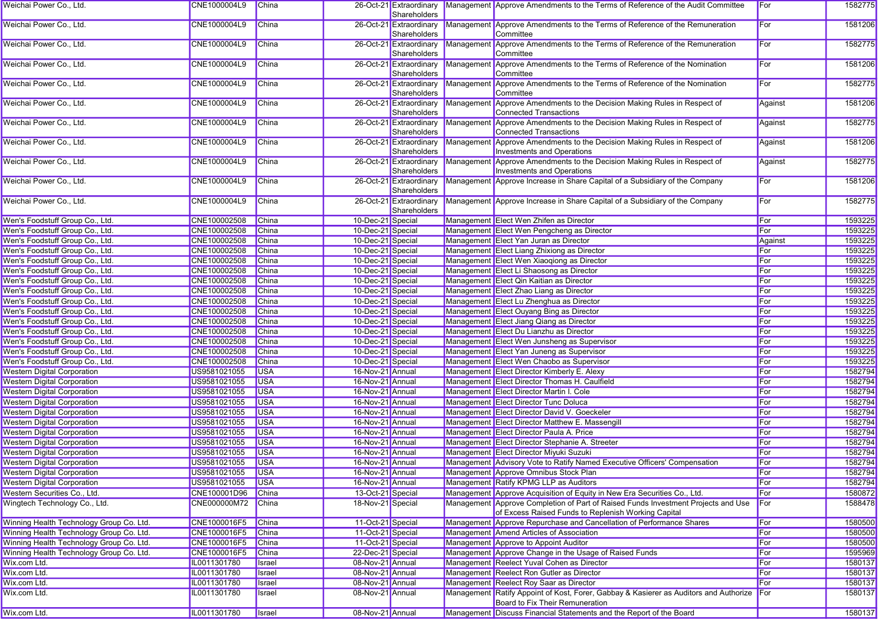| Weichai Power Co., Ltd.                  | CNE1000004L9     | <b>China</b>  |                   | Shareholders                            | 26-Oct-21 Extraordinary Management Approve Amendments to the Terms of Reference of the Audit Committee                                   | For     | 1582775 |
|------------------------------------------|------------------|---------------|-------------------|-----------------------------------------|------------------------------------------------------------------------------------------------------------------------------------------|---------|---------|
| Weichai Power Co., Ltd.                  | CNE1000004L9     | China         |                   | 26-Oct-21 Extraordinary<br>Shareholders | Management Approve Amendments to the Terms of Reference of the Remuneration<br>Committee                                                 | For     | 1581206 |
| Weichai Power Co., Ltd.                  | CNE1000004L9     | China         |                   | Shareholders                            | 26-Oct-21 Extraordinary Management Approve Amendments to the Terms of Reference of the Remuneration<br>Committee                         | For     | 1582775 |
| Weichai Power Co., Ltd.                  | CNE1000004L9     | China         |                   | Shareholders                            | 26-Oct-21 Extraordinary Management Approve Amendments to the Terms of Reference of the Nomination<br>Committee                           | For     | 1581206 |
| Weichai Power Co., Ltd.                  | CNE1000004L9     | China         |                   | 26-Oct-21 Extraordinary<br>Shareholders | Management Approve Amendments to the Terms of Reference of the Nomination<br>Committee                                                   | For     | 1582775 |
| Weichai Power Co., Ltd.                  | CNE1000004L9     | China         |                   | 26-Oct-21 Extraordinary<br>Shareholders | Management Approve Amendments to the Decision Making Rules in Respect of<br><b>Connected Transactions</b>                                | Against | 1581206 |
| Weichai Power Co., Ltd.                  | CNE1000004L9     | <b>China</b>  |                   | 26-Oct-21 Extraordinary<br>Shareholders | Management Approve Amendments to the Decision Making Rules in Respect of<br><b>Connected Transactions</b>                                | Against | 1582775 |
| Weichai Power Co., Ltd.                  | CNE1000004L9     | <b>China</b>  |                   | 26-Oct-21 Extraordinary<br>Shareholders | Management Approve Amendments to the Decision Making Rules in Respect of<br>Investments and Operations                                   | Against | 1581206 |
| Weichai Power Co., Ltd.                  | CNE1000004L9     | <b>China</b>  |                   | 26-Oct-21 Extraordinary<br>Shareholders | Management Approve Amendments to the Decision Making Rules in Respect of<br>Investments and Operations                                   | Against | 1582775 |
| Weichai Power Co., Ltd.                  | CNE1000004L9     | China         |                   | 26-Oct-21 Extraordinary<br>Shareholders | Management Approve Increase in Share Capital of a Subsidiary of the Company                                                              | For     | 1581206 |
| Weichai Power Co., Ltd.                  | CNE1000004L9     | <b>China</b>  |                   | 26-Oct-21 Extraordinary<br>Shareholders | Management Approve Increase in Share Capital of a Subsidiary of the Company                                                              | For     | 1582775 |
| Wen's Foodstuff Group Co., Ltd.          | CNE100002508     | China         | 10-Dec-21 Special |                                         | Management Elect Wen Zhifen as Director                                                                                                  | For     | 1593225 |
| Wen's Foodstuff Group Co., Ltd.          | CNE100002508     | <b>China</b>  | 10-Dec-21 Special |                                         | Management Elect Wen Pengcheng as Director                                                                                               | For     | 1593225 |
| Wen's Foodstuff Group Co., Ltd.          | CNE100002508     | <b>China</b>  | 10-Dec-21 Special |                                         | Management Elect Yan Juran as Director                                                                                                   | Against | 1593225 |
| Wen's Foodstuff Group Co., Ltd.          | CNE100002508     | China         | 10-Dec-21 Special |                                         | Management Elect Liang Zhixiong as Director                                                                                              | For     | 1593225 |
| Wen's Foodstuff Group Co., Ltd.          | CNE100002508     | China         | 10-Dec-21 Special |                                         | Management Elect Wen Xiaoqiong as Director                                                                                               | For     | 1593225 |
| Wen's Foodstuff Group Co., Ltd.          | CNE100002508     | China         | 10-Dec-21 Special |                                         | Management Elect Li Shaosong as Director                                                                                                 | For     | 1593225 |
| Wen's Foodstuff Group Co., Ltd.          | CNE100002508     | China         | 10-Dec-21 Special |                                         | Management Elect Qin Kaitian as Director                                                                                                 | For     | 1593225 |
| Wen's Foodstuff Group Co., Ltd.          | CNE100002508     | China         | 10-Dec-21 Special |                                         | Management Elect Zhao Liang as Director                                                                                                  | For     | 1593225 |
| Wen's Foodstuff Group Co., Ltd.          | CNE100002508     | China         | 10-Dec-21 Special |                                         | Management Elect Lu Zhenghua as Director                                                                                                 | For     | 1593225 |
| Wen's Foodstuff Group Co., Ltd.          | CNE100002508     | China         | 10-Dec-21 Special |                                         | Management Elect Ouyang Bing as Director                                                                                                 | For     | 1593225 |
| Wen's Foodstuff Group Co., Ltd.          | CNE100002508     | China         |                   |                                         |                                                                                                                                          | For     | 1593225 |
|                                          |                  |               | 10-Dec-21 Special |                                         | Management Elect Jiang Qiang as Director                                                                                                 |         |         |
| Wen's Foodstuff Group Co., Ltd.          | CNE100002508     | <b>China</b>  | 10-Dec-21 Special |                                         | Management Elect Du Lianzhu as Director                                                                                                  | For     | 1593225 |
| Wen's Foodstuff Group Co., Ltd.          | CNE100002508     | China         | 10-Dec-21 Special |                                         | Management Elect Wen Junsheng as Supervisor                                                                                              | For     | 1593225 |
| Wen's Foodstuff Group Co., Ltd.          | CNE100002508     | China         | 10-Dec-21 Special |                                         | Management Elect Yan Juneng as Supervisor                                                                                                | For     | 1593225 |
| Wen's Foodstuff Group Co., Ltd.          | CNE100002508     | China         | 10-Dec-21 Special |                                         | Management Elect Wen Chaobo as Supervisor                                                                                                | For     | 1593225 |
| <b>Western Digital Corporation</b>       | US9581021055     | <b>USA</b>    | 16-Nov-21 Annual  |                                         | Management Elect Director Kimberly E. Alexy                                                                                              | For     | 1582794 |
| <b>Western Digital Corporation</b>       | US9581021055     | <b>USA</b>    | 16-Nov-21 Annual  |                                         | Management Elect Director Thomas H. Caulfield                                                                                            | For     | 1582794 |
| <b>Western Digital Corporation</b>       | US9581021055     | <b>USA</b>    | 16-Nov-21 Annual  |                                         | Management Elect Director Martin I. Cole                                                                                                 | For     | 1582794 |
| <b>Western Digital Corporation</b>       | US9581021055     | <b>USA</b>    | 16-Nov-21 Annual  |                                         | Management Elect Director Tunc Doluca                                                                                                    | For     | 1582794 |
| <b>Western Digital Corporation</b>       | US9581021055     | <b>USA</b>    | 16-Nov-21 Annual  |                                         | Management Elect Director David V. Goeckeler                                                                                             | For     | 1582794 |
| <b>Western Digital Corporation</b>       | US9581021055     | <b>USA</b>    | 16-Nov-21 Annual  |                                         | Management Elect Director Matthew E. Massengill                                                                                          | For     | 1582794 |
| <b>Western Digital Corporation</b>       | US9581021055     | <b>USA</b>    | 16-Nov-21 Annual  |                                         | Management Elect Director Paula A. Price                                                                                                 | For     | 1582794 |
| <b>Western Digital Corporation</b>       | US9581021055     | <b>USA</b>    | 16-Nov-21 Annual  |                                         | Management Elect Director Stephanie A. Streeter                                                                                          | For     | 1582794 |
| <b>Western Digital Corporation</b>       | US9581021055     | <b>USA</b>    | 16-Nov-21 Annual  |                                         | Management Elect Director Miyuki Suzuki                                                                                                  | For     | 1582794 |
| <b>Western Digital Corporation</b>       | US9581021055     | <b>USA</b>    | 16-Nov-21 Annual  |                                         | Management Advisory Vote to Ratify Named Executive Officers' Compensation                                                                | For     | 1582794 |
| <b>Western Digital Corporation</b>       | US9581021055 USA |               | 16-Nov-21 Annual  |                                         | Management Approve Omnibus Stock Plan                                                                                                    | For     | 1582794 |
| <b>Western Digital Corporation</b>       | US9581021055     | <b>USA</b>    | 16-Nov-21 Annual  |                                         | Management Ratify KPMG LLP as Auditors                                                                                                   | For     | 1582794 |
| Western Securities Co., Ltd.             | CNE100001D96     | China         | 13-Oct-21 Special |                                         | Management Approve Acquisition of Equity in New Era Securities Co., Ltd.                                                                 | For     | 1580872 |
| Wingtech Technology Co., Ltd.            | CNE000000M72     | <b>China</b>  | 18-Nov-21 Special |                                         | Management Approve Completion of Part of Raised Funds Investment Projects and Use<br>of Excess Raised Funds to Replenish Working Capital | For     | 1588478 |
| Winning Health Technology Group Co. Ltd. | CNE1000016F5     | China         | 11-Oct-21 Special |                                         | Management Approve Repurchase and Cancellation of Performance Shares                                                                     | For     | 1580500 |
| Winning Health Technology Group Co. Ltd. | CNE1000016F5     | China         | 11-Oct-21 Special |                                         | Management Amend Articles of Association                                                                                                 | For     | 1580500 |
| Winning Health Technology Group Co. Ltd. | CNE1000016F5     | China         | 11-Oct-21 Special |                                         | Management Approve to Appoint Auditor                                                                                                    | For     | 1580500 |
| Winning Health Technology Group Co. Ltd. | CNE1000016F5     | China         | 22-Dec-21 Special |                                         | Management Approve Change in the Usage of Raised Funds                                                                                   | For     | 1595969 |
| Wix.com Ltd.                             | IL0011301780     | Israel        | 08-Nov-21 Annual  |                                         | Management Reelect Yuval Cohen as Director                                                                                               | For     | 1580137 |
| Wix.com Ltd.                             | IL0011301780     | Israel        | 08-Nov-21 Annual  |                                         | Management Reelect Ron Gutler as Director                                                                                                | For     | 1580137 |
| Wix.com Ltd.                             | IL0011301780     | Israel        | 08-Nov-21 Annual  |                                         | Management Reelect Roy Saar as Director                                                                                                  | For     | 1580137 |
| Wix.com Ltd.                             | IL0011301780     | Israel        | 08-Nov-21 Annual  |                                         | Management Ratify Appoint of Kost, Forer, Gabbay & Kasierer as Auditors and Authorize For<br>Board to Fix Their Remuneration             |         | 1580137 |
| Wix.com Ltd.                             | IL0011301780     | <b>Israel</b> | 08-Nov-21 Annual  |                                         | Management Discuss Financial Statements and the Report of the Board                                                                      |         | 1580137 |
|                                          |                  |               |                   |                                         |                                                                                                                                          |         |         |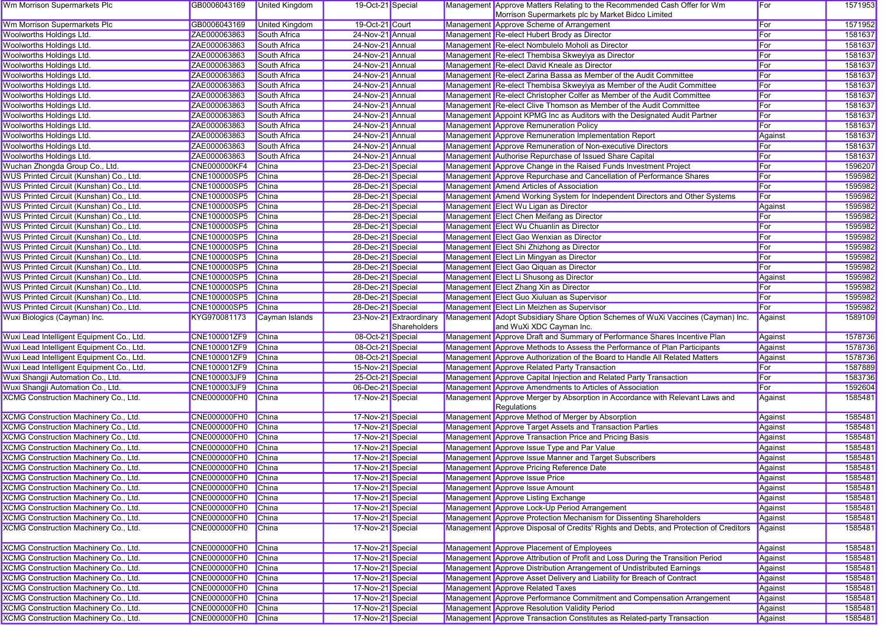| Wm Morrison Supermarkets Plc                 | GB0006043169        | United Kingdom        | 19-Oct-21 Special |                         | Management Approve Matters Relating to the Recommended Cash Offer for Wm              | For          | 1571953 |
|----------------------------------------------|---------------------|-----------------------|-------------------|-------------------------|---------------------------------------------------------------------------------------|--------------|---------|
|                                              |                     |                       |                   |                         | Morrison Supermarkets plc by Market Bidco Limited                                     |              |         |
| Wm Morrison Supermarkets Plc                 | GB0006043169        | <b>United Kingdom</b> | 19-Oct-21 Court   |                         | Management Approve Scheme of Arrangement                                              | <b>F</b> or  | 1571952 |
| Woolworths Holdings Ltd.                     | ZAE000063863        | South Africa          | 24-Nov-21 Annual  |                         | Management Re-elect Hubert Brody as Director                                          | <b>F</b> or  | 1581637 |
| Woolworths Holdings Ltd.                     | ZAE000063863        | <b>South Africa</b>   | 24-Nov-21 Annual  |                         | Management Re-elect Nombulelo Moholi as Director                                      | For          | 1581637 |
| Woolworths Holdings Ltd.                     | ZAE000063863        | South Africa          | 24-Nov-21 Annual  |                         | Management Re-elect Thembisa Skweyiya as Director                                     | For          | 1581637 |
| Woolworths Holdings Ltd.                     | ZAE000063863        | South Africa          | 24-Nov-21 Annual  |                         | Management Re-elect David Kneale as Director                                          | For          | 1581637 |
| Woolworths Holdings Ltd.                     | ZAE000063863        | South Africa          | 24-Nov-21 Annual  |                         | Management Re-elect Zarina Bassa as Member of the Audit Committee                     | <b>F</b> or  | 1581637 |
| Woolworths Holdings Ltd.                     | ZAE000063863        | South Africa          | 24-Nov-21 Annual  |                         | Management Re-elect Thembisa Skweyiya as Member of the Audit Committee                | <b>I</b> For | 1581637 |
| Woolworths Holdings Ltd.                     | ZAE000063863        | South Africa          | 24-Nov-21 Annual  |                         | Management Re-elect Christopher Colfer as Member of the Audit Committee               | For          | 1581637 |
| Woolworths Holdings Ltd.                     | ZAE000063863        | South Africa          | 24-Nov-21 Annual  |                         | Management Re-elect Clive Thomson as Member of the Audit Committee                    | For          | 1581637 |
| Woolworths Holdings Ltd.                     | ZAE000063863        | South Africa          | 24-Nov-21 Annual  |                         | Management Appoint KPMG Inc as Auditors with the Designated Audit Partner             | For          | 1581637 |
| Woolworths Holdings Ltd.                     | ZAE000063863        | South Africa          | 24-Nov-21 Annual  |                         | Management Approve Remuneration Policy                                                | For          | 1581637 |
| Woolworths Holdings Ltd.                     | ZAE000063863        | South Africa          | 24-Nov-21 Annual  |                         | Management Approve Remuneration Implementation Report                                 | Against      | 1581637 |
| Woolworths Holdings Ltd.                     | ZAE000063863        | <b>South Africa</b>   | 24-Nov-21 Annual  |                         | Management Approve Remuneration of Non-executive Directors                            | For          | 1581637 |
| Woolworths Holdings Ltd.                     | ZAE000063863        | South Africa          | 24-Nov-21 Annual  |                         | Management Authorise Repurchase of Issued Share Capital                               | For          | 1581637 |
| Wuchan Zhongda Group Co., Ltd.               | <b>CNE000000KF4</b> | China                 | 23-Dec-21 Special |                         | Management Approve Change in the Raised Funds Investment Project                      | For          | 1596207 |
| WUS Printed Circuit (Kunshan) Co., Ltd.      | CNE100000SP5        | <b>China</b>          | 28-Dec-21 Special |                         | Management Approve Repurchase and Cancellation of Performance Shares                  | For          | 1595982 |
| WUS Printed Circuit (Kunshan) Co., Ltd.      | CNE100000SP5        | China                 | 28-Dec-21 Special |                         | Management Amend Articles of Association                                              | For          | 1595982 |
| WUS Printed Circuit (Kunshan) Co., Ltd.      | <b>CNE100000SP5</b> | <b>China</b>          | 28-Dec-21 Special |                         | Management Amend Working System for Independent Directors and Other Systems           | For          | 1595982 |
| WUS Printed Circuit (Kunshan) Co., Ltd.      | CNE100000SP5        | China                 | 28-Dec-21 Special |                         | Management Elect Wu Ligan as Director                                                 | Against      | 1595982 |
| WUS Printed Circuit (Kunshan) Co., Ltd.      | CNE100000SP5        | China                 | 28-Dec-21 Special |                         | Management Elect Chen Meifang as Director                                             | For          | 1595982 |
| WUS Printed Circuit (Kunshan) Co., Ltd.      | CNE100000SP5        | China                 | 28-Dec-21 Special |                         | Management Elect Wu Chuanlin as Director                                              | <b>F</b> or  | 1595982 |
| WUS Printed Circuit (Kunshan) Co., Ltd.      | <b>CNE100000SP5</b> | China                 | 28-Dec-21 Special |                         | Management Elect Gao Wenxian as Director                                              | <b>F</b> or  | 1595982 |
| WUS Printed Circuit (Kunshan) Co., Ltd.      | <b>CNE100000SP5</b> | <b>China</b>          | 28-Dec-21 Special |                         | Management Elect Shi Zhizhong as Director                                             | For          | 1595982 |
| WUS Printed Circuit (Kunshan) Co., Ltd.      | CNE100000SP5        | <b>China</b>          | 28-Dec-21 Special |                         | Management Elect Lin Mingyan as Director                                              | For          | 1595982 |
| WUS Printed Circuit (Kunshan) Co., Ltd.      | CNE100000SP5        | China                 | 28-Dec-21 Special |                         | Management Elect Gao Qiquan as Director                                               | For          | 1595982 |
| WUS Printed Circuit (Kunshan) Co., Ltd.      | CNE100000SP5        | China                 | 28-Dec-21 Special |                         | Management Elect Li Shusong as Director                                               | Against      | 1595982 |
| WUS Printed Circuit (Kunshan) Co., Ltd.      | <b>CNE100000SP5</b> | <b>China</b>          | 28-Dec-21 Special |                         | Management Elect Zhang Xin as Director                                                | For          | 1595982 |
| WUS Printed Circuit (Kunshan) Co., Ltd.      | CNE100000SP5        | China                 | 28-Dec-21 Special |                         | Management Elect Guo Xiuluan as Supervisor                                            | For          | 1595982 |
| WUS Printed Circuit (Kunshan) Co., Ltd.      | CNE100000SP5        | China                 | 28-Dec-21 Special |                         | Management Elect Lin Meizhen as Supervisor                                            | For          | 1595982 |
| Wuxi Biologics (Cayman) Inc.                 | KYG970081173        | Cayman Islands        |                   | 23-Nov-21 Extraordinary | Management Adopt Subsidiary Share Option Schemes of WuXi Vaccines (Cayman) Inc.       | Against      | 1589109 |
|                                              |                     |                       |                   | Shareholders            | and WuXi XDC Cayman Inc.                                                              |              |         |
| Wuxi Lead Intelligent Equipment Co., Ltd.    | CNE100001ZF9        | <b>China</b>          | 08-Oct-21 Special |                         | Management Approve Draft and Summary of Performance Shares Incentive Plan             | Against      | 1578736 |
| Wuxi Lead Intelligent Equipment Co., Ltd.    | CNE100001ZF9        | China                 | 08-Oct-21 Special |                         | Management Approve Methods to Assess the Performance of Plan Participants             | Against      | 1578736 |
| Wuxi Lead Intelligent Equipment Co., Ltd.    | CNE100001ZF9        | China                 | 08-Oct-21 Special |                         | Management Approve Authorization of the Board to Handle All Related Matters           | Against      | 1578736 |
| Wuxi Lead Intelligent Equipment Co., Ltd.    | CNE100001ZF9        | China                 | 15-Nov-21 Special |                         | Management Approve Related Party Transaction                                          | For          | 1587889 |
| Wuxi Shangji Automation Co., Ltd.            | CNE100003JF9        | China                 | 25-Oct-21 Special |                         | Management Approve Capital Injection and Related Party Transaction                    | For          | 1583736 |
| Wuxi Shangji Automation Co., Ltd.            | CNE100003JF9        | China                 | 06-Dec-21 Special |                         | Management Approve Amendments to Articles of Association                              | For          | 1592604 |
| XCMG Construction Machinery Co., Ltd.        | CNE000000FH0        | China                 | 17-Nov-21 Special |                         | Management Approve Merger by Absorption in Accordance with Relevant Laws and          | Against      | 1585481 |
|                                              |                     |                       |                   |                         | Regulations                                                                           |              |         |
| XCMG Construction Machinery Co., Ltd.        | CNE000000FH0        | China                 | 17-Nov-21 Special |                         | Management Approve Method of Merger by Absorption                                     | Against      | 1585481 |
| XCMG Construction Machinery Co., Ltd.        | CNE000000FH0        | <b>China</b>          | 17-Nov-21 Special |                         | <b>Management Approve Target Assets and Transaction Parties</b>                       | Against      | 1585481 |
| XCMG Construction Machinery Co., Ltd.        | CNE000000FH0        | <b>China</b>          | 17-Nov-21 Special |                         | Management Approve Transaction Price and Pricing Basis                                | Against      | 1585481 |
| XCMG Construction Machinery Co., Ltd.        | CNE000000FH0        | <b>China</b>          | 17-Nov-21 Special |                         | Management Approve Issue Type and Par Value                                           | Against      | 1585481 |
| XCMG Construction Machinery Co., Ltd.        | <b>CNE000000FH0</b> | <b>China</b>          | 17-Nov-21 Special |                         | Management Approve Issue Manner and Target Subscribers                                | Against      | 1585481 |
| <b>XCMG Construction Machinery Co., Ltd.</b> | CNE000000FH0        | China                 | 17-Nov-21 Special |                         | Management Approve Pricing Reference Date                                             | Against      | 1585481 |
| XCMG Construction Machinery Co., Ltd.        | CNE000000FH0 China  |                       | 17-Nov-21 Special |                         | Management Approve Issue Price                                                        | Against      | 1585481 |
| <b>XCMG Construction Machinery Co., Ltd.</b> | CNE000000FH0        | <b>China</b>          | 17-Nov-21 Special |                         | Management Approve Issue Amount                                                       | Against      | 1585481 |
| XCMG Construction Machinery Co., Ltd.        | <b>CNE000000FH0</b> | China                 | 17-Nov-21 Special |                         | Management Approve Listing Exchange                                                   | Against      | 1585481 |
| <b>XCMG Construction Machinery Co., Ltd.</b> | CNE000000FH0        | China                 | 17-Nov-21 Special |                         | Management Approve Lock-Up Period Arrangement                                         | Against      | 1585481 |
| XCMG Construction Machinery Co., Ltd.        | CNE000000FH0        | <b>China</b>          | 17-Nov-21 Special |                         | Management Approve Protection Mechanism for Dissenting Shareholders                   | Against      | 1585481 |
| XCMG Construction Machinery Co., Ltd.        | <b>CNE000000FH0</b> | China                 | 17-Nov-21 Special |                         | Management Approve Disposal of Credits' Rights and Debts, and Protection of Creditors | Against      | 1585481 |
|                                              |                     |                       |                   |                         |                                                                                       |              |         |
| XCMG Construction Machinery Co., Ltd.        | CNE000000FH0        | China                 | 17-Nov-21 Special |                         | Management Approve Placement of Employees                                             | Against      | 1585481 |
| XCMG Construction Machinery Co., Ltd.        | <b>CNE000000FH0</b> | China                 | 17-Nov-21 Special |                         | Management Approve Attribution of Profit and Loss During the Transition Period        | Against      | 1585481 |
| XCMG Construction Machinery Co., Ltd.        | CNE000000FH0        | China                 | 17-Nov-21 Special |                         | Management Approve Distribution Arrangement of Undistributed Earnings                 | Against      | 1585481 |
| XCMG Construction Machinery Co., Ltd.        | CNE000000FH0        | China                 | 17-Nov-21 Special |                         | Management Approve Asset Delivery and Liability for Breach of Contract                | Against      | 1585481 |
| <b>XCMG Construction Machinery Co., Ltd.</b> | CNE000000FH0        | China                 | 17-Nov-21 Special |                         | Management Approve Related Taxes                                                      | Against      | 1585481 |
| XCMG Construction Machinery Co., Ltd.        | <b>CNE000000FH0</b> | China                 | 17-Nov-21 Special |                         | Management Approve Performance Commitment and Compensation Arrangement                | Against      | 1585481 |
| XCMG Construction Machinery Co., Ltd.        | <b>CNE000000FH0</b> | China                 | 17-Nov-21 Special |                         | Management Approve Resolution Validity Period                                         | Against      | 1585481 |
|                                              | CNE000000FH0 China  |                       | 17-Nov-21 Special |                         | Management Approve Transaction Constitutes as Related-party Transaction               | Against      | 1585481 |
| XCMG Construction Machinery Co., Ltd.        |                     |                       |                   |                         |                                                                                       |              |         |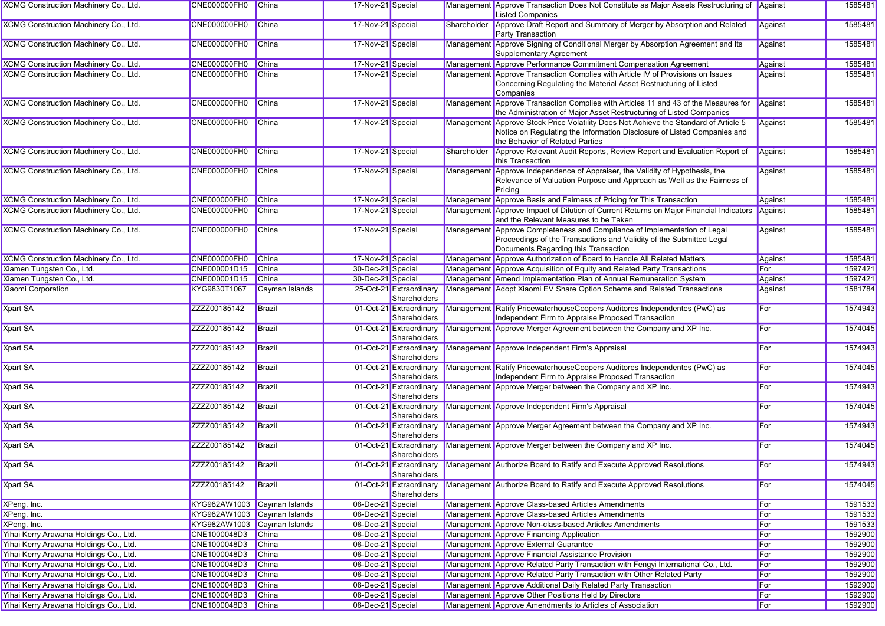| XCMG Construction Machinery Co., Ltd.        | <b>CNE000000FH0</b>         | China          | 17-Nov-21 Special |                                         |             | Management Approve Transaction Does Not Constitute as Major Assets Restructuring of Against<br><b>Listed Companies</b>                                                                  |         | 1585481 |
|----------------------------------------------|-----------------------------|----------------|-------------------|-----------------------------------------|-------------|-----------------------------------------------------------------------------------------------------------------------------------------------------------------------------------------|---------|---------|
| XCMG Construction Machinery Co., Ltd.        | <b>CNE000000FH0</b>         | China          | 17-Nov-21 Special |                                         | Shareholder | Approve Draft Report and Summary of Merger by Absorption and Related<br><b>Party Transaction</b>                                                                                        | Against | 1585481 |
| XCMG Construction Machinery Co., Ltd.        | <b>CNE000000FH0</b>         | China          | 17-Nov-21 Special |                                         |             | Management Approve Signing of Conditional Merger by Absorption Agreement and Its<br>Supplementary Agreement                                                                             | Against | 1585481 |
| XCMG Construction Machinery Co., Ltd.        | <b>CNE000000FH0</b>         | <b>China</b>   | 17-Nov-21 Special |                                         |             | Management Approve Performance Commitment Compensation Agreement                                                                                                                        | Against | 1585481 |
| <b>XCMG Construction Machinery Co., Ltd.</b> | <b>CNE000000FH0</b>         | China          | 17-Nov-21 Special |                                         |             | Management Approve Transaction Complies with Article IV of Provisions on Issues<br>Concerning Regulating the Material Asset Restructuring of Listed<br>Companies                        | Against | 1585481 |
| XCMG Construction Machinery Co., Ltd.        | <b>CNE000000FH0</b>         | China          | 17-Nov-21 Special |                                         |             | Management Approve Transaction Complies with Articles 11 and 43 of the Measures for<br>the Administration of Major Asset Restructuring of Listed Companies                              | Against | 1585481 |
| XCMG Construction Machinery Co., Ltd.        | <b>CNE000000FH0</b>         | China          | 17-Nov-21 Special |                                         | Management  | Approve Stock Price Volatility Does Not Achieve the Standard of Article 5<br>Notice on Regulating the Information Disclosure of Listed Companies and<br>the Behavior of Related Parties | Against | 1585481 |
| XCMG Construction Machinery Co., Ltd.        | <b>CNE000000FH0</b>         | China          | 17-Nov-21 Special |                                         | Shareholder | Approve Relevant Audit Reports, Review Report and Evaluation Report of<br>this Transaction                                                                                              | Against | 1585481 |
| XCMG Construction Machinery Co., Ltd.        | <b>CNE000000FH0</b>         | <b>China</b>   | 17-Nov-21 Special |                                         |             | Management Approve Independence of Appraiser, the Validity of Hypothesis, the<br>Relevance of Valuation Purpose and Approach as Well as the Fairness of<br>Pricing                      | Against | 1585481 |
| XCMG Construction Machinery Co., Ltd.        | CNE000000FH0                | China          | 17-Nov-21 Special |                                         |             | Management Approve Basis and Fairness of Pricing for This Transaction                                                                                                                   | Against | 1585481 |
| XCMG Construction Machinery Co., Ltd.        | <b>CNE000000FH0</b>         | China          | 17-Nov-21 Special |                                         |             | Management Approve Impact of Dilution of Current Returns on Major Financial Indicators<br>and the Relevant Measures to be Taken                                                         | Against | 1585481 |
| <b>XCMG Construction Machinery Co., Ltd.</b> | CNE000000FH0                | China          | 17-Nov-21 Special |                                         | Management  | Approve Completeness and Compliance of Implementation of Legal<br>Proceedings of the Transactions and Validity of the Submitted Legal<br>Documents Regarding this Transaction           | Against | 1585481 |
| XCMG Construction Machinery Co., Ltd.        | CNE000000FH0                | China          | 17-Nov-21 Special |                                         |             | Management Approve Authorization of Board to Handle All Related Matters                                                                                                                 | Against | 1585481 |
| Xiamen Tungsten Co., Ltd.                    | CNE000001D15                | <b>China</b>   | 30-Dec-21 Special |                                         |             | Management Approve Acquisition of Equity and Related Party Transactions                                                                                                                 | For     | 1597421 |
| Xiamen Tungsten Co., Ltd.                    | CNE000001D15                | China          | 30-Dec-21 Special |                                         |             | Management Amend Implementation Plan of Annual Remuneration System                                                                                                                      | Against | 1597421 |
| <b>Xiaomi Corporation</b>                    | KYG9830T1067                | Cayman Islands |                   | 25-Oct-21 Extraordinary<br>Shareholders |             | Management Adopt Xiaomi EV Share Option Scheme and Related Transactions                                                                                                                 | Against | 1581784 |
| <b>Xpart SA</b>                              | ZZZZ00185142                | Brazil         |                   | 01-Oct-21 Extraordinary<br>Shareholders |             | Management Ratify PricewaterhouseCoopers Auditores Independentes (PwC) as<br>Independent Firm to Appraise Proposed Transaction                                                          | For     | 1574943 |
| <b>Xpart SA</b>                              | ZZZZ00185142                | Brazil         |                   | 01-Oct-21 Extraordinary<br>Shareholders |             | Management Approve Merger Agreement between the Company and XP Inc.                                                                                                                     | For     | 1574045 |
| Xpart SA                                     | ZZZZ00185142                | Brazil         |                   | 01-Oct-21 Extraordinary<br>Shareholders |             | Management Approve Independent Firm's Appraisal                                                                                                                                         | For     | 1574943 |
| <b>Xpart SA</b>                              | ZZZZ00185142                | Brazil         |                   | 01-Oct-21 Extraordinary<br>Shareholders |             | Management Ratify PricewaterhouseCoopers Auditores Independentes (PwC) as<br>Independent Firm to Appraise Proposed Transaction                                                          | For     | 1574045 |
| <b>Xpart SA</b>                              | ZZZZ00185142                | Brazil         |                   | 01-Oct-21 Extraordinary<br>Shareholders |             | Management Approve Merger between the Company and XP Inc.                                                                                                                               | For     | 1574943 |
| <b>Xpart SA</b>                              | ZZZZ00185142                | Brazil         |                   | 01-Oct-21 Extraordinary<br>Shareholders |             | Management Approve Independent Firm's Appraisal                                                                                                                                         | For     | 1574045 |
| <b>Xpart SA</b>                              | ZZZZ00185142                | Brazil         |                   | 01-Oct-21 Extraordinary<br>Shareholders |             | Management Approve Merger Agreement between the Company and XP Inc.                                                                                                                     | For     | 1574943 |
| <b>Xpart SA</b>                              | ZZZZ00185142                | Brazil         |                   | 01-Oct-21 Extraordinary<br>Shareholders |             | Management Approve Merger between the Company and XP Inc.                                                                                                                               | For     | 1574045 |
| <b>Xpart SA</b>                              | ZZZZ00185142                | Brazil         |                   | Shareholders                            |             | 01-Oct-21 Extraordinary   Management   Authorize Board to Ratify and Execute Approved Resolutions                                                                                       | For     | 1574943 |
| <b>Xpart SA</b>                              | ZZZZ00185142                | Brazil         |                   | 01-Oct-21 Extraordinary<br>Shareholders |             | Management Authorize Board to Ratify and Execute Approved Resolutions                                                                                                                   | For     | 1574045 |
| XPeng, Inc.                                  | KYG982AW1003 Cayman Islands |                | 08-Dec-21 Special |                                         |             | Management Approve Class-based Articles Amendments                                                                                                                                      | For     | 1591533 |
| XPeng, Inc.                                  | KYG982AW1003 Cayman Islands |                | 08-Dec-21 Special |                                         |             | Management Approve Class-based Articles Amendments                                                                                                                                      | For     | 1591533 |
| XPeng, Inc.                                  | KYG982AW1003 Cayman Islands |                | 08-Dec-21 Special |                                         |             | Management Approve Non-class-based Articles Amendments                                                                                                                                  | For     | 1591533 |
| Yihai Kerry Arawana Holdings Co., Ltd.       | CNE1000048D3                | China          | 08-Dec-21 Special |                                         |             | Management Approve Financing Application                                                                                                                                                | For     | 1592900 |
| Yihai Kerry Arawana Holdings Co., Ltd.       | CNE1000048D3                | China          | 08-Dec-21 Special |                                         |             | Management Approve External Guarantee                                                                                                                                                   | For     | 1592900 |
| Yihai Kerry Arawana Holdings Co., Ltd.       | CNE1000048D3                | China          | 08-Dec-21 Special |                                         |             | Management Approve Financial Assistance Provision                                                                                                                                       | For     | 1592900 |
| Yihai Kerry Arawana Holdings Co., Ltd.       | CNE1000048D3                | China          | 08-Dec-21 Special |                                         |             | Management Approve Related Party Transaction with Fengyi International Co., Ltd.                                                                                                        | For     | 1592900 |
| Yihai Kerry Arawana Holdings Co., Ltd.       | CNE1000048D3                | China          | 08-Dec-21 Special |                                         |             | Management Approve Related Party Transaction with Other Related Party                                                                                                                   | For     | 1592900 |
| Yihai Kerry Arawana Holdings Co., Ltd.       | CNE1000048D3                | China          | 08-Dec-21 Special |                                         |             | Management Approve Additional Daily Related Party Transaction                                                                                                                           | For     | 1592900 |
| Yihai Kerry Arawana Holdings Co., Ltd.       | CNE1000048D3                | China          | 08-Dec-21 Special |                                         |             | Management Approve Other Positions Held by Directors                                                                                                                                    | For     | 1592900 |
| Yihai Kerry Arawana Holdings Co., Ltd.       | CNE1000048D3                | China          | 08-Dec-21 Special |                                         |             | Management Approve Amendments to Articles of Association                                                                                                                                | For     | 1592900 |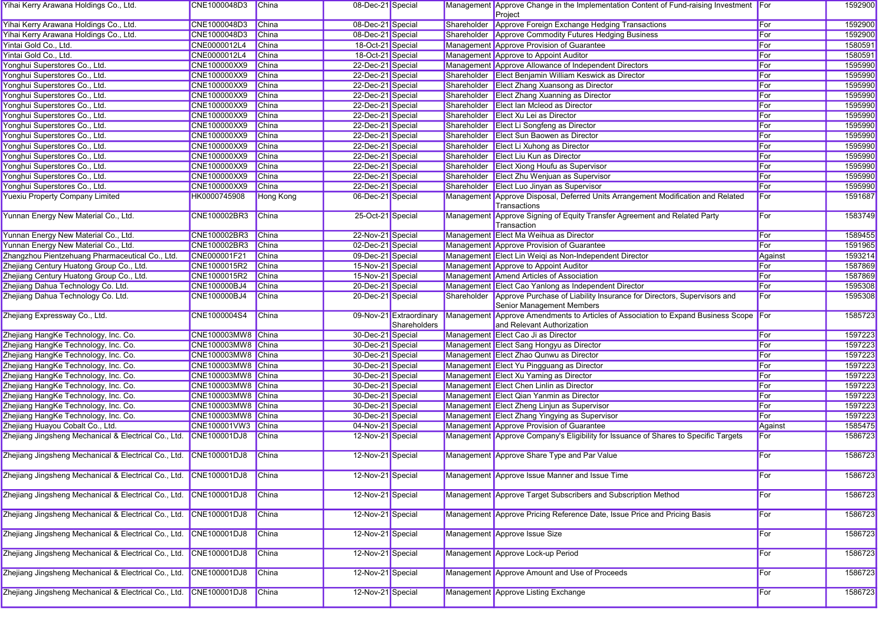| Yihai Kerry Arawana Holdings Co., Ltd.                                       | CNE1000048D3                             | China        | 08-Dec-21 Special                      |                                         | Management Approve Change in the Implementation Content of Fund-raising Investment For<br>Project |            | 1592900            |
|------------------------------------------------------------------------------|------------------------------------------|--------------|----------------------------------------|-----------------------------------------|---------------------------------------------------------------------------------------------------|------------|--------------------|
| Yihai Kerry Arawana Holdings Co., Ltd.                                       | CNE1000048D3                             | China        | 08-Dec-21 Special                      |                                         | Shareholder Approve Foreign Exchange Hedging Transactions                                         | For        | 1592900            |
| Yihai Kerry Arawana Holdings Co., Ltd.                                       | CNE1000048D3                             | China        | 08-Dec-21 Special                      |                                         | Shareholder Approve Commodity Futures Hedging Business                                            | For        | 1592900            |
| Yintai Gold Co., Ltd.                                                        | CNE0000012L4                             | <b>China</b> | 18-Oct-21 Special                      |                                         | Management Approve Provision of Guarantee                                                         | For        | 1580591            |
| Yintai Gold Co., Ltd.                                                        | CNE0000012L4                             | China        | 18-Oct-21 Special                      |                                         | Management Approve to Appoint Auditor                                                             | For        | 1580591            |
| Yonghui Superstores Co., Ltd.                                                | CNE100000XX9                             | China        | 22-Dec-21 Special                      |                                         | Management Approve Allowance of Independent Directors                                             | For        | 1595990            |
| Yonghui Superstores Co., Ltd.                                                | CNE100000XX9                             | China        | 22-Dec-21 Special                      |                                         | Shareholder Elect Benjamin William Keswick as Director                                            | For        | 1595990            |
| Yonghui Superstores Co., Ltd.                                                | CNE100000XX9                             | <b>China</b> | 22-Dec-21 Special                      |                                         | Shareholder Elect Zhang Xuansong as Director                                                      | For        | 1595990            |
| Yonghui Superstores Co., Ltd.                                                | CNE100000XX9                             | <b>China</b> | 22-Dec-21 Special                      |                                         | Shareholder Elect Zhang Xuanning as Director                                                      | For        | 1595990            |
| Yonghui Superstores Co., Ltd.                                                | CNE100000XX9                             | China        | 22-Dec-21 Special                      |                                         | Shareholder Elect Ian Mcleod as Director                                                          | For        | 1595990            |
| Yonghui Superstores Co., Ltd.                                                | CNE100000XX9                             | China        | 22-Dec-21 Special                      |                                         | Shareholder Elect Xu Lei as Director                                                              | For        | 1595990            |
| Yonghui Superstores Co., Ltd.                                                | CNE100000XX9                             | China        | 22-Dec-21 Special                      |                                         | Shareholder Elect Li Songfeng as Director                                                         | For        | 1595990            |
| Yonghui Superstores Co., Ltd.                                                | CNE100000XX9                             | China        | 22-Dec-21 Special                      |                                         | Shareholder Elect Sun Baowen as Director                                                          | For        | 1595990            |
| Yonghui Superstores Co., Ltd.                                                | <b>CNE100000XX9</b>                      | <b>China</b> | 22-Dec-21 Special                      |                                         | Shareholder Elect Li Xuhong as Director                                                           | For        | 1595990            |
| Yonghui Superstores Co., Ltd.                                                | CNE100000XX9                             | China        | 22-Dec-21 Special                      |                                         | Shareholder Elect Liu Kun as Director                                                             | For        | 1595990            |
| Yonghui Superstores Co., Ltd.                                                | CNE100000XX9                             | China        | 22-Dec-21 Special                      |                                         | Shareholder Elect Xiong Houfu as Supervisor                                                       | For        | 1595990            |
|                                                                              | CNE100000XX9                             | China        | 22-Dec-21 Special                      |                                         | Shareholder Elect Zhu Wenjuan as Supervisor                                                       | For        | 1595990            |
| Yonghui Superstores Co., Ltd.                                                |                                          |              |                                        |                                         |                                                                                                   |            |                    |
| Yonghui Superstores Co., Ltd.                                                | CNE100000XX9                             | China        | 22-Dec-21 Special                      |                                         | Shareholder Elect Luo Jinyan as Supervisor                                                        | For        | 1595990            |
| <b>Yuexiu Property Company Limited</b>                                       | HK0000745908                             | Hong Kong    | 06-Dec-21 Special                      |                                         | Management Approve Disposal, Deferred Units Arrangement Modification and Related<br>Transactions  | For        | 1591687            |
| Yunnan Energy New Material Co., Ltd.                                         | CNE100002BR3                             | <b>China</b> | 25-Oct-21 Special                      |                                         | Management Approve Signing of Equity Transfer Agreement and Related Party<br>Transaction          | For        | 1583749            |
| Yunnan Energy New Material Co., Ltd.                                         | CNE100002BR3                             | China        | 22-Nov-21 Special                      |                                         | Management Elect Ma Weihua as Director                                                            | For        | 1589455            |
| Yunnan Energy New Material Co., Ltd.                                         | CNE100002BR3                             | China        | 02-Dec-21 Special                      |                                         | Management Approve Provision of Guarantee                                                         | For        | 1591965            |
| Zhangzhou Pientzehuang Pharmaceutical Co., Ltd.                              | CNE000001F21                             | China        | 09-Dec-21 Special                      |                                         | Management Elect Lin Weiqi as Non-Independent Director                                            | Against    | 1593214            |
| Zhejiang Century Huatong Group Co., Ltd.                                     | CNE1000015R2                             | <b>China</b> | 15-Nov-21 Special                      |                                         | Management Approve to Appoint Auditor                                                             | For        | 1587869            |
| Zhejiang Century Huatong Group Co., Ltd.                                     | CNE1000015R2                             | China        | 15-Nov-21 Special                      |                                         | Management Amend Articles of Association                                                          | For        | 1587869            |
| Zhejiang Dahua Technology Co. Ltd.                                           | CNE100000BJ4                             | China        | 20-Dec-21 Special                      |                                         | Management Elect Cao Yanlong as Independent Director                                              | For        | 1595308            |
| Zhejiang Dahua Technology Co. Ltd.                                           | CNE100000BJ4                             | China        | 20-Dec-21 Special                      |                                         | Shareholder Approve Purchase of Liability Insurance for Directors, Supervisors and                | For        | 1595308            |
|                                                                              |                                          |              |                                        |                                         | Senior Management Members                                                                         |            |                    |
|                                                                              |                                          |              |                                        |                                         |                                                                                                   |            |                    |
| Zhejiang Expressway Co., Ltd.                                                | CNE1000004S4                             | <b>China</b> |                                        | 09-Nov-21 Extraordinary<br>Shareholders | Management Approve Amendments to Articles of Association to Expand Business Scope For             |            | 1585723            |
|                                                                              |                                          |              |                                        |                                         | and Relevant Authorization                                                                        |            |                    |
| Zhejiang HangKe Technology, Inc. Co.<br>Zhejiang HangKe Technology, Inc. Co. | CNE100003MW8 China<br>CNE100003MW8 China |              | 30-Dec-21 Special<br>30-Dec-21 Special |                                         | Management Elect Cao Ji as Director                                                               | For<br>For | 1597223<br>1597223 |
|                                                                              |                                          |              |                                        |                                         | Management Elect Sang Hongyu as Director                                                          | For        |                    |
| Zhejiang HangKe Technology, Inc. Co.                                         | CNE100003MW8 China                       |              | 30-Dec-21 Special                      |                                         | Management Elect Zhao Qunwu as Director                                                           | For        | 1597223            |
| Zhejiang HangKe Technology, Inc. Co.                                         | CNE100003MW8 China                       |              | 30-Dec-21 Special                      |                                         | Management Elect Yu Pingguang as Director                                                         |            | 1597223            |
| Zhejiang HangKe Technology, Inc. Co.                                         | CNE100003MW8 China                       |              | 30-Dec-21 Special                      |                                         | Management Elect Xu Yaming as Director                                                            | For        | 1597223            |
| Zhejiang HangKe Technology, Inc. Co.                                         | CNE100003MW8 China                       |              | 30-Dec-21 Special                      |                                         | Management Elect Chen Linlin as Director                                                          | For        | 1597223            |
| Zhejiang HangKe Technology, Inc. Co.                                         | CNE100003MW8 China                       |              | 30-Dec-21 Special                      |                                         | Management Elect Qian Yanmin as Director                                                          | For        | 1597223            |
| Zhejiang HangKe Technology, Inc. Co.                                         | CNE100003MW8 China                       |              | 30-Dec-21 Special                      |                                         | Management Elect Zheng Linjun as Supervisor                                                       | For        | 1597223            |
| Zhejiang HangKe Technology, Inc. Co.                                         | CNE100003MW8 China                       |              | 30-Dec-21 Special                      |                                         | Management Elect Zhang Yingying as Supervisor                                                     | For        | 1597223            |
| Zhejiang Huayou Cobalt Co., Ltd.                                             | CNE100001VW3                             | China        | 04-Nov-21 Special                      |                                         | Management Approve Provision of Guarantee                                                         | Against    | 1585475            |
| Zhejiang Jingsheng Mechanical & Electrical Co., Ltd. CNE100001DJ8            |                                          | China        | 12-Nov-21 Special                      |                                         | Management Approve Company's Eligibility for Issuance of Shares to Specific Targets               | For        | 1586723            |
| Zhejiang Jingsheng Mechanical & Electrical Co., Ltd. CNE100001DJ8            |                                          | <b>China</b> | 12-Nov-21 Special                      |                                         | Management Approve Share Type and Par Value                                                       | For        | 1586723            |
| Zhejiang Jingsheng Mechanical & Electrical Co., Ltd. CNE100001DJ8            |                                          | <b>China</b> | 12-Nov-21 Special                      |                                         | Management Approve Issue Manner and Issue Time                                                    | For        | 1586723            |
| Zhejiang Jingsheng Mechanical & Electrical Co., Ltd. CNE100001DJ8            |                                          | China        | 12-Nov-21 Special                      |                                         | Management Approve Target Subscribers and Subscription Method                                     | For        | 1586723            |
| Zhejiang Jingsheng Mechanical & Electrical Co., Ltd. CNE100001DJ8            |                                          | <b>China</b> | 12-Nov-21 Special                      |                                         | Management Approve Pricing Reference Date, Issue Price and Pricing Basis                          | For        | 1586723            |
| Zhejiang Jingsheng Mechanical & Electrical Co., Ltd. CNE100001DJ8            |                                          | China        | 12-Nov-21 Special                      |                                         | Management Approve Issue Size                                                                     | For        | 1586723            |
| Zhejiang Jingsheng Mechanical & Electrical Co., Ltd. CNE100001DJ8            |                                          | <b>China</b> | 12-Nov-21 Special                      |                                         | Management Approve Lock-up Period                                                                 | For        | 1586723            |
| Zhejiang Jingsheng Mechanical & Electrical Co., Ltd. CNE100001DJ8            |                                          | <b>China</b> | 12-Nov-21 Special                      |                                         | Management Approve Amount and Use of Proceeds                                                     | For        | 1586723            |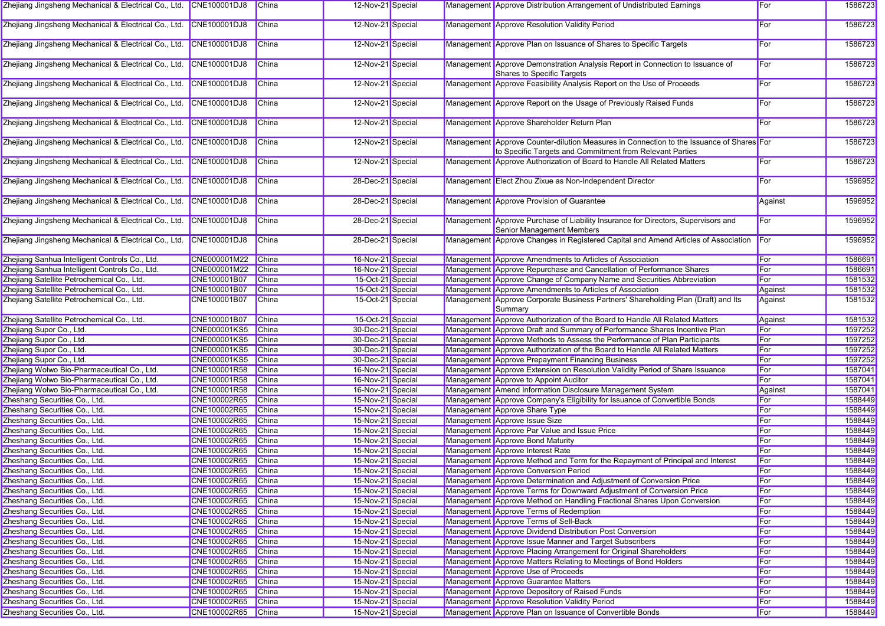| Zhejiang Jingsheng Mechanical & Electrical Co., Ltd. CNE100001DJ8 |                     | <b>China</b> | 12-Nov-21 Special |  | Management Approve Distribution Arrangement of Undistributed Earnings                                                                                | For        | 1586723 |
|-------------------------------------------------------------------|---------------------|--------------|-------------------|--|------------------------------------------------------------------------------------------------------------------------------------------------------|------------|---------|
| Zhejiang Jingsheng Mechanical & Electrical Co., Ltd. CNE100001DJ8 |                     | China        | 12-Nov-21 Special |  | Management Approve Resolution Validity Period                                                                                                        | For        | 1586723 |
| Zhejiang Jingsheng Mechanical & Electrical Co., Ltd. CNE100001DJ8 |                     | China        | 12-Nov-21 Special |  | Management Approve Plan on Issuance of Shares to Specific Targets                                                                                    | For        | 1586723 |
| Zhejiang Jingsheng Mechanical & Electrical Co., Ltd. CNE100001DJ8 |                     | China        | 12-Nov-21 Special |  | Management Approve Demonstration Analysis Report in Connection to Issuance of<br>Shares to Specific Targets                                          | For        | 1586723 |
| Zhejiang Jingsheng Mechanical & Electrical Co., Ltd. CNE100001DJ8 |                     | China        | 12-Nov-21 Special |  | Management Approve Feasibility Analysis Report on the Use of Proceeds                                                                                | For        | 1586723 |
| Zhejiang Jingsheng Mechanical & Electrical Co., Ltd. CNE100001DJ8 |                     | China        | 12-Nov-21 Special |  | Management Approve Report on the Usage of Previously Raised Funds                                                                                    | For        | 1586723 |
| Zhejiang Jingsheng Mechanical & Electrical Co., Ltd. CNE100001DJ8 |                     | China        | 12-Nov-21 Special |  | Management Approve Shareholder Return Plan                                                                                                           | For        | 1586723 |
| Zhejiang Jingsheng Mechanical & Electrical Co., Ltd. CNE100001DJ8 |                     | China        | 12-Nov-21 Special |  | Management Approve Counter-dilution Measures in Connection to the Issuance of Shares For<br>to Specific Targets and Commitment from Relevant Parties |            | 1586723 |
| Zhejiang Jingsheng Mechanical & Electrical Co., Ltd. CNE100001DJ8 |                     | China        | 12-Nov-21 Special |  | Management Approve Authorization of Board to Handle All Related Matters                                                                              | For        | 1586723 |
| Zhejiang Jingsheng Mechanical & Electrical Co., Ltd. CNE100001DJ8 |                     | China        | 28-Dec-21 Special |  | Management Elect Zhou Zixue as Non-Independent Director                                                                                              | For        | 1596952 |
| Zhejiang Jingsheng Mechanical & Electrical Co., Ltd. CNE100001DJ8 |                     | China        | 28-Dec-21 Special |  | Management Approve Provision of Guarantee                                                                                                            | Against    | 1596952 |
| Zhejiang Jingsheng Mechanical & Electrical Co., Ltd. CNE100001DJ8 |                     | China        | 28-Dec-21 Special |  | Management Approve Purchase of Liability Insurance for Directors, Supervisors and<br>Senior Management Members                                       | For        | 1596952 |
| Zhejiang Jingsheng Mechanical & Electrical Co., Ltd. CNE100001DJ8 |                     | China        | 28-Dec-21 Special |  | Management Approve Changes in Registered Capital and Amend Articles of Association                                                                   | For        | 1596952 |
| Zhejiang Sanhua Intelligent Controls Co., Ltd.                    | CNE000001M22        | <b>China</b> | 16-Nov-21 Special |  | Management Approve Amendments to Articles of Association                                                                                             | For        | 1586691 |
| Zhejiang Sanhua Intelligent Controls Co., Ltd.                    | CNE000001M22        | <b>China</b> | 16-Nov-21 Special |  | Management Approve Repurchase and Cancellation of Performance Shares                                                                                 | For        | 1586691 |
| Zhejiang Satellite Petrochemical Co., Ltd.                        | CNE100001B07        | <b>China</b> | 15-Oct-21 Special |  | Management Approve Change of Company Name and Securities Abbreviation                                                                                | For        | 1581532 |
| Zhejiang Satellite Petrochemical Co., Ltd.                        | CNE100001B07        | China        | 15-Oct-21 Special |  | Management Approve Amendments to Articles of Association                                                                                             | Against    | 1581532 |
| Zhejiang Satellite Petrochemical Co., Ltd.                        | CNE100001B07        | <b>China</b> | 15-Oct-21 Special |  | Management Approve Corporate Business Partners' Shareholding Plan (Draft) and Its<br>Summary                                                         | Against    | 1581532 |
| Zhejiang Satellite Petrochemical Co., Ltd.                        | CNE100001B07        | China        | 15-Oct-21 Special |  | Management Approve Authorization of the Board to Handle All Related Matters                                                                          | Against    | 1581532 |
| Zhejiang Supor Co., Ltd.                                          | <b>CNE000001KS5</b> | <b>China</b> | 30-Dec-21 Special |  | Management Approve Draft and Summary of Performance Shares Incentive Plan                                                                            | For        | 1597252 |
| Zhejiang Supor Co., Ltd.                                          | <b>CNE000001KS5</b> | China        | 30-Dec-21 Special |  | Management Approve Methods to Assess the Performance of Plan Participants                                                                            | For        | 1597252 |
| Zhejiang Supor Co., Ltd.                                          | <b>CNE000001KS5</b> | <b>China</b> | 30-Dec-21 Special |  | Management Approve Authorization of the Board to Handle All Related Matters                                                                          | For        | 1597252 |
| Zhejiang Supor Co., Ltd.                                          | <b>CNE000001KS5</b> | <b>China</b> | 30-Dec-21 Special |  | Management Approve Prepayment Financing Business                                                                                                     | For        | 1597252 |
| Zhejiang Wolwo Bio-Pharmaceutical Co., Ltd.                       | CNE100001R58        | China        | 16-Nov-21 Special |  | Management Approve Extension on Resolution Validity Period of Share Issuance                                                                         | For        | 1587041 |
| Zhejiang Wolwo Bio-Pharmaceutical Co., Ltd.                       | CNE100001R58        | China        | 16-Nov-21 Special |  | Management Approve to Appoint Auditor                                                                                                                | For        | 1587041 |
| Zhejiang Wolwo Bio-Pharmaceutical Co., Ltd.                       | CNE100001R58        | <b>China</b> | 16-Nov-21 Special |  | Management Amend Information Disclosure Management System                                                                                            | Against    | 1587041 |
| Zheshang Securities Co., Ltd.                                     | CNE100002R65        | <b>China</b> | 15-Nov-21 Special |  | Management Approve Company's Eligibility for Issuance of Convertible Bonds                                                                           | For        | 1588449 |
| Zheshang Securities Co., Ltd.                                     | CNE100002R65        | <b>China</b> | 15-Nov-21 Special |  | Management Approve Share Type                                                                                                                        | For        | 1588449 |
|                                                                   |                     |              |                   |  |                                                                                                                                                      | For        | 1588449 |
| Zheshang Securities Co., Ltd.                                     | CNE100002R65        | China        | 15-Nov-21 Special |  | Management Approve Issue Size                                                                                                                        | For        |         |
| Zheshang Securities Co., Ltd.                                     | CNE100002R65        | China        | 15-Nov-21 Special |  | Management Approve Par Value and Issue Price                                                                                                         | For        | 1588449 |
| Zheshang Securities Co., Ltd.                                     | CNE100002R65        | China        | 15-Nov-21 Special |  | Management Approve Bond Maturity                                                                                                                     |            | 1588449 |
| Zheshang Securities Co., Ltd.                                     | CNE100002R65        | China        | 15-Nov-21 Special |  | Management Approve Interest Rate                                                                                                                     | For        | 1588449 |
| Zheshang Securities Co., Ltd.                                     | CNE100002R65        | <b>China</b> | 15-Nov-21 Special |  | Management Approve Method and Term for the Repayment of Principal and Interest                                                                       | For        | 1588449 |
| Zheshang Securities Co., Ltd.                                     | CNE100002R65 China  |              | 15-Nov-21 Special |  | Management Approve Conversion Period                                                                                                                 | <b>For</b> | 1588449 |
| Zheshang Securities Co., Ltd.                                     | CNE100002R65 China  |              | 15-Nov-21 Special |  | Management Approve Determination and Adjustment of Conversion Price                                                                                  | For        | 1588449 |
| Zheshang Securities Co., Ltd.                                     | CNE100002R65        | China        | 15-Nov-21 Special |  | Management Approve Terms for Downward Adjustment of Conversion Price                                                                                 | For        | 1588449 |
| Zheshang Securities Co., Ltd.                                     | CNE100002R65        | China        | 15-Nov-21 Special |  | Management Approve Method on Handling Fractional Shares Upon Conversion                                                                              | For        | 1588449 |
| Zheshang Securities Co., Ltd.                                     | CNE100002R65        | China        | 15-Nov-21 Special |  | Management Approve Terms of Redemption                                                                                                               | For        | 1588449 |
| Zheshang Securities Co., Ltd.                                     | CNE100002R65        | China        | 15-Nov-21 Special |  | Management Approve Terms of Sell-Back                                                                                                                | For        | 1588449 |
| Zheshang Securities Co., Ltd.                                     | CNE100002R65        | <b>China</b> | 15-Nov-21 Special |  | Management Approve Dividend Distribution Post Conversion                                                                                             | For        | 1588449 |
| Zheshang Securities Co., Ltd.                                     | CNE100002R65        | China        | 15-Nov-21 Special |  | Management Approve Issue Manner and Target Subscribers                                                                                               | For        | 1588449 |
| Zheshang Securities Co., Ltd.                                     | CNE100002R65        | China        | 15-Nov-21 Special |  | Management Approve Placing Arrangement for Original Shareholders                                                                                     | For        | 1588449 |
| Zheshang Securities Co., Ltd.                                     | CNE100002R65        | China        | 15-Nov-21 Special |  | Management Approve Matters Relating to Meetings of Bond Holders                                                                                      | For        | 1588449 |
| Zheshang Securities Co., Ltd.                                     | CNE100002R65        | China        | 15-Nov-21 Special |  | Management Approve Use of Proceeds                                                                                                                   | For        | 1588449 |
| Zheshang Securities Co., Ltd.                                     | CNE100002R65        | <b>China</b> | 15-Nov-21 Special |  | Management Approve Guarantee Matters                                                                                                                 | For        | 1588449 |
| Zheshang Securities Co., Ltd.                                     | CNE100002R65        | China        | 15-Nov-21 Special |  | Management Approve Depository of Raised Funds                                                                                                        | For        | 1588449 |
| Zheshang Securities Co., Ltd.                                     | CNE100002R65        | China        | 15-Nov-21 Special |  | Management Approve Resolution Validity Period                                                                                                        | For        | 1588449 |
| Zheshang Securities Co., Ltd.                                     | CNE100002R65 China  |              | 15-Nov-21 Special |  | Management Approve Plan on Issuance of Convertible Bonds                                                                                             | For        | 1588449 |